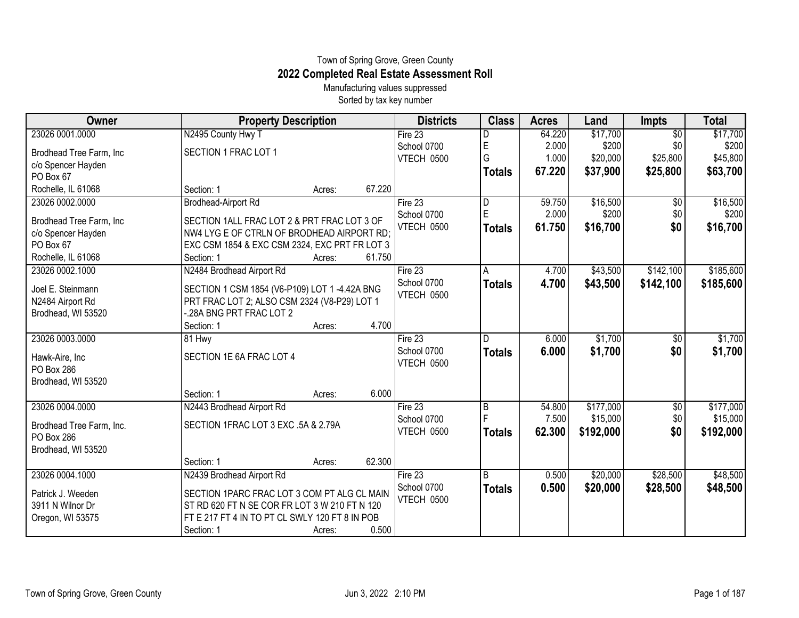## Town of Spring Grove, Green County **2022 Completed Real Estate Assessment Roll**

Manufacturing values suppressed Sorted by tax key number

| Owner                                 | <b>Property Description</b>                    | <b>Districts</b> | <b>Class</b>   | <b>Acres</b> | Land      | <b>Impts</b>    | <b>Total</b> |
|---------------------------------------|------------------------------------------------|------------------|----------------|--------------|-----------|-----------------|--------------|
| 23026 0001.0000                       | N2495 County Hwy T                             | Fire $23$        |                | 64.220       | \$17,700  | $\overline{50}$ | \$17,700     |
| Brodhead Tree Farm, Inc               | SECTION 1 FRAC LOT 1                           | School 0700      | E              | 2.000        | \$200     | \$0             | \$200        |
| c/o Spencer Hayden                    |                                                | VTECH 0500       | G              | 1.000        | \$20,000  | \$25,800        | \$45,800     |
| PO Box 67                             |                                                |                  | <b>Totals</b>  | 67.220       | \$37,900  | \$25,800        | \$63,700     |
| Rochelle, IL 61068                    | 67.220<br>Section: 1<br>Acres:                 |                  |                |              |           |                 |              |
| 23026 0002.0000                       | <b>Brodhead-Airport Rd</b>                     | Fire 23          | $\overline{D}$ | 59.750       | \$16,500  | \$0             | \$16,500     |
| Brodhead Tree Farm, Inc               | SECTION 1ALL FRAC LOT 2 & PRT FRAC LOT 3 OF    | School 0700      | E              | 2.000        | \$200     | \$0             | \$200        |
| c/o Spencer Hayden                    | NW4 LYG E OF CTRLN OF BRODHEAD AIRPORT RD:     | VTECH 0500       | <b>Totals</b>  | 61.750       | \$16,700  | \$0             | \$16,700     |
| PO Box 67                             | EXC CSM 1854 & EXC CSM 2324, EXC PRT FR LOT 3  |                  |                |              |           |                 |              |
| Rochelle, IL 61068                    | 61.750<br>Section: 1<br>Acres:                 |                  |                |              |           |                 |              |
| 23026 0002.1000                       | N2484 Brodhead Airport Rd                      | Fire 23          | A              | 4.700        | \$43,500  | \$142,100       | \$185,600    |
| Joel E. Steinmann                     | SECTION 1 CSM 1854 (V6-P109) LOT 1 -4.42A BNG  | School 0700      | <b>Totals</b>  | 4.700        | \$43,500  | \$142,100       | \$185,600    |
| N2484 Airport Rd                      | PRT FRAC LOT 2; ALSO CSM 2324 (V8-P29) LOT 1   | VTECH 0500       |                |              |           |                 |              |
| Brodhead, WI 53520                    | -.28A BNG PRT FRAC LOT 2                       |                  |                |              |           |                 |              |
|                                       | 4.700<br>Section: 1<br>Acres:                  |                  |                |              |           |                 |              |
| 23026 0003.0000                       | 81 Hwy                                         | Fire $23$        |                | 6.000        | \$1,700   | \$0             | \$1,700      |
| Hawk-Aire, Inc                        | SECTION 1E 6A FRAC LOT 4                       | School 0700      | <b>Totals</b>  | 6.000        | \$1,700   | \$0             | \$1,700      |
| PO Box 286                            |                                                | VTECH 0500       |                |              |           |                 |              |
| Brodhead, WI 53520                    |                                                |                  |                |              |           |                 |              |
|                                       | 6.000<br>Section: 1<br>Acres:                  |                  |                |              |           |                 |              |
| 23026 0004.0000                       | N2443 Brodhead Airport Rd                      | Fire $23$        | $\overline{B}$ | 54.800       | \$177,000 | \$0             | \$177,000    |
| Brodhead Tree Farm, Inc.              | SECTION 1FRAC LOT 3 EXC .5A & 2.79A            | School 0700      |                | 7.500        | \$15,000  | \$0             | \$15,000     |
| PO Box 286                            |                                                | VTECH 0500       | <b>Totals</b>  | 62.300       | \$192,000 | \$0             | \$192,000    |
| Brodhead, WI 53520                    |                                                |                  |                |              |           |                 |              |
|                                       | 62.300<br>Section: 1<br>Acres:                 |                  |                |              |           |                 |              |
| 23026 0004.1000                       | N2439 Brodhead Airport Rd                      | Fire $23$        | $\overline{B}$ | 0.500        | \$20,000  | \$28,500        | \$48,500     |
|                                       | SECTION 1PARC FRAC LOT 3 COM PT ALG CL MAIN    | School 0700      | <b>Totals</b>  | 0.500        | \$20,000  | \$28,500        | \$48,500     |
| Patrick J. Weeden<br>3911 N Wilnor Dr | ST RD 620 FT N SE COR FR LOT 3 W 210 FT N 120  | VTECH 0500       |                |              |           |                 |              |
| Oregon, WI 53575                      | FT E 217 FT 4 IN TO PT CL SWLY 120 FT 8 IN POB |                  |                |              |           |                 |              |
|                                       | 0.500<br>Section: 1<br>Acres:                  |                  |                |              |           |                 |              |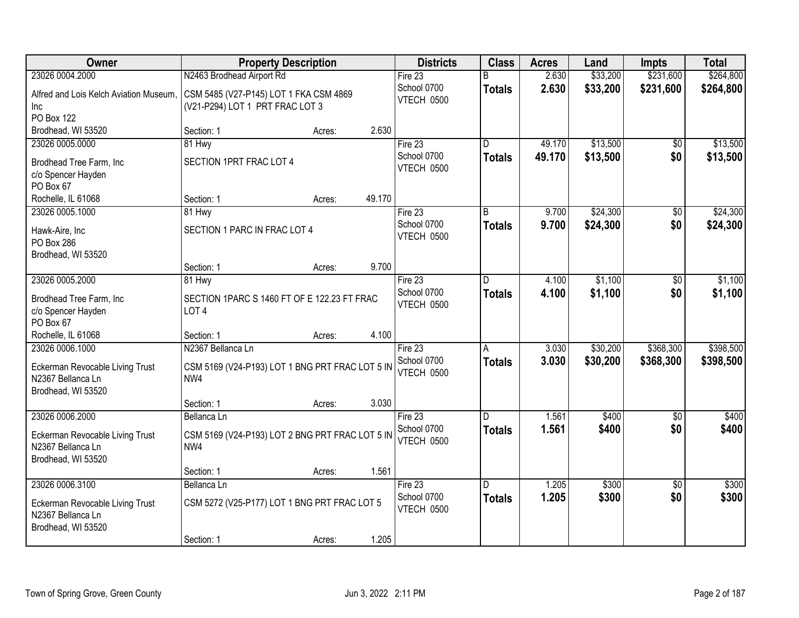| Owner                                                                                         | <b>Property Description</b>                                                                  | <b>Districts</b>                     | <b>Class</b>        | <b>Acres</b>   | Land                 | <b>Impts</b>           | <b>Total</b>           |
|-----------------------------------------------------------------------------------------------|----------------------------------------------------------------------------------------------|--------------------------------------|---------------------|----------------|----------------------|------------------------|------------------------|
| 23026 0004.2000                                                                               | N2463 Brodhead Airport Rd                                                                    | Fire 23                              | R                   | 2.630          | \$33,200             | \$231,600              | \$264,800              |
| Alfred and Lois Kelch Aviation Museum,<br>Inc<br><b>PO Box 122</b>                            | CSM 5485 (V27-P145) LOT 1 FKA CSM 4869<br>(V21-P294) LOT 1 PRT FRAC LOT 3                    | School 0700<br>VTECH 0500            | <b>Totals</b>       | 2.630          | \$33,200             | \$231,600              | \$264,800              |
| Brodhead, WI 53520                                                                            | 2.630<br>Section: 1<br>Acres:                                                                |                                      |                     |                |                      |                        |                        |
| 23026 0005.0000                                                                               | 81 Hwy                                                                                       | Fire $23$                            | D                   | 49.170         | \$13,500             | $\overline{50}$        | \$13,500               |
| Brodhead Tree Farm, Inc.<br>c/o Spencer Hayden<br>PO Box 67                                   | SECTION 1PRT FRAC LOT 4                                                                      | School 0700<br>VTECH 0500            | <b>Totals</b>       | 49.170         | \$13,500             | \$0                    | \$13,500               |
| Rochelle, IL 61068                                                                            | 49.170<br>Section: 1<br>Acres:                                                               |                                      |                     |                |                      |                        |                        |
| 23026 0005.1000                                                                               | 81 Hwy                                                                                       | Fire 23                              | B                   | 9.700          | \$24,300             | \$0                    | \$24,300               |
| Hawk-Aire, Inc<br>PO Box 286<br>Brodhead, WI 53520                                            | SECTION 1 PARC IN FRAC LOT 4                                                                 | School 0700<br>VTECH 0500            | <b>Totals</b>       | 9.700          | \$24,300             | \$0                    | \$24,300               |
|                                                                                               | Section: 1<br>9.700<br>Acres:                                                                |                                      |                     |                |                      |                        |                        |
| 23026 0005.2000                                                                               | 81 Hwy                                                                                       | Fire 23                              | D.                  | 4.100          | \$1,100              | \$0                    | \$1,100                |
| Brodhead Tree Farm, Inc<br>c/o Spencer Hayden<br>PO Box 67                                    | SECTION 1PARC S 1460 FT OF E 122.23 FT FRAC<br>LOT <sub>4</sub>                              | School 0700<br>VTECH 0500            | <b>Totals</b>       | 4.100          | \$1,100              | \$0                    | \$1,100                |
| Rochelle, IL 61068                                                                            | 4.100<br>Section: 1<br>Acres:                                                                |                                      |                     |                |                      |                        |                        |
| 23026 0006.1000<br>Eckerman Revocable Living Trust<br>N2367 Bellanca Ln<br>Brodhead, WI 53520 | N2367 Bellanca Ln<br>CSM 5169 (V24-P193) LOT 1 BNG PRT FRAC LOT 5 IN<br>NW4                  | Fire 23<br>School 0700<br>VTECH 0500 | A<br><b>Totals</b>  | 3.030<br>3.030 | \$30,200<br>\$30,200 | \$368,300<br>\$368,300 | \$398,500<br>\$398,500 |
|                                                                                               | 3.030<br>Section: 1<br>Acres:                                                                |                                      |                     |                |                      |                        |                        |
| 23026 0006.2000                                                                               | Bellanca Ln                                                                                  | Fire 23                              | $\overline{D}$      | 1.561          | \$400                | $\overline{60}$        | \$400                  |
| Eckerman Revocable Living Trust<br>N2367 Bellanca Ln<br>Brodhead, WI 53520                    | CSM 5169 (V24-P193) LOT 2 BNG PRT FRAC LOT 5 IN<br>NW4                                       | School 0700<br>VTECH 0500            | <b>Totals</b>       | 1.561          | \$400                | \$0                    | \$400                  |
|                                                                                               | 1.561<br>Section: 1<br>Acres:                                                                |                                      |                     |                |                      |                        |                        |
| 23026 0006.3100<br>Eckerman Revocable Living Trust<br>N2367 Bellanca Ln<br>Brodhead, WI 53520 | Bellanca Ln<br>CSM 5272 (V25-P177) LOT 1 BNG PRT FRAC LOT 5<br>1.205<br>Section: 1<br>Acres: | Fire 23<br>School 0700<br>VTECH 0500 | D.<br><b>Totals</b> | 1.205<br>1.205 | \$300<br>\$300       | $\overline{50}$<br>\$0 | \$300<br>\$300         |
|                                                                                               |                                                                                              |                                      |                     |                |                      |                        |                        |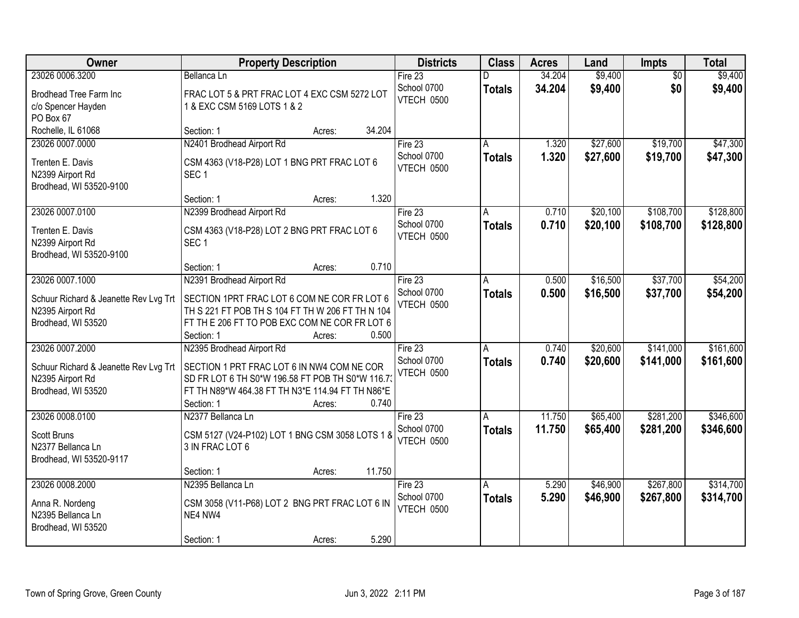| <b>Owner</b>                                              | <b>Property Description</b>                                                                          | <b>Districts</b>  | <b>Class</b>  | <b>Acres</b> | Land     | Impts           | <b>Total</b> |
|-----------------------------------------------------------|------------------------------------------------------------------------------------------------------|-------------------|---------------|--------------|----------|-----------------|--------------|
| 23026 0006.3200                                           | Bellanca Ln                                                                                          | Fire $23$         |               | 34.204       | \$9,400  | $\overline{50}$ | \$9,400      |
| Brodhead Tree Farm Inc                                    | FRAC LOT 5 & PRT FRAC LOT 4 EXC CSM 5272 LOT                                                         | School 0700       | <b>Totals</b> | 34.204       | \$9,400  | \$0             | \$9,400      |
| c/o Spencer Hayden                                        | 1 & EXC CSM 5169 LOTS 1 & 2                                                                          | VTECH 0500        |               |              |          |                 |              |
| PO Box 67                                                 |                                                                                                      |                   |               |              |          |                 |              |
| Rochelle, IL 61068                                        | 34.204<br>Section: 1<br>Acres:                                                                       |                   |               |              |          |                 |              |
| 23026 0007.0000                                           | N2401 Brodhead Airport Rd                                                                            | Fire $23$         | A             | 1.320        | \$27,600 | \$19,700        | \$47,300     |
| Trenten E. Davis                                          | CSM 4363 (V18-P28) LOT 1 BNG PRT FRAC LOT 6                                                          | School 0700       | <b>Totals</b> | 1.320        | \$27,600 | \$19,700        | \$47,300     |
| N2399 Airport Rd                                          | SEC <sub>1</sub>                                                                                     | VTECH 0500        |               |              |          |                 |              |
| Brodhead, WI 53520-9100                                   |                                                                                                      |                   |               |              |          |                 |              |
|                                                           | 1.320<br>Section: 1<br>Acres:                                                                        |                   |               |              |          |                 |              |
| 23026 0007.0100                                           | N2399 Brodhead Airport Rd                                                                            | Fire 23           | A             | 0.710        | \$20,100 | \$108,700       | \$128,800    |
| Trenten E. Davis                                          | CSM 4363 (V18-P28) LOT 2 BNG PRT FRAC LOT 6                                                          | School 0700       | <b>Totals</b> | 0.710        | \$20,100 | \$108,700       | \$128,800    |
| N2399 Airport Rd                                          | SEC <sub>1</sub>                                                                                     | VTECH 0500        |               |              |          |                 |              |
| Brodhead, WI 53520-9100                                   |                                                                                                      |                   |               |              |          |                 |              |
|                                                           | 0.710<br>Section: 1<br>Acres:                                                                        |                   |               |              |          |                 |              |
| 23026 0007.1000                                           | N2391 Brodhead Airport Rd                                                                            | Fire 23           | A             | 0.500        | \$16,500 | \$37,700        | \$54,200     |
|                                                           |                                                                                                      | School 0700       | <b>Totals</b> | 0.500        | \$16,500 | \$37,700        | \$54,200     |
| Schuur Richard & Jeanette Rev Lvg Trt<br>N2395 Airport Rd | SECTION 1PRT FRAC LOT 6 COM NE COR FR LOT 6<br>TH S 221 FT POB TH S 104 FT TH W 206 FT TH N 104      | <b>VTECH 0500</b> |               |              |          |                 |              |
| Brodhead, WI 53520                                        | FT TH E 206 FT TO POB EXC COM NE COR FR LOT 6                                                        |                   |               |              |          |                 |              |
|                                                           | 0.500<br>Section: 1<br>Acres:                                                                        |                   |               |              |          |                 |              |
| 23026 0007.2000                                           | N2395 Brodhead Airport Rd                                                                            | Fire 23           | A             | 0.740        | \$20,600 | \$141,000       | \$161,600    |
|                                                           |                                                                                                      | School 0700       | <b>Totals</b> | 0.740        | \$20,600 | \$141,000       | \$161,600    |
| Schuur Richard & Jeanette Rev Lvg Trt                     | SECTION 1 PRT FRAC LOT 6 IN NW4 COM NE COR                                                           | VTECH 0500        |               |              |          |                 |              |
| N2395 Airport Rd<br>Brodhead, WI 53520                    | SD FR LOT 6 TH S0*W 196.58 FT POB TH S0*W 116.73<br>FT TH N89*W 464.38 FT TH N3*E 114.94 FT TH N86*E |                   |               |              |          |                 |              |
|                                                           | 0.740<br>Section: 1<br>Acres:                                                                        |                   |               |              |          |                 |              |
| 23026 0008.0100                                           | N2377 Bellanca Ln                                                                                    | Fire 23           | A             | 11.750       | \$65,400 | \$281,200       | \$346,600    |
|                                                           |                                                                                                      | School 0700       | <b>Totals</b> | 11.750       | \$65,400 | \$281,200       | \$346,600    |
| <b>Scott Bruns</b>                                        | CSM 5127 (V24-P102) LOT 1 BNG CSM 3058 LOTS 1 &                                                      | VTECH 0500        |               |              |          |                 |              |
| N2377 Bellanca Ln                                         | 3 IN FRAC LOT 6                                                                                      |                   |               |              |          |                 |              |
| Brodhead, WI 53520-9117                                   |                                                                                                      |                   |               |              |          |                 |              |
| 23026 0008.2000                                           | 11.750<br>Section: 1<br>Acres:<br>N2395 Bellanca Ln                                                  | Fire 23           |               | 5.290        | \$46,900 | \$267,800       | \$314,700    |
|                                                           |                                                                                                      | School 0700       | A             | 5.290        | \$46,900 | \$267,800       |              |
| Anna R. Nordeng                                           | CSM 3058 (V11-P68) LOT 2 BNG PRT FRAC LOT 6 IN                                                       | VTECH 0500        | <b>Totals</b> |              |          |                 | \$314,700    |
| N2395 Bellanca Ln                                         | NE4 NW4                                                                                              |                   |               |              |          |                 |              |
| Brodhead, WI 53520                                        |                                                                                                      |                   |               |              |          |                 |              |
|                                                           | 5.290<br>Section: 1<br>Acres:                                                                        |                   |               |              |          |                 |              |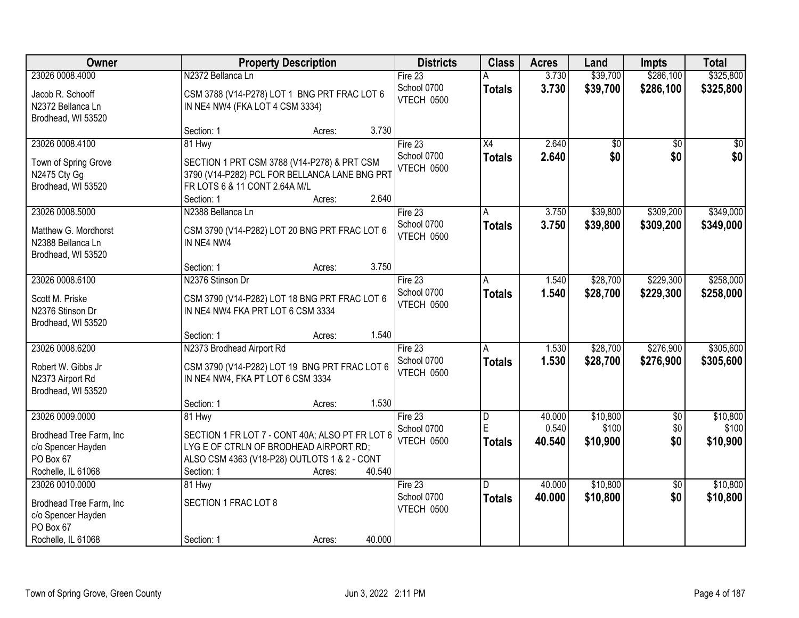| Owner                                                                                               | <b>Property Description</b>                                                                                                                                       |                  | <b>Districts</b>                            | <b>Class</b>            | <b>Acres</b>     | Land                   | <b>Impts</b>           | <b>Total</b>           |
|-----------------------------------------------------------------------------------------------------|-------------------------------------------------------------------------------------------------------------------------------------------------------------------|------------------|---------------------------------------------|-------------------------|------------------|------------------------|------------------------|------------------------|
| 23026 0008.4000                                                                                     | N2372 Bellanca Ln                                                                                                                                                 |                  | Fire $23$                                   |                         | 3.730            | \$39,700               | \$286,100              | \$325,800              |
| Jacob R. Schooff<br>N2372 Bellanca Ln<br>Brodhead, WI 53520                                         | CSM 3788 (V14-P278) LOT 1 BNG PRT FRAC LOT 6<br>IN NE4 NW4 (FKA LOT 4 CSM 3334)                                                                                   |                  | School 0700<br>VTECH 0500                   | <b>Totals</b>           | 3.730            | \$39,700               | \$286,100              | \$325,800              |
|                                                                                                     | Section: 1                                                                                                                                                        | 3.730<br>Acres:  |                                             |                         |                  |                        |                        |                        |
| 23026 0008.4100<br>Town of Spring Grove<br>N2475 Cty Gg<br>Brodhead, WI 53520                       | 81 Hwy<br>SECTION 1 PRT CSM 3788 (V14-P278) & PRT CSM<br>3790 (V14-P282) PCL FOR BELLANCA LANE BNG PRT<br>FR LOTS 6 & 11 CONT 2.64A M/L                           |                  | Fire $23$<br>School 0700<br>VTECH 0500      | X4<br><b>Totals</b>     | 2.640<br>2.640   | $\overline{60}$<br>\$0 | $\overline{50}$<br>\$0 | $\overline{50}$<br>\$0 |
|                                                                                                     | Section: 1                                                                                                                                                        | 2.640<br>Acres:  |                                             |                         |                  |                        |                        |                        |
| 23026 0008.5000<br>Matthew G. Mordhorst<br>N2388 Bellanca Ln<br>Brodhead, WI 53520                  | N2388 Bellanca Ln<br>CSM 3790 (V14-P282) LOT 20 BNG PRT FRAC LOT 6<br>IN NE4 NW4                                                                                  |                  | Fire 23<br>School 0700<br>VTECH 0500        | A<br><b>Totals</b>      | 3.750<br>3.750   | \$39,800<br>\$39,800   | \$309,200<br>\$309,200 | \$349,000<br>\$349,000 |
|                                                                                                     | Section: 1                                                                                                                                                        | 3.750<br>Acres:  |                                             |                         |                  |                        |                        |                        |
| 23026 0008.6100<br>Scott M. Priske<br>N2376 Stinson Dr                                              | N2376 Stinson Dr<br>CSM 3790 (V14-P282) LOT 18 BNG PRT FRAC LOT 6<br>IN NE4 NW4 FKA PRT LOT 6 CSM 3334                                                            |                  | Fire 23<br>School 0700<br><b>VTECH 0500</b> | A<br><b>Totals</b>      | 1.540<br>1.540   | \$28,700<br>\$28,700   | \$229,300<br>\$229,300 | \$258,000<br>\$258,000 |
| Brodhead, WI 53520                                                                                  | Section: 1                                                                                                                                                        | 1.540<br>Acres:  |                                             |                         |                  |                        |                        |                        |
| 23026 0008.6200<br>Robert W. Gibbs Jr<br>N2373 Airport Rd<br>Brodhead, WI 53520                     | N2373 Brodhead Airport Rd<br>CSM 3790 (V14-P282) LOT 19 BNG PRT FRAC LOT 6<br>IN NE4 NW4, FKA PT LOT 6 CSM 3334                                                   |                  | Fire 23<br>School 0700<br><b>VTECH 0500</b> | A<br><b>Totals</b>      | 1.530<br>1.530   | \$28,700<br>\$28,700   | \$276,900<br>\$276,900 | \$305,600<br>\$305,600 |
| 23026 0009.0000                                                                                     | Section: 1                                                                                                                                                        | 1.530<br>Acres:  | Fire 23                                     |                         | 40.000           | \$10,800               | $\overline{50}$        | \$10,800               |
| Brodhead Tree Farm, Inc<br>c/o Spencer Hayden<br>PO Box 67<br>Rochelle, IL 61068                    | 81 Hwy<br>SECTION 1 FR LOT 7 - CONT 40A; ALSO PT FR LOT 6<br>LYG E OF CTRLN OF BRODHEAD AIRPORT RD;<br>ALSO CSM 4363 (V18-P28) OUTLOTS 1 & 2 - CONT<br>Section: 1 | 40.540<br>Acres: | School 0700<br><b>VTECH 0500</b>            | D<br>E<br><b>Totals</b> | 0.540<br>40.540  | \$100<br>\$10,900      | \$0<br>\$0             | \$100<br>\$10,900      |
| 23026 0010.0000<br>Brodhead Tree Farm, Inc<br>c/o Spencer Hayden<br>PO Box 67<br>Rochelle, IL 61068 | 81 Hwy<br>SECTION 1 FRAC LOT 8<br>Section: 1                                                                                                                      | 40.000<br>Acres: | Fire $23$<br>School 0700<br>VTECH 0500      | D.<br><b>Totals</b>     | 40.000<br>40.000 | \$10,800<br>\$10,800   | $\overline{50}$<br>\$0 | \$10,800<br>\$10,800   |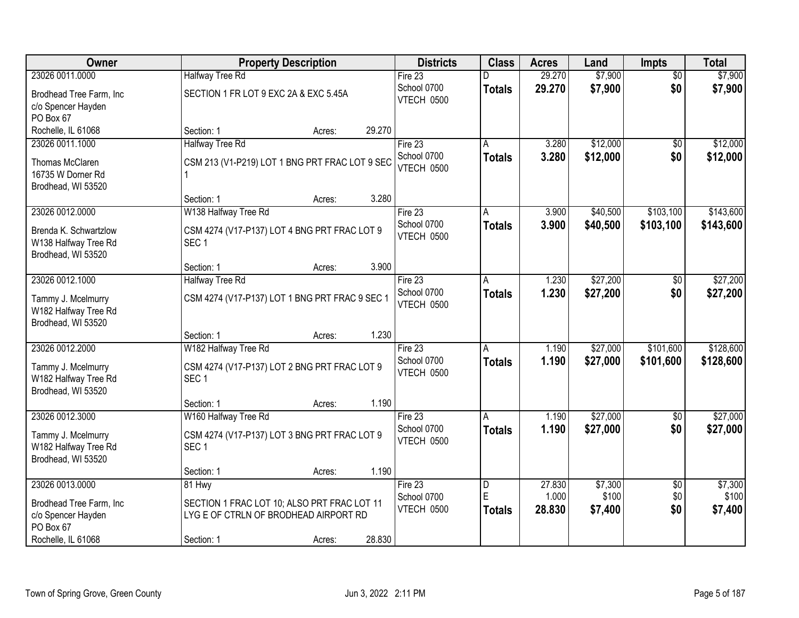| Owner                                                                                  | <b>Property Description</b>                                                                                               | <b>Districts</b>                            | <b>Class</b>       | <b>Acres</b>    | Land                 | <b>Impts</b>           | <b>Total</b>           |
|----------------------------------------------------------------------------------------|---------------------------------------------------------------------------------------------------------------------------|---------------------------------------------|--------------------|-----------------|----------------------|------------------------|------------------------|
| 23026 0011.0000                                                                        | <b>Halfway Tree Rd</b>                                                                                                    | Fire 23                                     | n                  | 29.270          | \$7,900              | $\overline{50}$        | \$7,900                |
| Brodhead Tree Farm, Inc<br>c/o Spencer Hayden<br>PO Box 67                             | SECTION 1 FR LOT 9 EXC 2A & EXC 5.45A                                                                                     | School 0700<br>VTECH 0500                   | <b>Totals</b>      | 29.270          | \$7,900              | \$0                    | \$7,900                |
| Rochelle, IL 61068                                                                     | 29.270<br>Section: 1<br>Acres:                                                                                            |                                             |                    |                 |                      |                        |                        |
| 23026 0011.1000<br>Thomas McClaren<br>16735 W Dorner Rd<br>Brodhead, WI 53520          | <b>Halfway Tree Rd</b><br>CSM 213 (V1-P219) LOT 1 BNG PRT FRAC LOT 9 SEC                                                  | Fire 23<br>School 0700<br>VTECH 0500        | А<br><b>Totals</b> | 3.280<br>3.280  | \$12,000<br>\$12,000 | \$0<br>\$0             | \$12,000<br>\$12,000   |
|                                                                                        | 3.280<br>Section: 1<br>Acres:                                                                                             |                                             |                    |                 |                      |                        |                        |
| 23026 0012.0000<br>Brenda K. Schwartzlow<br>W138 Halfway Tree Rd<br>Brodhead, WI 53520 | W138 Halfway Tree Rd<br>CSM 4274 (V17-P137) LOT 4 BNG PRT FRAC LOT 9<br>SEC <sub>1</sub>                                  | Fire 23<br>School 0700<br><b>VTECH 0500</b> | A<br><b>Totals</b> | 3.900<br>3.900  | \$40,500<br>\$40,500 | \$103,100<br>\$103,100 | \$143,600<br>\$143,600 |
|                                                                                        | 3.900<br>Section: 1<br>Acres:                                                                                             |                                             |                    |                 |                      |                        |                        |
| 23026 0012.1000<br>Tammy J. Mcelmurry<br>W182 Halfway Tree Rd<br>Brodhead, WI 53520    | <b>Halfway Tree Rd</b><br>CSM 4274 (V17-P137) LOT 1 BNG PRT FRAC 9 SEC 1                                                  | Fire 23<br>School 0700<br><b>VTECH 0500</b> | A<br><b>Totals</b> | 1.230<br>1.230  | \$27,200<br>\$27,200 | $\sqrt[6]{}$<br>\$0    | \$27,200<br>\$27,200   |
|                                                                                        | 1.230<br>Section: 1<br>Acres:                                                                                             |                                             |                    |                 |                      |                        |                        |
| 23026 0012.2000<br>Tammy J. Mcelmurry<br>W182 Halfway Tree Rd<br>Brodhead, WI 53520    | W182 Halfway Tree Rd<br>CSM 4274 (V17-P137) LOT 2 BNG PRT FRAC LOT 9<br>SEC <sub>1</sub>                                  | Fire 23<br>School 0700<br><b>VTECH 0500</b> | A<br><b>Totals</b> | 1.190<br>1.190  | \$27,000<br>\$27,000 | \$101,600<br>\$101,600 | \$128,600<br>\$128,600 |
|                                                                                        | 1.190<br>Section: 1<br>Acres:                                                                                             |                                             |                    |                 |                      |                        |                        |
| 23026 0012.3000<br>Tammy J. Mcelmurry<br>W182 Halfway Tree Rd<br>Brodhead, WI 53520    | W160 Halfway Tree Rd<br>CSM 4274 (V17-P137) LOT 3 BNG PRT FRAC LOT 9<br>SEC <sub>1</sub><br>1.190<br>Section: 1<br>Acres: | Fire 23<br>School 0700<br>VTECH 0500        | A<br><b>Totals</b> | 1.190<br>1.190  | \$27,000<br>\$27,000 | \$0<br>\$0             | \$27,000<br>\$27,000   |
| 23026 0013.0000                                                                        | 81 Hwy                                                                                                                    | Fire 23                                     | D                  | 27.830          | \$7,300              | $\overline{60}$        | \$7,300                |
| Brodhead Tree Farm, Inc<br>c/o Spencer Hayden<br>PO Box 67<br>Rochelle, IL 61068       | SECTION 1 FRAC LOT 10; ALSO PRT FRAC LOT 11<br>LYG E OF CTRLN OF BRODHEAD AIRPORT RD<br>28.830<br>Section: 1<br>Acres:    | School 0700<br>VTECH 0500                   | E<br><b>Totals</b> | 1.000<br>28.830 | \$100<br>\$7,400     | \$0<br>\$0             | \$100<br>\$7,400       |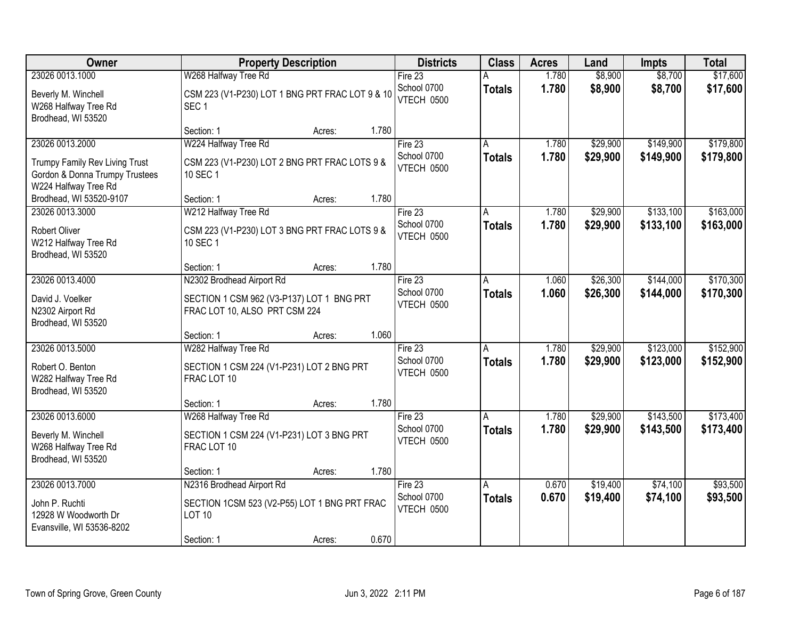| Owner                                                                                                       | <b>Property Description</b>                                                                                                 | <b>Districts</b>                       | <b>Class</b>       | <b>Acres</b>   | Land                 | <b>Impts</b>           | <b>Total</b>           |
|-------------------------------------------------------------------------------------------------------------|-----------------------------------------------------------------------------------------------------------------------------|----------------------------------------|--------------------|----------------|----------------------|------------------------|------------------------|
| 23026 0013.1000                                                                                             | W268 Halfway Tree Rd                                                                                                        | Fire 23                                |                    | 1.780          | \$8,900              | \$8,700                | \$17,600               |
| Beverly M. Winchell<br>W268 Halfway Tree Rd<br>Brodhead, WI 53520                                           | CSM 223 (V1-P230) LOT 1 BNG PRT FRAC LOT 9 & 10<br>SEC <sub>1</sub>                                                         | School 0700<br><b>VTECH 0500</b>       | <b>Totals</b>      | 1.780          | \$8,900              | \$8,700                | \$17,600               |
|                                                                                                             | 1.780<br>Section: 1<br>Acres:                                                                                               |                                        |                    |                |                      |                        |                        |
| 23026 0013.2000<br>Trumpy Family Rev Living Trust<br>Gordon & Donna Trumpy Trustees<br>W224 Halfway Tree Rd | W224 Halfway Tree Rd<br>CSM 223 (V1-P230) LOT 2 BNG PRT FRAC LOTS 9 &<br>10 SEC 1                                           | Fire 23<br>School 0700<br>VTECH 0500   | <b>Totals</b>      | 1.780<br>1.780 | \$29,900<br>\$29,900 | \$149,900<br>\$149,900 | \$179,800<br>\$179,800 |
| Brodhead, WI 53520-9107                                                                                     | 1.780<br>Section: 1<br>Acres:                                                                                               |                                        |                    |                |                      |                        |                        |
| 23026 0013.3000<br><b>Robert Oliver</b><br>W212 Halfway Tree Rd<br>Brodhead, WI 53520                       | W212 Halfway Tree Rd<br>CSM 223 (V1-P230) LOT 3 BNG PRT FRAC LOTS 9 &<br>10 SEC 1                                           | Fire 23<br>School 0700<br>VTECH 0500   | A<br><b>Totals</b> | 1.780<br>1.780 | \$29,900<br>\$29,900 | \$133,100<br>\$133,100 | \$163,000<br>\$163,000 |
|                                                                                                             | 1.780<br>Section: 1<br>Acres:                                                                                               |                                        |                    |                |                      |                        |                        |
| 23026 0013.4000<br>David J. Voelker<br>N2302 Airport Rd                                                     | N2302 Brodhead Airport Rd<br>SECTION 1 CSM 962 (V3-P137) LOT 1 BNG PRT<br>FRAC LOT 10, ALSO PRT CSM 224                     | Fire $23$<br>School 0700<br>VTECH 0500 | A<br><b>Totals</b> | 1.060<br>1.060 | \$26,300<br>\$26,300 | \$144,000<br>\$144,000 | \$170,300<br>\$170,300 |
| Brodhead, WI 53520                                                                                          | 1.060<br>Section: 1<br>Acres:                                                                                               |                                        |                    |                |                      |                        |                        |
| 23026 0013.5000<br>Robert O. Benton<br>W282 Halfway Tree Rd<br>Brodhead, WI 53520                           | W282 Halfway Tree Rd<br>SECTION 1 CSM 224 (V1-P231) LOT 2 BNG PRT<br>FRAC LOT 10                                            | Fire $23$<br>School 0700<br>VTECH 0500 | A<br><b>Totals</b> | 1.780<br>1.780 | \$29,900<br>\$29,900 | \$123,000<br>\$123,000 | \$152,900<br>\$152,900 |
|                                                                                                             | 1.780<br>Section: 1<br>Acres:                                                                                               |                                        |                    |                |                      |                        |                        |
| 23026 0013.6000<br>Beverly M. Winchell<br>W268 Halfway Tree Rd<br>Brodhead, WI 53520                        | W268 Halfway Tree Rd<br>SECTION 1 CSM 224 (V1-P231) LOT 3 BNG PRT<br>FRAC LOT 10                                            | Fire 23<br>School 0700<br>VTECH 0500   | A<br><b>Totals</b> | 1.780<br>1.780 | \$29,900<br>\$29,900 | \$143,500<br>\$143,500 | \$173,400<br>\$173,400 |
|                                                                                                             | 1.780<br>Section: 1<br>Acres:                                                                                               |                                        |                    |                |                      |                        |                        |
| 23026 0013.7000<br>John P. Ruchti<br>12928 W Woodworth Dr<br>Evansville, WI 53536-8202                      | N2316 Brodhead Airport Rd<br>SECTION 1CSM 523 (V2-P55) LOT 1 BNG PRT FRAC<br><b>LOT 10</b><br>0.670<br>Section: 1<br>Acres: | Fire 23<br>School 0700<br>VTECH 0500   | A<br><b>Totals</b> | 0.670<br>0.670 | \$19,400<br>\$19,400 | \$74,100<br>\$74,100   | \$93,500<br>\$93,500   |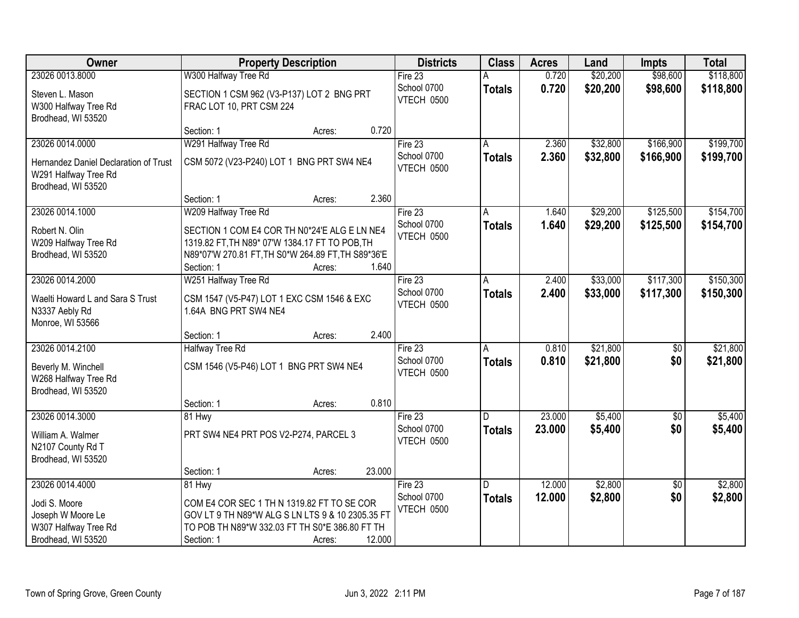| Owner                                                                               | <b>Property Description</b>                                                                                                                                                           | <b>Districts</b>          | <b>Class</b>   | <b>Acres</b> | Land     | <b>Impts</b>    | <b>Total</b> |
|-------------------------------------------------------------------------------------|---------------------------------------------------------------------------------------------------------------------------------------------------------------------------------------|---------------------------|----------------|--------------|----------|-----------------|--------------|
| 23026 0013.8000                                                                     | W300 Halfway Tree Rd                                                                                                                                                                  | Fire 23                   |                | 0.720        | \$20,200 | \$98,600        | \$118,800    |
| Steven L. Mason<br>W300 Halfway Tree Rd<br>Brodhead, WI 53520                       | SECTION 1 CSM 962 (V3-P137) LOT 2 BNG PRT<br>FRAC LOT 10, PRT CSM 224                                                                                                                 | School 0700<br>VTECH 0500 | <b>Totals</b>  | 0.720        | \$20,200 | \$98,600        | \$118,800    |
|                                                                                     | 0.720<br>Section: 1<br>Acres:                                                                                                                                                         |                           |                |              |          |                 |              |
| 23026 0014.0000                                                                     | W291 Halfway Tree Rd                                                                                                                                                                  | Fire $23$                 |                | 2.360        | \$32,800 | \$166,900       | \$199,700    |
| Hernandez Daniel Declaration of Trust<br>W291 Halfway Tree Rd<br>Brodhead, WI 53520 | CSM 5072 (V23-P240) LOT 1 BNG PRT SW4 NE4                                                                                                                                             | School 0700<br>VTECH 0500 | <b>Totals</b>  | 2.360        | \$32,800 | \$166,900       | \$199,700    |
|                                                                                     | 2.360<br>Section: 1<br>Acres:                                                                                                                                                         |                           |                |              |          |                 |              |
| 23026 0014.1000                                                                     | W209 Halfway Tree Rd                                                                                                                                                                  | Fire 23                   | A              | 1.640        | \$29,200 | \$125,500       | \$154,700    |
| Robert N. Olin<br>W209 Halfway Tree Rd<br>Brodhead, WI 53520                        | SECTION 1 COM E4 COR TH N0*24'E ALG E LN NE4<br>1319.82 FT, TH N89* 07'W 1384.17 FT TO POB, TH<br>N89*07'W 270.81 FT, TH S0*W 264.89 FT, TH S89*36'E<br>Section: 1<br>1.640<br>Acres: | School 0700<br>VTECH 0500 | <b>Totals</b>  | 1.640        | \$29,200 | \$125,500       | \$154,700    |
| 23026 0014.2000                                                                     | W251 Halfway Tree Rd                                                                                                                                                                  | Fire 23                   | A              | 2.400        | \$33,000 | \$117,300       | \$150,300    |
| Waelti Howard L and Sara S Trust<br>N3337 Aebly Rd<br>Monroe, WI 53566              | CSM 1547 (V5-P47) LOT 1 EXC CSM 1546 & EXC<br>1.64A BNG PRT SW4 NE4                                                                                                                   | School 0700<br>VTECH 0500 | <b>Totals</b>  | 2.400        | \$33,000 | \$117,300       | \$150,300    |
|                                                                                     | 2.400<br>Section: 1<br>Acres:                                                                                                                                                         |                           |                |              |          |                 |              |
| 23026 0014.2100                                                                     | <b>Halfway Tree Rd</b>                                                                                                                                                                | Fire 23                   | A              | 0.810        | \$21,800 | $\overline{50}$ | \$21,800     |
| Beverly M. Winchell<br>W268 Halfway Tree Rd<br>Brodhead, WI 53520                   | CSM 1546 (V5-P46) LOT 1 BNG PRT SW4 NE4                                                                                                                                               | School 0700<br>VTECH 0500 | <b>Totals</b>  | 0.810        | \$21,800 | \$0             | \$21,800     |
|                                                                                     | 0.810<br>Section: 1<br>Acres:                                                                                                                                                         |                           |                |              |          |                 |              |
| 23026 0014.3000                                                                     | 81 Hwy                                                                                                                                                                                | Fire $23$                 | $\overline{D}$ | 23.000       | \$5,400  | $\overline{60}$ | \$5,400      |
| William A. Walmer<br>N2107 County Rd T<br>Brodhead, WI 53520                        | PRT SW4 NE4 PRT POS V2-P274, PARCEL 3                                                                                                                                                 | School 0700<br>VTECH 0500 | <b>Totals</b>  | 23.000       | \$5,400  | \$0             | \$5,400      |
|                                                                                     | 23.000<br>Section: 1<br>Acres:                                                                                                                                                        |                           |                |              |          |                 |              |
| 23026 0014.4000                                                                     | 81 Hwy                                                                                                                                                                                | Fire 23                   | D.             | 12.000       | \$2,800  | $\overline{30}$ | \$2,800      |
| Jodi S. Moore<br>Joseph W Moore Le<br>W307 Halfway Tree Rd<br>Brodhead, WI 53520    | COM E4 COR SEC 1 TH N 1319.82 FT TO SE COR<br>GOV LT 9 TH N89*W ALG S LN LTS 9 & 10 2305.35 FT<br>TO POB TH N89*W 332.03 FT TH S0*E 386.80 FT TH<br>12.000<br>Section: 1<br>Acres:    | School 0700<br>VTECH 0500 | <b>Totals</b>  | 12.000       | \$2,800  | \$0             | \$2,800      |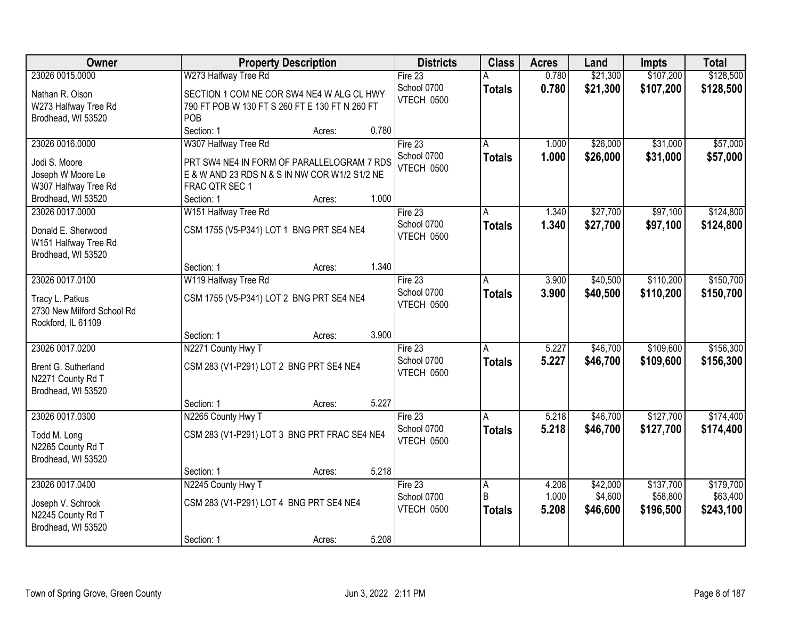| Owner                                                                                               | <b>Property Description</b>                                                                                                                                            | <b>Districts</b>                              | <b>Class</b>            | <b>Acres</b>            | Land                            | <b>Impts</b>                       | <b>Total</b>                       |
|-----------------------------------------------------------------------------------------------------|------------------------------------------------------------------------------------------------------------------------------------------------------------------------|-----------------------------------------------|-------------------------|-------------------------|---------------------------------|------------------------------------|------------------------------------|
| 23026 0015.0000                                                                                     | W273 Halfway Tree Rd                                                                                                                                                   | Fire 23                                       |                         | 0.780                   | \$21,300                        | \$107,200                          | \$128,500                          |
| Nathan R. Olson<br>W273 Halfway Tree Rd<br>Brodhead, WI 53520                                       | SECTION 1 COM NE COR SW4 NE4 W ALG CL HWY<br>790 FT POB W 130 FT S 260 FT E 130 FT N 260 FT<br>POB                                                                     | School 0700<br>VTECH 0500                     | <b>Totals</b>           | 0.780                   | \$21,300                        | \$107,200                          | \$128,500                          |
|                                                                                                     | 0.780<br>Section: 1<br>Acres:                                                                                                                                          |                                               |                         |                         |                                 |                                    |                                    |
| 23026 0016.0000<br>Jodi S. Moore<br>Joseph W Moore Le<br>W307 Halfway Tree Rd<br>Brodhead, WI 53520 | W307 Halfway Tree Rd<br>PRT SW4 NE4 IN FORM OF PARALLELOGRAM 7 RDS<br>E & W AND 23 RDS N & S IN NW COR W1/2 S1/2 NE<br>FRAC QTR SEC 1<br>1.000<br>Section: 1<br>Acres: | Fire $23$<br>School 0700<br><b>VTECH 0500</b> | <b>Totals</b>           | 1.000<br>1.000          | \$26,000<br>\$26,000            | \$31,000<br>\$31,000               | \$57,000<br>\$57,000               |
| 23026 0017.0000                                                                                     | W151 Halfway Tree Rd                                                                                                                                                   | Fire 23                                       | A                       | 1.340                   | \$27,700                        | \$97,100                           | \$124,800                          |
| Donald E. Sherwood<br>W151 Halfway Tree Rd<br>Brodhead, WI 53520                                    | CSM 1755 (V5-P341) LOT 1 BNG PRT SE4 NE4                                                                                                                               | School 0700<br>VTECH 0500                     | <b>Totals</b>           | 1.340                   | \$27,700                        | \$97,100                           | \$124,800                          |
|                                                                                                     | 1.340<br>Section: 1<br>Acres:                                                                                                                                          |                                               |                         |                         |                                 |                                    |                                    |
| 23026 0017.0100                                                                                     | W119 Halfway Tree Rd                                                                                                                                                   | Fire $23$                                     | A                       | 3.900                   | \$40,500                        | \$110,200                          | \$150,700                          |
| Tracy L. Patkus<br>2730 New Milford School Rd<br>Rockford, IL 61109                                 | CSM 1755 (V5-P341) LOT 2 BNG PRT SE4 NE4                                                                                                                               | School 0700<br>VTECH 0500                     | <b>Totals</b>           | 3.900                   | \$40,500                        | \$110,200                          | \$150,700                          |
|                                                                                                     | 3.900<br>Section: 1<br>Acres:                                                                                                                                          |                                               |                         |                         |                                 |                                    |                                    |
| 23026 0017.0200<br>Brent G. Sutherland<br>N2271 County Rd T<br>Brodhead, WI 53520                   | N2271 County Hwy T<br>CSM 283 (V1-P291) LOT 2 BNG PRT SE4 NE4                                                                                                          | Fire $23$<br>School 0700<br>VTECH 0500        | A<br><b>Totals</b>      | 5.227<br>5.227          | \$46,700<br>\$46,700            | \$109,600<br>\$109,600             | \$156,300<br>\$156,300             |
|                                                                                                     | 5.227<br>Section: 1<br>Acres:                                                                                                                                          |                                               |                         |                         |                                 |                                    |                                    |
| 23026 0017.0300<br>Todd M. Long<br>N2265 County Rd T<br>Brodhead, WI 53520                          | N2265 County Hwy T<br>CSM 283 (V1-P291) LOT 3 BNG PRT FRAC SE4 NE4                                                                                                     | Fire 23<br>School 0700<br>VTECH 0500          | A<br><b>Totals</b>      | 5.218<br>5.218          | \$46,700<br>\$46,700            | \$127,700<br>\$127,700             | \$174,400<br>\$174,400             |
|                                                                                                     | 5.218<br>Section: 1<br>Acres:                                                                                                                                          |                                               |                         |                         |                                 |                                    |                                    |
| 23026 0017.0400<br>Joseph V. Schrock<br>N2245 County Rd T<br>Brodhead, WI 53520                     | N2245 County Hwy T<br>CSM 283 (V1-P291) LOT 4 BNG PRT SE4 NE4                                                                                                          | Fire $23$<br>School 0700<br>VTECH 0500        | A<br>B<br><b>Totals</b> | 4.208<br>1.000<br>5.208 | \$42,000<br>\$4,600<br>\$46,600 | \$137,700<br>\$58,800<br>\$196,500 | \$179,700<br>\$63,400<br>\$243,100 |
|                                                                                                     | 5.208<br>Section: 1<br>Acres:                                                                                                                                          |                                               |                         |                         |                                 |                                    |                                    |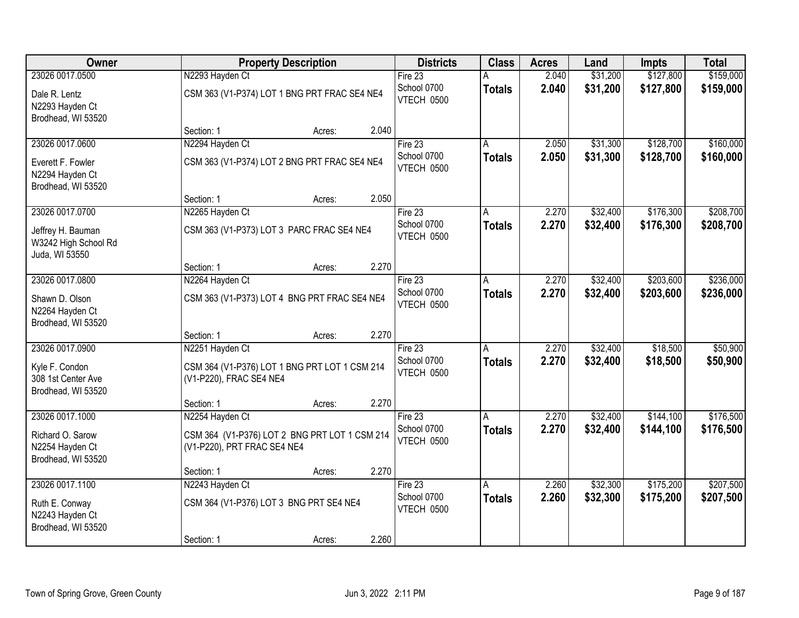| Owner                                                       |                                                                              | <b>Property Description</b> |       | <b>Districts</b>          | <b>Class</b>  | <b>Acres</b> | Land     | <b>Impts</b> | <b>Total</b> |
|-------------------------------------------------------------|------------------------------------------------------------------------------|-----------------------------|-------|---------------------------|---------------|--------------|----------|--------------|--------------|
| 23026 0017.0500                                             | N2293 Hayden Ct                                                              |                             |       | Fire 23                   |               | 2.040        | \$31,200 | \$127,800    | \$159,000    |
| Dale R. Lentz<br>N2293 Hayden Ct<br>Brodhead, WI 53520      | CSM 363 (V1-P374) LOT 1 BNG PRT FRAC SE4 NE4                                 |                             |       | School 0700<br>VTECH 0500 | <b>Totals</b> | 2.040        | \$31,200 | \$127,800    | \$159,000    |
|                                                             | Section: 1                                                                   | Acres:                      | 2.040 |                           |               |              |          |              |              |
| 23026 0017.0600                                             | N2294 Hayden Ct                                                              |                             |       | Fire $23$                 |               | 2.050        | \$31,300 | \$128,700    | \$160,000    |
| Everett F. Fowler<br>N2294 Hayden Ct<br>Brodhead, WI 53520  | CSM 363 (V1-P374) LOT 2 BNG PRT FRAC SE4 NE4                                 |                             |       | School 0700<br>VTECH 0500 | <b>Totals</b> | 2.050        | \$31,300 | \$128,700    | \$160,000    |
|                                                             | Section: 1                                                                   | Acres:                      | 2.050 |                           |               |              |          |              |              |
| 23026 0017.0700                                             | N2265 Hayden Ct                                                              |                             |       | Fire 23                   | A             | 2.270        | \$32,400 | \$176,300    | \$208,700    |
| Jeffrey H. Bauman<br>W3242 High School Rd<br>Juda, WI 53550 | CSM 363 (V1-P373) LOT 3 PARC FRAC SE4 NE4                                    |                             |       | School 0700<br>VTECH 0500 | <b>Totals</b> | 2.270        | \$32,400 | \$176,300    | \$208,700    |
|                                                             | Section: 1                                                                   | Acres:                      | 2.270 |                           |               |              |          |              |              |
| 23026 0017.0800                                             | N2264 Hayden Ct                                                              |                             |       | Fire $23$                 | A             | 2.270        | \$32,400 | \$203,600    | \$236,000    |
| Shawn D. Olson<br>N2264 Hayden Ct<br>Brodhead, WI 53520     | CSM 363 (V1-P373) LOT 4 BNG PRT FRAC SE4 NE4                                 |                             |       | School 0700<br>VTECH 0500 | <b>Totals</b> | 2.270        | \$32,400 | \$203,600    | \$236,000    |
|                                                             | Section: 1                                                                   | Acres:                      | 2.270 |                           |               |              |          |              |              |
| 23026 0017.0900                                             | N2251 Hayden Ct                                                              |                             |       | Fire $23$                 | A             | 2.270        | \$32,400 | \$18,500     | \$50,900     |
| Kyle F. Condon<br>308 1st Center Ave<br>Brodhead, WI 53520  | CSM 364 (V1-P376) LOT 1 BNG PRT LOT 1 CSM 214<br>(V1-P220), FRAC SE4 NE4     |                             |       | School 0700<br>VTECH 0500 | <b>Totals</b> | 2.270        | \$32,400 | \$18,500     | \$50,900     |
|                                                             | Section: 1                                                                   | Acres:                      | 2.270 |                           |               |              |          |              |              |
| 23026 0017.1000                                             | N2254 Hayden Ct                                                              |                             |       | Fire 23                   |               | 2.270        | \$32,400 | \$144,100    | \$176,500    |
| Richard O. Sarow<br>N2254 Hayden Ct<br>Brodhead, WI 53520   | CSM 364 (V1-P376) LOT 2 BNG PRT LOT 1 CSM 214<br>(V1-P220), PRT FRAC SE4 NE4 |                             |       | School 0700<br>VTECH 0500 | <b>Totals</b> | 2.270        | \$32,400 | \$144,100    | \$176,500    |
|                                                             | Section: 1                                                                   | Acres:                      | 2.270 |                           |               |              |          |              |              |
| 23026 0017.1100                                             | N2243 Hayden Ct                                                              |                             |       | Fire 23                   | A             | 2.260        | \$32,300 | \$175,200    | \$207,500    |
| Ruth E. Conway<br>N2243 Hayden Ct<br>Brodhead, WI 53520     | CSM 364 (V1-P376) LOT 3 BNG PRT SE4 NE4                                      |                             |       | School 0700<br>VTECH 0500 | <b>Totals</b> | 2.260        | \$32,300 | \$175,200    | \$207,500    |
|                                                             | Section: 1                                                                   | Acres:                      | 2.260 |                           |               |              |          |              |              |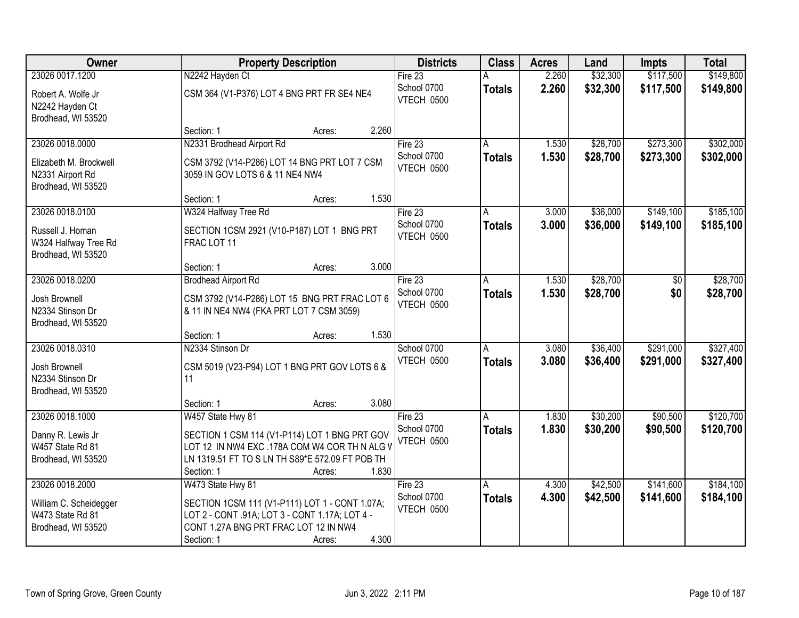| Owner                                                            | <b>Property Description</b>                                                                                                                                                        | <b>Districts</b>          | <b>Class</b>  | <b>Acres</b> | Land     | <b>Impts</b> | <b>Total</b> |
|------------------------------------------------------------------|------------------------------------------------------------------------------------------------------------------------------------------------------------------------------------|---------------------------|---------------|--------------|----------|--------------|--------------|
| 23026 0017.1200                                                  | N2242 Hayden Ct                                                                                                                                                                    | Fire 23                   |               | 2.260        | \$32,300 | \$117,500    | \$149,800    |
| Robert A. Wolfe Jr<br>N2242 Hayden Ct<br>Brodhead, WI 53520      | CSM 364 (V1-P376) LOT 4 BNG PRT FR SE4 NE4                                                                                                                                         | School 0700<br>VTECH 0500 | <b>Totals</b> | 2.260        | \$32,300 | \$117,500    | \$149,800    |
|                                                                  | 2.260<br>Section: 1<br>Acres:                                                                                                                                                      |                           |               |              |          |              |              |
| 23026 0018.0000                                                  | N2331 Brodhead Airport Rd                                                                                                                                                          | Fire $23$                 |               | 1.530        | \$28,700 | \$273,300    | \$302,000    |
| Elizabeth M. Brockwell<br>N2331 Airport Rd<br>Brodhead, WI 53520 | CSM 3792 (V14-P286) LOT 14 BNG PRT LOT 7 CSM<br>3059 IN GOV LOTS 6 & 11 NE4 NW4                                                                                                    | School 0700<br>VTECH 0500 | <b>Totals</b> | 1.530        | \$28,700 | \$273,300    | \$302,000    |
|                                                                  | 1.530<br>Section: 1<br>Acres:                                                                                                                                                      |                           |               |              |          |              |              |
| 23026 0018.0100                                                  | W324 Halfway Tree Rd                                                                                                                                                               | Fire 23                   | A             | 3.000        | \$36,000 | \$149,100    | \$185,100    |
| Russell J. Homan<br>W324 Halfway Tree Rd<br>Brodhead, WI 53520   | SECTION 1CSM 2921 (V10-P187) LOT 1 BNG PRT<br>FRAC LOT 11                                                                                                                          | School 0700<br>VTECH 0500 | <b>Totals</b> | 3.000        | \$36,000 | \$149,100    | \$185,100    |
|                                                                  | 3.000<br>Section: 1<br>Acres:                                                                                                                                                      |                           |               |              |          |              |              |
| 23026 0018.0200                                                  | <b>Brodhead Airport Rd</b>                                                                                                                                                         | Fire $23$                 | A             | 1.530        | \$28,700 | \$0          | \$28,700     |
| Josh Brownell<br>N2334 Stinson Dr<br>Brodhead, WI 53520          | CSM 3792 (V14-P286) LOT 15 BNG PRT FRAC LOT 6<br>& 11 IN NE4 NW4 (FKA PRT LOT 7 CSM 3059)                                                                                          | School 0700<br>VTECH 0500 | <b>Totals</b> | 1.530        | \$28,700 | \$0          | \$28,700     |
|                                                                  | 1.530<br>Section: 1<br>Acres:                                                                                                                                                      |                           |               |              |          |              |              |
| 23026 0018.0310                                                  | N2334 Stinson Dr                                                                                                                                                                   | School 0700               | A             | 3.080        | \$36,400 | \$291,000    | \$327,400    |
| Josh Brownell<br>N2334 Stinson Dr<br>Brodhead, WI 53520          | CSM 5019 (V23-P94) LOT 1 BNG PRT GOV LOTS 6 &<br>11                                                                                                                                | VTECH 0500                | <b>Totals</b> | 3.080        | \$36,400 | \$291,000    | \$327,400    |
|                                                                  | 3.080<br>Section: 1<br>Acres:                                                                                                                                                      |                           |               |              |          |              |              |
| 23026 0018.1000                                                  | W457 State Hwy 81                                                                                                                                                                  | Fire 23                   | A             | 1.830        | \$30,200 | \$90,500     | \$120,700    |
| Danny R. Lewis Jr<br>W457 State Rd 81<br>Brodhead, WI 53520      | SECTION 1 CSM 114 (V1-P114) LOT 1 BNG PRT GOV<br>LOT 12 IN NW4 EXC .178A COM W4 COR TH N ALG V<br>LN 1319.51 FT TO S LN TH S89*E 572.09 FT POB TH<br>1.830<br>Section: 1<br>Acres: | School 0700<br>VTECH 0500 | <b>Totals</b> | 1.830        | \$30,200 | \$90,500     | \$120,700    |
| 23026 0018.2000                                                  | W473 State Hwy 81                                                                                                                                                                  | Fire 23                   | A             | 4.300        | \$42,500 | \$141,600    | \$184,100    |
| William C. Scheidegger<br>W473 State Rd 81<br>Brodhead, WI 53520 | SECTION 1CSM 111 (V1-P111) LOT 1 - CONT 1.07A;<br>LOT 2 - CONT .91A; LOT 3 - CONT 1.17A; LOT 4 -<br>CONT 1.27A BNG PRT FRAC LOT 12 IN NW4<br>4.300<br>Section: 1<br>Acres:         | School 0700<br>VTECH 0500 | <b>Totals</b> | 4.300        | \$42,500 | \$141,600    | \$184,100    |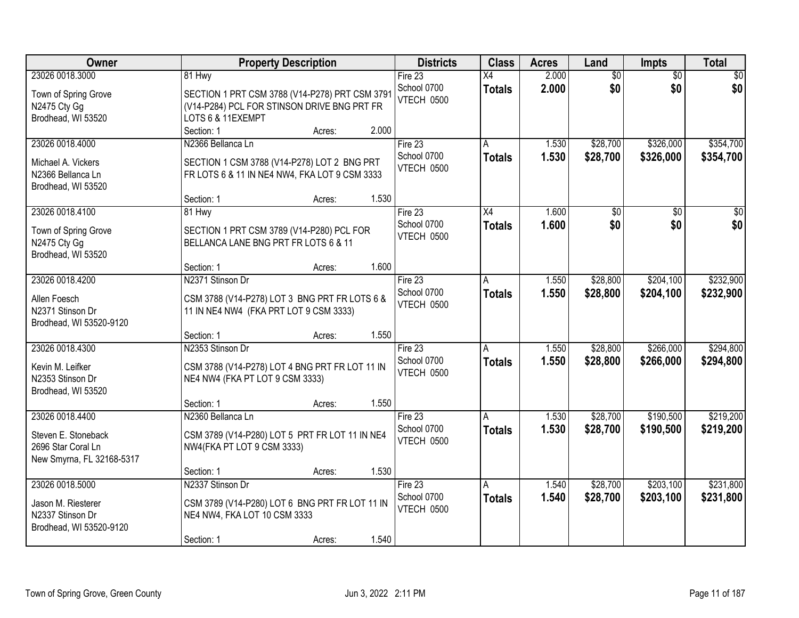| Owner                                                                                     | <b>Property Description</b>                                                                                        |        |       | <b>Districts</b>                     | <b>Class</b>        | <b>Acres</b>   | Land                 | <b>Impts</b>           | <b>Total</b>           |
|-------------------------------------------------------------------------------------------|--------------------------------------------------------------------------------------------------------------------|--------|-------|--------------------------------------|---------------------|----------------|----------------------|------------------------|------------------------|
| 23026 0018.3000                                                                           | 81 Hwy                                                                                                             |        |       | Fire $23$                            | $\overline{X4}$     | 2.000          | $\overline{50}$      | $\overline{50}$        | \$0                    |
| Town of Spring Grove<br>N2475 Cty Gg<br>Brodhead, WI 53520                                | SECTION 1 PRT CSM 3788 (V14-P278) PRT CSM 3791<br>(V14-P284) PCL FOR STINSON DRIVE BNG PRT FR<br>LOTS 6 & 11EXEMPT |        |       | School 0700<br>VTECH 0500            | <b>Totals</b>       | 2.000          | \$0                  | \$0                    | \$0                    |
|                                                                                           | Section: 1                                                                                                         | Acres: | 2.000 |                                      |                     |                |                      |                        |                        |
| 23026 0018.4000<br>Michael A. Vickers<br>N2366 Bellanca Ln<br>Brodhead, WI 53520          | N2366 Bellanca Ln<br>SECTION 1 CSM 3788 (V14-P278) LOT 2 BNG PRT<br>FR LOTS 6 & 11 IN NE4 NW4, FKA LOT 9 CSM 3333  |        |       | Fire 23<br>School 0700<br>VTECH 0500 | A<br><b>Totals</b>  | 1.530<br>1.530 | \$28,700<br>\$28,700 | \$326,000<br>\$326,000 | \$354,700<br>\$354,700 |
|                                                                                           | Section: 1                                                                                                         | Acres: | 1.530 |                                      |                     |                |                      |                        |                        |
| 23026 0018.4100<br>Town of Spring Grove<br>N2475 Cty Gg<br>Brodhead, WI 53520             | 81 Hwy<br>SECTION 1 PRT CSM 3789 (V14-P280) PCL FOR<br>BELLANCA LANE BNG PRT FR LOTS 6 & 11                        |        |       | Fire 23<br>School 0700<br>VTECH 0500 | X4<br><b>Totals</b> | 1.600<br>1.600 | \$0<br>\$0           | \$0<br>\$0             | $\sqrt{50}$<br>\$0     |
|                                                                                           | Section: 1                                                                                                         | Acres: | 1.600 |                                      |                     |                |                      |                        |                        |
| 23026 0018.4200                                                                           | N2371 Stinson Dr                                                                                                   |        |       | Fire $23$<br>School 0700             | Α<br><b>Totals</b>  | 1.550<br>1.550 | \$28,800<br>\$28,800 | \$204,100<br>\$204,100 | \$232,900<br>\$232,900 |
| Allen Foesch<br>N2371 Stinson Dr<br>Brodhead, WI 53520-9120                               | CSM 3788 (V14-P278) LOT 3 BNG PRT FR LOTS 6 &<br>11 IN NE4 NW4 (FKA PRT LOT 9 CSM 3333)                            |        |       | VTECH 0500                           |                     |                |                      |                        |                        |
|                                                                                           | Section: 1                                                                                                         | Acres: | 1.550 |                                      |                     |                |                      |                        |                        |
| 23026 0018.4300<br>Kevin M. Leifker<br>N2353 Stinson Dr<br>Brodhead, WI 53520             | N2353 Stinson Dr<br>CSM 3788 (V14-P278) LOT 4 BNG PRT FR LOT 11 IN<br>NE4 NW4 (FKA PT LOT 9 CSM 3333)              |        |       | Fire 23<br>School 0700<br>VTECH 0500 | A<br><b>Totals</b>  | 1.550<br>1.550 | \$28,800<br>\$28,800 | \$266,000<br>\$266,000 | \$294,800<br>\$294,800 |
|                                                                                           | Section: 1                                                                                                         | Acres: | 1.550 |                                      |                     |                |                      |                        |                        |
| 23026 0018.4400<br>Steven E. Stoneback<br>2696 Star Coral Ln<br>New Smyrna, FL 32168-5317 | N2360 Bellanca Ln<br>CSM 3789 (V14-P280) LOT 5 PRT FR LOT 11 IN NE4<br>NW4(FKA PT LOT 9 CSM 3333)                  |        |       | Fire 23<br>School 0700<br>VTECH 0500 | A<br><b>Totals</b>  | 1.530<br>1.530 | \$28,700<br>\$28,700 | \$190,500<br>\$190,500 | \$219,200<br>\$219,200 |
|                                                                                           | Section: 1                                                                                                         | Acres: | 1.530 |                                      |                     |                |                      |                        |                        |
| 23026 0018.5000<br>Jason M. Riesterer                                                     | N2337 Stinson Dr<br>CSM 3789 (V14-P280) LOT 6 BNG PRT FR LOT 11 IN                                                 |        |       | Fire 23<br>School 0700               | Α<br><b>Totals</b>  | 1.540<br>1.540 | \$28,700<br>\$28,700 | \$203,100<br>\$203,100 | \$231,800<br>\$231,800 |
| N2337 Stinson Dr<br>Brodhead, WI 53520-9120                                               | NE4 NW4, FKA LOT 10 CSM 3333                                                                                       |        |       | VTECH 0500                           |                     |                |                      |                        |                        |
|                                                                                           | Section: 1                                                                                                         | Acres: | 1.540 |                                      |                     |                |                      |                        |                        |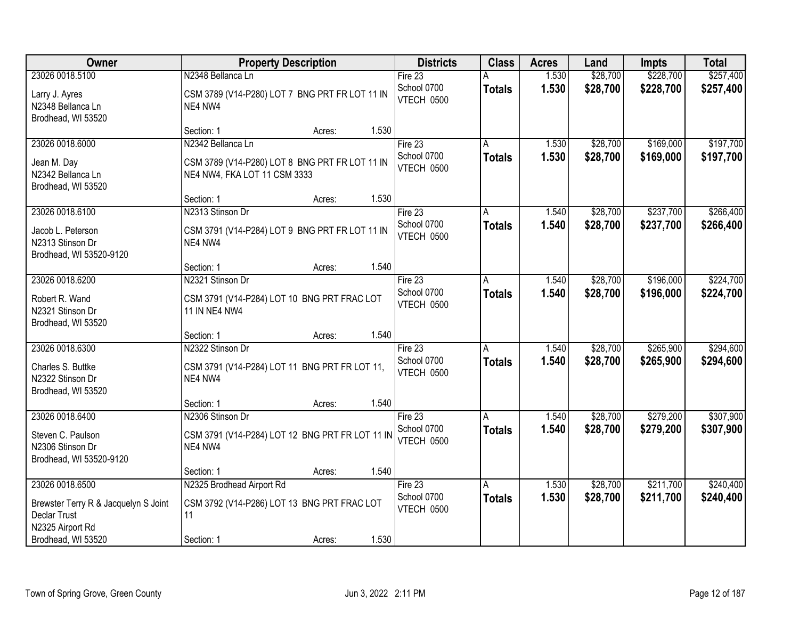| Owner                                                                    | <b>Property Description</b>                                                    |       | <b>Districts</b>          | <b>Class</b>  | <b>Acres</b> | Land     | Impts     | <b>Total</b> |
|--------------------------------------------------------------------------|--------------------------------------------------------------------------------|-------|---------------------------|---------------|--------------|----------|-----------|--------------|
| 23026 0018.5100                                                          | N2348 Bellanca Ln                                                              |       | Fire $23$                 |               | 1.530        | \$28,700 | \$228,700 | \$257,400    |
| Larry J. Ayres<br>N2348 Bellanca Ln<br>Brodhead, WI 53520                | CSM 3789 (V14-P280) LOT 7 BNG PRT FR LOT 11 IN<br>NE4 NW4                      |       | School 0700<br>VTECH 0500 | <b>Totals</b> | 1.530        | \$28,700 | \$228,700 | \$257,400    |
|                                                                          | Section: 1<br>Acres:                                                           | 1.530 |                           |               |              |          |           |              |
| 23026 0018.6000                                                          | N2342 Bellanca Ln                                                              |       | Fire $23$                 |               | 1.530        | \$28,700 | \$169,000 | \$197,700    |
| Jean M. Day<br>N2342 Bellanca Ln<br>Brodhead, WI 53520                   | CSM 3789 (V14-P280) LOT 8 BNG PRT FR LOT 11 IN<br>NE4 NW4, FKA LOT 11 CSM 3333 |       | School 0700<br>VTECH 0500 | <b>Totals</b> | 1.530        | \$28,700 | \$169,000 | \$197,700    |
|                                                                          | Section: 1<br>Acres:                                                           | 1.530 |                           |               |              |          |           |              |
| 23026 0018.6100                                                          | N2313 Stinson Dr                                                               |       | Fire 23                   | A             | 1.540        | \$28,700 | \$237,700 | \$266,400    |
| Jacob L. Peterson<br>N2313 Stinson Dr<br>Brodhead, WI 53520-9120         | CSM 3791 (V14-P284) LOT 9 BNG PRT FR LOT 11 IN<br>NE4 NW4                      |       | School 0700<br>VTECH 0500 | <b>Totals</b> | 1.540        | \$28,700 | \$237,700 | \$266,400    |
|                                                                          | Section: 1<br>Acres:                                                           | 1.540 |                           |               |              |          |           |              |
| 23026 0018.6200                                                          | N2321 Stinson Dr                                                               |       | Fire 23                   | A             | 1.540        | \$28,700 | \$196,000 | \$224,700    |
| Robert R. Wand<br>N2321 Stinson Dr<br>Brodhead, WI 53520                 | CSM 3791 (V14-P284) LOT 10 BNG PRT FRAC LOT<br>11 IN NE4 NW4                   |       | School 0700<br>VTECH 0500 | <b>Totals</b> | 1.540        | \$28,700 | \$196,000 | \$224,700    |
|                                                                          | Section: 1<br>Acres:                                                           | 1.540 |                           |               |              |          |           |              |
| 23026 0018.6300                                                          | N2322 Stinson Dr                                                               |       | Fire $23$                 | A             | 1.540        | \$28,700 | \$265,900 | \$294,600    |
| Charles S. Buttke<br>N2322 Stinson Dr<br>Brodhead, WI 53520              | CSM 3791 (V14-P284) LOT 11 BNG PRT FR LOT 11,<br>NE4 NW4                       |       | School 0700<br>VTECH 0500 | <b>Totals</b> | 1.540        | \$28,700 | \$265,900 | \$294,600    |
|                                                                          | Section: 1<br>Acres:                                                           | 1.540 |                           |               |              |          |           |              |
| 23026 0018.6400                                                          | N2306 Stinson Dr                                                               |       | Fire 23                   | Α             | 1.540        | \$28,700 | \$279,200 | \$307,900    |
| Steven C. Paulson<br>N2306 Stinson Dr<br>Brodhead, WI 53520-9120         | CSM 3791 (V14-P284) LOT 12 BNG PRT FR LOT 11 IN<br>NE4 NW4                     |       | School 0700<br>VTECH 0500 | <b>Totals</b> | 1.540        | \$28,700 | \$279,200 | \$307,900    |
|                                                                          | Section: 1<br>Acres:                                                           | 1.540 |                           |               |              |          |           |              |
| 23026 0018.6500                                                          | N2325 Brodhead Airport Rd                                                      |       | Fire 23                   | A             | 1.530        | \$28,700 | \$211,700 | \$240,400    |
| Brewster Terry R & Jacquelyn S Joint<br>Declar Trust<br>N2325 Airport Rd | CSM 3792 (V14-P286) LOT 13 BNG PRT FRAC LOT<br>11                              |       | School 0700<br>VTECH 0500 | <b>Totals</b> | 1.530        | \$28,700 | \$211,700 | \$240,400    |
| Brodhead, WI 53520                                                       | Section: 1<br>Acres:                                                           | 1.530 |                           |               |              |          |           |              |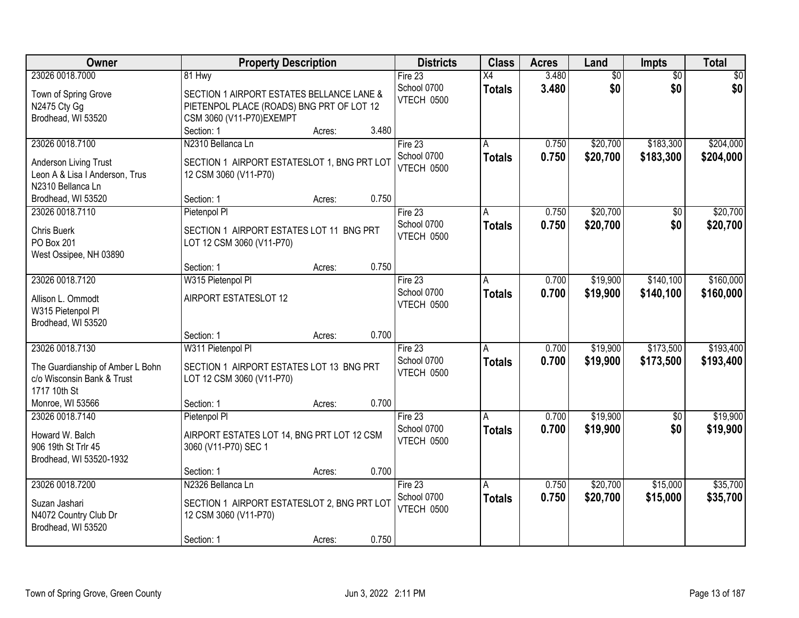| Owner                                                                                             | <b>Property Description</b>                                                                                                | <b>Districts</b>                       | <b>Class</b>                    | <b>Acres</b>   | Land                 | Impts                  | <b>Total</b>           |
|---------------------------------------------------------------------------------------------------|----------------------------------------------------------------------------------------------------------------------------|----------------------------------------|---------------------------------|----------------|----------------------|------------------------|------------------------|
| 23026 0018.7000                                                                                   | 81 Hwy                                                                                                                     | Fire $23$                              | X4                              | 3.480          | $\overline{60}$      | $\overline{50}$        | \$0                    |
| Town of Spring Grove<br>N2475 Cty Gg<br>Brodhead, WI 53520                                        | SECTION 1 AIRPORT ESTATES BELLANCE LANE &<br>PIETENPOL PLACE (ROADS) BNG PRT OF LOT 12<br>CSM 3060 (V11-P70)EXEMPT         | School 0700<br>VTECH 0500              | <b>Totals</b>                   | 3.480          | \$0                  | \$0                    | \$0                    |
|                                                                                                   | 3.480<br>Section: 1<br>Acres:                                                                                              |                                        |                                 |                |                      |                        |                        |
| 23026 0018.7100<br>Anderson Living Trust<br>Leon A & Lisa I Anderson, Trus<br>N2310 Bellanca Ln   | N2310 Bellanca Ln<br>SECTION 1 AIRPORT ESTATESLOT 1, BNG PRT LOT<br>12 CSM 3060 (V11-P70)                                  | Fire $23$<br>School 0700<br>VTECH 0500 | A<br><b>Totals</b>              | 0.750<br>0.750 | \$20,700<br>\$20,700 | \$183,300<br>\$183,300 | \$204,000<br>\$204,000 |
| Brodhead, WI 53520                                                                                | 0.750<br>Section: 1<br>Acres:                                                                                              |                                        |                                 |                |                      |                        |                        |
| 23026 0018.7110<br><b>Chris Buerk</b><br>PO Box 201<br>West Ossipee, NH 03890                     | Pietenpol Pl<br>SECTION 1 AIRPORT ESTATES LOT 11 BNG PRT<br>LOT 12 CSM 3060 (V11-P70)                                      | Fire 23<br>School 0700<br>VTECH 0500   | A<br><b>Totals</b>              | 0.750<br>0.750 | \$20,700<br>\$20,700 | \$0<br>\$0             | \$20,700<br>\$20,700   |
|                                                                                                   | 0.750<br>Section: 1<br>Acres:                                                                                              |                                        |                                 |                |                      |                        |                        |
| 23026 0018.7120                                                                                   | W315 Pietenpol Pl                                                                                                          | Fire 23<br>School 0700                 | A<br><b>Totals</b>              | 0.700<br>0.700 | \$19,900<br>\$19,900 | \$140,100<br>\$140,100 | \$160,000<br>\$160,000 |
| Allison L. Ommodt<br>W315 Pietenpol Pl<br>Brodhead, WI 53520                                      | AIRPORT ESTATESLOT 12                                                                                                      | VTECH 0500                             |                                 |                |                      |                        |                        |
|                                                                                                   | 0.700<br>Section: 1<br>Acres:                                                                                              |                                        |                                 |                |                      |                        |                        |
| 23026 0018.7130<br>The Guardianship of Amber L Bohn<br>c/o Wisconsin Bank & Trust<br>1717 10th St | W311 Pietenpol Pl<br>SECTION 1 AIRPORT ESTATES LOT 13 BNG PRT<br>LOT 12 CSM 3060 (V11-P70)                                 | Fire 23<br>School 0700<br>VTECH 0500   | $\overline{A}$<br><b>Totals</b> | 0.700<br>0.700 | \$19,900<br>\$19,900 | \$173,500<br>\$173,500 | \$193,400<br>\$193,400 |
| Monroe, WI 53566                                                                                  | Section: 1<br>0.700<br>Acres:                                                                                              |                                        |                                 |                |                      |                        |                        |
| 23026 0018.7140<br>Howard W. Balch<br>906 19th St Trlr 45<br>Brodhead, WI 53520-1932              | Pietenpol Pl<br>AIRPORT ESTATES LOT 14, BNG PRT LOT 12 CSM<br>3060 (V11-P70) SEC 1                                         | Fire 23<br>School 0700<br>VTECH 0500   | A<br><b>Totals</b>              | 0.700<br>0.700 | \$19,900<br>\$19,900 | $\overline{50}$<br>\$0 | \$19,900<br>\$19,900   |
|                                                                                                   | 0.700<br>Section: 1<br>Acres:                                                                                              |                                        |                                 |                |                      |                        |                        |
| 23026 0018.7200<br>Suzan Jashari<br>N4072 Country Club Dr<br>Brodhead, WI 53520                   | N2326 Bellanca Ln<br>SECTION 1 AIRPORT ESTATESLOT 2, BNG PRT LOT<br>12 CSM 3060 (V11-P70)<br>0.750<br>Section: 1<br>Acres: | Fire $23$<br>School 0700<br>VTECH 0500 | A<br><b>Totals</b>              | 0.750<br>0.750 | \$20,700<br>\$20,700 | \$15,000<br>\$15,000   | \$35,700<br>\$35,700   |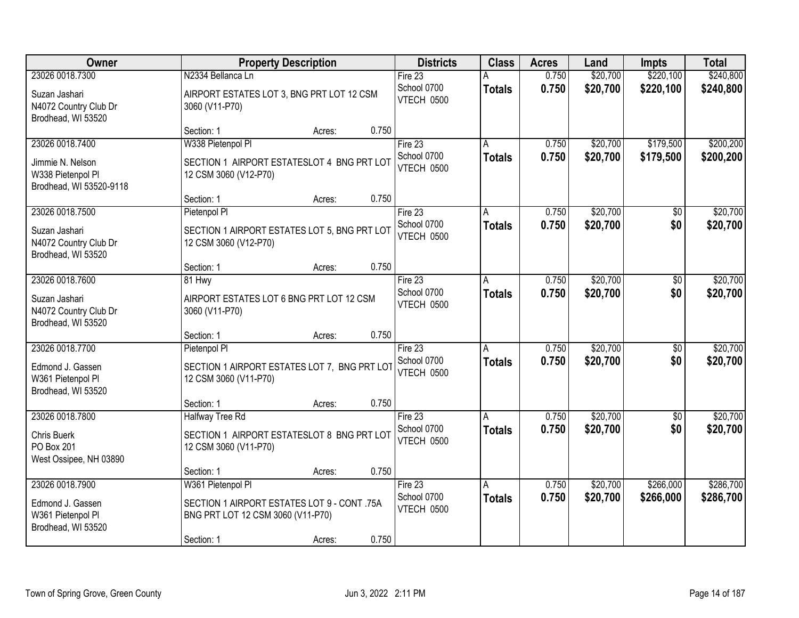| Owner                                                            |                                                                                  | <b>Property Description</b> |                                  |               | <b>Acres</b> | Land     | <b>Impts</b> | <b>Total</b> |
|------------------------------------------------------------------|----------------------------------------------------------------------------------|-----------------------------|----------------------------------|---------------|--------------|----------|--------------|--------------|
| 23026 0018.7300                                                  | N2334 Bellanca Ln                                                                |                             | Fire 23                          |               | 0.750        | \$20,700 | \$220,100    | \$240,800    |
| Suzan Jashari<br>N4072 Country Club Dr<br>Brodhead, WI 53520     | AIRPORT ESTATES LOT 3, BNG PRT LOT 12 CSM<br>3060 (V11-P70)                      |                             | School 0700<br><b>VTECH 0500</b> | <b>Totals</b> | 0.750        | \$20,700 | \$220,100    | \$240,800    |
|                                                                  | Section: 1                                                                       | 0.750<br>Acres:             |                                  |               |              |          |              |              |
| 23026 0018.7400                                                  | W338 Pietenpol Pl                                                                |                             | Fire $23$                        | A             | 0.750        | \$20,700 | \$179,500    | \$200,200    |
| Jimmie N. Nelson<br>W338 Pietenpol Pl<br>Brodhead, WI 53520-9118 | SECTION 1 AIRPORT ESTATESLOT 4 BNG PRT LOT<br>12 CSM 3060 (V12-P70)              |                             | School 0700<br>VTECH 0500        | <b>Totals</b> | 0.750        | \$20,700 | \$179,500    | \$200,200    |
|                                                                  | Section: 1                                                                       | 0.750<br>Acres:             |                                  |               |              |          |              |              |
| 23026 0018.7500                                                  | Pietenpol Pl                                                                     |                             | Fire 23                          | A             | 0.750        | \$20,700 | \$0          | \$20,700     |
| Suzan Jashari<br>N4072 Country Club Dr<br>Brodhead, WI 53520     | SECTION 1 AIRPORT ESTATES LOT 5, BNG PRT LOT<br>12 CSM 3060 (V12-P70)            |                             | School 0700<br><b>VTECH 0500</b> | <b>Totals</b> | 0.750        | \$20,700 | \$0          | \$20,700     |
|                                                                  | Section: 1                                                                       | 0.750<br>Acres:             |                                  |               |              |          |              |              |
| 23026 0018.7600                                                  | 81 Hwy                                                                           |                             | Fire $23$                        | A             | 0.750        | \$20,700 | \$0          | \$20,700     |
| Suzan Jashari<br>N4072 Country Club Dr<br>Brodhead, WI 53520     | AIRPORT ESTATES LOT 6 BNG PRT LOT 12 CSM<br>3060 (V11-P70)                       |                             | School 0700<br>VTECH 0500        | <b>Totals</b> | 0.750        | \$20,700 | \$0          | \$20,700     |
|                                                                  | Section: 1                                                                       | 0.750<br>Acres:             |                                  |               |              |          |              |              |
| 23026 0018.7700                                                  | Pietenpol PI                                                                     |                             | Fire 23                          | A             | 0.750        | \$20,700 | \$0          | \$20,700     |
| Edmond J. Gassen<br>W361 Pietenpol Pl<br>Brodhead, WI 53520      | SECTION 1 AIRPORT ESTATES LOT 7, BNG PRT LOT<br>12 CSM 3060 (V11-P70)            |                             | School 0700<br>VTECH 0500        | <b>Totals</b> | 0.750        | \$20,700 | \$0          | \$20,700     |
|                                                                  | Section: 1                                                                       | 0.750<br>Acres:             |                                  |               |              |          |              |              |
| 23026 0018.7800                                                  | <b>Halfway Tree Rd</b>                                                           |                             | Fire 23                          | A             | 0.750        | \$20,700 | $\sqrt{6}$   | \$20,700     |
| <b>Chris Buerk</b><br>PO Box 201<br>West Ossipee, NH 03890       | SECTION 1 AIRPORT ESTATESLOT 8 BNG PRT LOT<br>12 CSM 3060 (V11-P70)              |                             | School 0700<br>VTECH 0500        | <b>Totals</b> | 0.750        | \$20,700 | \$0          | \$20,700     |
|                                                                  | Section: 1                                                                       | 0.750<br>Acres:             |                                  |               |              |          |              |              |
| 23026 0018.7900                                                  | W361 Pietenpol Pl                                                                |                             | Fire $23$                        | A             | 0.750        | \$20,700 | \$266,000    | \$286,700    |
| Edmond J. Gassen<br>W361 Pietenpol Pl<br>Brodhead, WI 53520      | SECTION 1 AIRPORT ESTATES LOT 9 - CONT .75A<br>BNG PRT LOT 12 CSM 3060 (V11-P70) |                             | School 0700<br>VTECH 0500        | <b>Totals</b> | 0.750        | \$20,700 | \$266,000    | \$286,700    |
|                                                                  | Section: 1                                                                       | 0.750<br>Acres:             |                                  |               |              |          |              |              |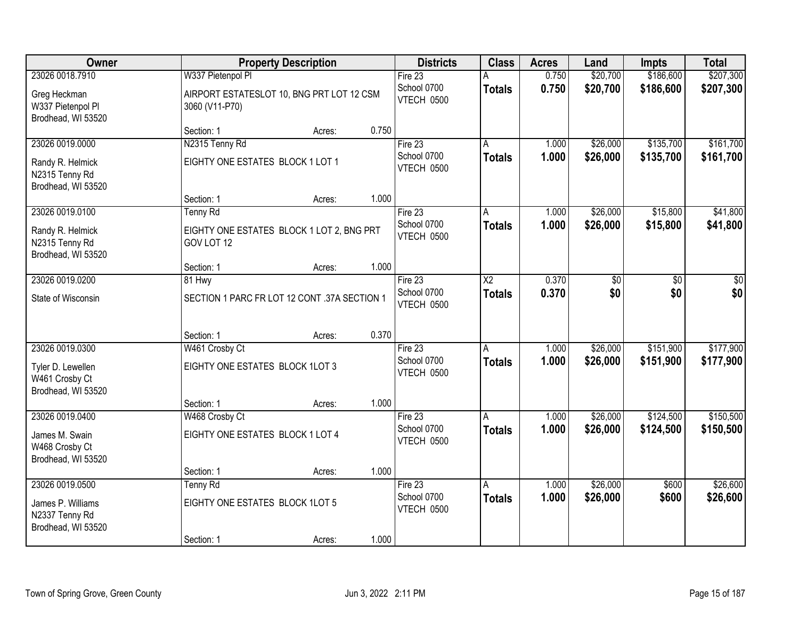| Owner                                                     |                                                             | <b>Property Description</b> |       | <b>Districts</b>          | <b>Class</b>           | <b>Acres</b> | Land            | Impts           | <b>Total</b>    |
|-----------------------------------------------------------|-------------------------------------------------------------|-----------------------------|-------|---------------------------|------------------------|--------------|-----------------|-----------------|-----------------|
| 23026 0018.7910                                           | W337 Pietenpol Pl                                           |                             |       | Fire 23                   |                        | 0.750        | \$20,700        | \$186,600       | \$207,300       |
| Greg Heckman<br>W337 Pietenpol Pl<br>Brodhead, WI 53520   | AIRPORT ESTATESLOT 10, BNG PRT LOT 12 CSM<br>3060 (V11-P70) |                             |       | School 0700<br>VTECH 0500 | <b>Totals</b>          | 0.750        | \$20,700        | \$186,600       | \$207,300       |
|                                                           | Section: 1                                                  | Acres:                      | 0.750 |                           |                        |              |                 |                 |                 |
| 23026 0019.0000                                           | N2315 Tenny Rd                                              |                             |       | Fire 23                   |                        | 1.000        | \$26,000        | \$135,700       | \$161,700       |
| Randy R. Helmick<br>N2315 Tenny Rd<br>Brodhead, WI 53520  | EIGHTY ONE ESTATES BLOCK 1 LOT 1                            |                             |       | School 0700<br>VTECH 0500 | <b>Totals</b>          | 1.000        | \$26,000        | \$135,700       | \$161,700       |
|                                                           | Section: 1                                                  | Acres:                      | 1.000 |                           |                        |              |                 |                 |                 |
| 23026 0019.0100                                           | <b>Tenny Rd</b>                                             |                             |       | Fire 23                   | A                      | 1.000        | \$26,000        | \$15,800        | \$41,800        |
| Randy R. Helmick<br>N2315 Tenny Rd<br>Brodhead, WI 53520  | EIGHTY ONE ESTATES BLOCK 1 LOT 2, BNG PRT<br>GOV LOT 12     |                             |       | School 0700<br>VTECH 0500 | <b>Totals</b>          | 1.000        | \$26,000        | \$15,800        | \$41,800        |
|                                                           | Section: 1                                                  | Acres:                      | 1.000 |                           |                        |              |                 |                 |                 |
| 23026 0019.0200                                           | 81 Hwy                                                      |                             |       | Fire $23$                 | $\overline{\text{X2}}$ | 0.370        | $\overline{50}$ | $\overline{30}$ | $\overline{50}$ |
| State of Wisconsin                                        | SECTION 1 PARC FR LOT 12 CONT .37A SECTION 1                |                             |       | School 0700<br>VTECH 0500 | <b>Totals</b>          | 0.370        | \$0             | \$0             | \$0             |
|                                                           | Section: 1                                                  | Acres:                      | 0.370 |                           |                        |              |                 |                 |                 |
| 23026 0019.0300                                           | W461 Crosby Ct                                              |                             |       | Fire 23                   | A                      | 1.000        | \$26,000        | \$151,900       | \$177,900       |
| Tyler D. Lewellen<br>W461 Crosby Ct                       | EIGHTY ONE ESTATES BLOCK 1LOT 3                             |                             |       | School 0700<br>VTECH 0500 | <b>Totals</b>          | 1.000        | \$26,000        | \$151,900       | \$177,900       |
| Brodhead, WI 53520                                        | Section: 1                                                  | Acres:                      | 1.000 |                           |                        |              |                 |                 |                 |
| 23026 0019.0400                                           | W468 Crosby Ct                                              |                             |       | Fire $23$                 |                        | 1.000        | \$26,000        | \$124,500       | \$150,500       |
| James M. Swain<br>W468 Crosby Ct<br>Brodhead, WI 53520    | EIGHTY ONE ESTATES BLOCK 1 LOT 4                            |                             |       | School 0700<br>VTECH 0500 | <b>Totals</b>          | 1.000        | \$26,000        | \$124,500       | \$150,500       |
|                                                           | Section: 1                                                  | Acres:                      | 1.000 |                           |                        |              |                 |                 |                 |
| 23026 0019.0500                                           | <b>Tenny Rd</b>                                             |                             |       | Fire 23                   | A                      | 1.000        | \$26,000        | \$600           | \$26,600        |
| James P. Williams<br>N2337 Tenny Rd<br>Brodhead, WI 53520 | EIGHTY ONE ESTATES BLOCK 1LOT 5                             |                             |       | School 0700<br>VTECH 0500 | <b>Totals</b>          | 1.000        | \$26,000        | \$600           | \$26,600        |
|                                                           | Section: 1                                                  | Acres:                      | 1.000 |                           |                        |              |                 |                 |                 |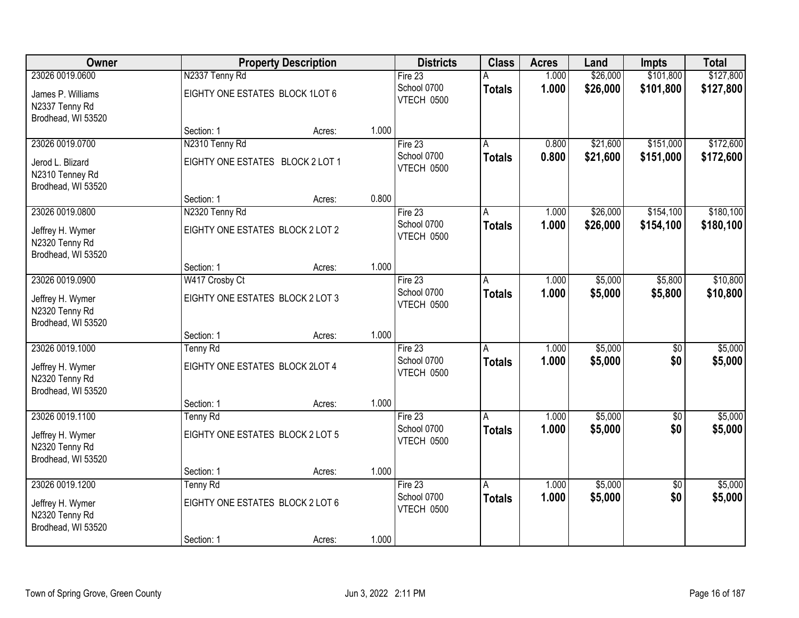| Owner                                                     |                                  | <b>Property Description</b> |       | <b>Districts</b>                 | <b>Class</b>  | <b>Acres</b> | Land     | <b>Impts</b>    | <b>Total</b> |
|-----------------------------------------------------------|----------------------------------|-----------------------------|-------|----------------------------------|---------------|--------------|----------|-----------------|--------------|
| 23026 0019.0600                                           | N2337 Tenny Rd                   |                             |       | Fire 23                          |               | 1.000        | \$26,000 | \$101,800       | \$127,800    |
| James P. Williams<br>N2337 Tenny Rd<br>Brodhead, WI 53520 | EIGHTY ONE ESTATES BLOCK 1LOT 6  |                             |       | School 0700<br>VTECH 0500        | <b>Totals</b> | 1.000        | \$26,000 | \$101,800       | \$127,800    |
|                                                           | Section: 1                       | Acres:                      | 1.000 |                                  |               |              |          |                 |              |
| 23026 0019.0700                                           | N2310 Tenny Rd                   |                             |       | Fire $23$                        |               | 0.800        | \$21,600 | \$151,000       | \$172,600    |
| Jerod L. Blizard<br>N2310 Tenney Rd<br>Brodhead, WI 53520 | EIGHTY ONE ESTATES BLOCK 2 LOT 1 |                             |       | School 0700<br>VTECH 0500        | <b>Totals</b> | 0.800        | \$21,600 | \$151,000       | \$172,600    |
|                                                           | Section: 1                       | Acres:                      | 0.800 |                                  |               |              |          |                 |              |
| 23026 0019.0800                                           | N2320 Tenny Rd                   |                             |       | Fire 23                          | A             | 1.000        | \$26,000 | \$154,100       | \$180,100    |
| Jeffrey H. Wymer<br>N2320 Tenny Rd<br>Brodhead, WI 53520  | EIGHTY ONE ESTATES BLOCK 2 LOT 2 |                             |       | School 0700<br><b>VTECH 0500</b> | <b>Totals</b> | 1.000        | \$26,000 | \$154,100       | \$180,100    |
|                                                           | Section: 1                       | Acres:                      | 1.000 |                                  |               |              |          |                 |              |
| 23026 0019.0900                                           | W417 Crosby Ct                   |                             |       | Fire $23$                        | A             | 1.000        | \$5,000  | \$5,800         | \$10,800     |
| Jeffrey H. Wymer<br>N2320 Tenny Rd<br>Brodhead, WI 53520  | EIGHTY ONE ESTATES BLOCK 2 LOT 3 |                             |       | School 0700<br>VTECH 0500        | <b>Totals</b> | 1.000        | \$5,000  | \$5,800         | \$10,800     |
|                                                           | Section: 1                       | Acres:                      | 1.000 |                                  |               |              |          |                 |              |
| 23026 0019.1000                                           | <b>Tenny Rd</b>                  |                             |       | Fire 23                          | А             | 1.000        | \$5,000  | \$0             | \$5,000      |
| Jeffrey H. Wymer<br>N2320 Tenny Rd<br>Brodhead, WI 53520  | EIGHTY ONE ESTATES BLOCK 2LOT 4  |                             |       | School 0700<br>VTECH 0500        | <b>Totals</b> | 1.000        | \$5,000  | \$0             | \$5,000      |
|                                                           | Section: 1                       | Acres:                      | 1.000 |                                  |               |              |          |                 |              |
| 23026 0019.1100                                           | <b>Tenny Rd</b>                  |                             |       | Fire 23                          | A             | 1.000        | \$5,000  | $\overline{50}$ | \$5,000      |
| Jeffrey H. Wymer<br>N2320 Tenny Rd<br>Brodhead, WI 53520  | EIGHTY ONE ESTATES BLOCK 2 LOT 5 |                             |       | School 0700<br><b>VTECH 0500</b> | <b>Totals</b> | 1.000        | \$5,000  | \$0             | \$5,000      |
|                                                           | Section: 1                       | Acres:                      | 1.000 |                                  |               |              |          |                 |              |
| 23026 0019.1200                                           | <b>Tenny Rd</b>                  |                             |       | Fire $23$                        | A             | 1.000        | \$5,000  | $\overline{50}$ | \$5,000      |
| Jeffrey H. Wymer<br>N2320 Tenny Rd<br>Brodhead, WI 53520  | EIGHTY ONE ESTATES BLOCK 2 LOT 6 |                             |       | School 0700<br>VTECH 0500        | <b>Totals</b> | 1.000        | \$5,000  | \$0             | \$5,000      |
|                                                           | Section: 1                       | Acres:                      | 1.000 |                                  |               |              |          |                 |              |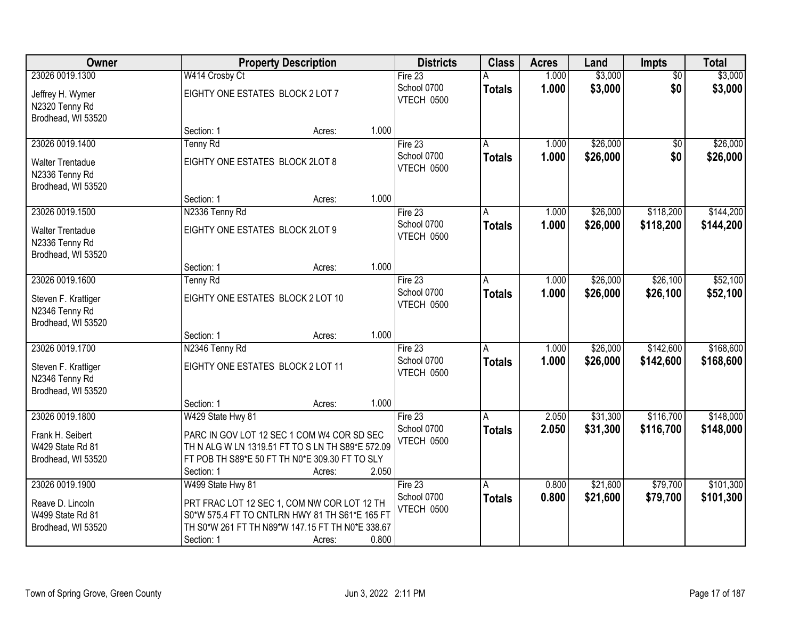| Owner                                                           | <b>Property Description</b>                                                                        |        |       | <b>Districts</b>                 | <b>Class</b>  | <b>Acres</b> | Land     | <b>Impts</b>    | <b>Total</b> |
|-----------------------------------------------------------------|----------------------------------------------------------------------------------------------------|--------|-------|----------------------------------|---------------|--------------|----------|-----------------|--------------|
| 23026 0019.1300                                                 | W414 Crosby Ct                                                                                     |        |       | Fire $23$                        |               | 1.000        | \$3,000  | $\overline{60}$ | \$3,000      |
| Jeffrey H. Wymer<br>N2320 Tenny Rd                              | EIGHTY ONE ESTATES BLOCK 2 LOT 7                                                                   |        |       | School 0700<br>VTECH 0500        | <b>Totals</b> | 1.000        | \$3,000  | \$0             | \$3,000      |
| Brodhead, WI 53520                                              | Section: 1                                                                                         |        | 1.000 |                                  |               |              |          |                 |              |
| 23026 0019.1400                                                 | Tenny Rd                                                                                           | Acres: |       | Fire 23                          | А             | 1.000        | \$26,000 | $\overline{50}$ | \$26,000     |
|                                                                 |                                                                                                    |        |       | School 0700                      |               | 1.000        |          | \$0             |              |
| <b>Walter Trentadue</b><br>N2336 Tenny Rd<br>Brodhead, WI 53520 | EIGHTY ONE ESTATES BLOCK 2LOT 8                                                                    |        |       | VTECH 0500                       | <b>Totals</b> |              | \$26,000 |                 | \$26,000     |
|                                                                 | Section: 1                                                                                         | Acres: | 1.000 |                                  |               |              |          |                 |              |
| 23026 0019.1500                                                 | N2336 Tenny Rd                                                                                     |        |       | Fire 23                          | A             | 1.000        | \$26,000 | \$118,200       | \$144,200    |
| <b>Walter Trentadue</b><br>N2336 Tenny Rd<br>Brodhead, WI 53520 | EIGHTY ONE ESTATES BLOCK 2LOT 9                                                                    |        |       | School 0700<br><b>VTECH 0500</b> | <b>Totals</b> | 1.000        | \$26,000 | \$118,200       | \$144,200    |
|                                                                 | Section: 1                                                                                         | Acres: | 1.000 |                                  |               |              |          |                 |              |
| 23026 0019.1600                                                 | Tenny Rd                                                                                           |        |       | Fire 23                          | A             | 1.000        | \$26,000 | \$26,100        | \$52,100     |
| Steven F. Krattiger<br>N2346 Tenny Rd                           | EIGHTY ONE ESTATES BLOCK 2 LOT 10                                                                  |        |       | School 0700<br>VTECH 0500        | <b>Totals</b> | 1.000        | \$26,000 | \$26,100        | \$52,100     |
| Brodhead, WI 53520                                              |                                                                                                    |        |       |                                  |               |              |          |                 |              |
|                                                                 | Section: 1                                                                                         | Acres: | 1.000 |                                  |               |              |          |                 |              |
| 23026 0019.1700                                                 | N2346 Tenny Rd                                                                                     |        |       | Fire 23                          | A             | 1.000        | \$26,000 | \$142,600       | \$168,600    |
| Steven F. Krattiger<br>N2346 Tenny Rd                           | EIGHTY ONE ESTATES BLOCK 2 LOT 11                                                                  |        |       | School 0700<br>VTECH 0500        | Totals        | 1.000        | \$26,000 | \$142,600       | \$168,600    |
| Brodhead, WI 53520                                              |                                                                                                    |        |       |                                  |               |              |          |                 |              |
|                                                                 | Section: 1                                                                                         | Acres: | 1.000 |                                  |               |              |          |                 |              |
| 23026 0019.1800                                                 | W429 State Hwy 81                                                                                  |        |       | Fire 23                          | A             | 2.050        | \$31,300 | \$116,700       | \$148,000    |
| Frank H. Seibert                                                | PARC IN GOV LOT 12 SEC 1 COM W4 COR SD SEC                                                         |        |       | School 0700                      | <b>Totals</b> | 2.050        | \$31,300 | \$116,700       | \$148,000    |
| W429 State Rd 81                                                | TH N ALG W LN 1319.51 FT TO S LN TH S89*E 572.09                                                   |        |       | VTECH 0500                       |               |              |          |                 |              |
| Brodhead, WI 53520                                              | FT POB TH S89*E 50 FT TH N0*E 309.30 FT TO SLY                                                     |        |       |                                  |               |              |          |                 |              |
|                                                                 | Section: 1                                                                                         | Acres: | 2.050 |                                  |               |              |          |                 |              |
| 23026 0019.1900                                                 | W499 State Hwy 81                                                                                  |        |       | Fire 23                          | A             | 0.800        | \$21,600 | \$79,700        | \$101,300    |
|                                                                 |                                                                                                    |        |       | School 0700                      | <b>Totals</b> | 0.800        | \$21,600 | \$79,700        | \$101,300    |
| Reave D. Lincoln                                                | PRT FRAC LOT 12 SEC 1, COM NW COR LOT 12 TH                                                        |        |       | <b>VTECH 0500</b>                |               |              |          |                 |              |
| W499 State Rd 81<br>Brodhead, WI 53520                          | S0*W 575.4 FT TO CNTLRN HWY 81 TH S61*E 165 FT<br>TH S0*W 261 FT TH N89*W 147.15 FT TH N0*E 338.67 |        |       |                                  |               |              |          |                 |              |
|                                                                 | Section: 1                                                                                         | Acres: | 0.800 |                                  |               |              |          |                 |              |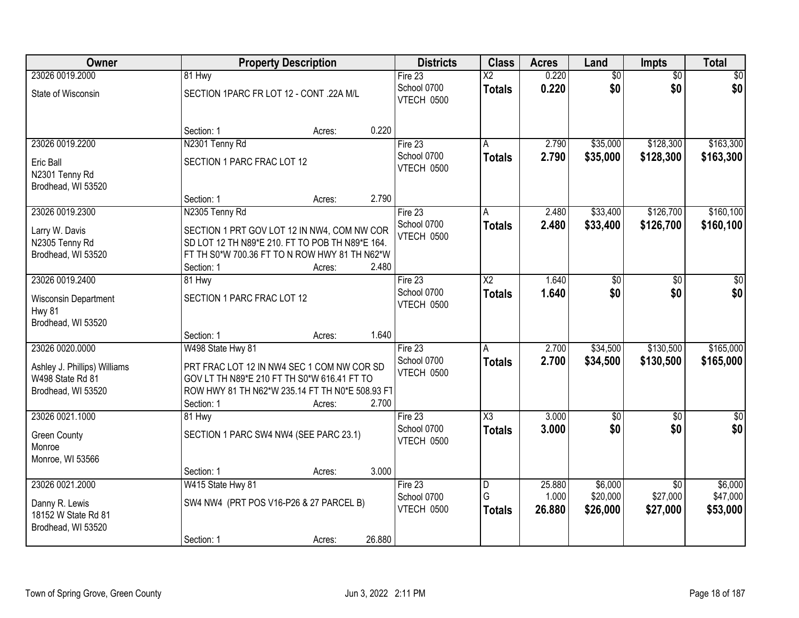| Owner                                                                          |                            | <b>Property Description</b>                                                                                                                               | <b>Districts</b>                          | <b>Class</b>            | <b>Acres</b>              | Land                            | <b>Impts</b>                            | <b>Total</b>                    |
|--------------------------------------------------------------------------------|----------------------------|-----------------------------------------------------------------------------------------------------------------------------------------------------------|-------------------------------------------|-------------------------|---------------------------|---------------------------------|-----------------------------------------|---------------------------------|
| 23026 0019.2000                                                                | 81 Hwy                     |                                                                                                                                                           | Fire 23                                   | $\overline{X2}$         | 0.220                     | $\overline{50}$                 | $\overline{50}$                         | \$0                             |
| State of Wisconsin                                                             |                            | SECTION 1PARC FR LOT 12 - CONT .22A M/L                                                                                                                   | School 0700<br>VTECH 0500                 | <b>Totals</b>           | 0.220                     | \$0                             | \$0                                     | \$0                             |
|                                                                                | Section: 1                 | Acres:                                                                                                                                                    | 0.220                                     |                         |                           |                                 |                                         |                                 |
| 23026 0019.2200                                                                | N2301 Tenny Rd             |                                                                                                                                                           | Fire $23$                                 |                         | 2.790                     | \$35,000                        | \$128,300                               | \$163,300                       |
| Eric Ball<br>N2301 Tenny Rd<br>Brodhead, WI 53520                              | SECTION 1 PARC FRAC LOT 12 |                                                                                                                                                           | School 0700<br>VTECH 0500                 | <b>Totals</b>           | 2.790                     | \$35,000                        | \$128,300                               | \$163,300                       |
|                                                                                | Section: 1                 | Acres:                                                                                                                                                    | 2.790                                     |                         |                           |                                 |                                         |                                 |
| 23026 0019.2300                                                                | N2305 Tenny Rd             |                                                                                                                                                           | Fire 23                                   | A                       | 2.480                     | \$33,400                        | \$126,700                               | \$160, 100                      |
| Larry W. Davis<br>N2305 Tenny Rd<br>Brodhead, WI 53520                         | Section: 1                 | SECTION 1 PRT GOV LOT 12 IN NW4, COM NW COR<br>SD LOT 12 TH N89*E 210. FT TO POB TH N89*E 164.<br>FT TH S0*W 700.36 FT TO N ROW HWY 81 TH N62*W<br>Acres: | School 0700<br><b>VTECH 0500</b><br>2.480 | <b>Totals</b>           | 2.480                     | \$33,400                        | \$126,700                               | \$160, 100                      |
| 23026 0019.2400                                                                | 81 Hwy                     |                                                                                                                                                           | Fire 23                                   | $\overline{\text{X2}}$  | 1.640                     | \$0                             | \$0                                     | \$0                             |
| Wisconsin Department<br><b>Hwy 81</b><br>Brodhead, WI 53520                    | SECTION 1 PARC FRAC LOT 12 |                                                                                                                                                           | School 0700<br>VTECH 0500                 | <b>Totals</b>           | 1.640                     | \$0                             | \$0                                     | \$0                             |
|                                                                                | Section: 1                 | Acres:                                                                                                                                                    | 1.640                                     |                         |                           |                                 |                                         |                                 |
| 23026 0020.0000                                                                | W498 State Hwy 81          |                                                                                                                                                           | Fire 23                                   | A                       | 2.700                     | \$34,500                        | \$130,500                               | \$165,000                       |
| Ashley J. Phillips) Williams<br>W498 State Rd 81<br>Brodhead, WI 53520         | Section: 1                 | PRT FRAC LOT 12 IN NW4 SEC 1 COM NW COR SD<br>GOV LT TH N89*E 210 FT TH S0*W 616.41 FT TO<br>ROW HWY 81 TH N62*W 235.14 FT TH N0*E 508.93 FT<br>Acres:    | School 0700<br>VTECH 0500<br>2.700        | <b>Totals</b>           | 2.700                     | \$34,500                        | \$130,500                               | \$165,000                       |
| 23026 0021.1000                                                                | 81 Hwy                     |                                                                                                                                                           | Fire 23                                   | $\overline{\chi_3}$     | 3.000                     | $\overline{50}$                 | $\overline{50}$                         | \$0                             |
| <b>Green County</b><br>Monroe<br>Monroe, WI 53566                              |                            | SECTION 1 PARC SW4 NW4 (SEE PARC 23.1)                                                                                                                    | School 0700<br>VTECH 0500                 | <b>Totals</b>           | 3.000                     | \$0                             | \$0                                     | \$0                             |
|                                                                                | Section: 1                 | Acres:                                                                                                                                                    | 3.000                                     |                         |                           |                                 |                                         |                                 |
| 23026 0021.2000<br>Danny R. Lewis<br>18152 W State Rd 81<br>Brodhead, WI 53520 | W415 State Hwy 81          | SW4 NW4 (PRT POS V16-P26 & 27 PARCEL B)                                                                                                                   | Fire $23$<br>School 0700<br>VTECH 0500    | D<br>G<br><b>Totals</b> | 25.880<br>1.000<br>26.880 | \$6,000<br>\$20,000<br>\$26,000 | $\overline{30}$<br>\$27,000<br>\$27,000 | \$6,000<br>\$47,000<br>\$53,000 |
|                                                                                | Section: 1                 | Acres:                                                                                                                                                    | 26.880                                    |                         |                           |                                 |                                         |                                 |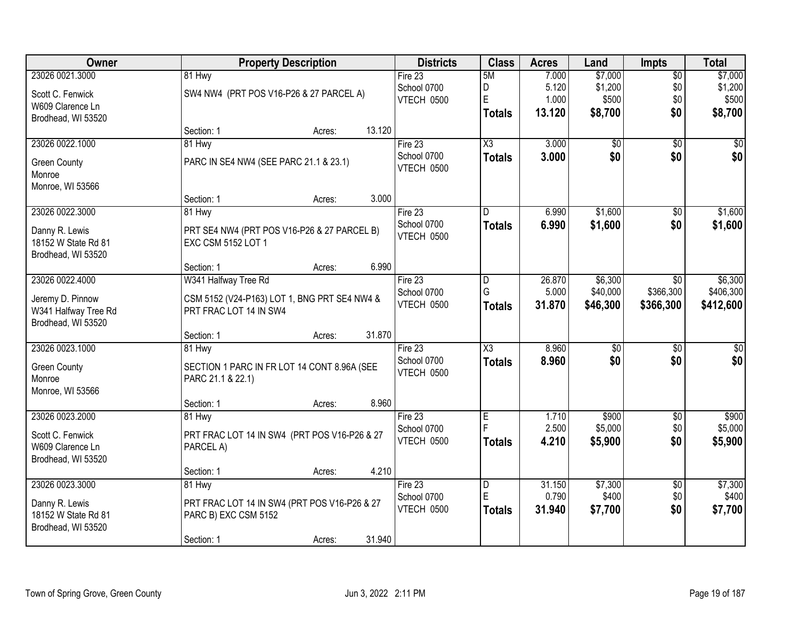| Owner                                      | <b>Property Description</b>                                       |        |             | <b>Districts</b>       | <b>Class</b>  | <b>Acres</b> | Land            | <b>Impts</b>    | <b>Total</b>    |
|--------------------------------------------|-------------------------------------------------------------------|--------|-------------|------------------------|---------------|--------------|-----------------|-----------------|-----------------|
| 23026 0021.3000                            | 81 Hwy                                                            |        | Fire $23$   | 5M                     |               | 7.000        | \$7,000         | \$0             | \$7,000         |
| Scott C. Fenwick                           | SW4 NW4 (PRT POS V16-P26 & 27 PARCEL A)                           |        | School 0700 | D                      |               | 5.120        | \$1,200         | \$0             | \$1,200         |
| W609 Clarence Ln                           |                                                                   |        | VTECH 0500  | E                      |               | 1.000        | \$500           | \$0             | \$500           |
| Brodhead, WI 53520                         |                                                                   |        |             |                        | Totals        | 13.120       | \$8,700         | \$0             | \$8,700         |
|                                            | Section: 1                                                        | Acres: | 13.120      |                        |               |              |                 |                 |                 |
| 23026 0022.1000                            | 81 Hwy                                                            |        | Fire 23     | $\overline{\text{X3}}$ |               | 3.000        | \$0             | $\overline{50}$ | \$0             |
| <b>Green County</b>                        | PARC IN SE4 NW4 (SEE PARC 21.1 & 23.1)                            |        | School 0700 |                        | <b>Totals</b> | 3.000        | \$0             | \$0             | \$0             |
| Monroe                                     |                                                                   |        | VTECH 0500  |                        |               |              |                 |                 |                 |
| Monroe, WI 53566                           |                                                                   |        |             |                        |               |              |                 |                 |                 |
|                                            | Section: 1                                                        | Acres: | 3.000       |                        |               |              |                 |                 |                 |
| 23026 0022.3000                            | 81 Hwy                                                            |        | Fire 23     | D                      |               | 6.990        | \$1,600         | $\sqrt[6]{3}$   | \$1,600         |
|                                            |                                                                   |        | School 0700 |                        | <b>Totals</b> | 6.990        | \$1,600         | \$0             | \$1,600         |
| Danny R. Lewis<br>18152 W State Rd 81      | PRT SE4 NW4 (PRT POS V16-P26 & 27 PARCEL B)<br>EXC CSM 5152 LOT 1 |        | VTECH 0500  |                        |               |              |                 |                 |                 |
| Brodhead, WI 53520                         |                                                                   |        |             |                        |               |              |                 |                 |                 |
|                                            | Section: 1                                                        | Acres: | 6.990       |                        |               |              |                 |                 |                 |
| 23026 0022.4000                            | W341 Halfway Tree Rd                                              |        | Fire 23     | D                      |               | 26.870       | \$6,300         | $\sqrt{6}$      | \$6,300         |
|                                            |                                                                   |        | School 0700 | G                      |               | 5.000        | \$40,000        | \$366,300       | \$406,300       |
| Jeremy D. Pinnow                           | CSM 5152 (V24-P163) LOT 1, BNG PRT SE4 NW4 &                      |        | VTECH 0500  |                        | <b>Totals</b> | 31.870       | \$46,300        | \$366,300       | \$412,600       |
| W341 Halfway Tree Rd<br>Brodhead, WI 53520 | PRT FRAC LOT 14 IN SW4                                            |        |             |                        |               |              |                 |                 |                 |
|                                            | Section: 1                                                        | Acres: | 31.870      |                        |               |              |                 |                 |                 |
| 23026 0023.1000                            | 81 Hwy                                                            |        | Fire 23     | $\overline{\chi_3}$    |               | 8.960        | $\overline{50}$ | \$0             | $\overline{50}$ |
|                                            |                                                                   |        | School 0700 |                        | <b>Totals</b> | 8.960        | \$0             | \$0             | \$0             |
| <b>Green County</b>                        | SECTION 1 PARC IN FR LOT 14 CONT 8.96A (SEE                       |        | VTECH 0500  |                        |               |              |                 |                 |                 |
| Monroe                                     | PARC 21.1 & 22.1)                                                 |        |             |                        |               |              |                 |                 |                 |
| Monroe, WI 53566                           |                                                                   |        |             |                        |               |              |                 |                 |                 |
|                                            | Section: 1                                                        | Acres: | 8.960       |                        |               |              |                 |                 |                 |
| 23026 0023.2000                            | 81 Hwy                                                            |        | Fire 23     | E                      |               | 1.710        | \$900           | \$0             | \$900           |
| Scott C. Fenwick                           | PRT FRAC LOT 14 IN SW4 (PRT POS V16-P26 & 27                      |        | School 0700 | F                      |               | 2.500        | \$5,000         | \$0             | \$5,000         |
| W609 Clarence Ln                           | PARCEL A)                                                         |        | VTECH 0500  |                        | <b>Totals</b> | 4.210        | \$5,900         | \$0             | \$5,900         |
| Brodhead, WI 53520                         |                                                                   |        |             |                        |               |              |                 |                 |                 |
|                                            | Section: 1                                                        | Acres: | 4.210       |                        |               |              |                 |                 |                 |
| 23026 0023.3000                            | 81 Hwy                                                            |        | Fire 23     | D                      |               | 31.150       | \$7,300         | $\overline{60}$ | \$7,300         |
| Danny R. Lewis                             | PRT FRAC LOT 14 IN SW4 (PRT POS V16-P26 & 27                      |        | School 0700 | E                      |               | 0.790        | \$400           | \$0             | \$400           |
| 18152 W State Rd 81                        | PARC B) EXC CSM 5152                                              |        | VTECH 0500  |                        | Totals        | 31.940       | \$7,700         | \$0             | \$7,700         |
| Brodhead, WI 53520                         |                                                                   |        |             |                        |               |              |                 |                 |                 |
|                                            | Section: 1                                                        | Acres: | 31.940      |                        |               |              |                 |                 |                 |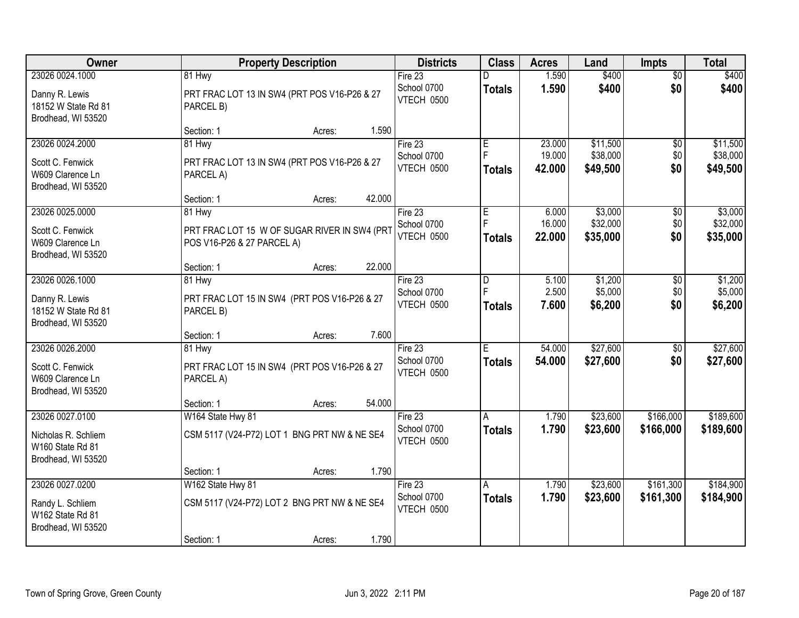| Owner                                                         | <b>Property Description</b>                                                | <b>Districts</b>          | <b>Class</b>  | <b>Acres</b>     | Land                 | <b>Impts</b>    | <b>Total</b>         |
|---------------------------------------------------------------|----------------------------------------------------------------------------|---------------------------|---------------|------------------|----------------------|-----------------|----------------------|
| 23026 0024.1000                                               | 81 Hwy                                                                     | Fire 23                   | D             | 1.590            | \$400                | $\overline{50}$ | \$400                |
| Danny R. Lewis<br>18152 W State Rd 81<br>Brodhead, WI 53520   | PRT FRAC LOT 13 IN SW4 (PRT POS V16-P26 & 27<br>PARCEL B)                  | School 0700<br>VTECH 0500 | <b>Totals</b> | 1.590            | \$400                | \$0             | \$400                |
|                                                               | 1.590<br>Section: 1<br>Acres:                                              |                           |               |                  |                      |                 |                      |
| 23026 0024.2000                                               | 81 Hwy                                                                     | Fire $23$                 | Ε             | 23.000           | \$11,500             | $\overline{50}$ | \$11,500             |
| Scott C. Fenwick                                              | PRT FRAC LOT 13 IN SW4 (PRT POS V16-P26 & 27                               | School 0700               | F             | 19.000           | \$38,000             | \$0             | \$38,000             |
| W609 Clarence Ln<br>Brodhead, WI 53520                        | PARCEL A)                                                                  | VTECH 0500                | <b>Totals</b> | 42.000           | \$49,500             | \$0             | \$49,500             |
|                                                               | 42.000<br>Section: 1<br>Acres:                                             |                           |               |                  |                      |                 |                      |
| 23026 0025.0000                                               | 81 Hwy                                                                     | Fire 23                   | E             | 6.000            | \$3,000              | $\sqrt[6]{30}$  | \$3,000              |
| Scott C. Fenwick<br>W609 Clarence Ln<br>Brodhead, WI 53520    | PRT FRAC LOT 15 W OF SUGAR RIVER IN SW4 (PRT<br>POS V16-P26 & 27 PARCEL A) | School 0700<br>VTECH 0500 | <b>Totals</b> | 16.000<br>22.000 | \$32,000<br>\$35,000 | \$0<br>\$0      | \$32,000<br>\$35,000 |
|                                                               | 22.000<br>Section: 1<br>Acres:                                             |                           |               |                  |                      |                 |                      |
| 23026 0026.1000                                               | 81 Hwy                                                                     | Fire 23                   | D             | 5.100            | \$1,200              | \$0             | \$1,200              |
| Danny R. Lewis<br>18152 W State Rd 81<br>Brodhead, WI 53520   | PRT FRAC LOT 15 IN SW4 (PRT POS V16-P26 & 27<br>PARCEL B)                  | School 0700<br>VTECH 0500 | <b>Totals</b> | 2.500<br>7.600   | \$5,000<br>\$6,200   | \$0<br>\$0      | \$5,000<br>\$6,200   |
|                                                               | 7.600<br>Section: 1<br>Acres:                                              |                           |               |                  |                      |                 |                      |
| 23026 0026.2000                                               | 81 Hwy                                                                     | Fire 23                   | Ε             | 54.000           | \$27,600             | \$0             | \$27,600             |
| Scott C. Fenwick<br>W609 Clarence Ln<br>Brodhead, WI 53520    | PRT FRAC LOT 15 IN SW4 (PRT POS V16-P26 & 27<br>PARCEL A)                  | School 0700<br>VTECH 0500 | <b>Totals</b> | 54.000           | \$27,600             | \$0             | \$27,600             |
|                                                               | 54.000<br>Section: 1<br>Acres:                                             |                           |               |                  |                      |                 |                      |
| 23026 0027.0100                                               | W164 State Hwy 81                                                          | Fire 23                   | A             | 1.790            | \$23,600             | \$166,000       | \$189,600            |
| Nicholas R. Schliem<br>W160 State Rd 81<br>Brodhead, WI 53520 | CSM 5117 (V24-P72) LOT 1 BNG PRT NW & NE SE4                               | School 0700<br>VTECH 0500 | <b>Totals</b> | 1.790            | \$23,600             | \$166,000       | \$189,600            |
|                                                               | 1.790<br>Section: 1<br>Acres:                                              |                           |               |                  |                      |                 |                      |
| 23026 0027.0200                                               | W162 State Hwy 81                                                          | Fire $23$                 | A             | 1.790            | \$23,600             | \$161,300       | \$184,900            |
| Randy L. Schliem<br>W162 State Rd 81<br>Brodhead, WI 53520    | CSM 5117 (V24-P72) LOT 2 BNG PRT NW & NE SE4                               | School 0700<br>VTECH 0500 | <b>Totals</b> | 1.790            | \$23,600             | \$161,300       | \$184,900            |
|                                                               | 1.790<br>Section: 1<br>Acres:                                              |                           |               |                  |                      |                 |                      |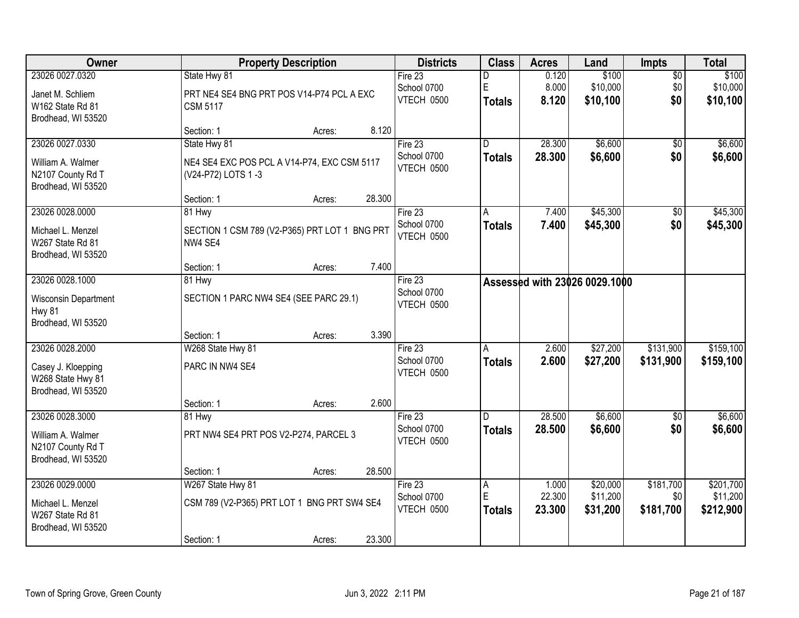| Owner                                                        |                    | <b>Property Description</b>                   |        |                           | <b>Class</b>       | <b>Acres</b>   | Land                          | <b>Impts</b> | <b>Total</b>         |
|--------------------------------------------------------------|--------------------|-----------------------------------------------|--------|---------------------------|--------------------|----------------|-------------------------------|--------------|----------------------|
| 23026 0027.0320                                              | State Hwy 81       |                                               |        | Fire 23                   | D                  | 0.120          | \$100                         | \$0          | \$100                |
| Janet M. Schliem<br>W162 State Rd 81                         | <b>CSM 5117</b>    | PRT NE4 SE4 BNG PRT POS V14-P74 PCL A EXC     |        | School 0700<br>VTECH 0500 | E<br><b>Totals</b> | 8.000<br>8.120 | \$10,000<br>\$10,100          | \$0<br>\$0   | \$10,000<br>\$10,100 |
| Brodhead, WI 53520                                           |                    |                                               |        |                           |                    |                |                               |              |                      |
|                                                              | Section: 1         | Acres:                                        | 8.120  |                           |                    |                |                               |              |                      |
| 23026 0027.0330                                              | State Hwy 81       |                                               |        | Fire 23                   | D                  | 28.300         | \$6,600                       | $\sqrt{6}$   | \$6,600              |
| William A. Walmer<br>N2107 County Rd T<br>Brodhead, WI 53520 | (V24-P72) LOTS 1-3 | NE4 SE4 EXC POS PCL A V14-P74, EXC CSM 5117   |        | School 0700<br>VTECH 0500 | <b>Totals</b>      | 28.300         | \$6,600                       | \$0          | \$6,600              |
|                                                              | Section: 1         | Acres:                                        | 28.300 |                           |                    |                |                               |              |                      |
| 23026 0028.0000                                              | 81 Hwy             |                                               |        | Fire 23                   | A                  | 7.400          | \$45,300                      | \$0          | \$45,300             |
| Michael L. Menzel<br>W267 State Rd 81<br>Brodhead, WI 53520  | NW4 SE4            | SECTION 1 CSM 789 (V2-P365) PRT LOT 1 BNG PRT |        | School 0700<br>VTECH 0500 | <b>Totals</b>      | 7.400          | \$45,300                      | \$0          | \$45,300             |
|                                                              | Section: 1         | Acres:                                        | 7.400  |                           |                    |                |                               |              |                      |
| 23026 0028.1000                                              | 81 Hwy             |                                               |        | Fire 23                   |                    |                | Assessed with 23026 0029.1000 |              |                      |
| Wisconsin Department<br><b>Hwy 81</b><br>Brodhead, WI 53520  |                    | SECTION 1 PARC NW4 SE4 (SEE PARC 29.1)        |        | School 0700<br>VTECH 0500 |                    |                |                               |              |                      |
|                                                              | Section: 1         | Acres:                                        | 3.390  |                           |                    |                |                               |              |                      |
| 23026 0028.2000                                              | W268 State Hwy 81  |                                               |        | Fire 23                   | A                  | 2.600          | \$27,200                      | \$131,900    | \$159,100            |
| Casey J. Kloepping<br>W268 State Hwy 81                      | PARC IN NW4 SE4    |                                               |        | School 0700<br>VTECH 0500 | <b>Totals</b>      | 2.600          | \$27,200                      | \$131,900    | \$159,100            |
| Brodhead, WI 53520                                           | Section: 1         | Acres:                                        | 2.600  |                           |                    |                |                               |              |                      |
| 23026 0028.3000                                              | 81 Hwy             |                                               |        | Fire 23                   | D.                 | 28.500         | \$6,600                       | \$0          | \$6,600              |
| William A. Walmer<br>N2107 County Rd T<br>Brodhead, WI 53520 |                    | PRT NW4 SE4 PRT POS V2-P274, PARCEL 3         |        | School 0700<br>VTECH 0500 | <b>Totals</b>      | 28.500         | \$6,600                       | \$0          | \$6,600              |
|                                                              | Section: 1         | Acres:                                        | 28.500 |                           |                    |                |                               |              |                      |
| 23026 0029,0000                                              | W267 State Hwy 81  |                                               |        | Fire 23                   | A                  | 1.000          | \$20,000                      | \$181,700    | \$201,700            |
| Michael L. Menzel                                            |                    | CSM 789 (V2-P365) PRT LOT 1 BNG PRT SW4 SE4   |        | School 0700               | E                  | 22.300         | \$11,200                      | \$0          | \$11,200             |
| W267 State Rd 81<br>Brodhead, WI 53520                       |                    |                                               |        | VTECH 0500                | Totals             | 23.300         | \$31,200                      | \$181,700    | \$212,900            |
|                                                              | Section: 1         | Acres:                                        | 23.300 |                           |                    |                |                               |              |                      |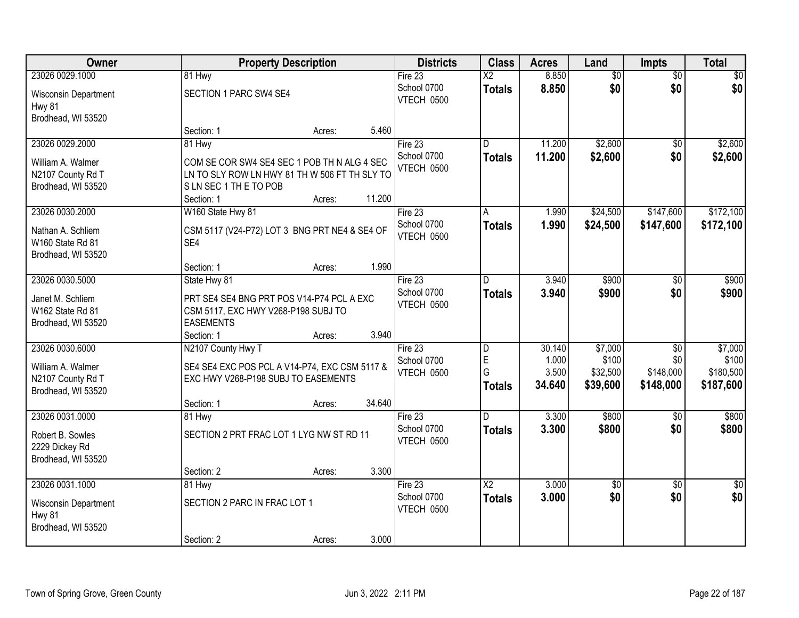| Owner                                  |                                                                                      | <b>Property Description</b> |        |                           | <b>Class</b>           | <b>Acres</b> | Land            | Impts           | <b>Total</b>    |
|----------------------------------------|--------------------------------------------------------------------------------------|-----------------------------|--------|---------------------------|------------------------|--------------|-----------------|-----------------|-----------------|
| 23026 0029.1000                        | 81 Hwy                                                                               |                             |        | Fire $23$                 | $\overline{\text{X2}}$ | 8.850        | $\overline{60}$ | $\overline{50}$ | \$0             |
| Wisconsin Department<br>Hwy 81         | SECTION 1 PARC SW4 SE4                                                               |                             |        | School 0700<br>VTECH 0500 | <b>Totals</b>          | 8.850        | \$0             | \$0             | \$0             |
| Brodhead, WI 53520                     |                                                                                      |                             |        |                           |                        |              |                 |                 |                 |
|                                        | Section: 1                                                                           | Acres:                      | 5.460  |                           |                        |              |                 |                 |                 |
| 23026 0029.2000                        | 81 Hwy                                                                               |                             |        | Fire $23$                 | D.                     | 11.200       | \$2,600         | $\overline{50}$ | \$2,600         |
| William A. Walmer                      | COM SE COR SW4 SE4 SEC 1 POB TH N ALG 4 SEC                                          |                             |        | School 0700               | <b>Totals</b>          | 11.200       | \$2,600         | \$0             | \$2,600         |
| N2107 County Rd T                      | LN TO SLY ROW LN HWY 81 TH W 506 FT TH SLY TO                                        |                             |        | <b>VTECH 0500</b>         |                        |              |                 |                 |                 |
| Brodhead, WI 53520                     | SLN SEC 1 THE TO POB                                                                 |                             |        |                           |                        |              |                 |                 |                 |
|                                        | Section: 1                                                                           | Acres:                      | 11.200 |                           |                        |              |                 |                 |                 |
| 23026 0030.2000                        | W160 State Hwy 81                                                                    |                             |        | Fire 23                   | A                      | 1.990        | \$24,500        | \$147,600       | \$172,100       |
| Nathan A. Schliem                      | CSM 5117 (V24-P72) LOT 3 BNG PRT NE4 & SE4 OF                                        |                             |        | School 0700               | <b>Totals</b>          | 1.990        | \$24,500        | \$147,600       | \$172,100       |
| W160 State Rd 81                       | SE4                                                                                  |                             |        | VTECH 0500                |                        |              |                 |                 |                 |
| Brodhead, WI 53520                     |                                                                                      |                             |        |                           |                        |              |                 |                 |                 |
|                                        | Section: 1                                                                           | Acres:                      | 1.990  |                           |                        |              |                 |                 |                 |
| 23026 0030.5000                        | State Hwy 81                                                                         |                             |        | Fire $23$                 | D                      | 3.940        | \$900           | \$0             | \$900           |
| Janet M. Schliem                       | PRT SE4 SE4 BNG PRT POS V14-P74 PCL A EXC                                            |                             |        | School 0700               | <b>Totals</b>          | 3.940        | \$900           | \$0             | \$900           |
| W162 State Rd 81                       | CSM 5117, EXC HWY V268-P198 SUBJ TO                                                  |                             |        | VTECH 0500                |                        |              |                 |                 |                 |
| Brodhead, WI 53520                     | <b>EASEMENTS</b>                                                                     |                             |        |                           |                        |              |                 |                 |                 |
|                                        | Section: 1                                                                           | Acres:                      | 3.940  |                           |                        |              |                 |                 |                 |
| 23026 0030.6000                        | N2107 County Hwy T                                                                   |                             |        | Fire 23                   | D                      | 30.140       | \$7,000         | $\overline{60}$ | \$7,000         |
|                                        |                                                                                      |                             |        | School 0700               | E                      | 1.000        | \$100           | \$0             | \$100           |
| William A. Walmer<br>N2107 County Rd T | SE4 SE4 EXC POS PCL A V14-P74, EXC CSM 5117 &<br>EXC HWY V268-P198 SUBJ TO EASEMENTS |                             |        | VTECH 0500                | G                      | 3.500        | \$32,500        | \$148,000       | \$180,500       |
| Brodhead, WI 53520                     |                                                                                      |                             |        |                           | <b>Totals</b>          | 34.640       | \$39,600        | \$148,000       | \$187,600       |
|                                        | Section: 1                                                                           | Acres:                      | 34.640 |                           |                        |              |                 |                 |                 |
| 23026 0031.0000                        | 81 Hwy                                                                               |                             |        | Fire 23                   | D.                     | 3.300        | \$800           | $\sqrt{6}$      | \$800           |
| Robert B. Sowles                       | SECTION 2 PRT FRAC LOT 1 LYG NW ST RD 11                                             |                             |        | School 0700               | <b>Totals</b>          | 3.300        | \$800           | \$0             | \$800           |
| 2229 Dickey Rd                         |                                                                                      |                             |        | VTECH 0500                |                        |              |                 |                 |                 |
| Brodhead, WI 53520                     |                                                                                      |                             |        |                           |                        |              |                 |                 |                 |
|                                        | Section: 2                                                                           | Acres:                      | 3.300  |                           |                        |              |                 |                 |                 |
| 23026 0031.1000                        | 81 Hwy                                                                               |                             |        | Fire 23                   | $\overline{\text{X2}}$ | 3.000        | $\sqrt{$0}$     | $\overline{50}$ | $\overline{50}$ |
|                                        | SECTION 2 PARC IN FRAC LOT 1                                                         |                             |        | School 0700               | <b>Totals</b>          | 3.000        | \$0             | \$0             | \$0             |
| Wisconsin Department<br>Hwy 81         |                                                                                      |                             |        | VTECH 0500                |                        |              |                 |                 |                 |
| Brodhead, WI 53520                     |                                                                                      |                             |        |                           |                        |              |                 |                 |                 |
|                                        | Section: 2                                                                           | Acres:                      | 3.000  |                           |                        |              |                 |                 |                 |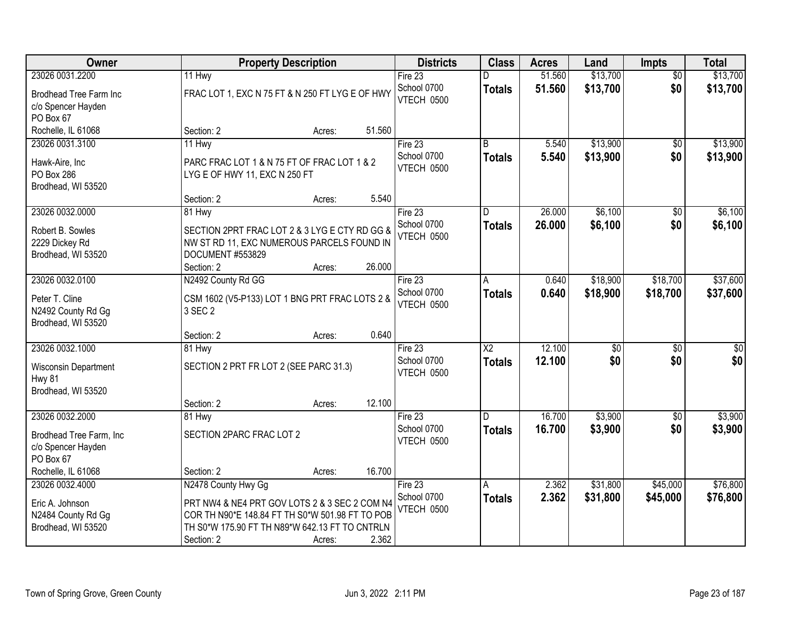| Owner                                                       |                                                                                                                                                    | <b>Property Description</b> |        | <b>Districts</b>                 | <b>Class</b>                            | <b>Acres</b>     | Land                 | <b>Impts</b>    | <b>Total</b>         |
|-------------------------------------------------------------|----------------------------------------------------------------------------------------------------------------------------------------------------|-----------------------------|--------|----------------------------------|-----------------------------------------|------------------|----------------------|-----------------|----------------------|
| 23026 0031.2200                                             | 11 Hwy                                                                                                                                             |                             |        | Fire $23$                        | D                                       | 51.560           | \$13,700             | $\overline{50}$ | \$13,700             |
| Brodhead Tree Farm Inc<br>c/o Spencer Hayden<br>PO Box 67   | FRAC LOT 1, EXC N 75 FT & N 250 FT LYG E OF HWY                                                                                                    |                             |        | School 0700<br>VTECH 0500        | <b>Totals</b>                           | 51.560           | \$13,700             | \$0             | \$13,700             |
| Rochelle, IL 61068                                          | Section: 2                                                                                                                                         | Acres:                      | 51.560 |                                  |                                         |                  |                      |                 |                      |
| 23026 0031.3100<br>Hawk-Aire, Inc                           | 11 Hwy<br>PARC FRAC LOT 1 & N 75 FT OF FRAC LOT 1 & 2                                                                                              |                             |        | Fire 23<br>School 0700           | B<br><b>Totals</b>                      | 5.540<br>5.540   | \$13,900<br>\$13,900 | \$0<br>\$0      | \$13,900<br>\$13,900 |
| PO Box 286<br>Brodhead, WI 53520                            | LYG E OF HWY 11, EXC N 250 FT                                                                                                                      |                             | 5.540  | VTECH 0500                       |                                         |                  |                      |                 |                      |
| 23026 0032.0000                                             | Section: 2<br>81 Hwy                                                                                                                               | Acres:                      |        | Fire 23                          | D                                       | 26.000           | \$6,100              | \$0             | \$6,100              |
| Robert B. Sowles<br>2229 Dickey Rd<br>Brodhead, WI 53520    | SECTION 2PRT FRAC LOT 2 & 3 LYG E CTY RD GG &<br>NW ST RD 11, EXC NUMEROUS PARCELS FOUND IN<br>DOCUMENT #553829<br>Section: 2                      | Acres:                      | 26.000 | School 0700<br><b>VTECH 0500</b> | <b>Totals</b>                           | 26.000           | \$6,100              | \$0             | \$6,100              |
| 23026 0032.0100                                             | N2492 County Rd GG                                                                                                                                 |                             |        | Fire 23                          | A                                       | 0.640            | \$18,900             | \$18,700        | \$37,600             |
| Peter T. Cline<br>N2492 County Rd Gg<br>Brodhead, WI 53520  | CSM 1602 (V5-P133) LOT 1 BNG PRT FRAC LOTS 2 &<br>3 SEC 2                                                                                          |                             |        | School 0700<br>VTECH 0500        | <b>Totals</b>                           | 0.640            | \$18,900             | \$18,700        | \$37,600             |
|                                                             | Section: 2                                                                                                                                         | Acres:                      | 0.640  |                                  |                                         |                  |                      |                 |                      |
| 23026 0032.1000                                             | 81 Hwy                                                                                                                                             |                             |        | Fire 23<br>School 0700           | $\overline{\text{X2}}$<br><b>Totals</b> | 12.100<br>12.100 | \$0<br>\$0           | \$0<br>\$0      | $\sqrt{50}$<br>\$0   |
| Wisconsin Department<br><b>Hwy 81</b><br>Brodhead, WI 53520 | SECTION 2 PRT FR LOT 2 (SEE PARC 31.3)                                                                                                             |                             |        | VTECH 0500                       |                                         |                  |                      |                 |                      |
|                                                             | Section: 2                                                                                                                                         | Acres:                      | 12.100 |                                  |                                         |                  |                      |                 |                      |
| 23026 0032.2000                                             | 81 Hwy                                                                                                                                             |                             |        | Fire 23                          | D.                                      | 16.700           | \$3,900              | \$0             | \$3,900              |
| Brodhead Tree Farm, Inc<br>c/o Spencer Hayden<br>PO Box 67  | SECTION 2PARC FRAC LOT 2                                                                                                                           |                             |        | School 0700<br>VTECH 0500        | <b>Totals</b>                           | 16.700           | \$3,900              | \$0             | \$3,900              |
| Rochelle, IL 61068                                          | Section: 2                                                                                                                                         | Acres:                      | 16.700 |                                  |                                         |                  |                      |                 |                      |
| 23026 0032.4000                                             | N2478 County Hwy Gg                                                                                                                                |                             |        | Fire $23$                        | A                                       | 2.362            | \$31,800             | \$45,000        | \$76,800             |
| Eric A. Johnson<br>N2484 County Rd Gg<br>Brodhead, WI 53520 | PRT NW4 & NE4 PRT GOV LOTS 2 & 3 SEC 2 COM N4<br>COR TH N90*E 148.84 FT TH S0*W 501.98 FT TO POB<br>TH S0*W 175.90 FT TH N89*W 642.13 FT TO CNTRLN |                             | 2.362  | School 0700<br>VTECH 0500        | <b>Totals</b>                           | 2.362            | \$31,800             | \$45,000        | \$76,800             |
|                                                             | Section: 2                                                                                                                                         | Acres:                      |        |                                  |                                         |                  |                      |                 |                      |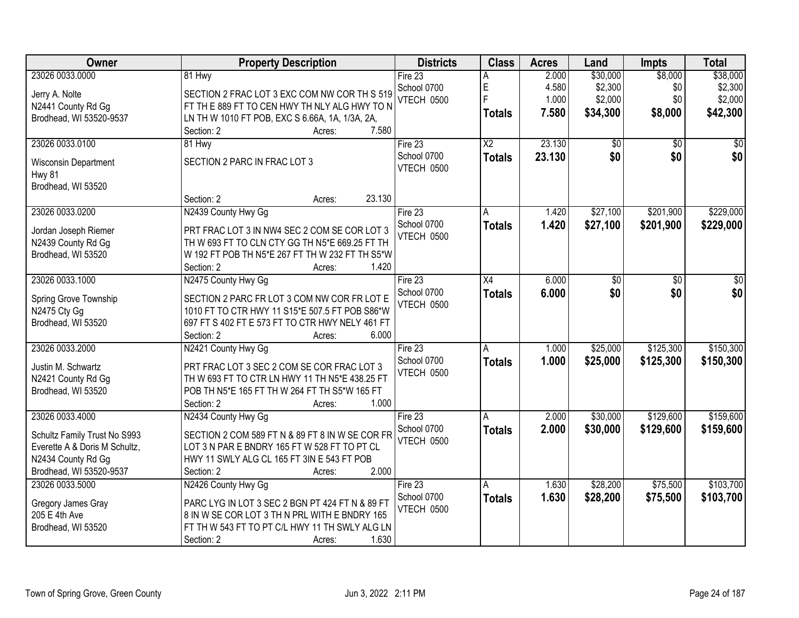| Owner                               | <b>Property Description</b>                                                                      | <b>Districts</b>  | <b>Class</b>           | <b>Acres</b> | Land     | Impts           | <b>Total</b> |
|-------------------------------------|--------------------------------------------------------------------------------------------------|-------------------|------------------------|--------------|----------|-----------------|--------------|
| 23026 0033.0000                     | 81 Hwy                                                                                           | Fire 23           | Α                      | 2.000        | \$30,000 | \$8,000         | \$38,000     |
| Jerry A. Nolte                      | SECTION 2 FRAC LOT 3 EXC COM NW COR TH S 519                                                     | School 0700       | E                      | 4.580        | \$2,300  | \$0             | \$2,300      |
| N2441 County Rd Gg                  | FT TH E 889 FT TO CEN HWY TH NLY ALG HWY TO N                                                    | VTECH 0500        | F                      | 1.000        | \$2,000  | \$0             | \$2,000      |
| Brodhead, WI 53520-9537             | LN TH W 1010 FT POB, EXC S 6.66A, 1A, 1/3A, 2A,                                                  |                   | <b>Totals</b>          | 7.580        | \$34,300 | \$8,000         | \$42,300     |
|                                     | 7.580<br>Section: 2<br>Acres:                                                                    |                   |                        |              |          |                 |              |
| 23026 0033.0100                     | 81 Hwy                                                                                           | Fire 23           | $\overline{\text{X2}}$ | 23.130       | \$0      | $\overline{50}$ | \$0          |
| Wisconsin Department                | SECTION 2 PARC IN FRAC LOT 3                                                                     | School 0700       | <b>Totals</b>          | 23.130       | \$0      | \$0             | \$0          |
| Hwy 81                              |                                                                                                  | VTECH 0500        |                        |              |          |                 |              |
| Brodhead, WI 53520                  |                                                                                                  |                   |                        |              |          |                 |              |
|                                     | 23.130<br>Section: 2<br>Acres:                                                                   |                   |                        |              |          |                 |              |
| 23026 0033.0200                     | N2439 County Hwy Gg                                                                              | Fire 23           | A                      | 1.420        | \$27,100 | \$201,900       | \$229,000    |
| Jordan Joseph Riemer                | PRT FRAC LOT 3 IN NW4 SEC 2 COM SE COR LOT 3                                                     | School 0700       | <b>Totals</b>          | 1.420        | \$27,100 | \$201,900       | \$229,000    |
| N2439 County Rd Gg                  | TH W 693 FT TO CLN CTY GG TH N5*E 669.25 FT TH                                                   | <b>VTECH 0500</b> |                        |              |          |                 |              |
| Brodhead, WI 53520                  | W 192 FT POB TH N5*E 267 FT TH W 232 FT TH S5*W                                                  |                   |                        |              |          |                 |              |
|                                     | Section: 2<br>1.420<br>Acres:                                                                    |                   |                        |              |          |                 |              |
| 23026 0033.1000                     | N2475 County Hwy Gg                                                                              | Fire 23           | $\overline{X4}$        | 6.000        | \$0      | \$0             | \$0          |
|                                     |                                                                                                  | School 0700       | <b>Totals</b>          | 6.000        | \$0      | \$0             | \$0          |
| Spring Grove Township               | SECTION 2 PARC FR LOT 3 COM NW COR FR LOT E                                                      | VTECH 0500        |                        |              |          |                 |              |
| N2475 Cty Gg                        | 1010 FT TO CTR HWY 11 S15*E 507.5 FT POB S86*W                                                   |                   |                        |              |          |                 |              |
| Brodhead, WI 53520                  | 697 FT S 402 FT E 573 FT TO CTR HWY NELY 461 FT                                                  |                   |                        |              |          |                 |              |
|                                     | Section: 2<br>6.000<br>Acres:                                                                    |                   |                        |              |          |                 |              |
| 23026 0033.2000                     | N2421 County Hwy Gg                                                                              | Fire 23           | A                      | 1.000        | \$25,000 | \$125,300       | \$150,300    |
| Justin M. Schwartz                  | PRT FRAC LOT 3 SEC 2 COM SE COR FRAC LOT 3                                                       | School 0700       | <b>Totals</b>          | 1.000        | \$25,000 | \$125,300       | \$150,300    |
| N2421 County Rd Gg                  | TH W 693 FT TO CTR LN HWY 11 TH N5*E 438.25 FT                                                   | VTECH 0500        |                        |              |          |                 |              |
| Brodhead, WI 53520                  | POB TH N5*E 165 FT TH W 264 FT TH S5*W 165 FT                                                    |                   |                        |              |          |                 |              |
|                                     | 1.000<br>Section: 2<br>Acres:                                                                    |                   |                        |              |          |                 |              |
| 23026 0033.4000                     | N2434 County Hwy Gg                                                                              | Fire 23           | A                      | 2.000        | \$30,000 | \$129,600       | \$159,600    |
| Schultz Family Trust No S993        | SECTION 2 COM 589 FT N & 89 FT 8 IN W SE COR FR                                                  | School 0700       | <b>Totals</b>          | 2.000        | \$30,000 | \$129,600       | \$159,600    |
| Everette A & Doris M Schultz,       | LOT 3 N PAR E BNDRY 165 FT W 528 FT TO PT CL                                                     | VTECH 0500        |                        |              |          |                 |              |
| N2434 County Rd Gg                  | HWY 11 SWLY ALG CL 165 FT 3IN E 543 FT POB                                                       |                   |                        |              |          |                 |              |
| Brodhead, WI 53520-9537             | 2.000<br>Section: 2<br>Acres:                                                                    |                   |                        |              |          |                 |              |
| 23026 0033.5000                     | N2426 County Hwy Gg                                                                              | Fire 23           | A                      | 1.630        | \$28,200 | \$75,500        | \$103,700    |
|                                     |                                                                                                  | School 0700       | <b>Totals</b>          | 1.630        | \$28,200 | \$75,500        | \$103,700    |
| Gregory James Gray<br>205 E 4th Ave | PARC LYG IN LOT 3 SEC 2 BGN PT 424 FT N & 89 FT<br>8 IN W SE COR LOT 3 TH N PRL WITH E BNDRY 165 | VTECH 0500        |                        |              |          |                 |              |
| Brodhead, WI 53520                  | FT TH W 543 FT TO PT C/L HWY 11 TH SWLY ALG LN                                                   |                   |                        |              |          |                 |              |
|                                     | 1.630<br>Section: 2<br>Acres:                                                                    |                   |                        |              |          |                 |              |
|                                     |                                                                                                  |                   |                        |              |          |                 |              |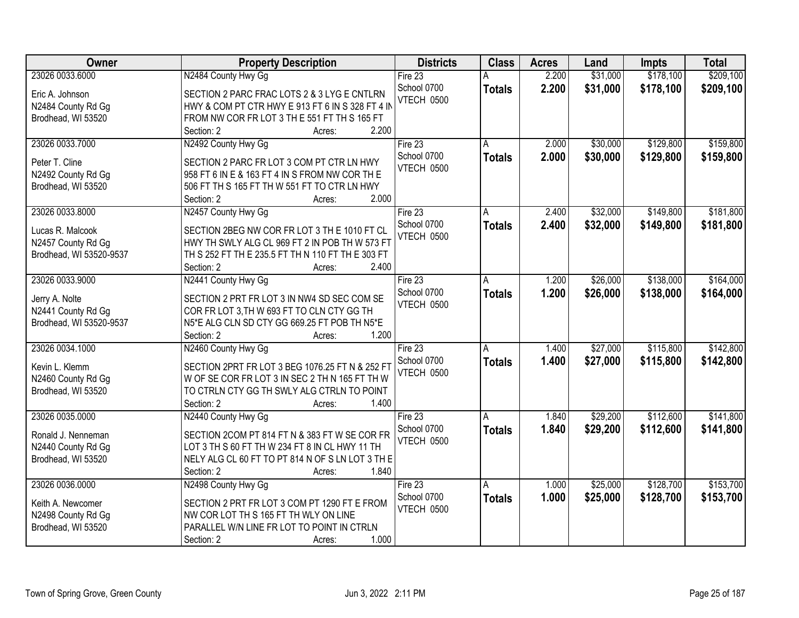| Owner                   | <b>Property Description</b>                                                                | <b>Districts</b>  | <b>Class</b>  | <b>Acres</b> | Land     | <b>Impts</b> | <b>Total</b> |
|-------------------------|--------------------------------------------------------------------------------------------|-------------------|---------------|--------------|----------|--------------|--------------|
| 23026 0033.6000         | N2484 County Hwy Gg                                                                        | Fire $23$         |               | 2.200        | \$31,000 | \$178,100    | \$209,100    |
| Eric A. Johnson         | SECTION 2 PARC FRAC LOTS 2 & 3 LYG E CNTLRN                                                | School 0700       | <b>Totals</b> | 2.200        | \$31,000 | \$178,100    | \$209,100    |
| N2484 County Rd Gg      | HWY & COM PT CTR HWY E 913 FT 6 IN S 328 FT 4 IN                                           | <b>VTECH 0500</b> |               |              |          |              |              |
| Brodhead, WI 53520      | FROM NW COR FR LOT 3 TH E 551 FT TH S 165 FT                                               |                   |               |              |          |              |              |
|                         | 2.200<br>Section: 2<br>Acres:                                                              |                   |               |              |          |              |              |
| 23026 0033.7000         | N2492 County Hwy Gg                                                                        | Fire $23$         | A             | 2.000        | \$30,000 | \$129,800    | \$159,800    |
|                         |                                                                                            | School 0700       | <b>Totals</b> | 2.000        | \$30,000 | \$129,800    | \$159,800    |
| Peter T. Cline          | SECTION 2 PARC FR LOT 3 COM PT CTR LN HWY                                                  | VTECH 0500        |               |              |          |              |              |
| N2492 County Rd Gg      | 958 FT 6 IN E & 163 FT 4 IN S FROM NW COR TH E                                             |                   |               |              |          |              |              |
| Brodhead, WI 53520      | 506 FT TH S 165 FT TH W 551 FT TO CTR LN HWY                                               |                   |               |              |          |              |              |
|                         | 2.000<br>Section: 2<br>Acres:                                                              |                   |               |              |          |              |              |
| 23026 0033.8000         | N2457 County Hwy Gg                                                                        | Fire 23           | A             | 2.400        | \$32,000 | \$149,800    | \$181,800    |
| Lucas R. Malcook        | SECTION 2BEG NW COR FR LOT 3 TH E 1010 FT CL                                               | School 0700       | <b>Totals</b> | 2.400        | \$32,000 | \$149,800    | \$181,800    |
| N2457 County Rd Gg      | HWY TH SWLY ALG CL 969 FT 2 IN POB TH W 573 FT                                             | <b>VTECH 0500</b> |               |              |          |              |              |
| Brodhead, WI 53520-9537 | TH S 252 FT TH E 235.5 FT TH N 110 FT TH E 303 FT                                          |                   |               |              |          |              |              |
|                         | Section: 2<br>2.400<br>Acres:                                                              |                   |               |              |          |              |              |
| 23026 0033.9000         | N2441 County Hwy Gg                                                                        | Fire $23$         | A             | 1.200        | \$26,000 | \$138,000    | \$164,000    |
|                         |                                                                                            | School 0700       | <b>Totals</b> | 1.200        | \$26,000 | \$138,000    | \$164,000    |
| Jerry A. Nolte          | SECTION 2 PRT FR LOT 3 IN NW4 SD SEC COM SE                                                | VTECH 0500        |               |              |          |              |              |
| N2441 County Rd Gg      | COR FR LOT 3, TH W 693 FT TO CLN CTY GG TH<br>N5*E ALG CLN SD CTY GG 669.25 FT POB TH N5*E |                   |               |              |          |              |              |
| Brodhead, WI 53520-9537 | 1.200<br>Section: 2<br>Acres:                                                              |                   |               |              |          |              |              |
| 23026 0034.1000         | N2460 County Hwy Gg                                                                        | Fire 23           | Α             | 1.400        | \$27,000 | \$115,800    | \$142,800    |
|                         |                                                                                            | School 0700       |               |              |          |              |              |
| Kevin L. Klemm          | SECTION 2PRT FR LOT 3 BEG 1076.25 FT N & 252 FT                                            | <b>VTECH 0500</b> | <b>Totals</b> | 1.400        | \$27,000 | \$115,800    | \$142,800    |
| N2460 County Rd Gg      | W OF SE COR FR LOT 3 IN SEC 2 TH N 165 FT TH W                                             |                   |               |              |          |              |              |
| Brodhead, WI 53520      | TO CTRLN CTY GG TH SWLY ALG CTRLN TO POINT                                                 |                   |               |              |          |              |              |
|                         | Section: 2<br>1.400<br>Acres:                                                              |                   |               |              |          |              |              |
| 23026 0035.0000         | N2440 County Hwy Gg                                                                        | Fire 23           | A             | 1.840        | \$29,200 | \$112,600    | \$141,800    |
| Ronald J. Nenneman      | SECTION 2COM PT 814 FT N & 383 FT W SE COR FR                                              | School 0700       | <b>Totals</b> | 1.840        | \$29,200 | \$112,600    | \$141,800    |
| N2440 County Rd Gg      | LOT 3 TH S 60 FT TH W 234 FT 8 IN CL HWY 11 TH                                             | <b>VTECH 0500</b> |               |              |          |              |              |
| Brodhead, WI 53520      | NELY ALG CL 60 FT TO PT 814 N OF S LN LOT 3 TH E                                           |                   |               |              |          |              |              |
|                         | 1.840<br>Section: 2<br>Acres:                                                              |                   |               |              |          |              |              |
| 23026 0036.0000         | N2498 County Hwy Gg                                                                        | Fire $23$         | A             | 1.000        | \$25,000 | \$128,700    | \$153,700    |
|                         |                                                                                            | School 0700       | <b>Totals</b> | 1.000        | \$25,000 | \$128,700    | \$153,700    |
| Keith A. Newcomer       | SECTION 2 PRT FR LOT 3 COM PT 1290 FT E FROM                                               | VTECH 0500        |               |              |          |              |              |
| N2498 County Rd Gg      | NW COR LOT TH S 165 FT TH WLY ON LINE                                                      |                   |               |              |          |              |              |
| Brodhead, WI 53520      | PARALLEL W/N LINE FR LOT TO POINT IN CTRLN                                                 |                   |               |              |          |              |              |
|                         | 1.000<br>Section: 2<br>Acres:                                                              |                   |               |              |          |              |              |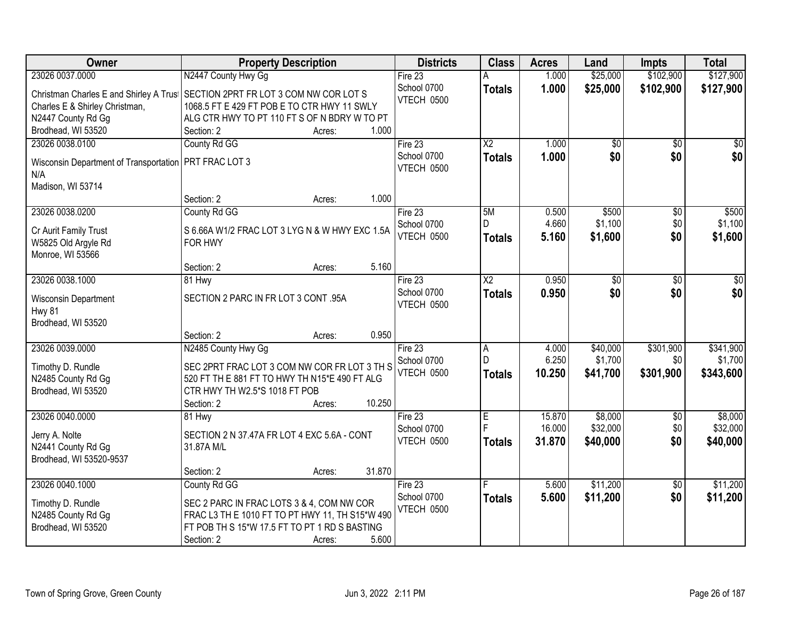| Owner                                    | <b>Property Description</b>                                                                      | <b>Districts</b>  | <b>Class</b>           | <b>Acres</b> | Land     | <b>Impts</b>    | <b>Total</b> |
|------------------------------------------|--------------------------------------------------------------------------------------------------|-------------------|------------------------|--------------|----------|-----------------|--------------|
| 23026 0037.0000                          | N2447 County Hwy Gg                                                                              | Fire 23           |                        | 1.000        | \$25,000 | \$102,900       | \$127,900    |
| Christman Charles E and Shirley A Trust  | SECTION 2PRT FR LOT 3 COM NW COR LOT S                                                           | School 0700       | <b>Totals</b>          | 1.000        | \$25,000 | \$102,900       | \$127,900    |
| Charles E & Shirley Christman,           | 1068.5 FT E 429 FT POB E TO CTR HWY 11 SWLY                                                      | VTECH 0500        |                        |              |          |                 |              |
| N2447 County Rd Gg                       | ALG CTR HWY TO PT 110 FT S OF N BDRY W TO PT                                                     |                   |                        |              |          |                 |              |
| Brodhead, WI 53520                       | 1.000<br>Section: 2<br>Acres:                                                                    |                   |                        |              |          |                 |              |
| 23026 0038.0100                          | County Rd GG                                                                                     | Fire $23$         | $\overline{\text{X2}}$ | 1.000        | \$0      | $\overline{50}$ | \$0          |
| Wisconsin Department of Transportation   | PRT FRAC LOT 3                                                                                   | School 0700       | <b>Totals</b>          | 1.000        | \$0      | \$0             | \$0          |
| N/A                                      |                                                                                                  | VTECH 0500        |                        |              |          |                 |              |
| Madison, WI 53714                        |                                                                                                  |                   |                        |              |          |                 |              |
|                                          | 1.000<br>Section: 2<br>Acres:                                                                    |                   |                        |              |          |                 |              |
| 23026 0038.0200                          | County Rd GG                                                                                     | Fire 23           | 5M                     | 0.500        | \$500    | \$0             | \$500        |
| Cr Aurit Family Trust                    | S 6.66A W1/2 FRAC LOT 3 LYG N & W HWY EXC 1.5A                                                   | School 0700       |                        | 4.660        | \$1,100  | \$0             | \$1,100      |
| W5825 Old Argyle Rd                      | FOR HWY                                                                                          | VTECH 0500        | <b>Totals</b>          | 5.160        | \$1,600  | \$0             | \$1,600      |
| Monroe, WI 53566                         |                                                                                                  |                   |                        |              |          |                 |              |
|                                          | 5.160<br>Section: 2<br>Acres:                                                                    |                   |                        |              |          |                 |              |
| 23026 0038.1000                          | 81 Hwy                                                                                           | Fire 23           | X <sub>2</sub>         | 0.950        | \$0      | $\sqrt{6}$      | \$0          |
| Wisconsin Department                     | SECTION 2 PARC IN FR LOT 3 CONT .95A                                                             | School 0700       | <b>Totals</b>          | 0.950        | \$0      | \$0             | \$0          |
| <b>Hwy 81</b>                            |                                                                                                  | VTECH 0500        |                        |              |          |                 |              |
| Brodhead, WI 53520                       |                                                                                                  |                   |                        |              |          |                 |              |
|                                          | 0.950<br>Section: 2<br>Acres:                                                                    |                   |                        |              |          |                 |              |
| 23026 0039.0000                          | N2485 County Hwy Gg                                                                              | Fire 23           | $\overline{A}$         | 4.000        | \$40,000 | \$301,900       | \$341,900    |
| Timothy D. Rundle                        | SEC 2PRT FRAC LOT 3 COM NW COR FR LOT 3 TH S                                                     | School 0700       | $\mathsf{D}$           | 6.250        | \$1,700  | \$0             | \$1,700      |
| N2485 County Rd Gg                       | 520 FT TH E 881 FT TO HWY TH N15*E 490 FT ALG                                                    | <b>VTECH 0500</b> | <b>Totals</b>          | 10.250       | \$41,700 | \$301,900       | \$343,600    |
| Brodhead, WI 53520                       | CTR HWY TH W2.5*S 1018 FT POB                                                                    |                   |                        |              |          |                 |              |
|                                          | 10.250<br>Section: 2<br>Acres:                                                                   |                   |                        |              |          |                 |              |
| 23026 0040.0000                          | 81 Hwy                                                                                           | Fire 23           | E                      | 15.870       | \$8,000  | $\sqrt{$0}$     | \$8,000      |
|                                          |                                                                                                  | School 0700       | F                      | 16.000       | \$32,000 | \$0             | \$32,000     |
| Jerry A. Nolte<br>N2441 County Rd Gg     | SECTION 2 N 37.47A FR LOT 4 EXC 5.6A - CONT<br>31.87A M/L                                        | VTECH 0500        | <b>Totals</b>          | 31.870       | \$40,000 | \$0             | \$40,000     |
| Brodhead, WI 53520-9537                  |                                                                                                  |                   |                        |              |          |                 |              |
|                                          | 31.870<br>Section: 2<br>Acres:                                                                   |                   |                        |              |          |                 |              |
| 23026 0040.1000                          | County Rd GG                                                                                     | Fire 23           |                        | 5.600        | \$11,200 | $\overline{50}$ | \$11,200     |
|                                          |                                                                                                  | School 0700       | <b>Totals</b>          | 5.600        | \$11,200 | \$0             | \$11,200     |
| Timothy D. Rundle                        | SEC 2 PARC IN FRAC LOTS 3 & 4, COM NW COR                                                        | VTECH 0500        |                        |              |          |                 |              |
| N2485 County Rd Gg<br>Brodhead, WI 53520 | FRAC L3 TH E 1010 FT TO PT HWY 11, TH S15*W 490<br>FT POB TH S 15*W 17.5 FT TO PT 1 RD S BASTING |                   |                        |              |          |                 |              |
|                                          | 5.600<br>Section: 2<br>Acres:                                                                    |                   |                        |              |          |                 |              |
|                                          |                                                                                                  |                   |                        |              |          |                 |              |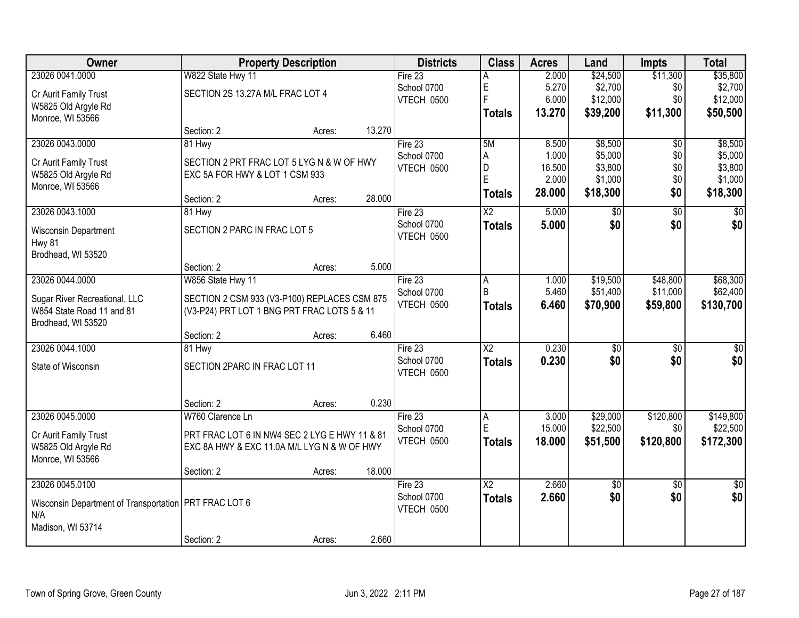| Owner                                                   |                                               | <b>Property Description</b> |        | <b>Districts</b>  | <b>Class</b>           | <b>Acres</b>    | Land               | <b>Impts</b>    | <b>Total</b>       |
|---------------------------------------------------------|-----------------------------------------------|-----------------------------|--------|-------------------|------------------------|-----------------|--------------------|-----------------|--------------------|
| 23026 0041.0000                                         | W822 State Hwy 11                             |                             |        | Fire $23$         | Α                      | 2.000           | \$24,500           | \$11,300        | \$35,800           |
| Cr Aurit Family Trust                                   | SECTION 2S 13.27A M/L FRAC LOT 4              |                             |        | School 0700       | $\mathsf E$            | 5.270           | \$2,700            | \$0             | \$2,700            |
| W5825 Old Argyle Rd                                     |                                               |                             |        | VTECH 0500        | $\overline{F}$         | 6.000           | \$12,000           | \$0             | \$12,000           |
| Monroe, WI 53566                                        |                                               |                             |        |                   | <b>Totals</b>          | 13.270          | \$39,200           | \$11,300        | \$50,500           |
|                                                         | Section: 2                                    | Acres:                      | 13.270 |                   |                        |                 |                    |                 |                    |
| 23026 0043.0000                                         | 81 Hwy                                        |                             |        | Fire $23$         | 5M                     | 8.500           | \$8,500            | \$0             | \$8,500            |
| Cr Aurit Family Trust                                   | SECTION 2 PRT FRAC LOT 5 LYG N & W OF HWY     |                             |        | School 0700       | A                      | 1.000           | \$5,000            | \$0             | \$5,000            |
| W5825 Old Argyle Rd                                     | EXC 5A FOR HWY & LOT 1 CSM 933                |                             |        | <b>VTECH 0500</b> | D<br>E                 | 16.500<br>2.000 | \$3,800<br>\$1,000 | \$0<br>\$0      | \$3,800<br>\$1,000 |
| Monroe, WI 53566                                        |                                               |                             |        |                   |                        | 28.000          | \$18,300           | \$0             | \$18,300           |
|                                                         | Section: 2                                    | Acres:                      | 28.000 |                   | <b>Totals</b>          |                 |                    |                 |                    |
| 23026 0043.1000                                         | 81 Hwy                                        |                             |        | Fire 23           | $\overline{X2}$        | 5.000           | $\overline{50}$    | $\overline{50}$ | $\sqrt{50}$        |
| Wisconsin Department                                    | SECTION 2 PARC IN FRAC LOT 5                  |                             |        | School 0700       | <b>Totals</b>          | 5.000           | \$0                | \$0             | \$0                |
| Hwy 81                                                  |                                               |                             |        | VTECH 0500        |                        |                 |                    |                 |                    |
| Brodhead, WI 53520                                      |                                               |                             |        |                   |                        |                 |                    |                 |                    |
|                                                         | Section: 2                                    | Acres:                      | 5.000  |                   |                        |                 |                    |                 |                    |
| 23026 0044.0000                                         | W856 State Hwy 11                             |                             |        | Fire $23$         | A                      | 1.000           | \$19,500           | \$48,800        | \$68,300           |
| Sugar River Recreational, LLC                           | SECTION 2 CSM 933 (V3-P100) REPLACES CSM 875  |                             |        | School 0700       | B                      | 5.460           | \$51,400           | \$11,000        | \$62,400           |
| W854 State Road 11 and 81                               | (V3-P24) PRT LOT 1 BNG PRT FRAC LOTS 5 & 11   |                             |        | VTECH 0500        | <b>Totals</b>          | 6.460           | \$70,900           | \$59,800        | \$130,700          |
| Brodhead, WI 53520                                      |                                               |                             |        |                   |                        |                 |                    |                 |                    |
|                                                         | Section: 2                                    | Acres:                      | 6.460  |                   |                        |                 |                    |                 |                    |
| 23026 0044.1000                                         | 81 Hwy                                        |                             |        | Fire 23           | $\overline{\text{X2}}$ | 0.230           | \$0                | \$0             | $\overline{50}$    |
| State of Wisconsin                                      | SECTION 2PARC IN FRAC LOT 11                  |                             |        | School 0700       | <b>Totals</b>          | 0.230           | \$0                | \$0             | \$0                |
|                                                         |                                               |                             |        | VTECH 0500        |                        |                 |                    |                 |                    |
|                                                         |                                               |                             |        |                   |                        |                 |                    |                 |                    |
|                                                         | Section: 2                                    | Acres:                      | 0.230  |                   |                        |                 |                    |                 |                    |
| 23026 0045.0000                                         | W760 Clarence Ln                              |                             |        | Fire $23$         | A                      | 3.000           | \$29,000           | \$120,800       | \$149,800          |
| Cr Aurit Family Trust                                   | PRT FRAC LOT 6 IN NW4 SEC 2 LYG E HWY 11 & 81 |                             |        | School 0700       | $\mathsf E$            | 15.000          | \$22,500           | \$0             | \$22,500           |
| W5825 Old Argyle Rd                                     | EXC 8A HWY & EXC 11.0A M/L LYG N & W OF HWY   |                             |        | VTECH 0500        | Totals                 | 18.000          | \$51,500           | \$120,800       | \$172,300          |
| Monroe, WI 53566                                        |                                               |                             |        |                   |                        |                 |                    |                 |                    |
|                                                         | Section: 2                                    | Acres:                      | 18.000 |                   |                        |                 |                    |                 |                    |
| 23026 0045.0100                                         |                                               |                             |        | Fire 23           | $\overline{\text{X2}}$ | 2.660           | $\overline{50}$    | $\overline{50}$ | $\overline{30}$    |
| Wisconsin Department of Transportation   PRT FRAC LOT 6 |                                               |                             |        | School 0700       | <b>Totals</b>          | 2.660           | \$0                | \$0             | \$0                |
| N/A                                                     |                                               |                             |        | VTECH 0500        |                        |                 |                    |                 |                    |
| Madison, WI 53714                                       |                                               |                             |        |                   |                        |                 |                    |                 |                    |
|                                                         | Section: 2                                    | Acres:                      | 2.660  |                   |                        |                 |                    |                 |                    |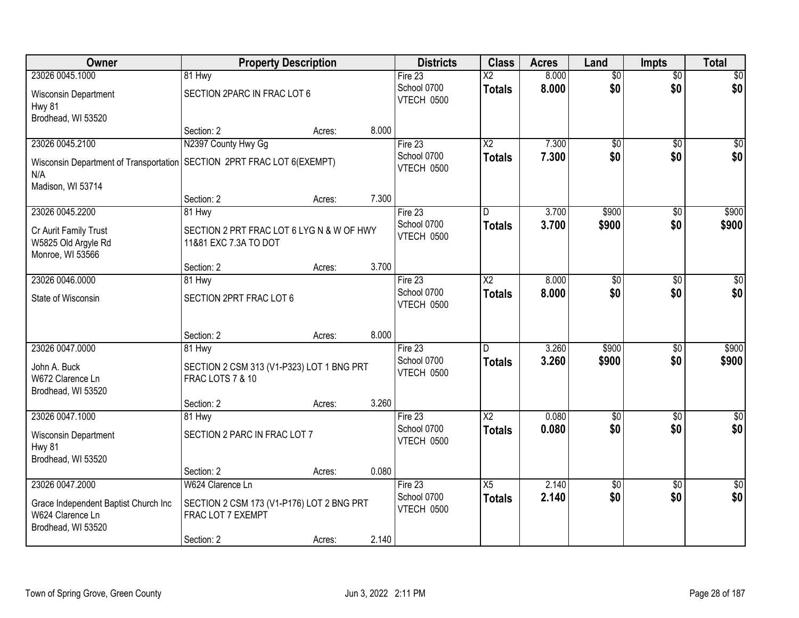| 23026 0045.1000<br>Fire 23<br>$\overline{\text{X2}}$<br>8.000<br>$\overline{50}$<br>81 Hwy<br>$\overline{50}$<br>\$0<br>8.000<br>\$0<br>School 0700<br><b>Totals</b><br>SECTION 2PARC IN FRAC LOT 6<br>Wisconsin Department<br><b>VTECH 0500</b><br>Hwy 81<br>Brodhead, WI 53520<br>8.000<br>Section: 2<br>Acres:<br>N2397 County Hwy Gg<br>23026 0045.2100<br>Fire 23<br>$\overline{X2}$<br>7.300<br>$\overline{50}$<br>\$0<br>7.300<br>\$0<br>School 0700<br>\$0<br><b>Totals</b><br>SECTION 2PRT FRAC LOT 6(EXEMPT)<br>Wisconsin Department of Transportation<br>VTECH 0500<br>N/A<br>Madison, WI 53714 | $\overline{30}$<br>\$0<br>\$0<br>\$0 <br>\$900<br>\$900 |
|------------------------------------------------------------------------------------------------------------------------------------------------------------------------------------------------------------------------------------------------------------------------------------------------------------------------------------------------------------------------------------------------------------------------------------------------------------------------------------------------------------------------------------------------------------------------------------------------------------|---------------------------------------------------------|
|                                                                                                                                                                                                                                                                                                                                                                                                                                                                                                                                                                                                            |                                                         |
|                                                                                                                                                                                                                                                                                                                                                                                                                                                                                                                                                                                                            |                                                         |
|                                                                                                                                                                                                                                                                                                                                                                                                                                                                                                                                                                                                            |                                                         |
|                                                                                                                                                                                                                                                                                                                                                                                                                                                                                                                                                                                                            |                                                         |
|                                                                                                                                                                                                                                                                                                                                                                                                                                                                                                                                                                                                            |                                                         |
|                                                                                                                                                                                                                                                                                                                                                                                                                                                                                                                                                                                                            |                                                         |
|                                                                                                                                                                                                                                                                                                                                                                                                                                                                                                                                                                                                            |                                                         |
| 7.300<br>Section: 2<br>Acres:                                                                                                                                                                                                                                                                                                                                                                                                                                                                                                                                                                              |                                                         |
| 23026 0045.2200<br>3.700<br>\$900<br>81 Hwy<br>Fire 23<br>D<br>\$0                                                                                                                                                                                                                                                                                                                                                                                                                                                                                                                                         |                                                         |
| \$0<br>School 0700<br>3.700<br>\$900<br><b>Totals</b><br>SECTION 2 PRT FRAC LOT 6 LYG N & W OF HWY<br>Cr Aurit Family Trust<br><b>VTECH 0500</b><br>W5825 Old Argyle Rd<br>11&81 EXC 7.3A TO DOT                                                                                                                                                                                                                                                                                                                                                                                                           |                                                         |
| Monroe, WI 53566                                                                                                                                                                                                                                                                                                                                                                                                                                                                                                                                                                                           |                                                         |
| 3.700<br>Section: 2<br>Acres:                                                                                                                                                                                                                                                                                                                                                                                                                                                                                                                                                                              |                                                         |
| 23026 0046.0000<br>Fire 23<br>$\overline{X2}$<br>8.000<br>$\overline{50}$<br>81 Hwy<br>$\sqrt{6}$<br>School 0700                                                                                                                                                                                                                                                                                                                                                                                                                                                                                           | $\sqrt{50}$                                             |
| \$0<br>\$0<br>8.000<br><b>Totals</b><br>SECTION 2PRT FRAC LOT 6<br>State of Wisconsin<br>VTECH 0500                                                                                                                                                                                                                                                                                                                                                                                                                                                                                                        | \$0                                                     |
| 8.000<br>Section: 2<br>Acres:                                                                                                                                                                                                                                                                                                                                                                                                                                                                                                                                                                              |                                                         |
| 3.260<br>23026 0047.0000<br>\$900<br>Fire 23<br>D<br>\$0<br>81 Hwy                                                                                                                                                                                                                                                                                                                                                                                                                                                                                                                                         | \$900                                                   |
| School 0700<br>3.260<br>\$900<br>\$0<br><b>Totals</b><br>John A. Buck<br>SECTION 2 CSM 313 (V1-P323) LOT 1 BNG PRT                                                                                                                                                                                                                                                                                                                                                                                                                                                                                         | \$900                                                   |
| <b>VTECH 0500</b><br>W672 Clarence Ln<br><b>FRAC LOTS 7 &amp; 10</b>                                                                                                                                                                                                                                                                                                                                                                                                                                                                                                                                       |                                                         |
| Brodhead, WI 53520                                                                                                                                                                                                                                                                                                                                                                                                                                                                                                                                                                                         |                                                         |
| 3.260<br>Section: 2<br>Acres:                                                                                                                                                                                                                                                                                                                                                                                                                                                                                                                                                                              |                                                         |
| $\overline{X2}$<br>23026 0047.1000<br>Fire 23<br>0.080<br>$\overline{50}$<br>\$0<br>81 Hwy                                                                                                                                                                                                                                                                                                                                                                                                                                                                                                                 | $\overline{\$0}$                                        |
| \$0<br>0.080<br>\$0<br>School 0700<br><b>Totals</b><br>SECTION 2 PARC IN FRAC LOT 7<br>Wisconsin Department<br>VTECH 0500<br><b>Hwy 81</b>                                                                                                                                                                                                                                                                                                                                                                                                                                                                 | \$0                                                     |
| Brodhead, WI 53520                                                                                                                                                                                                                                                                                                                                                                                                                                                                                                                                                                                         |                                                         |
| 0.080<br>Section: 2<br>Acres:                                                                                                                                                                                                                                                                                                                                                                                                                                                                                                                                                                              |                                                         |
| 2.140<br>23026 0047.2000<br>Fire 23<br>W624 Clarence Ln<br>X5<br>$\overline{50}$<br>$\overline{30}$                                                                                                                                                                                                                                                                                                                                                                                                                                                                                                        | $\sqrt{30}$                                             |
| 2.140<br>\$0<br>\$0<br>School 0700<br><b>Totals</b><br>Grace Independent Baptist Church Inc<br>SECTION 2 CSM 173 (V1-P176) LOT 2 BNG PRT<br>VTECH 0500<br>W624 Clarence Ln<br>FRAC LOT 7 EXEMPT                                                                                                                                                                                                                                                                                                                                                                                                            | \$0                                                     |
| Brodhead, WI 53520<br>2.140<br>Section: 2<br>Acres:                                                                                                                                                                                                                                                                                                                                                                                                                                                                                                                                                        |                                                         |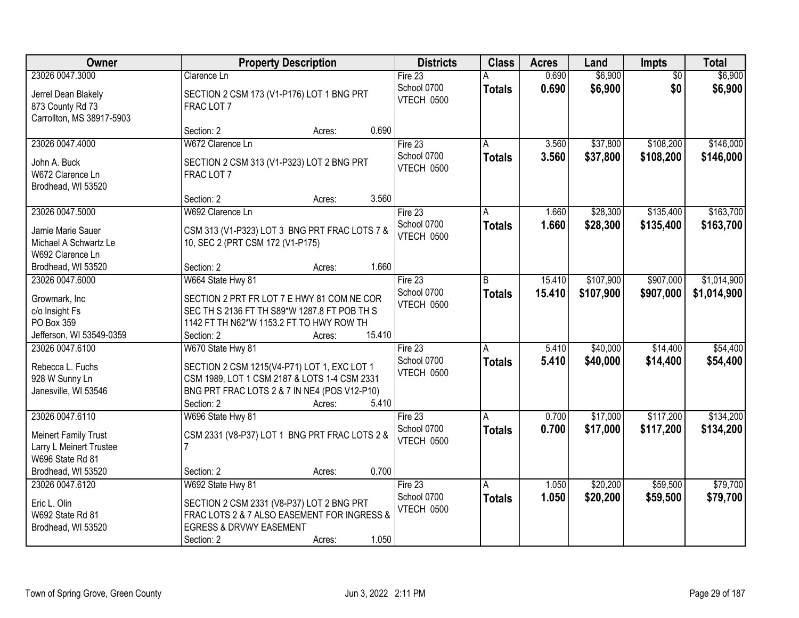| Owner                                                                | <b>Property Description</b>                                                                | <b>Districts</b>                 | <b>Class</b>  | <b>Acres</b> | Land      | <b>Impts</b>    | <b>Total</b> |
|----------------------------------------------------------------------|--------------------------------------------------------------------------------------------|----------------------------------|---------------|--------------|-----------|-----------------|--------------|
| 23026 0047.3000                                                      | Clarence Ln                                                                                | Fire 23                          | Α             | 0.690        | \$6,900   | $\overline{50}$ | \$6,900      |
| Jerrel Dean Blakely<br>873 County Rd 73<br>Carrollton, MS 38917-5903 | SECTION 2 CSM 173 (V1-P176) LOT 1 BNG PRT<br>FRAC LOT 7                                    | School 0700<br><b>VTECH 0500</b> | <b>Totals</b> | 0.690        | \$6,900   | \$0             | \$6,900      |
|                                                                      | 0.690<br>Section: 2<br>Acres:                                                              |                                  |               |              |           |                 |              |
| 23026 0047.4000                                                      | W672 Clarence Ln                                                                           | Fire $23$                        | Α             | 3.560        | \$37,800  | \$108,200       | \$146,000    |
| John A. Buck<br>W672 Clarence Ln<br>Brodhead, WI 53520               | SECTION 2 CSM 313 (V1-P323) LOT 2 BNG PRT<br>FRAC LOT 7                                    | School 0700<br>VTECH 0500        | <b>Totals</b> | 3.560        | \$37,800  | \$108,200       | \$146,000    |
|                                                                      | 3.560<br>Section: 2<br>Acres:                                                              |                                  |               |              |           |                 |              |
| 23026 0047.5000                                                      | W692 Clarence Ln                                                                           | Fire 23                          | A             | 1.660        | \$28,300  | \$135,400       | \$163,700    |
| Jamie Marie Sauer<br>Michael A Schwartz Le<br>W692 Clarence Ln       | CSM 313 (V1-P323) LOT 3 BNG PRT FRAC LOTS 7 &<br>10, SEC 2 (PRT CSM 172 (V1-P175)          | School 0700<br>VTECH 0500        | <b>Totals</b> | 1.660        | \$28,300  | \$135,400       | \$163,700    |
| Brodhead, WI 53520                                                   | 1.660<br>Section: 2<br>Acres:                                                              |                                  |               |              |           |                 |              |
| 23026 0047.6000                                                      | W664 State Hwy 81                                                                          | Fire 23                          | B             | 15.410       | \$107,900 | \$907,000       | \$1,014,900  |
| Growmark, Inc<br>c/o Insight Fs                                      | SECTION 2 PRT FR LOT 7 E HWY 81 COM NE COR<br>SEC TH S 2136 FT TH S89*W 1287.8 FT POB TH S | School 0700<br>VTECH 0500        | <b>Totals</b> | 15.410       | \$107,900 | \$907,000       | \$1,014,900  |
| PO Box 359                                                           | 1142 FT TH N62*W 1153.2 FT TO HWY ROW TH                                                   |                                  |               |              |           |                 |              |
| Jefferson, WI 53549-0359                                             | 15.410<br>Section: 2<br>Acres:                                                             |                                  |               |              |           |                 |              |
| 23026 0047.6100                                                      | W670 State Hwy 81                                                                          | Fire 23                          | A             | 5.410        | \$40,000  | \$14,400        | \$54,400     |
| Rebecca L. Fuchs                                                     | SECTION 2 CSM 1215(V4-P71) LOT 1, EXC LOT 1                                                | School 0700<br>VTECH 0500        | <b>Totals</b> | 5.410        | \$40,000  | \$14,400        | \$54,400     |
| 928 W Sunny Ln                                                       | CSM 1989, LOT 1 CSM 2187 & LOTS 1-4 CSM 2331                                               |                                  |               |              |           |                 |              |
| Janesville, WI 53546                                                 | BNG PRT FRAC LOTS 2 & 7 IN NE4 (POS V12-P10)                                               |                                  |               |              |           |                 |              |
|                                                                      | Section: 2<br>5.410<br>Acres:                                                              |                                  |               |              |           |                 |              |
| 23026 0047.6110                                                      | W696 State Hwy 81                                                                          | Fire 23                          | A             | 0.700        | \$17,000  | \$117,200       | \$134,200    |
| <b>Meinert Family Trust</b>                                          | CSM 2331 (V8-P37) LOT 1 BNG PRT FRAC LOTS 2 &                                              | School 0700<br>VTECH 0500        | <b>Totals</b> | 0.700        | \$17,000  | \$117,200       | \$134,200    |
| Larry L Meinert Trustee                                              |                                                                                            |                                  |               |              |           |                 |              |
| W696 State Rd 81                                                     |                                                                                            |                                  |               |              |           |                 |              |
| Brodhead, WI 53520                                                   | 0.700<br>Section: 2<br>Acres:                                                              |                                  |               |              |           |                 |              |
| 23026 0047.6120                                                      | W692 State Hwy 81                                                                          | Fire 23                          | A             | 1.050        | \$20,200  | \$59,500        | \$79,700     |
| Eric L. Olin                                                         | SECTION 2 CSM 2331 (V8-P37) LOT 2 BNG PRT                                                  | School 0700<br>VTECH 0500        | <b>Totals</b> | 1.050        | \$20,200  | \$59,500        | \$79,700     |
| W692 State Rd 81                                                     | FRAC LOTS 2 & 7 ALSO EASEMENT FOR INGRESS &                                                |                                  |               |              |           |                 |              |
| Brodhead, WI 53520                                                   | <b>EGRESS &amp; DRVWY EASEMENT</b>                                                         |                                  |               |              |           |                 |              |
|                                                                      | 1.050<br>Section: 2<br>Acres:                                                              |                                  |               |              |           |                 |              |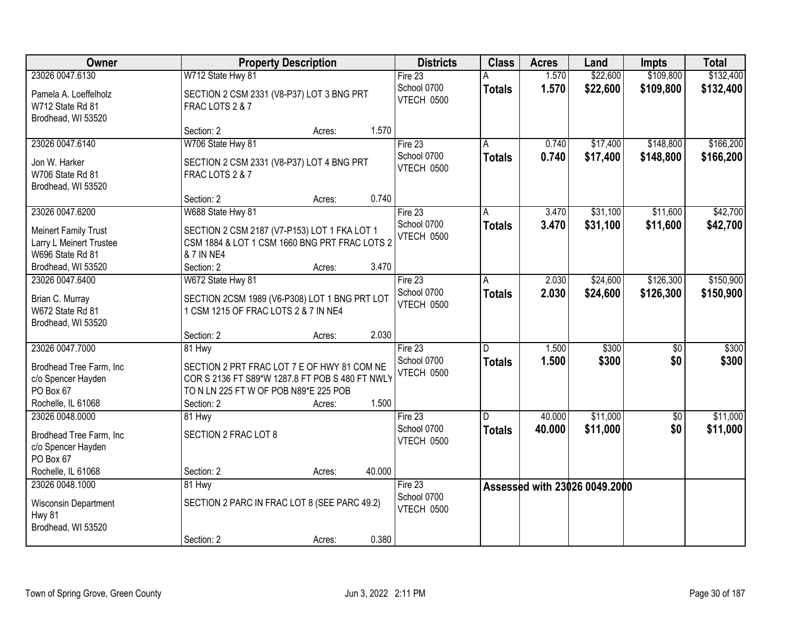| Owner                                                                             | <b>Property Description</b>                                                                                                                           |        |        | <b>Districts</b>          | <b>Class</b>  | <b>Acres</b> | Land                          | <b>Impts</b>    | <b>Total</b> |
|-----------------------------------------------------------------------------------|-------------------------------------------------------------------------------------------------------------------------------------------------------|--------|--------|---------------------------|---------------|--------------|-------------------------------|-----------------|--------------|
| 23026 0047.6130                                                                   | W712 State Hwy 81                                                                                                                                     |        |        | Fire 23                   |               | 1.570        | \$22,600                      | \$109,800       | \$132,400    |
| Pamela A. Loeffelholz<br>W712 State Rd 81<br>Brodhead, WI 53520                   | SECTION 2 CSM 2331 (V8-P37) LOT 3 BNG PRT<br>FRAC LOTS 2 & 7                                                                                          |        |        | School 0700<br>VTECH 0500 | <b>Totals</b> | 1.570        | \$22,600                      | \$109,800       | \$132,400    |
|                                                                                   | Section: 2                                                                                                                                            | Acres: | 1.570  |                           |               |              |                               |                 |              |
| 23026 0047.6140                                                                   | W706 State Hwy 81                                                                                                                                     |        |        | Fire $23$                 |               | 0.740        | \$17,400                      | \$148,800       | \$166,200    |
| Jon W. Harker<br>W706 State Rd 81<br>Brodhead, WI 53520                           | SECTION 2 CSM 2331 (V8-P37) LOT 4 BNG PRT<br>FRAC LOTS 2 & 7                                                                                          |        |        | School 0700<br>VTECH 0500 | <b>Totals</b> | 0.740        | \$17,400                      | \$148,800       | \$166,200    |
|                                                                                   | Section: 2                                                                                                                                            | Acres: | 0.740  |                           |               |              |                               |                 |              |
| 23026 0047.6200                                                                   | W688 State Hwy 81                                                                                                                                     |        |        | Fire 23                   | A             | 3.470        | \$31,100                      | \$11,600        | \$42,700     |
| <b>Meinert Family Trust</b><br>Larry L Meinert Trustee<br>W696 State Rd 81        | SECTION 2 CSM 2187 (V7-P153) LOT 1 FKA LOT 1<br>CSM 1884 & LOT 1 CSM 1660 BNG PRT FRAC LOTS 2<br>& 7 IN NE4                                           |        |        | School 0700<br>VTECH 0500 | <b>Totals</b> | 3.470        | \$31,100                      | \$11,600        | \$42,700     |
| Brodhead, WI 53520                                                                | Section: 2                                                                                                                                            | Acres: | 3.470  |                           |               |              |                               |                 |              |
| 23026 0047.6400                                                                   | W672 State Hwy 81                                                                                                                                     |        |        | Fire 23                   | A             | 2.030        | \$24,600                      | \$126,300       | \$150,900    |
| Brian C. Murray<br>W672 State Rd 81<br>Brodhead, WI 53520                         | SECTION 2CSM 1989 (V6-P308) LOT 1 BNG PRT LOT<br>1 CSM 1215 OF FRAC LOTS 2 & 7 IN NE4                                                                 |        |        | School 0700<br>VTECH 0500 | <b>Totals</b> | 2.030        | \$24,600                      | \$126,300       | \$150,900    |
|                                                                                   | Section: 2                                                                                                                                            | Acres: | 2.030  |                           |               |              |                               |                 |              |
| 23026 0047.7000                                                                   | 81 Hwy                                                                                                                                                |        |        | Fire 23                   | D             | 1.500        | \$300                         | $\overline{50}$ | \$300        |
| Brodhead Tree Farm, Inc.<br>c/o Spencer Hayden<br>PO Box 67<br>Rochelle, IL 61068 | SECTION 2 PRT FRAC LOT 7 E OF HWY 81 COM NE<br>COR S 2136 FT S89*W 1287.8 FT POB S 480 FT NWLY<br>TO N LN 225 FT W OF POB N89*E 225 POB<br>Section: 2 | Acres: | 1.500  | School 0700<br>VTECH 0500 | <b>Totals</b> | 1.500        | \$300                         | \$0             | \$300        |
| 23026 0048,0000                                                                   | 81 Hwy                                                                                                                                                |        |        | Fire $23$                 | D             | 40.000       | \$11,000                      | $\sqrt{6}$      | \$11,000     |
| Brodhead Tree Farm, Inc.<br>c/o Spencer Hayden<br>PO Box 67                       | SECTION 2 FRAC LOT 8                                                                                                                                  |        |        | School 0700<br>VTECH 0500 | <b>Totals</b> | 40.000       | \$11,000                      | \$0             | \$11,000     |
| Rochelle, IL 61068                                                                | Section: 2                                                                                                                                            | Acres: | 40.000 |                           |               |              |                               |                 |              |
| 23026 0048.1000                                                                   | 81 Hwy                                                                                                                                                |        |        | Fire 23                   |               |              | Assessed with 23026 0049.2000 |                 |              |
| Wisconsin Department<br><b>Hwy 81</b><br>Brodhead, WI 53520                       | SECTION 2 PARC IN FRAC LOT 8 (SEE PARC 49.2)                                                                                                          |        |        | School 0700<br>VTECH 0500 |               |              |                               |                 |              |
|                                                                                   | Section: 2                                                                                                                                            | Acres: | 0.380  |                           |               |              |                               |                 |              |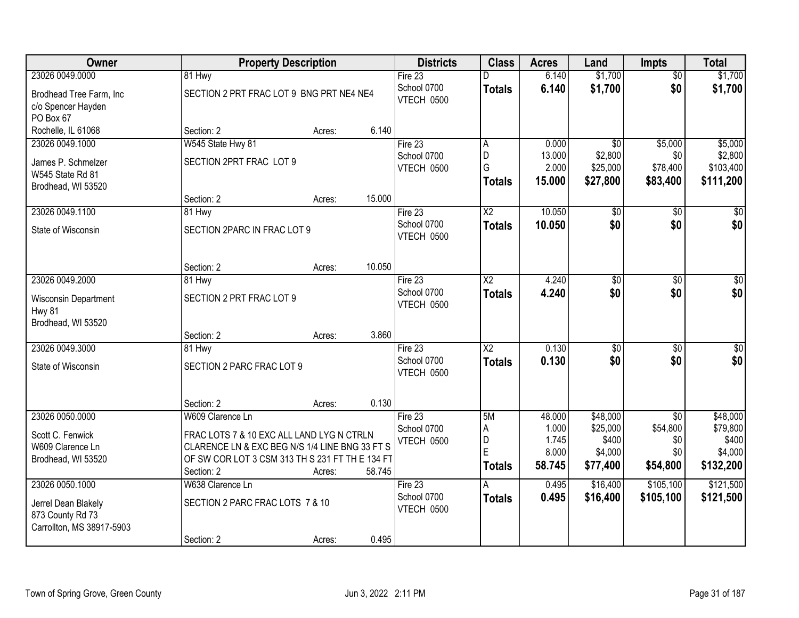| Owner                                                                |                                                 | <b>Property Description</b> |        | <b>Districts</b>                 | <b>Class</b>            | <b>Acres</b>              | Land                            | <b>Impts</b>                | <b>Total</b>                      |
|----------------------------------------------------------------------|-------------------------------------------------|-----------------------------|--------|----------------------------------|-------------------------|---------------------------|---------------------------------|-----------------------------|-----------------------------------|
| 23026 0049.0000                                                      | 81 Hwy                                          |                             |        | Fire 23                          | D                       | 6.140                     | \$1,700                         | $\overline{50}$             | \$1,700                           |
| Brodhead Tree Farm, Inc<br>c/o Spencer Hayden<br>PO Box 67           | SECTION 2 PRT FRAC LOT 9 BNG PRT NE4 NE4        |                             |        | School 0700<br>VTECH 0500        | <b>Totals</b>           | 6.140                     | \$1,700                         | \$0                         | \$1,700                           |
| Rochelle, IL 61068                                                   | Section: 2                                      | Acres:                      | 6.140  |                                  |                         |                           |                                 |                             |                                   |
| 23026 0049.1000                                                      | W545 State Hwy 81                               |                             |        | Fire $23$                        | A                       | 0.000                     | $\overline{50}$                 | \$5,000                     | \$5,000                           |
| James P. Schmelzer<br>W545 State Rd 81<br>Brodhead, WI 53520         | SECTION 2PRT FRAC LOT 9                         |                             |        | School 0700<br><b>VTECH 0500</b> | D<br>G<br><b>Totals</b> | 13.000<br>2.000<br>15.000 | \$2,800<br>\$25,000<br>\$27,800 | \$0<br>\$78,400<br>\$83,400 | \$2,800<br>\$103,400<br>\$111,200 |
|                                                                      | Section: 2                                      | Acres:                      | 15.000 |                                  |                         |                           |                                 |                             |                                   |
| 23026 0049.1100                                                      | 81 Hwy                                          |                             |        | Fire 23                          | $\overline{X2}$         | 10.050                    | $\overline{50}$                 | \$0                         | $\sqrt{50}$                       |
| State of Wisconsin                                                   | SECTION 2PARC IN FRAC LOT 9                     |                             |        | School 0700<br>VTECH 0500        | <b>Totals</b>           | 10.050                    | \$0                             | \$0                         | \$0                               |
|                                                                      | Section: 2                                      | Acres:                      | 10.050 |                                  |                         |                           |                                 |                             |                                   |
| 23026 0049.2000                                                      | 81 Hwy                                          |                             |        | Fire 23                          | $\overline{\text{X2}}$  | 4.240                     | $\overline{50}$                 | $\overline{50}$             | $\sqrt{50}$                       |
| <b>Wisconsin Department</b><br><b>Hwy 81</b><br>Brodhead, WI 53520   | SECTION 2 PRT FRAC LOT 9                        |                             |        | School 0700<br>VTECH 0500        | <b>Totals</b>           | 4.240                     | \$0                             | \$0                         | \$0                               |
|                                                                      | Section: 2                                      | Acres:                      | 3.860  |                                  |                         |                           |                                 |                             |                                   |
| 23026 0049.3000                                                      | 81 Hwy                                          |                             |        | Fire 23                          | $\overline{\text{X2}}$  | 0.130                     | \$0                             | \$0                         | $\overline{30}$                   |
| State of Wisconsin                                                   | SECTION 2 PARC FRAC LOT 9                       |                             |        | School 0700<br>VTECH 0500        | <b>Totals</b>           | 0.130                     | \$0                             | \$0                         | \$0                               |
|                                                                      | Section: 2                                      | Acres:                      | 0.130  |                                  |                         |                           |                                 |                             |                                   |
| 23026 0050.0000                                                      | W609 Clarence Ln                                |                             |        | Fire 23                          | 5M                      | 48.000                    | \$48,000                        | $\overline{50}$             | \$48,000                          |
| Scott C. Fenwick                                                     | FRAC LOTS 7 & 10 EXC ALL LAND LYG N CTRLN       |                             |        | School 0700                      | Α                       | 1.000                     | \$25,000                        | \$54,800                    | \$79,800                          |
| W609 Clarence Ln                                                     | CLARENCE LN & EXC BEG N/S 1/4 LINE BNG 33 FT S  |                             |        | VTECH 0500                       | D                       | 1.745                     | \$400                           | \$0                         | \$400                             |
| Brodhead, WI 53520                                                   | OF SW COR LOT 3 CSM 313 TH S 231 FT TH E 134 FT |                             |        |                                  | E                       | 8.000                     | \$4,000                         | \$0                         | \$4,000                           |
|                                                                      | Section: 2                                      | Acres:                      | 58.745 |                                  | <b>Totals</b>           | 58.745                    | \$77,400                        | \$54,800                    | \$132,200                         |
| 23026 0050.1000                                                      | W638 Clarence Ln                                |                             |        | Fire 23                          |                         | 0.495                     | \$16,400                        | \$105,100                   | \$121,500                         |
| Jerrel Dean Blakely<br>873 County Rd 73<br>Carrollton, MS 38917-5903 | SECTION 2 PARC FRAC LOTS 7 & 10                 |                             |        | School 0700<br>VTECH 0500        | <b>Totals</b>           | 0.495                     | \$16,400                        | \$105,100                   | \$121,500                         |
|                                                                      | Section: 2                                      | Acres:                      | 0.495  |                                  |                         |                           |                                 |                             |                                   |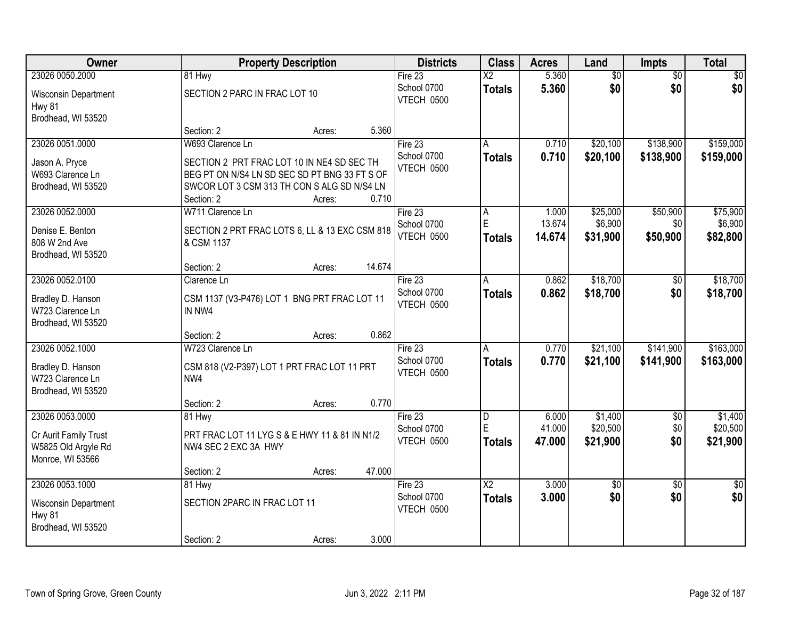| Owner                                 |                                                | <b>Property Description</b> | <b>Districts</b>                 | <b>Class</b>    | <b>Acres</b>     | Land            | Impts           | <b>Total</b> |
|---------------------------------------|------------------------------------------------|-----------------------------|----------------------------------|-----------------|------------------|-----------------|-----------------|--------------|
| 23026 0050.2000                       | 81 Hwy                                         |                             | Fire $23$                        | $\overline{X2}$ | 5.360            | $\overline{50}$ | $\overline{50}$ | \$0          |
| Wisconsin Department<br><b>Hwy 81</b> | SECTION 2 PARC IN FRAC LOT 10                  |                             | School 0700<br>VTECH 0500        | <b>Totals</b>   | 5.360            | \$0             | \$0             | \$0          |
| Brodhead, WI 53520                    |                                                |                             |                                  |                 |                  |                 |                 |              |
|                                       | Section: 2                                     | Acres:                      | 5.360                            |                 |                  |                 |                 |              |
| 23026 0051.0000                       | W693 Clarence Ln                               |                             | Fire 23<br>School 0700           | A               | 0.710            | \$20,100        | \$138,900       | \$159,000    |
| Jason A. Pryce                        | SECTION 2 PRT FRAC LOT 10 IN NE4 SD SEC TH     |                             | <b>VTECH 0500</b>                | <b>Totals</b>   | 0.710            | \$20,100        | \$138,900       | \$159,000    |
| W693 Clarence Ln                      | BEG PT ON N/S4 LN SD SEC SD PT BNG 33 FT S OF  |                             |                                  |                 |                  |                 |                 |              |
| Brodhead, WI 53520                    | SWCOR LOT 3 CSM 313 TH CON S ALG SD N/S4 LN    |                             |                                  |                 |                  |                 |                 |              |
|                                       | Section: 2                                     | Acres:                      | 0.710                            |                 |                  |                 |                 |              |
| 23026 0052.0000                       | W711 Clarence Ln                               |                             | Fire 23                          | A<br>E          | 1.000            | \$25,000        | \$50,900        | \$75,900     |
| Denise E. Benton                      | SECTION 2 PRT FRAC LOTS 6, LL & 13 EXC CSM 818 |                             | School 0700<br><b>VTECH 0500</b> |                 | 13.674<br>14.674 | \$6,900         | \$0             | \$6,900      |
| 808 W 2nd Ave                         | & CSM 1137                                     |                             |                                  | <b>Totals</b>   |                  | \$31,900        | \$50,900        | \$82,800     |
| Brodhead, WI 53520                    |                                                |                             |                                  |                 |                  |                 |                 |              |
|                                       | Section: 2                                     | Acres:                      | 14.674                           |                 |                  |                 |                 |              |
| 23026 0052.0100                       | Clarence Ln                                    |                             | Fire 23                          | A               | 0.862            | \$18,700        | \$0             | \$18,700     |
| Bradley D. Hanson                     | CSM 1137 (V3-P476) LOT 1 BNG PRT FRAC LOT 11   |                             | School 0700<br>VTECH 0500        | <b>Totals</b>   | 0.862            | \$18,700        | \$0             | \$18,700     |
| W723 Clarence Ln                      | IN NW4                                         |                             |                                  |                 |                  |                 |                 |              |
| Brodhead, WI 53520                    |                                                |                             |                                  |                 |                  |                 |                 |              |
|                                       | Section: 2                                     | Acres:                      | 0.862                            |                 |                  |                 |                 |              |
| 23026 0052.1000                       | W723 Clarence Ln                               |                             | Fire 23                          | $\overline{A}$  | 0.770            | \$21,100        | \$141,900       | \$163,000    |
| Bradley D. Hanson                     | CSM 818 (V2-P397) LOT 1 PRT FRAC LOT 11 PRT    |                             | School 0700                      | <b>Totals</b>   | 0.770            | \$21,100        | \$141,900       | \$163,000    |
| W723 Clarence Ln                      | NW4                                            |                             | VTECH 0500                       |                 |                  |                 |                 |              |
| Brodhead, WI 53520                    |                                                |                             |                                  |                 |                  |                 |                 |              |
|                                       | Section: 2                                     | Acres:                      | 0.770                            |                 |                  |                 |                 |              |
| 23026 0053.0000                       | 81 Hwy                                         |                             | Fire 23                          | D               | 6.000            | \$1,400         | $\sqrt{$0}$     | \$1,400      |
| Cr Aurit Family Trust                 | PRT FRAC LOT 11 LYG S & E HWY 11 & 81 IN N1/2  |                             | School 0700                      | E               | 41.000           | \$20,500        | \$0             | \$20,500     |
| W5825 Old Argyle Rd                   | NW4 SEC 2 EXC 3A HWY                           |                             | VTECH 0500                       | <b>Totals</b>   | 47.000           | \$21,900        | \$0             | \$21,900     |
| Monroe, WI 53566                      |                                                |                             |                                  |                 |                  |                 |                 |              |
|                                       | Section: 2                                     | Acres:                      | 47.000                           |                 |                  |                 |                 |              |
| 23026 0053.1000                       | 81 Hwy                                         |                             | Fire 23                          | $\overline{X2}$ | 3.000            | $\overline{60}$ | $\overline{30}$ | $\sqrt{50}$  |
| Wisconsin Department                  | SECTION 2PARC IN FRAC LOT 11                   |                             | School 0700                      | <b>Totals</b>   | 3.000            | \$0             | \$0             | \$0          |
| Hwy 81                                |                                                |                             | VTECH 0500                       |                 |                  |                 |                 |              |
| Brodhead, WI 53520                    |                                                |                             |                                  |                 |                  |                 |                 |              |
|                                       | Section: 2                                     | Acres:                      | 3.000                            |                 |                  |                 |                 |              |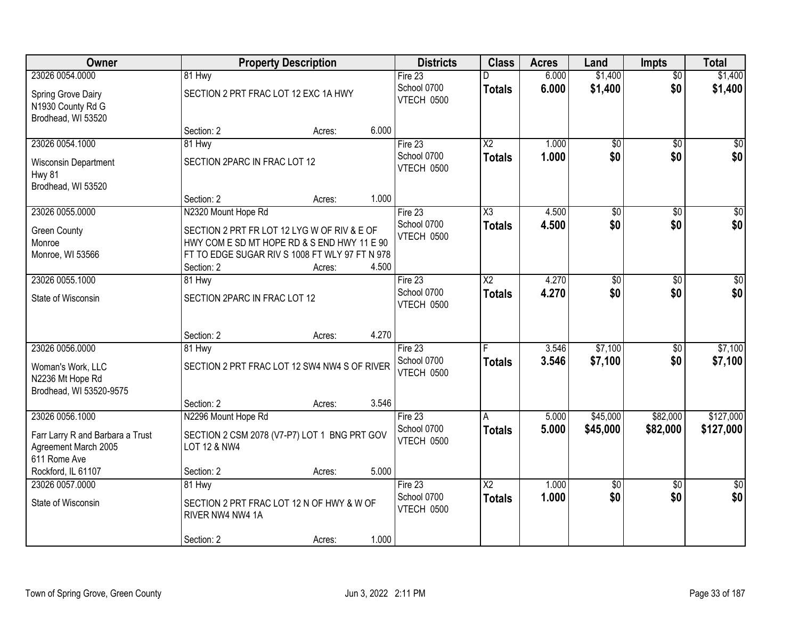| Owner                                                                    |                                                                                                                                              | <b>Property Description</b> |       | <b>Districts</b>                     | <b>Class</b>                     | <b>Acres</b>   | Land                   | <b>Impts</b>           | <b>Total</b>           |
|--------------------------------------------------------------------------|----------------------------------------------------------------------------------------------------------------------------------------------|-----------------------------|-------|--------------------------------------|----------------------------------|----------------|------------------------|------------------------|------------------------|
| 23026 0054.0000                                                          | 81 Hwy                                                                                                                                       |                             |       | Fire 23                              |                                  | 6.000          | \$1,400                | $\overline{50}$        | \$1,400                |
| Spring Grove Dairy<br>N1930 County Rd G<br>Brodhead, WI 53520            | SECTION 2 PRT FRAC LOT 12 EXC 1A HWY                                                                                                         |                             |       | School 0700<br>VTECH 0500            | <b>Totals</b>                    | 6.000          | \$1,400                | \$0                    | \$1,400                |
|                                                                          | Section: 2                                                                                                                                   | Acres:                      | 6.000 |                                      |                                  |                |                        |                        |                        |
| 23026 0054.1000                                                          | 81 Hwy                                                                                                                                       |                             |       | Fire 23                              | $\overline{\text{X2}}$           | 1.000          | $\overline{50}$        | $\overline{50}$        | $\sqrt{50}$            |
| Wisconsin Department<br><b>Hwy 81</b><br>Brodhead, WI 53520              | SECTION 2PARC IN FRAC LOT 12                                                                                                                 |                             |       | School 0700<br>VTECH 0500            | <b>Totals</b>                    | 1.000          | \$0                    | \$0                    | \$0                    |
|                                                                          | Section: 2                                                                                                                                   | Acres:                      | 1.000 |                                      |                                  |                |                        |                        |                        |
| 23026 0055.0000                                                          | N2320 Mount Hope Rd                                                                                                                          |                             |       | Fire 23                              | $\overline{\chi_3}$              | 4.500          | $\overline{50}$        | $\overline{50}$        | $\overline{50}$        |
| <b>Green County</b><br>Monroe<br>Monroe, WI 53566                        | SECTION 2 PRT FR LOT 12 LYG W OF RIV & E OF<br>HWY COM E SD MT HOPE RD & S END HWY 11 E 90<br>FT TO EDGE SUGAR RIV S 1008 FT WLY 97 FT N 978 |                             |       | School 0700<br>VTECH 0500            | <b>Totals</b>                    | 4.500          | \$0                    | \$0                    | \$0                    |
|                                                                          | Section: 2                                                                                                                                   | Acres:                      | 4.500 |                                      |                                  |                |                        |                        |                        |
| 23026 0055.1000                                                          | 81 Hwy                                                                                                                                       |                             |       | Fire 23                              | $\overline{X2}$                  | 4.270          | $\overline{30}$        | \$0                    | \$0                    |
| State of Wisconsin                                                       | SECTION 2PARC IN FRAC LOT 12                                                                                                                 |                             |       | School 0700<br>VTECH 0500            | <b>Totals</b>                    | 4.270          | \$0                    | \$0                    | \$0                    |
|                                                                          | Section: 2                                                                                                                                   | Acres:                      | 4.270 |                                      |                                  |                |                        |                        |                        |
| 23026 0056.0000                                                          | 81 Hwy                                                                                                                                       |                             |       | Fire 23                              | F                                | 3.546          | \$7,100                | \$0                    | \$7,100                |
| Woman's Work, LLC<br>N2236 Mt Hope Rd<br>Brodhead, WI 53520-9575         | SECTION 2 PRT FRAC LOT 12 SW4 NW4 S OF RIVER                                                                                                 |                             |       | School 0700<br>VTECH 0500            | <b>Totals</b>                    | 3.546          | \$7,100                | \$0                    | \$7,100                |
|                                                                          | Section: 2                                                                                                                                   | Acres:                      | 3.546 |                                      |                                  |                |                        |                        |                        |
| 23026 0056.1000                                                          | N2296 Mount Hope Rd                                                                                                                          |                             |       | Fire $23$                            | A                                | 5.000          | \$45,000               | \$82,000               | \$127,000              |
| Farr Larry R and Barbara a Trust<br>Agreement March 2005<br>611 Rome Ave | SECTION 2 CSM 2078 (V7-P7) LOT 1 BNG PRT GOV<br>LOT 12 & NW4                                                                                 |                             |       | School 0700<br><b>VTECH 0500</b>     | <b>Totals</b>                    | 5.000          | \$45,000               | \$82,000               | \$127,000              |
| Rockford, IL 61107                                                       | Section: 2                                                                                                                                   | Acres:                      | 5.000 |                                      |                                  |                |                        |                        |                        |
| 23026 0057.0000<br>State of Wisconsin                                    | 81 Hwy<br>SECTION 2 PRT FRAC LOT 12 N OF HWY & W OF<br>RIVER NW4 NW4 1A<br>Section: 2                                                        | Acres:                      | 1.000 | Fire 23<br>School 0700<br>VTECH 0500 | $\overline{X2}$<br><b>Totals</b> | 1.000<br>1.000 | $\overline{50}$<br>\$0 | $\overline{30}$<br>\$0 | $\overline{50}$<br>\$0 |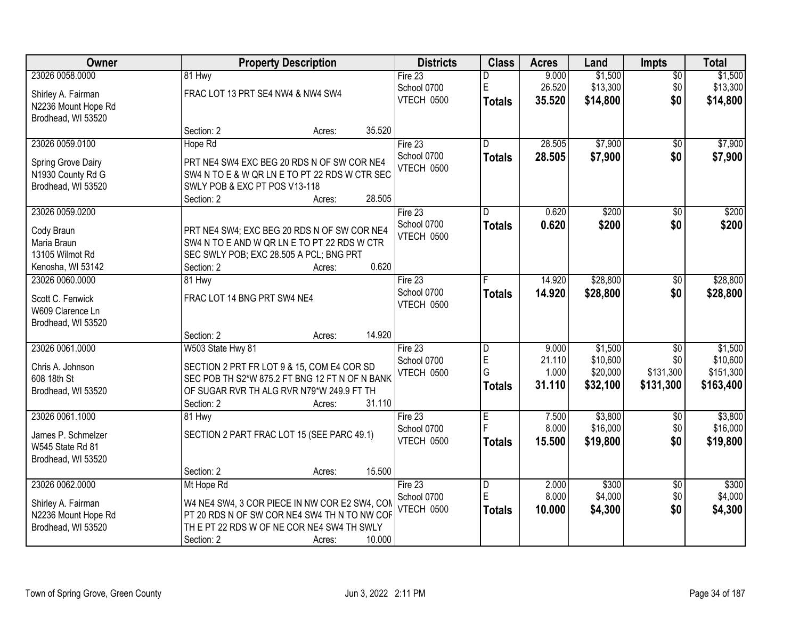| Owner               |                                                | <b>Property Description</b> |        | <b>Districts</b>  | <b>Class</b>            | <b>Acres</b> | Land     | <b>Impts</b>    | <b>Total</b> |
|---------------------|------------------------------------------------|-----------------------------|--------|-------------------|-------------------------|--------------|----------|-----------------|--------------|
| 23026 0058.0000     | 81 Hwy                                         |                             |        | Fire $23$         | D                       | 9.000        | \$1,500  | $\sqrt{$0}$     | \$1,500      |
| Shirley A. Fairman  | FRAC LOT 13 PRT SE4 NW4 & NW4 SW4              |                             |        | School 0700       | E                       | 26.520       | \$13,300 | \$0             | \$13,300     |
| N2236 Mount Hope Rd |                                                |                             |        | VTECH 0500        | <b>Totals</b>           | 35.520       | \$14,800 | \$0             | \$14,800     |
| Brodhead, WI 53520  |                                                |                             |        |                   |                         |              |          |                 |              |
|                     | Section: 2                                     | Acres:                      | 35.520 |                   |                         |              |          |                 |              |
| 23026 0059.0100     | Hope Rd                                        |                             |        | Fire 23           | D.                      | 28.505       | \$7,900  | \$0             | \$7,900      |
| Spring Grove Dairy  | PRT NE4 SW4 EXC BEG 20 RDS N OF SW COR NE4     |                             |        | School 0700       | <b>Totals</b>           | 28.505       | \$7,900  | \$0             | \$7,900      |
| N1930 County Rd G   | SW4 N TO E & W QR LN E TO PT 22 RDS W CTR SEC  |                             |        | <b>VTECH 0500</b> |                         |              |          |                 |              |
| Brodhead, WI 53520  | SWLY POB & EXC PT POS V13-118                  |                             |        |                   |                         |              |          |                 |              |
|                     | Section: 2                                     | Acres:                      | 28.505 |                   |                         |              |          |                 |              |
| 23026 0059.0200     |                                                |                             |        | Fire 23           | D                       | 0.620        | \$200    | \$0             | \$200        |
| Cody Braun          | PRT NE4 SW4; EXC BEG 20 RDS N OF SW COR NE4    |                             |        | School 0700       | <b>Totals</b>           | 0.620        | \$200    | \$0             | \$200        |
| Maria Braun         | SW4 N TO E AND W QR LN E TO PT 22 RDS W CTR    |                             |        | <b>VTECH 0500</b> |                         |              |          |                 |              |
| 13105 Wilmot Rd     | SEC SWLY POB; EXC 28.505 A PCL; BNG PRT        |                             |        |                   |                         |              |          |                 |              |
| Kenosha, WI 53142   | Section: 2                                     | Acres:                      | 0.620  |                   |                         |              |          |                 |              |
| 23026 0060.0000     | 81 Hwy                                         |                             |        | Fire 23           |                         | 14.920       | \$28,800 | $\frac{1}{20}$  | \$28,800     |
| Scott C. Fenwick    | FRAC LOT 14 BNG PRT SW4 NE4                    |                             |        | School 0700       | <b>Totals</b>           | 14.920       | \$28,800 | \$0             | \$28,800     |
| W609 Clarence Ln    |                                                |                             |        | VTECH 0500        |                         |              |          |                 |              |
| Brodhead, WI 53520  |                                                |                             |        |                   |                         |              |          |                 |              |
|                     | Section: 2                                     | Acres:                      | 14.920 |                   |                         |              |          |                 |              |
| 23026 0061.0000     | W503 State Hwy 81                              |                             |        | Fire 23           | $\overline{\mathsf{D}}$ | 9.000        | \$1,500  | $\overline{50}$ | \$1,500      |
| Chris A. Johnson    | SECTION 2 PRT FR LOT 9 & 15, COM E4 COR SD     |                             |        | School 0700       | E                       | 21.110       | \$10,600 | \$0             | \$10,600     |
| 608 18th St         | SEC POB TH S2*W 875.2 FT BNG 12 FT N OF N BANK |                             |        | VTECH 0500        | G                       | 1.000        | \$20,000 | \$131,300       | \$151,300    |
| Brodhead, WI 53520  | OF SUGAR RVR TH ALG RVR N79*W 249.9 FT TH      |                             |        |                   | <b>Totals</b>           | 31.110       | \$32,100 | \$131,300       | \$163,400    |
|                     | Section: 2                                     | Acres:                      | 31.110 |                   |                         |              |          |                 |              |
| 23026 0061.1000     | 81 Hwy                                         |                             |        | Fire 23           | $\overline{E}$          | 7.500        | \$3,800  | \$0             | \$3,800      |
| James P. Schmelzer  | SECTION 2 PART FRAC LOT 15 (SEE PARC 49.1)     |                             |        | School 0700       |                         | 8.000        | \$16,000 | \$0             | \$16,000     |
| W545 State Rd 81    |                                                |                             |        | VTECH 0500        | <b>Totals</b>           | 15.500       | \$19,800 | \$0             | \$19,800     |
| Brodhead, WI 53520  |                                                |                             |        |                   |                         |              |          |                 |              |
|                     | Section: 2                                     | Acres:                      | 15.500 |                   |                         |              |          |                 |              |
| 23026 0062.0000     | Mt Hope Rd                                     |                             |        | Fire 23           | D                       | 2.000        | \$300    | $\overline{60}$ | \$300        |
| Shirley A. Fairman  | W4 NE4 SW4, 3 COR PIECE IN NW COR E2 SW4, COM  |                             |        | School 0700       | E                       | 8.000        | \$4,000  | \$0             | \$4,000      |
| N2236 Mount Hope Rd | PT 20 RDS N OF SW COR NE4 SW4 TH N TO NW COF   |                             |        | <b>VTECH 0500</b> | Totals                  | 10.000       | \$4,300  | \$0             | \$4,300      |
| Brodhead, WI 53520  | TH E PT 22 RDS W OF NE COR NE4 SW4 TH SWLY     |                             |        |                   |                         |              |          |                 |              |
|                     | Section: 2                                     | Acres:                      | 10.000 |                   |                         |              |          |                 |              |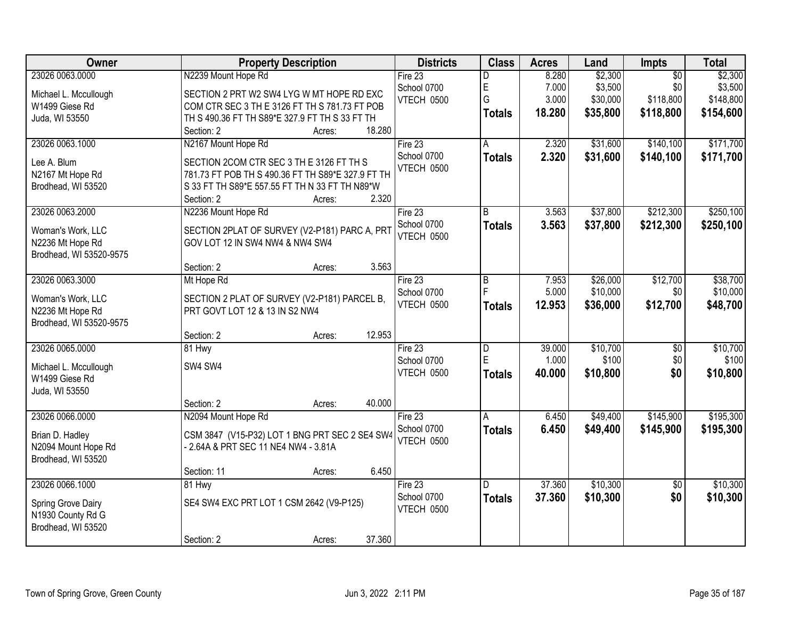| Owner                   | <b>Property Description</b>                       | <b>Districts</b> | <b>Class</b>  | <b>Acres</b> | Land     | <b>Impts</b>    | <b>Total</b> |
|-------------------------|---------------------------------------------------|------------------|---------------|--------------|----------|-----------------|--------------|
| 23026 0063.0000         | N2239 Mount Hope Rd                               | Fire $23$        | D             | 8.280        | \$2,300  | $\overline{50}$ | \$2,300      |
| Michael L. Mccullough   | SECTION 2 PRT W2 SW4 LYG W MT HOPE RD EXC         | School 0700      | $\mathsf E$   | 7.000        | \$3,500  | \$0             | \$3,500      |
| W1499 Giese Rd          | COM CTR SEC 3 TH E 3126 FT TH S 781.73 FT POB     | VTECH 0500       | G             | 3.000        | \$30,000 | \$118,800       | \$148,800    |
| Juda, WI 53550          | TH S 490.36 FT TH S89*E 327.9 FT TH S 33 FT TH    |                  | <b>Totals</b> | 18.280       | \$35,800 | \$118,800       | \$154,600    |
|                         | 18.280<br>Section: 2<br>Acres:                    |                  |               |              |          |                 |              |
| 23026 0063.1000         | N2167 Mount Hope Rd                               | Fire $23$        | A             | 2.320        | \$31,600 | \$140,100       | \$171,700    |
|                         |                                                   | School 0700      | <b>Totals</b> | 2.320        | \$31,600 | \$140,100       | \$171,700    |
| Lee A. Blum             | SECTION 2COM CTR SEC 3 TH E 3126 FT TH S          | VTECH 0500       |               |              |          |                 |              |
| N2167 Mt Hope Rd        | 781.73 FT POB TH S 490.36 FT TH S89*E 327.9 FT TH |                  |               |              |          |                 |              |
| Brodhead, WI 53520      | S 33 FT TH S89*E 557.55 FT TH N 33 FT TH N89*W    |                  |               |              |          |                 |              |
|                         | 2.320<br>Section: 2<br>Acres:                     |                  |               |              |          |                 |              |
| 23026 0063.2000         | N2236 Mount Hope Rd                               | Fire 23          | B             | 3.563        | \$37,800 | \$212,300       | \$250,100    |
| Woman's Work, LLC       | SECTION 2PLAT OF SURVEY (V2-P181) PARC A, PRT     | School 0700      | <b>Totals</b> | 3.563        | \$37,800 | \$212,300       | \$250,100    |
| N2236 Mt Hope Rd        | GOV LOT 12 IN SW4 NW4 & NW4 SW4                   | VTECH 0500       |               |              |          |                 |              |
| Brodhead, WI 53520-9575 |                                                   |                  |               |              |          |                 |              |
|                         | 3.563<br>Section: 2<br>Acres:                     |                  |               |              |          |                 |              |
| 23026 0063.3000         | Mt Hope Rd                                        | Fire 23          | B             | 7.953        | \$26,000 | \$12,700        | \$38,700     |
|                         |                                                   | School 0700      |               | 5.000        | \$10,000 | \$0             | \$10,000     |
| Woman's Work, LLC       | SECTION 2 PLAT OF SURVEY (V2-P181) PARCEL B,      | VTECH 0500       | <b>Totals</b> | 12.953       | \$36,000 | \$12,700        | \$48,700     |
| N2236 Mt Hope Rd        | PRT GOVT LOT 12 & 13 IN S2 NW4                    |                  |               |              |          |                 |              |
| Brodhead, WI 53520-9575 |                                                   |                  |               |              |          |                 |              |
|                         | 12.953<br>Section: 2<br>Acres:                    |                  |               |              |          |                 |              |
| 23026 0065.0000         | 81 Hwy                                            | Fire $23$        | D             | 39.000       | \$10,700 | $\overline{50}$ | \$10,700     |
| Michael L. Mccullough   | SW4 SW4                                           | School 0700      | E             | 1.000        | \$100    | \$0             | \$100        |
| W1499 Giese Rd          |                                                   | VTECH 0500       | <b>Totals</b> | 40.000       | \$10,800 | \$0             | \$10,800     |
| Juda, WI 53550          |                                                   |                  |               |              |          |                 |              |
|                         | Section: 2<br>40.000<br>Acres:                    |                  |               |              |          |                 |              |
| 23026 0066.0000         | N2094 Mount Hope Rd                               | Fire 23          | A             | 6.450        | \$49,400 | \$145,900       | \$195,300    |
|                         | CSM 3847 (V15-P32) LOT 1 BNG PRT SEC 2 SE4 SW4    | School 0700      | <b>Totals</b> | 6.450        | \$49,400 | \$145,900       | \$195,300    |
| Brian D. Hadley         | - 2.64A & PRT SEC 11 NE4 NW4 - 3.81A              | VTECH 0500       |               |              |          |                 |              |
| N2094 Mount Hope Rd     |                                                   |                  |               |              |          |                 |              |
| Brodhead, WI 53520      | 6.450                                             |                  |               |              |          |                 |              |
| 23026 0066.1000         | Section: 11<br>Acres:                             |                  | D.            |              | \$10,300 |                 |              |
|                         | 81 Hwy                                            | Fire $23$        |               | 37.360       |          | $\overline{50}$ | \$10,300     |
| Spring Grove Dairy      | SE4 SW4 EXC PRT LOT 1 CSM 2642 (V9-P125)          | School 0700      | <b>Totals</b> | 37.360       | \$10,300 | \$0             | \$10,300     |
| N1930 County Rd G       |                                                   | VTECH 0500       |               |              |          |                 |              |
| Brodhead, WI 53520      |                                                   |                  |               |              |          |                 |              |
|                         | 37.360<br>Section: 2<br>Acres:                    |                  |               |              |          |                 |              |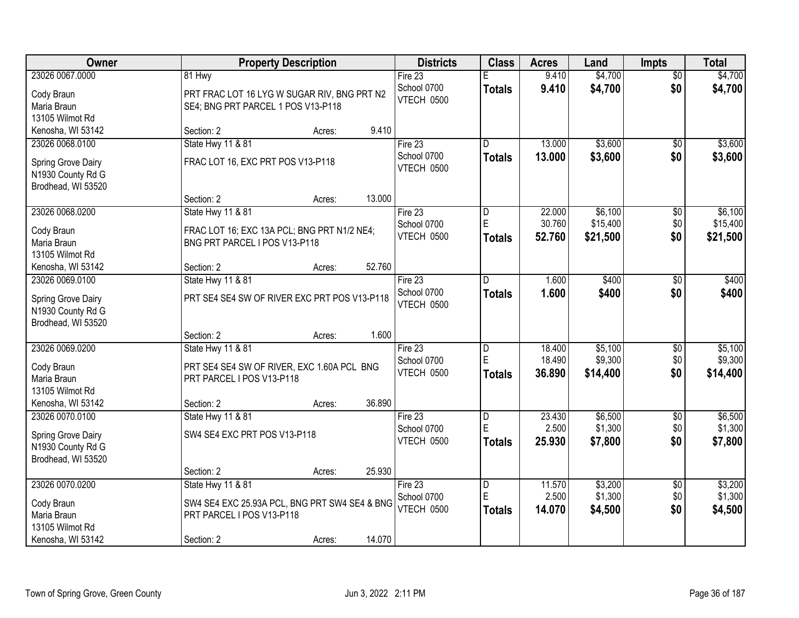| Owner              | <b>Property Description</b>                   | <b>Districts</b>  | <b>Class</b>            | <b>Acres</b> | Land     | <b>Impts</b>    | <b>Total</b> |
|--------------------|-----------------------------------------------|-------------------|-------------------------|--------------|----------|-----------------|--------------|
| 23026 0067.0000    | 81 Hwy                                        | Fire 23           | E                       | 9.410        | \$4,700  | $\overline{50}$ | \$4,700      |
| Cody Braun         | PRT FRAC LOT 16 LYG W SUGAR RIV, BNG PRT N2   | School 0700       | <b>Totals</b>           | 9.410        | \$4,700  | \$0             | \$4,700      |
| Maria Braun        | SE4; BNG PRT PARCEL 1 POS V13-P118            | VTECH 0500        |                         |              |          |                 |              |
| 13105 Wilmot Rd    |                                               |                   |                         |              |          |                 |              |
| Kenosha, WI 53142  | 9.410<br>Section: 2<br>Acres:                 |                   |                         |              |          |                 |              |
| 23026 0068.0100    | State Hwy 11 & 81                             | Fire $23$         | D                       | 13.000       | \$3,600  | \$0             | \$3,600      |
| Spring Grove Dairy | FRAC LOT 16, EXC PRT POS V13-P118             | School 0700       | Totals                  | 13.000       | \$3,600  | \$0             | \$3,600      |
| N1930 County Rd G  |                                               | VTECH 0500        |                         |              |          |                 |              |
| Brodhead, WI 53520 |                                               |                   |                         |              |          |                 |              |
|                    | 13.000<br>Section: 2<br>Acres:                |                   |                         |              |          |                 |              |
| 23026 0068.0200    | State Hwy 11 & 81                             | Fire 23           | D                       | 22.000       | \$6,100  | \$0             | \$6,100      |
| Cody Braun         | FRAC LOT 16; EXC 13A PCL; BNG PRT N1/2 NE4;   | School 0700       | E                       | 30.760       | \$15,400 | \$0             | \$15,400     |
| Maria Braun        | BNG PRT PARCEL I POS V13-P118                 | <b>VTECH 0500</b> | <b>Totals</b>           | 52.760       | \$21,500 | \$0             | \$21,500     |
| 13105 Wilmot Rd    |                                               |                   |                         |              |          |                 |              |
| Kenosha, WI 53142  | 52.760<br>Section: 2<br>Acres:                |                   |                         |              |          |                 |              |
| 23026 0069.0100    | State Hwy 11 & 81                             | Fire 23           | ID.                     | 1.600        | \$400    | \$0             | \$400        |
| Spring Grove Dairy | PRT SE4 SE4 SW OF RIVER EXC PRT POS V13-P118  | School 0700       | <b>Totals</b>           | 1.600        | \$400    | \$0             | \$400        |
| N1930 County Rd G  |                                               | VTECH 0500        |                         |              |          |                 |              |
| Brodhead, WI 53520 |                                               |                   |                         |              |          |                 |              |
|                    | 1.600<br>Section: 2<br>Acres:                 |                   |                         |              |          |                 |              |
| 23026 0069.0200    | State Hwy 11 & 81                             | Fire 23           | D                       | 18.400       | \$5,100  | \$0             | \$5,100      |
| Cody Braun         | PRT SE4 SE4 SW OF RIVER, EXC 1.60A PCL BNG    | School 0700       | E                       | 18.490       | \$9,300  | \$0             | \$9,300      |
| Maria Braun        | PRT PARCEL I POS V13-P118                     | VTECH 0500        | Totals                  | 36.890       | \$14,400 | \$0             | \$14,400     |
| 13105 Wilmot Rd    |                                               |                   |                         |              |          |                 |              |
| Kenosha, WI 53142  | 36.890<br>Section: 2<br>Acres:                |                   |                         |              |          |                 |              |
| 23026 0070.0100    | State Hwy 11 & 81                             | Fire 23           | $\overline{\mathsf{D}}$ | 23.430       | \$6,500  | $\sqrt{$0}$     | \$6,500      |
| Spring Grove Dairy | SW4 SE4 EXC PRT POS V13-P118                  | School 0700       | E                       | 2.500        | \$1,300  | \$0             | \$1,300      |
| N1930 County Rd G  |                                               | VTECH 0500        | Totals                  | 25.930       | \$7,800  | \$0             | \$7,800      |
| Brodhead, WI 53520 |                                               |                   |                         |              |          |                 |              |
|                    | 25.930<br>Section: 2<br>Acres:                |                   |                         |              |          |                 |              |
| 23026 0070.0200    | <b>State Hwy 11 &amp; 81</b>                  | Fire 23           | $\overline{\mathsf{D}}$ | 11.570       | \$3,200  | $\overline{50}$ | \$3,200      |
| Cody Braun         | SW4 SE4 EXC 25.93A PCL, BNG PRT SW4 SE4 & BNG | School 0700       | E                       | 2.500        | \$1,300  | \$0             | \$1,300      |
| Maria Braun        | PRT PARCEL I POS V13-P118                     | VTECH 0500        | <b>Totals</b>           | 14.070       | \$4,500  | \$0             | \$4,500      |
| 13105 Wilmot Rd    |                                               |                   |                         |              |          |                 |              |
| Kenosha, WI 53142  | 14.070<br>Section: 2<br>Acres:                |                   |                         |              |          |                 |              |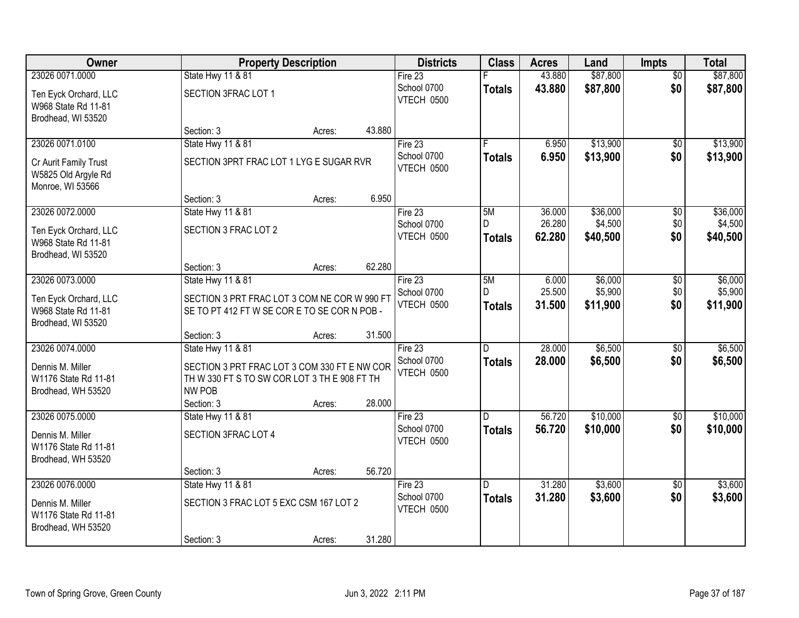| Owner                                                              |                                                                                                                             | <b>Property Description</b> |        | <b>Districts</b>          | <b>Class</b>       | <b>Acres</b>     | Land                | <b>Impts</b>    | <b>Total</b>        |
|--------------------------------------------------------------------|-----------------------------------------------------------------------------------------------------------------------------|-----------------------------|--------|---------------------------|--------------------|------------------|---------------------|-----------------|---------------------|
| 23026 0071.0000                                                    | State Hwy 11 & 81                                                                                                           |                             |        | Fire 23                   |                    | 43.880           | \$87,800            | $\overline{50}$ | \$87,800            |
| Ten Eyck Orchard, LLC<br>W968 State Rd 11-81<br>Brodhead, WI 53520 | SECTION 3FRAC LOT 1                                                                                                         |                             |        | School 0700<br>VTECH 0500 | <b>Totals</b>      | 43.880           | \$87,800            | \$0             | \$87,800            |
|                                                                    | Section: 3                                                                                                                  | Acres:                      | 43.880 |                           |                    |                  |                     |                 |                     |
| 23026 0071.0100                                                    | <b>State Hwy 11 &amp; 81</b>                                                                                                |                             |        | Fire $23$                 |                    | 6.950            | \$13,900            | \$0             | \$13,900            |
| Cr Aurit Family Trust<br>W5825 Old Argyle Rd<br>Monroe, WI 53566   | SECTION 3PRT FRAC LOT 1 LYG E SUGAR RVR                                                                                     |                             |        | School 0700<br>VTECH 0500 | <b>Totals</b>      | 6.950            | \$13,900            | \$0             | \$13,900            |
|                                                                    | Section: 3                                                                                                                  | Acres:                      | 6.950  |                           |                    |                  |                     |                 |                     |
| 23026 0072.0000                                                    | State Hwy 11 & 81                                                                                                           |                             |        | Fire 23                   | 5M                 | 36.000           | \$36,000            | \$0             | \$36,000            |
| Ten Eyck Orchard, LLC<br>W968 State Rd 11-81<br>Brodhead, WI 53520 | SECTION 3 FRAC LOT 2                                                                                                        |                             |        | School 0700<br>VTECH 0500 | D<br><b>Totals</b> | 26.280<br>62.280 | \$4,500<br>\$40,500 | \$0<br>\$0      | \$4,500<br>\$40,500 |
|                                                                    | Section: 3                                                                                                                  | Acres:                      | 62.280 |                           |                    |                  |                     |                 |                     |
| 23026 0073.0000                                                    | State Hwy 11 & 81                                                                                                           |                             |        | Fire 23                   | 5M                 | 6.000            | \$6,000             | \$0             | \$6,000             |
| Ten Eyck Orchard, LLC<br>W968 State Rd 11-81<br>Brodhead, WI 53520 | SECTION 3 PRT FRAC LOT 3 COM NE COR W 990 FT<br>SE TO PT 412 FT W SE CORE TO SE CORN POB-                                   |                             |        | School 0700<br>VTECH 0500 | D<br><b>Totals</b> | 25.500<br>31.500 | \$5,900<br>\$11,900 | \$0<br>\$0      | \$5,900<br>\$11,900 |
|                                                                    | Section: 3                                                                                                                  | Acres:                      | 31.500 |                           |                    |                  |                     |                 |                     |
| 23026 0074.0000                                                    | State Hwy 11 & 81                                                                                                           |                             |        | Fire 23                   | D                  | 28.000           | \$6,500             | \$0             | \$6,500             |
| Dennis M. Miller<br>W1176 State Rd 11-81<br>Brodhead, WH 53520     | SECTION 3 PRT FRAC LOT 3 COM 330 FT E NW COR<br>TH W 330 FT S TO SW COR LOT 3 TH E 908 FT TH<br><b>NW POB</b><br>Section: 3 | Acres:                      | 28.000 | School 0700<br>VTECH 0500 | <b>Totals</b>      | 28,000           | \$6,500             | \$0             | \$6,500             |
| 23026 0075.0000                                                    | State Hwy 11 & 81                                                                                                           |                             |        | Fire 23                   | D                  | 56.720           | \$10,000            | $\sqrt{6}$      | \$10,000            |
| Dennis M. Miller<br>W1176 State Rd 11-81<br>Brodhead, WH 53520     | SECTION 3FRAC LOT 4                                                                                                         |                             |        | School 0700<br>VTECH 0500 | <b>Totals</b>      | 56.720           | \$10,000            | \$0             | \$10,000            |
|                                                                    | Section: 3                                                                                                                  | Acres:                      | 56.720 |                           |                    |                  |                     |                 |                     |
| 23026 0076.0000                                                    | <b>State Hwy 11 &amp; 81</b>                                                                                                |                             |        | Fire $23$                 | D.                 | 31.280           | \$3,600             | $\overline{30}$ | \$3,600             |
| Dennis M. Miller<br>W1176 State Rd 11-81<br>Brodhead, WH 53520     | SECTION 3 FRAC LOT 5 EXC CSM 167 LOT 2                                                                                      |                             |        | School 0700<br>VTECH 0500 | <b>Totals</b>      | 31.280           | \$3,600             | \$0             | \$3,600             |
|                                                                    | Section: 3                                                                                                                  | Acres:                      | 31.280 |                           |                    |                  |                     |                 |                     |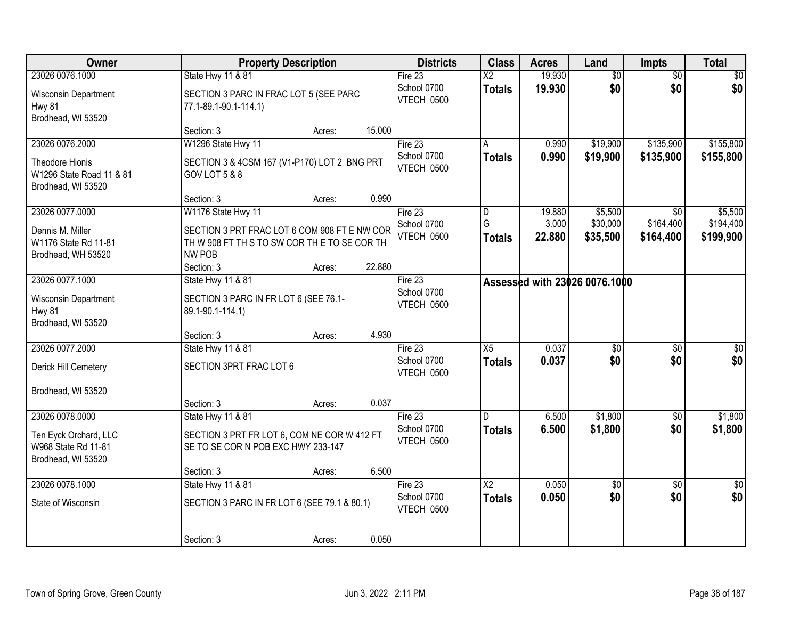| Owner                                                                                |                                                                                                                                                  | <b>Property Description</b> |        | <b>Districts</b>                            | <b>Class</b>                            | <b>Acres</b>              | Land                            | <b>Impts</b>                              | <b>Total</b>                      |
|--------------------------------------------------------------------------------------|--------------------------------------------------------------------------------------------------------------------------------------------------|-----------------------------|--------|---------------------------------------------|-----------------------------------------|---------------------------|---------------------------------|-------------------------------------------|-----------------------------------|
| 23026 0076.1000                                                                      | State Hwy 11 & 81                                                                                                                                |                             |        | Fire 23                                     | $\overline{X2}$                         | 19.930                    | $\overline{50}$                 | $\overline{50}$                           | $\overline{30}$                   |
| Wisconsin Department<br>Hwy 81<br>Brodhead, WI 53520                                 | SECTION 3 PARC IN FRAC LOT 5 (SEE PARC<br>77.1-89.1-90.1-114.1)                                                                                  |                             |        | School 0700<br>VTECH 0500                   | <b>Totals</b>                           | 19.930                    | \$0                             | \$0                                       | \$0                               |
|                                                                                      | Section: 3                                                                                                                                       | Acres:                      | 15.000 |                                             |                                         |                           |                                 |                                           |                                   |
| 23026 0076.2000<br>Theodore Hionis<br>W1296 State Road 11 & 81<br>Brodhead, WI 53520 | W1296 State Hwy 11<br>SECTION 3 & 4CSM 167 (V1-P170) LOT 2 BNG PRT<br>GOV LOT 5 & 8                                                              |                             |        | Fire 23<br>School 0700<br>VTECH 0500        | А<br><b>Totals</b>                      | 0.990<br>0.990            | \$19,900<br>\$19,900            | \$135,900<br>\$135,900                    | \$155,800<br>\$155,800            |
|                                                                                      | Section: 3                                                                                                                                       | Acres:                      | 0.990  |                                             |                                         |                           |                                 |                                           |                                   |
| 23026 0077.0000<br>Dennis M. Miller<br>W1176 State Rd 11-81<br>Brodhead, WH 53520    | W1176 State Hwy 11<br>SECTION 3 PRT FRAC LOT 6 COM 908 FT E NW COR<br>TH W 908 FT TH S TO SW COR THE TO SE COR TH<br><b>NW POB</b><br>Section: 3 | Acres:                      | 22.880 | Fire 23<br>School 0700<br><b>VTECH 0500</b> | D<br>G<br><b>Totals</b>                 | 19.880<br>3.000<br>22.880 | \$5,500<br>\$30,000<br>\$35,500 | $\overline{50}$<br>\$164,400<br>\$164,400 | \$5,500<br>\$194,400<br>\$199,900 |
| 23026 0077.1000                                                                      | State Hwy 11 & 81                                                                                                                                |                             |        | Fire $23$                                   |                                         |                           | Assessed with 23026 0076,1000   |                                           |                                   |
| Wisconsin Department<br>Hwy 81<br>Brodhead, WI 53520                                 | SECTION 3 PARC IN FR LOT 6 (SEE 76.1-<br>89.1-90.1-114.1)                                                                                        |                             |        | School 0700<br>VTECH 0500                   |                                         |                           |                                 |                                           |                                   |
|                                                                                      | Section: 3                                                                                                                                       | Acres:                      | 4.930  |                                             | $\overline{X5}$                         |                           |                                 |                                           |                                   |
| 23026 0077.2000<br>Derick Hill Cemetery                                              | State Hwy 11 & 81<br>SECTION 3PRT FRAC LOT 6                                                                                                     |                             |        | Fire 23<br>School 0700<br>VTECH 0500        | <b>Totals</b>                           | 0.037<br>0.037            | $\overline{50}$<br>\$0          | $\overline{50}$<br>\$0                    | \$0<br>\$0                        |
| Brodhead, WI 53520                                                                   | Section: 3                                                                                                                                       | Acres:                      | 0.037  |                                             |                                         |                           |                                 |                                           |                                   |
| 23026 0078.0000                                                                      | State Hwy 11 & 81                                                                                                                                |                             |        | Fire 23                                     | D.                                      | 6.500                     | \$1,800                         | $\overline{60}$                           | \$1,800                           |
| Ten Eyck Orchard, LLC<br>W968 State Rd 11-81<br>Brodhead, WI 53520                   | SECTION 3 PRT FR LOT 6, COM NE COR W 412 FT<br>SE TO SE COR N POB EXC HWY 233-147                                                                |                             |        | School 0700<br>VTECH 0500                   | <b>Totals</b>                           | 6.500                     | \$1,800                         | \$0                                       | \$1,800                           |
|                                                                                      | Section: 3                                                                                                                                       | Acres:                      | 6.500  |                                             |                                         |                           |                                 |                                           |                                   |
| 23026 0078.1000<br>State of Wisconsin                                                | State Hwy 11 & 81<br>SECTION 3 PARC IN FR LOT 6 (SEE 79.1 & 80.1)                                                                                |                             |        | Fire 23<br>School 0700<br>VTECH 0500        | $\overline{\text{X2}}$<br><b>Totals</b> | 0.050<br>0.050            | $\overline{50}$<br>\$0          | $\overline{50}$<br>\$0                    | $\frac{1}{2}$<br>\$0              |
|                                                                                      | Section: 3                                                                                                                                       | Acres:                      | 0.050  |                                             |                                         |                           |                                 |                                           |                                   |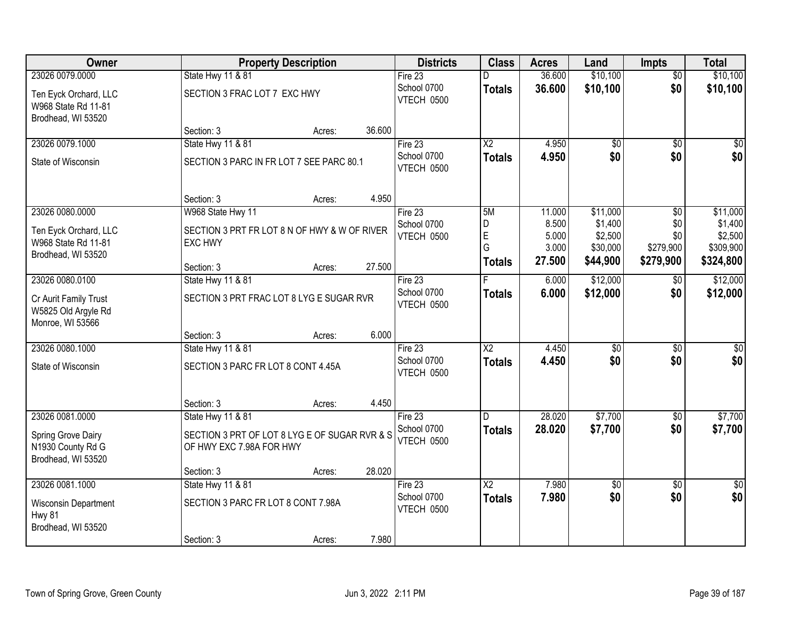| Owner                                                              |                                                                           | <b>Property Description</b> |        | <b>Districts</b>          | <b>Class</b>             | <b>Acres</b>   | Land               | <b>Impts</b>    | <b>Total</b>       |
|--------------------------------------------------------------------|---------------------------------------------------------------------------|-----------------------------|--------|---------------------------|--------------------------|----------------|--------------------|-----------------|--------------------|
| 23026 0079,0000                                                    | State Hwy 11 & 81                                                         |                             |        | Fire 23                   | D                        | 36.600         | \$10,100           | $\overline{60}$ | \$10,100           |
| Ten Eyck Orchard, LLC<br>W968 State Rd 11-81<br>Brodhead, WI 53520 | SECTION 3 FRAC LOT 7 EXC HWY                                              |                             |        | School 0700<br>VTECH 0500 | <b>Totals</b>            | 36.600         | \$10,100           | \$0             | \$10,100           |
|                                                                    | Section: 3                                                                | Acres:                      | 36.600 |                           |                          |                |                    |                 |                    |
| 23026 0079.1000                                                    | <b>State Hwy 11 &amp; 81</b>                                              |                             |        | Fire $23$                 | $\overline{\mathsf{X2}}$ | 4.950          | \$0                | $\overline{50}$ | \$0                |
| State of Wisconsin                                                 | SECTION 3 PARC IN FR LOT 7 SEE PARC 80.1                                  |                             |        | School 0700<br>VTECH 0500 | <b>Totals</b>            | 4.950          | \$0                | \$0             | \$0                |
|                                                                    | Section: 3                                                                | Acres:                      | 4.950  |                           |                          |                |                    |                 |                    |
| 23026 0080.0000                                                    | W968 State Hwy 11                                                         |                             |        | Fire 23                   | 5M                       | 11.000         | \$11,000           | \$0             | \$11,000           |
| Ten Eyck Orchard, LLC                                              | SECTION 3 PRT FR LOT 8 N OF HWY & W OF RIVER                              |                             |        | School 0700               | D<br>E                   | 8.500<br>5.000 | \$1,400<br>\$2,500 | \$0<br>\$0      | \$1,400<br>\$2,500 |
| W968 State Rd 11-81                                                | <b>EXC HWY</b>                                                            |                             |        | VTECH 0500                | G                        | 3.000          | \$30,000           | \$279,900       | \$309,900          |
| Brodhead, WI 53520                                                 |                                                                           |                             |        |                           | <b>Totals</b>            | 27.500         | \$44,900           | \$279,900       | \$324,800          |
| 23026 0080.0100                                                    | Section: 3<br>State Hwy 11 & 81                                           | Acres:                      | 27.500 | Fire 23                   |                          | 6.000          | \$12,000           | $\sqrt{6}$      | \$12,000           |
|                                                                    |                                                                           |                             |        | School 0700               | <b>Totals</b>            | 6.000          | \$12,000           | \$0             | \$12,000           |
| Cr Aurit Family Trust<br>W5825 Old Argyle Rd<br>Monroe, WI 53566   | SECTION 3 PRT FRAC LOT 8 LYG E SUGAR RVR                                  |                             |        | VTECH 0500                |                          |                |                    |                 |                    |
|                                                                    | Section: 3                                                                | Acres:                      | 6.000  |                           |                          |                |                    |                 |                    |
| 23026 0080.1000                                                    | State Hwy 11 & 81                                                         |                             |        | Fire 23                   | $\overline{\text{X2}}$   | 4.450          | \$0                | $\overline{50}$ | \$0                |
| State of Wisconsin                                                 | SECTION 3 PARC FR LOT 8 CONT 4.45A                                        |                             |        | School 0700<br>VTECH 0500 | <b>Totals</b>            | 4.450          | \$0                | \$0             | \$0                |
|                                                                    | Section: 3                                                                | Acres:                      | 4.450  |                           |                          |                |                    |                 |                    |
| 23026 0081.0000                                                    | State Hwy 11 & 81                                                         |                             |        | Fire 23                   | D                        | 28.020         | \$7,700            | $\sqrt{6}$      | \$7,700            |
| Spring Grove Dairy<br>N1930 County Rd G<br>Brodhead, WI 53520      | SECTION 3 PRT OF LOT 8 LYG E OF SUGAR RVR & S<br>OF HWY EXC 7.98A FOR HWY |                             |        | School 0700<br>VTECH 0500 | <b>Totals</b>            | 28.020         | \$7,700            | \$0             | \$7,700            |
|                                                                    | Section: 3                                                                | Acres:                      | 28.020 |                           |                          |                |                    |                 |                    |
| 23026 0081.1000                                                    | <b>State Hwy 11 &amp; 81</b>                                              |                             |        | Fire $23$                 | $\overline{\text{X2}}$   | 7.980          | $\overline{50}$    | $\overline{30}$ | $\overline{50}$    |
| <b>Wisconsin Department</b><br>Hwy 81                              | SECTION 3 PARC FR LOT 8 CONT 7.98A                                        |                             |        | School 0700<br>VTECH 0500 | <b>Totals</b>            | 7.980          | \$0                | \$0             | \$0                |
| Brodhead, WI 53520                                                 | Section: 3                                                                | Acres:                      | 7.980  |                           |                          |                |                    |                 |                    |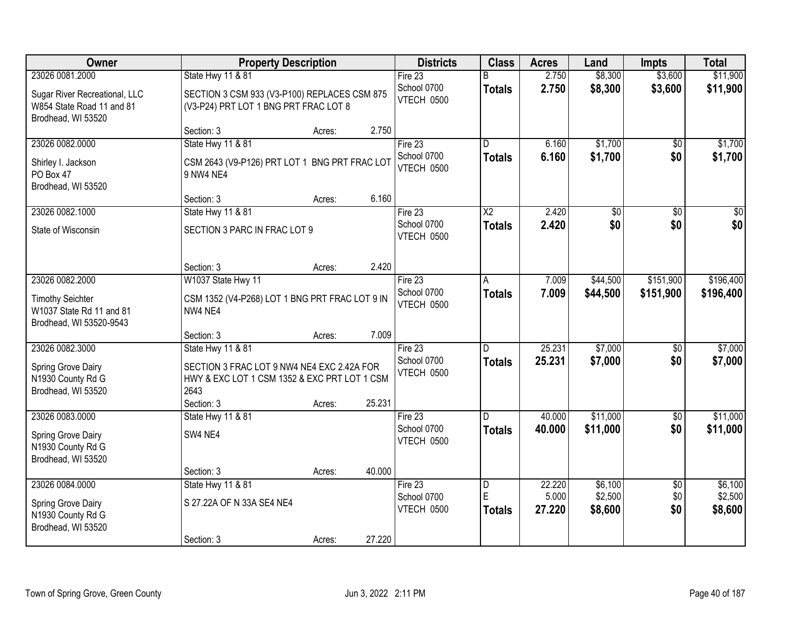| Owner                                                                            |                                                                                                    | <b>Property Description</b> |        | <b>Districts</b>                 | <b>Class</b>       | <b>Acres</b>    | Land               | <b>Impts</b>    | <b>Total</b>       |
|----------------------------------------------------------------------------------|----------------------------------------------------------------------------------------------------|-----------------------------|--------|----------------------------------|--------------------|-----------------|--------------------|-----------------|--------------------|
| 23026 0081.2000                                                                  | State Hwy 11 & 81                                                                                  |                             |        | Fire 23                          | R                  | 2.750           | \$8,300            | \$3,600         | \$11,900           |
| Sugar River Recreational, LLC<br>W854 State Road 11 and 81<br>Brodhead, WI 53520 | SECTION 3 CSM 933 (V3-P100) REPLACES CSM 875<br>(V3-P24) PRT LOT 1 BNG PRT FRAC LOT 8              |                             |        | School 0700<br>VTECH 0500        | <b>Totals</b>      | 2.750           | \$8,300            | \$3,600         | \$11,900           |
|                                                                                  | Section: 3                                                                                         | Acres:                      | 2.750  |                                  |                    |                 |                    |                 |                    |
| 23026 0082.0000                                                                  | State Hwy 11 & 81                                                                                  |                             |        | Fire 23                          | D                  | 6.160           | \$1,700            | $\overline{50}$ | \$1,700            |
| Shirley I. Jackson<br>PO Box 47<br>Brodhead, WI 53520                            | CSM 2643 (V9-P126) PRT LOT 1 BNG PRT FRAC LOT<br>9 NW4 NE4                                         |                             |        | School 0700<br>VTECH 0500        | <b>Totals</b>      | 6.160           | \$1,700            | \$0             | \$1,700            |
|                                                                                  | Section: 3                                                                                         | Acres:                      | 6.160  |                                  |                    |                 |                    |                 |                    |
| 23026 0082.1000                                                                  | State Hwy 11 & 81                                                                                  |                             |        | Fire 23                          | $\overline{X2}$    | 2.420           | $\overline{50}$    | \$0             | $\overline{50}$    |
| State of Wisconsin                                                               | SECTION 3 PARC IN FRAC LOT 9                                                                       |                             |        | School 0700<br>VTECH 0500        | <b>Totals</b>      | 2.420           | \$0                | \$0             | \$0                |
|                                                                                  | Section: 3                                                                                         | Acres:                      | 2.420  |                                  |                    |                 |                    |                 |                    |
| 23026 0082.2000                                                                  | W1037 State Hwy 11                                                                                 |                             |        | Fire 23                          | A                  | 7.009           | \$44,500           | \$151,900       | \$196,400          |
| <b>Timothy Seichter</b><br>W1037 State Rd 11 and 81<br>Brodhead, WI 53520-9543   | CSM 1352 (V4-P268) LOT 1 BNG PRT FRAC LOT 9 IN<br>NW4 NE4                                          |                             |        | School 0700<br>VTECH 0500        | <b>Totals</b>      | 7.009           | \$44,500           | \$151,900       | \$196,400          |
|                                                                                  | Section: 3                                                                                         | Acres:                      | 7.009  |                                  |                    |                 |                    |                 |                    |
| 23026 0082.3000                                                                  | State Hwy 11 & 81                                                                                  |                             |        | Fire 23                          | D                  | 25.231          | \$7,000            | $\overline{50}$ | \$7,000            |
| Spring Grove Dairy<br>N1930 County Rd G<br>Brodhead, WI 53520                    | SECTION 3 FRAC LOT 9 NW4 NE4 EXC 2.42A FOR<br>HWY & EXC LOT 1 CSM 1352 & EXC PRT LOT 1 CSM<br>2643 |                             | 25.231 | School 0700<br>VTECH 0500        | <b>Totals</b>      | 25.231          | \$7,000            | \$0             | \$7,000            |
| 23026 0083.0000                                                                  | Section: 3<br>State Hwy 11 & 81                                                                    | Acres:                      |        | Fire $23$                        | D.                 | 40.000          | \$11,000           | $\sqrt{6}$      | \$11,000           |
| Spring Grove Dairy<br>N1930 County Rd G<br>Brodhead, WI 53520                    | SW4 NE4                                                                                            |                             |        | School 0700<br>VTECH 0500        | <b>Totals</b>      | 40.000          | \$11,000           | \$0             | \$11,000           |
|                                                                                  | Section: 3                                                                                         | Acres:                      | 40.000 |                                  |                    |                 |                    |                 |                    |
| 23026 0084.0000                                                                  | State Hwy 11 & 81                                                                                  |                             |        | Fire $23$                        | $\overline{D}$     | 22.220          | \$6,100            | $\overline{50}$ | \$6,100            |
| Spring Grove Dairy<br>N1930 County Rd G<br>Brodhead, WI 53520                    | S 27.22A OF N 33A SE4 NE4                                                                          |                             |        | School 0700<br><b>VTECH 0500</b> | E<br><b>Totals</b> | 5.000<br>27.220 | \$2,500<br>\$8,600 | \$0<br>\$0      | \$2,500<br>\$8,600 |
|                                                                                  | Section: 3                                                                                         | Acres:                      | 27.220 |                                  |                    |                 |                    |                 |                    |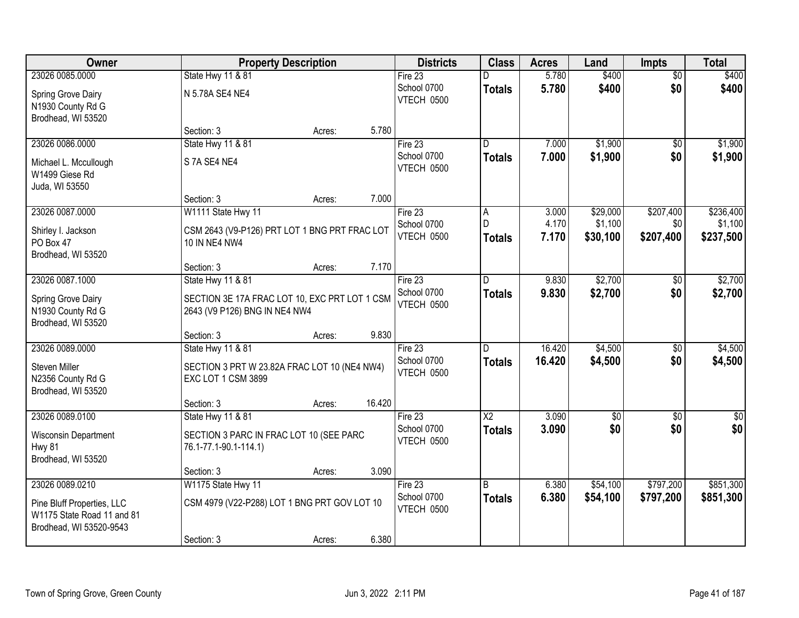| Owner                                                                               |                                                                                | <b>Property Description</b> |        | <b>Districts</b>                 | <b>Class</b>            | <b>Acres</b>   | Land                | <b>Impts</b>     | <b>Total</b>         |
|-------------------------------------------------------------------------------------|--------------------------------------------------------------------------------|-----------------------------|--------|----------------------------------|-------------------------|----------------|---------------------|------------------|----------------------|
| 23026 0085.0000                                                                     | State Hwy 11 & 81                                                              |                             |        | Fire $23$                        |                         | 5.780          | \$400               | $\overline{50}$  | \$400                |
| Spring Grove Dairy<br>N1930 County Rd G<br>Brodhead, WI 53520                       | N 5.78A SE4 NE4                                                                |                             |        | School 0700<br>VTECH 0500        | <b>Totals</b>           | 5.780          | \$400               | \$0              | \$400                |
|                                                                                     | Section: 3                                                                     | Acres:                      | 5.780  |                                  |                         |                |                     |                  |                      |
| 23026 0086.0000                                                                     | State Hwy 11 & 81                                                              |                             |        | Fire 23                          | $\overline{\mathsf{n}}$ | 7.000          | \$1,900             | \$0              | \$1,900              |
| Michael L. Mccullough<br>W1499 Giese Rd<br>Juda, WI 53550                           | S 7A SE4 NE4                                                                   |                             |        | School 0700<br>VTECH 0500        | <b>Totals</b>           | 7.000          | \$1,900             | \$0              | \$1,900              |
|                                                                                     | Section: 3                                                                     | Acres:                      | 7.000  |                                  |                         |                |                     |                  |                      |
| 23026 0087.0000                                                                     | W1111 State Hwy 11                                                             |                             |        | Fire 23                          | A                       | 3.000          | \$29,000            | \$207,400        | \$236,400            |
| Shirley I. Jackson<br>PO Box 47<br>Brodhead, WI 53520                               | CSM 2643 (V9-P126) PRT LOT 1 BNG PRT FRAC LOT<br><b>10 IN NE4 NW4</b>          |                             |        | School 0700<br>VTECH 0500        | D<br><b>Totals</b>      | 4.170<br>7.170 | \$1,100<br>\$30,100 | \$0<br>\$207,400 | \$1,100<br>\$237,500 |
|                                                                                     | Section: 3                                                                     | Acres:                      | 7.170  |                                  |                         |                |                     |                  |                      |
| 23026 0087.1000                                                                     | State Hwy 11 & 81                                                              |                             |        | Fire $23$                        | ID.                     | 9.830          | \$2,700             | \$0              | \$2,700              |
| Spring Grove Dairy<br>N1930 County Rd G<br>Brodhead, WI 53520                       | SECTION 3E 17A FRAC LOT 10, EXC PRT LOT 1 CSM<br>2643 (V9 P126) BNG IN NE4 NW4 |                             |        | School 0700<br>VTECH 0500        | <b>Totals</b>           | 9.830          | \$2,700             | \$0              | \$2,700              |
|                                                                                     | Section: 3                                                                     | Acres:                      | 9.830  |                                  |                         |                |                     |                  |                      |
| 23026 0089.0000                                                                     | State Hwy 11 & 81                                                              |                             |        | Fire $23$                        | D                       | 16.420         | \$4,500             | \$0              | \$4,500              |
| Steven Miller<br>N2356 County Rd G<br>Brodhead, WI 53520                            | SECTION 3 PRT W 23.82A FRAC LOT 10 (NE4 NW4)<br>EXC LOT 1 CSM 3899             |                             |        | School 0700<br><b>VTECH 0500</b> | <b>Totals</b>           | 16.420         | \$4,500             | \$0              | \$4,500              |
|                                                                                     | Section: 3                                                                     | Acres:                      | 16.420 |                                  |                         |                |                     |                  |                      |
| 23026 0089.0100                                                                     | State Hwy 11 & 81                                                              |                             |        | Fire 23                          | $\overline{X2}$         | 3.090          | $\sqrt{$0}$         | \$0              | $\sqrt{30}$          |
| Wisconsin Department<br><b>Hwy 81</b><br>Brodhead, WI 53520                         | SECTION 3 PARC IN FRAC LOT 10 (SEE PARC<br>76.1-77.1-90.1-114.1)               |                             |        | School 0700<br>VTECH 0500        | <b>Totals</b>           | 3.090          | \$0                 | \$0              | \$0                  |
|                                                                                     | Section: 3                                                                     | Acres:                      | 3.090  |                                  |                         |                |                     |                  |                      |
| 23026 0089.0210                                                                     | W1175 State Hwy 11                                                             |                             |        | Fire 23                          | B                       | 6.380          | \$54,100            | \$797,200        | \$851,300            |
| Pine Bluff Properties, LLC<br>W1175 State Road 11 and 81<br>Brodhead, WI 53520-9543 | CSM 4979 (V22-P288) LOT 1 BNG PRT GOV LOT 10                                   |                             |        | School 0700<br>VTECH 0500        | <b>Totals</b>           | 6.380          | \$54,100            | \$797,200        | \$851,300            |
|                                                                                     | Section: 3                                                                     | Acres:                      | 6.380  |                                  |                         |                |                     |                  |                      |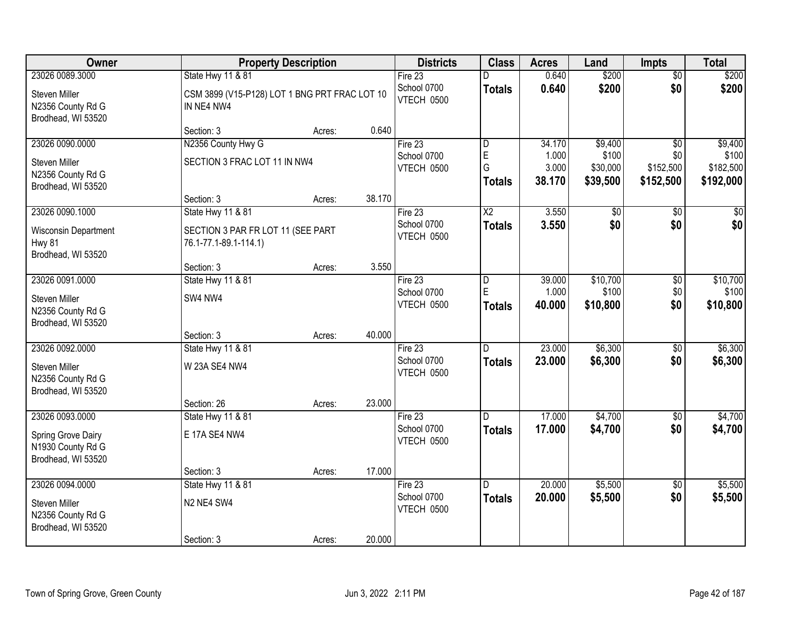| Owner                                                                       |                                                                                 | <b>Property Description</b> |        | <b>Districts</b>                     | <b>Class</b>                       | <b>Acres</b>             | Land                          | <b>Impts</b>                  | <b>Total</b>                    |
|-----------------------------------------------------------------------------|---------------------------------------------------------------------------------|-----------------------------|--------|--------------------------------------|------------------------------------|--------------------------|-------------------------------|-------------------------------|---------------------------------|
| 23026 0089.3000                                                             | State Hwy 11 & 81                                                               |                             |        | Fire 23                              | D                                  | 0.640                    | \$200                         | $\overline{50}$               | \$200                           |
| Steven Miller<br>N2356 County Rd G<br>Brodhead, WI 53520                    | CSM 3899 (V15-P128) LOT 1 BNG PRT FRAC LOT 10<br>IN NE4 NW4                     |                             |        | School 0700<br>VTECH 0500            | <b>Totals</b>                      | 0.640                    | \$200                         | \$0                           | \$200                           |
|                                                                             | Section: 3                                                                      | Acres:                      | 0.640  |                                      |                                    |                          |                               |                               |                                 |
| 23026 0090.0000                                                             | N2356 County Hwy G                                                              |                             |        | Fire $23$                            | D                                  | 34.170                   | \$9,400                       | $\overline{50}$               | \$9,400                         |
| Steven Miller<br>N2356 County Rd G                                          | SECTION 3 FRAC LOT 11 IN NW4                                                    |                             |        | School 0700<br>VTECH 0500            | $\mathsf{E}$<br>G<br><b>Totals</b> | 1.000<br>3.000<br>38.170 | \$100<br>\$30,000<br>\$39,500 | \$0<br>\$152,500<br>\$152,500 | \$100<br>\$182,500<br>\$192,000 |
| Brodhead, WI 53520                                                          |                                                                                 |                             |        |                                      |                                    |                          |                               |                               |                                 |
| 23026 0090.1000                                                             | Section: 3                                                                      | Acres:                      | 38.170 |                                      |                                    |                          |                               |                               |                                 |
| Wisconsin Department<br><b>Hwy 81</b><br>Brodhead, WI 53520                 | State Hwy 11 & 81<br>SECTION 3 PAR FR LOT 11 (SEE PART<br>76.1-77.1-89.1-114.1) |                             |        | Fire 23<br>School 0700<br>VTECH 0500 | $\overline{X2}$<br><b>Totals</b>   | 3.550<br>3.550           | $\overline{50}$<br>\$0        | \$0<br>\$0                    | \$0<br>\$0                      |
|                                                                             | Section: 3                                                                      | Acres:                      | 3.550  |                                      |                                    |                          |                               |                               |                                 |
| 23026 0091.0000                                                             | State Hwy 11 & 81                                                               |                             |        | Fire 23                              | l D                                | 39.000                   | \$10,700                      | \$0                           | \$10,700                        |
| Steven Miller<br>N2356 County Rd G<br>Brodhead, WI 53520                    | SW4 NW4                                                                         |                             |        | School 0700<br>VTECH 0500            | E<br><b>Totals</b>                 | 1.000<br>40.000          | \$100<br>\$10,800             | \$0<br>\$0                    | \$100<br>\$10,800               |
|                                                                             | Section: 3                                                                      | Acres:                      | 40.000 |                                      |                                    |                          |                               |                               |                                 |
| 23026 0092.0000<br>Steven Miller<br>N2356 County Rd G<br>Brodhead, WI 53520 | State Hwy 11 & 81<br>W 23A SE4 NW4                                              |                             |        | Fire 23<br>School 0700<br>VTECH 0500 | D<br><b>Totals</b>                 | 23.000<br>23,000         | \$6,300<br>\$6,300            | \$0<br>\$0                    | \$6,300<br>\$6,300              |
|                                                                             | Section: 26                                                                     | Acres:                      | 23.000 |                                      |                                    |                          |                               |                               |                                 |
| 23026 0093.0000                                                             | State Hwy 11 & 81                                                               |                             |        | Fire 23                              | D.                                 | 17.000                   | \$4,700                       | \$0                           | \$4,700                         |
| Spring Grove Dairy<br>N1930 County Rd G<br>Brodhead, WI 53520               | E 17A SE4 NW4                                                                   |                             |        | School 0700<br>VTECH 0500            | <b>Totals</b>                      | 17.000                   | \$4,700                       | \$0                           | \$4,700                         |
|                                                                             | Section: 3                                                                      | Acres:                      | 17.000 |                                      |                                    |                          |                               |                               |                                 |
| 23026 0094.0000                                                             | <b>State Hwy 11 &amp; 81</b>                                                    |                             |        | Fire 23                              | D.                                 | 20.000                   | \$5,500                       | $\overline{50}$               | \$5,500                         |
| Steven Miller<br>N2356 County Rd G<br>Brodhead, WI 53520                    | N2 NE4 SW4                                                                      |                             |        | School 0700<br>VTECH 0500            | <b>Totals</b>                      | 20.000                   | \$5,500                       | \$0                           | \$5,500                         |
|                                                                             | Section: 3                                                                      | Acres:                      | 20.000 |                                      |                                    |                          |                               |                               |                                 |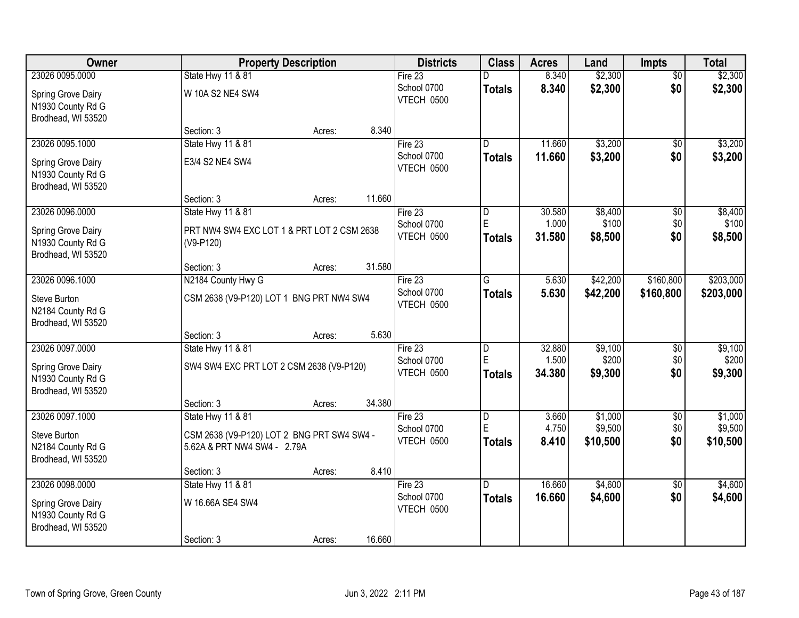| Owner                                                                            |                                                                              | <b>Property Description</b> |        | <b>Districts</b>                            | <b>Class</b>            | <b>Acres</b>              | Land                        | <b>Impts</b>      | <b>Total</b>                |
|----------------------------------------------------------------------------------|------------------------------------------------------------------------------|-----------------------------|--------|---------------------------------------------|-------------------------|---------------------------|-----------------------------|-------------------|-----------------------------|
| 23026 0095.0000                                                                  | State Hwy 11 & 81                                                            |                             |        | Fire $23$                                   |                         | 8.340                     | \$2,300                     | $\overline{50}$   | \$2,300                     |
| Spring Grove Dairy<br>N1930 County Rd G                                          | W 10A S2 NE4 SW4                                                             |                             |        | School 0700<br>VTECH 0500                   | <b>Totals</b>           | 8.340                     | \$2,300                     | \$0               | \$2,300                     |
| Brodhead, WI 53520                                                               | Section: 3                                                                   | Acres:                      | 8.340  |                                             |                         |                           |                             |                   |                             |
| 23026 0095.1000                                                                  | <b>State Hwy 11 &amp; 81</b>                                                 |                             |        | Fire 23                                     | D.                      | 11.660                    | \$3,200                     | \$0               | \$3,200                     |
| Spring Grove Dairy<br>N1930 County Rd G<br>Brodhead, WI 53520                    | E3/4 S2 NE4 SW4                                                              |                             |        | School 0700<br>VTECH 0500                   | <b>Totals</b>           | 11.660                    | \$3,200                     | \$0               | \$3,200                     |
|                                                                                  | Section: 3                                                                   | Acres:                      | 11.660 |                                             |                         |                           |                             |                   |                             |
| 23026 0096.0000<br>Spring Grove Dairy<br>N1930 County Rd G<br>Brodhead, WI 53520 | State Hwy 11 & 81<br>PRT NW4 SW4 EXC LOT 1 & PRT LOT 2 CSM 2638<br>(V9-P120) |                             |        | Fire 23<br>School 0700<br><b>VTECH 0500</b> | D<br>E<br><b>Totals</b> | 30.580<br>1.000<br>31.580 | \$8,400<br>\$100<br>\$8,500 | \$0<br>\$0<br>\$0 | \$8,400<br>\$100<br>\$8,500 |
|                                                                                  | Section: 3                                                                   | Acres:                      | 31.580 |                                             |                         |                           |                             |                   |                             |
| 23026 0096.1000                                                                  | N2184 County Hwy G                                                           |                             |        | Fire 23                                     | G                       | 5.630                     | \$42,200                    | \$160,800         | \$203,000                   |
| Steve Burton<br>N2184 County Rd G<br>Brodhead, WI 53520                          | CSM 2638 (V9-P120) LOT 1 BNG PRT NW4 SW4                                     |                             |        | School 0700<br>VTECH 0500                   | <b>Totals</b>           | 5.630                     | \$42,200                    | \$160,800         | \$203,000                   |
|                                                                                  | Section: 3                                                                   | Acres:                      | 5.630  |                                             |                         |                           |                             |                   |                             |
| 23026 0097.0000                                                                  | <b>State Hwy 11 &amp; 81</b>                                                 |                             |        | Fire 23                                     | $\overline{\mathsf{D}}$ | 32.880                    | \$9,100                     | \$0               | \$9,100                     |
| Spring Grove Dairy<br>N1930 County Rd G<br>Brodhead, WI 53520                    | SW4 SW4 EXC PRT LOT 2 CSM 2638 (V9-P120)                                     |                             |        | School 0700<br>VTECH 0500                   | E<br>Totals             | 1.500<br>34.380           | \$200<br>\$9,300            | \$0<br>\$0        | \$200<br>\$9,300            |
|                                                                                  | Section: 3                                                                   | Acres:                      | 34.380 |                                             |                         |                           |                             |                   |                             |
| 23026 0097.1000                                                                  | State Hwy 11 & 81                                                            |                             |        | Fire 23                                     | $\overline{\mathsf{D}}$ | 3.660                     | \$1,000                     | $\overline{50}$   | \$1,000                     |
| Steve Burton<br>N2184 County Rd G<br>Brodhead, WI 53520                          | CSM 2638 (V9-P120) LOT 2 BNG PRT SW4 SW4 -<br>5.62A & PRT NW4 SW4 - 2.79A    |                             |        | School 0700<br>VTECH 0500                   | ΙE<br><b>Totals</b>     | 4.750<br>8.410            | \$9,500<br>\$10,500         | \$0<br>\$0        | \$9,500<br>\$10,500         |
|                                                                                  | Section: 3                                                                   | Acres:                      | 8.410  |                                             |                         |                           |                             |                   |                             |
| 23026 0098.0000                                                                  | State Hwy 11 & 81                                                            |                             |        | Fire 23                                     | $\overline{D}$          | 16.660                    | \$4,600                     | $\overline{50}$   | \$4,600                     |
| Spring Grove Dairy<br>N1930 County Rd G<br>Brodhead, WI 53520                    | W 16.66A SE4 SW4                                                             |                             |        | School 0700<br>VTECH 0500                   | <b>Totals</b>           | 16.660                    | \$4,600                     | \$0               | \$4,600                     |
|                                                                                  | Section: 3                                                                   | Acres:                      | 16.660 |                                             |                         |                           |                             |                   |                             |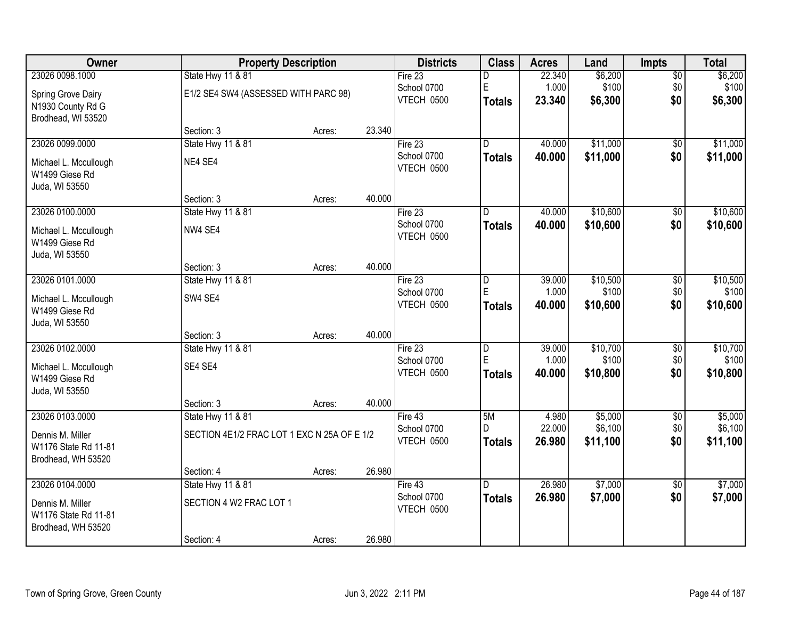| Owner                 |                                             | <b>Property Description</b> |        | <b>Districts</b> | <b>Class</b>            | <b>Acres</b> | Land     | <b>Impts</b>    | <b>Total</b> |
|-----------------------|---------------------------------------------|-----------------------------|--------|------------------|-------------------------|--------------|----------|-----------------|--------------|
| 23026 0098.1000       | State Hwy 11 & 81                           |                             |        | Fire 23          | D                       | 22.340       | \$6,200  | $\overline{50}$ | \$6,200      |
| Spring Grove Dairy    | E1/2 SE4 SW4 (ASSESSED WITH PARC 98)        |                             |        | School 0700      | $\mathsf E$             | 1.000        | \$100    | \$0             | \$100        |
| N1930 County Rd G     |                                             |                             |        | VTECH 0500       | <b>Totals</b>           | 23.340       | \$6,300  | \$0             | \$6,300      |
| Brodhead, WI 53520    |                                             |                             |        |                  |                         |              |          |                 |              |
|                       | Section: 3                                  | Acres:                      | 23.340 |                  |                         |              |          |                 |              |
| 23026 0099.0000       | <b>State Hwy 11 &amp; 81</b>                |                             |        | Fire 23          | $\overline{\mathsf{n}}$ | 40.000       | \$11,000 | $\overline{50}$ | \$11,000     |
| Michael L. Mccullough | NE4 SE4                                     |                             |        | School 0700      | <b>Totals</b>           | 40.000       | \$11,000 | \$0             | \$11,000     |
| W1499 Giese Rd        |                                             |                             |        | VTECH 0500       |                         |              |          |                 |              |
| Juda, WI 53550        |                                             |                             |        |                  |                         |              |          |                 |              |
|                       | Section: 3                                  | Acres:                      | 40.000 |                  |                         |              |          |                 |              |
| 23026 0100.0000       | State Hwy 11 & 81                           |                             |        | Fire 23          | D                       | 40.000       | \$10,600 | \$0             | \$10,600     |
| Michael L. Mccullough | NW4 SE4                                     |                             |        | School 0700      | <b>Totals</b>           | 40.000       | \$10,600 | \$0             | \$10,600     |
| W1499 Giese Rd        |                                             |                             |        | VTECH 0500       |                         |              |          |                 |              |
| Juda, WI 53550        |                                             |                             |        |                  |                         |              |          |                 |              |
|                       | Section: 3                                  | Acres:                      | 40.000 |                  |                         |              |          |                 |              |
| 23026 0101.0000       | State Hwy 11 & 81                           |                             |        | Fire 23          | D                       | 39.000       | \$10,500 | \$0             | \$10,500     |
| Michael L. Mccullough | SW4 SE4                                     |                             |        | School 0700      | E                       | 1.000        | \$100    | \$0             | \$100        |
| W1499 Giese Rd        |                                             |                             |        | VTECH 0500       | <b>Totals</b>           | 40.000       | \$10,600 | \$0             | \$10,600     |
| Juda, WI 53550        |                                             |                             |        |                  |                         |              |          |                 |              |
|                       | Section: 3                                  | Acres:                      | 40.000 |                  |                         |              |          |                 |              |
| 23026 0102.0000       | <b>State Hwy 11 &amp; 81</b>                |                             |        | Fire 23          | $\overline{\mathsf{D}}$ | 39.000       | \$10,700 | $\overline{30}$ | \$10,700     |
| Michael L. Mccullough | SE4 SE4                                     |                             |        | School 0700      | E                       | 1.000        | \$100    | \$0             | \$100        |
| W1499 Giese Rd        |                                             |                             |        | VTECH 0500       | <b>Totals</b>           | 40.000       | \$10,800 | \$0             | \$10,800     |
| Juda, WI 53550        |                                             |                             |        |                  |                         |              |          |                 |              |
|                       | Section: 3                                  | Acres:                      | 40.000 |                  |                         |              |          |                 |              |
| 23026 0103.0000       | State Hwy 11 & 81                           |                             |        | Fire 43          | 5M                      | 4.980        | \$5,000  | $\overline{60}$ | \$5,000      |
| Dennis M. Miller      | SECTION 4E1/2 FRAC LOT 1 EXC N 25A OF E 1/2 |                             |        | School 0700      | D                       | 22.000       | \$6,100  | \$0             | \$6,100      |
| W1176 State Rd 11-81  |                                             |                             |        | VTECH 0500       | <b>Totals</b>           | 26.980       | \$11,100 | \$0             | \$11,100     |
| Brodhead, WH 53520    |                                             |                             |        |                  |                         |              |          |                 |              |
|                       | Section: 4                                  | Acres:                      | 26.980 |                  |                         |              |          |                 |              |
| 23026 0104.0000       | State Hwy 11 & 81                           |                             |        | Fire $43$        | D.                      | 26.980       | \$7,000  | $\overline{50}$ | \$7,000      |
| Dennis M. Miller      | SECTION 4 W2 FRAC LOT 1                     |                             |        | School 0700      | <b>Totals</b>           | 26.980       | \$7,000  | \$0             | \$7,000      |
| W1176 State Rd 11-81  |                                             |                             |        | VTECH 0500       |                         |              |          |                 |              |
| Brodhead, WH 53520    |                                             |                             |        |                  |                         |              |          |                 |              |
|                       | Section: 4                                  | Acres:                      | 26.980 |                  |                         |              |          |                 |              |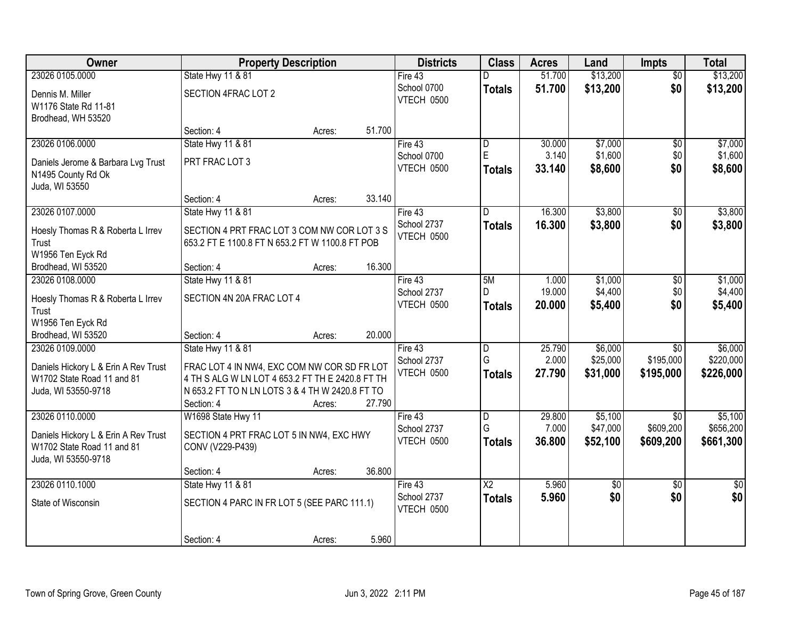| Owner                                                              | <b>Property Description</b>                                   |        |        | <b>Districts</b>          | <b>Class</b>    | <b>Acres</b>    | Land               | <b>Impts</b>         | <b>Total</b>       |
|--------------------------------------------------------------------|---------------------------------------------------------------|--------|--------|---------------------------|-----------------|-----------------|--------------------|----------------------|--------------------|
| 23026 0105.0000                                                    | State Hwy 11 & 81                                             |        |        | Fire 43                   | D               | 51.700          | \$13,200           | $\overline{50}$      | \$13,200           |
| Dennis M. Miller<br>W1176 State Rd 11-81                           | SECTION 4FRAC LOT 2                                           |        |        | School 0700<br>VTECH 0500 | <b>Totals</b>   | 51.700          | \$13,200           | \$0                  | \$13,200           |
| Brodhead, WH 53520                                                 |                                                               |        |        |                           |                 |                 |                    |                      |                    |
|                                                                    | Section: 4                                                    | Acres: | 51.700 |                           |                 |                 |                    |                      |                    |
| 23026 0106.0000                                                    | State Hwy 11 & 81                                             |        |        | Fire 43                   | ID.             | 30.000          | \$7,000            | \$0                  | \$7,000            |
| Daniels Jerome & Barbara Lvg Trust                                 | PRT FRAC LOT 3                                                |        |        | School 0700               | $\mathsf E$     | 3.140           | \$1,600            | \$0                  | \$1,600            |
| N1495 County Rd Ok                                                 |                                                               |        |        | VTECH 0500                | <b>Totals</b>   | 33.140          | \$8,600            | \$0                  | \$8,600            |
| Juda, WI 53550                                                     |                                                               |        |        |                           |                 |                 |                    |                      |                    |
|                                                                    | Section: 4                                                    | Acres: | 33.140 |                           |                 |                 |                    |                      |                    |
| 23026 0107.0000                                                    | <b>State Hwy 11 &amp; 81</b>                                  |        |        | Fire 43                   | D               | 16.300          | \$3,800            | \$0                  | \$3,800            |
| Hoesly Thomas R & Roberta L Irrev                                  | SECTION 4 PRT FRAC LOT 3 COM NW COR LOT 3 S                   |        |        | School 2737               | <b>Totals</b>   | 16.300          | \$3,800            | \$0                  | \$3,800            |
| Trust                                                              | 653.2 FT E 1100.8 FT N 653.2 FT W 1100.8 FT POB               |        |        | VTECH 0500                |                 |                 |                    |                      |                    |
| W1956 Ten Eyck Rd                                                  |                                                               |        |        |                           |                 |                 |                    |                      |                    |
| Brodhead, WI 53520                                                 | Section: 4                                                    | Acres: | 16.300 |                           |                 |                 |                    |                      |                    |
| 23026 0108,0000                                                    | <b>State Hwy 11 &amp; 81</b>                                  |        |        | Fire 43<br>School 2737    | 5M<br>D         | 1.000<br>19.000 | \$1,000<br>\$4,400 | $\sqrt[6]{3}$<br>\$0 | \$1,000<br>\$4,400 |
| Hoesly Thomas R & Roberta L Irrev                                  | SECTION 4N 20A FRAC LOT 4                                     |        |        | VTECH 0500                | <b>Totals</b>   | 20.000          | \$5,400            | \$0                  | \$5,400            |
| Trust                                                              |                                                               |        |        |                           |                 |                 |                    |                      |                    |
| W1956 Ten Eyck Rd                                                  |                                                               |        |        |                           |                 |                 |                    |                      |                    |
| Brodhead, WI 53520<br>23026 0109.0000                              | Section: 4<br>State Hwy 11 & 81                               | Acres: | 20.000 | Fire 43                   | $\overline{D}$  | 25.790          | \$6,000            | $\overline{30}$      | \$6,000            |
|                                                                    |                                                               |        |        | School 2737               | G               | 2.000           | \$25,000           | \$195,000            | \$220,000          |
| Daniels Hickory L & Erin A Rev Trust                               | FRAC LOT 4 IN NW4, EXC COM NW COR SD FR LOT                   |        |        | VTECH 0500                | <b>Totals</b>   | 27.790          | \$31,000           | \$195,000            | \$226,000          |
| W1702 State Road 11 and 81                                         | 4 TH S ALG W LN LOT 4 653.2 FT TH E 2420.8 FT TH              |        |        |                           |                 |                 |                    |                      |                    |
| Juda, WI 53550-9718                                                | N 653.2 FT TO N LN LOTS 3 & 4 TH W 2420.8 FT TO<br>Section: 4 | Acres: | 27.790 |                           |                 |                 |                    |                      |                    |
| 23026 0110.0000                                                    | W1698 State Hwy 11                                            |        |        | Fire 43                   | $\overline{D}$  | 29.800          | \$5,100            | \$0                  | \$5,100            |
|                                                                    |                                                               |        |        | School 2737               | G               | 7.000           | \$47,000           | \$609,200            | \$656,200          |
| Daniels Hickory L & Erin A Rev Trust<br>W1702 State Road 11 and 81 | SECTION 4 PRT FRAC LOT 5 IN NW4, EXC HWY                      |        |        | VTECH 0500                | <b>Totals</b>   | 36.800          | \$52,100           | \$609,200            | \$661,300          |
| Juda, WI 53550-9718                                                | CONV (V229-P439)                                              |        |        |                           |                 |                 |                    |                      |                    |
|                                                                    | Section: 4                                                    | Acres: | 36.800 |                           |                 |                 |                    |                      |                    |
| 23026 0110.1000                                                    | State Hwy 11 & 81                                             |        |        | Fire 43                   | $\overline{X2}$ | 5.960           | $\overline{50}$    | $\overline{30}$      | $\overline{50}$    |
| State of Wisconsin                                                 | SECTION 4 PARC IN FR LOT 5 (SEE PARC 111.1)                   |        |        | School 2737               | <b>Totals</b>   | 5.960           | \$0                | \$0                  | \$0                |
|                                                                    |                                                               |        |        | VTECH 0500                |                 |                 |                    |                      |                    |
|                                                                    |                                                               |        |        |                           |                 |                 |                    |                      |                    |
|                                                                    | Section: 4                                                    | Acres: | 5.960  |                           |                 |                 |                    |                      |                    |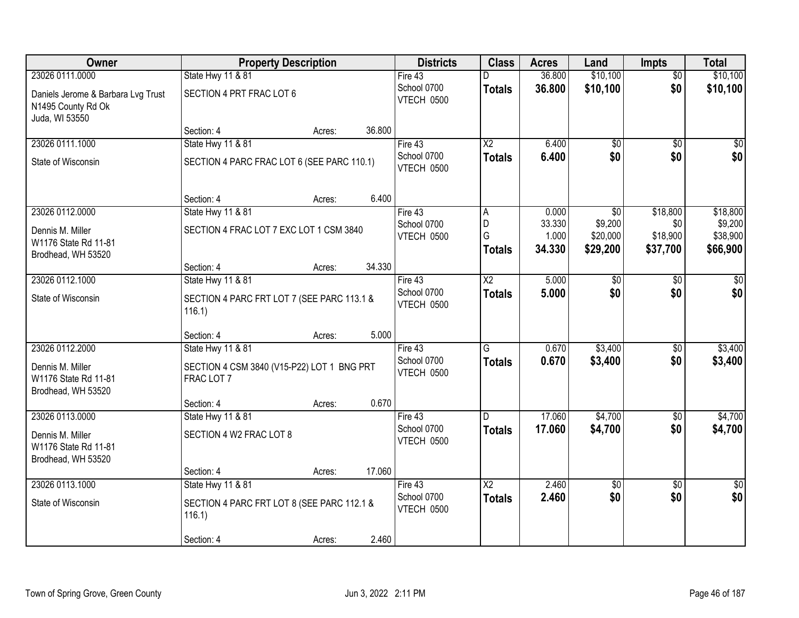| Owner                                                                      |                                                          | <b>Property Description</b> |        | <b>Districts</b>          | <b>Class</b>           | <b>Acres</b>    | Land            | <b>Impts</b>    | <b>Total</b>  |
|----------------------------------------------------------------------------|----------------------------------------------------------|-----------------------------|--------|---------------------------|------------------------|-----------------|-----------------|-----------------|---------------|
| 23026 0111.0000                                                            | State Hwy 11 & 81                                        |                             |        | Fire 43                   |                        | 36.800          | \$10,100        | $\overline{50}$ | \$10,100      |
| Daniels Jerome & Barbara Lvg Trust<br>N1495 County Rd Ok<br>Juda, WI 53550 | SECTION 4 PRT FRAC LOT 6                                 |                             |        | School 0700<br>VTECH 0500 | <b>Totals</b>          | 36.800          | \$10,100        | \$0             | \$10,100      |
|                                                                            | Section: 4                                               | Acres:                      | 36.800 |                           |                        |                 |                 |                 |               |
| 23026 0111.1000                                                            | State Hwy 11 & 81                                        |                             |        | Fire 43                   | $\overline{\text{X2}}$ | 6.400           | $\overline{60}$ | $\overline{50}$ | $\sqrt{50}$   |
| State of Wisconsin                                                         | SECTION 4 PARC FRAC LOT 6 (SEE PARC 110.1)               |                             |        | School 0700<br>VTECH 0500 | <b>Totals</b>          | 6.400           | \$0             | \$0             | \$0           |
|                                                                            | Section: 4                                               | Acres:                      | 6.400  |                           |                        |                 |                 |                 |               |
| 23026 0112.0000                                                            | State Hwy 11 & 81                                        |                             |        | Fire 43                   | A                      | 0.000           | $\overline{50}$ | \$18,800        | \$18,800      |
| Dennis M. Miller                                                           | SECTION 4 FRAC LOT 7 EXC LOT 1 CSM 3840                  |                             |        | School 0700               | D<br>G                 | 33.330          | \$9,200         | \$0             | \$9,200       |
| W1176 State Rd 11-81                                                       |                                                          |                             |        | VTECH 0500                |                        | 1.000<br>34.330 | \$20,000        | \$18,900        | \$38,900      |
| Brodhead, WH 53520                                                         |                                                          |                             |        |                           | <b>Totals</b>          |                 | \$29,200        | \$37,700        | \$66,900      |
|                                                                            | Section: 4                                               | Acres:                      | 34.330 |                           |                        |                 |                 |                 |               |
| 23026 0112.1000                                                            | State Hwy 11 & 81                                        |                             |        | Fire 43                   | $\overline{X2}$        | 5.000           | \$0             | \$0             | \$0           |
| State of Wisconsin                                                         | SECTION 4 PARC FRT LOT 7 (SEE PARC 113.1 &<br>116.1)     |                             |        | School 0700<br>VTECH 0500 | <b>Totals</b>          | 5.000           | \$0             | \$0             | \$0           |
|                                                                            | Section: 4                                               | Acres:                      | 5.000  |                           |                        |                 |                 |                 |               |
| 23026 0112.2000                                                            | State Hwy 11 & 81                                        |                             |        | Fire 43                   | G                      | 0.670           | \$3,400         | \$0             | \$3,400       |
| Dennis M. Miller<br>W1176 State Rd 11-81<br>Brodhead, WH 53520             | SECTION 4 CSM 3840 (V15-P22) LOT 1 BNG PRT<br>FRAC LOT 7 |                             |        | School 0700<br>VTECH 0500 | <b>Totals</b>          | 0.670           | \$3,400         | \$0             | \$3,400       |
|                                                                            | Section: 4                                               | Acres:                      | 0.670  |                           |                        |                 |                 |                 |               |
| 23026 0113.0000                                                            | <b>State Hwy 11 &amp; 81</b>                             |                             |        | Fire 43                   | D.                     | 17.060          | \$4,700         | $\overline{60}$ | \$4,700       |
| Dennis M. Miller<br>W1176 State Rd 11-81<br>Brodhead, WH 53520             | SECTION 4 W2 FRAC LOT 8                                  |                             |        | School 0700<br>VTECH 0500 | <b>Totals</b>          | 17.060          | \$4,700         | \$0             | \$4,700       |
|                                                                            | Section: 4                                               | Acres:                      | 17.060 |                           |                        |                 |                 |                 |               |
| 23026 0113.1000                                                            | <b>State Hwy 11 &amp; 81</b>                             |                             |        | Fire 43                   | $\overline{X2}$        | 2.460           | $\overline{50}$ | $\overline{50}$ | $\frac{1}{6}$ |
| State of Wisconsin                                                         | SECTION 4 PARC FRT LOT 8 (SEE PARC 112.1 &<br>116.1)     |                             |        | School 0700<br>VTECH 0500 | <b>Totals</b>          | 2.460           | \$0             | \$0             | \$0           |
|                                                                            | Section: 4                                               | Acres:                      | 2.460  |                           |                        |                 |                 |                 |               |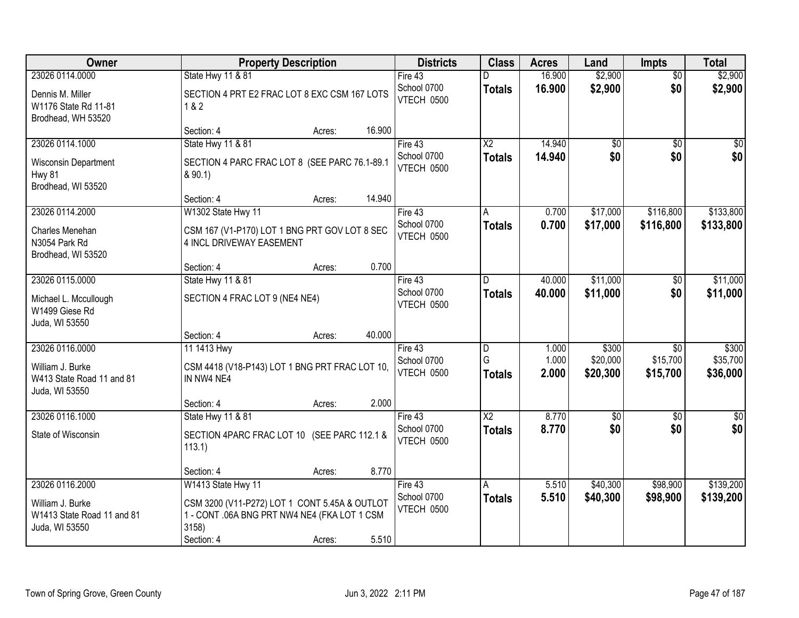| <b>Owner</b>                                                     | <b>Property Description</b>                                                                            | <b>Districts</b>          | <b>Class</b>             | <b>Acres</b> | Land            | <b>Impts</b>    | <b>Total</b>     |
|------------------------------------------------------------------|--------------------------------------------------------------------------------------------------------|---------------------------|--------------------------|--------------|-----------------|-----------------|------------------|
| 23026 0114.0000                                                  | State Hwy 11 & 81                                                                                      | Fire $43$                 | D                        | 16.900       | \$2,900         | $\overline{50}$ | \$2,900          |
| Dennis M. Miller<br>W1176 State Rd 11-81<br>Brodhead, WH 53520   | SECTION 4 PRT E2 FRAC LOT 8 EXC CSM 167 LOTS<br>1&8.2                                                  | School 0700<br>VTECH 0500 | <b>Totals</b>            | 16.900       | \$2,900         | \$0             | \$2,900          |
|                                                                  | 16.900<br>Section: 4<br>Acres:                                                                         |                           |                          |              |                 |                 |                  |
| 23026 0114.1000                                                  | State Hwy 11 & 81                                                                                      | Fire $43$                 | $\overline{\mathsf{x2}}$ | 14.940       | \$0             | $\overline{50}$ | $\overline{30}$  |
| Wisconsin Department<br>Hwy 81<br>Brodhead, WI 53520             | SECTION 4 PARC FRAC LOT 8 (SEE PARC 76.1-89.1<br>& 90.1                                                | School 0700<br>VTECH 0500 | <b>Totals</b>            | 14.940       | \$0             | \$0             | \$0              |
|                                                                  | 14.940<br>Section: 4<br>Acres:                                                                         |                           |                          |              |                 |                 |                  |
| 23026 0114.2000                                                  | W1302 State Hwy 11                                                                                     | Fire 43                   | A                        | 0.700        | \$17,000        | \$116,800       | \$133,800        |
| Charles Menehan<br>N3054 Park Rd<br>Brodhead, WI 53520           | CSM 167 (V1-P170) LOT 1 BNG PRT GOV LOT 8 SEC<br><b>4 INCL DRIVEWAY EASEMENT</b>                       | School 0700<br>VTECH 0500 | <b>Totals</b>            | 0.700        | \$17,000        | \$116,800       | \$133,800        |
|                                                                  | 0.700<br>Section: 4<br>Acres:                                                                          |                           |                          |              |                 |                 |                  |
| 23026 0115.0000                                                  | State Hwy 11 & 81                                                                                      | Fire 43                   | D                        | 40.000       | \$11,000        | $\sqrt[6]{}$    | \$11,000         |
| Michael L. Mccullough<br>W1499 Giese Rd<br>Juda, WI 53550        | SECTION 4 FRAC LOT 9 (NE4 NE4)                                                                         | School 0700<br>VTECH 0500 | <b>Totals</b>            | 40.000       | \$11,000        | \$0             | \$11,000         |
|                                                                  | 40.000<br>Section: 4<br>Acres:                                                                         |                           |                          |              |                 |                 |                  |
| 23026 0116.0000                                                  | 11 1413 Hwy                                                                                            | Fire 43                   | D                        | 1.000        | \$300           | $\overline{30}$ | \$300            |
| William J. Burke                                                 | CSM 4418 (V18-P143) LOT 1 BNG PRT FRAC LOT 10,                                                         | School 0700               | G                        | 1.000        | \$20,000        | \$15,700        | \$35,700         |
| W413 State Road 11 and 81<br>Juda, WI 53550                      | IN NW4 NE4                                                                                             | <b>VTECH 0500</b>         | <b>Totals</b>            | 2.000        | \$20,300        | \$15,700        | \$36,000         |
|                                                                  | 2.000<br>Section: 4<br>Acres:                                                                          |                           |                          |              |                 |                 |                  |
| 23026 0116.1000                                                  | <b>State Hwy 11 &amp; 81</b>                                                                           | Fire 43                   | $\overline{X2}$          | 8.770        | $\overline{50}$ | \$0             | $\overline{\$0}$ |
| State of Wisconsin                                               | SECTION 4PARC FRAC LOT 10 (SEE PARC 112.1 &<br>113.1)                                                  | School 0700<br>VTECH 0500 | <b>Totals</b>            | 8.770        | \$0             | \$0             | \$0              |
|                                                                  | 8.770<br>Section: 4<br>Acres:                                                                          |                           |                          |              |                 |                 |                  |
| 23026 0116.2000                                                  | W1413 State Hwy 11                                                                                     | Fire 43                   | A                        | 5.510        | \$40,300        | \$98,900        | \$139,200        |
| William J. Burke<br>W1413 State Road 11 and 81<br>Juda, WI 53550 | CSM 3200 (V11-P272) LOT 1 CONT 5.45A & OUTLOT<br>1 - CONT .06A BNG PRT NW4 NE4 (FKA LOT 1 CSM<br>3158) | School 0700<br>VTECH 0500 | <b>Totals</b>            | 5.510        | \$40,300        | \$98,900        | \$139,200        |
|                                                                  | 5.510<br>Section: 4<br>Acres:                                                                          |                           |                          |              |                 |                 |                  |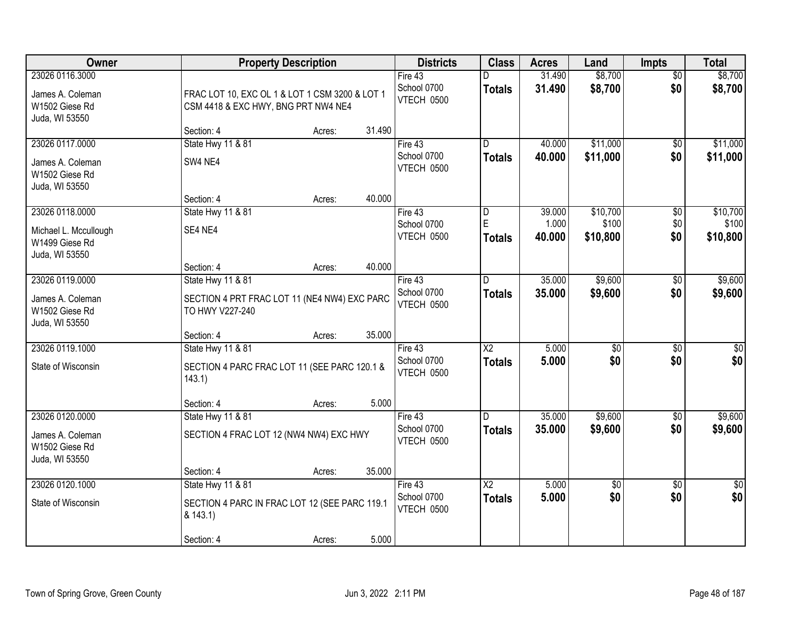| Owner                                                                        |                                                                                                 | <b>Property Description</b> |        | <b>Districts</b>                     | <b>Class</b>                             | <b>Acres</b>              | Land                          | <b>Impts</b>                  | <b>Total</b>                  |
|------------------------------------------------------------------------------|-------------------------------------------------------------------------------------------------|-----------------------------|--------|--------------------------------------|------------------------------------------|---------------------------|-------------------------------|-------------------------------|-------------------------------|
| 23026 0116.3000<br>James A. Coleman<br>W1502 Giese Rd<br>Juda, WI 53550      | FRAC LOT 10, EXC OL 1 & LOT 1 CSM 3200 & LOT 1<br>CSM 4418 & EXC HWY, BNG PRT NW4 NE4           |                             |        | Fire 43<br>School 0700<br>VTECH 0500 | <b>Totals</b>                            | 31.490<br>31.490          | \$8,700<br>\$8,700            | $\overline{30}$<br>\$0        | \$8,700<br>\$8,700            |
|                                                                              | Section: 4                                                                                      | Acres:                      | 31.490 |                                      |                                          |                           |                               |                               |                               |
| 23026 0117.0000<br>James A. Coleman<br>W1502 Giese Rd<br>Juda, WI 53550      | State Hwy 11 & 81<br>SW4 NE4                                                                    |                             |        | Fire 43<br>School 0700<br>VTECH 0500 | $\overline{\mathsf{D}}$<br><b>Totals</b> | 40.000<br>40.000          | \$11,000<br>\$11,000          | \$0<br>\$0                    | \$11,000<br>\$11,000          |
|                                                                              | Section: 4                                                                                      | Acres:                      | 40.000 |                                      |                                          |                           |                               |                               |                               |
| 23026 0118.0000<br>Michael L. Mccullough<br>W1499 Giese Rd<br>Juda, WI 53550 | State Hwy 11 & 81<br>SE4 NE4                                                                    |                             |        | Fire 43<br>School 0700<br>VTECH 0500 | D<br>E<br><b>Totals</b>                  | 39.000<br>1.000<br>40.000 | \$10,700<br>\$100<br>\$10,800 | $\overline{50}$<br>\$0<br>\$0 | \$10,700<br>\$100<br>\$10,800 |
|                                                                              | Section: 4                                                                                      | Acres:                      | 40.000 |                                      |                                          |                           |                               |                               |                               |
| 23026 0119.0000<br>James A. Coleman<br>W1502 Giese Rd<br>Juda, WI 53550      | <b>State Hwy 11 &amp; 81</b><br>SECTION 4 PRT FRAC LOT 11 (NE4 NW4) EXC PARC<br>TO HWY V227-240 |                             |        | Fire 43<br>School 0700<br>VTECH 0500 | D<br><b>Totals</b>                       | 35.000<br>35.000          | \$9,600<br>\$9,600            | \$0<br>\$0                    | \$9,600<br>\$9,600            |
|                                                                              | Section: 4                                                                                      | Acres:                      | 35.000 |                                      |                                          |                           |                               |                               |                               |
| 23026 0119.1000<br>State of Wisconsin                                        | State Hwy 11 & 81<br>SECTION 4 PARC FRAC LOT 11 (SEE PARC 120.1 &<br>143.1                      |                             |        | Fire 43<br>School 0700<br>VTECH 0500 | $\overline{\text{X2}}$<br><b>Totals</b>  | 5.000<br>5.000            | $\overline{50}$<br>\$0        | \$0<br>\$0                    | \$0<br>\$0                    |
|                                                                              | Section: 4                                                                                      | Acres:                      | 5.000  |                                      |                                          |                           |                               |                               |                               |
| 23026 0120.0000<br>James A. Coleman<br>W1502 Giese Rd<br>Juda, WI 53550      | State Hwy 11 & 81<br>SECTION 4 FRAC LOT 12 (NW4 NW4) EXC HWY                                    |                             |        | Fire 43<br>School 0700<br>VTECH 0500 | D.<br><b>Totals</b>                      | 35.000<br>35.000          | \$9,600<br>\$9,600            | $\overline{60}$<br>\$0        | \$9,600<br>\$9,600            |
|                                                                              | Section: 4                                                                                      | Acres:                      | 35.000 |                                      |                                          |                           |                               |                               |                               |
| 23026 0120.1000<br>State of Wisconsin                                        | State Hwy 11 & 81<br>SECTION 4 PARC IN FRAC LOT 12 (SEE PARC 119.1<br>& 143.1)<br>Section: 4    | Acres:                      | 5.000  | Fire 43<br>School 0700<br>VTECH 0500 | $\overline{X2}$<br><b>Totals</b>         | 5.000<br>5.000            | $\overline{50}$<br>\$0        | $\overline{30}$<br>\$0        | $\frac{1}{6}$<br>\$0          |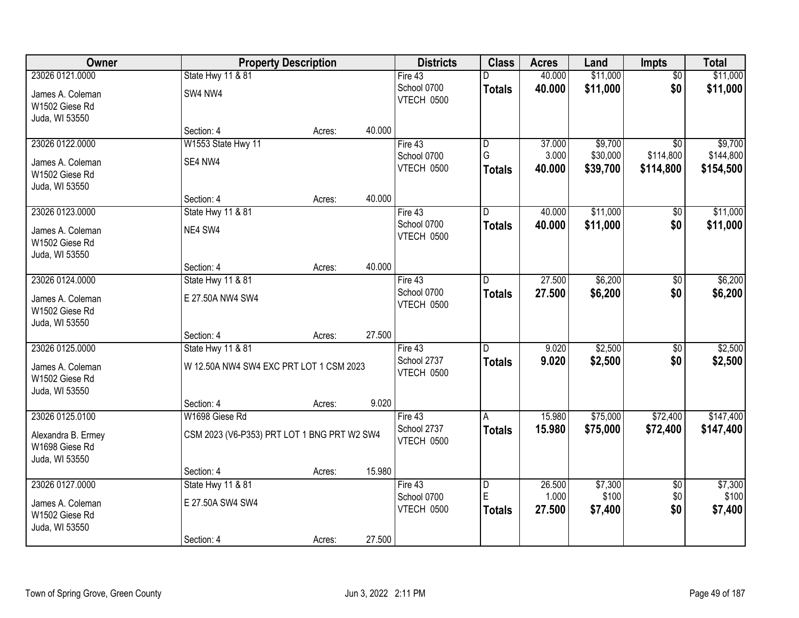| Owner              |                                             | <b>Property Description</b> |        | <b>Districts</b> | <b>Class</b>            | <b>Acres</b> | Land     | Impts           | <b>Total</b> |
|--------------------|---------------------------------------------|-----------------------------|--------|------------------|-------------------------|--------------|----------|-----------------|--------------|
| 23026 0121.0000    | State Hwy 11 & 81                           |                             |        | Fire 43          |                         | 40.000       | \$11,000 | $\overline{50}$ | \$11,000     |
| James A. Coleman   | SW4 NW4                                     |                             |        | School 0700      | <b>Totals</b>           | 40.000       | \$11,000 | \$0             | \$11,000     |
| W1502 Giese Rd     |                                             |                             |        | VTECH 0500       |                         |              |          |                 |              |
| Juda, WI 53550     |                                             |                             |        |                  |                         |              |          |                 |              |
|                    | Section: 4                                  | Acres:                      | 40.000 |                  |                         |              |          |                 |              |
| 23026 0122.0000    | W1553 State Hwy 11                          |                             |        | Fire $43$        | $\overline{\mathsf{D}}$ | 37.000       | \$9,700  | $\overline{50}$ | \$9,700      |
| James A. Coleman   | SE4 NW4                                     |                             |        | School 0700      | G                       | 3.000        | \$30,000 | \$114,800       | \$144,800    |
| W1502 Giese Rd     |                                             |                             |        | VTECH 0500       | Totals                  | 40.000       | \$39,700 | \$114,800       | \$154,500    |
| Juda, WI 53550     |                                             |                             |        |                  |                         |              |          |                 |              |
|                    | Section: 4                                  | Acres:                      | 40.000 |                  |                         |              |          |                 |              |
| 23026 0123.0000    | State Hwy 11 & 81                           |                             |        | Fire 43          | D                       | 40.000       | \$11,000 | \$0             | \$11,000     |
| James A. Coleman   | NE4 SW4                                     |                             |        | School 0700      | <b>Totals</b>           | 40.000       | \$11,000 | \$0             | \$11,000     |
| W1502 Giese Rd     |                                             |                             |        | VTECH 0500       |                         |              |          |                 |              |
| Juda, WI 53550     |                                             |                             |        |                  |                         |              |          |                 |              |
|                    | Section: 4                                  | Acres:                      | 40.000 |                  |                         |              |          |                 |              |
| 23026 0124.0000    | State Hwy 11 & 81                           |                             |        | Fire 43          | D.                      | 27.500       | \$6,200  | \$0             | \$6,200      |
| James A. Coleman   | E 27.50A NW4 SW4                            |                             |        | School 0700      | <b>Totals</b>           | 27.500       | \$6,200  | \$0             | \$6,200      |
| W1502 Giese Rd     |                                             |                             |        | VTECH 0500       |                         |              |          |                 |              |
| Juda, WI 53550     |                                             |                             |        |                  |                         |              |          |                 |              |
|                    | Section: 4                                  | Acres:                      | 27.500 |                  |                         |              |          |                 |              |
| 23026 0125.0000    | State Hwy 11 & 81                           |                             |        | Fire $43$        | D.                      | 9.020        | \$2,500  | $\overline{50}$ | \$2,500      |
| James A. Coleman   | W 12.50A NW4 SW4 EXC PRT LOT 1 CSM 2023     |                             |        | School 2737      | <b>Totals</b>           | 9.020        | \$2,500  | \$0             | \$2,500      |
| W1502 Giese Rd     |                                             |                             |        | VTECH 0500       |                         |              |          |                 |              |
| Juda, WI 53550     |                                             |                             |        |                  |                         |              |          |                 |              |
|                    | Section: 4                                  | Acres:                      | 9.020  |                  |                         |              |          |                 |              |
| 23026 0125.0100    | W1698 Giese Rd                              |                             |        | Fire 43          | A                       | 15.980       | \$75,000 | \$72,400        | \$147,400    |
| Alexandra B. Ermey | CSM 2023 (V6-P353) PRT LOT 1 BNG PRT W2 SW4 |                             |        | School 2737      | <b>Totals</b>           | 15.980       | \$75,000 | \$72,400        | \$147,400    |
| W1698 Giese Rd     |                                             |                             |        | VTECH 0500       |                         |              |          |                 |              |
| Juda, WI 53550     |                                             |                             |        |                  |                         |              |          |                 |              |
|                    | Section: 4                                  | Acres:                      | 15.980 |                  |                         |              |          |                 |              |
| 23026 0127.0000    | State Hwy 11 & 81                           |                             |        | Fire $43$        | $\overline{D}$          | 26.500       | \$7,300  | $\overline{50}$ | \$7,300      |
| James A. Coleman   | E 27.50A SW4 SW4                            |                             |        | School 0700      | E                       | 1.000        | \$100    | \$0             | \$100        |
| W1502 Giese Rd     |                                             |                             |        | VTECH 0500       | <b>Totals</b>           | 27.500       | \$7,400  | \$0             | \$7,400      |
| Juda, WI 53550     |                                             |                             |        |                  |                         |              |          |                 |              |
|                    | Section: 4                                  | Acres:                      | 27.500 |                  |                         |              |          |                 |              |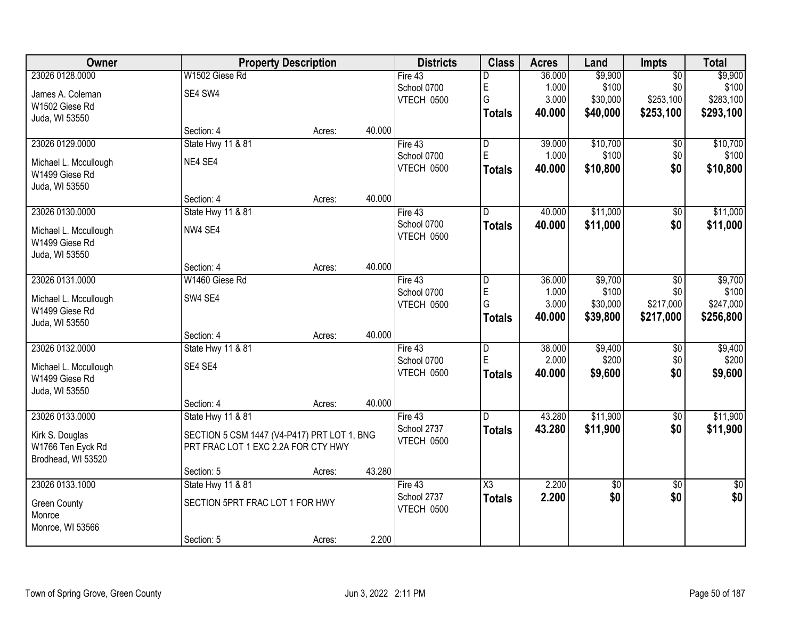| <b>Owner</b>          | <b>Property Description</b>                 |        |        | <b>Districts</b>  | <b>Class</b>            | <b>Acres</b> | Land        | Impts           | <b>Total</b>    |
|-----------------------|---------------------------------------------|--------|--------|-------------------|-------------------------|--------------|-------------|-----------------|-----------------|
| 23026 0128.0000       | W1502 Giese Rd                              |        |        | Fire 43           | D                       | 36.000       | \$9,900     | $\overline{50}$ | \$9,900         |
| James A. Coleman      | SE4 SW4                                     |        |        | School 0700       | E                       | 1.000        | \$100       | \$0             | \$100           |
| W1502 Giese Rd        |                                             |        |        | <b>VTECH 0500</b> | G                       | 3.000        | \$30,000    | \$253,100       | \$283,100       |
| Juda, WI 53550        |                                             |        |        |                   | <b>Totals</b>           | 40.000       | \$40,000    | \$253,100       | \$293,100       |
|                       | Section: 4                                  | Acres: | 40.000 |                   |                         |              |             |                 |                 |
| 23026 0129.0000       | <b>State Hwy 11 &amp; 81</b>                |        |        | Fire $43$         | $\overline{\mathsf{D}}$ | 39.000       | \$10,700    | $\overline{50}$ | \$10,700        |
| Michael L. Mccullough | NE4 SE4                                     |        |        | School 0700       | E                       | 1.000        | \$100       | \$0             | \$100           |
| W1499 Giese Rd        |                                             |        |        | VTECH 0500        | <b>Totals</b>           | 40.000       | \$10,800    | \$0             | \$10,800        |
| Juda, WI 53550        |                                             |        |        |                   |                         |              |             |                 |                 |
|                       | Section: 4                                  | Acres: | 40.000 |                   |                         |              |             |                 |                 |
| 23026 0130.0000       | State Hwy 11 & 81                           |        |        | Fire 43           | D                       | 40.000       | \$11,000    | \$0             | \$11,000        |
| Michael L. Mccullough | NW4 SE4                                     |        |        | School 0700       | <b>Totals</b>           | 40.000       | \$11,000    | \$0             | \$11,000        |
| W1499 Giese Rd        |                                             |        |        | VTECH 0500        |                         |              |             |                 |                 |
| Juda, WI 53550        |                                             |        |        |                   |                         |              |             |                 |                 |
|                       | Section: 4                                  | Acres: | 40.000 |                   |                         |              |             |                 |                 |
| 23026 0131.0000       | W1460 Giese Rd                              |        |        | Fire 43           | D                       | 36.000       | \$9,700     | \$0             | \$9,700         |
| Michael L. Mccullough | SW4 SE4                                     |        |        | School 0700       | E                       | 1.000        | \$100       | \$0             | \$100           |
| W1499 Giese Rd        |                                             |        |        | VTECH 0500        | G                       | 3.000        | \$30,000    | \$217,000       | \$247,000       |
| Juda, WI 53550        |                                             |        |        |                   | <b>Totals</b>           | 40.000       | \$39,800    | \$217,000       | \$256,800       |
|                       | Section: 4                                  | Acres: | 40.000 |                   |                         |              |             |                 |                 |
| 23026 0132.0000       | <b>State Hwy 11 &amp; 81</b>                |        |        | Fire $43$         | $\overline{D}$          | 38.000       | \$9,400     | $\overline{50}$ | \$9,400         |
| Michael L. Mccullough | SE4 SE4                                     |        |        | School 0700       | E                       | 2.000        | \$200       | \$0             | \$200           |
| W1499 Giese Rd        |                                             |        |        | VTECH 0500        | <b>Totals</b>           | 40.000       | \$9,600     | \$0             | \$9,600         |
| Juda, WI 53550        |                                             |        |        |                   |                         |              |             |                 |                 |
|                       | Section: 4                                  | Acres: | 40.000 |                   |                         |              |             |                 |                 |
| 23026 0133.0000       | State Hwy 11 & 81                           |        |        | Fire 43           | D                       | 43.280       | \$11,900    | $\overline{50}$ | \$11,900        |
| Kirk S. Douglas       | SECTION 5 CSM 1447 (V4-P417) PRT LOT 1, BNG |        |        | School 2737       | <b>Totals</b>           | 43.280       | \$11,900    | \$0             | \$11,900        |
| W1766 Ten Eyck Rd     | PRT FRAC LOT 1 EXC 2.2A FOR CTY HWY         |        |        | VTECH 0500        |                         |              |             |                 |                 |
| Brodhead, WI 53520    |                                             |        |        |                   |                         |              |             |                 |                 |
|                       | Section: 5                                  | Acres: | 43.280 |                   |                         |              |             |                 |                 |
| 23026 0133.1000       | State Hwy 11 & 81                           |        |        | Fire $43$         | $\overline{\text{X3}}$  | 2.200        | $\sqrt{$0}$ | $\overline{50}$ | $\overline{50}$ |
| <b>Green County</b>   | SECTION 5PRT FRAC LOT 1 FOR HWY             |        |        | School 2737       | <b>Totals</b>           | 2.200        | \$0         | \$0             | \$0             |
| Monroe                |                                             |        |        | VTECH 0500        |                         |              |             |                 |                 |
| Monroe, WI 53566      |                                             |        |        |                   |                         |              |             |                 |                 |
|                       | Section: 5                                  | Acres: | 2.200  |                   |                         |              |             |                 |                 |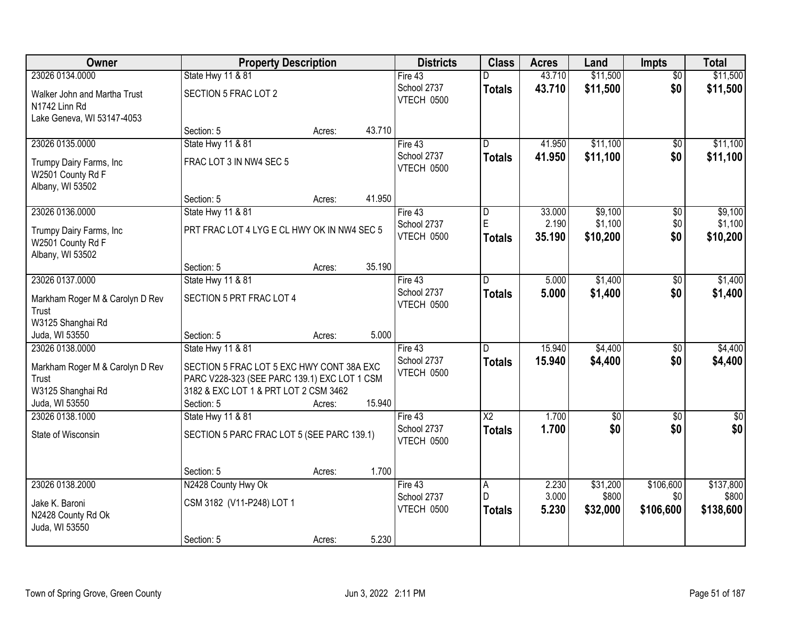| Owner                                                            |                                              | <b>Property Description</b> |        | <b>Districts</b>          | <b>Class</b>            | <b>Acres</b> | Land            | <b>Impts</b>    | <b>Total</b> |
|------------------------------------------------------------------|----------------------------------------------|-----------------------------|--------|---------------------------|-------------------------|--------------|-----------------|-----------------|--------------|
| 23026 0134.0000                                                  | State Hwy 11 & 81                            |                             |        | Fire 43                   | D                       | 43.710       | \$11,500        | $\overline{50}$ | \$11,500     |
| Walker John and Martha Trust<br>N1742 Linn Rd                    | SECTION 5 FRAC LOT 2                         |                             |        | School 2737<br>VTECH 0500 | <b>Totals</b>           | 43.710       | \$11,500        | \$0             | \$11,500     |
| Lake Geneva, WI 53147-4053                                       |                                              |                             | 43.710 |                           |                         |              |                 |                 |              |
| 23026 0135.0000                                                  | Section: 5<br>State Hwy 11 & 81              | Acres:                      |        | Fire $43$                 | D                       | 41.950       | \$11,100        | $\overline{50}$ | \$11,100     |
|                                                                  |                                              |                             |        | School 2737               | <b>Totals</b>           | 41.950       | \$11,100        | \$0             | \$11,100     |
| Trumpy Dairy Farms, Inc<br>W2501 County Rd F<br>Albany, WI 53502 | FRAC LOT 3 IN NW4 SEC 5                      |                             |        | VTECH 0500                |                         |              |                 |                 |              |
|                                                                  | Section: 5                                   | Acres:                      | 41.950 |                           |                         |              |                 |                 |              |
| 23026 0136.0000                                                  | State Hwy 11 & 81                            |                             |        | Fire 43                   | $\overline{\mathsf{D}}$ | 33.000       | \$9,100         | $\overline{50}$ | \$9,100      |
| Trumpy Dairy Farms, Inc                                          | PRT FRAC LOT 4 LYG E CL HWY OK IN NW4 SEC 5  |                             |        | School 2737               | E                       | 2.190        | \$1,100         | \$0             | \$1,100      |
| W2501 County Rd F                                                |                                              |                             |        | VTECH 0500                | <b>Totals</b>           | 35.190       | \$10,200        | \$0             | \$10,200     |
| Albany, WI 53502                                                 |                                              |                             |        |                           |                         |              |                 |                 |              |
|                                                                  | Section: 5                                   | Acres:                      | 35.190 |                           |                         |              |                 |                 |              |
| 23026 0137.0000                                                  | State Hwy 11 & 81                            |                             |        | Fire $43$                 | D.                      | 5.000        | \$1,400         | $\overline{50}$ | \$1,400      |
| Markham Roger M & Carolyn D Rev<br>Trust                         | SECTION 5 PRT FRAC LOT 4                     |                             |        | School 2737<br>VTECH 0500 | <b>Totals</b>           | 5.000        | \$1,400         | \$0             | \$1,400      |
| W3125 Shanghai Rd                                                |                                              |                             |        |                           |                         |              |                 |                 |              |
| Juda, WI 53550                                                   | Section: 5                                   | Acres:                      | 5.000  |                           |                         |              |                 |                 |              |
| 23026 0138.0000                                                  | State Hwy 11 & 81                            |                             |        | Fire $43$                 | D                       | 15.940       | \$4,400         | \$0             | \$4,400      |
| Markham Roger M & Carolyn D Rev                                  | SECTION 5 FRAC LOT 5 EXC HWY CONT 38A EXC    |                             |        | School 2737               | <b>Totals</b>           | 15.940       | \$4,400         | \$0             | \$4,400      |
| Trust                                                            | PARC V228-323 (SEE PARC 139.1) EXC LOT 1 CSM |                             |        | VTECH 0500                |                         |              |                 |                 |              |
| W3125 Shanghai Rd                                                | 3182 & EXC LOT 1 & PRT LOT 2 CSM 3462        |                             |        |                           |                         |              |                 |                 |              |
| Juda, WI 53550                                                   | Section: 5                                   | Acres:                      | 15.940 |                           |                         |              |                 |                 |              |
| 23026 0138.1000                                                  | State Hwy 11 & 81                            |                             |        | Fire 43                   | $\overline{X2}$         | 1.700        | $\overline{50}$ | \$0             | $\sqrt{50}$  |
| State of Wisconsin                                               | SECTION 5 PARC FRAC LOT 5 (SEE PARC 139.1)   |                             |        | School 2737<br>VTECH 0500 | <b>Totals</b>           | 1.700        | \$0             | \$0             | \$0          |
|                                                                  | Section: 5                                   | Acres:                      | 1.700  |                           |                         |              |                 |                 |              |
| 23026 0138.2000                                                  | N2428 County Hwy Ok                          |                             |        | Fire 43                   | $\overline{A}$          | 2.230        | \$31,200        | \$106,600       | \$137,800    |
| Jake K. Baroni                                                   | CSM 3182 (V11-P248) LOT 1                    |                             |        | School 2737               | D                       | 3.000        | \$800           | \$0             | \$800        |
| N2428 County Rd Ok                                               |                                              |                             |        | VTECH 0500                | <b>Totals</b>           | 5.230        | \$32,000        | \$106,600       | \$138,600    |
| Juda, WI 53550                                                   |                                              |                             |        |                           |                         |              |                 |                 |              |
|                                                                  | Section: 5                                   | Acres:                      | 5.230  |                           |                         |              |                 |                 |              |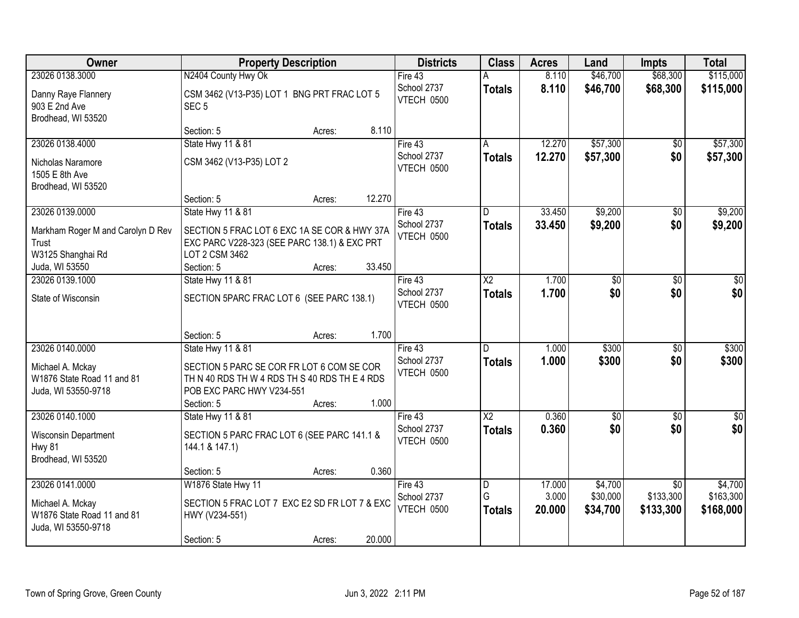| Owner                                                                                    | <b>Property Description</b>                                                                                                                                                   | <b>Districts</b>                       | <b>Class</b>            | <b>Acres</b>              | Land                            | <b>Impts</b>                              | <b>Total</b>                      |
|------------------------------------------------------------------------------------------|-------------------------------------------------------------------------------------------------------------------------------------------------------------------------------|----------------------------------------|-------------------------|---------------------------|---------------------------------|-------------------------------------------|-----------------------------------|
| 23026 0138.3000                                                                          | N2404 County Hwy Ok                                                                                                                                                           | Fire $43$                              |                         | 8.110                     | \$46,700                        | \$68,300                                  | \$115,000                         |
| Danny Raye Flannery<br>903 E 2nd Ave<br>Brodhead, WI 53520                               | CSM 3462 (V13-P35) LOT 1 BNG PRT FRAC LOT 5<br>SEC <sub>5</sub>                                                                                                               | School 2737<br>VTECH 0500              | <b>Totals</b>           | 8.110                     | \$46,700                        | \$68,300                                  | \$115,000                         |
|                                                                                          | 8.110<br>Section: 5<br>Acres:                                                                                                                                                 |                                        |                         |                           |                                 |                                           |                                   |
| 23026 0138.4000                                                                          | State Hwy 11 & 81                                                                                                                                                             | Fire 43                                |                         | 12.270                    | \$57,300                        | $\overline{50}$                           | \$57,300                          |
| Nicholas Naramore<br>1505 E 8th Ave<br>Brodhead, WI 53520                                | CSM 3462 (V13-P35) LOT 2                                                                                                                                                      | School 2737<br>VTECH 0500              | <b>Totals</b>           | 12.270                    | \$57,300                        | \$0                                       | \$57,300                          |
|                                                                                          | 12.270<br>Section: 5<br>Acres:                                                                                                                                                |                                        |                         |                           |                                 |                                           |                                   |
| 23026 0139.0000                                                                          | State Hwy 11 & 81                                                                                                                                                             | Fire 43                                | D                       | 33.450                    | \$9,200                         | \$0                                       | \$9,200                           |
| Markham Roger M and Carolyn D Rev<br>Trust<br>W3125 Shanghai Rd<br>Juda, WI 53550        | SECTION 5 FRAC LOT 6 EXC 1A SE COR & HWY 37A<br>EXC PARC V228-323 (SEE PARC 138.1) & EXC PRT<br>LOT 2 CSM 3462<br>33.450<br>Section: 5<br>Acres:                              | School 2737<br>VTECH 0500              | <b>Totals</b>           | 33.450                    | \$9,200                         | \$0                                       | \$9,200                           |
| 23026 0139.1000                                                                          | State Hwy 11 & 81                                                                                                                                                             | Fire $43$                              | $\overline{\text{X2}}$  | 1.700                     | $\overline{30}$                 | $\overline{50}$                           | $\overline{30}$                   |
| State of Wisconsin                                                                       | SECTION 5PARC FRAC LOT 6 (SEE PARC 138.1)                                                                                                                                     | School 2737<br>VTECH 0500              | <b>Totals</b>           | 1.700                     | \$0                             | \$0                                       | \$0                               |
|                                                                                          | 1.700<br>Section: 5<br>Acres:                                                                                                                                                 |                                        |                         |                           |                                 |                                           |                                   |
| 23026 0140.0000<br>Michael A. Mckay<br>W1876 State Road 11 and 81<br>Juda, WI 53550-9718 | State Hwy 11 & 81<br>SECTION 5 PARC SE COR FR LOT 6 COM SE COR<br>TH N 40 RDS TH W 4 RDS TH S 40 RDS TH E 4 RDS<br>POB EXC PARC HWY V234-551<br>1.000<br>Section: 5<br>Acres: | Fire 43<br>School 2737<br>VTECH 0500   | n<br><b>Totals</b>      | 1.000<br>1.000            | \$300<br>\$300                  | \$0<br>\$0                                | \$300<br>\$300                    |
| 23026 0140.1000                                                                          | State Hwy 11 & 81                                                                                                                                                             | Fire 43                                | $\overline{X2}$         | 0.360                     | $\overline{50}$                 | $\overline{50}$                           | $\sqrt{50}$                       |
| Wisconsin Department<br><b>Hwy 81</b><br>Brodhead, WI 53520                              | SECTION 5 PARC FRAC LOT 6 (SEE PARC 141.1 &<br>144.1 & 147.1)                                                                                                                 | School 2737<br><b>VTECH 0500</b>       | <b>Totals</b>           | 0.360                     | \$0                             | \$0                                       | \$0                               |
|                                                                                          | 0.360<br>Section: 5<br>Acres:                                                                                                                                                 |                                        |                         |                           |                                 |                                           |                                   |
| 23026 0141.0000<br>Michael A. Mckay<br>W1876 State Road 11 and 81<br>Juda, WI 53550-9718 | W1876 State Hwy 11<br>SECTION 5 FRAC LOT 7 EXC E2 SD FR LOT 7 & EXC<br>HWY (V234-551)<br>20.000<br>Section: 5<br>Acres:                                                       | Fire $43$<br>School 2737<br>VTECH 0500 | D<br>G<br><b>Totals</b> | 17.000<br>3.000<br>20.000 | \$4,700<br>\$30,000<br>\$34,700 | $\overline{30}$<br>\$133,300<br>\$133,300 | \$4,700<br>\$163,300<br>\$168,000 |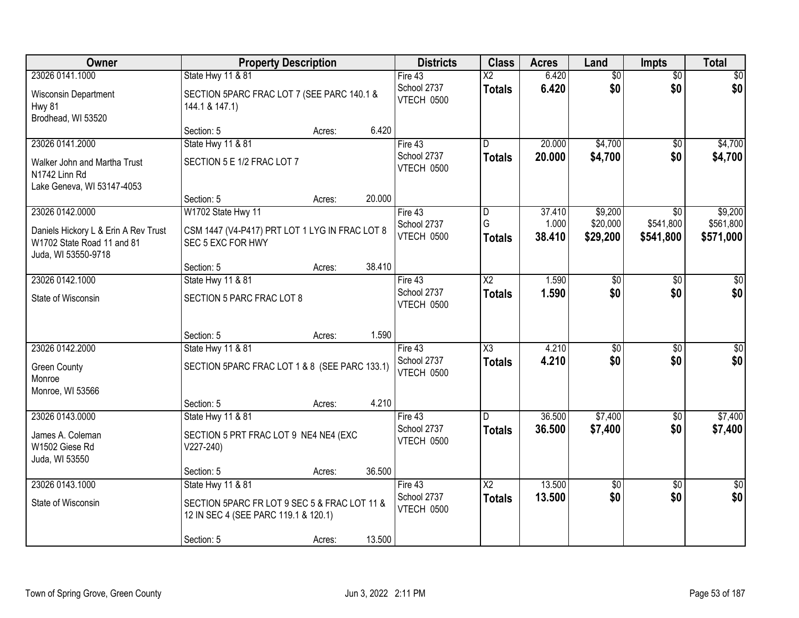| Owner                                                                                     | <b>Property Description</b>                                                          |        | <b>Districts</b>                 | <b>Class</b>            | <b>Acres</b>    | Land                 | <b>Impts</b>           | <b>Total</b>           |
|-------------------------------------------------------------------------------------------|--------------------------------------------------------------------------------------|--------|----------------------------------|-------------------------|-----------------|----------------------|------------------------|------------------------|
| 23026 0141.1000                                                                           | State Hwy 11 & 81                                                                    |        | Fire 43                          | X2                      | 6.420           | $\overline{50}$      | $\overline{30}$        | $\sqrt{30}$            |
| Wisconsin Department<br><b>Hwy 81</b><br>Brodhead, WI 53520                               | SECTION 5PARC FRAC LOT 7 (SEE PARC 140.1 &<br>144.1 & 147.1)                         |        | School 2737<br>VTECH 0500        | <b>Totals</b>           | 6.420           | \$0                  | \$0                    | \$0                    |
|                                                                                           | Section: 5<br>Acres:                                                                 | 6.420  |                                  |                         |                 |                      |                        |                        |
| 23026 0141.2000                                                                           | <b>State Hwy 11 &amp; 81</b>                                                         |        | Fire $43$                        | D.                      | 20.000          | \$4,700              | $\overline{50}$        | \$4,700                |
| Walker John and Martha Trust<br>N1742 Linn Rd<br>Lake Geneva, WI 53147-4053               | SECTION 5 E 1/2 FRAC LOT 7                                                           |        | School 2737<br>VTECH 0500        | <b>Totals</b>           | 20.000          | \$4,700              | \$0                    | \$4,700                |
|                                                                                           | Section: 5<br>Acres:                                                                 | 20.000 |                                  |                         |                 |                      |                        |                        |
| 23026 0142.0000                                                                           | W1702 State Hwy 11                                                                   |        | Fire 43                          | $\overline{\mathsf{D}}$ | 37.410          | \$9,200              | \$0                    | \$9,200                |
| Daniels Hickory L & Erin A Rev Trust<br>W1702 State Road 11 and 81<br>Juda, WI 53550-9718 | CSM 1447 (V4-P417) PRT LOT 1 LYG IN FRAC LOT 8<br>SEC 5 EXC FOR HWY                  |        | School 2737<br><b>VTECH 0500</b> | G<br><b>Totals</b>      | 1.000<br>38.410 | \$20,000<br>\$29,200 | \$541,800<br>\$541,800 | \$561,800<br>\$571,000 |
|                                                                                           | Section: 5<br>Acres:                                                                 | 38.410 |                                  |                         |                 |                      |                        |                        |
| 23026 0142.1000                                                                           | State Hwy 11 & 81                                                                    |        | Fire 43                          | $\overline{\text{X2}}$  | 1.590           | \$0                  | \$0                    | \$0                    |
| State of Wisconsin                                                                        | SECTION 5 PARC FRAC LOT 8                                                            |        | School 2737<br>VTECH 0500        | <b>Totals</b>           | 1.590           | \$0                  | \$0                    | \$0                    |
|                                                                                           | Section: 5<br>Acres:                                                                 | 1.590  |                                  |                         |                 |                      |                        |                        |
| 23026 0142.2000                                                                           | State Hwy 11 & 81                                                                    |        | Fire $43$                        | $\overline{\text{X3}}$  | 4.210           | $\overline{50}$      | $\overline{30}$        | $\sqrt{50}$            |
| <b>Green County</b>                                                                       | SECTION 5PARC FRAC LOT 1 & 8 (SEE PARC 133.1)                                        |        | School 2737                      | <b>Totals</b>           | 4.210           | \$0                  | \$0                    | \$0                    |
| Monroe                                                                                    |                                                                                      |        | VTECH 0500                       |                         |                 |                      |                        |                        |
| Monroe, WI 53566                                                                          |                                                                                      |        |                                  |                         |                 |                      |                        |                        |
|                                                                                           | Section: 5<br>Acres:                                                                 | 4.210  |                                  |                         |                 |                      |                        |                        |
| 23026 0143.0000                                                                           | State Hwy 11 & 81                                                                    |        | Fire 43                          | D.                      | 36.500          | \$7,400              | $\sqrt{$0}$            | \$7,400                |
| James A. Coleman<br>W1502 Giese Rd<br>Juda, WI 53550                                      | SECTION 5 PRT FRAC LOT 9 NE4 NE4 (EXC<br>$V227-240$                                  |        | School 2737<br>VTECH 0500        | <b>Totals</b>           | 36.500          | \$7,400              | \$0                    | \$7,400                |
|                                                                                           | Section: 5<br>Acres:                                                                 | 36.500 |                                  |                         |                 |                      |                        |                        |
| 23026 0143.1000                                                                           | State Hwy 11 & 81                                                                    |        | Fire 43                          | $\overline{X2}$         | 13.500          | $\overline{50}$      | $\overline{30}$        | $\overline{50}$        |
| State of Wisconsin                                                                        | SECTION 5PARC FR LOT 9 SEC 5 & FRAC LOT 11 &<br>12 IN SEC 4 (SEE PARC 119.1 & 120.1) |        | School 2737<br>VTECH 0500        | <b>Totals</b>           | 13.500          | \$0                  | \$0                    | \$0                    |
|                                                                                           | Section: 5<br>Acres:                                                                 | 13.500 |                                  |                         |                 |                      |                        |                        |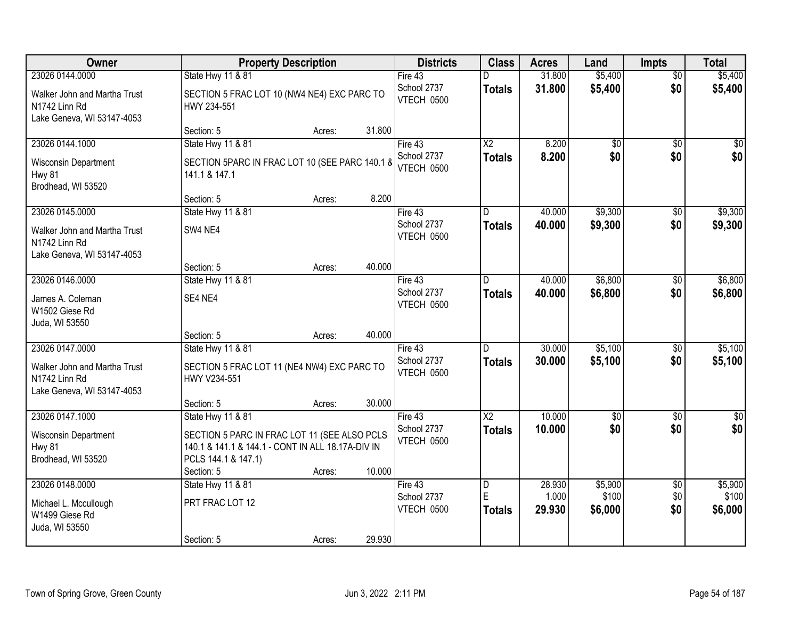| Owner                                                                                          |                                                                                                                          | <b>Property Description</b> |        | <b>Districts</b>                     | <b>Class</b>                    | <b>Acres</b>     | Land               | <b>Impts</b>           | <b>Total</b>       |
|------------------------------------------------------------------------------------------------|--------------------------------------------------------------------------------------------------------------------------|-----------------------------|--------|--------------------------------------|---------------------------------|------------------|--------------------|------------------------|--------------------|
| 23026 0144.0000                                                                                | State Hwy 11 & 81                                                                                                        |                             |        | Fire 43                              | D                               | 31.800           | \$5,400            | $\overline{50}$        | \$5,400            |
| Walker John and Martha Trust<br>N1742 Linn Rd<br>Lake Geneva, WI 53147-4053                    | SECTION 5 FRAC LOT 10 (NW4 NE4) EXC PARC TO<br>HWY 234-551                                                               |                             |        | School 2737<br>VTECH 0500            | <b>Totals</b>                   | 31.800           | \$5,400            | \$0                    | \$5,400            |
|                                                                                                | Section: 5                                                                                                               | Acres:                      | 31.800 |                                      |                                 |                  |                    |                        |                    |
| 23026 0144.1000                                                                                | <b>State Hwy 11 &amp; 81</b>                                                                                             |                             |        | Fire 43                              | $\overline{X2}$                 | 8.200            | $\overline{50}$    | $\overline{50}$        | \$0                |
| Wisconsin Department<br><b>Hwy 81</b><br>Brodhead, WI 53520                                    | SECTION 5PARC IN FRAC LOT 10 (SEE PARC 140.1 &<br>141.1 & 147.1                                                          |                             |        | School 2737<br>VTECH 0500            | <b>Totals</b>                   | 8.200            | \$0                | \$0                    | \$0                |
|                                                                                                | Section: 5                                                                                                               | Acres:                      | 8.200  |                                      |                                 |                  |                    |                        |                    |
| 23026 0145.0000                                                                                | State Hwy 11 & 81                                                                                                        |                             |        | Fire 43                              | D                               | 40.000           | \$9,300            | \$0                    | \$9,300            |
| Walker John and Martha Trust<br>N1742 Linn Rd<br>Lake Geneva, WI 53147-4053                    | SW4 NE4                                                                                                                  |                             |        | School 2737<br>VTECH 0500            | <b>Totals</b>                   | 40.000           | \$9,300            | \$0                    | \$9,300            |
|                                                                                                | Section: 5                                                                                                               | Acres:                      | 40.000 |                                      |                                 |                  |                    |                        |                    |
| 23026 0146.0000                                                                                | State Hwy 11 & 81                                                                                                        |                             |        | Fire 43                              | D                               | 40.000           | \$6,800            | $\sqrt[6]{3}$          | \$6,800            |
| James A. Coleman<br>W1502 Giese Rd<br>Juda, WI 53550                                           | SE4 NE4                                                                                                                  |                             |        | School 2737<br>VTECH 0500            | <b>Totals</b>                   | 40.000           | \$6,800            | \$0                    | \$6,800            |
|                                                                                                | Section: 5                                                                                                               | Acres:                      | 40.000 |                                      |                                 |                  |                    |                        |                    |
| 23026 0147.0000<br>Walker John and Martha Trust<br>N1742 Linn Rd<br>Lake Geneva, WI 53147-4053 | <b>State Hwy 11 &amp; 81</b><br>SECTION 5 FRAC LOT 11 (NE4 NW4) EXC PARC TO<br>HWY V234-551                              |                             |        | Fire 43<br>School 2737<br>VTECH 0500 | $\overline{D}$<br><b>Totals</b> | 30.000<br>30.000 | \$5,100<br>\$5,100 | $\overline{50}$<br>\$0 | \$5,100<br>\$5,100 |
|                                                                                                | Section: 5                                                                                                               | Acres:                      | 30.000 |                                      |                                 |                  |                    |                        |                    |
| 23026 0147.1000                                                                                | State Hwy 11 & 81                                                                                                        |                             |        | Fire 43                              | $\overline{\text{X2}}$          | 10.000           | $\overline{50}$    | $\overline{50}$        | $\overline{\$0}$   |
| Wisconsin Department<br><b>Hwy 81</b><br>Brodhead, WI 53520                                    | SECTION 5 PARC IN FRAC LOT 11 (SEE ALSO PCLS<br>140.1 & 141.1 & 144.1 - CONT IN ALL 18.17A-DIV IN<br>PCLS 144.1 & 147.1) |                             |        | School 2737<br>VTECH 0500            | <b>Totals</b>                   | 10.000           | \$0                | \$0                    | \$0                |
| 23026 0148,0000                                                                                | Section: 5<br>State Hwy 11 & 81                                                                                          | Acres:                      | 10.000 | Fire $43$                            | $\overline{D}$                  | 28.930           | \$5,900            | $\overline{50}$        | \$5,900            |
| Michael L. Mccullough<br>W1499 Giese Rd<br>Juda, WI 53550                                      | PRT FRAC LOT 12<br>Section: 5                                                                                            | Acres:                      | 29.930 | School 2737<br>VTECH 0500            | E<br><b>Totals</b>              | 1.000<br>29.930  | \$100<br>\$6,000   | \$0<br>\$0             | \$100<br>\$6,000   |
|                                                                                                |                                                                                                                          |                             |        |                                      |                                 |                  |                    |                        |                    |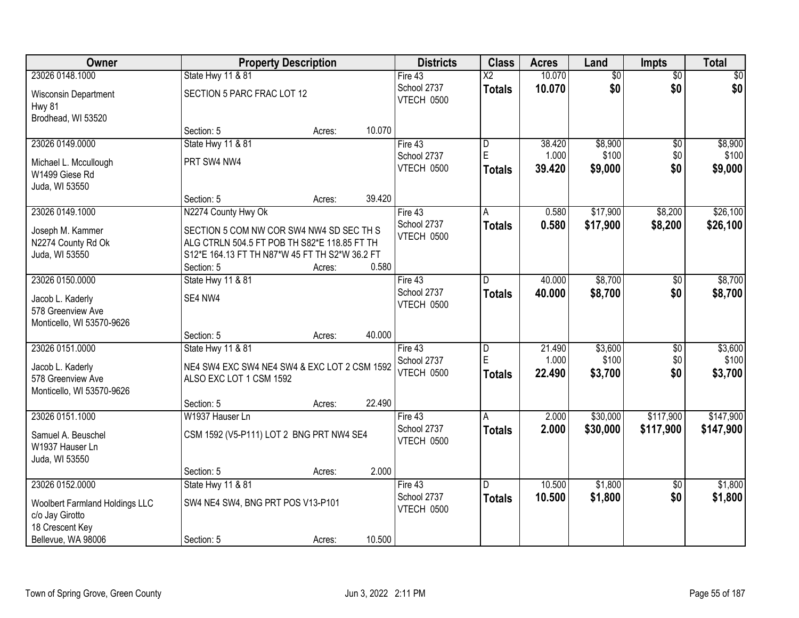| Owner                                 |                                                | <b>Property Description</b> |        | <b>Districts</b>          | <b>Class</b>           | <b>Acres</b> | Land            | <b>Impts</b>    | <b>Total</b>    |
|---------------------------------------|------------------------------------------------|-----------------------------|--------|---------------------------|------------------------|--------------|-----------------|-----------------|-----------------|
| 23026 0148.1000                       | State Hwy 11 & 81                              |                             |        | Fire 43                   | $\overline{\text{X2}}$ | 10.070       | $\overline{50}$ | $\overline{50}$ | $\overline{30}$ |
| Wisconsin Department<br><b>Hwy 81</b> | SECTION 5 PARC FRAC LOT 12                     |                             |        | School 2737<br>VTECH 0500 | <b>Totals</b>          | 10.070       | \$0             | \$0             | \$0             |
| Brodhead, WI 53520                    |                                                |                             |        |                           |                        |              |                 |                 |                 |
|                                       | Section: 5                                     | Acres:                      | 10.070 |                           |                        |              |                 |                 |                 |
| 23026 0149.0000                       | State Hwy 11 & 81                              |                             |        | Fire 43                   | D                      | 38.420       | \$8,900         | \$0             | \$8,900         |
| Michael L. Mccullough                 | PRT SW4 NW4                                    |                             |        | School 2737               | E                      | 1.000        | \$100           | \$0             | \$100           |
| W1499 Giese Rd                        |                                                |                             |        | VTECH 0500                | Totals                 | 39.420       | \$9,000         | \$0             | \$9,000         |
| Juda, WI 53550                        |                                                |                             |        |                           |                        |              |                 |                 |                 |
|                                       | Section: 5                                     | Acres:                      | 39.420 |                           |                        |              |                 |                 |                 |
| 23026 0149.1000                       | N2274 County Hwy Ok                            |                             |        | Fire 43                   | A                      | 0.580        | \$17,900        | \$8,200         | \$26,100        |
| Joseph M. Kammer                      | SECTION 5 COM NW COR SW4 NW4 SD SEC TH S       |                             |        | School 2737               | <b>Totals</b>          | 0.580        | \$17,900        | \$8,200         | \$26,100        |
| N2274 County Rd Ok                    | ALG CTRLN 504.5 FT POB TH S82*E 118.85 FT TH   |                             |        | VTECH 0500                |                        |              |                 |                 |                 |
| Juda, WI 53550                        | S12*E 164.13 FT TH N87*W 45 FT TH S2*W 36.2 FT |                             |        |                           |                        |              |                 |                 |                 |
|                                       | Section: 5                                     | Acres:                      | 0.580  |                           |                        |              |                 |                 |                 |
| 23026 0150.0000                       | State Hwy 11 & 81                              |                             |        | Fire 43                   | D                      | 40.000       | \$8,700         | $\sqrt[6]{3}$   | \$8,700         |
| Jacob L. Kaderly                      | SE4 NW4                                        |                             |        | School 2737               | <b>Totals</b>          | 40.000       | \$8,700         | \$0             | \$8,700         |
| 578 Greenview Ave                     |                                                |                             |        | VTECH 0500                |                        |              |                 |                 |                 |
| Monticello, WI 53570-9626             |                                                |                             |        |                           |                        |              |                 |                 |                 |
|                                       | Section: 5                                     | Acres:                      | 40.000 |                           |                        |              |                 |                 |                 |
| 23026 0151.0000                       | State Hwy 11 & 81                              |                             |        | Fire 43                   | $\overline{D}$         | 21.490       | \$3,600         | \$0             | \$3,600         |
| Jacob L. Kaderly                      | NE4 SW4 EXC SW4 NE4 SW4 & EXC LOT 2 CSM 1592   |                             |        | School 2737               | E                      | 1.000        | \$100           | \$0             | \$100           |
| 578 Greenview Ave                     | ALSO EXC LOT 1 CSM 1592                        |                             |        | VTECH 0500                | <b>Totals</b>          | 22.490       | \$3,700         | \$0             | \$3,700         |
| Monticello, WI 53570-9626             |                                                |                             |        |                           |                        |              |                 |                 |                 |
|                                       | Section: 5                                     | Acres:                      | 22.490 |                           |                        |              |                 |                 |                 |
| 23026 0151.1000                       | W1937 Hauser Ln                                |                             |        | Fire 43                   | A                      | 2.000        | \$30,000        | \$117,900       | \$147,900       |
| Samuel A. Beuschel                    | CSM 1592 (V5-P111) LOT 2 BNG PRT NW4 SE4       |                             |        | School 2737               | <b>Totals</b>          | 2.000        | \$30,000        | \$117,900       | \$147,900       |
| W1937 Hauser Ln                       |                                                |                             |        | VTECH 0500                |                        |              |                 |                 |                 |
| Juda, WI 53550                        |                                                |                             |        |                           |                        |              |                 |                 |                 |
|                                       | Section: 5                                     | Acres:                      | 2.000  |                           |                        |              |                 |                 |                 |
| 23026 0152.0000                       | State Hwy 11 & 81                              |                             |        | Fire 43                   | D.                     | 10.500       | \$1,800         | $\overline{30}$ | \$1,800         |
| <b>Woolbert Farmland Holdings LLC</b> | SW4 NE4 SW4, BNG PRT POS V13-P101              |                             |        | School 2737               | <b>Totals</b>          | 10.500       | \$1,800         | \$0             | \$1,800         |
| c/o Jay Girotto                       |                                                |                             |        | VTECH 0500                |                        |              |                 |                 |                 |
| 18 Crescent Key                       |                                                |                             |        |                           |                        |              |                 |                 |                 |
| Bellevue, WA 98006                    | Section: 5                                     | Acres:                      | 10.500 |                           |                        |              |                 |                 |                 |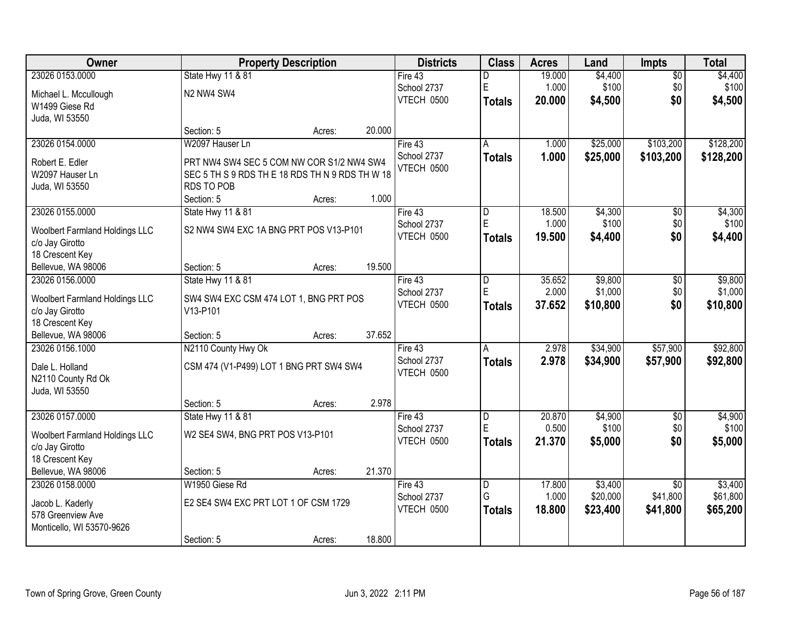| Owner                                 |                                                 | <b>Property Description</b> |        | <b>Districts</b>  | <b>Class</b>  | <b>Acres</b> | Land     | <b>Impts</b>    | <b>Total</b> |
|---------------------------------------|-------------------------------------------------|-----------------------------|--------|-------------------|---------------|--------------|----------|-----------------|--------------|
| 23026 0153.0000                       | State Hwy 11 & 81                               |                             |        | Fire 43           | D             | 19.000       | \$4,400  | \$0             | \$4,400      |
| Michael L. Mccullough                 | N2 NW4 SW4                                      |                             |        | School 2737       | $\mathsf E$   | 1.000        | \$100    | \$0             | \$100        |
| W1499 Giese Rd                        |                                                 |                             |        | VTECH 0500        | <b>Totals</b> | 20.000       | \$4,500  | \$0             | \$4,500      |
| Juda, WI 53550                        |                                                 |                             |        |                   |               |              |          |                 |              |
|                                       | Section: 5                                      | Acres:                      | 20.000 |                   |               |              |          |                 |              |
| 23026 0154.0000                       | W2097 Hauser Ln                                 |                             |        | Fire $43$         | Α             | 1.000        | \$25,000 | \$103,200       | \$128,200    |
| Robert E. Edler                       | PRT NW4 SW4 SEC 5 COM NW COR S1/2 NW4 SW4       |                             |        | School 2737       | <b>Totals</b> | 1.000        | \$25,000 | \$103,200       | \$128,200    |
| W2097 Hauser Ln                       | SEC 5 TH S 9 RDS TH E 18 RDS TH N 9 RDS TH W 18 |                             |        | VTECH 0500        |               |              |          |                 |              |
| Juda, WI 53550                        | <b>RDS TO POB</b>                               |                             |        |                   |               |              |          |                 |              |
|                                       | Section: 5                                      | Acres:                      | 1.000  |                   |               |              |          |                 |              |
| 23026 0155.0000                       | State Hwy 11 & 81                               |                             |        | Fire 43           | D             | 18.500       | \$4,300  | \$0             | \$4,300      |
| <b>Woolbert Farmland Holdings LLC</b> | S2 NW4 SW4 EXC 1A BNG PRT POS V13-P101          |                             |        | School 2737       | E             | 1.000        | \$100    | \$0             | \$100        |
| c/o Jay Girotto                       |                                                 |                             |        | VTECH 0500        | <b>Totals</b> | 19.500       | \$4,400  | \$0             | \$4,400      |
| 18 Crescent Key                       |                                                 |                             |        |                   |               |              |          |                 |              |
| Bellevue, WA 98006                    | Section: 5                                      | Acres:                      | 19.500 |                   |               |              |          |                 |              |
| 23026 0156.0000                       | State Hwy 11 & 81                               |                             |        | Fire 43           | D             | 35.652       | \$9,800  | \$0             | \$9,800      |
| <b>Woolbert Farmland Holdings LLC</b> | SW4 SW4 EXC CSM 474 LOT 1, BNG PRT POS          |                             |        | School 2737       | E             | 2.000        | \$1,000  | \$0             | \$1,000      |
| c/o Jay Girotto                       | V13-P101                                        |                             |        | VTECH 0500        | <b>Totals</b> | 37.652       | \$10,800 | \$0             | \$10,800     |
| 18 Crescent Key                       |                                                 |                             |        |                   |               |              |          |                 |              |
| Bellevue, WA 98006                    | Section: 5                                      | Acres:                      | 37.652 |                   |               |              |          |                 |              |
| 23026 0156.1000                       | N2110 County Hwy Ok                             |                             |        | Fire $43$         | A             | 2.978        | \$34,900 | \$57,900        | \$92,800     |
| Dale L. Holland                       | CSM 474 (V1-P499) LOT 1 BNG PRT SW4 SW4         |                             |        | School 2737       | <b>Totals</b> | 2.978        | \$34,900 | \$57,900        | \$92,800     |
| N2110 County Rd Ok                    |                                                 |                             |        | VTECH 0500        |               |              |          |                 |              |
| Juda, WI 53550                        |                                                 |                             |        |                   |               |              |          |                 |              |
|                                       | Section: 5                                      | Acres:                      | 2.978  |                   |               |              |          |                 |              |
| 23026 0157.0000                       | State Hwy 11 & 81                               |                             |        | Fire 43           | D             | 20.870       | \$4,900  | $\overline{50}$ | \$4,900      |
| <b>Woolbert Farmland Holdings LLC</b> | W2 SE4 SW4, BNG PRT POS V13-P101                |                             |        | School 2737       | $\mathsf E$   | 0.500        | \$100    | \$0             | \$100        |
| c/o Jay Girotto                       |                                                 |                             |        | <b>VTECH 0500</b> | <b>Totals</b> | 21.370       | \$5,000  | \$0             | \$5,000      |
| 18 Crescent Key                       |                                                 |                             |        |                   |               |              |          |                 |              |
| Bellevue, WA 98006                    | Section: 5                                      | Acres:                      | 21.370 |                   |               |              |          |                 |              |
| 23026 0158,0000                       | W1950 Giese Rd                                  |                             |        | Fire 43           | D             | 17,800       | \$3,400  | $\overline{50}$ | \$3,400      |
| Jacob L. Kaderly                      | E2 SE4 SW4 EXC PRT LOT 1 OF CSM 1729            |                             |        | School 2737       | G             | 1.000        | \$20,000 | \$41,800        | \$61,800     |
| 578 Greenview Ave                     |                                                 |                             |        | VTECH 0500        | <b>Totals</b> | 18.800       | \$23,400 | \$41,800        | \$65,200     |
| Monticello, WI 53570-9626             |                                                 |                             |        |                   |               |              |          |                 |              |
|                                       | Section: 5                                      | Acres:                      | 18.800 |                   |               |              |          |                 |              |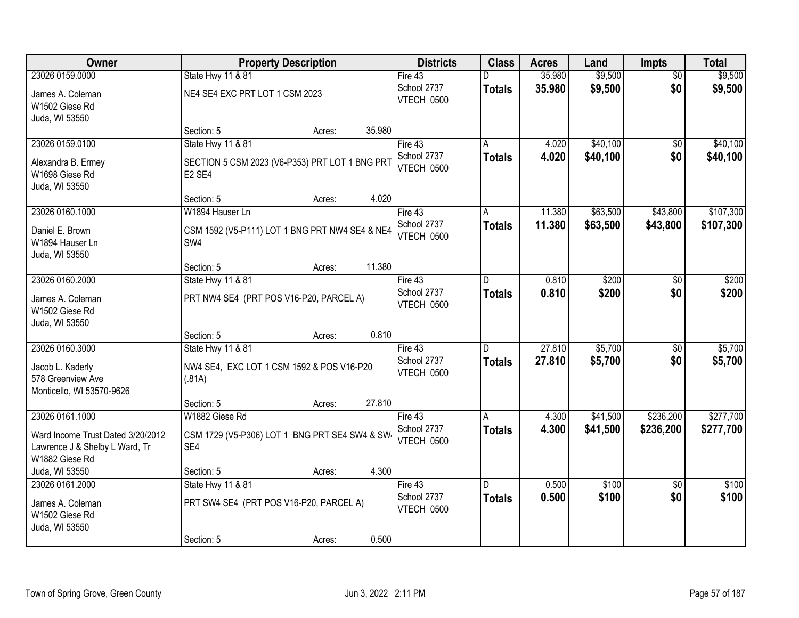| Owner                                                                                 | <b>Property Description</b>                                                      | <b>Districts</b>                 | <b>Class</b>  | <b>Acres</b>     | Land     | <b>Impts</b>    | <b>Total</b> |
|---------------------------------------------------------------------------------------|----------------------------------------------------------------------------------|----------------------------------|---------------|------------------|----------|-----------------|--------------|
| 23026 0159.0000                                                                       | State Hwy 11 & 81                                                                | Fire 43                          | D             | 35.980           | \$9,500  | $\overline{50}$ | \$9,500      |
| James A. Coleman<br>W1502 Giese Rd<br>Juda, WI 53550                                  | NE4 SE4 EXC PRT LOT 1 CSM 2023                                                   | School 2737<br>VTECH 0500        | <b>Totals</b> | 35.980           | \$9,500  | \$0             | \$9,500      |
|                                                                                       | Section: 5<br>Acres:                                                             | 35.980                           |               |                  |          |                 |              |
| 23026 0159.0100                                                                       | State Hwy 11 & 81                                                                | Fire 43                          | A             | 4.020            | \$40,100 | \$0             | \$40,100     |
| Alexandra B. Ermey<br>W1698 Giese Rd<br>Juda, WI 53550                                | SECTION 5 CSM 2023 (V6-P353) PRT LOT 1 BNG PRT<br>E <sub>2</sub> SE <sub>4</sub> | School 2737<br>VTECH 0500        | <b>Totals</b> | 4.020            | \$40,100 | \$0             | \$40,100     |
|                                                                                       | Section: 5<br>Acres:                                                             | 4.020                            |               |                  |          |                 |              |
| 23026 0160.1000                                                                       | W1894 Hauser Ln                                                                  | Fire 43                          | A             | 11.380           | \$63,500 | \$43,800        | \$107,300    |
| Daniel E. Brown<br>W1894 Hauser Ln<br>Juda, WI 53550                                  | CSM 1592 (V5-P111) LOT 1 BNG PRT NW4 SE4 & NE4<br>SW4                            | School 2737<br><b>VTECH 0500</b> | <b>Totals</b> | 11.380           | \$63,500 | \$43,800        | \$107,300    |
|                                                                                       | Section: 5<br>Acres:                                                             | 11.380                           |               |                  |          |                 |              |
| 23026 0160.2000                                                                       | State Hwy 11 & 81                                                                | Fire 43                          | D.            | 0.810            | \$200    | \$0             | \$200        |
| James A. Coleman<br>W1502 Giese Rd<br>Juda, WI 53550                                  | PRT NW4 SE4 (PRT POS V16-P20, PARCEL A)                                          | School 2737<br>VTECH 0500        | <b>Totals</b> | 0.810            | \$200    | \$0             | \$200        |
|                                                                                       | Section: 5<br>Acres:                                                             | 0.810                            |               |                  |          |                 |              |
| 23026 0160.3000                                                                       | State Hwy 11 & 81                                                                | Fire $43$<br>School 2737         | D             | 27.810<br>27.810 | \$5,700  | $\overline{30}$ | \$5,700      |
| Jacob L. Kaderly<br>578 Greenview Ave<br>Monticello, WI 53570-9626                    | NW4 SE4, EXC LOT 1 CSM 1592 & POS V16-P20<br>(.81A)                              | VTECH 0500                       | <b>Totals</b> |                  | \$5,700  | \$0             | \$5,700      |
|                                                                                       | Section: 5<br>Acres:                                                             | 27.810                           |               |                  |          |                 |              |
| 23026 0161.1000                                                                       | W1882 Giese Rd                                                                   | Fire 43                          | A             | 4.300            | \$41,500 | \$236,200       | \$277,700    |
| Ward Income Trust Dated 3/20/2012<br>Lawrence J & Shelby L Ward, Tr<br>W1882 Giese Rd | CSM 1729 (V5-P306) LOT 1 BNG PRT SE4 SW4 & SW4<br>SE4                            | School 2737<br>VTECH 0500        | <b>Totals</b> | 4.300            | \$41,500 | \$236,200       | \$277,700    |
| Juda, WI 53550                                                                        | Section: 5<br>Acres:                                                             | 4.300                            |               |                  |          |                 |              |
| 23026 0161.2000                                                                       | State Hwy 11 & 81                                                                | Fire 43                          | D.            | 0.500            | \$100    | $\overline{50}$ | \$100        |
| James A. Coleman<br>W1502 Giese Rd<br>Juda, WI 53550                                  | PRT SW4 SE4 (PRT POS V16-P20, PARCEL A)                                          | School 2737<br><b>VTECH 0500</b> | <b>Totals</b> | 0.500            | \$100    | \$0             | \$100        |
|                                                                                       | Section: 5<br>Acres:                                                             | 0.500                            |               |                  |          |                 |              |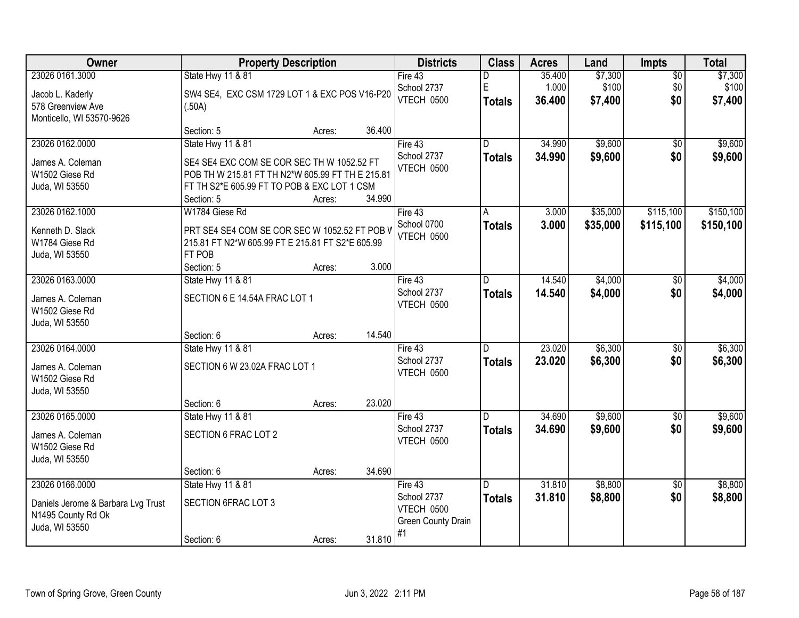| Owner                              |                                                  | <b>Property Description</b> |        | <b>Districts</b>   | <b>Class</b>  | <b>Acres</b> | Land     | Impts           | <b>Total</b> |
|------------------------------------|--------------------------------------------------|-----------------------------|--------|--------------------|---------------|--------------|----------|-----------------|--------------|
| 23026 0161.3000                    | State Hwy 11 & 81                                |                             |        | Fire 43            | D             | 35.400       | \$7,300  | $\overline{50}$ | \$7,300      |
| Jacob L. Kaderly                   | SW4 SE4, EXC CSM 1729 LOT 1 & EXC POS V16-P20    |                             |        | School 2737        | E             | 1.000        | \$100    | \$0             | \$100        |
| 578 Greenview Ave                  | (.50A)                                           |                             |        | VTECH 0500         | <b>Totals</b> | 36.400       | \$7,400  | \$0             | \$7,400      |
| Monticello, WI 53570-9626          |                                                  |                             |        |                    |               |              |          |                 |              |
|                                    | Section: 5                                       | Acres:                      | 36.400 |                    |               |              |          |                 |              |
| 23026 0162.0000                    | State Hwy 11 & 81                                |                             |        | Fire $43$          | D.            | 34.990       | \$9,600  | \$0             | \$9,600      |
| James A. Coleman                   | SE4 SE4 EXC COM SE COR SEC TH W 1052.52 FT       |                             |        | School 2737        | <b>Totals</b> | 34.990       | \$9,600  | \$0             | \$9,600      |
| W1502 Giese Rd                     | POB TH W 215.81 FT TH N2*W 605.99 FT TH E 215.81 |                             |        | VTECH 0500         |               |              |          |                 |              |
| Juda, WI 53550                     | FT TH S2*E 605.99 FT TO POB & EXC LOT 1 CSM      |                             |        |                    |               |              |          |                 |              |
|                                    | Section: 5                                       | Acres:                      | 34.990 |                    |               |              |          |                 |              |
| 23026 0162.1000                    | W1784 Giese Rd                                   |                             |        | Fire 43            | A             | 3.000        | \$35,000 | \$115,100       | \$150,100    |
| Kenneth D. Slack                   | PRT SE4 SE4 COM SE COR SEC W 1052.52 FT POB V    |                             |        | School 0700        | <b>Totals</b> | 3.000        | \$35,000 | \$115,100       | \$150,100    |
| W1784 Giese Rd                     | 215.81 FT N2*W 605.99 FT E 215.81 FT S2*E 605.99 |                             |        | VTECH 0500         |               |              |          |                 |              |
| Juda, WI 53550                     | FT POB                                           |                             |        |                    |               |              |          |                 |              |
|                                    | Section: 5                                       | Acres:                      | 3.000  |                    |               |              |          |                 |              |
| 23026 0163.0000                    | State Hwy 11 & 81                                |                             |        | Fire $43$          | D             | 14.540       | \$4,000  | \$0             | \$4,000      |
| James A. Coleman                   | SECTION 6 E 14.54A FRAC LOT 1                    |                             |        | School 2737        | <b>Totals</b> | 14.540       | \$4,000  | \$0             | \$4,000      |
| W1502 Giese Rd                     |                                                  |                             |        | VTECH 0500         |               |              |          |                 |              |
| Juda, WI 53550                     |                                                  |                             |        |                    |               |              |          |                 |              |
|                                    | Section: 6                                       | Acres:                      | 14.540 |                    |               |              |          |                 |              |
| 23026 0164.0000                    | State Hwy 11 & 81                                |                             |        | Fire $43$          | D             | 23.020       | \$6,300  | $\overline{50}$ | \$6,300      |
| James A. Coleman                   | SECTION 6 W 23.02A FRAC LOT 1                    |                             |        | School 2737        | <b>Totals</b> | 23.020       | \$6,300  | \$0             | \$6,300      |
| W1502 Giese Rd                     |                                                  |                             |        | VTECH 0500         |               |              |          |                 |              |
| Juda, WI 53550                     |                                                  |                             |        |                    |               |              |          |                 |              |
|                                    | Section: 6                                       | Acres:                      | 23.020 |                    |               |              |          |                 |              |
| 23026 0165.0000                    | State Hwy 11 & 81                                |                             |        | Fire 43            | D             | 34.690       | \$9,600  | $\overline{60}$ | \$9,600      |
| James A. Coleman                   | SECTION 6 FRAC LOT 2                             |                             |        | School 2737        | <b>Totals</b> | 34.690       | \$9,600  | \$0             | \$9,600      |
| W1502 Giese Rd                     |                                                  |                             |        | VTECH 0500         |               |              |          |                 |              |
| Juda, WI 53550                     |                                                  |                             |        |                    |               |              |          |                 |              |
|                                    | Section: 6                                       | Acres:                      | 34.690 |                    |               |              |          |                 |              |
| 23026 0166.0000                    | <b>State Hwy 11 &amp; 81</b>                     |                             |        | Fire 43            | D.            | 31.810       | \$8,800  | $\overline{50}$ | \$8,800      |
| Daniels Jerome & Barbara Lvg Trust | SECTION 6FRAC LOT 3                              |                             |        | School 2737        | <b>Totals</b> | 31.810       | \$8,800  | \$0             | \$8,800      |
| N1495 County Rd Ok                 |                                                  |                             |        | VTECH 0500         |               |              |          |                 |              |
| Juda, WI 53550                     |                                                  |                             |        | Green County Drain |               |              |          |                 |              |
|                                    | Section: 6                                       | Acres:                      | 31.810 | #1                 |               |              |          |                 |              |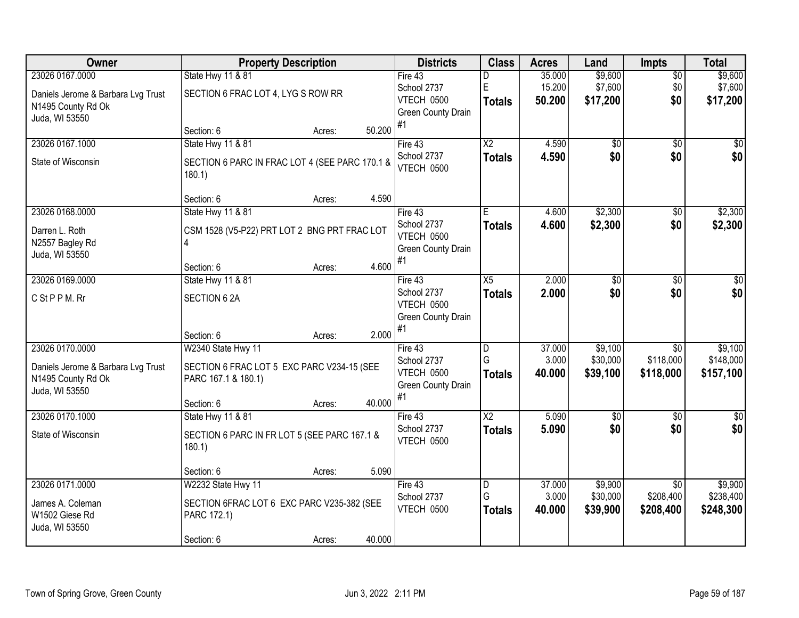| Owner                              | <b>Property Description</b>                    |        |        | <b>Districts</b>                 | <b>Class</b>           | <b>Acres</b>    | Land              | <b>Impts</b>                 | <b>Total</b>       |
|------------------------------------|------------------------------------------------|--------|--------|----------------------------------|------------------------|-----------------|-------------------|------------------------------|--------------------|
| 23026 0167.0000                    | State Hwy 11 & 81                              |        |        | Fire 43                          | D                      | 35.000          | \$9,600           | $\overline{30}$              | \$9,600            |
| Daniels Jerome & Barbara Lvg Trust | SECTION 6 FRAC LOT 4, LYG S ROW RR             |        |        | School 2737                      | E                      | 15.200          | \$7,600           | \$0                          | \$7,600            |
| N1495 County Rd Ok                 |                                                |        |        | VTECH 0500                       | <b>Totals</b>          | 50.200          | \$17,200          | \$0                          | \$17,200           |
| Juda, WI 53550                     |                                                |        |        | Green County Drain<br>#1         |                        |                 |                   |                              |                    |
|                                    | Section: 6                                     | Acres: | 50.200 |                                  |                        |                 |                   |                              |                    |
| 23026 0167.1000                    | State Hwy 11 & 81                              |        |        | Fire 43                          | $\overline{\text{X2}}$ | 4.590           | $\overline{50}$   | $\overline{50}$              | \$0                |
| State of Wisconsin                 | SECTION 6 PARC IN FRAC LOT 4 (SEE PARC 170.1 & |        |        | School 2737                      | <b>Totals</b>          | 4.590           | \$0               | \$0                          | \$0                |
|                                    | 180.1                                          |        |        | VTECH 0500                       |                        |                 |                   |                              |                    |
|                                    |                                                |        |        |                                  |                        |                 |                   |                              |                    |
|                                    | Section: 6                                     | Acres: | 4.590  |                                  |                        |                 |                   |                              |                    |
| 23026 0168.0000                    | State Hwy 11 & 81                              |        |        | Fire 43                          | E                      | 4.600           | \$2,300           | \$0                          | \$2,300            |
| Darren L. Roth                     | CSM 1528 (V5-P22) PRT LOT 2 BNG PRT FRAC LOT   |        |        | School 2737                      | <b>Totals</b>          | 4.600           | \$2,300           | \$0                          | \$2,300            |
| N2557 Bagley Rd                    | 4                                              |        |        | VTECH 0500<br>Green County Drain |                        |                 |                   |                              |                    |
| Juda, WI 53550                     |                                                |        |        | #1                               |                        |                 |                   |                              |                    |
|                                    | Section: 6                                     | Acres: | 4.600  |                                  |                        |                 |                   |                              |                    |
| 23026 0169.0000                    | State Hwy 11 & 81                              |        |        | Fire 43                          | $\overline{X5}$        | 2.000           | \$0               | \$0                          | \$0                |
| C St P P M. Rr                     | SECTION 6 2A                                   |        |        | School 2737<br>VTECH 0500        | <b>Totals</b>          | 2.000           | \$0               | \$0                          | \$0                |
|                                    |                                                |        |        | Green County Drain               |                        |                 |                   |                              |                    |
|                                    |                                                |        |        | #1                               |                        |                 |                   |                              |                    |
|                                    | Section: 6                                     | Acres: | 2.000  |                                  |                        |                 |                   |                              |                    |
| 23026 0170.0000                    | W2340 State Hwy 11                             |        |        | Fire 43                          | D<br>G                 | 37.000          | \$9,100           | $\overline{50}$              | \$9,100            |
| Daniels Jerome & Barbara Lvg Trust | SECTION 6 FRAC LOT 5 EXC PARC V234-15 (SEE     |        |        | School 2737<br>VTECH 0500        |                        | 3.000<br>40.000 | \$30,000          | \$118,000                    | \$148,000          |
| N1495 County Rd Ok                 | PARC 167.1 & 180.1)                            |        |        | Green County Drain               | <b>Totals</b>          |                 | \$39,100          | \$118,000                    | \$157,100          |
| Juda, WI 53550                     |                                                |        |        | #1                               |                        |                 |                   |                              |                    |
|                                    | Section: 6                                     | Acres: | 40.000 |                                  |                        |                 |                   |                              |                    |
| 23026 0170.1000                    | State Hwy 11 & 81                              |        |        | Fire 43<br>School 2737           | $\overline{X2}$        | 5.090           | $\sqrt{6}$<br>\$0 | $\sqrt{6}$                   | $\sqrt{50}$<br>\$0 |
| State of Wisconsin                 | SECTION 6 PARC IN FR LOT 5 (SEE PARC 167.1 &   |        |        | VTECH 0500                       | <b>Totals</b>          | 5.090           |                   | \$0                          |                    |
|                                    | 180.1                                          |        |        |                                  |                        |                 |                   |                              |                    |
|                                    |                                                |        |        |                                  |                        |                 |                   |                              |                    |
| 23026 0171.0000                    | Section: 6                                     | Acres: | 5.090  |                                  |                        | 37.000          | \$9,900           |                              | \$9,900            |
|                                    | W2232 State Hwy 11                             |        |        | Fire 43<br>School 2737           | $\overline{D}$<br>G    | 3.000           | \$30,000          | $\overline{50}$<br>\$208,400 | \$238,400          |
| James A. Coleman                   | SECTION 6FRAC LOT 6 EXC PARC V235-382 (SEE     |        |        | VTECH 0500                       | <b>Totals</b>          | 40.000          | \$39,900          | \$208,400                    | \$248,300          |
| W1502 Giese Rd                     | PARC 172.1)                                    |        |        |                                  |                        |                 |                   |                              |                    |
| Juda, WI 53550                     |                                                |        |        |                                  |                        |                 |                   |                              |                    |
|                                    | Section: 6                                     | Acres: | 40.000 |                                  |                        |                 |                   |                              |                    |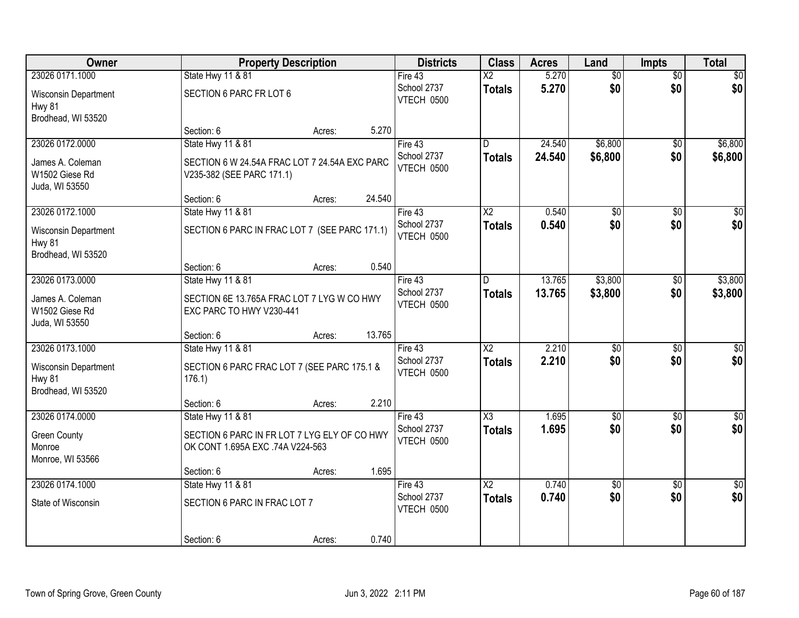| <b>Owner</b>                                                | <b>Property Description</b>                                                      |        | <b>Districts</b>                 | <b>Class</b>           | <b>Acres</b> | Land            | <b>Impts</b>    | <b>Total</b>    |
|-------------------------------------------------------------|----------------------------------------------------------------------------------|--------|----------------------------------|------------------------|--------------|-----------------|-----------------|-----------------|
| 23026 0171.1000                                             | State Hwy 11 & 81                                                                |        | Fire 43                          | $\overline{\text{X2}}$ | 5.270        | $\overline{50}$ | $\overline{50}$ | $\overline{30}$ |
| Wisconsin Department<br>Hwy 81<br>Brodhead, WI 53520        | SECTION 6 PARC FR LOT 6                                                          |        | School 2737<br><b>VTECH 0500</b> | <b>Totals</b>          | 5.270        | \$0             | \$0             | \$0             |
|                                                             | Section: 6<br>Acres:                                                             | 5.270  |                                  |                        |              |                 |                 |                 |
| 23026 0172.0000                                             | <b>State Hwy 11 &amp; 81</b>                                                     |        | Fire 43                          | D.                     | 24.540       | \$6,800         | \$0             | \$6,800         |
| James A. Coleman<br>W1502 Giese Rd<br>Juda, WI 53550        | SECTION 6 W 24.54A FRAC LOT 7 24.54A EXC PARC<br>V235-382 (SEE PARC 171.1)       |        | School 2737<br>VTECH 0500        | <b>Totals</b>          | 24.540       | \$6,800         | \$0             | \$6,800         |
|                                                             | Section: 6<br>Acres:                                                             | 24.540 |                                  |                        |              |                 |                 |                 |
| 23026 0172.1000                                             | State Hwy 11 & 81                                                                |        | Fire 43                          | $\overline{X2}$        | 0.540        | $\overline{50}$ | \$0             | $\overline{50}$ |
| Wisconsin Department<br>Hwy 81<br>Brodhead, WI 53520        | SECTION 6 PARC IN FRAC LOT 7 (SEE PARC 171.1)                                    |        | School 2737<br><b>VTECH 0500</b> | <b>Totals</b>          | 0.540        | \$0             | \$0             | \$0             |
|                                                             | Section: 6<br>Acres:                                                             | 0.540  |                                  |                        |              |                 |                 |                 |
| 23026 0173.0000                                             | State Hwy 11 & 81                                                                |        | Fire 43                          | D.                     | 13.765       | \$3,800         | $\sqrt[6]{}$    | \$3,800         |
| James A. Coleman<br>W1502 Giese Rd<br>Juda, WI 53550        | SECTION 6E 13.765A FRAC LOT 7 LYG W CO HWY<br>EXC PARC TO HWY V230-441           |        | School 2737<br>VTECH 0500        | <b>Totals</b>          | 13.765       | \$3,800         | \$0             | \$3,800         |
|                                                             | Section: 6<br>Acres:                                                             | 13.765 |                                  |                        |              |                 |                 |                 |
| 23026 0173.1000                                             | State Hwy 11 & 81                                                                |        | Fire 43                          | $\overline{\text{X2}}$ | 2.210        | $\overline{50}$ | $\overline{50}$ | $\sqrt{50}$     |
| Wisconsin Department<br><b>Hwy 81</b><br>Brodhead, WI 53520 | SECTION 6 PARC FRAC LOT 7 (SEE PARC 175.1 &<br>176.1)                            |        | School 2737<br>VTECH 0500        | <b>Totals</b>          | 2.210        | \$0             | \$0             | \$0             |
|                                                             | Section: 6<br>Acres:                                                             | 2.210  |                                  |                        |              |                 |                 |                 |
| 23026 0174.0000                                             | State Hwy 11 & 81                                                                |        | Fire 43                          | $\overline{\chi_3}$    | 1.695        | $\overline{50}$ | $\overline{50}$ | $\sqrt{50}$     |
| <b>Green County</b><br>Monroe<br>Monroe, WI 53566           | SECTION 6 PARC IN FR LOT 7 LYG ELY OF CO HWY<br>OK CONT 1.695A EXC .74A V224-563 |        | School 2737<br>VTECH 0500        | <b>Totals</b>          | 1.695        | \$0             | \$0             | \$0             |
|                                                             | Section: 6<br>Acres:                                                             | 1.695  |                                  |                        |              |                 |                 |                 |
| 23026 0174.1000                                             | <b>State Hwy 11 &amp; 81</b>                                                     |        | Fire 43                          | $\overline{\text{X2}}$ | 0.740        | $\overline{50}$ | $\overline{50}$ | $\sqrt{50}$     |
| State of Wisconsin                                          | SECTION 6 PARC IN FRAC LOT 7                                                     |        | School 2737<br>VTECH 0500        | <b>Totals</b>          | 0.740        | \$0             | \$0             | \$0             |
|                                                             | Section: 6<br>Acres:                                                             | 0.740  |                                  |                        |              |                 |                 |                 |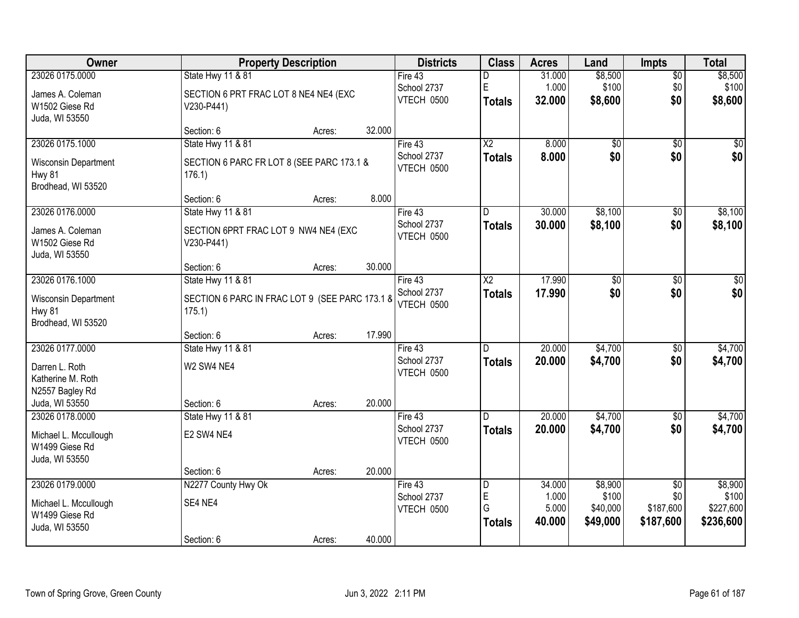| Owner                                                       | <b>Property Description</b>                              |        |        | <b>Districts</b>          | <b>Class</b>                 | <b>Acres</b>     | Land                 | <b>Impts</b>           | <b>Total</b>           |
|-------------------------------------------------------------|----------------------------------------------------------|--------|--------|---------------------------|------------------------------|------------------|----------------------|------------------------|------------------------|
| 23026 0175.0000                                             | State Hwy 11 & 81                                        |        |        | Fire 43                   | D                            | 31.000           | \$8,500              | \$0                    | \$8,500                |
| James A. Coleman<br>W1502 Giese Rd<br>Juda, WI 53550        | SECTION 6 PRT FRAC LOT 8 NE4 NE4 (EXC<br>V230-P441)      |        |        | School 2737<br>VTECH 0500 | $\mathsf E$<br><b>Totals</b> | 1.000<br>32.000  | \$100<br>\$8,600     | \$0<br>\$0             | \$100<br>\$8,600       |
|                                                             | Section: 6                                               | Acres: | 32.000 |                           |                              |                  |                      |                        |                        |
| 23026 0175.1000                                             | State Hwy 11 & 81                                        |        |        | Fire $43$                 | $\overline{\text{X2}}$       | 8.000            | $\overline{50}$      | \$0                    | $\sqrt{50}$            |
| <b>Wisconsin Department</b><br>Hwy 81<br>Brodhead, WI 53520 | SECTION 6 PARC FR LOT 8 (SEE PARC 173.1 &<br>176.1       |        |        | School 2737<br>VTECH 0500 | <b>Totals</b>                | 8.000            | \$0                  | \$0                    | \$0                    |
|                                                             | Section: 6                                               | Acres: | 8.000  |                           |                              |                  |                      |                        |                        |
| 23026 0176.0000                                             | State Hwy 11 & 81                                        |        |        | Fire 43                   | D.                           | 30.000           | \$8,100              | \$0                    | \$8,100                |
| James A. Coleman<br>W1502 Giese Rd<br>Juda, WI 53550        | SECTION 6PRT FRAC LOT 9 NW4 NE4 (EXC<br>V230-P441)       |        |        | School 2737<br>VTECH 0500 | <b>Totals</b>                | 30.000           | \$8,100              | \$0                    | \$8,100                |
|                                                             | Section: 6                                               | Acres: | 30.000 |                           |                              |                  |                      |                        |                        |
| 23026 0176.1000                                             | State Hwy 11 & 81                                        |        |        | Fire 43                   | $\overline{\text{X2}}$       | 17.990           | $\overline{50}$      | \$0                    | $\sqrt{50}$            |
| Wisconsin Department<br>Hwy 81<br>Brodhead, WI 53520        | SECTION 6 PARC IN FRAC LOT 9 (SEE PARC 173.1 8<br>175.1) |        |        | School 2737<br>VTECH 0500 | <b>Totals</b>                | 17.990           | \$0                  | \$0                    | \$0                    |
|                                                             | Section: 6                                               | Acres: | 17.990 |                           |                              |                  |                      |                        |                        |
| 23026 0177.0000                                             | State Hwy 11 & 81                                        |        |        | Fire 43<br>School 2737    | D<br><b>Totals</b>           | 20.000<br>20,000 | \$4,700<br>\$4,700   | \$0<br>\$0             | \$4,700<br>\$4,700     |
| Darren L. Roth<br>Katherine M. Roth<br>N2557 Bagley Rd      | W2 SW4 NE4                                               |        |        | VTECH 0500                |                              |                  |                      |                        |                        |
| Juda, WI 53550                                              | Section: 6                                               | Acres: | 20.000 |                           |                              |                  |                      |                        |                        |
| 23026 0178.0000                                             | State Hwy 11 & 81                                        |        |        | Fire 43                   | D                            | 20.000           | \$4,700              | $\sqrt{6}$             | \$4,700                |
| Michael L. Mccullough<br>W1499 Giese Rd<br>Juda, WI 53550   | E2 SW4 NE4                                               |        |        | School 2737<br>VTECH 0500 | <b>Totals</b>                | 20.000           | \$4,700              | \$0                    | \$4,700                |
|                                                             | Section: 6                                               | Acres: | 20.000 |                           |                              |                  |                      |                        |                        |
| 23026 0179.0000                                             | N2277 County Hwy Ok                                      |        |        | Fire 43                   | D                            | 34.000           | \$8,900              | $\overline{50}$        | \$8,900                |
| Michael L. Mccullough                                       | SE4 NE4                                                  |        |        | School 2737               | $\mathsf E$<br>G             | 1.000            | \$100                | \$0                    | \$100                  |
| W1499 Giese Rd<br>Juda, WI 53550                            |                                                          |        |        | VTECH 0500                | <b>Totals</b>                | 5.000<br>40.000  | \$40,000<br>\$49,000 | \$187,600<br>\$187,600 | \$227,600<br>\$236,600 |
|                                                             | Section: 6                                               | Acres: | 40.000 |                           |                              |                  |                      |                        |                        |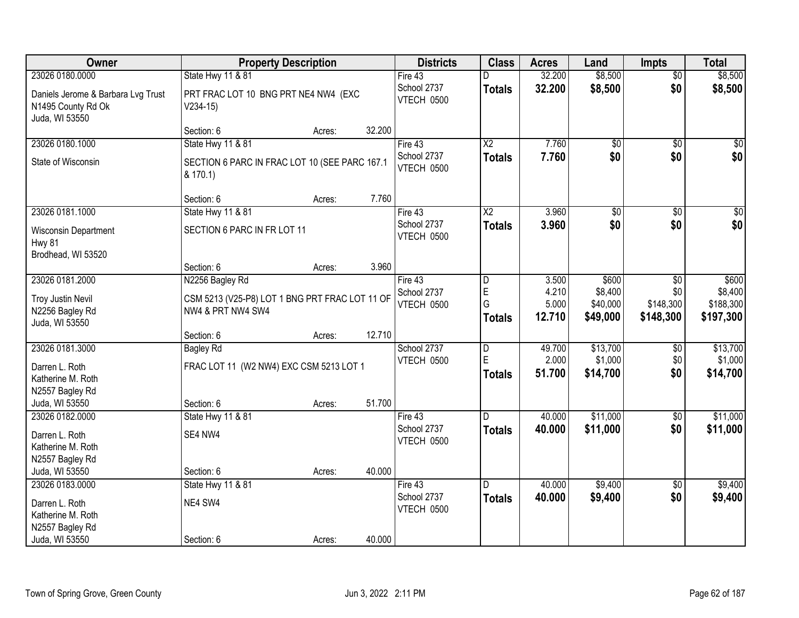| Owner                                                                      | <b>Property Description</b>                                         |        |        | <b>Districts</b>                 | <b>Class</b>    | <b>Acres</b> | Land     | <b>Impts</b>    | <b>Total</b>     |
|----------------------------------------------------------------------------|---------------------------------------------------------------------|--------|--------|----------------------------------|-----------------|--------------|----------|-----------------|------------------|
| 23026 0180.0000                                                            | State Hwy 11 & 81                                                   |        |        | Fire 43                          | D               | 32.200       | \$8,500  | $\overline{50}$ | \$8,500          |
| Daniels Jerome & Barbara Lvg Trust<br>N1495 County Rd Ok<br>Juda, WI 53550 | PRT FRAC LOT 10 BNG PRT NE4 NW4 (EXC<br>$V234-15)$                  |        |        | School 2737<br>VTECH 0500        | <b>Totals</b>   | 32.200       | \$8,500  | \$0             | \$8,500          |
|                                                                            | Section: 6                                                          | Acres: | 32.200 |                                  |                 |              |          |                 |                  |
| 23026 0180.1000                                                            | <b>State Hwy 11 &amp; 81</b>                                        |        |        | Fire 43                          | $\overline{X2}$ | 7.760        | \$0      | $\overline{50}$ | \$0              |
| State of Wisconsin                                                         | SECTION 6 PARC IN FRAC LOT 10 (SEE PARC 167.1<br>& 170.1)           |        |        | School 2737<br><b>VTECH 0500</b> | <b>Totals</b>   | 7.760        | \$0      | \$0             | \$0              |
|                                                                            | Section: 6                                                          | Acres: | 7.760  |                                  |                 |              |          |                 |                  |
| 23026 0181.1000                                                            | State Hwy 11 & 81                                                   |        |        | Fire 43                          | X <sub>2</sub>  | 3.960        | \$0      | \$0             | $\overline{\$0}$ |
| Wisconsin Department<br><b>Hwy 81</b>                                      | SECTION 6 PARC IN FR LOT 11                                         |        |        | School 2737<br>VTECH 0500        | <b>Totals</b>   | 3.960        | \$0      | \$0             | \$0              |
| Brodhead, WI 53520                                                         | Section: 6                                                          | Acres: | 3.960  |                                  |                 |              |          |                 |                  |
| 23026 0181.2000                                                            | N2256 Bagley Rd                                                     |        |        | Fire 43                          | D               | 3.500        | \$600    | \$0             | \$600            |
|                                                                            |                                                                     |        |        | School 2737                      | E               | 4.210        | \$8,400  | \$0             | \$8,400          |
| <b>Troy Justin Nevil</b>                                                   | CSM 5213 (V25-P8) LOT 1 BNG PRT FRAC LOT 11 OF<br>NW4 & PRT NW4 SW4 |        |        | VTECH 0500                       | G               | 5.000        | \$40,000 | \$148,300       | \$188,300        |
| N2256 Bagley Rd<br>Juda, WI 53550                                          |                                                                     |        |        |                                  | Totals          | 12.710       | \$49,000 | \$148,300       | \$197,300        |
|                                                                            | Section: 6                                                          | Acres: | 12.710 |                                  |                 |              |          |                 |                  |
| 23026 0181.3000                                                            | <b>Bagley Rd</b>                                                    |        |        | School 2737                      | $\overline{D}$  | 49.700       | \$13,700 | \$0             | \$13,700         |
|                                                                            |                                                                     |        |        | VTECH 0500                       | E               | 2.000        | \$1,000  | \$0             | \$1,000          |
| Darren L. Roth<br>Katherine M. Roth                                        | FRAC LOT 11 (W2 NW4) EXC CSM 5213 LOT 1                             |        |        |                                  | Totals          | 51.700       | \$14,700 | \$0             | \$14,700         |
| N2557 Bagley Rd                                                            |                                                                     |        |        |                                  |                 |              |          |                 |                  |
| Juda, WI 53550                                                             | Section: 6                                                          | Acres: | 51.700 |                                  |                 |              |          |                 |                  |
| 23026 0182.0000                                                            | State Hwy 11 & 81                                                   |        |        | Fire 43                          | D.              | 40.000       | \$11,000 | \$0             | \$11,000         |
| Darren L. Roth                                                             | SE4 NW4                                                             |        |        | School 2737                      | <b>Totals</b>   | 40.000       | \$11,000 | \$0             | \$11,000         |
| Katherine M. Roth                                                          |                                                                     |        |        | VTECH 0500                       |                 |              |          |                 |                  |
| N2557 Bagley Rd                                                            |                                                                     |        |        |                                  |                 |              |          |                 |                  |
| Juda, WI 53550                                                             | Section: 6                                                          | Acres: | 40.000 |                                  |                 |              |          |                 |                  |
| 23026 0183.0000                                                            | State Hwy 11 & 81                                                   |        |        | Fire 43                          | ID.             | 40.000       | \$9,400  | $\overline{30}$ | \$9,400          |
| Darren L. Roth                                                             | NE4 SW4                                                             |        |        | School 2737                      | <b>Totals</b>   | 40.000       | \$9,400  | \$0             | \$9,400          |
| Katherine M. Roth                                                          |                                                                     |        |        | VTECH 0500                       |                 |              |          |                 |                  |
| N2557 Bagley Rd                                                            |                                                                     |        |        |                                  |                 |              |          |                 |                  |
| Juda, WI 53550                                                             | Section: 6                                                          | Acres: | 40.000 |                                  |                 |              |          |                 |                  |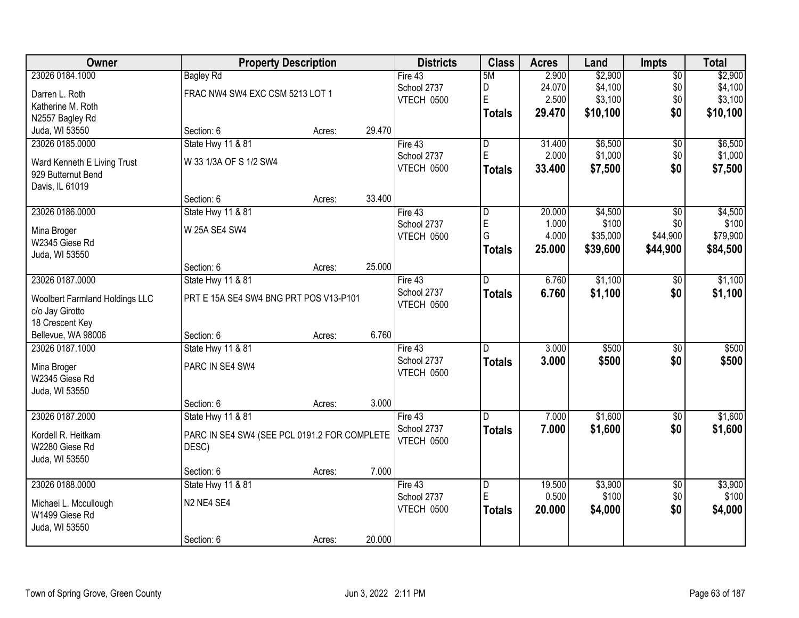| <b>Owner</b>                                      | <b>Property Description</b>                  |        |        | <b>Districts</b>          | <b>Class</b>            | <b>Acres</b> | Land     | <b>Impts</b>    | <b>Total</b> |
|---------------------------------------------------|----------------------------------------------|--------|--------|---------------------------|-------------------------|--------------|----------|-----------------|--------------|
| 23026 0184.1000                                   | <b>Bagley Rd</b>                             |        |        | Fire $43$                 | 5M                      | 2.900        | \$2,900  | $\sqrt{$0}$     | \$2,900      |
| Darren L. Roth                                    | FRAC NW4 SW4 EXC CSM 5213 LOT 1              |        |        | School 2737               | D                       | 24.070       | \$4,100  | \$0             | \$4,100      |
| Katherine M. Roth                                 |                                              |        |        | VTECH 0500                | E                       | 2.500        | \$3,100  | \$0             | \$3,100      |
| N2557 Bagley Rd                                   |                                              |        |        |                           | <b>Totals</b>           | 29.470       | \$10,100 | \$0             | \$10,100     |
| Juda, WI 53550                                    | Section: 6                                   | Acres: | 29.470 |                           |                         |              |          |                 |              |
| 23026 0185.0000                                   | State Hwy 11 & 81                            |        |        | Fire $43$                 | $\overline{\mathsf{D}}$ | 31.400       | \$6,500  | \$0             | \$6,500      |
|                                                   | W 33 1/3A OF S 1/2 SW4                       |        |        | School 2737               | E                       | 2.000        | \$1,000  | \$0             | \$1,000      |
| Ward Kenneth E Living Trust<br>929 Butternut Bend |                                              |        |        | VTECH 0500                | <b>Totals</b>           | 33.400       | \$7,500  | \$0             | \$7,500      |
| Davis, IL 61019                                   |                                              |        |        |                           |                         |              |          |                 |              |
|                                                   | Section: 6                                   | Acres: | 33.400 |                           |                         |              |          |                 |              |
| 23026 0186.0000                                   | State Hwy 11 & 81                            |        |        | Fire 43                   | D                       | 20.000       | \$4,500  | \$0             | \$4,500      |
|                                                   |                                              |        |        | School 2737               | E                       | 1.000        | \$100    | \$0             | \$100        |
| Mina Broger<br>W2345 Giese Rd                     | W 25A SE4 SW4                                |        |        | VTECH 0500                | G                       | 4.000        | \$35,000 | \$44,900        | \$79,900     |
| Juda, WI 53550                                    |                                              |        |        |                           | <b>Totals</b>           | 25.000       | \$39,600 | \$44,900        | \$84,500     |
|                                                   | Section: 6                                   | Acres: | 25.000 |                           |                         |              |          |                 |              |
| 23026 0187.0000                                   | State Hwy 11 & 81                            |        |        | Fire 43                   | D                       | 6.760        | \$1,100  | $\sqrt[6]{3}$   | \$1,100      |
|                                                   |                                              |        |        | School 2737               | <b>Totals</b>           | 6.760        | \$1,100  | \$0             | \$1,100      |
| <b>Woolbert Farmland Holdings LLC</b>             | PRT E 15A SE4 SW4 BNG PRT POS V13-P101       |        |        | VTECH 0500                |                         |              |          |                 |              |
| c/o Jay Girotto                                   |                                              |        |        |                           |                         |              |          |                 |              |
| 18 Crescent Key                                   |                                              |        | 6.760  |                           |                         |              |          |                 |              |
| Bellevue, WA 98006<br>23026 0187.1000             | Section: 6<br><b>State Hwy 11 &amp; 81</b>   | Acres: |        |                           | D                       | 3.000        | \$500    | $\overline{50}$ | \$500        |
|                                                   |                                              |        |        | Fire 43                   |                         |              |          |                 |              |
| Mina Broger                                       | PARC IN SE4 SW4                              |        |        | School 2737<br>VTECH 0500 | <b>Totals</b>           | 3.000        | \$500    | \$0             | \$500        |
| W2345 Giese Rd                                    |                                              |        |        |                           |                         |              |          |                 |              |
| Juda, WI 53550                                    |                                              |        |        |                           |                         |              |          |                 |              |
|                                                   | Section: 6                                   | Acres: | 3.000  |                           |                         |              |          |                 |              |
| 23026 0187.2000                                   | State Hwy 11 & 81                            |        |        | Fire 43                   | D.                      | 7.000        | \$1,600  | $\sqrt{$0}$     | \$1,600      |
| Kordell R. Heitkam                                | PARC IN SE4 SW4 (SEE PCL 0191.2 FOR COMPLETE |        |        | School 2737               | <b>Totals</b>           | 7.000        | \$1,600  | \$0             | \$1,600      |
| W2280 Giese Rd                                    | DESC)                                        |        |        | VTECH 0500                |                         |              |          |                 |              |
| Juda, WI 53550                                    |                                              |        |        |                           |                         |              |          |                 |              |
|                                                   | Section: 6                                   | Acres: | 7.000  |                           |                         |              |          |                 |              |
| 23026 0188.0000                                   | <b>State Hwy 11 &amp; 81</b>                 |        |        | Fire 43                   | $\overline{\mathsf{D}}$ | 19.500       | \$3,900  | $\overline{50}$ | \$3,900      |
| Michael L. Mccullough                             | N2 NE4 SE4                                   |        |        | School 2737               | E                       | 0.500        | \$100    | \$0             | \$100        |
| W1499 Giese Rd                                    |                                              |        |        | VTECH 0500                | <b>Totals</b>           | 20.000       | \$4,000  | \$0             | \$4,000      |
| Juda, WI 53550                                    |                                              |        |        |                           |                         |              |          |                 |              |
|                                                   | Section: 6                                   | Acres: | 20.000 |                           |                         |              |          |                 |              |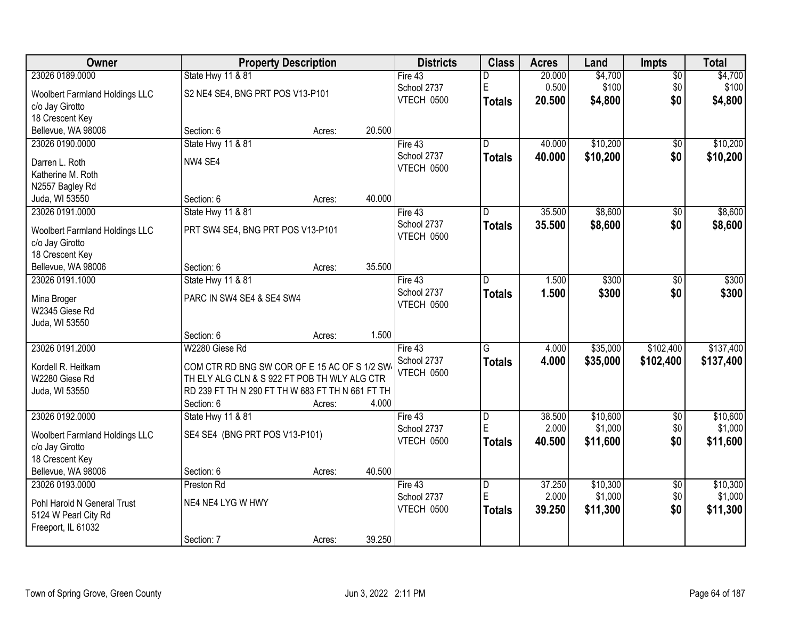| Owner                                                    |                                                  | <b>Property Description</b> |        | <b>Districts</b>  | <b>Class</b>            | <b>Acres</b> | Land     | <b>Impts</b>    | <b>Total</b> |
|----------------------------------------------------------|--------------------------------------------------|-----------------------------|--------|-------------------|-------------------------|--------------|----------|-----------------|--------------|
| 23026 0189.0000                                          | State Hwy 11 & 81                                |                             |        | Fire 43           | D                       | 20.000       | \$4,700  | $\sqrt{$0}$     | \$4,700      |
| Woolbert Farmland Holdings LLC                           | S2 NE4 SE4, BNG PRT POS V13-P101                 |                             |        | School 2737       | $\mathsf E$             | 0.500        | \$100    | \$0             | \$100        |
| c/o Jay Girotto                                          |                                                  |                             |        | VTECH 0500        | <b>Totals</b>           | 20.500       | \$4,800  | \$0             | \$4,800      |
| 18 Crescent Key                                          |                                                  |                             |        |                   |                         |              |          |                 |              |
| Bellevue, WA 98006                                       | Section: 6                                       | Acres:                      | 20.500 |                   |                         |              |          |                 |              |
| 23026 0190.0000                                          | State Hwy 11 & 81                                |                             |        | Fire 43           | $\overline{\mathsf{n}}$ | 40.000       | \$10,200 | \$0             | \$10,200     |
| Darren L. Roth                                           | NW4 SE4                                          |                             |        | School 2737       | <b>Totals</b>           | 40.000       | \$10,200 | \$0             | \$10,200     |
| Katherine M. Roth                                        |                                                  |                             |        | VTECH 0500        |                         |              |          |                 |              |
| N2557 Bagley Rd                                          |                                                  |                             |        |                   |                         |              |          |                 |              |
| Juda, WI 53550                                           | Section: 6                                       | Acres:                      | 40.000 |                   |                         |              |          |                 |              |
| 23026 0191.0000                                          | State Hwy 11 & 81                                |                             |        | Fire 43           | D                       | 35.500       | \$8,600  | \$0             | \$8,600      |
| <b>Woolbert Farmland Holdings LLC</b>                    | PRT SW4 SE4, BNG PRT POS V13-P101                |                             |        | School 2737       | Totals                  | 35.500       | \$8,600  | \$0             | \$8,600      |
| c/o Jay Girotto                                          |                                                  |                             |        | VTECH 0500        |                         |              |          |                 |              |
| 18 Crescent Key                                          |                                                  |                             |        |                   |                         |              |          |                 |              |
| Bellevue, WA 98006                                       | Section: 6                                       | Acres:                      | 35.500 |                   |                         |              |          |                 |              |
| 23026 0191.1000                                          | State Hwy 11 & 81                                |                             |        | Fire 43           | D                       | 1.500        | \$300    | \$0             | \$300        |
| Mina Broger                                              | PARC IN SW4 SE4 & SE4 SW4                        |                             |        | School 2737       | <b>Totals</b>           | 1.500        | \$300    | \$0             | \$300        |
| W2345 Giese Rd                                           |                                                  |                             |        | VTECH 0500        |                         |              |          |                 |              |
| Juda, WI 53550                                           |                                                  |                             |        |                   |                         |              |          |                 |              |
|                                                          | Section: 6                                       | Acres:                      | 1.500  |                   |                         |              |          |                 |              |
| 23026 0191.2000                                          | W2280 Giese Rd                                   |                             |        | Fire 43           | G                       | 4.000        | \$35,000 | \$102,400       | \$137,400    |
| Kordell R. Heitkam                                       | COM CTR RD BNG SW COR OF E 15 AC OF S 1/2 SW-    |                             |        | School 2737       | <b>Totals</b>           | 4.000        | \$35,000 | \$102,400       | \$137,400    |
| W2280 Giese Rd                                           | TH ELY ALG CLN & S 922 FT POB TH WLY ALG CTR     |                             |        | <b>VTECH 0500</b> |                         |              |          |                 |              |
| Juda, WI 53550                                           | RD 239 FT TH N 290 FT TH W 683 FT TH N 661 FT TH |                             |        |                   |                         |              |          |                 |              |
|                                                          | Section: 6                                       | Acres:                      | 4.000  |                   |                         |              |          |                 |              |
| 23026 0192.0000                                          | State Hwy 11 & 81                                |                             |        | Fire 43           | $\overline{D}$          | 38.500       | \$10,600 | $\sqrt{6}$      | \$10,600     |
|                                                          | SE4 SE4 (BNG PRT POS V13-P101)                   |                             |        | School 2737       | E                       | 2.000        | \$1,000  | \$0             | \$1,000      |
| <b>Woolbert Farmland Holdings LLC</b><br>c/o Jay Girotto |                                                  |                             |        | VTECH 0500        | <b>Totals</b>           | 40.500       | \$11,600 | \$0             | \$11,600     |
| 18 Crescent Key                                          |                                                  |                             |        |                   |                         |              |          |                 |              |
| Bellevue, WA 98006                                       | Section: 6                                       | Acres:                      | 40.500 |                   |                         |              |          |                 |              |
| 23026 0193.0000                                          | Preston Rd                                       |                             |        | Fire $43$         | $\overline{\mathsf{D}}$ | 37.250       | \$10,300 | $\overline{50}$ | \$10,300     |
| Pohl Harold N General Trust                              | NE4 NE4 LYG W HWY                                |                             |        | School 2737       | E                       | 2.000        | \$1,000  | \$0             | \$1,000      |
| 5124 W Pearl City Rd                                     |                                                  |                             |        | VTECH 0500        | <b>Totals</b>           | 39.250       | \$11,300 | \$0             | \$11,300     |
| Freeport, IL 61032                                       |                                                  |                             |        |                   |                         |              |          |                 |              |
|                                                          | Section: 7                                       | Acres:                      | 39.250 |                   |                         |              |          |                 |              |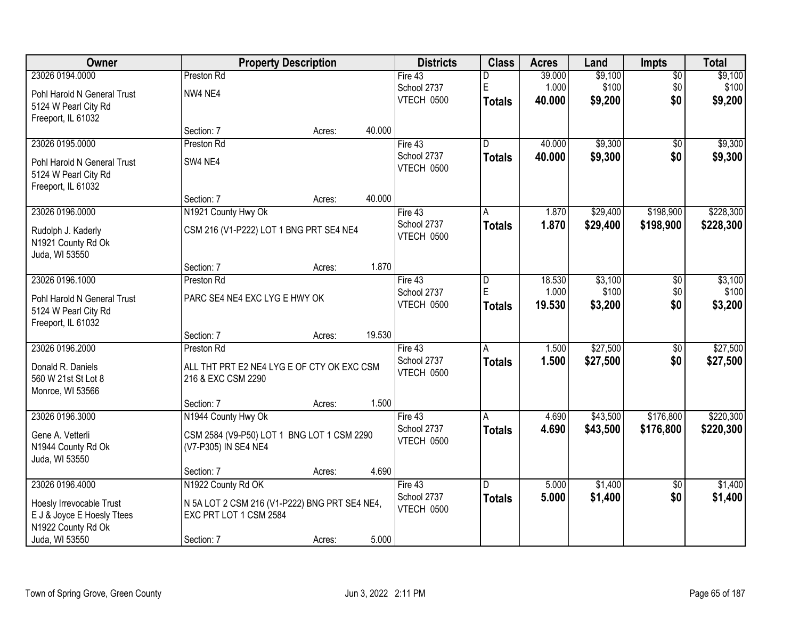| <b>Owner</b>                |                                               | <b>Property Description</b> |        | <b>Districts</b> | <b>Class</b>  | <b>Acres</b> | Land     | <b>Impts</b>    | <b>Total</b> |
|-----------------------------|-----------------------------------------------|-----------------------------|--------|------------------|---------------|--------------|----------|-----------------|--------------|
| 23026 0194.0000             | Preston Rd                                    |                             |        | Fire 43          | D             | 39.000       | \$9,100  | $\overline{$0}$ | \$9,100      |
| Pohl Harold N General Trust | NW4 NE4                                       |                             |        | School 2737      | $\mathsf E$   | 1.000        | \$100    | \$0             | \$100        |
| 5124 W Pearl City Rd        |                                               |                             |        | VTECH 0500       | <b>Totals</b> | 40.000       | \$9,200  | \$0             | \$9,200      |
| Freeport, IL 61032          |                                               |                             |        |                  |               |              |          |                 |              |
|                             | Section: 7                                    | Acres:                      | 40.000 |                  |               |              |          |                 |              |
| 23026 0195.0000             | Preston Rd                                    |                             |        | Fire $43$        | D.            | 40.000       | \$9,300  | $\overline{50}$ | \$9,300      |
| Pohl Harold N General Trust | SW4 NE4                                       |                             |        | School 2737      | Totals        | 40.000       | \$9,300  | \$0             | \$9,300      |
| 5124 W Pearl City Rd        |                                               |                             |        | VTECH 0500       |               |              |          |                 |              |
| Freeport, IL 61032          |                                               |                             |        |                  |               |              |          |                 |              |
|                             | Section: 7                                    | Acres:                      | 40.000 |                  |               |              |          |                 |              |
| 23026 0196.0000             | N1921 County Hwy Ok                           |                             |        | Fire 43          | A             | 1.870        | \$29,400 | \$198,900       | \$228,300    |
| Rudolph J. Kaderly          | CSM 216 (V1-P222) LOT 1 BNG PRT SE4 NE4       |                             |        | School 2737      | <b>Totals</b> | 1.870        | \$29,400 | \$198,900       | \$228,300    |
| N1921 County Rd Ok          |                                               |                             |        | VTECH 0500       |               |              |          |                 |              |
| Juda, WI 53550              |                                               |                             |        |                  |               |              |          |                 |              |
|                             | Section: 7                                    | Acres:                      | 1.870  |                  |               |              |          |                 |              |
| 23026 0196.1000             | Preston Rd                                    |                             |        | Fire 43          | D             | 18.530       | \$3,100  | \$0             | \$3,100      |
| Pohl Harold N General Trust | PARC SE4 NE4 EXC LYG E HWY OK                 |                             |        | School 2737      | E             | 1.000        | \$100    | \$0             | \$100        |
| 5124 W Pearl City Rd        |                                               |                             |        | VTECH 0500       | Totals        | 19.530       | \$3,200  | \$0             | \$3,200      |
| Freeport, IL 61032          |                                               |                             |        |                  |               |              |          |                 |              |
|                             | Section: 7                                    | Acres:                      | 19.530 |                  |               |              |          |                 |              |
| 23026 0196.2000             | Preston Rd                                    |                             |        | Fire 43          | A             | 1.500        | \$27,500 | \$0             | \$27,500     |
| Donald R. Daniels           | ALL THT PRT E2 NE4 LYG E OF CTY OK EXC CSM    |                             |        | School 2737      | Totals        | 1.500        | \$27,500 | \$0             | \$27,500     |
| 560 W 21st St Lot 8         | 216 & EXC CSM 2290                            |                             |        | VTECH 0500       |               |              |          |                 |              |
| Monroe, WI 53566            |                                               |                             |        |                  |               |              |          |                 |              |
|                             | Section: 7                                    | Acres:                      | 1.500  |                  |               |              |          |                 |              |
| 23026 0196.3000             | N1944 County Hwy Ok                           |                             |        | Fire 43          | A             | 4.690        | \$43,500 | \$176,800       | \$220,300    |
| Gene A. Vetterli            | CSM 2584 (V9-P50) LOT 1 BNG LOT 1 CSM 2290    |                             |        | School 2737      | <b>Totals</b> | 4.690        | \$43,500 | \$176,800       | \$220,300    |
| N1944 County Rd Ok          | (V7-P305) IN SE4 NE4                          |                             |        | VTECH 0500       |               |              |          |                 |              |
| Juda, WI 53550              |                                               |                             |        |                  |               |              |          |                 |              |
|                             | Section: 7                                    | Acres:                      | 4.690  |                  |               |              |          |                 |              |
| 23026 0196.4000             | N1922 County Rd OK                            |                             |        | Fire 43          | ID.           | 5.000        | \$1,400  | $\overline{30}$ | \$1,400      |
| Hoesly Irrevocable Trust    | N 5A LOT 2 CSM 216 (V1-P222) BNG PRT SE4 NE4, |                             |        | School 2737      | <b>Totals</b> | 5.000        | \$1,400  | \$0             | \$1,400      |
| E J & Joyce E Hoesly Ttees  | EXC PRT LOT 1 CSM 2584                        |                             |        | VTECH 0500       |               |              |          |                 |              |
| N1922 County Rd Ok          |                                               |                             |        |                  |               |              |          |                 |              |
| Juda, WI 53550              | Section: 7                                    | Acres:                      | 5.000  |                  |               |              |          |                 |              |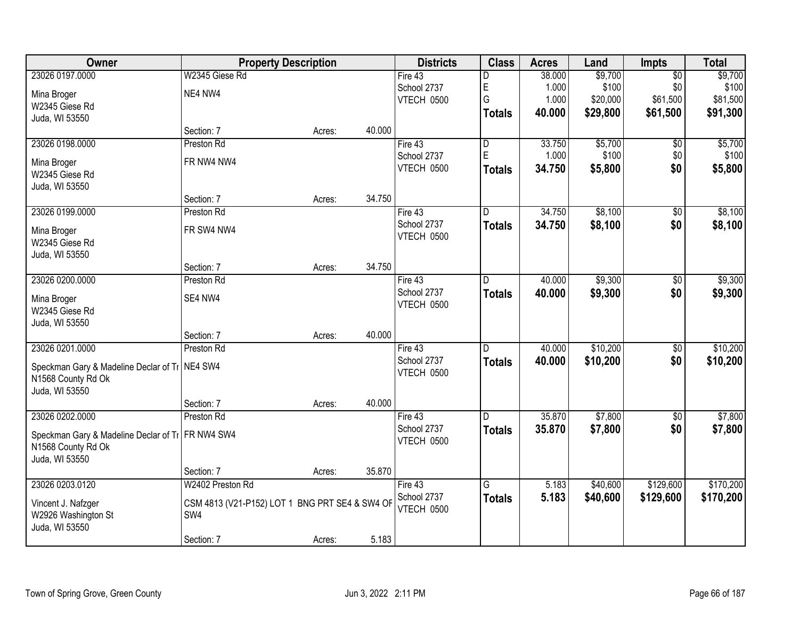| Owner                                            |                                                | <b>Property Description</b> |        | <b>Districts</b> | <b>Class</b>            | <b>Acres</b> | Land     | <b>Impts</b>    | <b>Total</b> |
|--------------------------------------------------|------------------------------------------------|-----------------------------|--------|------------------|-------------------------|--------------|----------|-----------------|--------------|
| 23026 0197.0000                                  | W2345 Giese Rd                                 |                             |        | Fire 43          | D                       | 38.000       | \$9,700  | $\overline{50}$ | \$9,700      |
| Mina Broger                                      | NE4 NW4                                        |                             |        | School 2737      | E                       | 1.000        | \$100    | \$0             | \$100        |
| W2345 Giese Rd                                   |                                                |                             |        | VTECH 0500       | G                       | 1.000        | \$20,000 | \$61,500        | \$81,500     |
| Juda, WI 53550                                   |                                                |                             |        |                  | <b>Totals</b>           | 40.000       | \$29,800 | \$61,500        | \$91,300     |
|                                                  | Section: 7                                     | Acres:                      | 40.000 |                  |                         |              |          |                 |              |
| 23026 0198.0000                                  | Preston Rd                                     |                             |        | Fire $43$        | $\overline{\mathsf{D}}$ | 33.750       | \$5,700  | \$0             | \$5,700      |
| Mina Broger                                      | FR NW4 NW4                                     |                             |        | School 2737      | E                       | 1.000        | \$100    | \$0             | \$100        |
| W2345 Giese Rd                                   |                                                |                             |        | VTECH 0500       | <b>Totals</b>           | 34.750       | \$5,800  | \$0             | \$5,800      |
| Juda, WI 53550                                   |                                                |                             |        |                  |                         |              |          |                 |              |
|                                                  | Section: 7                                     | Acres:                      | 34.750 |                  |                         |              |          |                 |              |
| 23026 0199.0000                                  | Preston Rd                                     |                             |        | Fire 43          | D.                      | 34.750       | \$8,100  | \$0             | \$8,100      |
|                                                  | FR SW4 NW4                                     |                             |        | School 2737      | <b>Totals</b>           | 34.750       | \$8,100  | \$0             | \$8,100      |
| Mina Broger<br>W2345 Giese Rd                    |                                                |                             |        | VTECH 0500       |                         |              |          |                 |              |
| Juda, WI 53550                                   |                                                |                             |        |                  |                         |              |          |                 |              |
|                                                  | Section: 7                                     | Acres:                      | 34.750 |                  |                         |              |          |                 |              |
| 23026 0200.0000                                  | Preston Rd                                     |                             |        | Fire 43          | D                       | 40.000       | \$9,300  | \$0             | \$9,300      |
|                                                  |                                                |                             |        | School 2737      | <b>Totals</b>           | 40.000       | \$9,300  | \$0             | \$9,300      |
| Mina Broger                                      | SE4 NW4                                        |                             |        | VTECH 0500       |                         |              |          |                 |              |
| W2345 Giese Rd<br>Juda, WI 53550                 |                                                |                             |        |                  |                         |              |          |                 |              |
|                                                  | Section: 7                                     | Acres:                      | 40.000 |                  |                         |              |          |                 |              |
| 23026 0201.0000                                  | Preston Rd                                     |                             |        | Fire 43          | D.                      | 40.000       | \$10,200 | \$0             | \$10,200     |
|                                                  |                                                |                             |        | School 2737      | <b>Totals</b>           | 40.000       | \$10,200 | \$0             |              |
| Speckman Gary & Madeline Declar of Ti   NE4 SW4  |                                                |                             |        | VTECH 0500       |                         |              |          |                 | \$10,200     |
| N1568 County Rd Ok                               |                                                |                             |        |                  |                         |              |          |                 |              |
| Juda, WI 53550                                   |                                                |                             |        |                  |                         |              |          |                 |              |
|                                                  | Section: 7                                     | Acres:                      | 40.000 |                  |                         |              |          |                 |              |
| 23026 0202.0000                                  | Preston Rd                                     |                             |        | Fire 43          | $\overline{D}$          | 35.870       | \$7,800  | $\sqrt{$0}$     | \$7,800      |
| Speckman Gary & Madeline Declar of Ti FR NW4 SW4 |                                                |                             |        | School 2737      | <b>Totals</b>           | 35.870       | \$7,800  | \$0             | \$7,800      |
| N1568 County Rd Ok                               |                                                |                             |        | VTECH 0500       |                         |              |          |                 |              |
| Juda, WI 53550                                   |                                                |                             |        |                  |                         |              |          |                 |              |
|                                                  | Section: 7                                     | Acres:                      | 35.870 |                  |                         |              |          |                 |              |
| 23026 0203.0120                                  | W2402 Preston Rd                               |                             |        | Fire 43          | $\overline{G}$          | 5.183        | \$40,600 | \$129,600       | \$170,200    |
| Vincent J. Nafzger                               | CSM 4813 (V21-P152) LOT 1 BNG PRT SE4 & SW4 OF |                             |        | School 2737      | <b>Totals</b>           | 5.183        | \$40,600 | \$129,600       | \$170,200    |
| W2926 Washington St                              | SW4                                            |                             |        | VTECH 0500       |                         |              |          |                 |              |
| Juda, WI 53550                                   |                                                |                             |        |                  |                         |              |          |                 |              |
|                                                  | Section: 7                                     | Acres:                      | 5.183  |                  |                         |              |          |                 |              |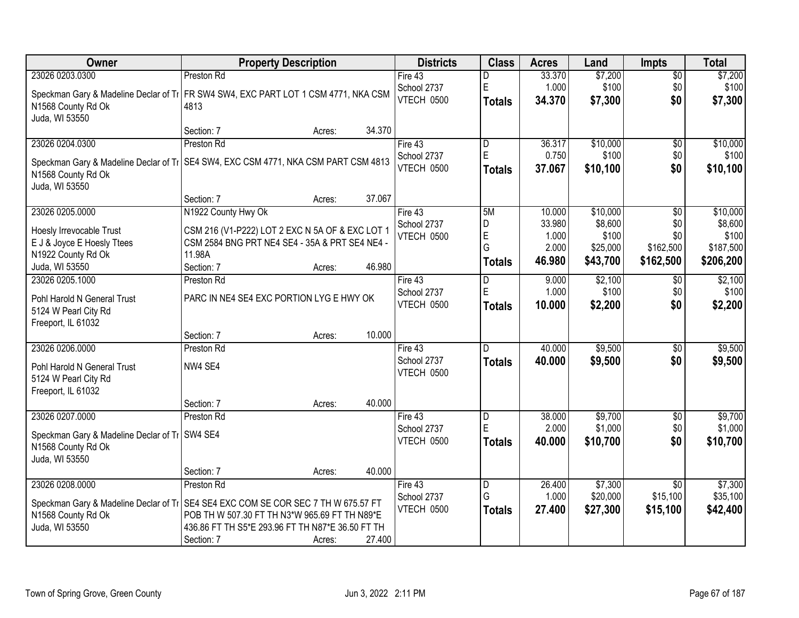| <b>Owner</b>                                                                         | <b>Property Description</b>                                                                       |                  | <b>Districts</b>  | <b>Class</b>            | <b>Acres</b> | Land     | <b>Impts</b>    | <b>Total</b> |
|--------------------------------------------------------------------------------------|---------------------------------------------------------------------------------------------------|------------------|-------------------|-------------------------|--------------|----------|-----------------|--------------|
| 23026 0203.0300                                                                      | Preston Rd                                                                                        |                  | Fire $43$         | D                       | 33.370       | \$7,200  | $\overline{$0}$ | \$7,200      |
| Speckman Gary & Madeline Declar of Ti   FR SW4 SW4, EXC PART LOT 1 CSM 4771, NKA CSM |                                                                                                   |                  | School 2737       | E                       | 1.000        | \$100    | \$0             | \$100        |
| N1568 County Rd Ok                                                                   | 4813                                                                                              |                  | VTECH 0500        | <b>Totals</b>           | 34.370       | \$7,300  | \$0             | \$7,300      |
| Juda, WI 53550                                                                       |                                                                                                   |                  |                   |                         |              |          |                 |              |
|                                                                                      | Section: 7                                                                                        | 34.370<br>Acres: |                   |                         |              |          |                 |              |
| 23026 0204.0300                                                                      | Preston Rd                                                                                        |                  | Fire $43$         | $\overline{\mathsf{D}}$ | 36.317       | \$10,000 | $\overline{50}$ | \$10,000     |
| Speckman Gary & Madeline Declar of Ti   SE4 SW4, EXC CSM 4771, NKA CSM PART CSM 4813 |                                                                                                   |                  | School 2737       | E                       | 0.750        | \$100    | \$0             | \$100        |
| N1568 County Rd Ok                                                                   |                                                                                                   |                  | VTECH 0500        | <b>Totals</b>           | 37.067       | \$10,100 | \$0             | \$10,100     |
| Juda, WI 53550                                                                       |                                                                                                   |                  |                   |                         |              |          |                 |              |
|                                                                                      | Section: 7                                                                                        | 37.067<br>Acres: |                   |                         |              |          |                 |              |
| 23026 0205.0000                                                                      | N1922 County Hwy Ok                                                                               |                  | Fire 43           | 5M                      | 10.000       | \$10,000 | \$0             | \$10,000     |
| Hoesly Irrevocable Trust                                                             | CSM 216 (V1-P222) LOT 2 EXC N 5A OF & EXC LOT 1                                                   |                  | School 2737       | D                       | 33.980       | \$8,600  | \$0             | \$8,600      |
| E J & Joyce E Hoesly Ttees                                                           | CSM 2584 BNG PRT NE4 SE4 - 35A & PRT SE4 NE4 -                                                    |                  | <b>VTECH 0500</b> | $\overline{E}$          | 1.000        | \$100    | \$0             | \$100        |
| N1922 County Rd Ok                                                                   | 11.98A                                                                                            |                  |                   | G                       | 2.000        | \$25,000 | \$162,500       | \$187,500    |
| Juda, WI 53550                                                                       | Section: 7                                                                                        | 46.980<br>Acres: |                   | <b>Totals</b>           | 46.980       | \$43,700 | \$162,500       | \$206,200    |
| 23026 0205.1000                                                                      | Preston Rd                                                                                        |                  | Fire $43$         | D                       | 9.000        | \$2,100  | $\sqrt[6]{3}$   | \$2,100      |
| Pohl Harold N General Trust                                                          | PARC IN NE4 SE4 EXC PORTION LYG E HWY OK                                                          |                  | School 2737       | E                       | 1.000        | \$100    | \$0             | \$100        |
| 5124 W Pearl City Rd                                                                 |                                                                                                   |                  | VTECH 0500        | <b>Totals</b>           | 10.000       | \$2,200  | \$0             | \$2,200      |
| Freeport, IL 61032                                                                   |                                                                                                   |                  |                   |                         |              |          |                 |              |
|                                                                                      | Section: 7                                                                                        | 10.000<br>Acres: |                   |                         |              |          |                 |              |
| 23026 0206.0000                                                                      | Preston Rd                                                                                        |                  | Fire 43           | D                       | 40.000       | \$9,500  | \$0             | \$9,500      |
|                                                                                      | NW4 SE4                                                                                           |                  | School 2737       | <b>Totals</b>           | 40.000       | \$9,500  | \$0             | \$9,500      |
| Pohl Harold N General Trust<br>5124 W Pearl City Rd                                  |                                                                                                   |                  | VTECH 0500        |                         |              |          |                 |              |
| Freeport, IL 61032                                                                   |                                                                                                   |                  |                   |                         |              |          |                 |              |
|                                                                                      | Section: 7                                                                                        | 40.000<br>Acres: |                   |                         |              |          |                 |              |
| 23026 0207.0000                                                                      | Preston Rd                                                                                        |                  | Fire 43           | D                       | 38.000       | \$9,700  | $\overline{$0}$ | \$9,700      |
|                                                                                      |                                                                                                   |                  | School 2737       | E                       | 2.000        | \$1,000  | \$0             | \$1,000      |
| Speckman Gary & Madeline Declar of Ti   SW4 SE4<br>N1568 County Rd Ok                |                                                                                                   |                  | VTECH 0500        | <b>Totals</b>           | 40.000       | \$10,700 | \$0             | \$10,700     |
| Juda, WI 53550                                                                       |                                                                                                   |                  |                   |                         |              |          |                 |              |
|                                                                                      | Section: 7                                                                                        | 40.000<br>Acres: |                   |                         |              |          |                 |              |
| 23026 0208.0000                                                                      | Preston Rd                                                                                        |                  | Fire 43           | D                       | 26.400       | \$7,300  | $\overline{50}$ | \$7,300      |
|                                                                                      |                                                                                                   |                  | School 2737       | G                       | 1.000        | \$20,000 | \$15,100        | \$35,100     |
| Speckman Gary & Madeline Declar of Ti SE4 SE4 EXC COM SE COR SEC 7 TH W 675.57 FT    |                                                                                                   |                  | VTECH 0500        | <b>Totals</b>           | 27.400       | \$27,300 | \$15,100        | \$42,400     |
| N1568 County Rd Ok<br>Juda, WI 53550                                                 | POB TH W 507.30 FT TH N3*W 965.69 FT TH N89*E<br>436.86 FT TH S5*E 293.96 FT TH N87*E 36.50 FT TH |                  |                   |                         |              |          |                 |              |
|                                                                                      | Section: 7                                                                                        | 27.400           |                   |                         |              |          |                 |              |
|                                                                                      |                                                                                                   | Acres:           |                   |                         |              |          |                 |              |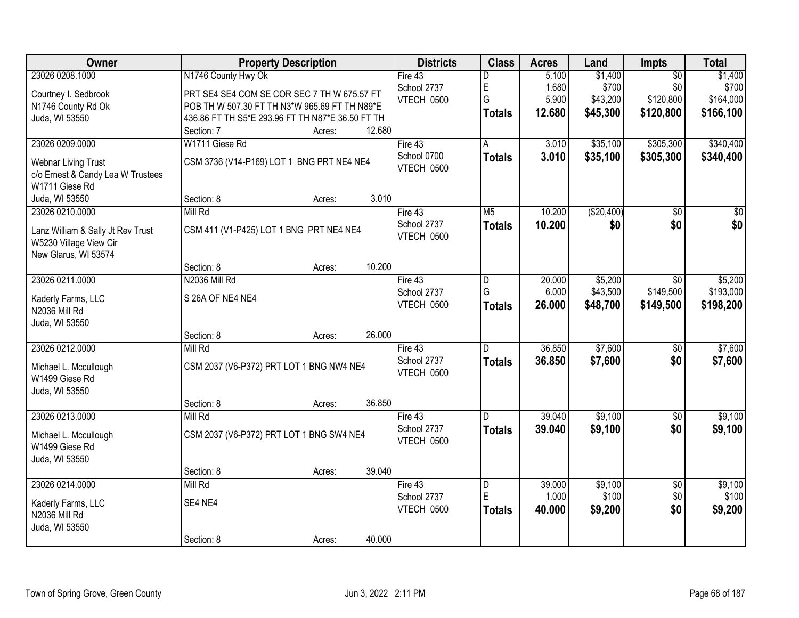| <b>Owner</b>                                                | <b>Property Description</b>                      |                  | <b>Districts</b> | <b>Class</b>   | <b>Acres</b> | Land        | Impts           | <b>Total</b>    |
|-------------------------------------------------------------|--------------------------------------------------|------------------|------------------|----------------|--------------|-------------|-----------------|-----------------|
| 23026 0208.1000                                             | N1746 County Hwy Ok                              |                  | Fire 43          | D              | 5.100        | \$1,400     | $\overline{50}$ | \$1,400         |
| Courtney I. Sedbrook                                        | PRT SE4 SE4 COM SE COR SEC 7 TH W 675.57 FT      |                  | School 2737      | E              | 1.680        | \$700       | \$0             | \$700           |
| N1746 County Rd Ok                                          | POB TH W 507.30 FT TH N3*W 965.69 FT TH N89*E    |                  | VTECH 0500       | G              | 5.900        | \$43,200    | \$120,800       | \$164,000       |
| Juda, WI 53550                                              | 436.86 FT TH S5*E 293.96 FT TH N87*E 36.50 FT TH |                  |                  | <b>Totals</b>  | 12.680       | \$45,300    | \$120,800       | \$166,100       |
|                                                             | Section: 7                                       | 12.680<br>Acres: |                  |                |              |             |                 |                 |
| 23026 0209.0000                                             | W1711 Giese Rd                                   |                  | Fire $43$        | A              | 3.010        | \$35,100    | \$305,300       | \$340,400       |
| <b>Webnar Living Trust</b>                                  | CSM 3736 (V14-P169) LOT 1 BNG PRT NE4 NE4        |                  | School 0700      | <b>Totals</b>  | 3.010        | \$35,100    | \$305,300       | \$340,400       |
| c/o Ernest & Candy Lea W Trustees                           |                                                  |                  | VTECH 0500       |                |              |             |                 |                 |
| W1711 Giese Rd                                              |                                                  |                  |                  |                |              |             |                 |                 |
| Juda, WI 53550                                              | Section: 8                                       | 3.010<br>Acres:  |                  |                |              |             |                 |                 |
| 23026 0210.0000                                             | Mill Rd                                          |                  | Fire 43          | M <sub>5</sub> | 10.200       | ( \$20,400) | $\overline{50}$ | $\overline{50}$ |
|                                                             |                                                  |                  | School 2737      | <b>Totals</b>  | 10.200       | \$0         | \$0             | \$0             |
| Lanz William & Sally Jt Rev Trust<br>W5230 Village View Cir | CSM 411 (V1-P425) LOT 1 BNG PRT NE4 NE4          |                  | VTECH 0500       |                |              |             |                 |                 |
| New Glarus, WI 53574                                        |                                                  |                  |                  |                |              |             |                 |                 |
|                                                             | Section: 8                                       | 10.200<br>Acres: |                  |                |              |             |                 |                 |
| 23026 0211.0000                                             | N2036 Mill Rd                                    |                  | Fire 43          | D              | 20.000       | \$5,200     | \$0             | \$5,200         |
|                                                             |                                                  |                  | School 2737      | G              | 6.000        | \$43,500    | \$149,500       | \$193,000       |
| Kaderly Farms, LLC                                          | S 26A OF NE4 NE4                                 |                  | VTECH 0500       | <b>Totals</b>  | 26.000       | \$48,700    | \$149,500       | \$198,200       |
| N2036 Mill Rd                                               |                                                  |                  |                  |                |              |             |                 |                 |
| Juda, WI 53550                                              |                                                  | 26.000           |                  |                |              |             |                 |                 |
| 23026 0212.0000                                             | Section: 8<br>Mill Rd                            | Acres:           | Fire 43          | D.             | 36.850       | \$7,600     | \$0             | \$7,600         |
|                                                             |                                                  |                  | School 2737      |                | 36,850       |             | \$0             |                 |
| Michael L. Mccullough                                       | CSM 2037 (V6-P372) PRT LOT 1 BNG NW4 NE4         |                  | VTECH 0500       | <b>Totals</b>  |              | \$7,600     |                 | \$7,600         |
| W1499 Giese Rd                                              |                                                  |                  |                  |                |              |             |                 |                 |
| Juda, WI 53550                                              |                                                  |                  |                  |                |              |             |                 |                 |
|                                                             | Section: 8                                       | 36.850<br>Acres: |                  |                |              |             |                 |                 |
| 23026 0213.0000                                             | Mill Rd                                          |                  | Fire 43          | $\overline{D}$ | 39.040       | \$9,100     | $\overline{60}$ | \$9,100         |
| Michael L. Mccullough                                       | CSM 2037 (V6-P372) PRT LOT 1 BNG SW4 NE4         |                  | School 2737      | <b>Totals</b>  | 39.040       | \$9,100     | \$0             | \$9,100         |
| W1499 Giese Rd                                              |                                                  |                  | VTECH 0500       |                |              |             |                 |                 |
| Juda, WI 53550                                              |                                                  |                  |                  |                |              |             |                 |                 |
|                                                             | Section: 8                                       | 39.040<br>Acres: |                  |                |              |             |                 |                 |
| 23026 0214.0000                                             | Mill Rd                                          |                  | Fire $43$        | D              | 39.000       | \$9,100     | $\overline{50}$ | \$9,100         |
| Kaderly Farms, LLC                                          | SE4 NE4                                          |                  | School 2737      | E              | 1.000        | \$100       | \$0             | \$100           |
| N2036 Mill Rd                                               |                                                  |                  | VTECH 0500       | <b>Totals</b>  | 40.000       | \$9,200     | \$0             | \$9,200         |
| Juda, WI 53550                                              |                                                  |                  |                  |                |              |             |                 |                 |
|                                                             | Section: 8                                       | 40.000<br>Acres: |                  |                |              |             |                 |                 |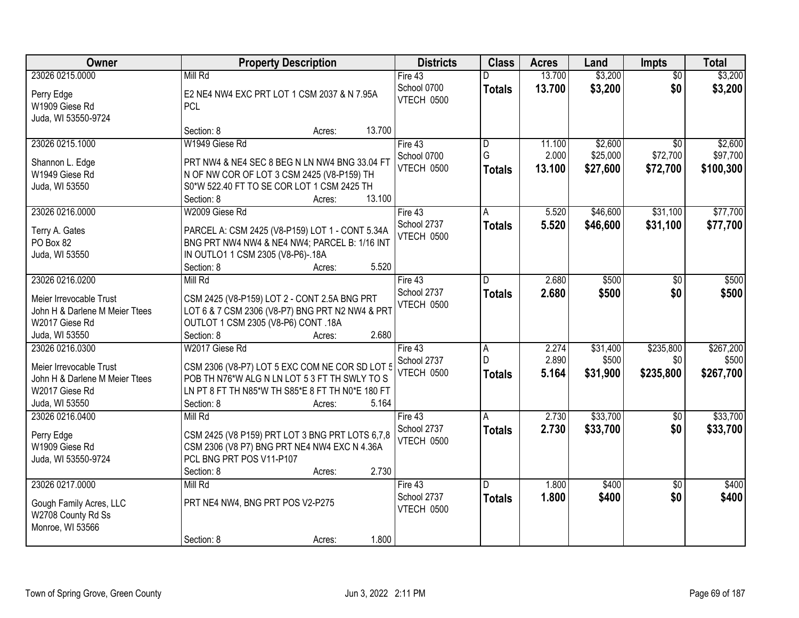| Owner                          | <b>Property Description</b>                      | <b>Districts</b>          | <b>Class</b>   | <b>Acres</b> | Land     | <b>Impts</b>    | <b>Total</b> |
|--------------------------------|--------------------------------------------------|---------------------------|----------------|--------------|----------|-----------------|--------------|
| 23026 0215.0000                | Mill Rd                                          | Fire 43                   |                | 13.700       | \$3,200  | $\overline{30}$ | \$3,200      |
| Perry Edge                     | E2 NE4 NW4 EXC PRT LOT 1 CSM 2037 & N 7.95A      | School 0700               | <b>Totals</b>  | 13.700       | \$3,200  | \$0             | \$3,200      |
| W1909 Giese Rd                 | <b>PCL</b>                                       | <b>VTECH 0500</b>         |                |              |          |                 |              |
| Juda, WI 53550-9724            |                                                  |                           |                |              |          |                 |              |
|                                | Section: 8<br>13.700<br>Acres:                   |                           |                |              |          |                 |              |
| 23026 0215.1000                | W1949 Giese Rd                                   | Fire $43$                 | $\overline{D}$ | 11.100       | \$2,600  | $\overline{50}$ | \$2,600      |
| Shannon L. Edge                | PRT NW4 & NE4 SEC 8 BEG N LN NW4 BNG 33.04 FT    | School 0700               | G              | 2.000        | \$25,000 | \$72,700        | \$97,700     |
| W1949 Giese Rd                 | N OF NW COR OF LOT 3 CSM 2425 (V8-P159) TH       | <b>VTECH 0500</b>         | <b>Totals</b>  | 13.100       | \$27,600 | \$72,700        | \$100,300    |
| Juda, WI 53550                 | S0*W 522.40 FT TO SE COR LOT 1 CSM 2425 TH       |                           |                |              |          |                 |              |
|                                | 13.100<br>Section: 8<br>Acres:                   |                           |                |              |          |                 |              |
| 23026 0216.0000                | W2009 Giese Rd                                   | Fire 43                   | A              | 5.520        | \$46,600 | \$31,100        | \$77,700     |
| Terry A. Gates                 | PARCEL A: CSM 2425 (V8-P159) LOT 1 - CONT 5.34A  | School 2737               | <b>Totals</b>  | 5.520        | \$46,600 | \$31,100        | \$77,700     |
| PO Box 82                      | BNG PRT NW4 NW4 & NE4 NW4; PARCEL B: 1/16 INT    | VTECH 0500                |                |              |          |                 |              |
| Juda, WI 53550                 | IN OUTLO1 1 CSM 2305 (V8-P6)-.18A                |                           |                |              |          |                 |              |
|                                | 5.520<br>Section: 8<br>Acres:                    |                           |                |              |          |                 |              |
| 23026 0216.0200                | Mill Rd                                          | Fire 43                   | D.             | 2.680        | \$500    | $\sqrt{6}$      | \$500        |
| Meier Irrevocable Trust        | CSM 2425 (V8-P159) LOT 2 - CONT 2.5A BNG PRT     | School 2737               | <b>Totals</b>  | 2.680        | \$500    | \$0             | \$500        |
| John H & Darlene M Meier Ttees | LOT 6 & 7 CSM 2306 (V8-P7) BNG PRT N2 NW4 & PRT  | VTECH 0500                |                |              |          |                 |              |
| W2017 Giese Rd                 | OUTLOT 1 CSM 2305 (V8-P6) CONT .18A              |                           |                |              |          |                 |              |
| Juda, WI 53550                 | 2.680<br>Section: 8<br>Acres:                    |                           |                |              |          |                 |              |
| 23026 0216.0300                | W2017 Giese Rd                                   | Fire 43                   | $\overline{A}$ | 2.274        | \$31,400 | \$235,800       | \$267,200    |
|                                |                                                  | School 2737               | D              | 2.890        | \$500    | \$0             | \$500        |
| Meier Irrevocable Trust        | CSM 2306 (V8-P7) LOT 5 EXC COM NE COR SD LOT 5   | VTECH 0500                | <b>Totals</b>  | 5.164        | \$31,900 | \$235,800       | \$267,700    |
| John H & Darlene M Meier Ttees | POB TH N76*W ALG N LN LOT 5 3 FT TH SWLY TO S    |                           |                |              |          |                 |              |
| W2017 Giese Rd                 | LN PT 8 FT TH N85*W TH S85*E 8 FT TH N0*E 180 FT |                           |                |              |          |                 |              |
| Juda, WI 53550                 | 5.164<br>Section: 8<br>Acres:                    |                           |                |              |          |                 |              |
| 23026 0216.0400                | Mill Rd                                          | Fire 43                   | A              | 2.730        | \$33,700 | $\overline{50}$ | \$33,700     |
| Perry Edge                     | CSM 2425 (V8 P159) PRT LOT 3 BNG PRT LOTS 6,7,8  | School 2737<br>VTECH 0500 | <b>Totals</b>  | 2.730        | \$33,700 | \$0             | \$33,700     |
| W1909 Giese Rd                 | CSM 2306 (V8 P7) BNG PRT NE4 NW4 EXC N 4.36A     |                           |                |              |          |                 |              |
| Juda, WI 53550-9724            | PCL BNG PRT POS V11-P107                         |                           |                |              |          |                 |              |
|                                | 2.730<br>Section: 8<br>Acres:                    |                           |                |              |          |                 |              |
| 23026 0217.0000                | Mill Rd                                          | Fire 43                   | D.             | 1.800        | \$400    | $\overline{50}$ | \$400        |
| Gough Family Acres, LLC        | PRT NE4 NW4, BNG PRT POS V2-P275                 | School 2737               | <b>Totals</b>  | 1.800        | \$400    | \$0             | \$400        |
| W2708 County Rd Ss             |                                                  | VTECH 0500                |                |              |          |                 |              |
| Monroe, WI 53566               |                                                  |                           |                |              |          |                 |              |
|                                | 1.800<br>Section: 8<br>Acres:                    |                           |                |              |          |                 |              |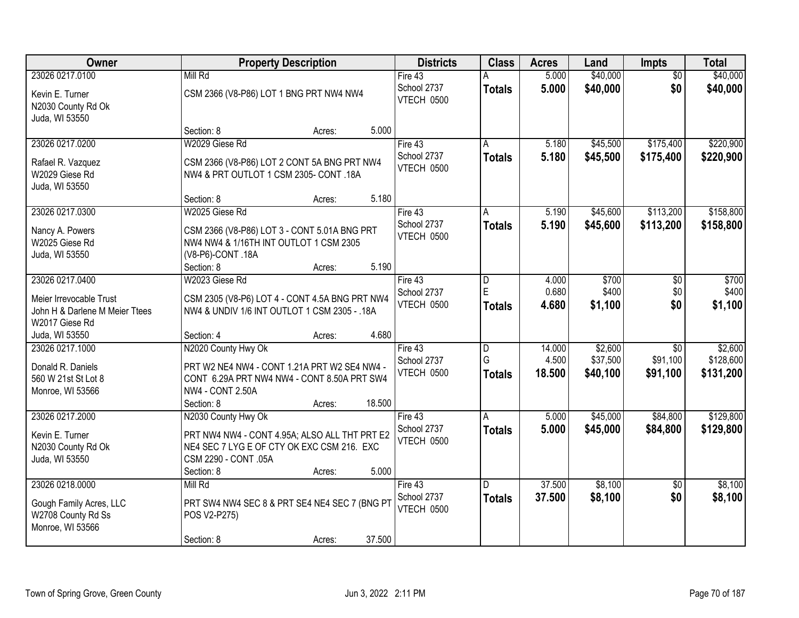| Owner                                                                           | <b>Property Description</b>                                                                                                                         | <b>Districts</b>                       | <b>Class</b>            | <b>Acres</b>              | Land                            | Impts                                   | <b>Total</b>                      |
|---------------------------------------------------------------------------------|-----------------------------------------------------------------------------------------------------------------------------------------------------|----------------------------------------|-------------------------|---------------------------|---------------------------------|-----------------------------------------|-----------------------------------|
| 23026 0217.0100                                                                 | Mill Rd                                                                                                                                             | Fire 43                                |                         | 5.000                     | \$40,000                        | $\overline{50}$                         | \$40,000                          |
| Kevin E. Turner<br>N2030 County Rd Ok<br>Juda, WI 53550                         | CSM 2366 (V8-P86) LOT 1 BNG PRT NW4 NW4                                                                                                             | School 2737<br>VTECH 0500              | <b>Totals</b>           | 5.000                     | \$40,000                        | \$0                                     | \$40,000                          |
|                                                                                 | 5.000<br>Section: 8<br>Acres:                                                                                                                       |                                        |                         |                           |                                 |                                         |                                   |
| 23026 0217.0200<br>Rafael R. Vazquez                                            | W2029 Giese Rd<br>CSM 2366 (V8-P86) LOT 2 CONT 5A BNG PRT NW4                                                                                       | Fire $43$<br>School 2737<br>VTECH 0500 | A<br><b>Totals</b>      | 5.180<br>5.180            | \$45,500<br>\$45,500            | \$175,400<br>\$175,400                  | \$220,900<br>\$220,900            |
| W2029 Giese Rd<br>Juda, WI 53550                                                | NW4 & PRT OUTLOT 1 CSM 2305- CONT .18A<br>5.180<br>Section: 8<br>Acres:                                                                             |                                        |                         |                           |                                 |                                         |                                   |
| 23026 0217.0300                                                                 | W2025 Giese Rd                                                                                                                                      | Fire 43                                | A                       | 5.190                     | \$45,600                        | \$113,200                               | \$158,800                         |
| Nancy A. Powers<br>W2025 Giese Rd<br>Juda, WI 53550                             | CSM 2366 (V8-P86) LOT 3 - CONT 5.01A BNG PRT<br>NW4 NW4 & 1/16TH INT OUTLOT 1 CSM 2305<br>(V8-P6)-CONT.18A<br>5.190<br>Section: 8<br>Acres:         | School 2737<br>VTECH 0500              | <b>Totals</b>           | 5.190                     | \$45,600                        | \$113,200                               | \$158,800                         |
| 23026 0217.0400                                                                 | W2023 Giese Rd                                                                                                                                      | Fire 43                                | D                       | 4.000                     | \$700                           | \$0                                     | \$700                             |
| Meier Irrevocable Trust<br>John H & Darlene M Meier Ttees<br>W2017 Giese Rd     | CSM 2305 (V8-P6) LOT 4 - CONT 4.5A BNG PRT NW4<br>NW4 & UNDIV 1/6 INT OUTLOT 1 CSM 2305 - .18A                                                      | School 2737<br>VTECH 0500              | E<br><b>Totals</b>      | 0.680<br>4.680            | \$400<br>\$1,100                | \$0<br>\$0                              | \$400<br>\$1,100                  |
| Juda, WI 53550                                                                  | 4.680<br>Section: 4<br>Acres:                                                                                                                       |                                        |                         |                           |                                 |                                         |                                   |
| 23026 0217.1000<br>Donald R. Daniels<br>560 W 21st St Lot 8<br>Monroe, WI 53566 | N2020 County Hwy Ok<br>PRT W2 NE4 NW4 - CONT 1.21A PRT W2 SE4 NW4 -<br>CONT 6.29A PRT NW4 NW4 - CONT 8.50A PRT SW4<br><b>NW4 - CONT 2.50A</b>       | Fire 43<br>School 2737<br>VTECH 0500   | D<br>G<br><b>Totals</b> | 14.000<br>4.500<br>18.500 | \$2,600<br>\$37,500<br>\$40,100 | $\overline{30}$<br>\$91,100<br>\$91,100 | \$2,600<br>\$128,600<br>\$131,200 |
|                                                                                 | 18.500<br>Section: 8<br>Acres:                                                                                                                      |                                        |                         |                           |                                 |                                         |                                   |
| 23026 0217.2000<br>Kevin E. Turner<br>N2030 County Rd Ok<br>Juda, WI 53550      | N2030 County Hwy Ok<br>PRT NW4 NW4 - CONT 4.95A; ALSO ALL THT PRT E2<br>NE4 SEC 7 LYG E OF CTY OK EXC CSM 216. EXC<br>CSM 2290 - CONT .05A<br>5.000 | Fire 43<br>School 2737<br>VTECH 0500   | A<br><b>Totals</b>      | 5.000<br>5.000            | \$45,000<br>\$45,000            | \$84,800<br>\$84,800                    | \$129,800<br>\$129,800            |
| 23026 0218.0000                                                                 | Section: 8<br>Acres:<br>Mill Rd                                                                                                                     | Fire $43$                              | D.                      | 37.500                    | \$8,100                         | $\overline{50}$                         | \$8,100                           |
| Gough Family Acres, LLC<br>W2708 County Rd Ss<br>Monroe, WI 53566               | PRT SW4 NW4 SEC 8 & PRT SE4 NE4 SEC 7 (BNG PT<br>POS V2-P275)<br>37.500<br>Section: 8<br>Acres:                                                     | School 2737<br>VTECH 0500              | <b>Totals</b>           | 37.500                    | \$8,100                         | \$0                                     | \$8,100                           |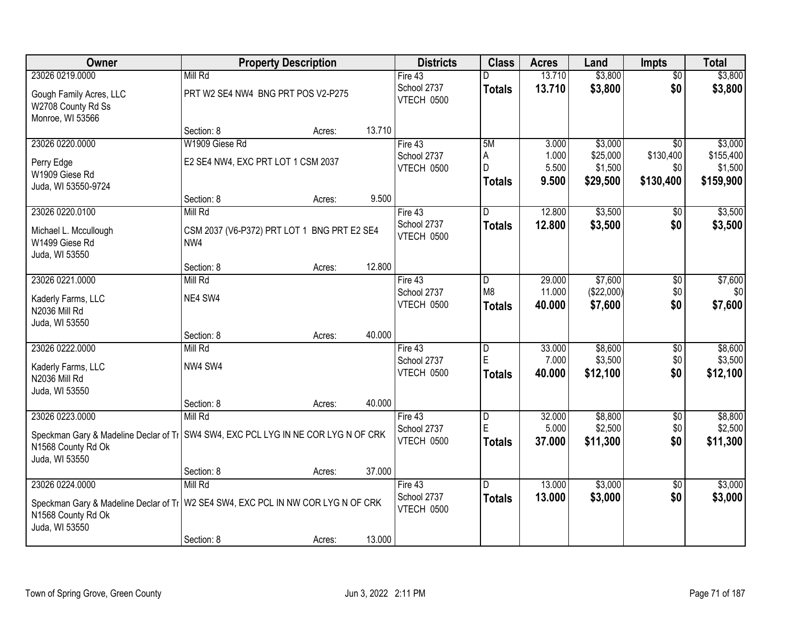| Owner                                                                                                                      |                                                    | <b>Property Description</b> |        | <b>Districts</b>          | <b>Class</b>            | <b>Acres</b>     | Land                  | <b>Impts</b>     | <b>Total</b>         |
|----------------------------------------------------------------------------------------------------------------------------|----------------------------------------------------|-----------------------------|--------|---------------------------|-------------------------|------------------|-----------------------|------------------|----------------------|
| 23026 0219.0000                                                                                                            | Mill Rd                                            |                             |        | Fire 43                   | D                       | 13.710           | \$3,800               | $\overline{50}$  | \$3,800              |
| Gough Family Acres, LLC<br>W2708 County Rd Ss<br>Monroe, WI 53566                                                          | PRT W2 SE4 NW4 BNG PRT POS V2-P275                 |                             |        | School 2737<br>VTECH 0500 | <b>Totals</b>           | 13.710           | \$3,800               | \$0              | \$3,800              |
|                                                                                                                            | Section: 8                                         | Acres:                      | 13.710 |                           |                         |                  |                       |                  |                      |
| 23026 0220.0000                                                                                                            | W1909 Giese Rd                                     |                             |        | Fire 43                   | 5M                      | 3.000            | \$3,000               | $\overline{50}$  | \$3,000              |
| Perry Edge<br>W1909 Giese Rd                                                                                               | E2 SE4 NW4, EXC PRT LOT 1 CSM 2037                 |                             |        | School 2737<br>VTECH 0500 | A<br>D                  | 1.000<br>5.500   | \$25,000<br>\$1,500   | \$130,400<br>\$0 | \$155,400<br>\$1,500 |
| Juda, WI 53550-9724                                                                                                        |                                                    |                             |        |                           | <b>Totals</b>           | 9.500            | \$29,500              | \$130,400        | \$159,900            |
|                                                                                                                            | Section: 8                                         | Acres:                      | 9.500  |                           |                         |                  |                       |                  |                      |
| 23026 0220.0100                                                                                                            | Mill Rd                                            |                             |        | Fire 43                   | D                       | 12.800           | \$3,500               | \$0              | \$3,500              |
| Michael L. Mccullough<br>W1499 Giese Rd<br>Juda, WI 53550                                                                  | CSM 2037 (V6-P372) PRT LOT 1 BNG PRT E2 SE4<br>NW4 |                             |        | School 2737<br>VTECH 0500 | <b>Totals</b>           | 12.800           | \$3,500               | \$0              | \$3,500              |
|                                                                                                                            | Section: 8                                         | Acres:                      | 12.800 |                           |                         |                  |                       |                  |                      |
| 23026 0221.0000                                                                                                            | Mill Rd                                            |                             |        | Fire 43                   | D                       | 29.000           | \$7,600               | \$0              | \$7,600              |
| Kaderly Farms, LLC<br>N2036 Mill Rd                                                                                        | NE4 SW4                                            |                             |        | School 2737<br>VTECH 0500 | M8<br><b>Totals</b>     | 11.000<br>40.000 | (\$22,000)<br>\$7,600 | \$0<br>\$0       | \$0<br>\$7,600       |
| Juda, WI 53550                                                                                                             |                                                    |                             |        |                           |                         |                  |                       |                  |                      |
|                                                                                                                            | Section: 8                                         | Acres:                      | 40.000 |                           |                         |                  |                       |                  |                      |
| 23026 0222.0000                                                                                                            | Mill Rd                                            |                             |        | Fire 43                   | $\overline{\mathsf{D}}$ | 33.000           | \$8,600               | $\overline{50}$  | \$8,600              |
| Kaderly Farms, LLC                                                                                                         | NW4 SW4                                            |                             |        | School 2737               | E                       | 7.000            | \$3,500               | \$0              | \$3,500              |
| N2036 Mill Rd                                                                                                              |                                                    |                             |        | VTECH 0500                | Totals                  | 40.000           | \$12,100              | \$0              | \$12,100             |
| Juda, WI 53550                                                                                                             |                                                    |                             |        |                           |                         |                  |                       |                  |                      |
|                                                                                                                            | Section: 8                                         | Acres:                      | 40.000 |                           |                         |                  |                       |                  |                      |
| 23026 0223.0000                                                                                                            | Mill Rd                                            |                             |        | Fire 43                   | D                       | 32.000           | \$8,800               | \$0              | \$8,800              |
| Speckman Gary & Madeline Declar of Ti SW4 SW4, EXC PCL LYG IN NE COR LYG N OF CRK                                          |                                                    |                             |        | School 2737<br>VTECH 0500 | E                       | 5.000            | \$2,500               | \$0<br>\$0       | \$2,500              |
| N1568 County Rd Ok                                                                                                         |                                                    |                             |        |                           | <b>Totals</b>           | 37.000           | \$11,300              |                  | \$11,300             |
| Juda, WI 53550                                                                                                             |                                                    |                             |        |                           |                         |                  |                       |                  |                      |
|                                                                                                                            | Section: 8                                         | Acres:                      | 37.000 |                           |                         |                  |                       |                  |                      |
| 23026 0224.0000                                                                                                            | Mill Rd                                            |                             |        | Fire 43<br>School 2737    | D.                      | 13.000           | \$3,000               | $\overline{30}$  | \$3,000              |
| Speckman Gary & Madeline Declar of Ti   W2 SE4 SW4, EXC PCL IN NW COR LYG N OF CRK<br>N1568 County Rd Ok<br>Juda, WI 53550 |                                                    |                             |        | VTECH 0500                | <b>Totals</b>           | 13.000           | \$3,000               | \$0              | \$3,000              |
|                                                                                                                            | Section: 8                                         | Acres:                      | 13.000 |                           |                         |                  |                       |                  |                      |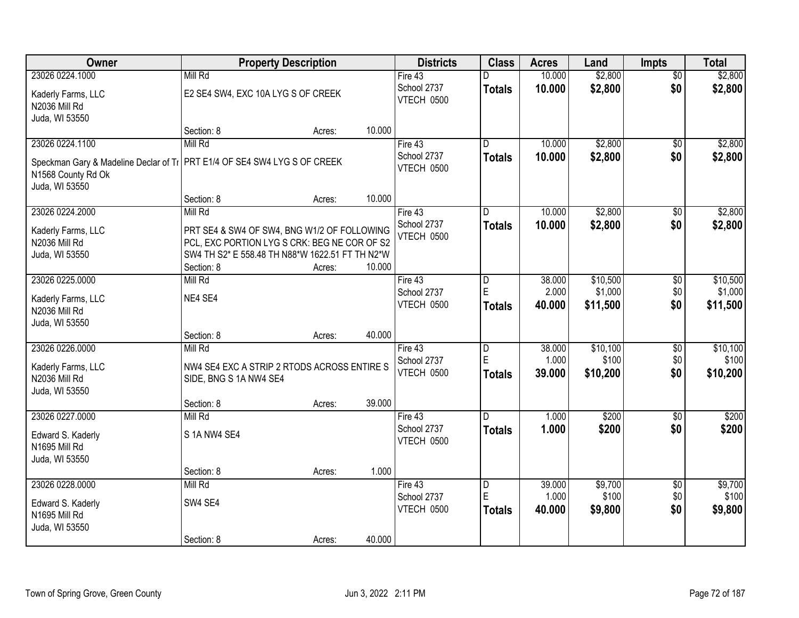| \$2,800<br>23026 0224.1000<br>Mill Rd<br>10.000<br>\$2,800<br>$\overline{50}$<br>Fire 43<br>\$0<br>School 2737<br>10.000<br>\$2,800<br>\$2,800<br><b>Totals</b><br>Kaderly Farms, LLC<br>E2 SE4 SW4, EXC 10A LYG S OF CREEK<br>VTECH 0500<br>N2036 Mill Rd<br>Juda, WI 53550<br>10.000<br>Section: 8<br>Acres:<br>Mill Rd<br>\$2,800<br>23026 0224.1100<br>Fire $43$<br>10.000<br>D.<br>$\overline{50}$<br>School 2737<br>10.000<br>\$2,800<br>\$0<br><b>Totals</b><br>Speckman Gary & Madeline Declar of TI PRT E1/4 OF SE4 SW4 LYG S OF CREEK<br>VTECH 0500<br>N1568 County Rd Ok<br>Juda, WI 53550<br>Section: 8<br>10.000<br>Acres:<br>\$2,800<br>23026 0224.2000<br>Mill Rd<br>10.000<br>Fire 43<br>\$0<br>D<br>School 2737<br>\$2,800<br>\$0<br>10.000<br><b>Totals</b><br>Kaderly Farms, LLC<br>PRT SE4 & SW4 OF SW4, BNG W1/2 OF FOLLOWING<br><b>VTECH 0500</b><br>PCL, EXC PORTION LYG S CRK: BEG NE COR OF S2<br>N2036 Mill Rd<br>SW4 TH S2* E 558.48 TH N88*W 1622.51 FT TH N2*W<br>Juda, WI 53550<br>Section: 8<br>10.000<br>Acres:<br>38.000<br>\$10,500<br>23026 0225.0000<br>Mill Rd<br>Fire 43<br>\$0<br>D<br>E<br>2.000<br>\$1,000<br>School 2737<br>\$0<br>NE4 SE4<br>Kaderly Farms, LLC<br>\$0<br>VTECH 0500<br>40.000<br>\$11,500<br><b>Totals</b><br>N2036 Mill Rd<br>Juda, WI 53550<br>40.000<br>Section: 8<br>Acres:<br>23026 0226.0000<br>Mill Rd<br>38.000<br>\$10,100<br>$\overline{50}$<br>$\overline{D}$<br>Fire 43<br>E<br>\$100<br>\$0<br>1.000<br>School 2737<br>Kaderly Farms, LLC<br>NW4 SE4 EXC A STRIP 2 RTODS ACROSS ENTIRE S<br>\$10,200<br>\$0<br>VTECH 0500<br>39.000<br><b>Totals</b><br>N2036 Mill Rd<br>SIDE, BNG S 1A NW4 SE4<br>Juda, WI 53550<br>39.000<br>Section: 8<br>Acres:<br>\$200<br>23026 0227.0000<br>Mill Rd<br>1.000<br>Fire 43<br>D.<br>$\overline{50}$<br>School 2737<br>1.000<br>\$200<br>\$0<br><b>Totals</b><br>S 1A NW4 SE4<br>Edward S. Kaderly<br>VTECH 0500<br>N1695 Mill Rd<br>Juda, WI 53550<br>1.000<br>Section: 8<br>Acres:<br>39.000<br>\$9,700<br>23026 0228.0000<br>Mill Rd<br>Fire $43$<br>$\overline{\mathsf{D}}$<br>$\overline{60}$<br>E<br>1.000<br>\$100<br>\$0<br>School 2737<br>SW4 SE4<br>Edward S. Kaderly<br>\$0<br>VTECH 0500<br>\$9,800<br>40.000<br>\$9,800<br><b>Totals</b><br>N1695 Mill Rd<br>Juda, WI 53550 | Owner |            | <b>Property Description</b> |        | <b>Districts</b> | <b>Class</b> | <b>Acres</b> | Land | <b>Impts</b> | <b>Total</b> |
|------------------------------------------------------------------------------------------------------------------------------------------------------------------------------------------------------------------------------------------------------------------------------------------------------------------------------------------------------------------------------------------------------------------------------------------------------------------------------------------------------------------------------------------------------------------------------------------------------------------------------------------------------------------------------------------------------------------------------------------------------------------------------------------------------------------------------------------------------------------------------------------------------------------------------------------------------------------------------------------------------------------------------------------------------------------------------------------------------------------------------------------------------------------------------------------------------------------------------------------------------------------------------------------------------------------------------------------------------------------------------------------------------------------------------------------------------------------------------------------------------------------------------------------------------------------------------------------------------------------------------------------------------------------------------------------------------------------------------------------------------------------------------------------------------------------------------------------------------------------------------------------------------------------------------------------------------------------------------------------------------------------------------------------------------------------------------------------------------------------------------------------------------------------------------------------------------------------------------------------------------------------------------------------------------|-------|------------|-----------------------------|--------|------------------|--------------|--------------|------|--------------|--------------|
|                                                                                                                                                                                                                                                                                                                                                                                                                                                                                                                                                                                                                                                                                                                                                                                                                                                                                                                                                                                                                                                                                                                                                                                                                                                                                                                                                                                                                                                                                                                                                                                                                                                                                                                                                                                                                                                                                                                                                                                                                                                                                                                                                                                                                                                                                                      |       |            |                             |        |                  |              |              |      |              |              |
|                                                                                                                                                                                                                                                                                                                                                                                                                                                                                                                                                                                                                                                                                                                                                                                                                                                                                                                                                                                                                                                                                                                                                                                                                                                                                                                                                                                                                                                                                                                                                                                                                                                                                                                                                                                                                                                                                                                                                                                                                                                                                                                                                                                                                                                                                                      |       |            |                             |        |                  |              |              |      |              |              |
| \$2,800<br>\$2,800                                                                                                                                                                                                                                                                                                                                                                                                                                                                                                                                                                                                                                                                                                                                                                                                                                                                                                                                                                                                                                                                                                                                                                                                                                                                                                                                                                                                                                                                                                                                                                                                                                                                                                                                                                                                                                                                                                                                                                                                                                                                                                                                                                                                                                                                                   |       |            |                             |        |                  |              |              |      |              |              |
|                                                                                                                                                                                                                                                                                                                                                                                                                                                                                                                                                                                                                                                                                                                                                                                                                                                                                                                                                                                                                                                                                                                                                                                                                                                                                                                                                                                                                                                                                                                                                                                                                                                                                                                                                                                                                                                                                                                                                                                                                                                                                                                                                                                                                                                                                                      |       |            |                             |        |                  |              |              |      |              |              |
|                                                                                                                                                                                                                                                                                                                                                                                                                                                                                                                                                                                                                                                                                                                                                                                                                                                                                                                                                                                                                                                                                                                                                                                                                                                                                                                                                                                                                                                                                                                                                                                                                                                                                                                                                                                                                                                                                                                                                                                                                                                                                                                                                                                                                                                                                                      |       |            |                             |        |                  |              |              |      |              |              |
| \$2,800<br>\$2,800<br>\$10,500<br>\$1,000<br>\$11,500<br>\$10,100<br>\$100<br>\$10,200<br>\$200<br>\$200<br>\$9,700<br>\$100                                                                                                                                                                                                                                                                                                                                                                                                                                                                                                                                                                                                                                                                                                                                                                                                                                                                                                                                                                                                                                                                                                                                                                                                                                                                                                                                                                                                                                                                                                                                                                                                                                                                                                                                                                                                                                                                                                                                                                                                                                                                                                                                                                         |       |            |                             |        |                  |              |              |      |              |              |
|                                                                                                                                                                                                                                                                                                                                                                                                                                                                                                                                                                                                                                                                                                                                                                                                                                                                                                                                                                                                                                                                                                                                                                                                                                                                                                                                                                                                                                                                                                                                                                                                                                                                                                                                                                                                                                                                                                                                                                                                                                                                                                                                                                                                                                                                                                      |       |            |                             |        |                  |              |              |      |              |              |
|                                                                                                                                                                                                                                                                                                                                                                                                                                                                                                                                                                                                                                                                                                                                                                                                                                                                                                                                                                                                                                                                                                                                                                                                                                                                                                                                                                                                                                                                                                                                                                                                                                                                                                                                                                                                                                                                                                                                                                                                                                                                                                                                                                                                                                                                                                      |       |            |                             |        |                  |              |              |      |              |              |
|                                                                                                                                                                                                                                                                                                                                                                                                                                                                                                                                                                                                                                                                                                                                                                                                                                                                                                                                                                                                                                                                                                                                                                                                                                                                                                                                                                                                                                                                                                                                                                                                                                                                                                                                                                                                                                                                                                                                                                                                                                                                                                                                                                                                                                                                                                      |       |            |                             |        |                  |              |              |      |              |              |
|                                                                                                                                                                                                                                                                                                                                                                                                                                                                                                                                                                                                                                                                                                                                                                                                                                                                                                                                                                                                                                                                                                                                                                                                                                                                                                                                                                                                                                                                                                                                                                                                                                                                                                                                                                                                                                                                                                                                                                                                                                                                                                                                                                                                                                                                                                      |       |            |                             |        |                  |              |              |      |              |              |
|                                                                                                                                                                                                                                                                                                                                                                                                                                                                                                                                                                                                                                                                                                                                                                                                                                                                                                                                                                                                                                                                                                                                                                                                                                                                                                                                                                                                                                                                                                                                                                                                                                                                                                                                                                                                                                                                                                                                                                                                                                                                                                                                                                                                                                                                                                      |       |            |                             |        |                  |              |              |      |              |              |
|                                                                                                                                                                                                                                                                                                                                                                                                                                                                                                                                                                                                                                                                                                                                                                                                                                                                                                                                                                                                                                                                                                                                                                                                                                                                                                                                                                                                                                                                                                                                                                                                                                                                                                                                                                                                                                                                                                                                                                                                                                                                                                                                                                                                                                                                                                      |       |            |                             |        |                  |              |              |      |              |              |
|                                                                                                                                                                                                                                                                                                                                                                                                                                                                                                                                                                                                                                                                                                                                                                                                                                                                                                                                                                                                                                                                                                                                                                                                                                                                                                                                                                                                                                                                                                                                                                                                                                                                                                                                                                                                                                                                                                                                                                                                                                                                                                                                                                                                                                                                                                      |       |            |                             |        |                  |              |              |      |              |              |
|                                                                                                                                                                                                                                                                                                                                                                                                                                                                                                                                                                                                                                                                                                                                                                                                                                                                                                                                                                                                                                                                                                                                                                                                                                                                                                                                                                                                                                                                                                                                                                                                                                                                                                                                                                                                                                                                                                                                                                                                                                                                                                                                                                                                                                                                                                      |       |            |                             |        |                  |              |              |      |              |              |
|                                                                                                                                                                                                                                                                                                                                                                                                                                                                                                                                                                                                                                                                                                                                                                                                                                                                                                                                                                                                                                                                                                                                                                                                                                                                                                                                                                                                                                                                                                                                                                                                                                                                                                                                                                                                                                                                                                                                                                                                                                                                                                                                                                                                                                                                                                      |       |            |                             |        |                  |              |              |      |              |              |
|                                                                                                                                                                                                                                                                                                                                                                                                                                                                                                                                                                                                                                                                                                                                                                                                                                                                                                                                                                                                                                                                                                                                                                                                                                                                                                                                                                                                                                                                                                                                                                                                                                                                                                                                                                                                                                                                                                                                                                                                                                                                                                                                                                                                                                                                                                      |       |            |                             |        |                  |              |              |      |              |              |
|                                                                                                                                                                                                                                                                                                                                                                                                                                                                                                                                                                                                                                                                                                                                                                                                                                                                                                                                                                                                                                                                                                                                                                                                                                                                                                                                                                                                                                                                                                                                                                                                                                                                                                                                                                                                                                                                                                                                                                                                                                                                                                                                                                                                                                                                                                      |       |            |                             |        |                  |              |              |      |              |              |
|                                                                                                                                                                                                                                                                                                                                                                                                                                                                                                                                                                                                                                                                                                                                                                                                                                                                                                                                                                                                                                                                                                                                                                                                                                                                                                                                                                                                                                                                                                                                                                                                                                                                                                                                                                                                                                                                                                                                                                                                                                                                                                                                                                                                                                                                                                      |       |            |                             |        |                  |              |              |      |              |              |
|                                                                                                                                                                                                                                                                                                                                                                                                                                                                                                                                                                                                                                                                                                                                                                                                                                                                                                                                                                                                                                                                                                                                                                                                                                                                                                                                                                                                                                                                                                                                                                                                                                                                                                                                                                                                                                                                                                                                                                                                                                                                                                                                                                                                                                                                                                      |       |            |                             |        |                  |              |              |      |              |              |
|                                                                                                                                                                                                                                                                                                                                                                                                                                                                                                                                                                                                                                                                                                                                                                                                                                                                                                                                                                                                                                                                                                                                                                                                                                                                                                                                                                                                                                                                                                                                                                                                                                                                                                                                                                                                                                                                                                                                                                                                                                                                                                                                                                                                                                                                                                      |       |            |                             |        |                  |              |              |      |              |              |
|                                                                                                                                                                                                                                                                                                                                                                                                                                                                                                                                                                                                                                                                                                                                                                                                                                                                                                                                                                                                                                                                                                                                                                                                                                                                                                                                                                                                                                                                                                                                                                                                                                                                                                                                                                                                                                                                                                                                                                                                                                                                                                                                                                                                                                                                                                      |       |            |                             |        |                  |              |              |      |              |              |
|                                                                                                                                                                                                                                                                                                                                                                                                                                                                                                                                                                                                                                                                                                                                                                                                                                                                                                                                                                                                                                                                                                                                                                                                                                                                                                                                                                                                                                                                                                                                                                                                                                                                                                                                                                                                                                                                                                                                                                                                                                                                                                                                                                                                                                                                                                      |       |            |                             |        |                  |              |              |      |              |              |
|                                                                                                                                                                                                                                                                                                                                                                                                                                                                                                                                                                                                                                                                                                                                                                                                                                                                                                                                                                                                                                                                                                                                                                                                                                                                                                                                                                                                                                                                                                                                                                                                                                                                                                                                                                                                                                                                                                                                                                                                                                                                                                                                                                                                                                                                                                      |       |            |                             |        |                  |              |              |      |              |              |
|                                                                                                                                                                                                                                                                                                                                                                                                                                                                                                                                                                                                                                                                                                                                                                                                                                                                                                                                                                                                                                                                                                                                                                                                                                                                                                                                                                                                                                                                                                                                                                                                                                                                                                                                                                                                                                                                                                                                                                                                                                                                                                                                                                                                                                                                                                      |       |            |                             |        |                  |              |              |      |              |              |
|                                                                                                                                                                                                                                                                                                                                                                                                                                                                                                                                                                                                                                                                                                                                                                                                                                                                                                                                                                                                                                                                                                                                                                                                                                                                                                                                                                                                                                                                                                                                                                                                                                                                                                                                                                                                                                                                                                                                                                                                                                                                                                                                                                                                                                                                                                      |       |            |                             |        |                  |              |              |      |              |              |
|                                                                                                                                                                                                                                                                                                                                                                                                                                                                                                                                                                                                                                                                                                                                                                                                                                                                                                                                                                                                                                                                                                                                                                                                                                                                                                                                                                                                                                                                                                                                                                                                                                                                                                                                                                                                                                                                                                                                                                                                                                                                                                                                                                                                                                                                                                      |       |            |                             |        |                  |              |              |      |              |              |
|                                                                                                                                                                                                                                                                                                                                                                                                                                                                                                                                                                                                                                                                                                                                                                                                                                                                                                                                                                                                                                                                                                                                                                                                                                                                                                                                                                                                                                                                                                                                                                                                                                                                                                                                                                                                                                                                                                                                                                                                                                                                                                                                                                                                                                                                                                      |       |            |                             |        |                  |              |              |      |              |              |
|                                                                                                                                                                                                                                                                                                                                                                                                                                                                                                                                                                                                                                                                                                                                                                                                                                                                                                                                                                                                                                                                                                                                                                                                                                                                                                                                                                                                                                                                                                                                                                                                                                                                                                                                                                                                                                                                                                                                                                                                                                                                                                                                                                                                                                                                                                      |       |            |                             |        |                  |              |              |      |              |              |
|                                                                                                                                                                                                                                                                                                                                                                                                                                                                                                                                                                                                                                                                                                                                                                                                                                                                                                                                                                                                                                                                                                                                                                                                                                                                                                                                                                                                                                                                                                                                                                                                                                                                                                                                                                                                                                                                                                                                                                                                                                                                                                                                                                                                                                                                                                      |       |            |                             |        |                  |              |              |      |              |              |
|                                                                                                                                                                                                                                                                                                                                                                                                                                                                                                                                                                                                                                                                                                                                                                                                                                                                                                                                                                                                                                                                                                                                                                                                                                                                                                                                                                                                                                                                                                                                                                                                                                                                                                                                                                                                                                                                                                                                                                                                                                                                                                                                                                                                                                                                                                      |       |            |                             |        |                  |              |              |      |              |              |
|                                                                                                                                                                                                                                                                                                                                                                                                                                                                                                                                                                                                                                                                                                                                                                                                                                                                                                                                                                                                                                                                                                                                                                                                                                                                                                                                                                                                                                                                                                                                                                                                                                                                                                                                                                                                                                                                                                                                                                                                                                                                                                                                                                                                                                                                                                      |       |            |                             |        |                  |              |              |      |              |              |
|                                                                                                                                                                                                                                                                                                                                                                                                                                                                                                                                                                                                                                                                                                                                                                                                                                                                                                                                                                                                                                                                                                                                                                                                                                                                                                                                                                                                                                                                                                                                                                                                                                                                                                                                                                                                                                                                                                                                                                                                                                                                                                                                                                                                                                                                                                      |       |            |                             |        |                  |              |              |      |              |              |
|                                                                                                                                                                                                                                                                                                                                                                                                                                                                                                                                                                                                                                                                                                                                                                                                                                                                                                                                                                                                                                                                                                                                                                                                                                                                                                                                                                                                                                                                                                                                                                                                                                                                                                                                                                                                                                                                                                                                                                                                                                                                                                                                                                                                                                                                                                      |       |            |                             |        |                  |              |              |      |              |              |
|                                                                                                                                                                                                                                                                                                                                                                                                                                                                                                                                                                                                                                                                                                                                                                                                                                                                                                                                                                                                                                                                                                                                                                                                                                                                                                                                                                                                                                                                                                                                                                                                                                                                                                                                                                                                                                                                                                                                                                                                                                                                                                                                                                                                                                                                                                      |       |            |                             |        |                  |              |              |      |              |              |
|                                                                                                                                                                                                                                                                                                                                                                                                                                                                                                                                                                                                                                                                                                                                                                                                                                                                                                                                                                                                                                                                                                                                                                                                                                                                                                                                                                                                                                                                                                                                                                                                                                                                                                                                                                                                                                                                                                                                                                                                                                                                                                                                                                                                                                                                                                      |       |            |                             |        |                  |              |              |      |              |              |
|                                                                                                                                                                                                                                                                                                                                                                                                                                                                                                                                                                                                                                                                                                                                                                                                                                                                                                                                                                                                                                                                                                                                                                                                                                                                                                                                                                                                                                                                                                                                                                                                                                                                                                                                                                                                                                                                                                                                                                                                                                                                                                                                                                                                                                                                                                      |       | Section: 8 | Acres:                      | 40.000 |                  |              |              |      |              |              |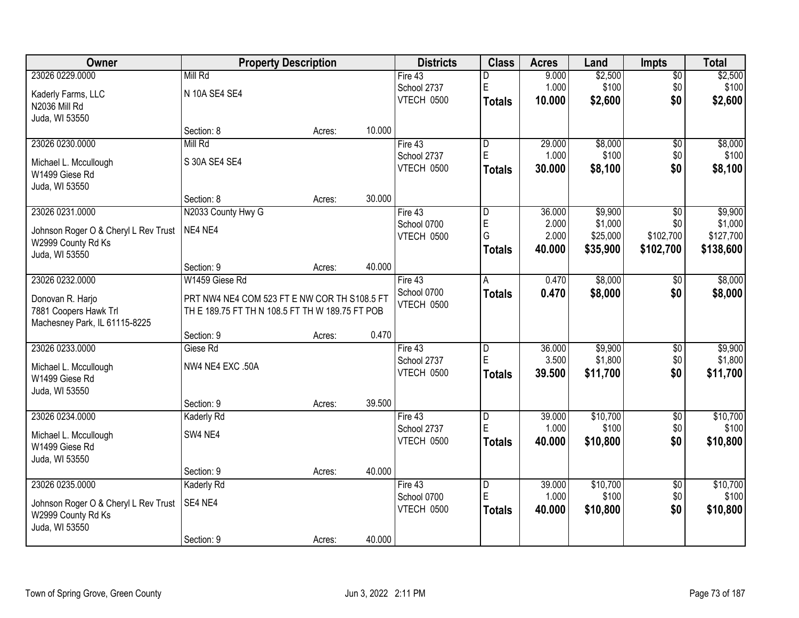| Owner                                | <b>Property Description</b>                     |        |        | <b>Districts</b>  | <b>Class</b>            | <b>Acres</b> | Land     | <b>Impts</b>    | <b>Total</b> |
|--------------------------------------|-------------------------------------------------|--------|--------|-------------------|-------------------------|--------------|----------|-----------------|--------------|
| 23026 0229.0000                      | Mill Rd                                         |        |        | Fire 43           | D                       | 9.000        | \$2,500  | \$0             | \$2,500      |
| Kaderly Farms, LLC                   | N 10A SE4 SE4                                   |        |        | School 2737       | E                       | 1.000        | \$100    | \$0             | \$100        |
| N2036 Mill Rd                        |                                                 |        |        | VTECH 0500        | <b>Totals</b>           | 10.000       | \$2,600  | \$0             | \$2,600      |
| Juda, WI 53550                       |                                                 |        |        |                   |                         |              |          |                 |              |
|                                      | Section: 8                                      | Acres: | 10.000 |                   |                         |              |          |                 |              |
| 23026 0230.0000                      | Mill Rd                                         |        |        | Fire 43           | l D                     | 29.000       | \$8,000  | \$0             | \$8,000      |
| Michael L. Mccullough                | S 30A SE4 SE4                                   |        |        | School 2737       | E                       | 1.000        | \$100    | \$0             | \$100        |
| W1499 Giese Rd                       |                                                 |        |        | VTECH 0500        | <b>Totals</b>           | 30.000       | \$8,100  | \$0             | \$8,100      |
| Juda, WI 53550                       |                                                 |        |        |                   |                         |              |          |                 |              |
|                                      | Section: 8                                      | Acres: | 30.000 |                   |                         |              |          |                 |              |
| 23026 0231.0000                      | N2033 County Hwy G                              |        |        | Fire 43           | D                       | 36.000       | \$9,900  | \$0             | \$9,900      |
| Johnson Roger O & Cheryl L Rev Trust | NE4 NE4                                         |        |        | School 0700       | E                       | 2.000        | \$1,000  | \$0             | \$1,000      |
| W2999 County Rd Ks                   |                                                 |        |        | <b>VTECH 0500</b> | G                       | 2.000        | \$25,000 | \$102,700       | \$127,700    |
| Juda, WI 53550                       |                                                 |        |        |                   | <b>Totals</b>           | 40.000       | \$35,900 | \$102,700       | \$138,600    |
|                                      | Section: 9                                      | Acres: | 40.000 |                   |                         |              |          |                 |              |
| 23026 0232.0000                      | W1459 Giese Rd                                  |        |        | Fire 43           | A                       | 0.470        | \$8,000  | \$0             | \$8,000      |
| Donovan R. Harjo                     | PRT NW4 NE4 COM 523 FT E NW COR TH S108.5 FT    |        |        | School 0700       | <b>Totals</b>           | 0.470        | \$8,000  | \$0             | \$8,000      |
| 7881 Coopers Hawk Trl                | TH E 189.75 FT TH N 108.5 FT TH W 189.75 FT POB |        |        | VTECH 0500        |                         |              |          |                 |              |
| Machesney Park, IL 61115-8225        |                                                 |        |        |                   |                         |              |          |                 |              |
|                                      | Section: 9                                      | Acres: | 0.470  |                   |                         |              |          |                 |              |
| 23026 0233.0000                      | Giese Rd                                        |        |        | Fire 43           | $\overline{D}$          | 36.000       | \$9,900  | \$0             | \$9,900      |
| Michael L. Mccullough                | NW4 NE4 EXC .50A                                |        |        | School 2737       | E                       | 3.500        | \$1,800  | \$0             | \$1,800      |
| W1499 Giese Rd                       |                                                 |        |        | VTECH 0500        | <b>Totals</b>           | 39.500       | \$11,700 | \$0             | \$11,700     |
| Juda, WI 53550                       |                                                 |        |        |                   |                         |              |          |                 |              |
|                                      | Section: 9                                      | Acres: | 39.500 |                   |                         |              |          |                 |              |
| 23026 0234.0000                      | Kaderly Rd                                      |        |        | Fire 43           | D                       | 39.000       | \$10,700 | $\sqrt{6}$      | \$10,700     |
| Michael L. Mccullough                | SW4 NE4                                         |        |        | School 2737       | E                       | 1.000        | \$100    | \$0             | \$100        |
| W1499 Giese Rd                       |                                                 |        |        | VTECH 0500        | <b>Totals</b>           | 40.000       | \$10,800 | \$0             | \$10,800     |
| Juda, WI 53550                       |                                                 |        |        |                   |                         |              |          |                 |              |
|                                      | Section: 9                                      | Acres: | 40.000 |                   |                         |              |          |                 |              |
| 23026 0235.0000                      | <b>Kaderly Rd</b>                               |        |        | Fire 43           | $\overline{\mathsf{D}}$ | 39.000       | \$10,700 | $\overline{50}$ | \$10,700     |
| Johnson Roger O & Cheryl L Rev Trust | SE4 NE4                                         |        |        | School 0700       | E                       | 1.000        | \$100    | \$0             | \$100        |
| W2999 County Rd Ks                   |                                                 |        |        | VTECH 0500        | Totals                  | 40.000       | \$10,800 | \$0             | \$10,800     |
| Juda, WI 53550                       |                                                 |        |        |                   |                         |              |          |                 |              |
|                                      | Section: 9                                      | Acres: | 40.000 |                   |                         |              |          |                 |              |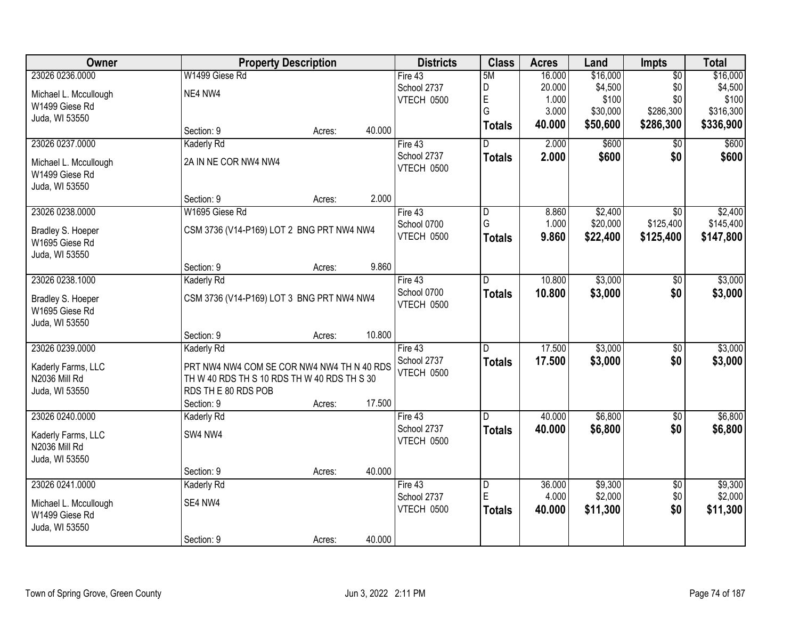| Owner                               | <b>Property Description</b>                                                               |                  | <b>Districts</b>  | <b>Class</b>  | <b>Acres</b> | Land     | <b>Impts</b>    | <b>Total</b> |
|-------------------------------------|-------------------------------------------------------------------------------------------|------------------|-------------------|---------------|--------------|----------|-----------------|--------------|
| 23026 0236.0000                     | W1499 Giese Rd                                                                            |                  | Fire 43           | 5M            | 16.000       | \$16,000 | $\overline{50}$ | \$16,000     |
| Michael L. Mccullough               | NE4 NW4                                                                                   |                  | School 2737       | D             | 20.000       | \$4,500  | \$0             | \$4,500      |
| W1499 Giese Rd                      |                                                                                           |                  | VTECH 0500        | E             | 1.000        | \$100    | \$0             | \$100        |
| Juda, WI 53550                      |                                                                                           |                  |                   | G             | 3.000        | \$30,000 | \$286,300       | \$316,300    |
|                                     | Section: 9                                                                                | 40.000<br>Acres: |                   | <b>Totals</b> | 40.000       | \$50,600 | \$286,300       | \$336,900    |
| 23026 0237.0000                     | <b>Kaderly Rd</b>                                                                         |                  | Fire 43           |               | 2.000        | \$600    | \$0             | \$600        |
| Michael L. Mccullough               | 2A IN NE COR NW4 NW4                                                                      |                  | School 2737       | <b>Totals</b> | 2.000        | \$600    | \$0             | \$600        |
| W1499 Giese Rd                      |                                                                                           |                  | VTECH 0500        |               |              |          |                 |              |
| Juda, WI 53550                      |                                                                                           |                  |                   |               |              |          |                 |              |
|                                     | Section: 9                                                                                | 2.000<br>Acres:  |                   |               |              |          |                 |              |
| 23026 0238.0000                     | W1695 Giese Rd                                                                            |                  | Fire 43           | D             | 8.860        | \$2,400  | \$0             | \$2,400      |
| Bradley S. Hoeper                   | CSM 3736 (V14-P169) LOT 2 BNG PRT NW4 NW4                                                 |                  | School 0700       | G             | 1.000        | \$20,000 | \$125,400       | \$145,400    |
| W1695 Giese Rd                      |                                                                                           |                  | VTECH 0500        | <b>Totals</b> | 9.860        | \$22,400 | \$125,400       | \$147,800    |
| Juda, WI 53550                      |                                                                                           |                  |                   |               |              |          |                 |              |
|                                     | Section: 9                                                                                | 9.860<br>Acres:  |                   |               |              |          |                 |              |
| 23026 0238.1000                     | <b>Kaderly Rd</b>                                                                         |                  | Fire 43           | D             | 10.800       | \$3,000  | \$0             | \$3,000      |
| Bradley S. Hoeper                   | CSM 3736 (V14-P169) LOT 3 BNG PRT NW4 NW4                                                 |                  | School 0700       | <b>Totals</b> | 10.800       | \$3,000  | \$0             | \$3,000      |
| W1695 Giese Rd                      |                                                                                           |                  | VTECH 0500        |               |              |          |                 |              |
| Juda, WI 53550                      |                                                                                           |                  |                   |               |              |          |                 |              |
|                                     | Section: 9                                                                                | 10.800<br>Acres: |                   |               |              |          |                 |              |
| 23026 0239.0000                     | <b>Kaderly Rd</b>                                                                         |                  | Fire 43           | D.            | 17.500       | \$3,000  | $\overline{50}$ | \$3,000      |
|                                     |                                                                                           |                  | School 2737       | <b>Totals</b> | 17.500       | \$3,000  | \$0             | \$3,000      |
| Kaderly Farms, LLC<br>N2036 Mill Rd | PRT NW4 NW4 COM SE COR NW4 NW4 TH N 40 RDS<br>TH W 40 RDS TH S 10 RDS TH W 40 RDS TH S 30 |                  | <b>VTECH 0500</b> |               |              |          |                 |              |
| Juda, WI 53550                      | RDS THE 80 RDS POB                                                                        |                  |                   |               |              |          |                 |              |
|                                     | Section: 9                                                                                | 17.500<br>Acres: |                   |               |              |          |                 |              |
| 23026 0240.0000                     | Kaderly Rd                                                                                |                  | Fire 43           | D             | 40.000       | \$6,800  | $\overline{60}$ | \$6,800      |
|                                     |                                                                                           |                  | School 2737       | <b>Totals</b> | 40.000       | \$6,800  | \$0             | \$6,800      |
| Kaderly Farms, LLC                  | SW4 NW4                                                                                   |                  | VTECH 0500        |               |              |          |                 |              |
| N2036 Mill Rd                       |                                                                                           |                  |                   |               |              |          |                 |              |
| Juda, WI 53550                      | Section: 9                                                                                | 40.000<br>Acres: |                   |               |              |          |                 |              |
| 23026 0241.0000                     | <b>Kaderly Rd</b>                                                                         |                  | Fire 43           | D             | 36.000       | \$9,300  | $\overline{50}$ | \$9,300      |
|                                     |                                                                                           |                  | School 2737       | E             | 4.000        | \$2,000  | \$0             | \$2,000      |
| Michael L. Mccullough               | SE4 NW4                                                                                   |                  | VTECH 0500        | <b>Totals</b> | 40.000       | \$11,300 | \$0             | \$11,300     |
| W1499 Giese Rd                      |                                                                                           |                  |                   |               |              |          |                 |              |
| Juda, WI 53550                      |                                                                                           |                  |                   |               |              |          |                 |              |
|                                     | Section: 9                                                                                | 40.000<br>Acres: |                   |               |              |          |                 |              |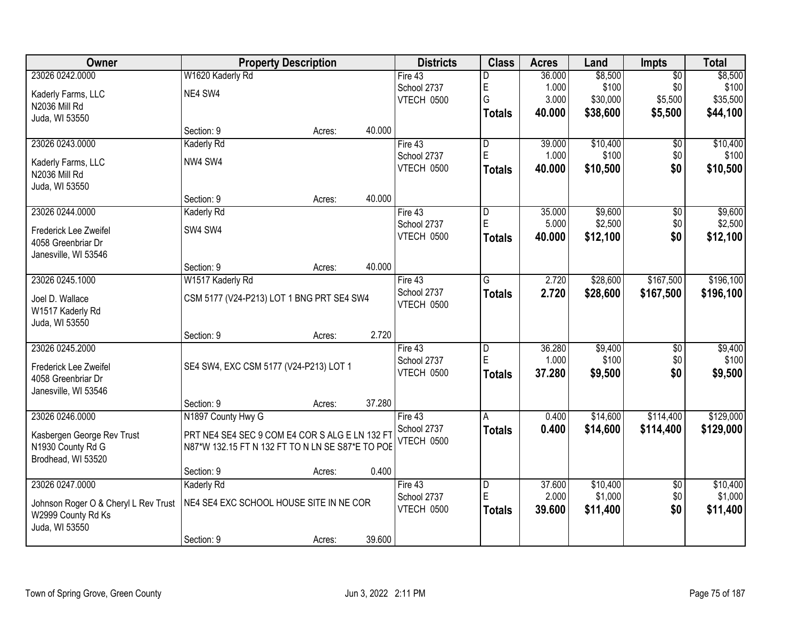| Owner                                | <b>Property Description</b>                      | <b>Districts</b> | <b>Class</b>            | <b>Acres</b> | Land     | <b>Impts</b>    | <b>Total</b> |
|--------------------------------------|--------------------------------------------------|------------------|-------------------------|--------------|----------|-----------------|--------------|
| 23026 0242.0000                      | W1620 Kaderly Rd                                 | Fire $43$        | D                       | 36.000       | \$8,500  | $\overline{50}$ | \$8,500      |
| Kaderly Farms, LLC                   | NE4 SW4                                          | School 2737      | E                       | 1.000        | \$100    | \$0             | \$100        |
| N2036 Mill Rd                        |                                                  | VTECH 0500       | G                       | 3.000        | \$30,000 | \$5,500         | \$35,500     |
| Juda, WI 53550                       |                                                  |                  | <b>Totals</b>           | 40.000       | \$38,600 | \$5,500         | \$44,100     |
|                                      | 40.000<br>Section: 9<br>Acres:                   |                  |                         |              |          |                 |              |
| 23026 0243.0000                      | <b>Kaderly Rd</b>                                | Fire 43          | D                       | 39.000       | \$10,400 | \$0             | \$10,400     |
| Kaderly Farms, LLC                   | NW4 SW4                                          | School 2737      | E                       | 1.000        | \$100    | \$0             | \$100        |
| N2036 Mill Rd                        |                                                  | VTECH 0500       | <b>Totals</b>           | 40.000       | \$10,500 | \$0             | \$10,500     |
| Juda, WI 53550                       |                                                  |                  |                         |              |          |                 |              |
|                                      | 40.000<br>Section: 9<br>Acres:                   |                  |                         |              |          |                 |              |
| 23026 0244.0000                      | Kaderly Rd                                       | Fire 43          | $\overline{\mathsf{D}}$ | 35.000       | \$9,600  | \$0             | \$9,600      |
| Frederick Lee Zweifel                | SW4 SW4                                          | School 2737      | E                       | 5.000        | \$2,500  | \$0             | \$2,500      |
| 4058 Greenbriar Dr                   |                                                  | VTECH 0500       | <b>Totals</b>           | 40.000       | \$12,100 | \$0             | \$12,100     |
| Janesville, WI 53546                 |                                                  |                  |                         |              |          |                 |              |
|                                      | 40.000<br>Section: 9<br>Acres:                   |                  |                         |              |          |                 |              |
| 23026 0245.1000                      | W1517 Kaderly Rd                                 | Fire 43          | G                       | 2.720        | \$28,600 | \$167,500       | \$196,100    |
| Joel D. Wallace                      | CSM 5177 (V24-P213) LOT 1 BNG PRT SE4 SW4        | School 2737      | <b>Totals</b>           | 2.720        | \$28,600 | \$167,500       | \$196,100    |
| W1517 Kaderly Rd                     |                                                  | VTECH 0500       |                         |              |          |                 |              |
| Juda, WI 53550                       |                                                  |                  |                         |              |          |                 |              |
|                                      | Section: 9<br>Acres:                             | 2.720            |                         |              |          |                 |              |
| 23026 0245.2000                      |                                                  | Fire 43          | D                       | 36.280       | \$9,400  | $\overline{50}$ | \$9,400      |
| Frederick Lee Zweifel                | SE4 SW4, EXC CSM 5177 (V24-P213) LOT 1           | School 2737      | E                       | 1.000        | \$100    | \$0             | \$100        |
| 4058 Greenbriar Dr                   |                                                  | VTECH 0500       | <b>Totals</b>           | 37.280       | \$9,500  | \$0             | \$9,500      |
| Janesville, WI 53546                 |                                                  |                  |                         |              |          |                 |              |
|                                      | 37.280<br>Section: 9<br>Acres:                   |                  |                         |              |          |                 |              |
| 23026 0246.0000                      | N1897 County Hwy G                               | Fire 43          | A                       | 0.400        | \$14,600 | \$114,400       | \$129,000    |
| Kasbergen George Rev Trust           | PRT NE4 SE4 SEC 9 COM E4 COR S ALG E LN 132 FT   | School 2737      | <b>Totals</b>           | 0.400        | \$14,600 | \$114,400       | \$129,000    |
| N1930 County Rd G                    | N87*W 132.15 FT N 132 FT TO N LN SE S87*E TO POE | VTECH 0500       |                         |              |          |                 |              |
| Brodhead, WI 53520                   |                                                  |                  |                         |              |          |                 |              |
|                                      | Section: 9<br>Acres:                             | 0.400            |                         |              |          |                 |              |
| 23026 0247.0000                      | Kaderly Rd                                       | Fire $43$        | $\overline{\mathsf{D}}$ | 37.600       | \$10,400 | $\overline{30}$ | \$10,400     |
| Johnson Roger O & Cheryl L Rev Trust | NE4 SE4 EXC SCHOOL HOUSE SITE IN NE COR          | School 2737      | E                       | 2.000        | \$1,000  | \$0             | \$1,000      |
| W2999 County Rd Ks                   |                                                  | VTECH 0500       | <b>Totals</b>           | 39.600       | \$11,400 | \$0             | \$11,400     |
| Juda, WI 53550                       |                                                  |                  |                         |              |          |                 |              |
|                                      | 39.600<br>Section: 9<br>Acres:                   |                  |                         |              |          |                 |              |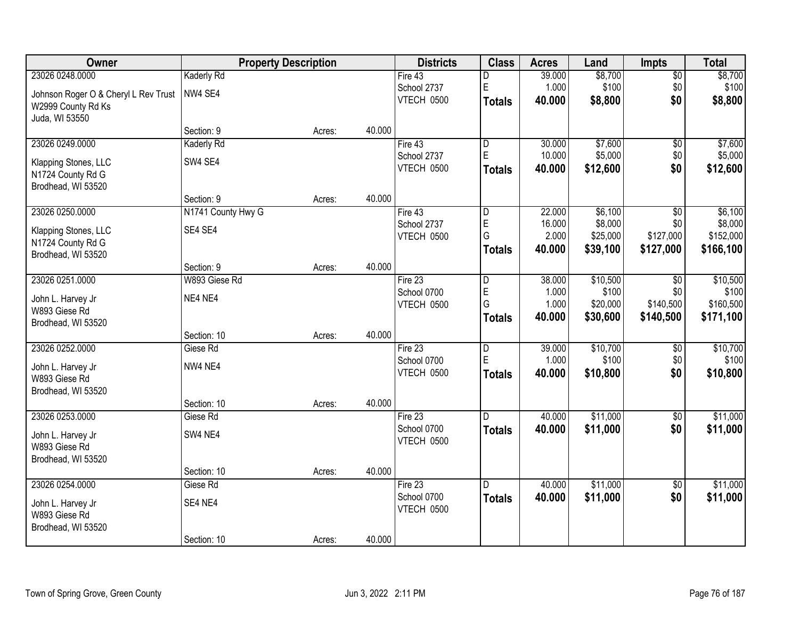| Owner                                |                    | <b>Property Description</b> |        | <b>Districts</b>                 | <b>Class</b>            | <b>Acres</b> | Land     | <b>Impts</b>    | <b>Total</b> |
|--------------------------------------|--------------------|-----------------------------|--------|----------------------------------|-------------------------|--------------|----------|-----------------|--------------|
| 23026 0248.0000                      | <b>Kaderly Rd</b>  |                             |        | Fire 43                          | D                       | 39.000       | \$8,700  | $\overline{50}$ | \$8,700      |
| Johnson Roger O & Cheryl L Rev Trust | NW4 SE4            |                             |        | School 2737                      | E                       | 1.000        | \$100    | \$0             | \$100        |
| W2999 County Rd Ks                   |                    |                             |        | VTECH 0500                       | <b>Totals</b>           | 40.000       | \$8,800  | \$0             | \$8,800      |
| Juda, WI 53550                       |                    |                             |        |                                  |                         |              |          |                 |              |
|                                      | Section: 9         | Acres:                      | 40.000 |                                  |                         |              |          |                 |              |
| 23026 0249.0000                      | <b>Kaderly Rd</b>  |                             |        | Fire $43$                        | D                       | 30.000       | \$7,600  | $\overline{50}$ | \$7,600      |
| Klapping Stones, LLC                 | SW4 SE4            |                             |        | School 2737                      | E                       | 10.000       | \$5,000  | \$0             | \$5,000      |
| N1724 County Rd G                    |                    |                             |        | VTECH 0500                       | <b>Totals</b>           | 40.000       | \$12,600 | \$0             | \$12,600     |
| Brodhead, WI 53520                   |                    |                             |        |                                  |                         |              |          |                 |              |
|                                      | Section: 9         | Acres:                      | 40.000 |                                  |                         |              |          |                 |              |
| 23026 0250.0000                      | N1741 County Hwy G |                             |        | Fire 43                          | $\overline{\mathsf{D}}$ | 22.000       | \$6,100  | \$0             | \$6,100      |
| Klapping Stones, LLC                 | SE4 SE4            |                             |        | School 2737                      | E                       | 16.000       | \$8,000  | \$0             | \$8,000      |
| N1724 County Rd G                    |                    |                             |        | VTECH 0500                       | G                       | 2.000        | \$25,000 | \$127,000       | \$152,000    |
| Brodhead, WI 53520                   |                    |                             |        |                                  | <b>Totals</b>           | 40.000       | \$39,100 | \$127,000       | \$166,100    |
|                                      | Section: 9         | Acres:                      | 40.000 |                                  |                         |              |          |                 |              |
| 23026 0251.0000                      | W893 Giese Rd      |                             |        | Fire $23$                        | D                       | 38.000       | \$10,500 | \$0             | \$10,500     |
|                                      | NE4 NE4            |                             |        | School 0700                      | E                       | 1.000        | \$100    | \$0             | \$100        |
| John L. Harvey Jr<br>W893 Giese Rd   |                    |                             |        | VTECH 0500                       | G                       | 1.000        | \$20,000 | \$140,500       | \$160,500    |
| Brodhead, WI 53520                   |                    |                             |        |                                  | <b>Totals</b>           | 40.000       | \$30,600 | \$140,500       | \$171,100    |
|                                      | Section: 10        | Acres:                      | 40.000 |                                  |                         |              |          |                 |              |
| 23026 0252.0000                      | Giese Rd           |                             |        | Fire 23                          | $\overline{\mathsf{D}}$ | 39.000       | \$10,700 | \$0             | \$10,700     |
|                                      |                    |                             |        | School 0700                      | E                       | 1.000        | \$100    | \$0             | \$100        |
| John L. Harvey Jr                    | NW4 NE4            |                             |        | VTECH 0500                       | <b>Totals</b>           | 40.000       | \$10,800 | \$0             | \$10,800     |
| W893 Giese Rd                        |                    |                             |        |                                  |                         |              |          |                 |              |
| Brodhead, WI 53520                   | Section: 10        | Acres:                      | 40.000 |                                  |                         |              |          |                 |              |
| 23026 0253.0000                      | Giese Rd           |                             |        | Fire $23$                        | $\overline{D}$          | 40.000       | \$11,000 | $\sqrt{$0}$     | \$11,000     |
|                                      |                    |                             |        | School 0700                      | <b>Totals</b>           | 40.000       | \$11,000 | \$0             | \$11,000     |
| John L. Harvey Jr                    | SW4 NE4            |                             |        | VTECH 0500                       |                         |              |          |                 |              |
| W893 Giese Rd                        |                    |                             |        |                                  |                         |              |          |                 |              |
| Brodhead, WI 53520                   |                    |                             |        |                                  |                         |              |          |                 |              |
|                                      | Section: 10        | Acres:                      | 40.000 |                                  |                         |              |          |                 |              |
| 23026 0254.0000                      | Giese Rd           |                             |        | Fire 23                          | D.                      | 40.000       | \$11,000 | $\overline{50}$ | \$11,000     |
| John L. Harvey Jr                    | SE4 NE4            |                             |        | School 0700<br><b>VTECH 0500</b> | <b>Totals</b>           | 40.000       | \$11,000 | \$0             | \$11,000     |
| W893 Giese Rd                        |                    |                             |        |                                  |                         |              |          |                 |              |
| Brodhead, WI 53520                   |                    |                             |        |                                  |                         |              |          |                 |              |
|                                      | Section: 10        | Acres:                      | 40.000 |                                  |                         |              |          |                 |              |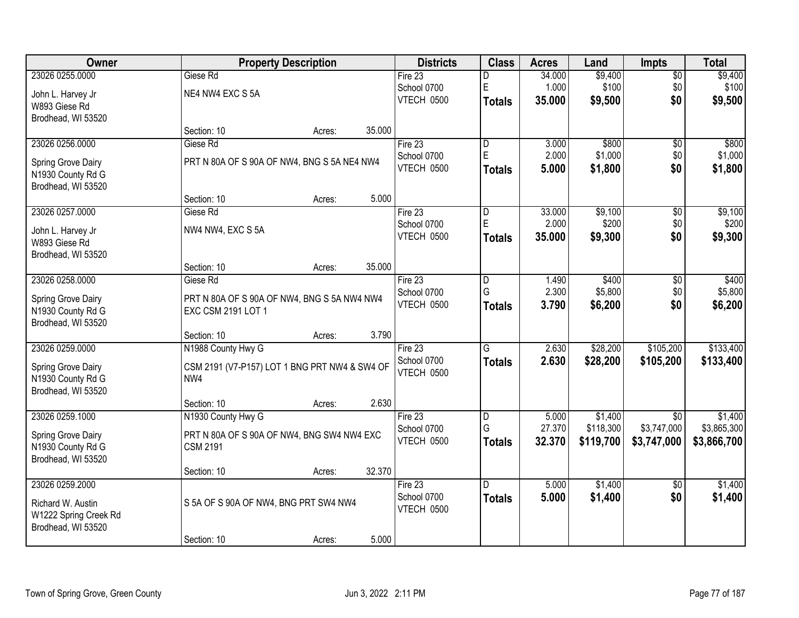| Owner                 | <b>Property Description</b>                   |        |        | <b>Districts</b> | <b>Class</b>   | <b>Acres</b> | Land      | <b>Impts</b>    | <b>Total</b> |
|-----------------------|-----------------------------------------------|--------|--------|------------------|----------------|--------------|-----------|-----------------|--------------|
| 23026 0255.0000       | Giese Rd                                      |        |        | Fire $23$        | D              | 34.000       | \$9,400   | \$0             | \$9,400      |
| John L. Harvey Jr     | NE4 NW4 EXC S 5A                              |        |        | School 0700      | E              | 1.000        | \$100     | \$0             | \$100        |
| W893 Giese Rd         |                                               |        |        | VTECH 0500       | Totals         | 35.000       | \$9,500   | \$0             | \$9,500      |
| Brodhead, WI 53520    |                                               |        |        |                  |                |              |           |                 |              |
|                       | Section: 10                                   | Acres: | 35.000 |                  |                |              |           |                 |              |
| 23026 0256.0000       | Giese Rd                                      |        |        | Fire 23          | D              | 3.000        | \$800     | $\overline{50}$ | \$800        |
| Spring Grove Dairy    | PRT N 80A OF S 90A OF NW4, BNG S 5A NE4 NW4   |        |        | School 0700      | E              | 2.000        | \$1,000   | \$0             | \$1,000      |
| N1930 County Rd G     |                                               |        |        | VTECH 0500       | <b>Totals</b>  | 5.000        | \$1,800   | \$0             | \$1,800      |
| Brodhead, WI 53520    |                                               |        |        |                  |                |              |           |                 |              |
|                       | Section: 10                                   | Acres: | 5.000  |                  |                |              |           |                 |              |
| 23026 0257.0000       | Giese Rd                                      |        |        | Fire 23          | D              | 33.000       | \$9,100   | \$0             | \$9,100      |
| John L. Harvey Jr     | NW4 NW4, EXC S 5A                             |        |        | School 0700      | $\mathsf E$    | 2.000        | \$200     | \$0             | \$200        |
| W893 Giese Rd         |                                               |        |        | VTECH 0500       | Totals         | 35.000       | \$9,300   | \$0             | \$9,300      |
| Brodhead, WI 53520    |                                               |        |        |                  |                |              |           |                 |              |
|                       | Section: 10                                   | Acres: | 35.000 |                  |                |              |           |                 |              |
| 23026 0258.0000       | Giese Rd                                      |        |        | Fire 23          | D              | 1.490        | \$400     | \$0             | \$400        |
| Spring Grove Dairy    | PRT N 80A OF S 90A OF NW4, BNG S 5A NW4 NW4   |        |        | School 0700      | G              | 2.300        | \$5,800   | \$0             | \$5,800      |
| N1930 County Rd G     | EXC CSM 2191 LOT 1                            |        |        | VTECH 0500       | <b>Totals</b>  | 3.790        | \$6,200   | \$0             | \$6,200      |
| Brodhead, WI 53520    |                                               |        |        |                  |                |              |           |                 |              |
|                       | Section: 10                                   | Acres: | 3.790  |                  |                |              |           |                 |              |
| 23026 0259.0000       | N1988 County Hwy G                            |        |        | Fire 23          | $\overline{G}$ | 2.630        | \$28,200  | \$105,200       | \$133,400    |
| Spring Grove Dairy    | CSM 2191 (V7-P157) LOT 1 BNG PRT NW4 & SW4 OF |        |        | School 0700      | <b>Totals</b>  | 2.630        | \$28,200  | \$105,200       | \$133,400    |
| N1930 County Rd G     | NW4                                           |        |        | VTECH 0500       |                |              |           |                 |              |
| Brodhead, WI 53520    |                                               |        |        |                  |                |              |           |                 |              |
|                       | Section: 10                                   | Acres: | 2.630  |                  |                |              |           |                 |              |
| 23026 0259.1000       | N1930 County Hwy G                            |        |        | Fire 23          | D              | 5.000        | \$1,400   | \$0             | \$1,400      |
| Spring Grove Dairy    | PRT N 80A OF S 90A OF NW4, BNG SW4 NW4 EXC    |        |        | School 0700      | G              | 27.370       | \$118,300 | \$3,747,000     | \$3,865,300  |
| N1930 County Rd G     | <b>CSM 2191</b>                               |        |        | VTECH 0500       | <b>Totals</b>  | 32.370       | \$119,700 | \$3,747,000     | \$3,866,700  |
| Brodhead, WI 53520    |                                               |        |        |                  |                |              |           |                 |              |
|                       | Section: 10                                   | Acres: | 32.370 |                  |                |              |           |                 |              |
| 23026 0259.2000       |                                               |        |        | Fire $23$        | D.             | 5.000        | \$1,400   | $\overline{50}$ | \$1,400      |
| Richard W. Austin     | S 5A OF S 90A OF NW4, BNG PRT SW4 NW4         |        |        | School 0700      | <b>Totals</b>  | 5.000        | \$1,400   | \$0             | \$1,400      |
| W1222 Spring Creek Rd |                                               |        |        | VTECH 0500       |                |              |           |                 |              |
| Brodhead, WI 53520    |                                               |        |        |                  |                |              |           |                 |              |
|                       | Section: 10                                   | Acres: | 5.000  |                  |                |              |           |                 |              |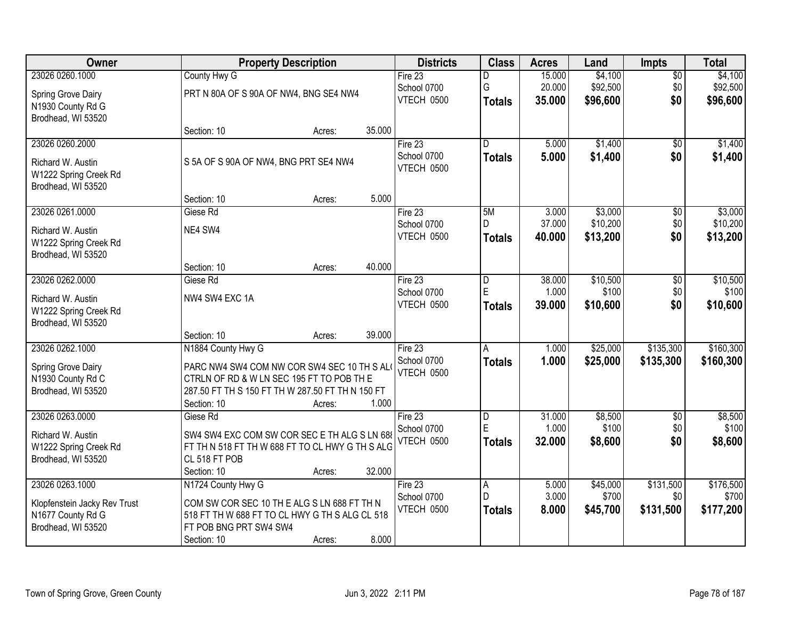| <b>Owner</b>                 | <b>Property Description</b>                      |        |        | <b>Districts</b>                 | <b>Class</b>        | <b>Acres</b>    | Land     | <b>Impts</b>     | <b>Total</b>       |
|------------------------------|--------------------------------------------------|--------|--------|----------------------------------|---------------------|-----------------|----------|------------------|--------------------|
| 23026 0260.1000              | County Hwy G                                     |        |        | Fire 23                          | D                   | 15.000          | \$4,100  | $\overline{50}$  | \$4,100            |
| Spring Grove Dairy           | PRT N 80A OF S 90A OF NW4, BNG SE4 NW4           |        |        | School 0700                      | G                   | 20.000          | \$92,500 | \$0              | \$92,500           |
| N1930 County Rd G            |                                                  |        |        | VTECH 0500                       | <b>Totals</b>       | 35.000          | \$96,600 | \$0              | \$96,600           |
| Brodhead, WI 53520           |                                                  |        |        |                                  |                     |                 |          |                  |                    |
|                              | Section: 10                                      | Acres: | 35.000 |                                  |                     |                 |          |                  |                    |
| 23026 0260.2000              |                                                  |        |        | Fire 23                          | D.                  | 5.000           | \$1,400  | $\overline{50}$  | \$1,400            |
| Richard W. Austin            | S 5A OF S 90A OF NW4, BNG PRT SE4 NW4            |        |        | School 0700                      | <b>Totals</b>       | 5.000           | \$1,400  | \$0              | \$1,400            |
| W1222 Spring Creek Rd        |                                                  |        |        | VTECH 0500                       |                     |                 |          |                  |                    |
| Brodhead, WI 53520           |                                                  |        |        |                                  |                     |                 |          |                  |                    |
|                              | Section: 10                                      | Acres: | 5.000  |                                  |                     |                 |          |                  |                    |
| 23026 0261.0000              | Giese Rd                                         |        |        | Fire 23                          | 5M                  | 3.000           | \$3,000  | \$0              | \$3,000            |
| Richard W. Austin            | NE4 SW4                                          |        |        | School 0700                      | D                   | 37.000          | \$10,200 | \$0              | \$10,200           |
| W1222 Spring Creek Rd        |                                                  |        |        | VTECH 0500                       | Totals              | 40.000          | \$13,200 | \$0              | \$13,200           |
| Brodhead, WI 53520           |                                                  |        |        |                                  |                     |                 |          |                  |                    |
|                              | Section: 10                                      | Acres: | 40.000 |                                  |                     |                 |          |                  |                    |
| 23026 0262.0000              | Giese Rd                                         |        |        | Fire 23                          | D                   | 38.000          | \$10,500 | \$0              | \$10,500           |
| Richard W. Austin            | NW4 SW4 EXC 1A                                   |        |        | School 0700                      | E                   | 1.000           | \$100    | \$0              | \$100              |
| W1222 Spring Creek Rd        |                                                  |        |        | VTECH 0500                       | <b>Totals</b>       | 39.000          | \$10,600 | \$0              | \$10,600           |
| Brodhead, WI 53520           |                                                  |        |        |                                  |                     |                 |          |                  |                    |
|                              | Section: 10                                      | Acres: | 39.000 |                                  |                     |                 |          |                  |                    |
| 23026 0262.1000              | N1884 County Hwy G                               |        |        | Fire 23                          | $\overline{A}$      | 1.000           | \$25,000 | \$135,300        | \$160,300          |
| Spring Grove Dairy           | PARC NW4 SW4 COM NW COR SW4 SEC 10 TH S AL       |        |        | School 0700                      | <b>Totals</b>       | 1.000           | \$25,000 | \$135,300        | \$160,300          |
| N1930 County Rd C            | CTRLN OF RD & W LN SEC 195 FT TO POB TH E        |        |        | <b>VTECH 0500</b>                |                     |                 |          |                  |                    |
| Brodhead, WI 53520           | 287.50 FT TH S 150 FT TH W 287.50 FT TH N 150 FT |        |        |                                  |                     |                 |          |                  |                    |
|                              | Section: 10                                      | Acres: | 1.000  |                                  |                     |                 |          |                  |                    |
| 23026 0263.0000              | Giese Rd                                         |        |        | Fire 23                          | D<br>E              | 31.000          | \$8,500  | $\sqrt{6}$       | \$8,500            |
| Richard W. Austin            | SW4 SW4 EXC COM SW COR SEC E TH ALG S LN 688     |        |        | School 0700<br><b>VTECH 0500</b> |                     | 1.000<br>32.000 | \$100    | \$0<br>\$0       | \$100              |
| W1222 Spring Creek Rd        | FT TH N 518 FT TH W 688 FT TO CL HWY G TH S ALG  |        |        |                                  | <b>Totals</b>       |                 | \$8,600  |                  | \$8,600            |
| Brodhead, WI 53520           | CL 518 FT POB                                    |        |        |                                  |                     |                 |          |                  |                    |
|                              | Section: 10                                      | Acres: | 32.000 |                                  |                     |                 |          |                  |                    |
| 23026 0263.1000              | N1724 County Hwy G                               |        |        | Fire 23                          | $\overline{A}$<br>D | 5.000           | \$45,000 | \$131,500        | \$176,500          |
| Klopfenstein Jacky Rev Trust | COM SW COR SEC 10 TH E ALG S LN 688 FT TH N      |        |        | School 0700<br><b>VTECH 0500</b> |                     | 3.000<br>8.000  | \$700    | \$0<br>\$131,500 | \$700<br>\$177,200 |
| N1677 County Rd G            | 518 FT TH W 688 FT TO CL HWY G TH S ALG CL 518   |        |        |                                  | <b>Totals</b>       |                 | \$45,700 |                  |                    |
| Brodhead, WI 53520           | FT POB BNG PRT SW4 SW4                           |        |        |                                  |                     |                 |          |                  |                    |
|                              | Section: 10                                      | Acres: | 8.000  |                                  |                     |                 |          |                  |                    |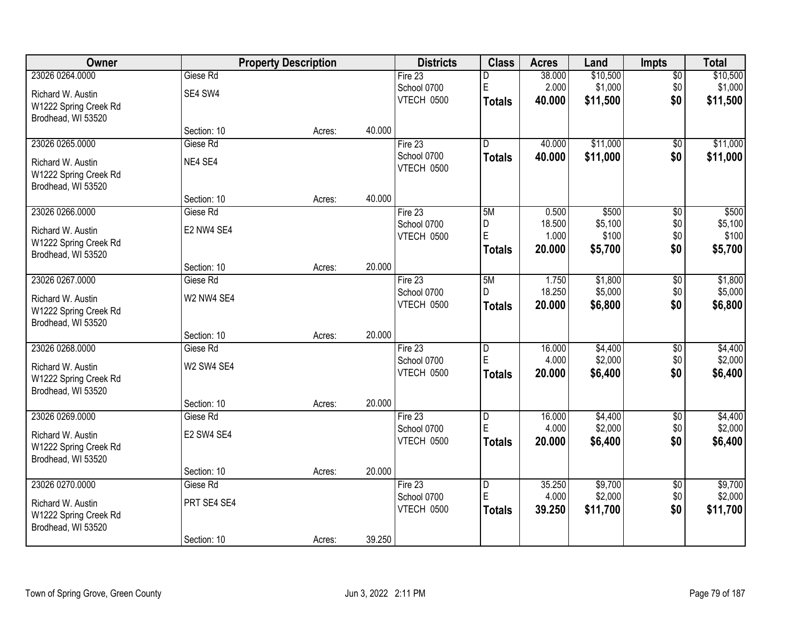| Owner                 |             | <b>Property Description</b> | <b>Districts</b>          | <b>Class</b>                  | <b>Acres</b>    | Land               | <b>Impts</b>           | <b>Total</b>       |
|-----------------------|-------------|-----------------------------|---------------------------|-------------------------------|-----------------|--------------------|------------------------|--------------------|
| 23026 0264.0000       | Giese Rd    |                             | Fire $23$                 | D                             | 38.000          | \$10,500           | \$0                    | \$10,500           |
| Richard W. Austin     | SE4 SW4     |                             | School 0700               | E                             | 2.000           | \$1,000            | \$0                    | \$1,000            |
| W1222 Spring Creek Rd |             |                             | VTECH 0500                | <b>Totals</b>                 | 40.000          | \$11,500           | \$0                    | \$11,500           |
| Brodhead, WI 53520    |             |                             |                           |                               |                 |                    |                        |                    |
|                       | Section: 10 | Acres:                      | 40.000                    |                               |                 |                    |                        |                    |
| 23026 0265.0000       | Giese Rd    |                             | Fire 23                   | D.                            | 40.000          | \$11,000           | \$0                    | \$11,000           |
| Richard W. Austin     | NE4 SE4     |                             | School 0700               | <b>Totals</b>                 | 40.000          | \$11,000           | \$0                    | \$11,000           |
| W1222 Spring Creek Rd |             |                             | VTECH 0500                |                               |                 |                    |                        |                    |
| Brodhead, WI 53520    |             |                             |                           |                               |                 |                    |                        |                    |
|                       | Section: 10 | Acres:                      | 40.000                    |                               |                 |                    |                        |                    |
| 23026 0266.0000       | Giese Rd    |                             | Fire 23                   | 5M                            | 0.500           | \$500              | \$0                    | \$500              |
| Richard W. Austin     | E2 NW4 SE4  |                             | School 0700               | D<br>E                        | 18.500          | \$5,100<br>\$100   | \$0                    | \$5,100            |
| W1222 Spring Creek Rd |             |                             | VTECH 0500                |                               | 1.000<br>20.000 | \$5,700            | \$0<br>\$0             | \$100              |
| Brodhead, WI 53520    |             |                             |                           | <b>Totals</b>                 |                 |                    |                        | \$5,700            |
|                       | Section: 10 | Acres:                      | 20.000                    |                               |                 |                    |                        |                    |
| 23026 0267.0000       | Giese Rd    |                             | Fire 23                   | 5M                            | 1.750           | \$1,800            | \$0                    | \$1,800            |
| Richard W. Austin     | W2 NW4 SE4  |                             | School 0700               | D                             | 18.250          | \$5,000            | \$0                    | \$5,000            |
| W1222 Spring Creek Rd |             |                             | VTECH 0500                | <b>Totals</b>                 | 20.000          | \$6,800            | \$0                    | \$6,800            |
| Brodhead, WI 53520    |             |                             |                           |                               |                 |                    |                        |                    |
|                       | Section: 10 | Acres:                      | 20.000                    |                               |                 |                    |                        |                    |
| 23026 0268.0000       | Giese Rd    |                             | Fire 23                   | $\overline{\mathsf{D}}$<br>E  | 16.000          | \$4,400            | $\overline{50}$        | \$4,400            |
| Richard W. Austin     | W2 SW4 SE4  |                             | School 0700<br>VTECH 0500 |                               | 4.000           | \$2,000            | \$0                    | \$2,000            |
| W1222 Spring Creek Rd |             |                             |                           | <b>Totals</b>                 | 20.000          | \$6,400            | \$0                    | \$6,400            |
| Brodhead, WI 53520    |             |                             |                           |                               |                 |                    |                        |                    |
|                       | Section: 10 | Acres:                      | 20.000                    |                               |                 |                    |                        |                    |
| 23026 0269.0000       | Giese Rd    |                             | Fire 23                   | $\overline{D}$<br>E           | 16.000<br>4.000 | \$4,400<br>\$2,000 | $\sqrt{$0}$            | \$4,400            |
| Richard W. Austin     | E2 SW4 SE4  |                             | School 0700<br>VTECH 0500 |                               | 20.000          | \$6,400            | \$0<br>\$0             | \$2,000            |
| W1222 Spring Creek Rd |             |                             |                           | <b>Totals</b>                 |                 |                    |                        | \$6,400            |
| Brodhead, WI 53520    |             |                             |                           |                               |                 |                    |                        |                    |
|                       | Section: 10 | Acres:                      | 20.000                    |                               |                 |                    |                        |                    |
| 23026 0270.0000       | Giese Rd    |                             | Fire 23<br>School 0700    | $\overline{\mathsf{D}}$<br>ΙE | 35.250<br>4.000 | \$9,700<br>\$2,000 | $\overline{50}$<br>\$0 | \$9,700<br>\$2,000 |
| Richard W. Austin     | PRT SE4 SE4 |                             | VTECH 0500                | <b>Totals</b>                 | 39.250          | \$11,700           | \$0                    | \$11,700           |
| W1222 Spring Creek Rd |             |                             |                           |                               |                 |                    |                        |                    |
| Brodhead, WI 53520    |             |                             |                           |                               |                 |                    |                        |                    |
|                       | Section: 10 | Acres:                      | 39.250                    |                               |                 |                    |                        |                    |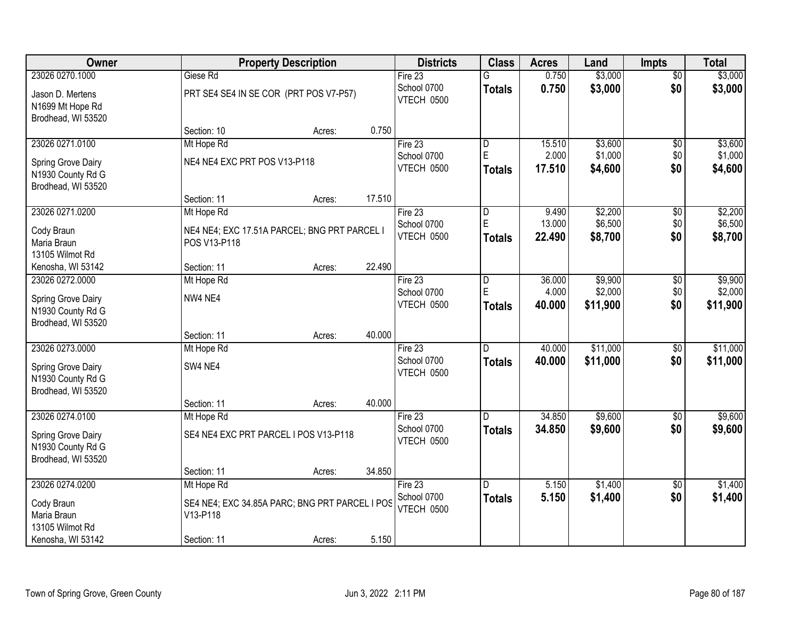| Owner              | <b>Property Description</b>                    |        |        | <b>Districts</b>  | <b>Class</b>            | <b>Acres</b> | Land     | <b>Impts</b>    | <b>Total</b> |
|--------------------|------------------------------------------------|--------|--------|-------------------|-------------------------|--------------|----------|-----------------|--------------|
| 23026 0270.1000    | Giese Rd                                       |        |        | Fire 23           | G                       | 0.750        | \$3,000  | $\overline{60}$ | \$3,000      |
| Jason D. Mertens   | PRT SE4 SE4 IN SE COR (PRT POS V7-P57)         |        |        | School 0700       | <b>Totals</b>           | 0.750        | \$3,000  | \$0             | \$3,000      |
| N1699 Mt Hope Rd   |                                                |        |        | VTECH 0500        |                         |              |          |                 |              |
| Brodhead, WI 53520 |                                                |        |        |                   |                         |              |          |                 |              |
|                    | Section: 10                                    | Acres: | 0.750  |                   |                         |              |          |                 |              |
| 23026 0271.0100    | Mt Hope Rd                                     |        |        | Fire 23           | $\overline{\mathsf{D}}$ | 15.510       | \$3,600  | \$0             | \$3,600      |
| Spring Grove Dairy | NE4 NE4 EXC PRT POS V13-P118                   |        |        | School 0700       | E                       | 2.000        | \$1,000  | \$0             | \$1,000      |
| N1930 County Rd G  |                                                |        |        | VTECH 0500        | <b>Totals</b>           | 17.510       | \$4,600  | \$0             | \$4,600      |
| Brodhead, WI 53520 |                                                |        |        |                   |                         |              |          |                 |              |
|                    | Section: 11                                    | Acres: | 17.510 |                   |                         |              |          |                 |              |
| 23026 0271.0200    | Mt Hope Rd                                     |        |        | Fire 23           | D                       | 9.490        | \$2,200  | $\sqrt[6]{3}$   | \$2,200      |
| Cody Braun         | NE4 NE4; EXC 17.51A PARCEL; BNG PRT PARCEL I   |        |        | School 0700       | $\mathsf E$             | 13.000       | \$6,500  | \$0             | \$6,500      |
| Maria Braun        | POS V13-P118                                   |        |        | <b>VTECH 0500</b> | <b>Totals</b>           | 22.490       | \$8,700  | \$0             | \$8,700      |
| 13105 Wilmot Rd    |                                                |        |        |                   |                         |              |          |                 |              |
| Kenosha, WI 53142  | Section: 11                                    | Acres: | 22.490 |                   |                         |              |          |                 |              |
| 23026 0272.0000    | Mt Hope Rd                                     |        |        | Fire 23           | D                       | 36.000       | \$9,900  | \$0             | \$9,900      |
| Spring Grove Dairy | NW4 NE4                                        |        |        | School 0700       | E                       | 4.000        | \$2,000  | \$0             | \$2,000      |
| N1930 County Rd G  |                                                |        |        | VTECH 0500        | <b>Totals</b>           | 40.000       | \$11,900 | \$0             | \$11,900     |
| Brodhead, WI 53520 |                                                |        |        |                   |                         |              |          |                 |              |
|                    | Section: 11                                    | Acres: | 40.000 |                   |                         |              |          |                 |              |
| 23026 0273.0000    | Mt Hope Rd                                     |        |        | Fire 23           | D                       | 40.000       | \$11,000 | $\overline{50}$ | \$11,000     |
| Spring Grove Dairy | SW4 NE4                                        |        |        | School 0700       | <b>Totals</b>           | 40.000       | \$11,000 | \$0             | \$11,000     |
| N1930 County Rd G  |                                                |        |        | VTECH 0500        |                         |              |          |                 |              |
| Brodhead, WI 53520 |                                                |        |        |                   |                         |              |          |                 |              |
|                    | Section: 11                                    | Acres: | 40.000 |                   |                         |              |          |                 |              |
| 23026 0274.0100    | Mt Hope Rd                                     |        |        | Fire 23           | D.                      | 34.850       | \$9,600  | \$0             | \$9,600      |
| Spring Grove Dairy | SE4 NE4 EXC PRT PARCEL I POS V13-P118          |        |        | School 0700       | <b>Totals</b>           | 34.850       | \$9,600  | \$0             | \$9,600      |
| N1930 County Rd G  |                                                |        |        | VTECH 0500        |                         |              |          |                 |              |
| Brodhead, WI 53520 |                                                |        |        |                   |                         |              |          |                 |              |
|                    | Section: 11                                    | Acres: | 34.850 |                   |                         |              |          |                 |              |
| 23026 0274.0200    | Mt Hope Rd                                     |        |        | Fire 23           | D.                      | 5.150        | \$1,400  | $\overline{50}$ | \$1,400      |
| Cody Braun         | SE4 NE4; EXC 34.85A PARC; BNG PRT PARCEL I POS |        |        | School 0700       | <b>Totals</b>           | 5.150        | \$1,400  | \$0             | \$1,400      |
| Maria Braun        | V13-P118                                       |        |        | VTECH 0500        |                         |              |          |                 |              |
| 13105 Wilmot Rd    |                                                |        |        |                   |                         |              |          |                 |              |
| Kenosha, WI 53142  | Section: 11                                    | Acres: | 5.150  |                   |                         |              |          |                 |              |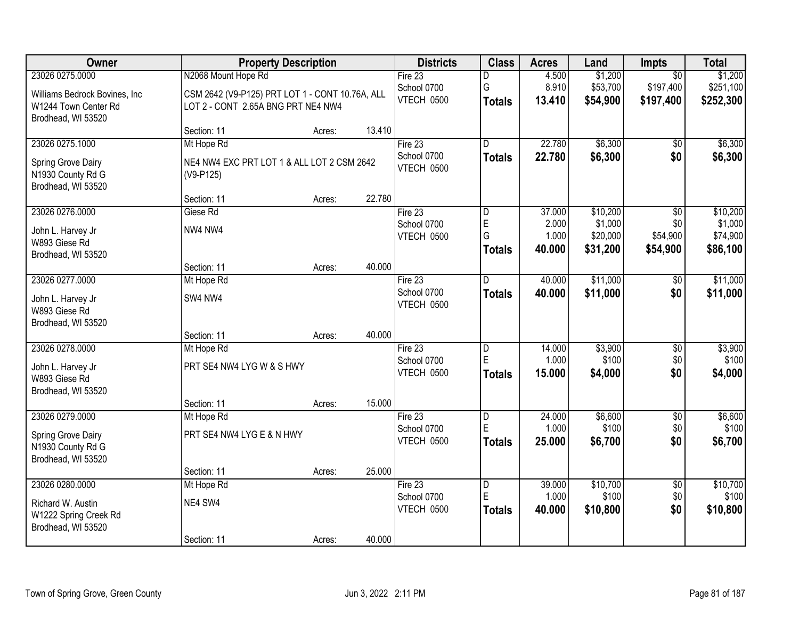| <b>Owner</b>                                                                        | <b>Property Description</b>                                                           |        |        | <b>Districts</b>                       | <b>Class</b>                              | <b>Acres</b>                       | Land                                        | Impts                                          | <b>Total</b>                                |
|-------------------------------------------------------------------------------------|---------------------------------------------------------------------------------------|--------|--------|----------------------------------------|-------------------------------------------|------------------------------------|---------------------------------------------|------------------------------------------------|---------------------------------------------|
| 23026 0275.0000                                                                     | N2068 Mount Hope Rd                                                                   |        |        | Fire $23$                              | D                                         | 4.500                              | \$1,200                                     | $\overline{50}$                                | \$1,200                                     |
| Williams Bedrock Bovines, Inc.<br>W1244 Town Center Rd<br>Brodhead, WI 53520        | CSM 2642 (V9-P125) PRT LOT 1 - CONT 10.76A, ALL<br>LOT 2 - CONT 2.65A BNG PRT NE4 NW4 |        |        | School 0700<br>VTECH 0500              | G<br><b>Totals</b>                        | 8.910<br>13.410                    | \$53,700<br>\$54,900                        | \$197,400<br>\$197,400                         | \$251,100<br>\$252,300                      |
|                                                                                     | Section: 11                                                                           | Acres: | 13.410 |                                        |                                           |                                    |                                             |                                                |                                             |
| 23026 0275.1000<br>Spring Grove Dairy<br>N1930 County Rd G<br>Brodhead, WI 53520    | Mt Hope Rd<br>NE4 NW4 EXC PRT LOT 1 & ALL LOT 2 CSM 2642<br>(V9-P125)                 |        |        | Fire 23<br>School 0700<br>VTECH 0500   | $\overline{\mathsf{n}}$<br><b>Totals</b>  | 22.780<br>22.780                   | \$6,300<br>\$6,300                          | \$0<br>\$0                                     | \$6,300<br>\$6,300                          |
|                                                                                     | Section: 11                                                                           | Acres: | 22.780 |                                        |                                           |                                    |                                             |                                                |                                             |
| 23026 0276.0000<br>John L. Harvey Jr<br>W893 Giese Rd<br>Brodhead, WI 53520         | Giese Rd<br>NW4 NW4                                                                   |        |        | Fire 23<br>School 0700<br>VTECH 0500   | $\overline{D}$<br>E<br>G<br><b>Totals</b> | 37.000<br>2.000<br>1.000<br>40.000 | \$10,200<br>\$1,000<br>\$20,000<br>\$31,200 | $\overline{50}$<br>\$0<br>\$54,900<br>\$54,900 | \$10,200<br>\$1,000<br>\$74,900<br>\$86,100 |
|                                                                                     | Section: 11                                                                           | Acres: | 40.000 |                                        |                                           |                                    |                                             |                                                |                                             |
| 23026 0277.0000<br>John L. Harvey Jr<br>W893 Giese Rd<br>Brodhead, WI 53520         | Mt Hope Rd<br>SW4 NW4                                                                 |        |        | Fire $23$<br>School 0700<br>VTECH 0500 | D<br><b>Totals</b>                        | 40.000<br>40.000                   | \$11,000<br>\$11,000                        | \$0<br>\$0                                     | \$11,000<br>\$11,000                        |
|                                                                                     | Section: 11                                                                           | Acres: | 40.000 |                                        |                                           |                                    |                                             |                                                |                                             |
| 23026 0278.0000<br>John L. Harvey Jr<br>W893 Giese Rd<br>Brodhead, WI 53520         | Mt Hope Rd<br>PRT SE4 NW4 LYG W & S HWY<br>Section: 11                                |        | 15.000 | Fire 23<br>School 0700<br>VTECH 0500   | D<br>E<br><b>Totals</b>                   | 14.000<br>1.000<br>15.000          | \$3,900<br>\$100<br>\$4,000                 | $\overline{60}$<br>\$0<br>\$0                  | \$3,900<br>\$100<br>\$4,000                 |
| 23026 0279.0000                                                                     | Mt Hope Rd                                                                            | Acres: |        | Fire 23                                | D                                         | 24.000                             | \$6,600                                     | $\sqrt{6}$                                     | \$6,600                                     |
| Spring Grove Dairy<br>N1930 County Rd G<br>Brodhead, WI 53520                       | PRT SE4 NW4 LYG E & N HWY                                                             |        |        | School 0700<br>VTECH 0500              | E<br><b>Totals</b>                        | 1.000<br>25.000                    | \$100<br>\$6,700                            | \$0<br>\$0                                     | \$100<br>\$6,700                            |
|                                                                                     | Section: 11                                                                           | Acres: | 25.000 |                                        |                                           |                                    |                                             |                                                |                                             |
| 23026 0280.0000<br>Richard W. Austin<br>W1222 Spring Creek Rd<br>Brodhead, WI 53520 | Mt Hope Rd<br>NE4 SW4<br>Section: 11                                                  | Acres: | 40.000 | Fire 23<br>School 0700<br>VTECH 0500   | $\overline{D}$<br>E<br><b>Totals</b>      | 39.000<br>1.000<br>40.000          | \$10,700<br>\$100<br>\$10,800               | $\overline{50}$<br>\$0<br>\$0                  | \$10,700<br>\$100<br>\$10,800               |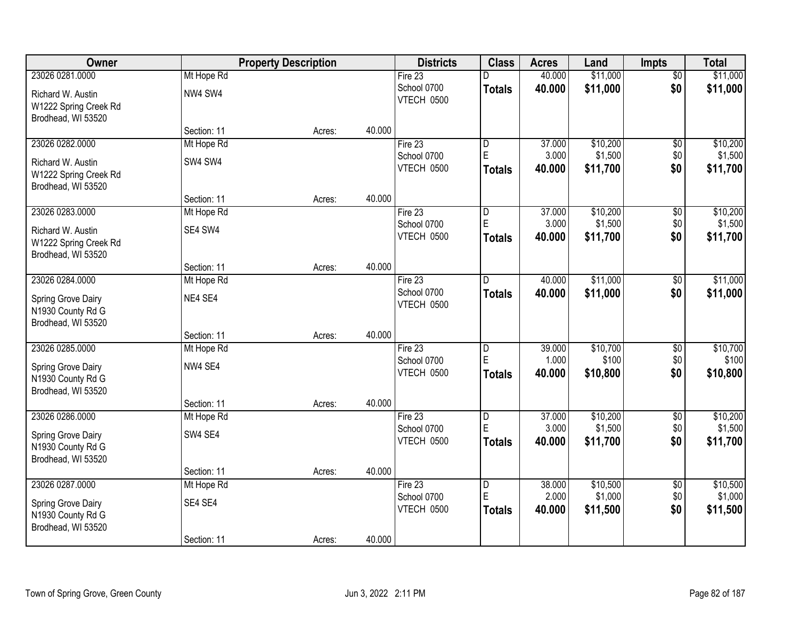| Owner                                       |                           | <b>Property Description</b> | <b>Districts</b>          | <b>Class</b>            | <b>Acres</b>    | Land              | <b>Impts</b>           | <b>Total</b>      |
|---------------------------------------------|---------------------------|-----------------------------|---------------------------|-------------------------|-----------------|-------------------|------------------------|-------------------|
| 23026 0281.0000                             | Mt Hope Rd                |                             | Fire $23$                 | D                       | 40.000          | \$11,000          | $\overline{50}$        | \$11,000          |
| Richard W. Austin                           | NW4 SW4                   |                             | School 0700<br>VTECH 0500 | <b>Totals</b>           | 40.000          | \$11,000          | \$0                    | \$11,000          |
| W1222 Spring Creek Rd<br>Brodhead, WI 53520 |                           |                             |                           |                         |                 |                   |                        |                   |
|                                             | Section: 11               | 40.000<br>Acres:            |                           |                         |                 |                   |                        |                   |
| 23026 0282.0000                             | Mt Hope Rd                |                             | Fire 23                   | D                       | 37.000          | \$10,200          | \$0                    | \$10,200          |
| Richard W. Austin                           | SW4 SW4                   |                             | School 0700               | E                       | 3.000           | \$1,500           | \$0                    | \$1,500           |
| W1222 Spring Creek Rd<br>Brodhead, WI 53520 |                           |                             | VTECH 0500                | <b>Totals</b>           | 40.000          | \$11,700          | \$0                    | \$11,700          |
|                                             | Section: 11               | 40.000<br>Acres:            |                           |                         |                 |                   |                        |                   |
| 23026 0283.0000                             | Mt Hope Rd                |                             | Fire 23                   | D                       | 37.000          | \$10,200          | \$0                    | \$10,200          |
| Richard W. Austin                           | SE4 SW4                   |                             | School 0700               | $\mathsf E$             | 3.000           | \$1,500           | \$0                    | \$1,500           |
| W1222 Spring Creek Rd                       |                           |                             | VTECH 0500                | <b>Totals</b>           | 40.000          | \$11,700          | \$0                    | \$11,700          |
| Brodhead, WI 53520                          |                           |                             |                           |                         |                 |                   |                        |                   |
|                                             | Section: 11               | 40.000<br>Acres:            |                           |                         |                 |                   |                        |                   |
| 23026 0284.0000                             | Mt Hope Rd                |                             | Fire 23                   | D                       | 40.000          | \$11,000          | $\sqrt[6]{}$           | \$11,000          |
| Spring Grove Dairy                          | NE4 SE4                   |                             | School 0700<br>VTECH 0500 | <b>Totals</b>           | 40.000          | \$11,000          | \$0                    | \$11,000          |
| N1930 County Rd G                           |                           |                             |                           |                         |                 |                   |                        |                   |
| Brodhead, WI 53520                          |                           |                             |                           |                         |                 |                   |                        |                   |
|                                             | Section: 11               | 40.000<br>Acres:            |                           |                         |                 |                   |                        |                   |
| 23026 0285.0000                             | Mt Hope Rd                |                             | Fire 23                   | D<br>E                  | 39.000<br>1.000 | \$10,700<br>\$100 | $\overline{50}$<br>\$0 | \$10,700<br>\$100 |
| Spring Grove Dairy                          | NW4 SE4                   |                             | School 0700<br>VTECH 0500 | <b>Totals</b>           | 40.000          | \$10,800          | \$0                    | \$10,800          |
| N1930 County Rd G                           |                           |                             |                           |                         |                 |                   |                        |                   |
| Brodhead, WI 53520                          |                           |                             |                           |                         |                 |                   |                        |                   |
| 23026 0286.0000                             | Section: 11<br>Mt Hope Rd | 40.000<br>Acres:            | Fire 23                   | $\overline{D}$          | 37.000          | \$10,200          | $\sqrt{$0}$            | \$10,200          |
|                                             |                           |                             | School 0700               | E                       | 3.000           | \$1,500           | \$0                    | \$1,500           |
| Spring Grove Dairy                          | SW4 SE4                   |                             | VTECH 0500                | <b>Totals</b>           | 40.000          | \$11,700          | \$0                    | \$11,700          |
| N1930 County Rd G<br>Brodhead, WI 53520     |                           |                             |                           |                         |                 |                   |                        |                   |
|                                             | Section: 11               | 40.000<br>Acres:            |                           |                         |                 |                   |                        |                   |
| 23026 0287.0000                             | Mt Hope Rd                |                             | Fire 23                   | $\overline{\mathsf{D}}$ | 38.000          | \$10,500          | $\overline{50}$        | \$10,500          |
|                                             |                           |                             | School 0700               | E                       | 2.000           | \$1,000           | \$0                    | \$1,000           |
| Spring Grove Dairy<br>N1930 County Rd G     | SE4 SE4                   |                             | VTECH 0500                | <b>Totals</b>           | 40.000          | \$11,500          | \$0                    | \$11,500          |
| Brodhead, WI 53520                          |                           |                             |                           |                         |                 |                   |                        |                   |
|                                             | Section: 11               | 40.000<br>Acres:            |                           |                         |                 |                   |                        |                   |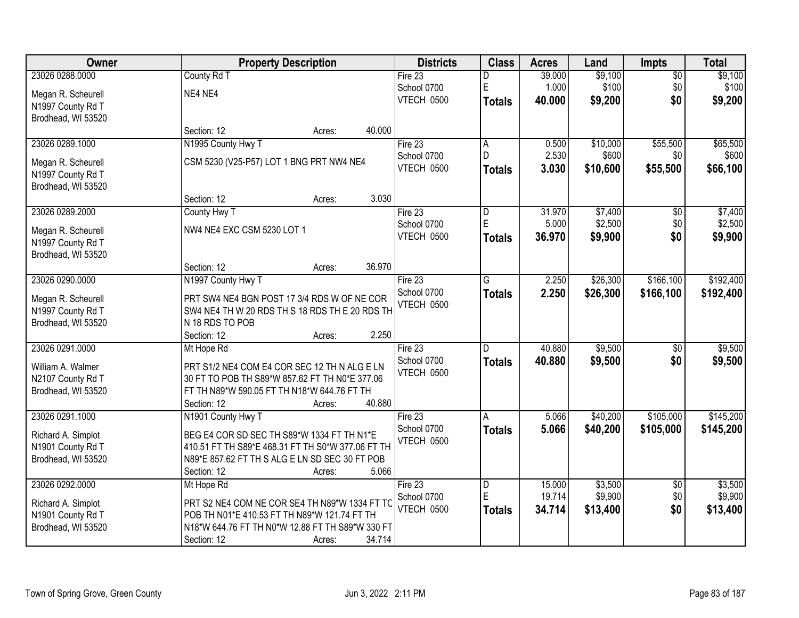| Owner                                   | <b>Property Description</b>                       |        | <b>Districts</b>       | <b>Class</b>   | <b>Acres</b> | Land     | <b>Impts</b>    | <b>Total</b> |
|-----------------------------------------|---------------------------------------------------|--------|------------------------|----------------|--------------|----------|-----------------|--------------|
| 23026 0288.0000                         | County Rd T                                       |        | Fire 23                | D              | 39.000       | \$9,100  | $\overline{50}$ | \$9,100      |
| Megan R. Scheurell                      | NE4 NE4                                           |        | School 0700            | $\mathsf E$    | 1.000        | \$100    | \$0             | \$100        |
| N1997 County Rd T                       |                                                   |        | VTECH 0500             | <b>Totals</b>  | 40.000       | \$9,200  | \$0             | \$9,200      |
| Brodhead, WI 53520                      |                                                   |        |                        |                |              |          |                 |              |
|                                         | Section: 12<br>Acres:                             | 40.000 |                        |                |              |          |                 |              |
| 23026 0289.1000                         | N1995 County Hwy T                                |        | Fire 23                | A              | 0.500        | \$10,000 | \$55,500        | \$65,500     |
| Megan R. Scheurell                      | CSM 5230 (V25-P57) LOT 1 BNG PRT NW4 NE4          |        | School 0700            | $\mathsf{D}$   | 2.530        | \$600    | \$0             | \$600        |
| N1997 County Rd T                       |                                                   |        | VTECH 0500             | <b>Totals</b>  | 3.030        | \$10,600 | \$55,500        | \$66,100     |
| Brodhead, WI 53520                      |                                                   |        |                        |                |              |          |                 |              |
|                                         | Section: 12<br>Acres:                             | 3.030  |                        |                |              |          |                 |              |
| 23026 0289.2000                         | County Hwy T                                      |        | Fire 23                | D              | 31.970       | \$7,400  | \$0             | \$7,400      |
| Megan R. Scheurell                      | NW4 NE4 EXC CSM 5230 LOT 1                        |        | School 0700            | E              | 5.000        | \$2,500  | \$0             | \$2,500      |
| N1997 County Rd T                       |                                                   |        | VTECH 0500             | <b>Totals</b>  | 36.970       | \$9,900  | \$0             | \$9,900      |
| Brodhead, WI 53520                      |                                                   |        |                        |                |              |          |                 |              |
|                                         | Section: 12<br>Acres:                             | 36.970 |                        |                |              |          |                 |              |
| 23026 0290.0000                         | N1997 County Hwy T                                |        | Fire 23                | G              | 2.250        | \$26,300 | \$166,100       | \$192,400    |
|                                         | PRT SW4 NE4 BGN POST 17 3/4 RDS W OF NE COR       |        | School 0700            | <b>Totals</b>  | 2.250        | \$26,300 | \$166,100       | \$192,400    |
| Megan R. Scheurell<br>N1997 County Rd T | SW4 NE4 TH W 20 RDS TH S 18 RDS TH E 20 RDS TH    |        | VTECH 0500             |                |              |          |                 |              |
| Brodhead, WI 53520                      | N 18 RDS TO POB                                   |        |                        |                |              |          |                 |              |
|                                         | Section: 12<br>Acres:                             | 2.250  |                        |                |              |          |                 |              |
| 23026 0291.0000                         | Mt Hope Rd                                        |        | Fire 23                | $\overline{D}$ | 40.880       | \$9,500  | $\overline{50}$ | \$9,500      |
|                                         |                                                   |        | School 0700            | <b>Totals</b>  | 40.880       | \$9,500  | \$0             | \$9,500      |
| William A. Walmer                       | PRT S1/2 NE4 COM E4 COR SEC 12 TH N ALG E LN      |        | VTECH 0500             |                |              |          |                 |              |
| N2107 County Rd T                       | 30 FT TO POB TH S89*W 857.62 FT TH N0*E 377.06    |        |                        |                |              |          |                 |              |
| Brodhead, WI 53520                      | FT TH N89*W 590.05 FT TH N18*W 644.76 FT TH       | 40.880 |                        |                |              |          |                 |              |
| 23026 0291.1000                         | Section: 12<br>Acres:                             |        |                        |                | 5.066        | \$40,200 | \$105,000       | \$145,200    |
|                                         | N1901 County Hwy T                                |        | Fire 23<br>School 0700 | A              | 5.066        |          | \$105,000       |              |
| Richard A. Simplot                      | BEG E4 COR SD SEC TH S89*W 1334 FT TH N1*E        |        | VTECH 0500             | <b>Totals</b>  |              | \$40,200 |                 | \$145,200    |
| N1901 County Rd T                       | 410.51 FT TH S89*E 468.31 FT TH S0*W 377.06 FT TH |        |                        |                |              |          |                 |              |
| Brodhead, WI 53520                      | N89*E 857.62 FT TH S ALG E LN SD SEC 30 FT POB    |        |                        |                |              |          |                 |              |
|                                         | Section: 12<br>Acres:                             | 5.066  |                        |                |              |          |                 |              |
| 23026 0292.0000                         | Mt Hope Rd                                        |        | Fire 23                | D              | 15.000       | \$3,500  | $\overline{30}$ | \$3,500      |
| Richard A. Simplot                      | PRT S2 NE4 COM NE COR SE4 TH N89*W 1334 FT TC     |        | School 0700            | E              | 19.714       | \$9,900  | \$0             | \$9,900      |
| N1901 County Rd T                       | POB TH N01*E 410.53 FT TH N89*W 121.74 FT TH      |        | VTECH 0500             | Totals         | 34.714       | \$13,400 | \$0             | \$13,400     |
| Brodhead, WI 53520                      | N18*W 644.76 FT TH N0*W 12.88 FT TH S89*W 330 FT  |        |                        |                |              |          |                 |              |
|                                         | Section: 12<br>Acres:                             | 34.714 |                        |                |              |          |                 |              |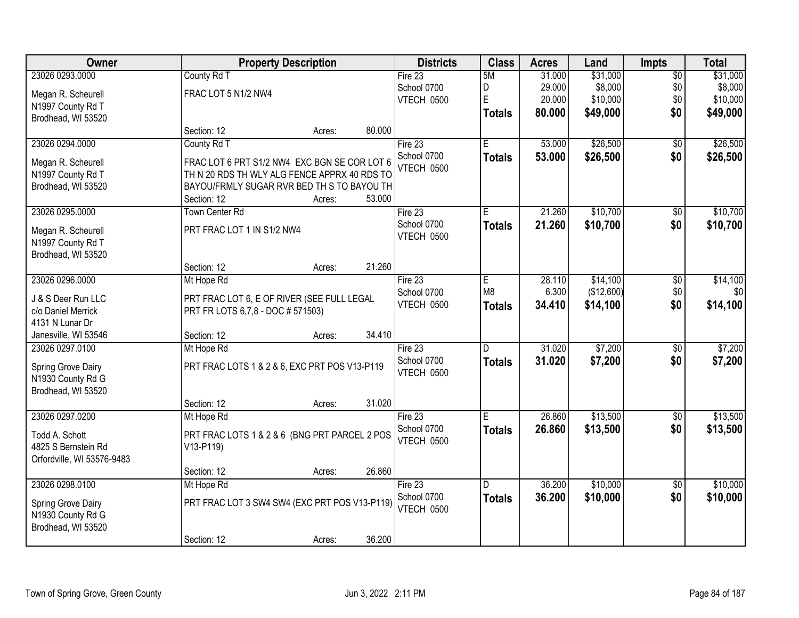| Owner                                    |                                                                                 | <b>Property Description</b> |        |                   | <b>Class</b>   | <b>Acres</b> | Land       | <b>Impts</b>    | <b>Total</b> |
|------------------------------------------|---------------------------------------------------------------------------------|-----------------------------|--------|-------------------|----------------|--------------|------------|-----------------|--------------|
| 23026 0293.0000                          | County Rd T                                                                     |                             |        | Fire 23           | 5M             | 31.000       | \$31,000   | $\overline{50}$ | \$31,000     |
| Megan R. Scheurell                       | FRAC LOT 5 N1/2 NW4                                                             |                             |        | School 0700       | D              | 29.000       | \$8,000    | \$0             | \$8,000      |
| N1997 County Rd T                        |                                                                                 |                             |        | VTECH 0500        | $\mathsf E$    | 20.000       | \$10,000   | \$0             | \$10,000     |
| Brodhead, WI 53520                       |                                                                                 |                             |        |                   | <b>Totals</b>  | 80.000       | \$49,000   | \$0             | \$49,000     |
|                                          | Section: 12                                                                     | Acres:                      | 80.000 |                   |                |              |            |                 |              |
| 23026 0294.0000                          | County Rd T                                                                     |                             |        | Fire 23           | Έ              | 53.000       | \$26,500   | $\overline{50}$ | \$26,500     |
| Megan R. Scheurell                       | FRAC LOT 6 PRT S1/2 NW4 EXC BGN SE COR LOT 6                                    |                             |        | School 0700       | <b>Totals</b>  | 53.000       | \$26,500   | \$0             | \$26,500     |
| N1997 County Rd T                        | TH N 20 RDS TH WLY ALG FENCE APPRX 40 RDS TO                                    |                             |        | <b>VTECH 0500</b> |                |              |            |                 |              |
| Brodhead, WI 53520                       | BAYOU/FRMLY SUGAR RVR BED TH S TO BAYOU TH                                      |                             |        |                   |                |              |            |                 |              |
|                                          | Section: 12                                                                     | Acres:                      | 53.000 |                   |                |              |            |                 |              |
| 23026 0295.0000                          | <b>Town Center Rd</b>                                                           |                             |        | Fire 23           | E              | 21.260       | \$10,700   | \$0             | \$10,700     |
| Megan R. Scheurell                       | PRT FRAC LOT 1 IN S1/2 NW4                                                      |                             |        | School 0700       | <b>Totals</b>  | 21.260       | \$10,700   | \$0             | \$10,700     |
| N1997 County Rd T                        |                                                                                 |                             |        | VTECH 0500        |                |              |            |                 |              |
| Brodhead, WI 53520                       |                                                                                 |                             |        |                   |                |              |            |                 |              |
|                                          | Section: 12                                                                     | Acres:                      | 21.260 |                   |                |              |            |                 |              |
| 23026 0296.0000                          | Mt Hope Rd                                                                      |                             |        | Fire 23           | Е              | 28.110       | \$14,100   | \$0             | \$14,100     |
|                                          |                                                                                 |                             |        | School 0700       | M <sub>8</sub> | 6.300        | (\$12,600) | \$0             | \$0          |
| J & S Deer Run LLC<br>c/o Daniel Merrick | PRT FRAC LOT 6, E OF RIVER (SEE FULL LEGAL<br>PRT FR LOTS 6,7,8 - DOC # 571503) |                             |        | VTECH 0500        | <b>Totals</b>  | 34.410       | \$14,100   | \$0             | \$14,100     |
| 4131 N Lunar Dr                          |                                                                                 |                             |        |                   |                |              |            |                 |              |
| Janesville, WI 53546                     | Section: 12                                                                     | Acres:                      | 34.410 |                   |                |              |            |                 |              |
| 23026 0297.0100                          | Mt Hope Rd                                                                      |                             |        | Fire 23           | D              | 31.020       | \$7,200    | $\overline{30}$ | \$7,200      |
|                                          |                                                                                 |                             |        | School 0700       | <b>Totals</b>  | 31.020       | \$7,200    | \$0             | \$7,200      |
| Spring Grove Dairy                       | PRT FRAC LOTS 1 & 2 & 6, EXC PRT POS V13-P119                                   |                             |        | VTECH 0500        |                |              |            |                 |              |
| N1930 County Rd G                        |                                                                                 |                             |        |                   |                |              |            |                 |              |
| Brodhead, WI 53520                       |                                                                                 |                             |        |                   |                |              |            |                 |              |
|                                          | Section: 12                                                                     | Acres:                      | 31.020 |                   |                |              |            |                 |              |
| 23026 0297.0200                          | Mt Hope Rd                                                                      |                             |        | Fire 23           | Е              | 26.860       | \$13,500   | $\overline{60}$ | \$13,500     |
| Todd A. Schott                           | PRT FRAC LOTS 1 & 2 & 6 (BNG PRT PARCEL 2 POS                                   |                             |        | School 0700       | <b>Totals</b>  | 26.860       | \$13,500   | \$0             | \$13,500     |
| 4825 S Bernstein Rd                      | V13-P119)                                                                       |                             |        | VTECH 0500        |                |              |            |                 |              |
| Orfordville, WI 53576-9483               |                                                                                 |                             |        |                   |                |              |            |                 |              |
|                                          | Section: 12                                                                     | Acres:                      | 26.860 |                   |                |              |            |                 |              |
| 23026 0298.0100                          | Mt Hope Rd                                                                      |                             |        | Fire $23$         | D.             | 36.200       | \$10,000   | $\overline{50}$ | \$10,000     |
| Spring Grove Dairy                       | PRT FRAC LOT 3 SW4 SW4 (EXC PRT POS V13-P119)                                   |                             |        | School 0700       | <b>Totals</b>  | 36.200       | \$10,000   | \$0             | \$10,000     |
| N1930 County Rd G                        |                                                                                 |                             |        | VTECH 0500        |                |              |            |                 |              |
| Brodhead, WI 53520                       |                                                                                 |                             |        |                   |                |              |            |                 |              |
|                                          | Section: 12                                                                     | Acres:                      | 36.200 |                   |                |              |            |                 |              |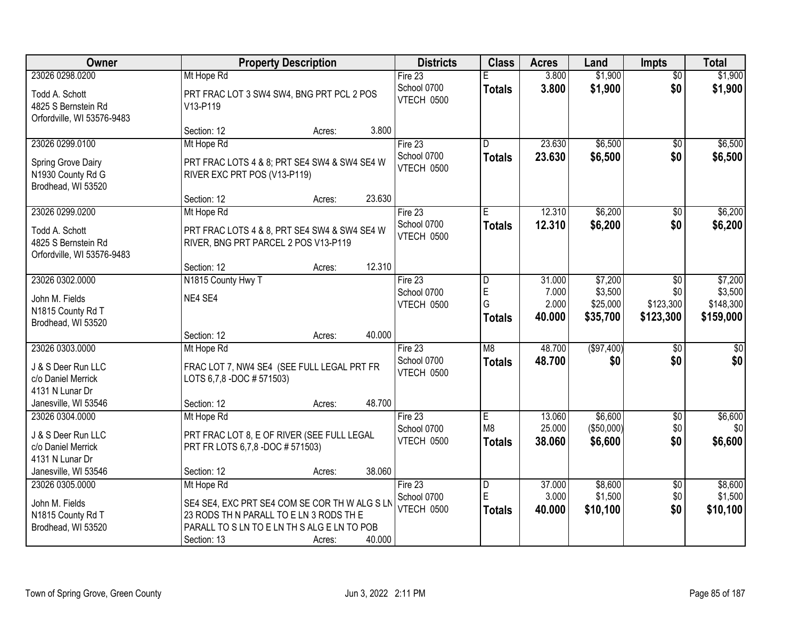| Owner                                                               | <b>Property Description</b>                                                          | <b>Districts</b>          | <b>Class</b>            | <b>Acres</b>     | Land                  | <b>Impts</b>       | <b>Total</b>    |
|---------------------------------------------------------------------|--------------------------------------------------------------------------------------|---------------------------|-------------------------|------------------|-----------------------|--------------------|-----------------|
| 23026 0298.0200                                                     | Mt Hope Rd                                                                           | Fire 23                   | E                       | 3.800            | \$1,900               | $\overline{50}$    | \$1,900         |
| Todd A. Schott<br>4825 S Bernstein Rd<br>Orfordville, WI 53576-9483 | PRT FRAC LOT 3 SW4 SW4, BNG PRT PCL 2 POS<br>V13-P119                                | School 0700<br>VTECH 0500 | <b>Totals</b>           | 3.800            | \$1,900               | \$0                | \$1,900         |
|                                                                     | Section: 12<br>Acres:                                                                | 3.800                     |                         |                  |                       |                    |                 |
| 23026 0299.0100                                                     | Mt Hope Rd                                                                           | Fire 23                   | D                       | 23.630           | \$6,500               | $\overline{50}$    | \$6,500         |
| Spring Grove Dairy<br>N1930 County Rd G<br>Brodhead, WI 53520       | PRT FRAC LOTS 4 & 8; PRT SE4 SW4 & SW4 SE4 W<br>RIVER EXC PRT POS (V13-P119)         | School 0700<br>VTECH 0500 | <b>Totals</b>           | 23.630           | \$6,500               | \$0                | \$6,500         |
|                                                                     | Section: 12<br>Acres:                                                                | 23.630                    |                         |                  |                       |                    |                 |
| 23026 0299.0200                                                     | Mt Hope Rd                                                                           | Fire 23                   | Е                       | 12.310           | \$6,200               | \$0                | \$6,200         |
| Todd A. Schott<br>4825 S Bernstein Rd<br>Orfordville, WI 53576-9483 | PRT FRAC LOTS 4 & 8, PRT SE4 SW4 & SW4 SE4 W<br>RIVER, BNG PRT PARCEL 2 POS V13-P119 | School 0700<br>VTECH 0500 | <b>Totals</b>           | 12.310           | \$6,200               | \$0                | \$6,200         |
|                                                                     | Section: 12<br>Acres:                                                                | 12.310                    |                         |                  |                       |                    |                 |
| 23026 0302.0000                                                     | N1815 County Hwy T                                                                   | Fire 23                   | D                       | 31.000           | \$7,200               | $\sqrt[6]{3}$      | \$7,200         |
| John M. Fields                                                      | NE4 SE4                                                                              | School 0700               | E                       | 7.000            | \$3,500               | \$0                | \$3,500         |
| N1815 County Rd T                                                   |                                                                                      | VTECH 0500                | G                       | 2.000            | \$25,000              | \$123,300          | \$148,300       |
| Brodhead, WI 53520                                                  |                                                                                      |                           | <b>Totals</b>           | 40.000           | \$35,700              | \$123,300          | \$159,000       |
|                                                                     | Section: 12<br>Acres:                                                                | 40.000                    |                         |                  |                       |                    |                 |
| 23026 0303.0000                                                     | Mt Hope Rd                                                                           | Fire 23                   | M <sub>8</sub>          | 48.700           | (\$97,400)            | $\overline{30}$    | $\overline{50}$ |
| J & S Deer Run LLC                                                  | FRAC LOT 7, NW4 SE4 (SEE FULL LEGAL PRT FR                                           | School 0700               | <b>Totals</b>           | 48.700           | \$0                   | \$0                | \$0             |
| c/o Daniel Merrick                                                  | LOTS 6,7,8 -DOC # 571503)                                                            | VTECH 0500                |                         |                  |                       |                    |                 |
| 4131 N Lunar Dr                                                     |                                                                                      |                           |                         |                  |                       |                    |                 |
| Janesville, WI 53546                                                | Section: 12<br>Acres:                                                                | 48.700                    |                         |                  |                       |                    |                 |
| 23026 0304.0000                                                     | Mt Hope Rd                                                                           | Fire 23<br>School 0700    | E<br>M8                 | 13.060<br>25.000 | \$6,600<br>(\$50,000) | $\sqrt{$0}$<br>\$0 | \$6,600<br>\$0  |
| J & S Deer Run LLC                                                  | PRT FRAC LOT 8, E OF RIVER (SEE FULL LEGAL                                           | VTECH 0500                | <b>Totals</b>           | 38.060           | \$6,600               | \$0                | \$6,600         |
| c/o Daniel Merrick                                                  | PRT FR LOTS 6,7,8 -DOC # 571503)                                                     |                           |                         |                  |                       |                    |                 |
| 4131 N Lunar Dr                                                     |                                                                                      |                           |                         |                  |                       |                    |                 |
| Janesville, WI 53546<br>23026 0305.0000                             | Section: 12<br>Acres:<br>Mt Hope Rd                                                  | 38.060<br>Fire 23         | $\overline{\mathsf{D}}$ | 37.000           | \$8,600               | $\overline{50}$    | \$8,600         |
|                                                                     |                                                                                      | School 0700               | E                       | 3.000            | \$1,500               | \$0                | \$1,500         |
| John M. Fields                                                      | SE4 SE4, EXC PRT SE4 COM SE COR TH W ALG S LN                                        | VTECH 0500                | <b>Totals</b>           | 40.000           | \$10,100              | \$0                | \$10,100        |
| N1815 County Rd T                                                   | 23 RODS TH N PARALL TO E LN 3 RODS TH E                                              |                           |                         |                  |                       |                    |                 |
| Brodhead, WI 53520                                                  | PARALL TO S LN TO E LN TH S ALG E LN TO POB<br>Section: 13<br>Acres:                 | 40.000                    |                         |                  |                       |                    |                 |
|                                                                     |                                                                                      |                           |                         |                  |                       |                    |                 |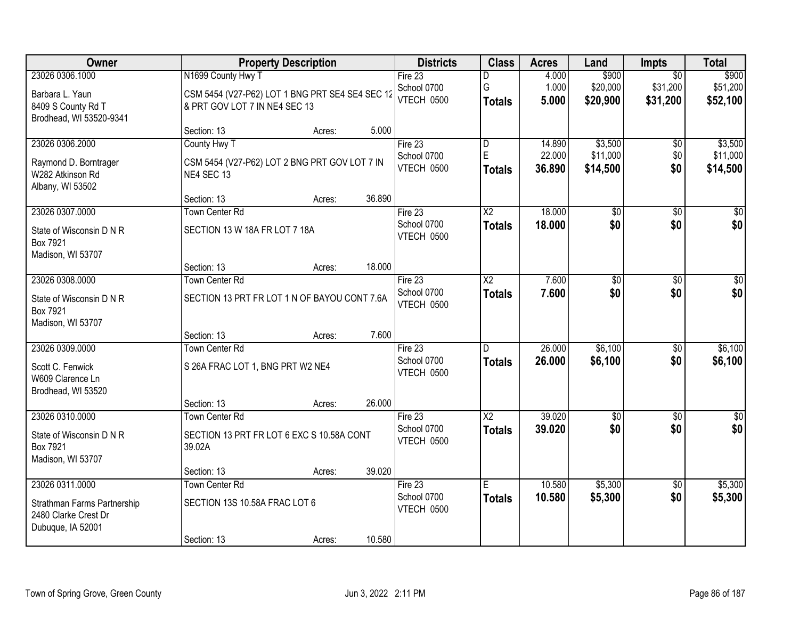| Owner                                               |                                                 | <b>Property Description</b> |        | <b>Districts</b>          | <b>Class</b>            | <b>Acres</b>     | Land                 | <b>Impts</b>        | <b>Total</b>         |
|-----------------------------------------------------|-------------------------------------------------|-----------------------------|--------|---------------------------|-------------------------|------------------|----------------------|---------------------|----------------------|
| 23026 0306.1000                                     | N1699 County Hwy T                              |                             |        | Fire $23$                 | D                       | 4.000            | \$900                | $\overline{50}$     | \$900                |
| Barbara L. Yaun                                     | CSM 5454 (V27-P62) LOT 1 BNG PRT SE4 SE4 SEC 12 |                             |        | School 0700               | G                       | 1.000            | \$20,000             | \$31,200            | \$51,200             |
| 8409 S County Rd T                                  | & PRT GOV LOT 7 IN NE4 SEC 13                   |                             |        | VTECH 0500                | <b>Totals</b>           | 5.000            | \$20,900             | \$31,200            | \$52,100             |
| Brodhead, WI 53520-9341                             |                                                 |                             |        |                           |                         |                  |                      |                     |                      |
|                                                     | Section: 13                                     | Acres:                      | 5.000  |                           |                         |                  |                      |                     |                      |
| 23026 0306.2000                                     | County Hwy T                                    |                             |        | Fire 23                   | $\overline{\mathsf{D}}$ | 14.890           | \$3,500              | $\overline{50}$     | \$3,500              |
| Raymond D. Borntrager                               | CSM 5454 (V27-P62) LOT 2 BNG PRT GOV LOT 7 IN   |                             |        | School 0700<br>VTECH 0500 | E                       | 22.000<br>36.890 | \$11,000<br>\$14,500 | \$0<br>\$0          | \$11,000<br>\$14,500 |
| W282 Atkinson Rd                                    | NE4 SEC 13                                      |                             |        |                           | Totals                  |                  |                      |                     |                      |
| Albany, WI 53502                                    |                                                 |                             |        |                           |                         |                  |                      |                     |                      |
|                                                     | Section: 13                                     | Acres:                      | 36.890 |                           |                         |                  |                      |                     |                      |
| 23026 0307.0000                                     | Town Center Rd                                  |                             |        | Fire 23<br>School 0700    | X2                      | 18.000           | \$0<br>\$0           | \$0<br>\$0          | $\overline{50}$      |
| State of Wisconsin D N R                            | SECTION 13 W 18A FR LOT 7 18A                   |                             |        | VTECH 0500                | <b>Totals</b>           | 18.000           |                      |                     | \$0                  |
| Box 7921                                            |                                                 |                             |        |                           |                         |                  |                      |                     |                      |
| Madison, WI 53707                                   |                                                 |                             |        |                           |                         |                  |                      |                     |                      |
| 23026 0308.0000                                     | Section: 13<br><b>Town Center Rd</b>            | Acres:                      | 18.000 | Fire 23                   | X <sub>2</sub>          | 7.600            | \$0                  |                     | $\sqrt{50}$          |
|                                                     |                                                 |                             |        | School 0700               | <b>Totals</b>           | 7.600            | \$0                  | $\sqrt[6]{}$<br>\$0 | \$0                  |
| State of Wisconsin D N R                            | SECTION 13 PRT FR LOT 1 N OF BAYOU CONT 7.6A    |                             |        | VTECH 0500                |                         |                  |                      |                     |                      |
| Box 7921                                            |                                                 |                             |        |                           |                         |                  |                      |                     |                      |
| Madison, WI 53707                                   | Section: 13                                     | Acres:                      | 7.600  |                           |                         |                  |                      |                     |                      |
| 23026 0309.0000                                     | <b>Town Center Rd</b>                           |                             |        | Fire 23                   | D                       | 26.000           | \$6,100              | $\overline{50}$     | \$6,100              |
|                                                     |                                                 |                             |        | School 0700               | <b>Totals</b>           | 26.000           | \$6,100              | \$0                 | \$6,100              |
| Scott C. Fenwick                                    | S 26A FRAC LOT 1, BNG PRT W2 NE4                |                             |        | VTECH 0500                |                         |                  |                      |                     |                      |
| W609 Clarence Ln<br>Brodhead, WI 53520              |                                                 |                             |        |                           |                         |                  |                      |                     |                      |
|                                                     | Section: 13                                     | Acres:                      | 26.000 |                           |                         |                  |                      |                     |                      |
| 23026 0310.0000                                     | <b>Town Center Rd</b>                           |                             |        | Fire 23                   | $\overline{X2}$         | 39.020           | $\overline{50}$      | $\overline{30}$     | $\overline{\$0}$     |
|                                                     |                                                 |                             |        | School 0700               | <b>Totals</b>           | 39.020           | \$0                  | \$0                 | \$0                  |
| State of Wisconsin D N R<br>Box 7921                | SECTION 13 PRT FR LOT 6 EXC S 10.58A CONT       |                             |        | VTECH 0500                |                         |                  |                      |                     |                      |
| Madison, WI 53707                                   | 39.02A                                          |                             |        |                           |                         |                  |                      |                     |                      |
|                                                     | Section: 13                                     | Acres:                      | 39.020 |                           |                         |                  |                      |                     |                      |
| 23026 0311.0000                                     | <b>Town Center Rd</b>                           |                             |        | Fire $23$                 | E                       | 10.580           | \$5,300              | $\overline{60}$     | \$5,300              |
|                                                     | SECTION 13S 10.58A FRAC LOT 6                   |                             |        | School 0700               | <b>Totals</b>           | 10.580           | \$5,300              | \$0                 | \$5,300              |
| Strathman Farms Partnership<br>2480 Clarke Crest Dr |                                                 |                             |        | VTECH 0500                |                         |                  |                      |                     |                      |
| Dubuque, IA 52001                                   |                                                 |                             |        |                           |                         |                  |                      |                     |                      |
|                                                     | Section: 13                                     | Acres:                      | 10.580 |                           |                         |                  |                      |                     |                      |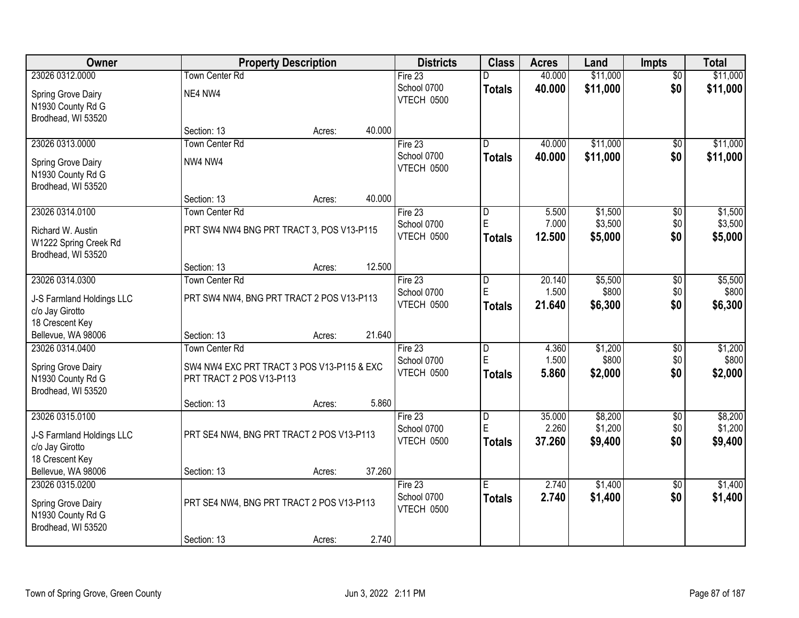| Owner                                                            | <b>Property Description</b>                |        | <b>Districts</b>                 | <b>Class</b>       | <b>Acres</b>    | Land               | <b>Impts</b>    | <b>Total</b>       |
|------------------------------------------------------------------|--------------------------------------------|--------|----------------------------------|--------------------|-----------------|--------------------|-----------------|--------------------|
| 23026 0312.0000                                                  | <b>Town Center Rd</b>                      |        | Fire 23                          | D                  | 40.000          | \$11,000           | $\overline{50}$ | \$11,000           |
| Spring Grove Dairy<br>N1930 County Rd G<br>Brodhead, WI 53520    | NE4 NW4                                    |        | School 0700<br><b>VTECH 0500</b> | <b>Totals</b>      | 40.000          | \$11,000           | \$0             | \$11,000           |
|                                                                  | Section: 13<br>Acres:                      | 40.000 |                                  |                    |                 |                    |                 |                    |
| 23026 0313.0000                                                  | <b>Town Center Rd</b>                      |        | Fire $23$                        | D                  | 40.000          | \$11,000           | \$0             | \$11,000           |
| Spring Grove Dairy<br>N1930 County Rd G<br>Brodhead, WI 53520    | NW4 NW4                                    |        | School 0700<br>VTECH 0500        | <b>Totals</b>      | 40.000          | \$11,000           | \$0             | \$11,000           |
|                                                                  | Section: 13<br>Acres:                      | 40.000 |                                  |                    |                 |                    |                 |                    |
| 23026 0314.0100                                                  | Town Center Rd                             |        | Fire 23                          | D                  | 5.500           | \$1,500            | \$0             | \$1,500            |
| Richard W. Austin<br>W1222 Spring Creek Rd<br>Brodhead, WI 53520 | PRT SW4 NW4 BNG PRT TRACT 3, POS V13-P115  |        | School 0700<br>VTECH 0500        | E<br><b>Totals</b> | 7.000<br>12.500 | \$3,500<br>\$5,000 | \$0<br>\$0      | \$3,500<br>\$5,000 |
|                                                                  | Section: 13<br>Acres:                      | 12.500 |                                  |                    |                 |                    |                 |                    |
| 23026 0314.0300                                                  | <b>Town Center Rd</b>                      |        | Fire $23$                        | D                  | 20.140          | \$5,500            | \$0             | \$5,500            |
| J-S Farmland Holdings LLC<br>c/o Jay Girotto<br>18 Crescent Key  | PRT SW4 NW4, BNG PRT TRACT 2 POS V13-P113  |        | School 0700<br>VTECH 0500        | E<br><b>Totals</b> | 1.500<br>21.640 | \$800<br>\$6,300   | \$0<br>\$0      | \$800<br>\$6,300   |
| Bellevue, WA 98006                                               | Section: 13<br>Acres:                      | 21.640 |                                  |                    |                 |                    |                 |                    |
| 23026 0314.0400                                                  | <b>Town Center Rd</b>                      |        | Fire 23                          | D                  | 4.360           | \$1,200            | \$0             | \$1,200            |
| Spring Grove Dairy                                               | SW4 NW4 EXC PRT TRACT 3 POS V13-P115 & EXC |        | School 0700                      | E                  | 1.500           | \$800              | \$0             | \$800              |
| N1930 County Rd G<br>Brodhead, WI 53520                          | PRT TRACT 2 POS V13-P113                   |        | VTECH 0500                       | <b>Totals</b>      | 5.860           | \$2,000            | \$0             | \$2,000            |
|                                                                  | Section: 13<br>Acres:                      | 5.860  |                                  |                    |                 |                    |                 |                    |
| 23026 0315.0100                                                  |                                            |        | Fire 23                          | $\overline{D}$     | 35.000          | \$8,200            | $\overline{50}$ | \$8,200            |
| J-S Farmland Holdings LLC<br>c/o Jay Girotto                     | PRT SE4 NW4, BNG PRT TRACT 2 POS V13-P113  |        | School 0700<br>VTECH 0500        | E<br><b>Totals</b> | 2.260<br>37.260 | \$1,200<br>\$9,400 | \$0<br>\$0      | \$1,200<br>\$9,400 |
| 18 Crescent Key                                                  |                                            |        |                                  |                    |                 |                    |                 |                    |
| Bellevue, WA 98006                                               | Section: 13<br>Acres:                      | 37.260 |                                  |                    |                 |                    |                 |                    |
| 23026 0315,0200                                                  |                                            |        | Fire $23$                        | E                  | 2.740           | \$1,400            | $\overline{30}$ | \$1,400            |
| Spring Grove Dairy<br>N1930 County Rd G<br>Brodhead, WI 53520    | PRT SE4 NW4, BNG PRT TRACT 2 POS V13-P113  |        | School 0700<br><b>VTECH 0500</b> | <b>Totals</b>      | 2.740           | \$1,400            | \$0             | \$1,400            |
|                                                                  | Section: 13<br>Acres:                      | 2.740  |                                  |                    |                 |                    |                 |                    |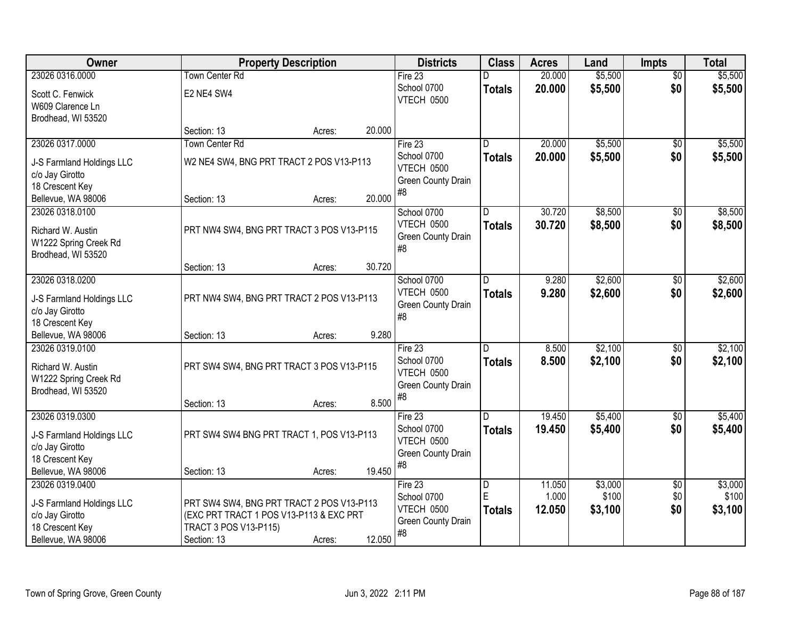| <b>Owner</b>                                 | <b>Property Description</b>               |        |        | <b>Districts</b>                 | <b>Class</b>   | <b>Acres</b>    | Land             | <b>Impts</b>           | <b>Total</b>     |
|----------------------------------------------|-------------------------------------------|--------|--------|----------------------------------|----------------|-----------------|------------------|------------------------|------------------|
| 23026 0316.0000                              | <b>Town Center Rd</b>                     |        |        | Fire 23                          | n              | 20.000          | \$5,500          | $\overline{50}$        | \$5,500          |
| Scott C. Fenwick                             | E2 NE4 SW4                                |        |        | School 0700                      | <b>Totals</b>  | 20.000          | \$5,500          | \$0                    | \$5,500          |
| W609 Clarence Ln                             |                                           |        |        | VTECH 0500                       |                |                 |                  |                        |                  |
| Brodhead, WI 53520                           |                                           |        |        |                                  |                |                 |                  |                        |                  |
|                                              | Section: 13                               | Acres: | 20.000 |                                  |                |                 |                  |                        |                  |
| 23026 0317.0000                              | <b>Town Center Rd</b>                     |        |        | Fire $23$                        | D              | 20.000          | \$5,500          | $\overline{50}$        | \$5,500          |
| J-S Farmland Holdings LLC                    | W2 NE4 SW4, BNG PRT TRACT 2 POS V13-P113  |        |        | School 0700<br><b>VTECH 0500</b> | <b>Totals</b>  | 20.000          | \$5,500          | \$0                    | \$5,500          |
| c/o Jay Girotto                              |                                           |        |        | Green County Drain               |                |                 |                  |                        |                  |
| 18 Crescent Key                              |                                           |        |        | #8                               |                |                 |                  |                        |                  |
| Bellevue, WA 98006<br>23026 0318.0100        | Section: 13                               | Acres: | 20.000 | School 0700                      | D              | 30.720          | \$8,500          |                        | \$8,500          |
|                                              |                                           |        |        | VTECH 0500                       | <b>Totals</b>  | 30.720          | \$8,500          | \$0<br>\$0             | \$8,500          |
| Richard W. Austin                            | PRT NW4 SW4, BNG PRT TRACT 3 POS V13-P115 |        |        | Green County Drain               |                |                 |                  |                        |                  |
| W1222 Spring Creek Rd                        |                                           |        |        | #8                               |                |                 |                  |                        |                  |
| Brodhead, WI 53520                           | Section: 13                               | Acres: | 30.720 |                                  |                |                 |                  |                        |                  |
| 23026 0318.0200                              |                                           |        |        | School 0700                      | D.             | 9.280           | \$2,600          | $\sqrt[6]{3}$          | \$2,600          |
|                                              |                                           |        |        | VTECH 0500                       | <b>Totals</b>  | 9.280           | \$2,600          | \$0                    | \$2,600          |
| J-S Farmland Holdings LLC<br>c/o Jay Girotto | PRT NW4 SW4, BNG PRT TRACT 2 POS V13-P113 |        |        | Green County Drain               |                |                 |                  |                        |                  |
| 18 Crescent Key                              |                                           |        |        | #8                               |                |                 |                  |                        |                  |
| Bellevue, WA 98006                           | Section: 13                               | Acres: | 9.280  |                                  |                |                 |                  |                        |                  |
| 23026 0319.0100                              |                                           |        |        | Fire $23$                        | D              | 8.500           | \$2,100          | $\overline{50}$        | \$2,100          |
| Richard W. Austin                            | PRT SW4 SW4, BNG PRT TRACT 3 POS V13-P115 |        |        | School 0700                      | <b>Totals</b>  | 8.500           | \$2,100          | \$0                    | \$2,100          |
| W1222 Spring Creek Rd                        |                                           |        |        | VTECH 0500                       |                |                 |                  |                        |                  |
| Brodhead, WI 53520                           |                                           |        |        | Green County Drain<br>#8         |                |                 |                  |                        |                  |
|                                              | Section: 13                               | Acres: | 8.500  |                                  |                |                 |                  |                        |                  |
| 23026 0319.0300                              |                                           |        |        | Fire 23                          | $\overline{D}$ | 19.450          | \$5,400          | $\sqrt{6}$             | \$5,400          |
| J-S Farmland Holdings LLC                    | PRT SW4 SW4 BNG PRT TRACT 1, POS V13-P113 |        |        | School 0700<br>VTECH 0500        | <b>Totals</b>  | 19.450          | \$5,400          | \$0                    | \$5,400          |
| c/o Jay Girotto                              |                                           |        |        | Green County Drain               |                |                 |                  |                        |                  |
| 18 Crescent Key                              |                                           |        |        | #8                               |                |                 |                  |                        |                  |
| Bellevue, WA 98006                           | Section: 13                               | Acres: | 19.450 |                                  |                |                 |                  |                        |                  |
| 23026 0319.0400                              |                                           |        |        | Fire 23<br>School 0700           | D<br>E         | 11.050<br>1.000 | \$3,000<br>\$100 | $\overline{60}$<br>\$0 | \$3,000<br>\$100 |
| J-S Farmland Holdings LLC                    | PRT SW4 SW4, BNG PRT TRACT 2 POS V13-P113 |        |        | <b>VTECH 0500</b>                | <b>Totals</b>  | 12.050          | \$3,100          | \$0                    | \$3,100          |
| c/o Jay Girotto                              | (EXC PRT TRACT 1 POS V13-P113 & EXC PRT   |        |        | Green County Drain               |                |                 |                  |                        |                  |
| 18 Crescent Key<br>Bellevue, WA 98006        | TRACT 3 POS V13-P115)                     |        | 12.050 | #8                               |                |                 |                  |                        |                  |
|                                              | Section: 13                               | Acres: |        |                                  |                |                 |                  |                        |                  |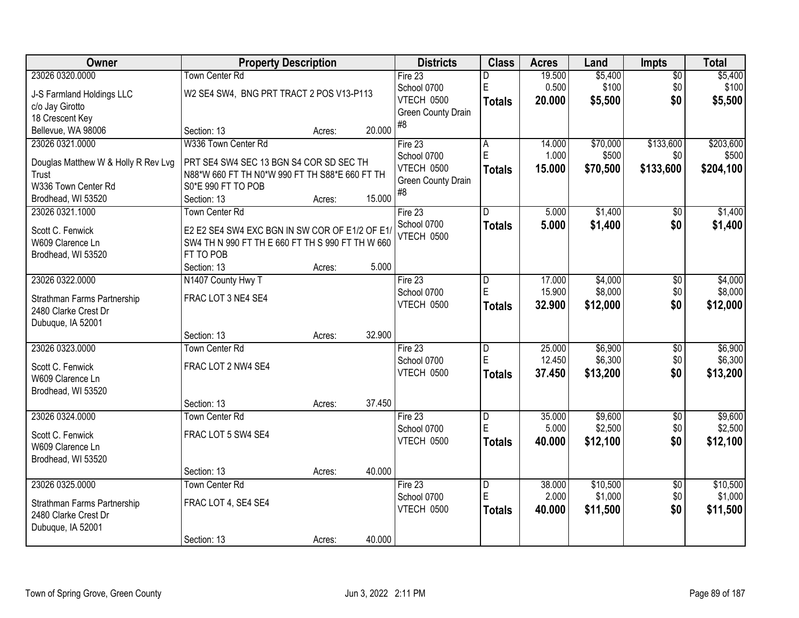| Owner                               | <b>Property Description</b>                                          |        |        | <b>Districts</b>   | <b>Class</b>   | <b>Acres</b> | Land     | <b>Impts</b>    | <b>Total</b> |
|-------------------------------------|----------------------------------------------------------------------|--------|--------|--------------------|----------------|--------------|----------|-----------------|--------------|
| 23026 0320.0000                     | <b>Town Center Rd</b>                                                |        |        | Fire 23            | D              | 19.500       | \$5,400  | $\overline{50}$ | \$5,400      |
| J-S Farmland Holdings LLC           | W2 SE4 SW4, BNG PRT TRACT 2 POS V13-P113                             |        |        | School 0700        | $\mathsf E$    | 0.500        | \$100    | \$0             | \$100        |
| c/o Jay Girotto                     |                                                                      |        |        | <b>VTECH 0500</b>  | <b>Totals</b>  | 20.000       | \$5,500  | \$0             | \$5,500      |
| 18 Crescent Key                     |                                                                      |        |        | Green County Drain |                |              |          |                 |              |
| Bellevue, WA 98006                  | Section: 13                                                          | Acres: | 20.000 | #8                 |                |              |          |                 |              |
| 23026 0321.0000                     | W336 Town Center Rd                                                  |        |        | Fire 23            | A              | 14.000       | \$70,000 | \$133,600       | \$203,600    |
|                                     |                                                                      |        |        | School 0700        | E              | 1.000        | \$500    | \$0             | \$500        |
| Douglas Matthew W & Holly R Rev Lvg | PRT SE4 SW4 SEC 13 BGN S4 COR SD SEC TH                              |        |        | VTECH 0500         | <b>Totals</b>  | 15.000       | \$70,500 | \$133,600       | \$204,100    |
| <b>Trust</b><br>W336 Town Center Rd | N88*W 660 FT TH N0*W 990 FT TH S88*E 660 FT TH<br>S0*E 990 FT TO POB |        |        | Green County Drain |                |              |          |                 |              |
| Brodhead, WI 53520                  | Section: 13                                                          | Acres: | 15.000 | #8                 |                |              |          |                 |              |
| 23026 0321.1000                     | <b>Town Center Rd</b>                                                |        |        | Fire 23            | D              | 5.000        | \$1,400  | \$0             | \$1,400      |
|                                     |                                                                      |        |        | School 0700        |                | 5.000        | \$1,400  | \$0             | \$1,400      |
| Scott C. Fenwick                    | E2 E2 SE4 SW4 EXC BGN IN SW COR OF E1/2 OF E1/                       |        |        | <b>VTECH 0500</b>  | <b>Totals</b>  |              |          |                 |              |
| W609 Clarence Ln                    | SW4 TH N 990 FT TH E 660 FT TH S 990 FT TH W 660                     |        |        |                    |                |              |          |                 |              |
| Brodhead, WI 53520                  | FT TO POB                                                            |        |        |                    |                |              |          |                 |              |
|                                     | Section: 13                                                          | Acres: | 5.000  |                    |                |              |          |                 |              |
| 23026 0322.0000                     | N1407 County Hwy T                                                   |        |        | Fire 23            | D              | 17.000       | \$4,000  | \$0             | \$4,000      |
| Strathman Farms Partnership         | FRAC LOT 3 NE4 SE4                                                   |        |        | School 0700        | E              | 15.900       | \$8,000  | \$0             | \$8,000      |
| 2480 Clarke Crest Dr                |                                                                      |        |        | VTECH 0500         | <b>Totals</b>  | 32.900       | \$12,000 | \$0             | \$12,000     |
| Dubuque, IA 52001                   |                                                                      |        |        |                    |                |              |          |                 |              |
|                                     | Section: 13                                                          | Acres: | 32.900 |                    |                |              |          |                 |              |
| 23026 0323.0000                     | <b>Town Center Rd</b>                                                |        |        | Fire 23            | $\overline{D}$ | 25.000       | \$6,900  | $\overline{50}$ | \$6,900      |
| Scott C. Fenwick                    | FRAC LOT 2 NW4 SE4                                                   |        |        | School 0700        | E              | 12.450       | \$6,300  | \$0             | \$6,300      |
| W609 Clarence Ln                    |                                                                      |        |        | VTECH 0500         | <b>Totals</b>  | 37.450       | \$13,200 | \$0             | \$13,200     |
| Brodhead, WI 53520                  |                                                                      |        |        |                    |                |              |          |                 |              |
|                                     | Section: 13                                                          | Acres: | 37.450 |                    |                |              |          |                 |              |
| 23026 0324.0000                     | Town Center Rd                                                       |        |        | Fire 23            | $\overline{D}$ | 35.000       | \$9,600  | $\sqrt{6}$      | \$9,600      |
|                                     |                                                                      |        |        | School 0700        | E              | 5.000        | \$2,500  | \$0             | \$2,500      |
| Scott C. Fenwick                    | FRAC LOT 5 SW4 SE4                                                   |        |        | VTECH 0500         | <b>Totals</b>  | 40.000       | \$12,100 | \$0             | \$12,100     |
| W609 Clarence Ln                    |                                                                      |        |        |                    |                |              |          |                 |              |
| Brodhead, WI 53520                  |                                                                      |        |        |                    |                |              |          |                 |              |
|                                     | Section: 13                                                          | Acres: | 40.000 |                    |                |              |          |                 |              |
| 23026 0325.0000                     | <b>Town Center Rd</b>                                                |        |        | Fire 23            | D              | 38.000       | \$10,500 | $\overline{30}$ | \$10,500     |
| Strathman Farms Partnership         | FRAC LOT 4, SE4 SE4                                                  |        |        | School 0700        | E              | 2.000        | \$1,000  | \$0             | \$1,000      |
| 2480 Clarke Crest Dr                |                                                                      |        |        | VTECH 0500         | <b>Totals</b>  | 40.000       | \$11,500 | \$0             | \$11,500     |
| Dubuque, IA 52001                   |                                                                      |        |        |                    |                |              |          |                 |              |
|                                     | Section: 13                                                          | Acres: | 40.000 |                    |                |              |          |                 |              |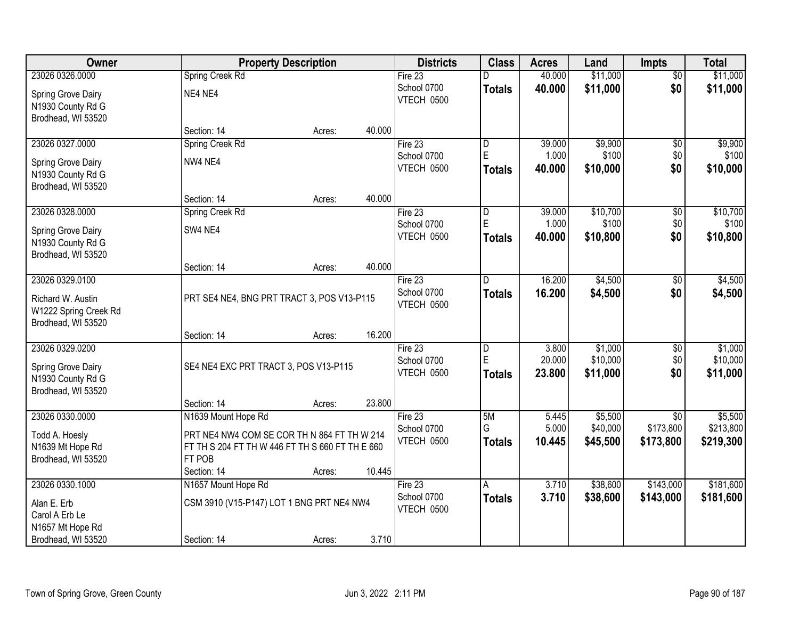| Owner                                                            |                                                 | <b>Property Description</b> |        | <b>Districts</b>          | <b>Class</b>            | <b>Acres</b> | Land     | <b>Impts</b>    | <b>Total</b> |
|------------------------------------------------------------------|-------------------------------------------------|-----------------------------|--------|---------------------------|-------------------------|--------------|----------|-----------------|--------------|
| 23026 0326.0000                                                  | Spring Creek Rd                                 |                             |        | Fire $23$                 |                         | 40.000       | \$11,000 | $\overline{50}$ | \$11,000     |
| Spring Grove Dairy<br>N1930 County Rd G                          | NE4 NE4                                         |                             |        | School 0700<br>VTECH 0500 | <b>Totals</b>           | 40.000       | \$11,000 | \$0             | \$11,000     |
| Brodhead, WI 53520                                               | Section: 14                                     | Acres:                      | 40.000 |                           |                         |              |          |                 |              |
| 23026 0327.0000                                                  | Spring Creek Rd                                 |                             |        | Fire 23                   | D                       | 39.000       | \$9,900  | \$0             | \$9,900      |
| Spring Grove Dairy                                               | NW4 NE4                                         |                             |        | School 0700               | E                       | 1.000        | \$100    | \$0             | \$100        |
| N1930 County Rd G<br>Brodhead, WI 53520                          |                                                 |                             |        | VTECH 0500                | Totals                  | 40.000       | \$10,000 | \$0             | \$10,000     |
|                                                                  | Section: 14                                     | Acres:                      | 40.000 |                           |                         |              |          |                 |              |
| 23026 0328.0000                                                  | Spring Creek Rd                                 |                             |        | Fire 23                   | $\overline{D}$          | 39.000       | \$10,700 | \$0             | \$10,700     |
| Spring Grove Dairy                                               | SW4 NE4                                         |                             |        | School 0700               | $\mathsf E$             | 1.000        | \$100    | \$0             | \$100        |
| N1930 County Rd G<br>Brodhead, WI 53520                          |                                                 |                             |        | <b>VTECH 0500</b>         | <b>Totals</b>           | 40.000       | \$10,800 | \$0             | \$10,800     |
|                                                                  | Section: 14                                     | Acres:                      | 40.000 |                           |                         |              |          |                 |              |
| 23026 0329.0100                                                  |                                                 |                             |        | Fire 23                   | D                       | 16.200       | \$4,500  | \$0             | \$4,500      |
| Richard W. Austin<br>W1222 Spring Creek Rd<br>Brodhead, WI 53520 | PRT SE4 NE4, BNG PRT TRACT 3, POS V13-P115      |                             |        | School 0700<br>VTECH 0500 | <b>Totals</b>           | 16.200       | \$4,500  | \$0             | \$4,500      |
|                                                                  | Section: 14                                     | Acres:                      | 16.200 |                           |                         |              |          |                 |              |
| 23026 0329.0200                                                  |                                                 |                             |        | Fire 23                   | $\overline{\mathsf{D}}$ | 3.800        | \$1,000  | \$0             | \$1,000      |
| Spring Grove Dairy                                               | SE4 NE4 EXC PRT TRACT 3, POS V13-P115           |                             |        | School 0700               | E                       | 20.000       | \$10,000 | \$0             | \$10,000     |
| N1930 County Rd G<br>Brodhead, WI 53520                          |                                                 |                             |        | VTECH 0500                | Totals                  | 23.800       | \$11,000 | \$0             | \$11,000     |
|                                                                  | Section: 14                                     | Acres:                      | 23.800 |                           |                         |              |          |                 |              |
| 23026 0330.0000                                                  | N1639 Mount Hope Rd                             |                             |        | Fire 23                   | 5M                      | 5.445        | \$5,500  | \$0             | \$5,500      |
| Todd A. Hoesly                                                   | PRT NE4 NW4 COM SE COR TH N 864 FT TH W 214     |                             |        | School 0700               | G                       | 5.000        | \$40,000 | \$173,800       | \$213,800    |
| N1639 Mt Hope Rd                                                 | FT TH S 204 FT TH W 446 FT TH S 660 FT TH E 660 |                             |        | VTECH 0500                | <b>Totals</b>           | 10.445       | \$45,500 | \$173,800       | \$219,300    |
| Brodhead, WI 53520                                               | FT POB                                          |                             |        |                           |                         |              |          |                 |              |
|                                                                  | Section: 14                                     | Acres:                      | 10.445 |                           |                         |              |          |                 |              |
| 23026 0330.1000                                                  | N1657 Mount Hope Rd                             |                             |        | Fire 23                   | A                       | 3.710        | \$38,600 | \$143,000       | \$181,600    |
| Alan E. Erb                                                      | CSM 3910 (V15-P147) LOT 1 BNG PRT NE4 NW4       |                             |        | School 0700               | <b>Totals</b>           | 3.710        | \$38,600 | \$143,000       | \$181,600    |
| Carol A Erb Le                                                   |                                                 |                             |        | VTECH 0500                |                         |              |          |                 |              |
| N1657 Mt Hope Rd                                                 |                                                 |                             |        |                           |                         |              |          |                 |              |
| Brodhead, WI 53520                                               | Section: 14                                     | Acres:                      | 3.710  |                           |                         |              |          |                 |              |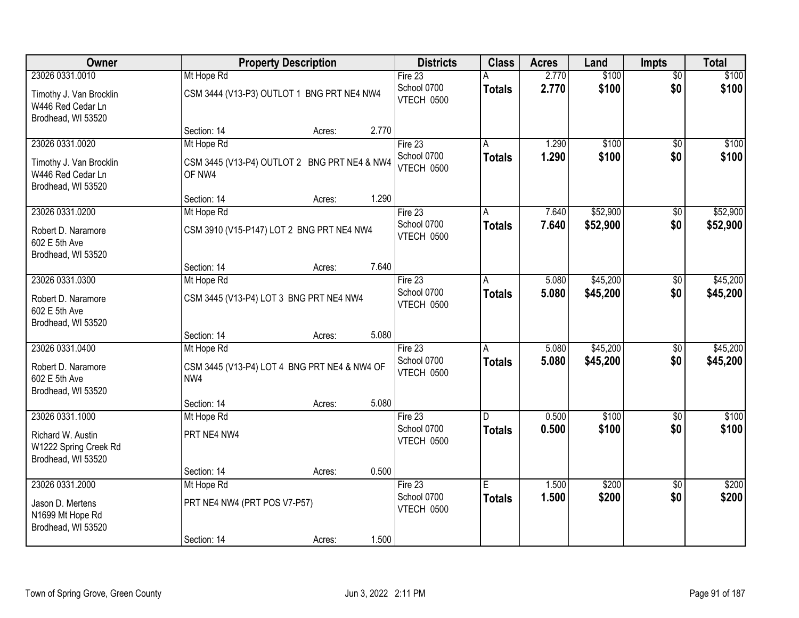| Owner                                                              |                                                        | <b>Property Description</b> |       | <b>Districts</b>          | <b>Class</b>  | <b>Acres</b> | Land     | <b>Impts</b>    | <b>Total</b> |
|--------------------------------------------------------------------|--------------------------------------------------------|-----------------------------|-------|---------------------------|---------------|--------------|----------|-----------------|--------------|
| 23026 0331.0010                                                    | Mt Hope Rd                                             |                             |       | Fire $23$                 | А             | 2.770        | \$100    | $\overline{50}$ | \$100        |
| Timothy J. Van Brocklin<br>W446 Red Cedar Ln<br>Brodhead, WI 53520 | CSM 3444 (V13-P3) OUTLOT 1 BNG PRT NE4 NW4             |                             |       | School 0700<br>VTECH 0500 | <b>Totals</b> | 2.770        | \$100    | \$0             | \$100        |
|                                                                    | Section: 14                                            | Acres:                      | 2.770 |                           |               |              |          |                 |              |
| 23026 0331.0020                                                    | Mt Hope Rd                                             |                             |       | Fire $23$                 | A             | 1.290        | \$100    | $\overline{50}$ | \$100        |
| Timothy J. Van Brocklin<br>W446 Red Cedar Ln<br>Brodhead, WI 53520 | CSM 3445 (V13-P4) OUTLOT 2 BNG PRT NE4 & NW4<br>OF NW4 |                             |       | School 0700<br>VTECH 0500 | Totals        | 1.290        | \$100    | \$0             | \$100        |
|                                                                    | Section: 14                                            | Acres:                      | 1.290 |                           |               |              |          |                 |              |
| 23026 0331.0200                                                    | Mt Hope Rd                                             |                             |       | Fire 23                   | A             | 7.640        | \$52,900 | \$0             | \$52,900     |
| Robert D. Naramore<br>602 E 5th Ave<br>Brodhead, WI 53520          | CSM 3910 (V15-P147) LOT 2 BNG PRT NE4 NW4              |                             |       | School 0700<br>VTECH 0500 | <b>Totals</b> | 7.640        | \$52,900 | \$0             | \$52,900     |
|                                                                    | Section: 14                                            | Acres:                      | 7.640 |                           |               |              |          |                 |              |
| 23026 0331.0300                                                    | Mt Hope Rd                                             |                             |       | Fire 23                   | A             | 5.080        | \$45,200 | \$0             | \$45,200     |
| Robert D. Naramore<br>602 E 5th Ave<br>Brodhead, WI 53520          | CSM 3445 (V13-P4) LOT 3 BNG PRT NE4 NW4                |                             |       | School 0700<br>VTECH 0500 | <b>Totals</b> | 5.080        | \$45,200 | \$0             | \$45,200     |
|                                                                    | Section: 14                                            | Acres:                      | 5.080 |                           |               |              |          |                 |              |
| 23026 0331.0400                                                    | Mt Hope Rd                                             |                             |       | Fire 23                   | A             | 5.080        | \$45,200 | \$0             | \$45,200     |
| Robert D. Naramore<br>602 E 5th Ave<br>Brodhead, WI 53520          | CSM 3445 (V13-P4) LOT 4 BNG PRT NE4 & NW4 OF<br>NW4    |                             |       | School 0700<br>VTECH 0500 | <b>Totals</b> | 5.080        | \$45,200 | \$0             | \$45,200     |
|                                                                    | Section: 14                                            | Acres:                      | 5.080 |                           |               |              |          |                 |              |
| 23026 0331.1000                                                    | Mt Hope Rd                                             |                             |       | Fire 23                   | D.            | 0.500        | \$100    | \$0             | \$100        |
| Richard W. Austin<br>W1222 Spring Creek Rd<br>Brodhead, WI 53520   | PRT NE4 NW4                                            |                             |       | School 0700<br>VTECH 0500 | <b>Totals</b> | 0.500        | \$100    | \$0             | \$100        |
|                                                                    | Section: 14                                            | Acres:                      | 0.500 |                           |               |              |          |                 |              |
| 23026 0331.2000                                                    | Mt Hope Rd                                             |                             |       | Fire 23                   | E             | 1.500        | \$200    | $\overline{50}$ | \$200        |
| Jason D. Mertens<br>N1699 Mt Hope Rd<br>Brodhead, WI 53520         | PRT NE4 NW4 (PRT POS V7-P57)                           |                             |       | School 0700<br>VTECH 0500 | <b>Totals</b> | 1.500        | \$200    | \$0             | \$200        |
|                                                                    | Section: 14                                            | Acres:                      | 1.500 |                           |               |              |          |                 |              |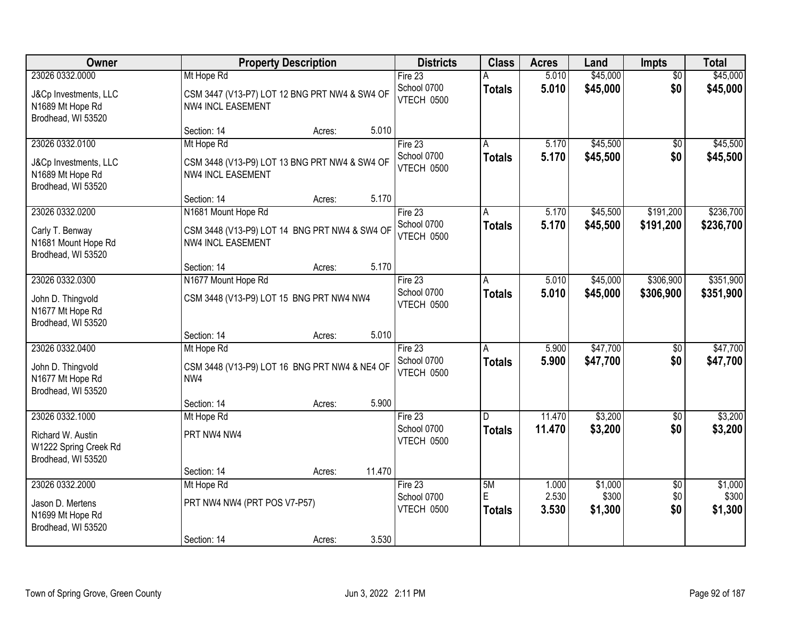| Owner                                                            |                              | <b>Property Description</b>                   | <b>Districts</b>                 | <b>Class</b>       | <b>Acres</b>   | Land             | <b>Impts</b>    | <b>Total</b>     |
|------------------------------------------------------------------|------------------------------|-----------------------------------------------|----------------------------------|--------------------|----------------|------------------|-----------------|------------------|
| 23026 0332.0000                                                  | Mt Hope Rd                   |                                               | Fire 23                          |                    | 5.010          | \$45,000         | $\overline{50}$ | \$45,000         |
| J&Cp Investments, LLC<br>N1689 Mt Hope Rd<br>Brodhead, WI 53520  | <b>NW4 INCL EASEMENT</b>     | CSM 3447 (V13-P7) LOT 12 BNG PRT NW4 & SW4 OF | School 0700<br>VTECH 0500        | <b>Totals</b>      | 5.010          | \$45,000         | \$0             | \$45,000         |
|                                                                  | Section: 14                  | 5.010<br>Acres:                               |                                  |                    |                |                  |                 |                  |
| 23026 0332.0100                                                  | Mt Hope Rd                   |                                               | Fire $23$                        | A                  | 5.170          | \$45,500         | \$0             | \$45,500         |
| J&Cp Investments, LLC<br>N1689 Mt Hope Rd<br>Brodhead, WI 53520  | <b>NW4 INCL EASEMENT</b>     | CSM 3448 (V13-P9) LOT 13 BNG PRT NW4 & SW4 OF | School 0700<br>VTECH 0500        | <b>Totals</b>      | 5.170          | \$45,500         | \$0             | \$45,500         |
|                                                                  | Section: 14                  | 5.170<br>Acres:                               |                                  |                    |                |                  |                 |                  |
| 23026 0332.0200                                                  | N1681 Mount Hope Rd          |                                               | Fire 23                          | A                  | 5.170          | \$45,500         | \$191,200       | \$236,700        |
| Carly T. Benway<br>N1681 Mount Hope Rd<br>Brodhead, WI 53520     | <b>NW4 INCL EASEMENT</b>     | CSM 3448 (V13-P9) LOT 14 BNG PRT NW4 & SW4 OF | School 0700<br>VTECH 0500        | <b>Totals</b>      | 5.170          | \$45,500         | \$191,200       | \$236,700        |
|                                                                  | Section: 14                  | 5.170<br>Acres:                               |                                  |                    |                |                  |                 |                  |
| 23026 0332.0300                                                  | N1677 Mount Hope Rd          |                                               | Fire $23$                        | A                  | 5.010          | \$45,000         | \$306,900       | \$351,900        |
| John D. Thingvold<br>N1677 Mt Hope Rd<br>Brodhead, WI 53520      |                              | CSM 3448 (V13-P9) LOT 15 BNG PRT NW4 NW4      | School 0700<br>VTECH 0500        | <b>Totals</b>      | 5.010          | \$45,000         | \$306,900       | \$351,900        |
|                                                                  | Section: 14                  | 5.010<br>Acres:                               |                                  |                    |                |                  |                 |                  |
| 23026 0332.0400                                                  | Mt Hope Rd                   |                                               | Fire 23                          | A                  | 5.900          | \$47,700         | \$0             | \$47,700         |
| John D. Thingvold<br>N1677 Mt Hope Rd<br>Brodhead, WI 53520      | NW4                          | CSM 3448 (V13-P9) LOT 16 BNG PRT NW4 & NE4 OF | School 0700<br>VTECH 0500        | <b>Totals</b>      | 5.900          | \$47,700         | \$0             | \$47,700         |
|                                                                  | Section: 14                  | 5.900<br>Acres:                               |                                  |                    |                |                  |                 |                  |
| 23026 0332.1000                                                  | Mt Hope Rd                   |                                               | Fire 23                          | D.                 | 11.470         | \$3,200          | $\sqrt{6}$      | \$3,200          |
| Richard W. Austin<br>W1222 Spring Creek Rd<br>Brodhead, WI 53520 | PRT NW4 NW4                  |                                               | School 0700<br><b>VTECH 0500</b> | <b>Totals</b>      | 11.470         | \$3,200          | \$0             | \$3,200          |
|                                                                  | Section: 14                  | 11.470<br>Acres:                              |                                  |                    |                |                  |                 |                  |
| 23026 0332.2000                                                  | Mt Hope Rd                   |                                               | Fire $23$                        | 5M                 | 1.000          | \$1,000          | $\overline{30}$ | \$1,000          |
| Jason D. Mertens<br>N1699 Mt Hope Rd<br>Brodhead, WI 53520       | PRT NW4 NW4 (PRT POS V7-P57) |                                               | School 0700<br>VTECH 0500        | E<br><b>Totals</b> | 2.530<br>3.530 | \$300<br>\$1,300 | \$0<br>\$0      | \$300<br>\$1,300 |
|                                                                  | Section: 14                  | 3.530<br>Acres:                               |                                  |                    |                |                  |                 |                  |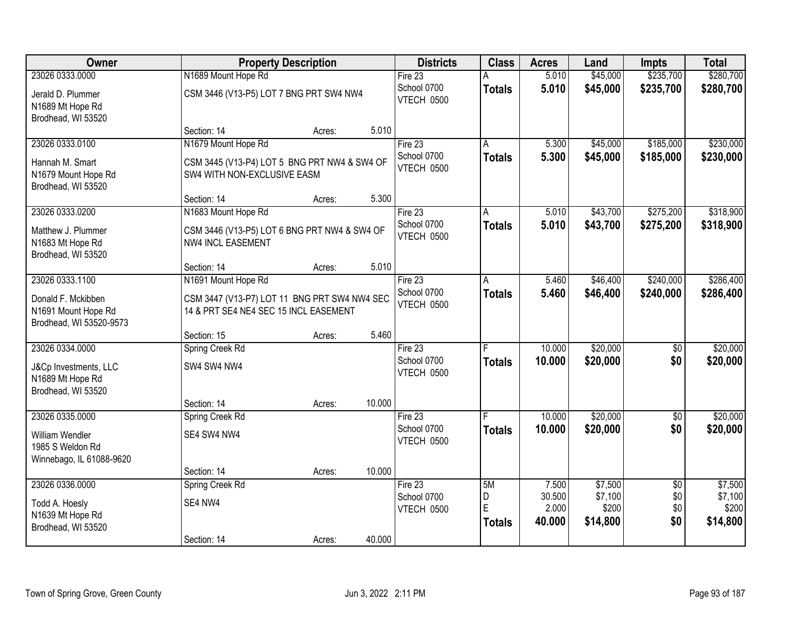| Owner                                                                           |                                                                                                    | <b>Property Description</b> |        | <b>Districts</b>                     | <b>Class</b>       | <b>Acres</b>     | Land                 | <b>Impts</b>           | <b>Total</b>           |
|---------------------------------------------------------------------------------|----------------------------------------------------------------------------------------------------|-----------------------------|--------|--------------------------------------|--------------------|------------------|----------------------|------------------------|------------------------|
| 23026 0333.0000                                                                 | N1689 Mount Hope Rd                                                                                |                             |        | Fire 23                              |                    | 5.010            | \$45,000             | \$235,700              | \$280,700              |
| Jerald D. Plummer<br>N1689 Mt Hope Rd<br>Brodhead, WI 53520                     | CSM 3446 (V13-P5) LOT 7 BNG PRT SW4 NW4                                                            |                             |        | School 0700<br>VTECH 0500            | <b>Totals</b>      | 5.010            | \$45,000             | \$235,700              | \$280,700              |
|                                                                                 | Section: 14                                                                                        | Acres:                      | 5.010  |                                      |                    |                  |                      |                        |                        |
| 23026 0333.0100<br>Hannah M. Smart<br>N1679 Mount Hope Rd<br>Brodhead, WI 53520 | N1679 Mount Hope Rd<br>CSM 3445 (V13-P4) LOT 5 BNG PRT NW4 & SW4 OF<br>SW4 WITH NON-EXCLUSIVE EASM |                             |        | Fire 23<br>School 0700<br>VTECH 0500 | A<br><b>Totals</b> | 5.300<br>5.300   | \$45,000<br>\$45,000 | \$185,000<br>\$185,000 | \$230,000<br>\$230,000 |
|                                                                                 | Section: 14                                                                                        | Acres:                      | 5.300  |                                      |                    |                  |                      |                        |                        |
| 23026 0333.0200<br>Matthew J. Plummer<br>N1683 Mt Hope Rd<br>Brodhead, WI 53520 | N1683 Mount Hope Rd<br>CSM 3446 (V13-P5) LOT 6 BNG PRT NW4 & SW4 OF<br><b>NW4 INCL EASEMENT</b>    |                             |        | Fire 23<br>School 0700<br>VTECH 0500 | A<br><b>Totals</b> | 5.010<br>5.010   | \$43,700<br>\$43,700 | \$275,200<br>\$275,200 | \$318,900<br>\$318,900 |
|                                                                                 | Section: 14                                                                                        | Acres:                      | 5.010  |                                      |                    |                  |                      |                        |                        |
| 23026 0333.1100<br>Donald F. Mckibben                                           | N1691 Mount Hope Rd<br>CSM 3447 (V13-P7) LOT 11 BNG PRT SW4 NW4 SEC                                |                             |        | Fire 23<br>School 0700<br>VTECH 0500 | A<br><b>Totals</b> | 5.460<br>5.460   | \$46,400<br>\$46,400 | \$240,000<br>\$240,000 | \$286,400<br>\$286,400 |
| N1691 Mount Hope Rd<br>Brodhead, WI 53520-9573                                  | 14 & PRT SE4 NE4 SEC 15 INCL EASEMENT<br>Section: 15                                               | Acres:                      | 5.460  |                                      |                    |                  |                      |                        |                        |
| 23026 0334.0000                                                                 | Spring Creek Rd                                                                                    |                             |        | Fire 23                              |                    | 10.000           | \$20,000             | $\overline{50}$        | \$20,000               |
| J&Cp Investments, LLC<br>N1689 Mt Hope Rd<br>Brodhead, WI 53520                 | SW4 SW4 NW4                                                                                        |                             |        | School 0700<br>VTECH 0500            | <b>Totals</b>      | 10.000           | \$20,000             | \$0                    | \$20,000               |
|                                                                                 | Section: 14                                                                                        | Acres:                      | 10.000 |                                      |                    |                  |                      |                        |                        |
| 23026 0335.0000                                                                 | Spring Creek Rd                                                                                    |                             |        | Fire $23$<br>School 0700             | <b>Totals</b>      | 10.000<br>10.000 | \$20,000<br>\$20,000 | $\overline{60}$<br>\$0 | \$20,000<br>\$20,000   |
| William Wendler<br>1985 S Weldon Rd<br>Winnebago, IL 61088-9620                 | SE4 SW4 NW4                                                                                        |                             |        | VTECH 0500                           |                    |                  |                      |                        |                        |
|                                                                                 | Section: 14                                                                                        | Acres:                      | 10.000 |                                      |                    |                  |                      |                        |                        |
| 23026 0336.0000                                                                 | Spring Creek Rd                                                                                    |                             |        | Fire $23$                            | 5M                 | 7.500            | \$7,500              | $\overline{50}$        | \$7,500                |
| Todd A. Hoesly                                                                  | SE4 NW4                                                                                            |                             |        | School 0700<br>VTECH 0500            | D<br>E             | 30.500<br>2.000  | \$7,100<br>\$200     | \$0<br>\$0             | \$7,100<br>\$200       |
| N1639 Mt Hope Rd<br>Brodhead, WI 53520                                          |                                                                                                    |                             |        |                                      | <b>Totals</b>      | 40.000           | \$14,800             | \$0                    | \$14,800               |
|                                                                                 | Section: 14                                                                                        | Acres:                      | 40.000 |                                      |                    |                  |                      |                        |                        |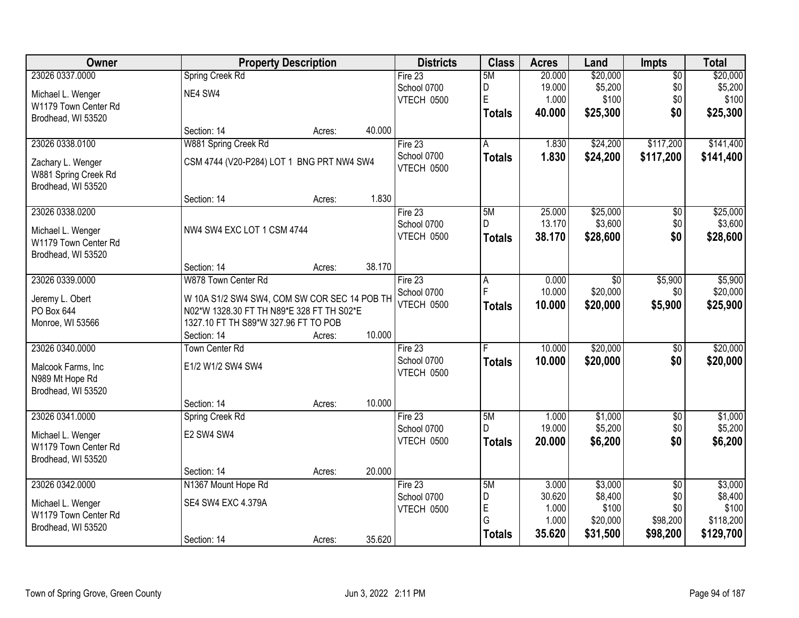| Owner                | <b>Property Description</b>                  |        |        | <b>Districts</b>       | <b>Class</b>  | <b>Acres</b>    | Land               | <b>Impts</b>       | <b>Total</b>       |
|----------------------|----------------------------------------------|--------|--------|------------------------|---------------|-----------------|--------------------|--------------------|--------------------|
| 23026 0337.0000      | Spring Creek Rd                              |        |        | Fire 23                | 5M            | 20.000          | \$20,000           | $\overline{50}$    | \$20,000           |
| Michael L. Wenger    | NE4 SW4                                      |        |        | School 0700            | D             | 19.000          | \$5,200            | \$0                | \$5,200            |
| W1179 Town Center Rd |                                              |        |        | <b>VTECH 0500</b>      | E             | 1.000           | \$100              | \$0                | \$100              |
| Brodhead, WI 53520   |                                              |        |        |                        | <b>Totals</b> | 40.000          | \$25,300           | \$0                | \$25,300           |
|                      | Section: 14                                  | Acres: | 40.000 |                        |               |                 |                    |                    |                    |
| 23026 0338.0100      | W881 Spring Creek Rd                         |        |        | Fire 23                | A             | 1.830           | \$24,200           | \$117,200          | \$141,400          |
| Zachary L. Wenger    | CSM 4744 (V20-P284) LOT 1 BNG PRT NW4 SW4    |        |        | School 0700            | <b>Totals</b> | 1.830           | \$24,200           | \$117,200          | \$141,400          |
| W881 Spring Creek Rd |                                              |        |        | VTECH 0500             |               |                 |                    |                    |                    |
| Brodhead, WI 53520   |                                              |        |        |                        |               |                 |                    |                    |                    |
|                      | Section: 14                                  | Acres: | 1.830  |                        |               |                 |                    |                    |                    |
| 23026 0338.0200      |                                              |        |        | Fire 23                | 5M            | 25.000          | \$25,000           | $\overline{50}$    | \$25,000           |
| Michael L. Wenger    | NW4 SW4 EXC LOT 1 CSM 4744                   |        |        | School 0700            | D             | 13.170          | \$3,600            | \$0                | \$3,600            |
| W1179 Town Center Rd |                                              |        |        | VTECH 0500             | <b>Totals</b> | 38.170          | \$28,600           | \$0                | \$28,600           |
| Brodhead, WI 53520   |                                              |        |        |                        |               |                 |                    |                    |                    |
|                      | Section: 14                                  | Acres: | 38.170 |                        |               |                 |                    |                    |                    |
| 23026 0339.0000      | W878 Town Center Rd                          |        |        | Fire 23                | А             | 0.000           | \$0                | \$5,900            | \$5,900            |
| Jeremy L. Obert      | W 10A S1/2 SW4 SW4, COM SW COR SEC 14 POB TH |        |        | School 0700            | F             | 10.000          | \$20,000           | \$0                | \$20,000           |
| PO Box 644           | N02*W 1328.30 FT TH N89*E 328 FT TH S02*E    |        |        | VTECH 0500             | <b>Totals</b> | 10.000          | \$20,000           | \$5,900            | \$25,900           |
| Monroe, WI 53566     | 1327.10 FT TH S89*W 327.96 FT TO POB         |        |        |                        |               |                 |                    |                    |                    |
|                      | Section: 14                                  | Acres: | 10.000 |                        |               |                 |                    |                    |                    |
| 23026 0340.0000      | <b>Town Center Rd</b>                        |        |        | Fire 23                | Е             | 10.000          | \$20,000           | $\overline{50}$    | \$20,000           |
|                      |                                              |        |        | School 0700            | <b>Totals</b> | 10.000          | \$20,000           | \$0                | \$20,000           |
| Malcook Farms, Inc   | E1/2 W1/2 SW4 SW4                            |        |        | VTECH 0500             |               |                 |                    |                    |                    |
| N989 Mt Hope Rd      |                                              |        |        |                        |               |                 |                    |                    |                    |
| Brodhead, WI 53520   |                                              |        |        |                        |               |                 |                    |                    |                    |
|                      | Section: 14                                  | Acres: | 10.000 |                        |               |                 |                    |                    |                    |
| 23026 0341.0000      | Spring Creek Rd                              |        |        | Fire 23<br>School 0700 | 5M<br>D.      | 1.000<br>19.000 | \$1,000<br>\$5,200 | $\sqrt{$0}$<br>\$0 | \$1,000<br>\$5,200 |
| Michael L. Wenger    | E2 SW4 SW4                                   |        |        | VTECH 0500             |               | 20.000          | \$6,200            | \$0                |                    |
| W1179 Town Center Rd |                                              |        |        |                        | <b>Totals</b> |                 |                    |                    | \$6,200            |
| Brodhead, WI 53520   |                                              |        |        |                        |               |                 |                    |                    |                    |
|                      | Section: 14                                  | Acres: | 20.000 |                        |               |                 |                    |                    |                    |
| 23026 0342.0000      | N1367 Mount Hope Rd                          |        |        | Fire 23                | 5M            | 3.000           | \$3,000            | $\overline{50}$    | \$3,000            |
| Michael L. Wenger    | SE4 SW4 EXC 4.379A                           |        |        | School 0700            | D             | 30.620          | \$8,400            | \$0                | \$8,400            |
| W1179 Town Center Rd |                                              |        |        | VTECH 0500             | E<br>G        | 1.000           | \$100              | \$0                | \$100              |
| Brodhead, WI 53520   |                                              |        |        |                        |               | 1.000           | \$20,000           | \$98,200           | \$118,200          |
|                      | Section: 14                                  | Acres: | 35.620 |                        | <b>Totals</b> | 35.620          | \$31,500           | \$98,200           | \$129,700          |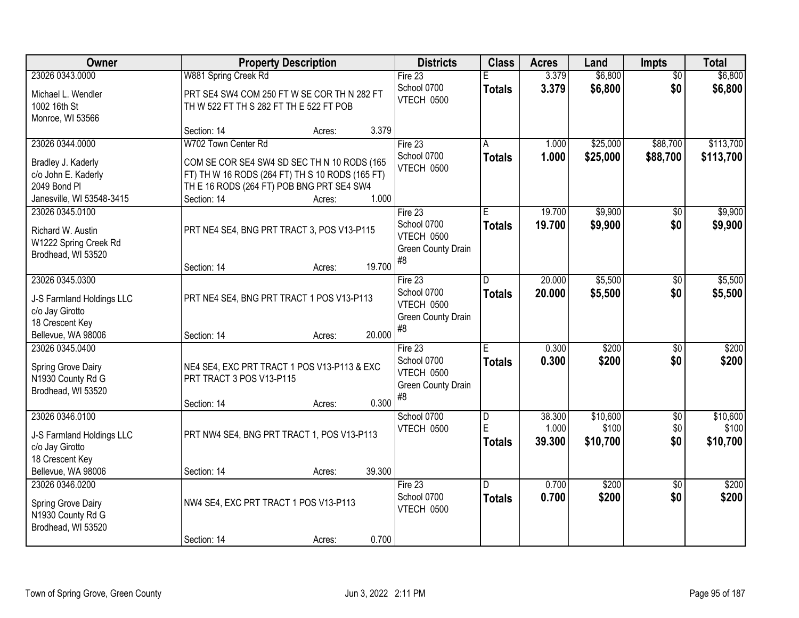| Owner                     |                                                 | <b>Property Description</b> |        | <b>Districts</b>                 | <b>Class</b>  | <b>Acres</b> | Land     | Impts           | <b>Total</b> |
|---------------------------|-------------------------------------------------|-----------------------------|--------|----------------------------------|---------------|--------------|----------|-----------------|--------------|
| 23026 0343.0000           | W881 Spring Creek Rd                            |                             |        | Fire 23                          |               | 3.379        | \$6,800  | $\overline{50}$ | \$6,800      |
| Michael L. Wendler        | PRT SE4 SW4 COM 250 FT W SE COR TH N 282 FT     |                             |        | School 0700                      | <b>Totals</b> | 3.379        | \$6,800  | \$0             | \$6,800      |
| 1002 16th St              | TH W 522 FT TH S 282 FT TH E 522 FT POB         |                             |        | VTECH 0500                       |               |              |          |                 |              |
| Monroe, WI 53566          |                                                 |                             |        |                                  |               |              |          |                 |              |
|                           | Section: 14                                     | Acres:                      | 3.379  |                                  |               |              |          |                 |              |
| 23026 0344.0000           | W702 Town Center Rd                             |                             |        | Fire $23$                        | A             | 1.000        | \$25,000 | \$88,700        | \$113,700    |
| Bradley J. Kaderly        | COM SE COR SE4 SW4 SD SEC TH N 10 RODS (165     |                             |        | School 0700                      | <b>Totals</b> | 1.000        | \$25,000 | \$88,700        | \$113,700    |
| c/o John E. Kaderly       | FT) TH W 16 RODS (264 FT) TH S 10 RODS (165 FT) |                             |        | VTECH 0500                       |               |              |          |                 |              |
| 2049 Bond Pl              | TH E 16 RODS (264 FT) POB BNG PRT SE4 SW4       |                             |        |                                  |               |              |          |                 |              |
| Janesville, WI 53548-3415 | Section: 14                                     | Acres:                      | 1.000  |                                  |               |              |          |                 |              |
| 23026 0345.0100           |                                                 |                             |        | Fire 23                          | E.            | 19.700       | \$9,900  | \$0             | \$9,900      |
| Richard W. Austin         | PRT NE4 SE4, BNG PRT TRACT 3, POS V13-P115      |                             |        | School 0700                      | <b>Totals</b> | 19.700       | \$9,900  | \$0             | \$9,900      |
| W1222 Spring Creek Rd     |                                                 |                             |        | VTECH 0500<br>Green County Drain |               |              |          |                 |              |
| Brodhead, WI 53520        |                                                 |                             |        | #8                               |               |              |          |                 |              |
|                           | Section: 14                                     | Acres:                      | 19.700 |                                  |               |              |          |                 |              |
| 23026 0345.0300           |                                                 |                             |        | Fire 23                          | D.            | 20.000       | \$5,500  | \$0             | \$5,500      |
| J-S Farmland Holdings LLC | PRT NE4 SE4, BNG PRT TRACT 1 POS V13-P113       |                             |        | School 0700                      | <b>Totals</b> | 20.000       | \$5,500  | \$0             | \$5,500      |
| c/o Jay Girotto           |                                                 |                             |        | VTECH 0500<br>Green County Drain |               |              |          |                 |              |
| 18 Crescent Key           |                                                 |                             |        | $\#8$                            |               |              |          |                 |              |
| Bellevue, WA 98006        | Section: 14                                     | Acres:                      | 20.000 |                                  |               |              |          |                 |              |
| 23026 0345.0400           |                                                 |                             |        | Fire 23                          | Ē             | 0.300        | \$200    | $\overline{50}$ | \$200        |
| Spring Grove Dairy        | NE4 SE4, EXC PRT TRACT 1 POS V13-P113 & EXC     |                             |        | School 0700                      | <b>Totals</b> | 0.300        | \$200    | \$0             | \$200        |
| N1930 County Rd G         | PRT TRACT 3 POS V13-P115                        |                             |        | VTECH 0500<br>Green County Drain |               |              |          |                 |              |
| Brodhead, WI 53520        |                                                 |                             |        | #8                               |               |              |          |                 |              |
|                           | Section: 14                                     | Acres:                      | 0.300  |                                  |               |              |          |                 |              |
| 23026 0346.0100           |                                                 |                             |        | School 0700                      | D             | 38.300       | \$10,600 | $\overline{50}$ | \$10,600     |
| J-S Farmland Holdings LLC | PRT NW4 SE4, BNG PRT TRACT 1, POS V13-P113      |                             |        | VTECH 0500                       | E             | 1.000        | \$100    | \$0             | \$100        |
| c/o Jay Girotto           |                                                 |                             |        |                                  | <b>Totals</b> | 39.300       | \$10,700 | \$0             | \$10,700     |
| 18 Crescent Key           |                                                 |                             |        |                                  |               |              |          |                 |              |
| Bellevue, WA 98006        | Section: 14                                     | Acres:                      | 39.300 |                                  |               |              |          |                 |              |
| 23026 0346.0200           |                                                 |                             |        | Fire $23$                        | D.            | 0.700        | \$200    | $\overline{50}$ | \$200        |
| Spring Grove Dairy        | NW4 SE4, EXC PRT TRACT 1 POS V13-P113           |                             |        | School 0700<br>VTECH 0500        | <b>Totals</b> | 0.700        | \$200    | \$0             | \$200        |
| N1930 County Rd G         |                                                 |                             |        |                                  |               |              |          |                 |              |
| Brodhead, WI 53520        |                                                 |                             |        |                                  |               |              |          |                 |              |
|                           | Section: 14                                     | Acres:                      | 0.700  |                                  |               |              |          |                 |              |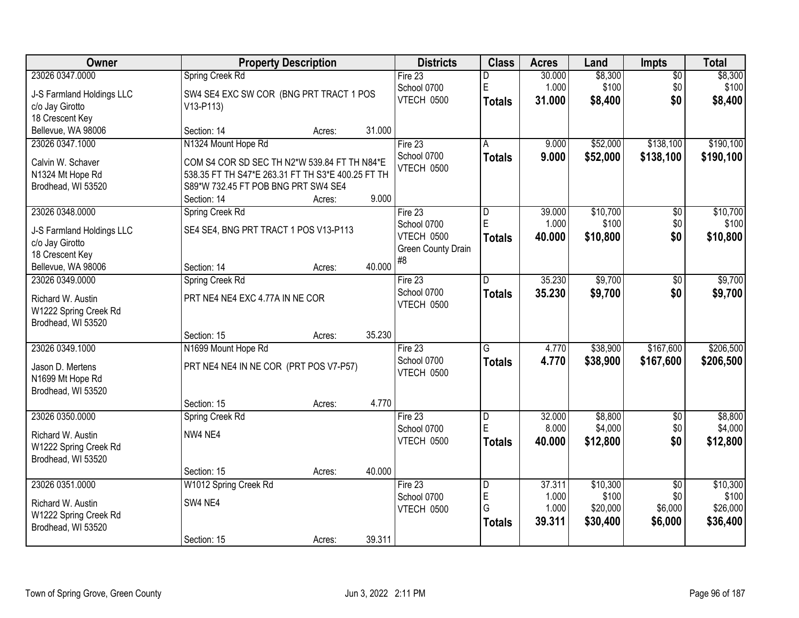| Owner                                      |                                                   | <b>Property Description</b> |        | <b>Districts</b>   | <b>Class</b>   | <b>Acres</b> | Land     | <b>Impts</b>    | <b>Total</b> |
|--------------------------------------------|---------------------------------------------------|-----------------------------|--------|--------------------|----------------|--------------|----------|-----------------|--------------|
| 23026 0347.0000                            | Spring Creek Rd                                   |                             |        | Fire 23            | D              | 30.000       | \$8,300  | $\overline{50}$ | \$8,300      |
| J-S Farmland Holdings LLC                  | SW4 SE4 EXC SW COR (BNG PRT TRACT 1 POS           |                             |        | School 0700        | $\mathsf E$    | 1.000        | \$100    | \$0             | \$100        |
| c/o Jay Girotto                            | $V13-P113$                                        |                             |        | VTECH 0500         | <b>Totals</b>  | 31,000       | \$8,400  | \$0             | \$8,400      |
| 18 Crescent Key                            |                                                   |                             |        |                    |                |              |          |                 |              |
| Bellevue, WA 98006                         | Section: 14                                       | Acres:                      | 31.000 |                    |                |              |          |                 |              |
| 23026 0347.1000                            | N1324 Mount Hope Rd                               |                             |        | Fire $23$          | Α              | 9.000        | \$52,000 | \$138,100       | \$190,100    |
| Calvin W. Schaver                          | COM S4 COR SD SEC TH N2*W 539.84 FT TH N84*E      |                             |        | School 0700        | <b>Totals</b>  | 9.000        | \$52,000 | \$138,100       | \$190,100    |
| N1324 Mt Hope Rd                           | 538.35 FT TH S47*E 263.31 FT TH S3*E 400.25 FT TH |                             |        | <b>VTECH 0500</b>  |                |              |          |                 |              |
| Brodhead, WI 53520                         | S89*W 732.45 FT POB BNG PRT SW4 SE4               |                             |        |                    |                |              |          |                 |              |
|                                            | Section: 14                                       | Acres:                      | 9.000  |                    |                |              |          |                 |              |
| 23026 0348.0000                            | Spring Creek Rd                                   |                             |        | Fire 23            | D              | 39.000       | \$10,700 | \$0             | \$10,700     |
| J-S Farmland Holdings LLC                  | SE4 SE4, BNG PRT TRACT 1 POS V13-P113             |                             |        | School 0700        | E              | 1.000        | \$100    | \$0             | \$100        |
| c/o Jay Girotto                            |                                                   |                             |        | VTECH 0500         | <b>Totals</b>  | 40.000       | \$10,800 | \$0             | \$10,800     |
| 18 Crescent Key                            |                                                   |                             |        | Green County Drain |                |              |          |                 |              |
| Bellevue, WA 98006                         | Section: 14                                       | Acres:                      | 40.000 | #8                 |                |              |          |                 |              |
| 23026 0349.0000                            | Spring Creek Rd                                   |                             |        | Fire 23            | D              | 35.230       | \$9,700  | \$0             | \$9,700      |
| Richard W. Austin                          | PRT NE4 NE4 EXC 4.77A IN NE COR                   |                             |        | School 0700        | <b>Totals</b>  | 35.230       | \$9,700  | \$0             | \$9,700      |
| W1222 Spring Creek Rd                      |                                                   |                             |        | VTECH 0500         |                |              |          |                 |              |
| Brodhead, WI 53520                         |                                                   |                             |        |                    |                |              |          |                 |              |
|                                            | Section: 15                                       | Acres:                      | 35.230 |                    |                |              |          |                 |              |
| 23026 0349.1000                            | N1699 Mount Hope Rd                               |                             |        | Fire 23            | G              | 4.770        | \$38,900 | \$167,600       | \$206,500    |
| Jason D. Mertens                           | PRT NE4 NE4 IN NE COR (PRT POS V7-P57)            |                             |        | School 0700        | Totals         | 4.770        | \$38,900 | \$167,600       | \$206,500    |
| N1699 Mt Hope Rd                           |                                                   |                             |        | VTECH 0500         |                |              |          |                 |              |
| Brodhead, WI 53520                         |                                                   |                             |        |                    |                |              |          |                 |              |
|                                            | Section: 15                                       | Acres:                      | 4.770  |                    |                |              |          |                 |              |
| 23026 0350.0000                            | Spring Creek Rd                                   |                             |        | Fire 23            | D              | 32.000       | \$8,800  | $\overline{60}$ | \$8,800      |
| Richard W. Austin                          | NW4 NE4                                           |                             |        | School 0700        | $\mathsf E$    | 8.000        | \$4,000  | \$0             | \$4,000      |
| W1222 Spring Creek Rd                      |                                                   |                             |        | VTECH 0500         | Totals         | 40.000       | \$12,800 | \$0             | \$12,800     |
| Brodhead, WI 53520                         |                                                   |                             |        |                    |                |              |          |                 |              |
|                                            | Section: 15                                       | Acres:                      | 40.000 |                    |                |              |          |                 |              |
| 23026 0351.0000                            | W1012 Spring Creek Rd                             |                             |        | Fire $23$          | $\overline{D}$ | 37.311       | \$10,300 | $\overline{50}$ | \$10,300     |
|                                            | SW4 NE4                                           |                             |        | School 0700        | $\mathsf E$    | 1.000        | \$100    | \$0             | \$100        |
| Richard W. Austin<br>W1222 Spring Creek Rd |                                                   |                             |        | VTECH 0500         | G              | 1.000        | \$20,000 | \$6,000         | \$26,000     |
| Brodhead, WI 53520                         |                                                   |                             |        |                    | <b>Totals</b>  | 39.311       | \$30,400 | \$6,000         | \$36,400     |
|                                            | Section: 15                                       | Acres:                      | 39.311 |                    |                |              |          |                 |              |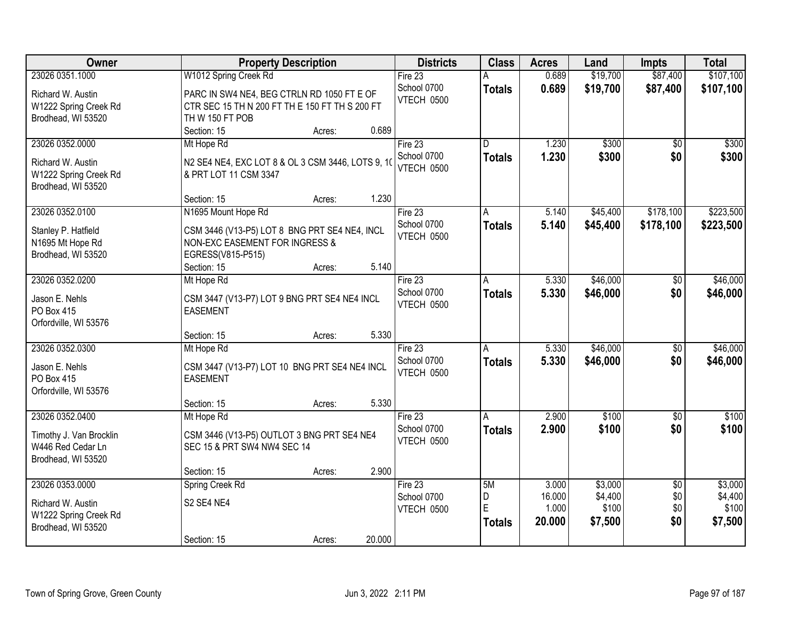| Owner                                                                                 | <b>Property Description</b>                                                                                                                                   | <b>Districts</b>                       | <b>Class</b>                             | <b>Acres</b>                       | Land                                   | <b>Impts</b>                         | <b>Total</b>                           |
|---------------------------------------------------------------------------------------|---------------------------------------------------------------------------------------------------------------------------------------------------------------|----------------------------------------|------------------------------------------|------------------------------------|----------------------------------------|--------------------------------------|----------------------------------------|
| 23026 0351.1000                                                                       | W1012 Spring Creek Rd                                                                                                                                         | Fire $23$                              |                                          | 0.689                              | \$19,700                               | \$87,400                             | \$107,100                              |
| Richard W. Austin<br>W1222 Spring Creek Rd<br>Brodhead, WI 53520                      | PARC IN SW4 NE4, BEG CTRLN RD 1050 FT E OF<br>CTR SEC 15 TH N 200 FT TH E 150 FT TH S 200 FT<br>TH W 150 FT POB                                               | School 0700<br>VTECH 0500              | <b>Totals</b>                            | 0.689                              | \$19,700                               | \$87,400                             | \$107,100                              |
|                                                                                       | 0.689<br>Section: 15<br>Acres:                                                                                                                                |                                        |                                          |                                    |                                        |                                      |                                        |
| 23026 0352.0000<br>Richard W. Austin<br>W1222 Spring Creek Rd<br>Brodhead, WI 53520   | Mt Hope Rd<br>N2 SE4 NE4, EXC LOT 8 & OL 3 CSM 3446, LOTS 9, 10<br>& PRT LOT 11 CSM 3347                                                                      | Fire $23$<br>School 0700<br>VTECH 0500 | $\overline{\mathsf{n}}$<br><b>Totals</b> | 1.230<br>1.230                     | \$300<br>\$300                         | $\overline{50}$<br>\$0               | \$300<br>\$300                         |
|                                                                                       | 1.230<br>Section: 15<br>Acres:                                                                                                                                |                                        |                                          |                                    |                                        |                                      |                                        |
| 23026 0352.0100<br>Stanley P. Hatfield<br>N1695 Mt Hope Rd<br>Brodhead, WI 53520      | N1695 Mount Hope Rd<br>CSM 3446 (V13-P5) LOT 8 BNG PRT SE4 NE4, INCL<br>NON-EXC EASEMENT FOR INGRESS &<br>EGRESS(V815-P515)<br>5.140<br>Section: 15<br>Acres: | Fire 23<br>School 0700<br>VTECH 0500   | A<br><b>Totals</b>                       | 5.140<br>5.140                     | \$45,400<br>\$45,400                   | \$178,100<br>\$178,100               | \$223,500<br>\$223,500                 |
| 23026 0352.0200                                                                       | Mt Hope Rd                                                                                                                                                    | Fire 23                                | A                                        | 5.330                              | \$46,000                               | \$0                                  | \$46,000                               |
| Jason E. Nehls<br>PO Box 415<br>Orfordville, WI 53576                                 | CSM 3447 (V13-P7) LOT 9 BNG PRT SE4 NE4 INCL<br><b>EASEMENT</b>                                                                                               | School 0700<br>VTECH 0500              | <b>Totals</b>                            | 5.330                              | \$46,000                               | \$0                                  | \$46,000                               |
|                                                                                       | 5.330<br>Section: 15<br>Acres:                                                                                                                                |                                        |                                          |                                    |                                        |                                      |                                        |
| 23026 0352.0300<br>Jason E. Nehls<br>PO Box 415<br>Orfordville, WI 53576              | Mt Hope Rd<br>CSM 3447 (V13-P7) LOT 10 BNG PRT SE4 NE4 INCL<br><b>EASEMENT</b>                                                                                | Fire 23<br>School 0700<br>VTECH 0500   | A<br><b>Totals</b>                       | 5.330<br>5.330                     | \$46,000<br>\$46,000                   | $\overline{50}$<br>\$0               | \$46,000<br>\$46,000                   |
|                                                                                       | 5.330<br>Section: 15<br>Acres:                                                                                                                                |                                        |                                          |                                    |                                        |                                      |                                        |
| 23026 0352.0400<br>Timothy J. Van Brocklin<br>W446 Red Cedar Ln<br>Brodhead, WI 53520 | Mt Hope Rd<br>CSM 3446 (V13-P5) OUTLOT 3 BNG PRT SE4 NE4<br>SEC 15 & PRT SW4 NW4 SEC 14                                                                       | Fire 23<br>School 0700<br>VTECH 0500   | A<br><b>Totals</b>                       | 2.900<br>2.900                     | \$100<br>\$100                         | $\overline{50}$<br>\$0               | \$100<br>\$100                         |
|                                                                                       | 2.900<br>Section: 15<br>Acres:                                                                                                                                |                                        |                                          |                                    |                                        |                                      |                                        |
| 23026 0353.0000<br>Richard W. Austin<br>W1222 Spring Creek Rd<br>Brodhead, WI 53520   | Spring Creek Rd<br>S2 SE4 NE4<br>20.000<br>Section: 15<br>Acres:                                                                                              | Fire $23$<br>School 0700<br>VTECH 0500 | 5M<br>D<br>E<br><b>Totals</b>            | 3.000<br>16.000<br>1.000<br>20.000 | \$3,000<br>\$4,400<br>\$100<br>\$7,500 | $\overline{50}$<br>\$0<br>\$0<br>\$0 | \$3,000<br>\$4,400<br>\$100<br>\$7,500 |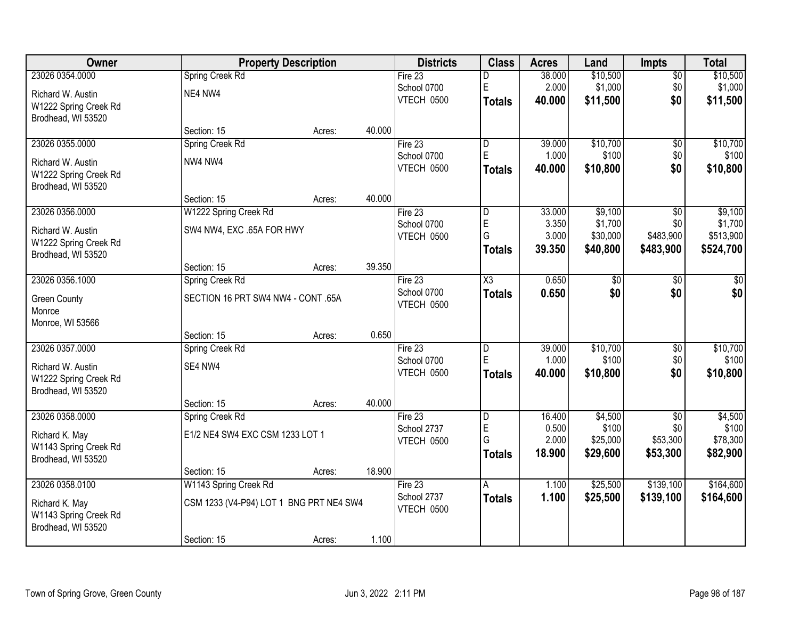| Owner                 |                                         | <b>Property Description</b> |        | <b>Districts</b> | <b>Class</b>            | <b>Acres</b>   | Land              | <b>Impts</b>    | <b>Total</b>      |
|-----------------------|-----------------------------------------|-----------------------------|--------|------------------|-------------------------|----------------|-------------------|-----------------|-------------------|
| 23026 0354.0000       | Spring Creek Rd                         |                             |        | Fire $23$        | D                       | 38.000         | \$10,500          | $\sqrt{$0}$     | \$10,500          |
| Richard W. Austin     | NE4 NW4                                 |                             |        | School 0700      | E                       | 2.000          | \$1,000           | \$0             | \$1,000           |
| W1222 Spring Creek Rd |                                         |                             |        | VTECH 0500       | <b>Totals</b>           | 40.000         | \$11,500          | \$0             | \$11,500          |
| Brodhead, WI 53520    |                                         |                             |        |                  |                         |                |                   |                 |                   |
|                       | Section: 15                             | Acres:                      | 40.000 |                  |                         |                |                   |                 |                   |
| 23026 0355.0000       | Spring Creek Rd                         |                             |        | Fire $23$        | D                       | 39.000         | \$10,700          | $\overline{50}$ | \$10,700          |
| Richard W. Austin     | NW4 NW4                                 |                             |        | School 0700      | E                       | 1.000          | \$100             | \$0             | \$100             |
| W1222 Spring Creek Rd |                                         |                             |        | VTECH 0500       | <b>Totals</b>           | 40.000         | \$10,800          | \$0             | \$10,800          |
| Brodhead, WI 53520    |                                         |                             |        |                  |                         |                |                   |                 |                   |
|                       | Section: 15                             | Acres:                      | 40.000 |                  |                         |                |                   |                 |                   |
| 23026 0356.0000       | W1222 Spring Creek Rd                   |                             |        | Fire 23          | D                       | 33.000         | \$9,100           | \$0             | \$9,100           |
| Richard W. Austin     | SW4 NW4, EXC .65A FOR HWY               |                             |        | School 0700      | E                       | 3.350          | \$1,700           | \$0             | \$1,700           |
| W1222 Spring Creek Rd |                                         |                             |        | VTECH 0500       | G                       | 3.000          | \$30,000          | \$483,900       | \$513,900         |
| Brodhead, WI 53520    |                                         |                             |        |                  | <b>Totals</b>           | 39.350         | \$40,800          | \$483,900       | \$524,700         |
|                       | Section: 15                             | Acres:                      | 39.350 |                  |                         |                |                   |                 |                   |
| 23026 0356.1000       | Spring Creek Rd                         |                             |        | Fire 23          | $\overline{\chi_3}$     | 0.650          | $\overline{50}$   | \$0             | $\sqrt{50}$       |
| <b>Green County</b>   | SECTION 16 PRT SW4 NW4 - CONT .65A      |                             |        | School 0700      | <b>Totals</b>           | 0.650          | \$0               | \$0             | \$0               |
| Monroe                |                                         |                             |        | VTECH 0500       |                         |                |                   |                 |                   |
| Monroe, WI 53566      |                                         |                             |        |                  |                         |                |                   |                 |                   |
|                       | Section: 15                             | Acres:                      | 0.650  |                  |                         |                |                   |                 |                   |
| 23026 0357.0000       | Spring Creek Rd                         |                             |        | Fire 23          | $\overline{\mathsf{D}}$ | 39.000         | \$10,700          | $\overline{$0}$ | \$10,700          |
| Richard W. Austin     | SE4 NW4                                 |                             |        | School 0700      | E                       | 1.000          | \$100             | \$0             | \$100             |
| W1222 Spring Creek Rd |                                         |                             |        | VTECH 0500       | Totals                  | 40.000         | \$10,800          | \$0             | \$10,800          |
| Brodhead, WI 53520    |                                         |                             |        |                  |                         |                |                   |                 |                   |
|                       | Section: 15                             | Acres:                      | 40.000 |                  |                         |                |                   |                 |                   |
| 23026 0358.0000       | Spring Creek Rd                         |                             |        | Fire 23          | D                       | 16.400         | \$4,500           | \$0             | \$4,500           |
| Richard K. May        | E1/2 NE4 SW4 EXC CSM 1233 LOT 1         |                             |        | School 2737      | E<br>G                  | 0.500<br>2.000 | \$100<br>\$25,000 | \$0<br>\$53,300 | \$100<br>\$78,300 |
| W1143 Spring Creek Rd |                                         |                             |        | VTECH 0500       | <b>Totals</b>           | 18.900         | \$29,600          | \$53,300        | \$82,900          |
| Brodhead, WI 53520    |                                         |                             |        |                  |                         |                |                   |                 |                   |
|                       | Section: 15                             | Acres:                      | 18.900 |                  |                         |                |                   |                 |                   |
| 23026 0358.0100       | W1143 Spring Creek Rd                   |                             |        | Fire $23$        | A                       | 1.100          | \$25,500          | \$139,100       | \$164,600         |
| Richard K. May        | CSM 1233 (V4-P94) LOT 1 BNG PRT NE4 SW4 |                             |        | School 2737      | <b>Totals</b>           | 1.100          | \$25,500          | \$139,100       | \$164,600         |
| W1143 Spring Creek Rd |                                         |                             |        | VTECH 0500       |                         |                |                   |                 |                   |
| Brodhead, WI 53520    |                                         |                             |        |                  |                         |                |                   |                 |                   |
|                       | Section: 15                             | Acres:                      | 1.100  |                  |                         |                |                   |                 |                   |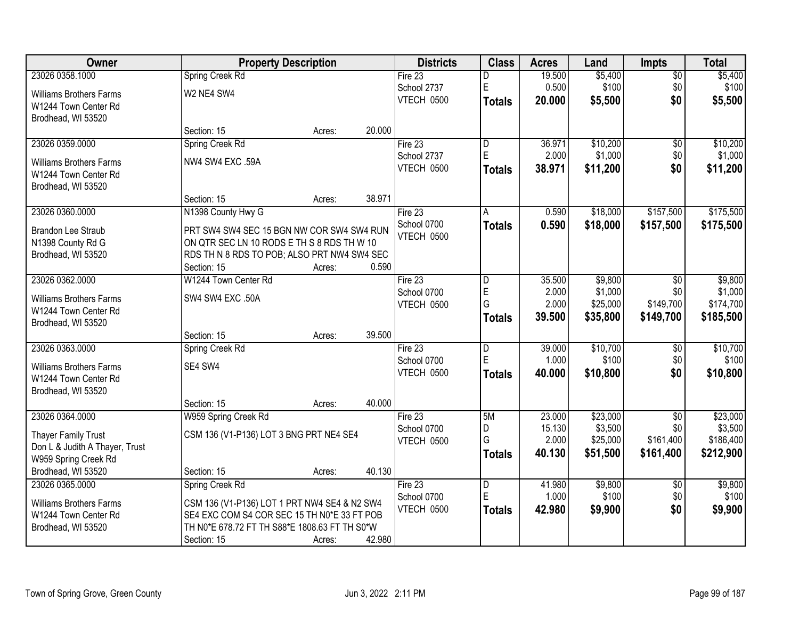| <b>Owner</b>                   | <b>Property Description</b>                   |        |        | <b>Districts</b> | <b>Class</b>            | <b>Acres</b>    | Land                 | <b>Impts</b>           | <b>Total</b>           |
|--------------------------------|-----------------------------------------------|--------|--------|------------------|-------------------------|-----------------|----------------------|------------------------|------------------------|
| 23026 0358.1000                | Spring Creek Rd                               |        |        | Fire 23          | D                       | 19.500          | \$5,400              | $\overline{60}$        | \$5,400                |
| <b>Williams Brothers Farms</b> | W2 NE4 SW4                                    |        |        | School 2737      | E                       | 0.500           | \$100                | \$0                    | \$100                  |
| W1244 Town Center Rd           |                                               |        |        | VTECH 0500       | <b>Totals</b>           | 20.000          | \$5,500              | \$0                    | \$5,500                |
| Brodhead, WI 53520             |                                               |        |        |                  |                         |                 |                      |                        |                        |
|                                | Section: 15                                   | Acres: | 20.000 |                  |                         |                 |                      |                        |                        |
| 23026 0359.0000                | Spring Creek Rd                               |        |        | Fire 23          | D                       | 36.971          | \$10,200             | $\overline{50}$        | \$10,200               |
| <b>Williams Brothers Farms</b> | NW4 SW4 EXC .59A                              |        |        | School 2737      | E                       | 2.000           | \$1,000              | \$0                    | \$1,000                |
| W1244 Town Center Rd           |                                               |        |        | VTECH 0500       | <b>Totals</b>           | 38.971          | \$11,200             | \$0                    | \$11,200               |
| Brodhead, WI 53520             |                                               |        |        |                  |                         |                 |                      |                        |                        |
|                                | Section: 15                                   | Acres: | 38.971 |                  |                         |                 |                      |                        |                        |
| 23026 0360.0000                | N1398 County Hwy G                            |        |        | Fire 23          | A                       | 0.590           | \$18,000             | \$157,500              | \$175,500              |
| <b>Brandon Lee Straub</b>      | PRT SW4 SW4 SEC 15 BGN NW COR SW4 SW4 RUN     |        |        | School 0700      | <b>Totals</b>           | 0.590           | \$18,000             | \$157,500              | \$175,500              |
| N1398 County Rd G              | ON QTR SEC LN 10 RODS E TH S 8 RDS TH W 10    |        |        | VTECH 0500       |                         |                 |                      |                        |                        |
| Brodhead, WI 53520             | RDS TH N 8 RDS TO POB; ALSO PRT NW4 SW4 SEC   |        |        |                  |                         |                 |                      |                        |                        |
|                                | Section: 15                                   | Acres: | 0.590  |                  |                         |                 |                      |                        |                        |
| 23026 0362.0000                | W1244 Town Center Rd                          |        |        | Fire $23$        | D                       | 35.500          | \$9,800              | \$0                    | \$9,800                |
| <b>Williams Brothers Farms</b> | SW4 SW4 EXC .50A                              |        |        | School 0700      | E                       | 2.000           | \$1,000              | \$0                    | \$1,000                |
| W1244 Town Center Rd           |                                               |        |        | VTECH 0500       | G                       | 2.000<br>39.500 | \$25,000             | \$149,700              | \$174,700              |
| Brodhead, WI 53520             |                                               |        |        |                  | <b>Totals</b>           |                 | \$35,800             | \$149,700              | \$185,500              |
|                                | Section: 15                                   | Acres: | 39.500 |                  |                         |                 |                      |                        |                        |
| 23026 0363.0000                | Spring Creek Rd                               |        |        | Fire 23          | D                       | 39.000          | \$10,700             | \$0                    | \$10,700               |
| <b>Williams Brothers Farms</b> | SE4 SW4                                       |        |        | School 0700      | Ė                       | 1.000           | \$100                | \$0                    | \$100                  |
| W1244 Town Center Rd           |                                               |        |        | VTECH 0500       | <b>Totals</b>           | 40.000          | \$10,800             | \$0                    | \$10,800               |
| Brodhead, WI 53520             |                                               |        |        |                  |                         |                 |                      |                        |                        |
|                                | Section: 15                                   | Acres: | 40.000 |                  |                         |                 |                      |                        |                        |
| 23026 0364.0000                | W959 Spring Creek Rd                          |        |        | Fire 23          | 5M                      | 23.000          | \$23,000             | $\overline{50}$        | \$23,000               |
| Thayer Family Trust            | CSM 136 (V1-P136) LOT 3 BNG PRT NE4 SE4       |        |        | School 0700      | D<br>G                  | 15.130<br>2.000 | \$3,500              | \$0                    | \$3,500                |
| Don L & Judith A Thayer, Trust |                                               |        |        | VTECH 0500       | <b>Totals</b>           | 40.130          | \$25,000<br>\$51,500 | \$161,400<br>\$161,400 | \$186,400<br>\$212,900 |
| W959 Spring Creek Rd           |                                               |        |        |                  |                         |                 |                      |                        |                        |
| Brodhead, WI 53520             | Section: 15                                   | Acres: | 40.130 |                  |                         |                 |                      |                        |                        |
| 23026 0365.0000                | Spring Creek Rd                               |        |        | Fire 23          | $\overline{\mathsf{D}}$ | 41.980          | \$9,800              | $\overline{30}$        | \$9,800                |
| <b>Williams Brothers Farms</b> | CSM 136 (V1-P136) LOT 1 PRT NW4 SE4 & N2 SW4  |        |        | School 0700      | E                       | 1.000           | \$100                | \$0                    | \$100                  |
| W1244 Town Center Rd           | SE4 EXC COM S4 COR SEC 15 TH N0*E 33 FT POB   |        |        | VTECH 0500       | <b>Totals</b>           | 42.980          | \$9,900              | \$0                    | \$9,900                |
| Brodhead, WI 53520             | TH N0*E 678.72 FT TH S88*E 1808.63 FT TH S0*W |        |        |                  |                         |                 |                      |                        |                        |
|                                | Section: 15                                   | Acres: | 42.980 |                  |                         |                 |                      |                        |                        |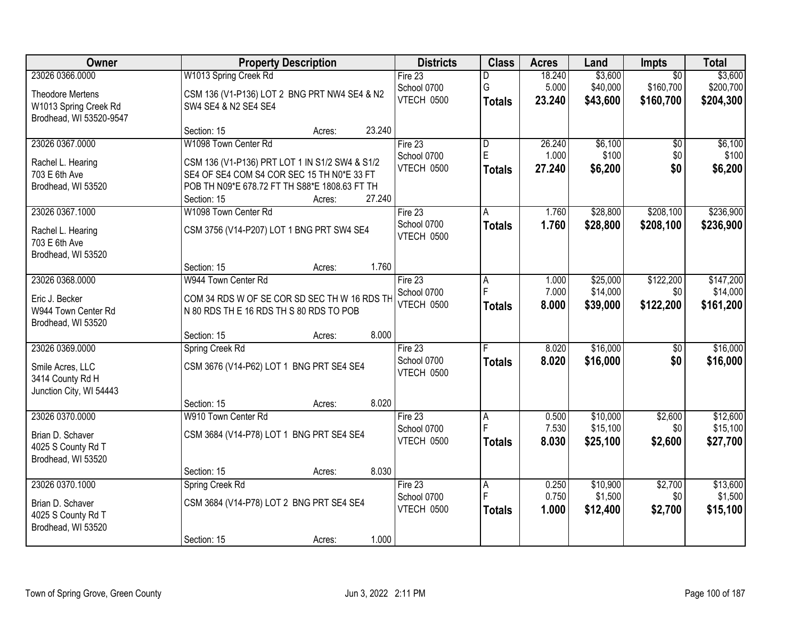| Owner                   |                                                | <b>Property Description</b> |        | <b>Districts</b>          | <b>Class</b>   | <b>Acres</b>   | Land     | Impts           | <b>Total</b> |
|-------------------------|------------------------------------------------|-----------------------------|--------|---------------------------|----------------|----------------|----------|-----------------|--------------|
| 23026 0366.0000         | W1013 Spring Creek Rd                          |                             |        | Fire $23$                 | D              | 18.240         | \$3,600  | $\overline{50}$ | \$3,600      |
| <b>Theodore Mertens</b> | CSM 136 (V1-P136) LOT 2 BNG PRT NW4 SE4 & N2   |                             |        | School 0700               | G              | 5.000          | \$40,000 | \$160,700       | \$200,700    |
| W1013 Spring Creek Rd   | SW4 SE4 & N2 SE4 SE4                           |                             |        | VTECH 0500                | <b>Totals</b>  | 23.240         | \$43,600 | \$160,700       | \$204,300    |
| Brodhead, WI 53520-9547 |                                                |                             |        |                           |                |                |          |                 |              |
|                         | Section: 15                                    | Acres:                      | 23.240 |                           |                |                |          |                 |              |
| 23026 0367.0000         | W1098 Town Center Rd                           |                             |        | Fire 23                   | $\overline{D}$ | 26.240         | \$6,100  | $\overline{50}$ | \$6,100      |
| Rachel L. Hearing       | CSM 136 (V1-P136) PRT LOT 1 IN S1/2 SW4 & S1/2 |                             |        | School 0700               | E              | 1.000          | \$100    | \$0             | \$100        |
| 703 E 6th Ave           | SE4 OF SE4 COM S4 COR SEC 15 TH N0*E 33 FT     |                             |        | VTECH 0500                | <b>Totals</b>  | 27.240         | \$6,200  | \$0             | \$6,200      |
| Brodhead, WI 53520      | POB TH N09*E 678.72 FT TH S88*E 1808.63 FT TH  |                             |        |                           |                |                |          |                 |              |
|                         | Section: 15                                    | Acres:                      | 27.240 |                           |                |                |          |                 |              |
| 23026 0367.1000         | W1098 Town Center Rd                           |                             |        | Fire 23                   | A              | 1.760          | \$28,800 | \$208,100       | \$236,900    |
| Rachel L. Hearing       | CSM 3756 (V14-P207) LOT 1 BNG PRT SW4 SE4      |                             |        | School 0700               | <b>Totals</b>  | 1.760          | \$28,800 | \$208,100       | \$236,900    |
| 703 E 6th Ave           |                                                |                             |        | VTECH 0500                |                |                |          |                 |              |
| Brodhead, WI 53520      |                                                |                             |        |                           |                |                |          |                 |              |
|                         | Section: 15                                    | Acres:                      | 1.760  |                           |                |                |          |                 |              |
| 23026 0368.0000         | W944 Town Center Rd                            |                             |        | Fire 23                   | Α              | 1.000          | \$25,000 | \$122,200       | \$147,200    |
| Eric J. Becker          | COM 34 RDS W OF SE COR SD SEC TH W 16 RDS TH   |                             |        | School 0700               |                | 7.000          | \$14,000 | \$0             | \$14,000     |
| W944 Town Center Rd     | N 80 RDS TH E 16 RDS TH S 80 RDS TO POB        |                             |        | VTECH 0500                | <b>Totals</b>  | 8.000          | \$39,000 | \$122,200       | \$161,200    |
| Brodhead, WI 53520      |                                                |                             |        |                           |                |                |          |                 |              |
|                         | Section: 15                                    | Acres:                      | 8.000  |                           |                |                |          |                 |              |
| 23026 0369.0000         | Spring Creek Rd                                |                             |        | Fire $23$                 |                | 8.020          | \$16,000 | $\overline{50}$ | \$16,000     |
| Smile Acres, LLC        | CSM 3676 (V14-P62) LOT 1 BNG PRT SE4 SE4       |                             |        | School 0700               | <b>Totals</b>  | 8.020          | \$16,000 | \$0             | \$16,000     |
| 3414 County Rd H        |                                                |                             |        | VTECH 0500                |                |                |          |                 |              |
| Junction City, WI 54443 |                                                |                             |        |                           |                |                |          |                 |              |
|                         | Section: 15                                    | Acres:                      | 8.020  |                           |                |                |          |                 |              |
| 23026 0370.0000         | W910 Town Center Rd                            |                             |        | Fire 23                   | A<br>F         | 0.500          | \$10,000 | \$2,600         | \$12,600     |
| Brian D. Schaver        | CSM 3684 (V14-P78) LOT 1 BNG PRT SE4 SE4       |                             |        | School 0700<br>VTECH 0500 |                | 7.530          | \$15,100 | \$0             | \$15,100     |
| 4025 S County Rd T      |                                                |                             |        |                           | <b>Totals</b>  | 8.030          | \$25,100 | \$2,600         | \$27,700     |
| Brodhead, WI 53520      |                                                |                             |        |                           |                |                |          |                 |              |
|                         | Section: 15                                    | Acres:                      | 8.030  |                           |                |                |          |                 |              |
| 23026 0370.1000         | Spring Creek Rd                                |                             |        | Fire $23$                 | A              | 0.250<br>0.750 | \$10,900 | \$2,700         | \$13,600     |
| Brian D. Schaver        | CSM 3684 (V14-P78) LOT 2 BNG PRT SE4 SE4       |                             |        | School 0700<br>VTECH 0500 |                |                | \$1,500  | \$0             | \$1,500      |
| 4025 S County Rd T      |                                                |                             |        |                           | <b>Totals</b>  | 1.000          | \$12,400 | \$2,700         | \$15,100     |
| Brodhead, WI 53520      |                                                |                             |        |                           |                |                |          |                 |              |
|                         | Section: 15                                    | Acres:                      | 1.000  |                           |                |                |          |                 |              |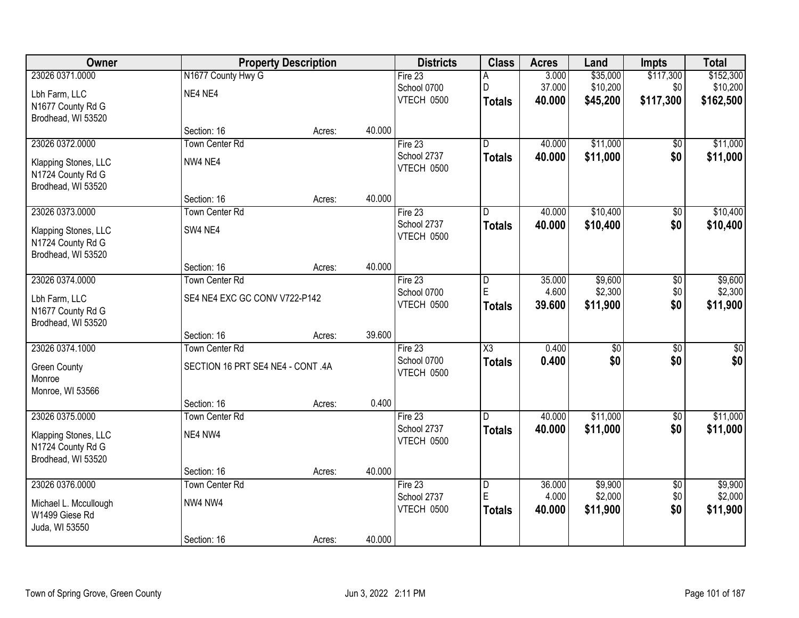| Owner                                   |                                   | <b>Property Description</b> |        | <b>Districts</b>          | <b>Class</b>            | <b>Acres</b>     | Land                 | <b>Impts</b>           | <b>Total</b>         |
|-----------------------------------------|-----------------------------------|-----------------------------|--------|---------------------------|-------------------------|------------------|----------------------|------------------------|----------------------|
| 23026 0371.0000                         | N1677 County Hwy G                |                             |        | Fire 23                   | Α                       | 3.000            | \$35,000             | \$117,300              | \$152,300            |
| Lbh Farm, LLC                           | NE4 NE4                           |                             |        | School 0700               | D                       | 37.000           | \$10,200             | \$0                    | \$10,200             |
| N1677 County Rd G                       |                                   |                             |        | VTECH 0500                | <b>Totals</b>           | 40.000           | \$45,200             | \$117,300              | \$162,500            |
| Brodhead, WI 53520                      |                                   |                             |        |                           |                         |                  |                      |                        |                      |
|                                         | Section: 16                       | Acres:                      | 40.000 |                           |                         |                  |                      |                        |                      |
| 23026 0372.0000                         | <b>Town Center Rd</b>             |                             |        | Fire 23                   | D.                      | 40.000           | \$11,000             | \$0                    | \$11,000             |
| Klapping Stones, LLC                    | NW4 NE4                           |                             |        | School 2737<br>VTECH 0500 | <b>Totals</b>           | 40.000           | \$11,000             | \$0                    | \$11,000             |
| N1724 County Rd G                       |                                   |                             |        |                           |                         |                  |                      |                        |                      |
| Brodhead, WI 53520                      |                                   |                             |        |                           |                         |                  |                      |                        |                      |
|                                         | Section: 16                       | Acres:                      | 40.000 |                           |                         |                  |                      |                        |                      |
| 23026 0373.0000                         | Town Center Rd                    |                             |        | Fire 23<br>School 2737    | D                       | 40.000<br>40.000 | \$10,400<br>\$10,400 | $\overline{50}$<br>\$0 | \$10,400<br>\$10,400 |
| Klapping Stones, LLC                    | SW4 NE4                           |                             |        | VTECH 0500                | <b>Totals</b>           |                  |                      |                        |                      |
| N1724 County Rd G                       |                                   |                             |        |                           |                         |                  |                      |                        |                      |
| Brodhead, WI 53520                      | Section: 16                       | Acres:                      | 40.000 |                           |                         |                  |                      |                        |                      |
| 23026 0374.0000                         | <b>Town Center Rd</b>             |                             |        | Fire 23                   | D                       | 35.000           | \$9,600              | \$0                    | \$9,600              |
|                                         |                                   |                             |        | School 0700               | E                       | 4.600            | \$2,300              | \$0                    | \$2,300              |
| Lbh Farm, LLC                           | SE4 NE4 EXC GC CONV V722-P142     |                             |        | VTECH 0500                | <b>Totals</b>           | 39.600           | \$11,900             | \$0                    | \$11,900             |
| N1677 County Rd G<br>Brodhead, WI 53520 |                                   |                             |        |                           |                         |                  |                      |                        |                      |
|                                         | Section: 16                       | Acres:                      | 39.600 |                           |                         |                  |                      |                        |                      |
| 23026 0374.1000                         | <b>Town Center Rd</b>             |                             |        | Fire 23                   | $\overline{\text{X3}}$  | 0.400            | $\overline{50}$      | $\overline{50}$        | $\overline{50}$      |
|                                         | SECTION 16 PRT SE4 NE4 - CONT .4A |                             |        | School 0700               | <b>Totals</b>           | 0.400            | \$0                  | \$0                    | \$0                  |
| <b>Green County</b><br>Monroe           |                                   |                             |        | VTECH 0500                |                         |                  |                      |                        |                      |
| Monroe, WI 53566                        |                                   |                             |        |                           |                         |                  |                      |                        |                      |
|                                         | Section: 16                       | Acres:                      | 0.400  |                           |                         |                  |                      |                        |                      |
| 23026 0375.0000                         | <b>Town Center Rd</b>             |                             |        | Fire $23$                 | D.                      | 40.000           | \$11,000             | $\overline{60}$        | \$11,000             |
| Klapping Stones, LLC                    | NE4 NW4                           |                             |        | School 2737               | <b>Totals</b>           | 40.000           | \$11,000             | \$0                    | \$11,000             |
| N1724 County Rd G                       |                                   |                             |        | VTECH 0500                |                         |                  |                      |                        |                      |
| Brodhead, WI 53520                      |                                   |                             |        |                           |                         |                  |                      |                        |                      |
|                                         | Section: 16                       | Acres:                      | 40.000 |                           |                         |                  |                      |                        |                      |
| 23026 0376.0000                         | Town Center Rd                    |                             |        | Fire 23                   | $\overline{\mathsf{D}}$ | 36.000           | \$9,900              | $\overline{50}$        | \$9,900              |
| Michael L. Mccullough                   | NW4 NW4                           |                             |        | School 2737               | E                       | 4.000            | \$2,000              | \$0                    | \$2,000              |
| W1499 Giese Rd                          |                                   |                             |        | VTECH 0500                | <b>Totals</b>           | 40.000           | \$11,900             | \$0                    | \$11,900             |
| Juda, WI 53550                          |                                   |                             |        |                           |                         |                  |                      |                        |                      |
|                                         | Section: 16                       | Acres:                      | 40.000 |                           |                         |                  |                      |                        |                      |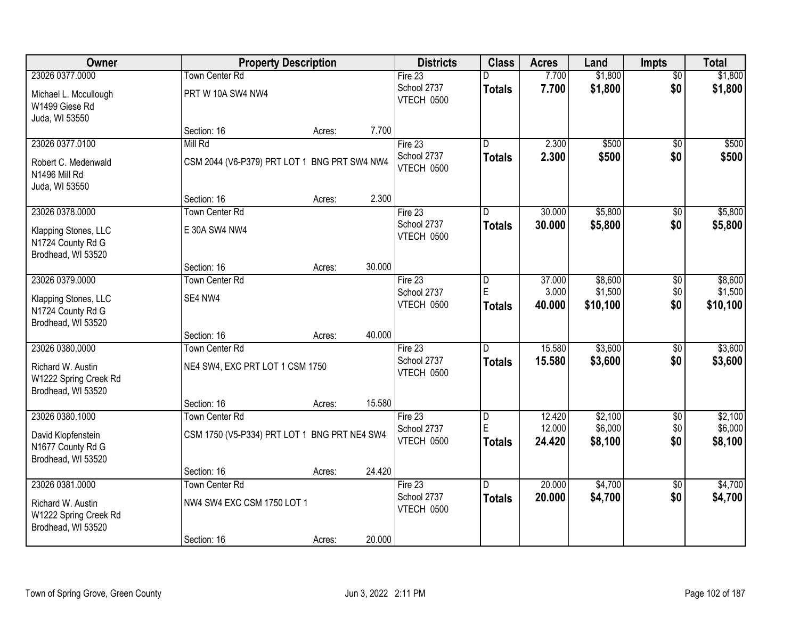| <b>Owner</b>                                                     |                                              | <b>Property Description</b> |        | <b>Districts</b>          | <b>Class</b>            | <b>Acres</b>     | Land                | <b>Impts</b>    | <b>Total</b>        |
|------------------------------------------------------------------|----------------------------------------------|-----------------------------|--------|---------------------------|-------------------------|------------------|---------------------|-----------------|---------------------|
| 23026 0377.0000                                                  | <b>Town Center Rd</b>                        |                             |        | Fire $23$                 |                         | 7.700            | \$1,800             | $\overline{50}$ | \$1,800             |
| Michael L. Mccullough<br>W1499 Giese Rd<br>Juda, WI 53550        | PRT W 10A SW4 NW4                            |                             |        | School 2737<br>VTECH 0500 | <b>Totals</b>           | 7.700            | \$1,800             | \$0             | \$1,800             |
|                                                                  | Section: 16                                  | Acres:                      | 7.700  |                           |                         |                  |                     |                 |                     |
| 23026 0377.0100                                                  | Mill Rd                                      |                             |        | Fire 23                   | $\overline{\mathsf{n}}$ | 2.300            | \$500               | $\overline{50}$ | \$500               |
| Robert C. Medenwald<br>N1496 Mill Rd<br>Juda, WI 53550           | CSM 2044 (V6-P379) PRT LOT 1 BNG PRT SW4 NW4 |                             |        | School 2737<br>VTECH 0500 | <b>Totals</b>           | 2.300            | \$500               | \$0             | \$500               |
|                                                                  | Section: 16                                  | Acres:                      | 2.300  |                           |                         |                  |                     |                 |                     |
| 23026 0378.0000                                                  | Town Center Rd                               |                             |        | Fire 23                   | D                       | 30.000           | \$5,800             | \$0             | \$5,800             |
| Klapping Stones, LLC<br>N1724 County Rd G<br>Brodhead, WI 53520  | E 30A SW4 NW4                                |                             |        | School 2737<br>VTECH 0500 | <b>Totals</b>           | 30.000           | \$5,800             | \$0             | \$5,800             |
|                                                                  | Section: 16                                  | Acres:                      | 30.000 |                           |                         |                  |                     |                 |                     |
| 23026 0379.0000                                                  | <b>Town Center Rd</b>                        |                             |        | Fire 23                   | D                       | 37.000           | \$8,600             | \$0             | \$8,600             |
| Klapping Stones, LLC<br>N1724 County Rd G<br>Brodhead, WI 53520  | SE4 NW4                                      |                             |        | School 2737<br>VTECH 0500 | E<br><b>Totals</b>      | 3.000<br>40.000  | \$1,500<br>\$10,100 | \$0<br>\$0      | \$1,500<br>\$10,100 |
|                                                                  | Section: 16                                  | Acres:                      | 40.000 |                           |                         |                  |                     |                 |                     |
| 23026 0380.0000                                                  | <b>Town Center Rd</b>                        |                             |        | Fire 23                   | n                       | 15.580           | \$3,600             | \$0             | \$3,600             |
| Richard W. Austin<br>W1222 Spring Creek Rd<br>Brodhead, WI 53520 | NE4 SW4, EXC PRT LOT 1 CSM 1750              |                             |        | School 2737<br>VTECH 0500 | <b>Totals</b>           | 15.580           | \$3,600             | \$0             | \$3,600             |
|                                                                  | Section: 16                                  | Acres:                      | 15.580 |                           |                         |                  |                     |                 |                     |
| 23026 0380.1000                                                  | <b>Town Center Rd</b>                        |                             |        | Fire 23                   | $\overline{D}$          | 12.420           | \$2,100             | $\overline{50}$ | \$2,100             |
| David Klopfenstein<br>N1677 County Rd G<br>Brodhead, WI 53520    | CSM 1750 (V5-P334) PRT LOT 1 BNG PRT NE4 SW4 |                             |        | School 2737<br>VTECH 0500 | E<br><b>Totals</b>      | 12.000<br>24.420 | \$6,000<br>\$8,100  | \$0<br>\$0      | \$6,000<br>\$8,100  |
|                                                                  | Section: 16                                  | Acres:                      | 24.420 |                           |                         |                  |                     |                 |                     |
| 23026 0381.0000                                                  | <b>Town Center Rd</b>                        |                             |        | Fire 23                   | $\overline{D}$          | 20.000           | \$4,700             | $\overline{50}$ | \$4,700             |
| Richard W. Austin<br>W1222 Spring Creek Rd<br>Brodhead, WI 53520 | NW4 SW4 EXC CSM 1750 LOT 1                   |                             |        | School 2737<br>VTECH 0500 | <b>Totals</b>           | 20.000           | \$4,700             | \$0             | \$4,700             |
|                                                                  | Section: 16                                  | Acres:                      | 20.000 |                           |                         |                  |                     |                 |                     |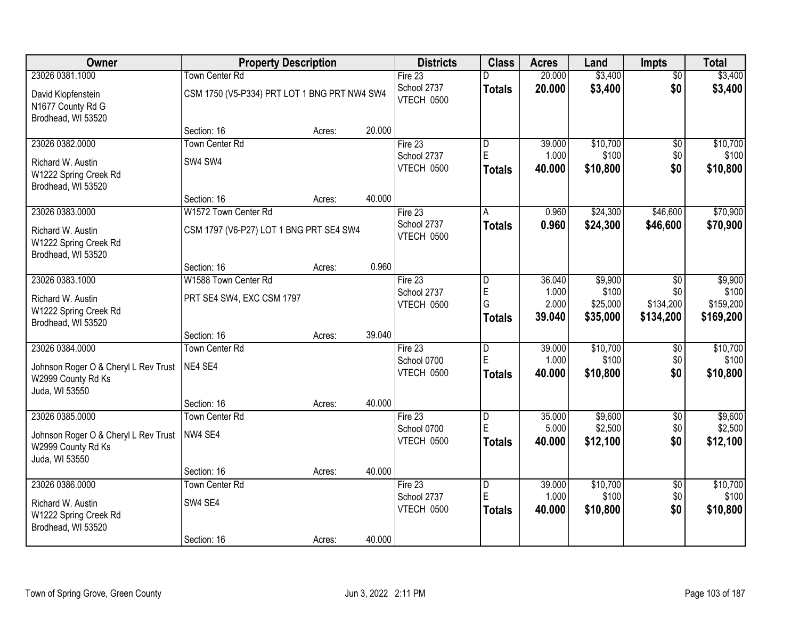| Owner                                                            | <b>Property Description</b>                  |        |        | <b>Districts</b>          | <b>Class</b>            | <b>Acres</b>    | Land              | Impts           | <b>Total</b>      |
|------------------------------------------------------------------|----------------------------------------------|--------|--------|---------------------------|-------------------------|-----------------|-------------------|-----------------|-------------------|
| 23026 0381.1000                                                  | <b>Town Center Rd</b>                        |        |        | Fire $23$                 |                         | 20.000          | \$3,400           | $\overline{50}$ | \$3,400           |
| David Klopfenstein<br>N1677 County Rd G<br>Brodhead, WI 53520    | CSM 1750 (V5-P334) PRT LOT 1 BNG PRT NW4 SW4 |        |        | School 2737<br>VTECH 0500 | <b>Totals</b>           | 20.000          | \$3,400           | \$0             | \$3,400           |
|                                                                  | Section: 16                                  | Acres: | 20.000 |                           |                         |                 |                   |                 |                   |
| 23026 0382.0000                                                  | <b>Town Center Rd</b>                        |        |        | Fire $23$                 | $\overline{\mathsf{D}}$ | 39.000          | \$10,700          | $\overline{50}$ | \$10,700          |
| Richard W. Austin                                                | SW4 SW4                                      |        |        | School 2737               | E                       | 1.000           | \$100             | \$0             | \$100             |
| W1222 Spring Creek Rd<br>Brodhead, WI 53520                      |                                              |        |        | VTECH 0500                | <b>Totals</b>           | 40.000          | \$10,800          | \$0             | \$10,800          |
|                                                                  | Section: 16                                  | Acres: | 40.000 |                           |                         |                 |                   |                 |                   |
| 23026 0383.0000                                                  | W1572 Town Center Rd                         |        |        | Fire 23                   | A                       | 0.960           | \$24,300          | \$46,600        | \$70,900          |
| Richard W. Austin<br>W1222 Spring Creek Rd<br>Brodhead, WI 53520 | CSM 1797 (V6-P27) LOT 1 BNG PRT SE4 SW4      |        |        | School 2737<br>VTECH 0500 | <b>Totals</b>           | 0.960           | \$24,300          | \$46,600        | \$70,900          |
|                                                                  | Section: 16                                  | Acres: | 0.960  |                           |                         |                 |                   |                 |                   |
| 23026 0383.1000                                                  | W1588 Town Center Rd                         |        |        | Fire 23                   | D                       | 36.040          | \$9,900           | \$0             | \$9,900           |
| Richard W. Austin                                                | PRT SE4 SW4, EXC CSM 1797                    |        |        | School 2737               | E                       | 1.000           | \$100             | \$0             | \$100             |
| W1222 Spring Creek Rd                                            |                                              |        |        | VTECH 0500                | G                       | 2.000           | \$25,000          | \$134,200       | \$159,200         |
| Brodhead, WI 53520                                               |                                              |        |        |                           | <b>Totals</b>           | 39.040          | \$35,000          | \$134,200       | \$169,200         |
|                                                                  | Section: 16                                  | Acres: | 39.040 |                           |                         |                 |                   |                 |                   |
| 23026 0384.0000                                                  | <b>Town Center Rd</b>                        |        |        | Fire $23$                 | D<br>E                  | 39.000          | \$10,700          | $\overline{50}$ | \$10,700          |
| Johnson Roger O & Cheryl L Rev Trust                             | NE4 SE4                                      |        |        | School 0700<br>VTECH 0500 | <b>Totals</b>           | 1.000<br>40.000 | \$100<br>\$10,800 | \$0<br>\$0      | \$100<br>\$10,800 |
| W2999 County Rd Ks                                               |                                              |        |        |                           |                         |                 |                   |                 |                   |
| Juda, WI 53550                                                   |                                              |        |        |                           |                         |                 |                   |                 |                   |
| 23026 0385.0000                                                  | Section: 16<br><b>Town Center Rd</b>         | Acres: | 40.000 | Fire 23                   | D                       | 35.000          | \$9,600           | $\overline{50}$ | \$9,600           |
|                                                                  |                                              |        |        | School 0700               | E                       | 5.000           | \$2,500           | \$0             | \$2,500           |
| Johnson Roger O & Cheryl L Rev Trust                             | NW4 SE4                                      |        |        | VTECH 0500                | <b>Totals</b>           | 40.000          | \$12,100          | \$0             | \$12,100          |
| W2999 County Rd Ks<br>Juda, WI 53550                             |                                              |        |        |                           |                         |                 |                   |                 |                   |
|                                                                  | Section: 16                                  | Acres: | 40.000 |                           |                         |                 |                   |                 |                   |
| 23026 0386.0000                                                  | <b>Town Center Rd</b>                        |        |        | Fire $23$                 | $\overline{D}$          | 39.000          | \$10,700          | $\overline{50}$ | \$10,700          |
| Richard W. Austin                                                | SW4 SE4                                      |        |        | School 2737               | E                       | 1.000           | \$100             | \$0             | \$100             |
| W1222 Spring Creek Rd                                            |                                              |        |        | VTECH 0500                | <b>Totals</b>           | 40.000          | \$10,800          | \$0             | \$10,800          |
| Brodhead, WI 53520                                               |                                              |        |        |                           |                         |                 |                   |                 |                   |
|                                                                  | Section: 16                                  | Acres: | 40.000 |                           |                         |                 |                   |                 |                   |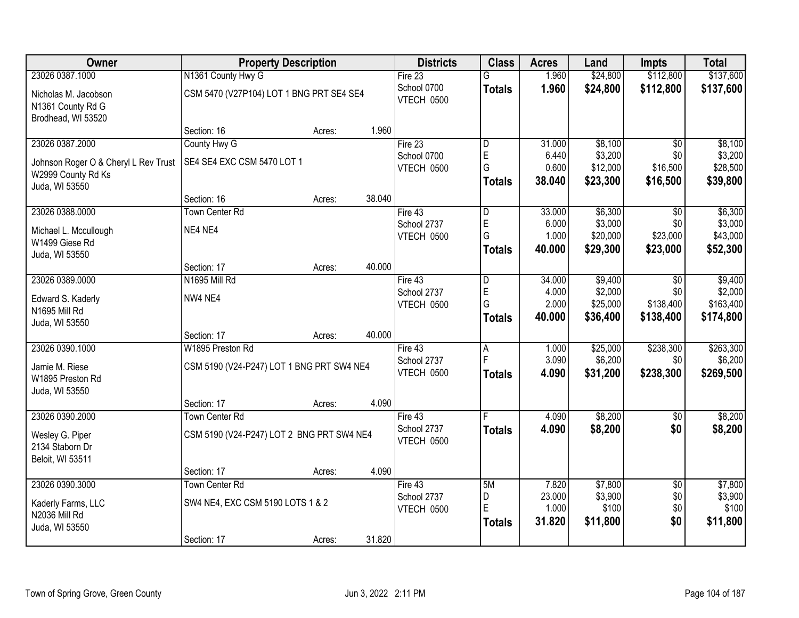| Owner                                                      | <b>Property Description</b>               |        |        | <b>Districts</b>          | <b>Class</b>        | <b>Acres</b>    | Land     | <b>Impts</b>    | <b>Total</b> |
|------------------------------------------------------------|-------------------------------------------|--------|--------|---------------------------|---------------------|-----------------|----------|-----------------|--------------|
| 23026 0387.1000                                            | N1361 County Hwy G                        |        |        | Fire 23                   | G                   | 1.960           | \$24,800 | \$112,800       | \$137,600    |
| Nicholas M. Jacobson<br>N1361 County Rd G                  | CSM 5470 (V27P104) LOT 1 BNG PRT SE4 SE4  |        |        | School 0700<br>VTECH 0500 | <b>Totals</b>       | 1.960           | \$24,800 | \$112,800       | \$137,600    |
| Brodhead, WI 53520                                         | Section: 16                               | Acres: | 1.960  |                           |                     |                 |          |                 |              |
| 23026 0387.2000                                            | County Hwy G                              |        |        | Fire $23$                 | D                   | 31.000          | \$8,100  | $\overline{50}$ | \$8,100      |
|                                                            | SE4 SE4 EXC CSM 5470 LOT 1                |        |        | School 0700               | $\mathsf E$         | 6.440           | \$3,200  | \$0             | \$3,200      |
| Johnson Roger O & Cheryl L Rev Trust<br>W2999 County Rd Ks |                                           |        |        | VTECH 0500                | G                   | 0.600           | \$12,000 | \$16,500        | \$28,500     |
| Juda, WI 53550                                             |                                           |        |        |                           | <b>Totals</b>       | 38.040          | \$23,300 | \$16,500        | \$39,800     |
|                                                            | Section: 16                               | Acres: | 38.040 |                           |                     |                 |          |                 |              |
| 23026 0388.0000                                            | <b>Town Center Rd</b>                     |        |        | Fire 43                   | D                   | 33.000          | \$6,300  | \$0             | \$6,300      |
| Michael L. Mccullough                                      | NE4 NE4                                   |        |        | School 2737               | $\mathsf E$         | 6.000           | \$3,000  | \$0             | \$3,000      |
| W1499 Giese Rd                                             |                                           |        |        | VTECH 0500                | G                   | 1.000           | \$20,000 | \$23,000        | \$43,000     |
| Juda, WI 53550                                             |                                           |        |        |                           | Totals              | 40.000          | \$29,300 | \$23,000        | \$52,300     |
|                                                            | Section: 17                               | Acres: | 40.000 |                           |                     |                 |          |                 |              |
| 23026 0389.0000                                            | N1695 Mill Rd                             |        |        | Fire 43                   | D                   | 34.000          | \$9,400  | \$0             | \$9,400      |
| Edward S. Kaderly                                          | NW4 NE4                                   |        |        | School 2737               | $\mathsf E$         | 4.000           | \$2,000  | \$0             | \$2,000      |
| N1695 Mill Rd                                              |                                           |        |        | VTECH 0500                | G                   | 2.000<br>40.000 | \$25,000 | \$138,400       | \$163,400    |
| Juda, WI 53550                                             |                                           |        |        |                           | <b>Totals</b>       |                 | \$36,400 | \$138,400       | \$174,800    |
|                                                            | Section: 17                               | Acres: | 40.000 |                           |                     |                 |          |                 |              |
| 23026 0390.1000                                            | W1895 Preston Rd                          |        |        | Fire 43                   | $\overline{A}$<br>F | 1.000           | \$25,000 | \$238,300       | \$263,300    |
| Jamie M. Riese                                             | CSM 5190 (V24-P247) LOT 1 BNG PRT SW4 NE4 |        |        | School 2737<br>VTECH 0500 |                     | 3.090           | \$6,200  | \$0             | \$6,200      |
| W1895 Preston Rd                                           |                                           |        |        |                           | <b>Totals</b>       | 4.090           | \$31,200 | \$238,300       | \$269,500    |
| Juda, WI 53550                                             |                                           |        |        |                           |                     |                 |          |                 |              |
|                                                            | Section: 17                               | Acres: | 4.090  |                           |                     |                 |          |                 |              |
| 23026 0390.2000                                            | <b>Town Center Rd</b>                     |        |        | Fire 43                   |                     | 4.090           | \$8,200  | $\sqrt{6}$      | \$8,200      |
| Wesley G. Piper                                            | CSM 5190 (V24-P247) LOT 2 BNG PRT SW4 NE4 |        |        | School 2737<br>VTECH 0500 | <b>Totals</b>       | 4.090           | \$8,200  | \$0             | \$8,200      |
| 2134 Staborn Dr                                            |                                           |        |        |                           |                     |                 |          |                 |              |
| Beloit, WI 53511                                           |                                           |        |        |                           |                     |                 |          |                 |              |
| 23026 0390.3000                                            | Section: 17<br><b>Town Center Rd</b>      | Acres: | 4.090  | Fire 43                   | 5M                  | 7.820           | \$7,800  | $\overline{50}$ | \$7,800      |
|                                                            |                                           |        |        | School 2737               | D                   | 23.000          | \$3,900  | \$0             | \$3,900      |
| Kaderly Farms, LLC                                         | SW4 NE4, EXC CSM 5190 LOTS 1 & 2          |        |        | VTECH 0500                | E                   | 1.000           | \$100    | \$0             | \$100        |
| N2036 Mill Rd                                              |                                           |        |        |                           | <b>Totals</b>       | 31.820          | \$11,800 | \$0             | \$11,800     |
| Juda, WI 53550                                             | Section: 17                               | Acres: | 31.820 |                           |                     |                 |          |                 |              |
|                                                            |                                           |        |        |                           |                     |                 |          |                 |              |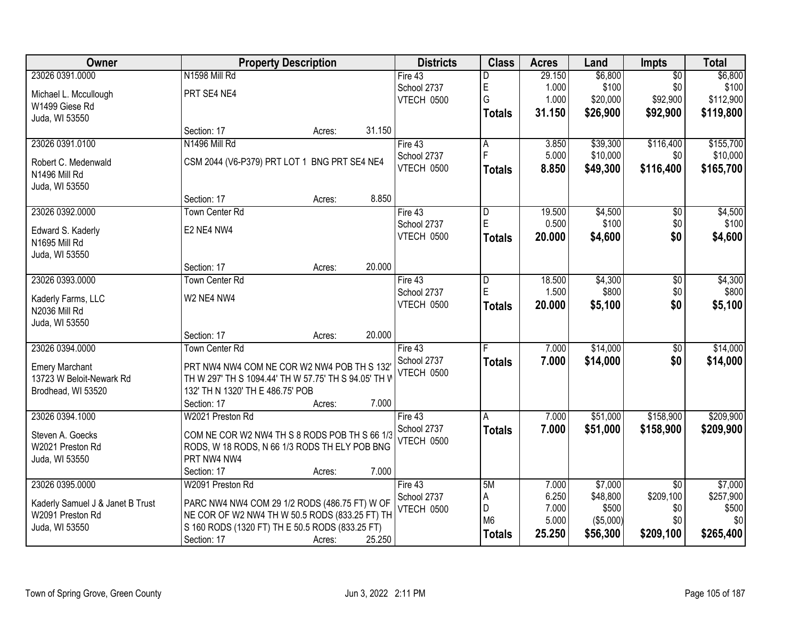| Owner                            |                                                      | <b>Property Description</b> |        | <b>Districts</b> | <b>Class</b>   | <b>Acres</b> | Land       | <b>Impts</b>    | <b>Total</b> |
|----------------------------------|------------------------------------------------------|-----------------------------|--------|------------------|----------------|--------------|------------|-----------------|--------------|
| 23026 0391.0000                  | N1598 Mill Rd                                        |                             |        | Fire 43          | D              | 29.150       | \$6,800    | $\overline{50}$ | \$6,800      |
| Michael L. Mccullough            | PRT SE4 NE4                                          |                             |        | School 2737      | E              | 1.000        | \$100      | \$0             | \$100        |
| W1499 Giese Rd                   |                                                      |                             |        | VTECH 0500       | G              | 1.000        | \$20,000   | \$92,900        | \$112,900    |
| Juda, WI 53550                   |                                                      |                             |        |                  | <b>Totals</b>  | 31.150       | \$26,900   | \$92,900        | \$119,800    |
|                                  | Section: 17                                          | Acres:                      | 31.150 |                  |                |              |            |                 |              |
| 23026 0391.0100                  | N1496 Mill Rd                                        |                             |        | Fire 43          | A              | 3.850        | \$39,300   | \$116,400       | \$155,700    |
| Robert C. Medenwald              | CSM 2044 (V6-P379) PRT LOT 1 BNG PRT SE4 NE4         |                             |        | School 2737      |                | 5.000        | \$10,000   | \$0             | \$10,000     |
| N1496 Mill Rd                    |                                                      |                             |        | VTECH 0500       | <b>Totals</b>  | 8.850        | \$49,300   | \$116,400       | \$165,700    |
| Juda, WI 53550                   |                                                      |                             |        |                  |                |              |            |                 |              |
|                                  | Section: 17                                          | Acres:                      | 8.850  |                  |                |              |            |                 |              |
| 23026 0392.0000                  | <b>Town Center Rd</b>                                |                             |        | Fire 43          | D              | 19.500       | \$4,500    | $\overline{50}$ | \$4,500      |
| Edward S. Kaderly                | E2 NE4 NW4                                           |                             |        | School 2737      | E              | 0.500        | \$100      | \$0             | \$100        |
| N1695 Mill Rd                    |                                                      |                             |        | VTECH 0500       | <b>Totals</b>  | 20.000       | \$4,600    | \$0             | \$4,600      |
| Juda, WI 53550                   |                                                      |                             |        |                  |                |              |            |                 |              |
|                                  | Section: 17                                          | Acres:                      | 20.000 |                  |                |              |            |                 |              |
| 23026 0393.0000                  | <b>Town Center Rd</b>                                |                             |        | Fire 43          | D              | 18.500       | \$4,300    | \$0             | \$4,300      |
| Kaderly Farms, LLC               | W2 NE4 NW4                                           |                             |        | School 2737      | E              | 1.500        | \$800      | \$0             | \$800        |
| N2036 Mill Rd                    |                                                      |                             |        | VTECH 0500       | <b>Totals</b>  | 20.000       | \$5,100    | \$0             | \$5,100      |
| Juda, WI 53550                   |                                                      |                             |        |                  |                |              |            |                 |              |
|                                  | Section: 17                                          | Acres:                      | 20.000 |                  |                |              |            |                 |              |
| 23026 0394.0000                  | <b>Town Center Rd</b>                                |                             |        | Fire 43          | F              | 7.000        | \$14,000   | $\overline{50}$ | \$14,000     |
| <b>Emery Marchant</b>            | PRT NW4 NW4 COM NE COR W2 NW4 POB TH S 132           |                             |        | School 2737      | <b>Totals</b>  | 7.000        | \$14,000   | \$0             | \$14,000     |
| 13723 W Beloit-Newark Rd         | TH W 297' TH S 1094.44' TH W 57.75' TH S 94.05' TH V |                             |        | VTECH 0500       |                |              |            |                 |              |
| Brodhead, WI 53520               | 132' TH N 1320' TH E 486.75' POB                     |                             |        |                  |                |              |            |                 |              |
|                                  | Section: 17                                          | Acres:                      | 7.000  |                  |                |              |            |                 |              |
| 23026 0394.1000                  | W2021 Preston Rd                                     |                             |        | Fire 43          | A              | 7.000        | \$51,000   | \$158,900       | \$209,900    |
| Steven A. Goecks                 | COM NE COR W2 NW4 TH S 8 RODS POB TH S 66 1/3        |                             |        | School 2737      | <b>Totals</b>  | 7.000        | \$51,000   | \$158,900       | \$209,900    |
| W2021 Preston Rd                 | RODS, W 18 RODS, N 66 1/3 RODS TH ELY POB BNG        |                             |        | VTECH 0500       |                |              |            |                 |              |
| Juda, WI 53550                   | PRT NW4 NW4                                          |                             |        |                  |                |              |            |                 |              |
|                                  | Section: 17                                          | Acres:                      | 7.000  |                  |                |              |            |                 |              |
| 23026 0395.0000                  | W2091 Preston Rd                                     |                             |        | Fire 43          | 5M             | 7.000        | \$7,000    | $\overline{30}$ | \$7,000      |
| Kaderly Samuel J & Janet B Trust | PARC NW4 NW4 COM 29 1/2 RODS (486.75 FT) W OF        |                             |        | School 2737      | A              | 6.250        | \$48,800   | \$209,100       | \$257,900    |
| W2091 Preston Rd                 | NE COR OF W2 NW4 TH W 50.5 RODS (833.25 FT) TH       |                             |        | VTECH 0500       | D              | 7.000        | \$500      | \$0             | \$500        |
| Juda, WI 53550                   | S 160 RODS (1320 FT) TH E 50.5 RODS (833.25 FT)      |                             |        |                  | M <sub>6</sub> | 5.000        | ( \$5,000) | \$0             | \$0          |
|                                  | Section: 17                                          | Acres:                      | 25.250 |                  | <b>Totals</b>  | 25.250       | \$56,300   | \$209,100       | \$265,400    |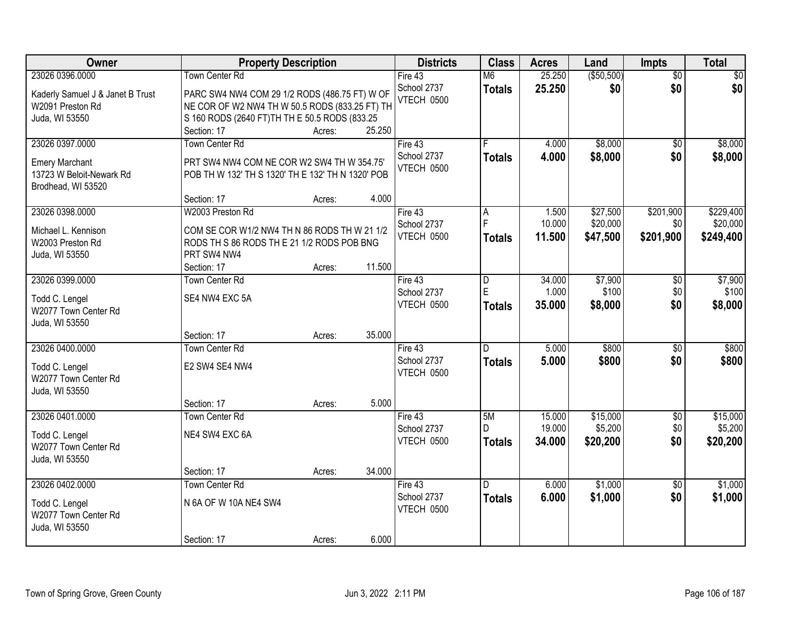| Owner                                             | <b>Property Description</b>                               |        |        | <b>Districts</b>  | <b>Class</b>            | <b>Acres</b> | Land        | Impts           | <b>Total</b> |
|---------------------------------------------------|-----------------------------------------------------------|--------|--------|-------------------|-------------------------|--------------|-------------|-----------------|--------------|
| 23026 0396.0000                                   | Town Center Rd                                            |        |        | Fire 43           | M6                      | 25.250       | ( \$50,500) | $\overline{50}$ | \$0          |
| Kaderly Samuel J & Janet B Trust                  | PARC SW4 NW4 COM 29 1/2 RODS (486.75 FT) W OF             |        |        | School 2737       | <b>Totals</b>           | 25.250       | \$0         | \$0             | \$0          |
| W2091 Preston Rd                                  | NE COR OF W2 NW4 TH W 50.5 RODS (833.25 FT) TH            |        |        | <b>VTECH 0500</b> |                         |              |             |                 |              |
| Juda, WI 53550                                    | S 160 RODS (2640 FT) TH TH E 50.5 RODS (833.25            |        |        |                   |                         |              |             |                 |              |
|                                                   | Section: 17                                               | Acres: | 25.250 |                   |                         |              |             |                 |              |
| 23026 0397.0000                                   | Town Center Rd                                            |        |        | Fire $43$         |                         | 4.000        | \$8,000     | \$0             | \$8,000      |
|                                                   | PRT SW4 NW4 COM NE COR W2 SW4 TH W 354.75'                |        |        | School 2737       | <b>Totals</b>           | 4.000        | \$8,000     | \$0             | \$8,000      |
| <b>Emery Marchant</b><br>13723 W Beloit-Newark Rd | POB TH W 132' TH S 1320' TH E 132' TH N 1320' POB         |        |        | <b>VTECH 0500</b> |                         |              |             |                 |              |
| Brodhead, WI 53520                                |                                                           |        |        |                   |                         |              |             |                 |              |
|                                                   | Section: 17                                               | Acres: | 4.000  |                   |                         |              |             |                 |              |
| 23026 0398.0000                                   | W2003 Preston Rd                                          |        |        | Fire 43           | А                       | 1.500        | \$27,500    | \$201,900       | \$229,400    |
|                                                   |                                                           |        |        | School 2737       | F                       | 10.000       | \$20,000    | \$0             | \$20,000     |
| Michael L. Kennison                               | COM SE COR W1/2 NW4 TH N 86 RODS TH W 21 1/2              |        |        | VTECH 0500        | <b>Totals</b>           | 11.500       | \$47,500    | \$201,900       | \$249,400    |
| W2003 Preston Rd                                  | RODS TH S 86 RODS TH E 21 1/2 RODS POB BNG<br>PRT SW4 NW4 |        |        |                   |                         |              |             |                 |              |
| Juda, WI 53550                                    | Section: 17                                               | Acres: | 11.500 |                   |                         |              |             |                 |              |
| 23026 0399.0000                                   | <b>Town Center Rd</b>                                     |        |        | Fire 43           | D                       | 34.000       | \$7,900     | \$0             | \$7,900      |
|                                                   |                                                           |        |        | School 2737       | E                       | 1.000        | \$100       | \$0             | \$100        |
| Todd C. Lengel                                    | SE4 NW4 EXC 5A                                            |        |        | VTECH 0500        | <b>Totals</b>           | 35.000       | \$8,000     | \$0             | \$8,000      |
| W2077 Town Center Rd                              |                                                           |        |        |                   |                         |              |             |                 |              |
| Juda, WI 53550                                    |                                                           |        |        |                   |                         |              |             |                 |              |
|                                                   | Section: 17                                               | Acres: | 35.000 |                   |                         |              |             |                 |              |
| 23026 0400.0000                                   | Town Center Rd                                            |        |        | Fire 43           | $\overline{\mathsf{n}}$ | 5.000        | \$800       | $\overline{50}$ | \$800        |
| Todd C. Lengel                                    | E2 SW4 SE4 NW4                                            |        |        | School 2737       | <b>Totals</b>           | 5.000        | \$800       | \$0             | \$800        |
| W2077 Town Center Rd                              |                                                           |        |        | VTECH 0500        |                         |              |             |                 |              |
| Juda, WI 53550                                    |                                                           |        |        |                   |                         |              |             |                 |              |
|                                                   | Section: 17                                               | Acres: | 5.000  |                   |                         |              |             |                 |              |
| 23026 0401.0000                                   | Town Center Rd                                            |        |        | Fire 43           | 5M                      | 15.000       | \$15,000    | $\overline{60}$ | \$15,000     |
| Todd C. Lengel                                    | NE4 SW4 EXC 6A                                            |        |        | School 2737       | D.                      | 19.000       | \$5,200     | \$0             | \$5,200      |
| W2077 Town Center Rd                              |                                                           |        |        | VTECH 0500        | <b>Totals</b>           | 34.000       | \$20,200    | \$0             | \$20,200     |
| Juda, WI 53550                                    |                                                           |        |        |                   |                         |              |             |                 |              |
|                                                   | Section: 17                                               | Acres: | 34.000 |                   |                         |              |             |                 |              |
| 23026 0402.0000                                   | <b>Town Center Rd</b>                                     |        |        | Fire $43$         | D.                      | 6.000        | \$1,000     | $\overline{50}$ | \$1,000      |
|                                                   | N 6A OF W 10A NE4 SW4                                     |        |        | School 2737       | <b>Totals</b>           | 6.000        | \$1,000     | \$0             | \$1,000      |
| Todd C. Lengel<br>W2077 Town Center Rd            |                                                           |        |        | VTECH 0500        |                         |              |             |                 |              |
| Juda, WI 53550                                    |                                                           |        |        |                   |                         |              |             |                 |              |
|                                                   | Section: 17                                               | Acres: | 6.000  |                   |                         |              |             |                 |              |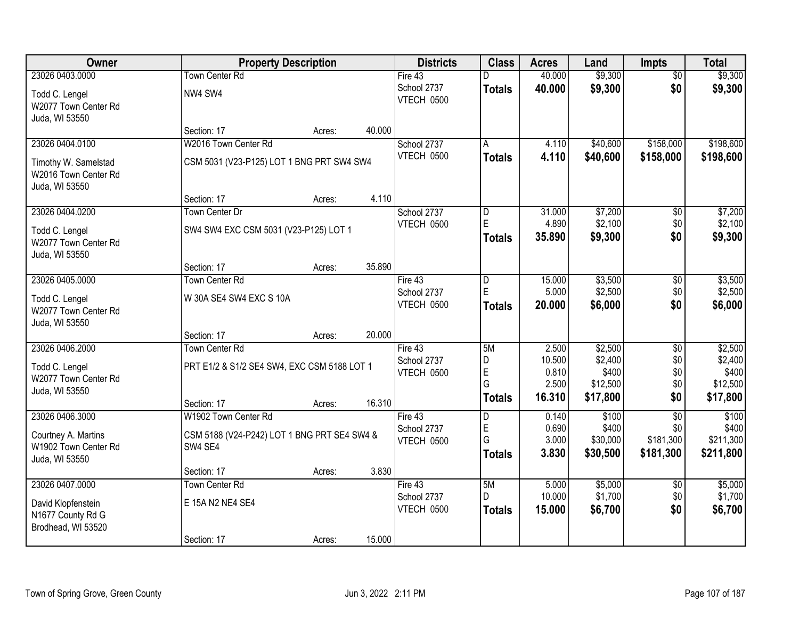| Owner                                                          |                                             | <b>Property Description</b> |        | <b>Districts</b>          | <b>Class</b>       | <b>Acres</b>    | Land               | <b>Impts</b>    | <b>Total</b>       |
|----------------------------------------------------------------|---------------------------------------------|-----------------------------|--------|---------------------------|--------------------|-----------------|--------------------|-----------------|--------------------|
| 23026 0403.0000                                                | Town Center Rd                              |                             |        | Fire 43                   | D                  | 40.000          | \$9,300            | $\overline{50}$ | \$9,300            |
| Todd C. Lengel<br>W2077 Town Center Rd<br>Juda, WI 53550       | NW4 SW4                                     |                             |        | School 2737<br>VTECH 0500 | <b>Totals</b>      | 40.000          | \$9,300            | \$0             | \$9,300            |
|                                                                | Section: 17                                 | Acres:                      | 40.000 |                           |                    |                 |                    |                 |                    |
| 23026 0404.0100                                                | W2016 Town Center Rd                        |                             |        | School 2737               | A                  | 4.110           | \$40,600           | \$158,000       | \$198,600          |
| Timothy W. Samelstad<br>W2016 Town Center Rd<br>Juda, WI 53550 | CSM 5031 (V23-P125) LOT 1 BNG PRT SW4 SW4   |                             |        | VTECH 0500                | <b>Totals</b>      | 4.110           | \$40,600           | \$158,000       | \$198,600          |
|                                                                | Section: 17                                 | Acres:                      | 4.110  |                           |                    |                 |                    |                 |                    |
| 23026 0404.0200                                                | <b>Town Center Dr</b>                       |                             |        | School 2737               | D                  | 31.000          | \$7,200            | \$0             | \$7,200            |
| Todd C. Lengel<br>W2077 Town Center Rd<br>Juda, WI 53550       | SW4 SW4 EXC CSM 5031 (V23-P125) LOT 1       |                             |        | VTECH 0500                | E<br><b>Totals</b> | 4.890<br>35.890 | \$2,100<br>\$9,300 | \$0<br>\$0      | \$2,100<br>\$9,300 |
|                                                                | Section: 17                                 | Acres:                      | 35.890 |                           |                    |                 |                    |                 |                    |
| 23026 0405.0000                                                | <b>Town Center Rd</b>                       |                             |        | Fire 43                   | D                  | 15.000          | \$3,500            | $\sqrt[6]{3}$   | \$3,500            |
| Todd C. Lengel<br>W2077 Town Center Rd                         | W 30A SE4 SW4 EXC S 10A                     |                             |        | School 2737<br>VTECH 0500 | E<br>Totals        | 5.000<br>20.000 | \$2,500<br>\$6,000 | \$0<br>\$0      | \$2,500<br>\$6,000 |
| Juda, WI 53550                                                 |                                             |                             |        |                           |                    |                 |                    |                 |                    |
|                                                                | Section: 17                                 | Acres:                      | 20.000 |                           |                    |                 |                    |                 |                    |
| 23026 0406.2000                                                | <b>Town Center Rd</b>                       |                             |        | Fire 43                   | 5M                 | 2.500           | \$2,500            | $\overline{50}$ | \$2,500            |
| Todd C. Lengel                                                 | PRT E1/2 & S1/2 SE4 SW4, EXC CSM 5188 LOT 1 |                             |        | School 2737<br>VTECH 0500 | D<br>$\mathsf E$   | 10.500<br>0.810 | \$2,400<br>\$400   | \$0<br>\$0      | \$2,400<br>\$400   |
| W2077 Town Center Rd                                           |                                             |                             |        |                           | G                  | 2.500           | \$12,500           | \$0             | \$12,500           |
| Juda, WI 53550                                                 |                                             |                             |        |                           | Totals             | 16.310          | \$17,800           | \$0             | \$17,800           |
| 23026 0406.3000                                                | Section: 17<br>W1902 Town Center Rd         | Acres:                      | 16.310 | Fire 43                   | D                  | 0.140           | \$100              | $\overline{50}$ | \$100              |
|                                                                |                                             |                             |        | School 2737               | E                  | 0.690           | \$400              | \$0             | \$400              |
| Courtney A. Martins                                            | CSM 5188 (V24-P242) LOT 1 BNG PRT SE4 SW4 & |                             |        | VTECH 0500                | G                  | 3.000           | \$30,000           | \$181,300       | \$211,300          |
| W1902 Town Center Rd<br>Juda, WI 53550                         | SW4 SE4                                     |                             |        |                           | <b>Totals</b>      | 3.830           | \$30,500           | \$181,300       | \$211,800          |
|                                                                | Section: 17                                 | Acres:                      | 3.830  |                           |                    |                 |                    |                 |                    |
| 23026 0407.0000                                                | <b>Town Center Rd</b>                       |                             |        | Fire $43$                 | 5M                 | 5.000           | \$5,000            | $\overline{50}$ | \$5,000            |
| David Klopfenstein                                             | E 15A N2 NE4 SE4                            |                             |        | School 2737               | D.                 | 10.000          | \$1,700            | \$0             | \$1,700            |
| N1677 County Rd G<br>Brodhead, WI 53520                        |                                             |                             |        | VTECH 0500                | <b>Totals</b>      | 15.000          | \$6,700            | \$0             | \$6,700            |
|                                                                | Section: 17                                 | Acres:                      | 15.000 |                           |                    |                 |                    |                 |                    |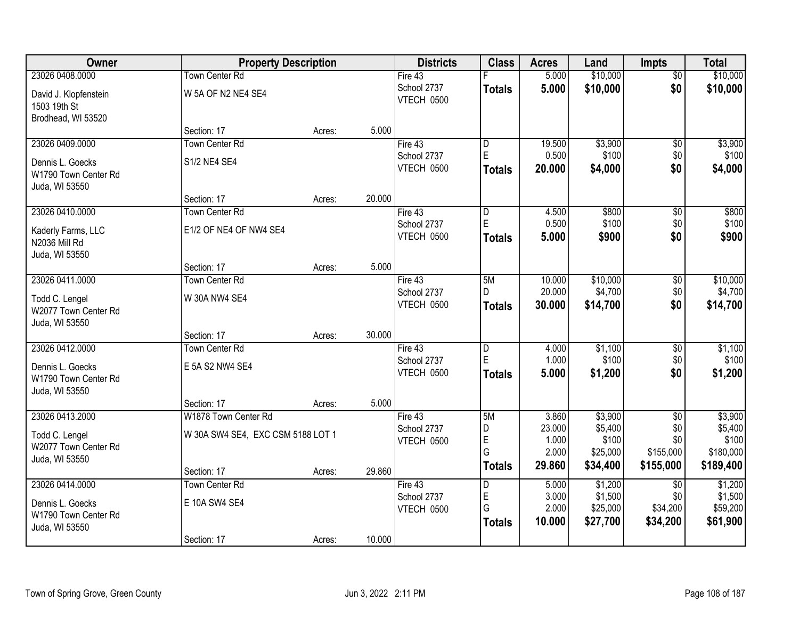| Owner                                  | <b>Property Description</b>       |        |        | <b>Districts</b>          | <b>Class</b>            | <b>Acres</b>    | Land                 | <b>Impts</b>         | <b>Total</b>         |
|----------------------------------------|-----------------------------------|--------|--------|---------------------------|-------------------------|-----------------|----------------------|----------------------|----------------------|
| 23026 0408.0000                        | Town Center Rd                    |        |        | Fire 43                   |                         | 5.000           | \$10,000             | $\overline{50}$      | \$10,000             |
| David J. Klopfenstein<br>1503 19th St  | W 5A OF N2 NE4 SE4                |        |        | School 2737<br>VTECH 0500 | <b>Totals</b>           | 5.000           | \$10,000             | \$0                  | \$10,000             |
| Brodhead, WI 53520                     |                                   |        |        |                           |                         |                 |                      |                      |                      |
|                                        | Section: 17                       | Acres: | 5.000  |                           |                         |                 |                      |                      |                      |
| 23026 0409.0000                        | <b>Town Center Rd</b>             |        |        | Fire $43$                 | $\overline{\mathsf{D}}$ | 19.500          | \$3,900              | $\overline{50}$      | \$3,900              |
| Dennis L. Goecks                       | S1/2 NE4 SE4                      |        |        | School 2737               | E                       | 0.500           | \$100                | \$0                  | \$100                |
| W1790 Town Center Rd<br>Juda, WI 53550 |                                   |        |        | VTECH 0500                | <b>Totals</b>           | 20.000          | \$4,000              | \$0                  | \$4,000              |
|                                        | Section: 17                       | Acres: | 20.000 |                           |                         |                 |                      |                      |                      |
| 23026 0410.0000                        | <b>Town Center Rd</b>             |        |        | Fire 43                   | D                       | 4.500           | \$800                | \$0                  | \$800                |
| Kaderly Farms, LLC                     | E1/2 OF NE4 OF NW4 SE4            |        |        | School 2737               | E                       | 0.500           | \$100                | \$0                  | \$100                |
| N2036 Mill Rd                          |                                   |        |        | VTECH 0500                | <b>Totals</b>           | 5.000           | \$900                | \$0                  | \$900                |
| Juda, WI 53550                         |                                   |        |        |                           |                         |                 |                      |                      |                      |
|                                        | Section: 17                       | Acres: | 5.000  |                           |                         |                 |                      |                      |                      |
| 23026 0411.0000                        | <b>Town Center Rd</b>             |        |        | Fire 43                   | 5M                      | 10.000          | \$10,000             | \$0                  | \$10,000             |
| Todd C. Lengel                         | W 30A NW4 SE4                     |        |        | School 2737               | D.                      | 20.000          | \$4,700              | \$0                  | \$4,700              |
| W2077 Town Center Rd                   |                                   |        |        | VTECH 0500                | <b>Totals</b>           | 30.000          | \$14,700             | \$0                  | \$14,700             |
| Juda, WI 53550                         |                                   |        |        |                           |                         |                 |                      |                      |                      |
|                                        | Section: 17                       | Acres: | 30.000 |                           |                         |                 |                      |                      |                      |
| 23026 0412.0000                        | <b>Town Center Rd</b>             |        |        | Fire 43                   | $\overline{\mathsf{D}}$ | 4.000           | \$1,100              | $\overline{30}$      | \$1,100              |
| Dennis L. Goecks                       | E 5A S2 NW4 SE4                   |        |        | School 2737               | E                       | 1.000           | \$100                | \$0                  | \$100                |
| W1790 Town Center Rd                   |                                   |        |        | VTECH 0500                | <b>Totals</b>           | 5.000           | \$1,200              | \$0                  | \$1,200              |
| Juda, WI 53550                         |                                   |        |        |                           |                         |                 |                      |                      |                      |
|                                        | Section: 17                       | Acres: | 5.000  |                           |                         |                 |                      |                      |                      |
| 23026 0413.2000                        | W1878 Town Center Rd              |        |        | Fire 43                   | 5M                      | 3.860           | \$3,900              | $\overline{30}$      | \$3,900              |
| Todd C. Lengel                         | W 30A SW4 SE4, EXC CSM 5188 LOT 1 |        |        | School 2737               | D                       | 23.000          | \$5,400              | \$0                  | \$5,400              |
| W2077 Town Center Rd                   |                                   |        |        | VTECH 0500                | E<br>G                  | 1.000<br>2.000  | \$100<br>\$25,000    | \$0<br>\$155,000     | \$100<br>\$180,000   |
| Juda, WI 53550                         |                                   |        |        |                           | <b>Totals</b>           | 29.860          | \$34,400             | \$155,000            | \$189,400            |
|                                        | Section: 17                       | Acres: | 29.860 |                           |                         |                 |                      |                      |                      |
| 23026 0414.0000                        | <b>Town Center Rd</b>             |        |        | Fire $43$                 | D                       | 5.000           | \$1,200              | $\overline{30}$      | \$1,200              |
| Dennis L. Goecks                       | E 10A SW4 SE4                     |        |        | School 2737               | E<br>G                  | 3.000           | \$1,500              | \$0                  | \$1,500              |
| W1790 Town Center Rd                   |                                   |        |        | VTECH 0500                |                         | 2.000<br>10.000 | \$25,000<br>\$27,700 | \$34,200<br>\$34,200 | \$59,200<br>\$61,900 |
| Juda, WI 53550                         |                                   |        |        |                           | <b>Totals</b>           |                 |                      |                      |                      |
|                                        | Section: 17                       | Acres: | 10.000 |                           |                         |                 |                      |                      |                      |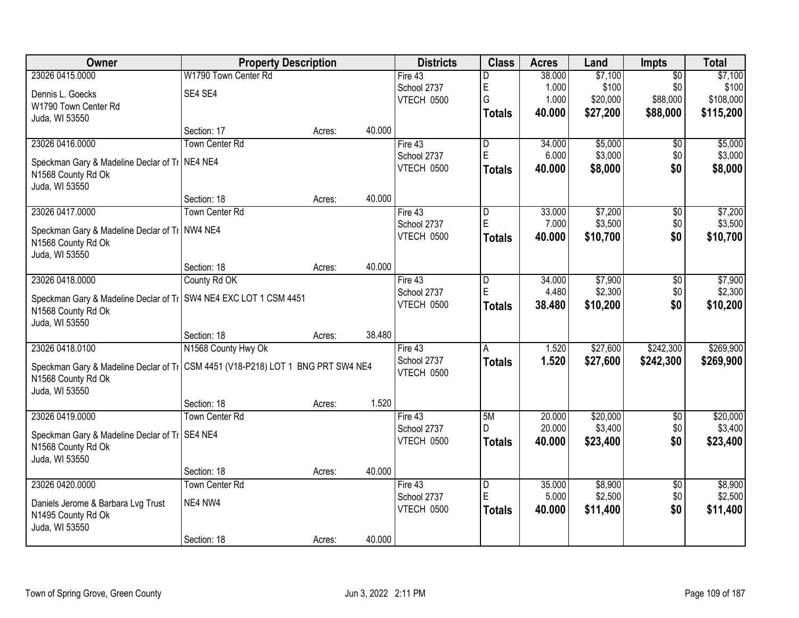| <b>Owner</b>                                                                      | <b>Property Description</b> |        |        | <b>Districts</b>          | <b>Class</b>                 | <b>Acres</b>     | Land                | <b>Impts</b>           | <b>Total</b>        |
|-----------------------------------------------------------------------------------|-----------------------------|--------|--------|---------------------------|------------------------------|------------------|---------------------|------------------------|---------------------|
| 23026 0415.0000                                                                   | W1790 Town Center Rd        |        |        | Fire 43                   | D                            | 38.000           | \$7,100             | $\overline{50}$        | \$7,100             |
| Dennis L. Goecks                                                                  | SE4 SE4                     |        |        | School 2737               | E                            | 1.000            | \$100               | \$0                    | \$100               |
| W1790 Town Center Rd                                                              |                             |        |        | VTECH 0500                | G                            | 1.000            | \$20,000            | \$88,000               | \$108,000           |
| Juda, WI 53550                                                                    |                             |        |        |                           | <b>Totals</b>                | 40.000           | \$27,200            | \$88,000               | \$115,200           |
|                                                                                   | Section: 17                 | Acres: | 40.000 |                           |                              |                  |                     |                        |                     |
| 23026 0416.0000                                                                   | <b>Town Center Rd</b>       |        |        | Fire $43$                 | $\overline{D}$               | 34,000           | \$5,000             | \$0                    | \$5,000             |
| Speckman Gary & Madeline Declar of Ti   NE4 NE4                                   |                             |        |        | School 2737               | E                            | 6.000            | \$3,000             | \$0                    | \$3,000             |
| N1568 County Rd Ok                                                                |                             |        |        | VTECH 0500                | <b>Totals</b>                | 40.000           | \$8,000             | \$0                    | \$8,000             |
| Juda, WI 53550                                                                    |                             |        |        |                           |                              |                  |                     |                        |                     |
|                                                                                   | Section: 18                 | Acres: | 40.000 |                           |                              |                  |                     |                        |                     |
| 23026 0417.0000                                                                   | <b>Town Center Rd</b>       |        |        | Fire 43                   | D                            | 33.000           | \$7,200             | $\overline{50}$        | \$7,200             |
| Speckman Gary & Madeline Declar of Ti NW4 NE4                                     |                             |        |        | School 2737               | E                            | 7.000            | \$3,500             | \$0                    | \$3,500             |
| N1568 County Rd Ok                                                                |                             |        |        | VTECH 0500                | <b>Totals</b>                | 40,000           | \$10,700            | \$0                    | \$10,700            |
| Juda, WI 53550                                                                    |                             |        |        |                           |                              |                  |                     |                        |                     |
|                                                                                   | Section: 18                 | Acres: | 40.000 |                           |                              |                  |                     |                        |                     |
| 23026 0418.0000                                                                   | County Rd OK                |        |        | Fire 43                   | D                            | 34.000           | \$7,900             | \$0                    | \$7,900             |
| Speckman Gary & Madeline Declar of Ti SW4 NE4 EXC LOT 1 CSM 4451                  |                             |        |        | School 2737               | E                            | 4.480            | \$2,300             | \$0                    | \$2,300             |
| N1568 County Rd Ok                                                                |                             |        |        | VTECH 0500                | <b>Totals</b>                | 38.480           | \$10,200            | \$0                    | \$10,200            |
| Juda, WI 53550                                                                    |                             |        |        |                           |                              |                  |                     |                        |                     |
|                                                                                   | Section: 18                 | Acres: | 38.480 |                           |                              |                  |                     |                        |                     |
| 23026 0418.0100                                                                   | N1568 County Hwy Ok         |        |        | Fire 43                   | A                            | 1.520            | \$27,600            | \$242,300              | \$269,900           |
| Speckman Gary & Madeline Declar of Ti   CSM 4451 (V18-P218) LOT 1 BNG PRT SW4 NE4 |                             |        |        | School 2737<br>VTECH 0500 | <b>Totals</b>                | 1.520            | \$27,600            | \$242,300              | \$269,900           |
| N1568 County Rd Ok                                                                |                             |        |        |                           |                              |                  |                     |                        |                     |
| Juda, WI 53550                                                                    |                             |        |        |                           |                              |                  |                     |                        |                     |
|                                                                                   | Section: 18                 | Acres: | 1.520  |                           |                              |                  |                     |                        |                     |
| 23026 0419.0000                                                                   | <b>Town Center Rd</b>       |        |        | Fire 43                   | 5M                           | 20.000<br>20.000 | \$20,000            | $\overline{60}$        | \$20,000            |
| Speckman Gary & Madeline Declar of Ti   SE4 NE4                                   |                             |        |        | School 2737<br>VTECH 0500 | D.                           | 40.000           | \$3,400<br>\$23,400 | \$0<br>\$0             | \$3,400<br>\$23,400 |
| N1568 County Rd Ok                                                                |                             |        |        |                           | <b>Totals</b>                |                  |                     |                        |                     |
| Juda, WI 53550                                                                    |                             |        |        |                           |                              |                  |                     |                        |                     |
|                                                                                   | Section: 18                 | Acres: | 40.000 |                           |                              |                  |                     |                        |                     |
| 23026 0420.0000                                                                   | <b>Town Center Rd</b>       |        |        | Fire $43$<br>School 2737  | $\overline{\mathsf{D}}$<br>E | 35.000<br>5.000  | \$8,900<br>\$2,500  | $\overline{50}$<br>\$0 | \$8,900<br>\$2,500  |
| Daniels Jerome & Barbara Lvg Trust                                                | NE4 NW4                     |        |        | VTECH 0500                |                              | 40.000           | \$11,400            | \$0                    | \$11,400            |
| N1495 County Rd Ok                                                                |                             |        |        |                           | <b>Totals</b>                |                  |                     |                        |                     |
| Juda, WI 53550                                                                    |                             |        |        |                           |                              |                  |                     |                        |                     |
|                                                                                   | Section: 18                 | Acres: | 40.000 |                           |                              |                  |                     |                        |                     |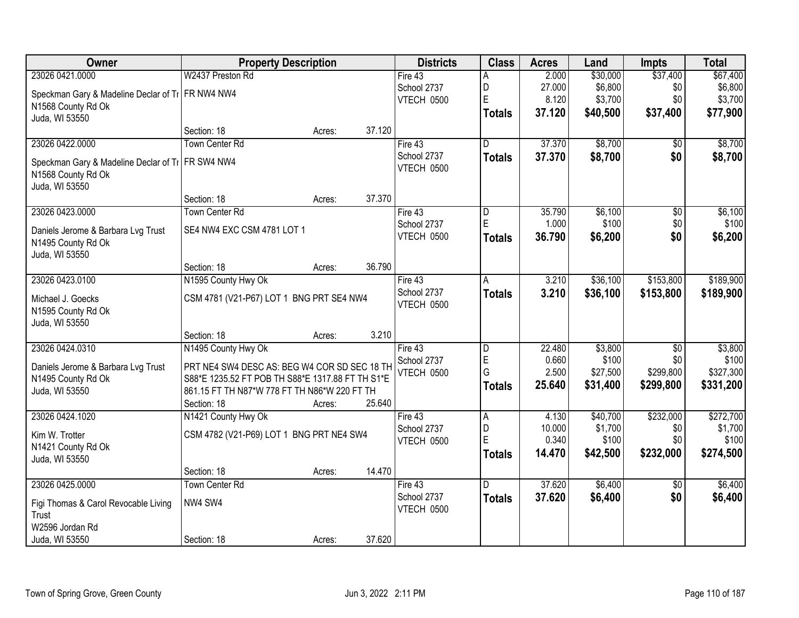| Owner                                              | <b>Property Description</b>                      | <b>Districts</b> | <b>Class</b>            | <b>Acres</b> | Land     | <b>Impts</b>    | <b>Total</b> |
|----------------------------------------------------|--------------------------------------------------|------------------|-------------------------|--------------|----------|-----------------|--------------|
| 23026 0421.0000                                    | W2437 Preston Rd                                 | Fire 43          | Α                       | 2.000        | \$30,000 | \$37,400        | \$67,400     |
| Speckman Gary & Madeline Declar of TI FR NW4 NW4   |                                                  | School 2737      | D                       | 27.000       | \$6,800  | \$0             | \$6,800      |
| N1568 County Rd Ok                                 |                                                  | VTECH 0500       | E                       | 8.120        | \$3,700  | \$0             | \$3,700      |
| Juda, WI 53550                                     |                                                  |                  | <b>Totals</b>           | 37.120       | \$40,500 | \$37,400        | \$77,900     |
|                                                    | 37.120<br>Section: 18<br>Acres:                  |                  |                         |              |          |                 |              |
| 23026 0422.0000                                    | <b>Town Center Rd</b>                            | Fire $43$        | $\overline{\mathsf{D}}$ | 37.370       | \$8,700  | $\overline{50}$ | \$8,700      |
| Speckman Gary & Madeline Declar of Ti   FR SW4 NW4 |                                                  | School 2737      | <b>Totals</b>           | 37.370       | \$8,700  | \$0             | \$8,700      |
| N1568 County Rd Ok                                 |                                                  | VTECH 0500       |                         |              |          |                 |              |
| Juda, WI 53550                                     |                                                  |                  |                         |              |          |                 |              |
|                                                    | 37.370<br>Section: 18<br>Acres:                  |                  |                         |              |          |                 |              |
| 23026 0423.0000                                    | <b>Town Center Rd</b>                            | Fire 43          | D                       | 35.790       | \$6,100  | $\overline{50}$ | \$6,100      |
| Daniels Jerome & Barbara Lvg Trust                 | SE4 NW4 EXC CSM 4781 LOT 1                       | School 2737      | E.                      | 1.000        | \$100    | \$0             | \$100        |
| N1495 County Rd Ok                                 |                                                  | VTECH 0500       | <b>Totals</b>           | 36.790       | \$6,200  | \$0             | \$6,200      |
| Juda, WI 53550                                     |                                                  |                  |                         |              |          |                 |              |
|                                                    | 36.790<br>Section: 18<br>Acres:                  |                  |                         |              |          |                 |              |
| 23026 0423.0100                                    | N1595 County Hwy Ok                              | Fire 43          | Α                       | 3.210        | \$36,100 | \$153,800       | \$189,900    |
| Michael J. Goecks                                  | CSM 4781 (V21-P67) LOT 1 BNG PRT SE4 NW4         | School 2737      | <b>Totals</b>           | 3.210        | \$36,100 | \$153,800       | \$189,900    |
| N1595 County Rd Ok                                 |                                                  | VTECH 0500       |                         |              |          |                 |              |
| Juda, WI 53550                                     |                                                  |                  |                         |              |          |                 |              |
|                                                    | 3.210<br>Section: 18<br>Acres:                   |                  |                         |              |          |                 |              |
| 23026 0424.0310                                    | N1495 County Hwy Ok                              | Fire $43$        | D                       | 22.480       | \$3,800  | $\overline{50}$ | \$3,800      |
| Daniels Jerome & Barbara Lvg Trust                 | PRT NE4 SW4 DESC AS: BEG W4 COR SD SEC 18 TH     | School 2737      | E                       | 0.660        | \$100    | \$0             | \$100        |
| N1495 County Rd Ok                                 | S88*E 1235.52 FT POB TH S88*E 1317.88 FT TH S1*E | VTECH 0500       | G                       | 2.500        | \$27,500 | \$299,800       | \$327,300    |
| Juda, WI 53550                                     | 861.15 FT TH N87*W 778 FT TH N86*W 220 FT TH     |                  | <b>Totals</b>           | 25.640       | \$31,400 | \$299,800       | \$331,200    |
|                                                    | 25.640<br>Section: 18<br>Acres:                  |                  |                         |              |          |                 |              |
| 23026 0424.1020                                    | N1421 County Hwy Ok                              | Fire 43          | $\overline{A}$          | 4.130        | \$40,700 | \$232,000       | \$272,700    |
| Kim W. Trotter                                     | CSM 4782 (V21-P69) LOT 1 BNG PRT NE4 SW4         | School 2737      | D                       | 10.000       | \$1,700  | \$0             | \$1,700      |
| N1421 County Rd Ok                                 |                                                  | VTECH 0500       | E                       | 0.340        | \$100    | \$0             | \$100        |
| Juda, WI 53550                                     |                                                  |                  | <b>Totals</b>           | 14.470       | \$42,500 | \$232,000       | \$274,500    |
|                                                    | 14.470<br>Section: 18<br>Acres:                  |                  |                         |              |          |                 |              |
| 23026 0425.0000                                    | <b>Town Center Rd</b>                            | Fire 43          | $\overline{D}$          | 37.620       | \$6,400  | $\overline{50}$ | \$6,400      |
| Figi Thomas & Carol Revocable Living               | NW4 SW4                                          | School 2737      | <b>Totals</b>           | 37.620       | \$6,400  | \$0             | \$6,400      |
| Trust                                              |                                                  | VTECH 0500       |                         |              |          |                 |              |
| W2596 Jordan Rd                                    |                                                  |                  |                         |              |          |                 |              |
| Juda, WI 53550                                     | 37.620<br>Section: 18<br>Acres:                  |                  |                         |              |          |                 |              |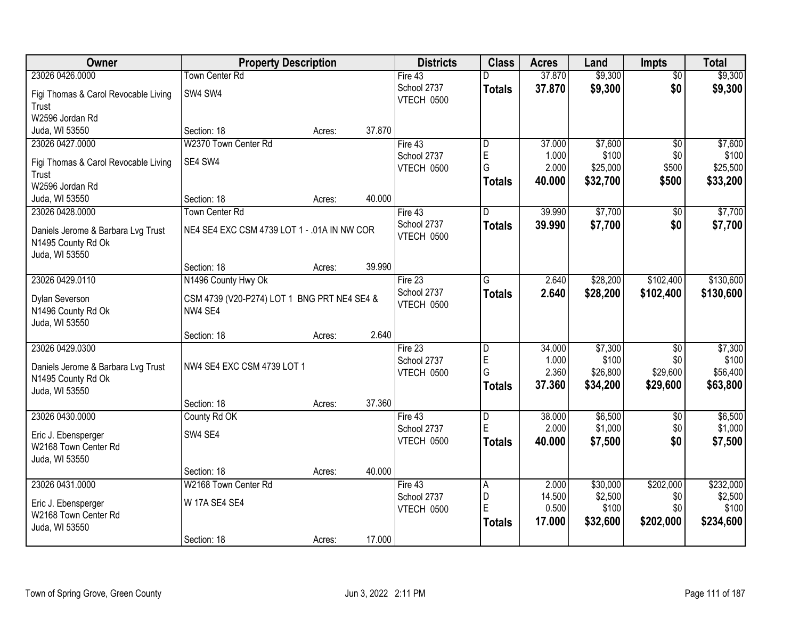| Owner                                | <b>Property Description</b>                 |        |        | <b>Districts</b>  | <b>Class</b>   | <b>Acres</b> | Land     | <b>Impts</b>    | <b>Total</b> |
|--------------------------------------|---------------------------------------------|--------|--------|-------------------|----------------|--------------|----------|-----------------|--------------|
| 23026 0426.0000                      | Town Center Rd                              |        |        | Fire 43           | D              | 37.870       | \$9,300  | $\overline{50}$ | \$9,300      |
| Figi Thomas & Carol Revocable Living | SW4 SW4                                     |        |        | School 2737       | <b>Totals</b>  | 37.870       | \$9,300  | \$0             | \$9,300      |
| Trust                                |                                             |        |        | <b>VTECH 0500</b> |                |              |          |                 |              |
| W2596 Jordan Rd                      |                                             |        |        |                   |                |              |          |                 |              |
| Juda, WI 53550                       | Section: 18                                 | Acres: | 37.870 |                   |                |              |          |                 |              |
| 23026 0427.0000                      | W2370 Town Center Rd                        |        |        | Fire 43           | D              | 37.000       | \$7,600  | $\overline{50}$ | \$7,600      |
| Figi Thomas & Carol Revocable Living | SE4 SW4                                     |        |        | School 2737       | $\mathsf E$    | 1.000        | \$100    | \$0             | \$100        |
| Trust                                |                                             |        |        | VTECH 0500        | G              | 2.000        | \$25,000 | \$500           | \$25,500     |
| W2596 Jordan Rd                      |                                             |        |        |                   | <b>Totals</b>  | 40.000       | \$32,700 | \$500           | \$33,200     |
| Juda, WI 53550                       | Section: 18                                 | Acres: | 40.000 |                   |                |              |          |                 |              |
| 23026 0428.0000                      | <b>Town Center Rd</b>                       |        |        | Fire 43           | D              | 39.990       | \$7,700  | $\overline{50}$ | \$7,700      |
| Daniels Jerome & Barbara Lvg Trust   | NE4 SE4 EXC CSM 4739 LOT 1 - .01A IN NW COR |        |        | School 2737       | Totals         | 39.990       | \$7,700  | \$0             | \$7,700      |
| N1495 County Rd Ok                   |                                             |        |        | VTECH 0500        |                |              |          |                 |              |
| Juda, WI 53550                       |                                             |        |        |                   |                |              |          |                 |              |
|                                      | Section: 18                                 | Acres: | 39.990 |                   |                |              |          |                 |              |
| 23026 0429.0110                      | N1496 County Hwy Ok                         |        |        | Fire 23           | G              | 2.640        | \$28,200 | \$102,400       | \$130,600    |
| Dylan Severson                       | CSM 4739 (V20-P274) LOT 1 BNG PRT NE4 SE4 & |        |        | School 2737       | <b>Totals</b>  | 2.640        | \$28,200 | \$102,400       | \$130,600    |
| N1496 County Rd Ok                   | NW4 SE4                                     |        |        | VTECH 0500        |                |              |          |                 |              |
| Juda, WI 53550                       |                                             |        |        |                   |                |              |          |                 |              |
|                                      | Section: 18                                 | Acres: | 2.640  |                   |                |              |          |                 |              |
| 23026 0429.0300                      |                                             |        |        | Fire 23           | $\overline{D}$ | 34.000       | \$7,300  | $\overline{30}$ | \$7,300      |
| Daniels Jerome & Barbara Lvg Trust   | NW4 SE4 EXC CSM 4739 LOT 1                  |        |        | School 2737       | E              | 1.000        | \$100    | \$0             | \$100        |
| N1495 County Rd Ok                   |                                             |        |        | VTECH 0500        | G              | 2.360        | \$26,800 | \$29,600        | \$56,400     |
| Juda, WI 53550                       |                                             |        |        |                   | <b>Totals</b>  | 37.360       | \$34,200 | \$29,600        | \$63,800     |
|                                      | Section: 18                                 | Acres: | 37.360 |                   |                |              |          |                 |              |
| 23026 0430.0000                      | County Rd OK                                |        |        | Fire 43           | $\overline{D}$ | 38.000       | \$6,500  | $\sqrt{6}$      | \$6,500      |
| Eric J. Ebensperger                  | SW4 SE4                                     |        |        | School 2737       | E              | 2.000        | \$1,000  | \$0             | \$1,000      |
| W2168 Town Center Rd                 |                                             |        |        | VTECH 0500        | <b>Totals</b>  | 40.000       | \$7,500  | \$0             | \$7,500      |
| Juda, WI 53550                       |                                             |        |        |                   |                |              |          |                 |              |
|                                      | Section: 18                                 | Acres: | 40.000 |                   |                |              |          |                 |              |
| 23026 0431.0000                      | W2168 Town Center Rd                        |        |        | Fire 43           | A              | 2.000        | \$30,000 | \$202,000       | \$232,000    |
| Eric J. Ebensperger                  | W 17A SE4 SE4                               |        |        | School 2737       | D              | 14.500       | \$2,500  | \$0             | \$2,500      |
| W2168 Town Center Rd                 |                                             |        |        | VTECH 0500        | E              | 0.500        | \$100    | \$0             | \$100        |
| Juda, WI 53550                       |                                             |        |        |                   | Totals         | 17.000       | \$32,600 | \$202,000       | \$234,600    |
|                                      | Section: 18                                 | Acres: | 17.000 |                   |                |              |          |                 |              |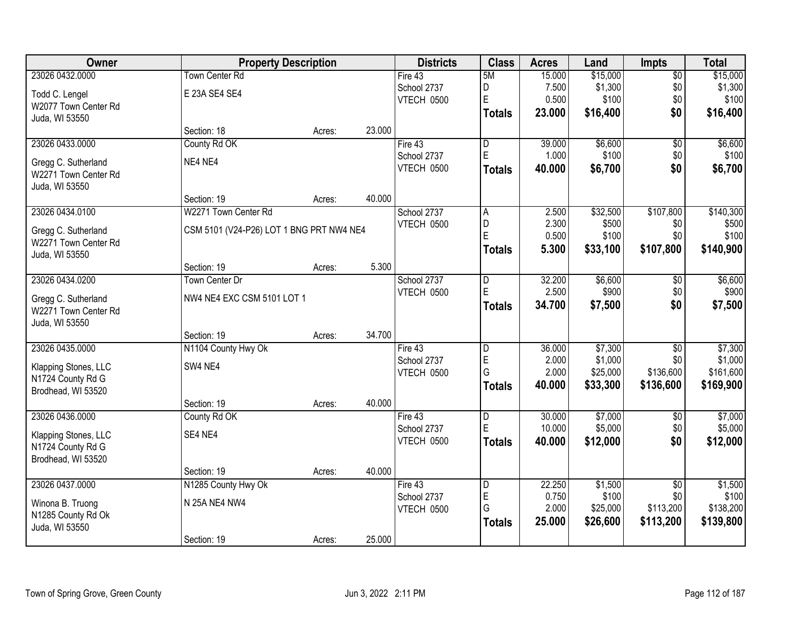| Owner                | <b>Property Description</b>              |        |        | <b>Districts</b> | <b>Class</b>            | <b>Acres</b> | Land     | <b>Impts</b>    | <b>Total</b> |
|----------------------|------------------------------------------|--------|--------|------------------|-------------------------|--------------|----------|-----------------|--------------|
| 23026 0432.0000      | <b>Town Center Rd</b>                    |        |        | Fire 43          | 5M                      | 15.000       | \$15,000 | $\overline{50}$ | \$15,000     |
| Todd C. Lengel       | E 23A SE4 SE4                            |        |        | School 2737      | D                       | 7.500        | \$1,300  | \$0             | \$1,300      |
| W2077 Town Center Rd |                                          |        |        | VTECH 0500       | E                       | 0.500        | \$100    | \$0             | \$100        |
| Juda, WI 53550       |                                          |        |        |                  | <b>Totals</b>           | 23.000       | \$16,400 | \$0             | \$16,400     |
|                      | Section: 18                              | Acres: | 23.000 |                  |                         |              |          |                 |              |
| 23026 0433.0000      | County Rd OK                             |        |        | Fire 43          | $\overline{\mathsf{D}}$ | 39.000       | \$6,600  | $\overline{50}$ | \$6,600      |
| Gregg C. Sutherland  | NE4 NE4                                  |        |        | School 2737      | E                       | 1.000        | \$100    | \$0             | \$100        |
| W2271 Town Center Rd |                                          |        |        | VTECH 0500       | <b>Totals</b>           | 40.000       | \$6,700  | \$0             | \$6,700      |
| Juda, WI 53550       |                                          |        |        |                  |                         |              |          |                 |              |
|                      | Section: 19                              | Acres: | 40.000 |                  |                         |              |          |                 |              |
| 23026 0434.0100      | W2271 Town Center Rd                     |        |        | School 2737      | A                       | 2.500        | \$32,500 | \$107,800       | \$140,300    |
| Gregg C. Sutherland  | CSM 5101 (V24-P26) LOT 1 BNG PRT NW4 NE4 |        |        | VTECH 0500       | D                       | 2.300        | \$500    | \$0             | \$500        |
| W2271 Town Center Rd |                                          |        |        |                  | E                       | 0.500        | \$100    | \$0             | \$100        |
| Juda, WI 53550       |                                          |        |        |                  | <b>Totals</b>           | 5.300        | \$33,100 | \$107,800       | \$140,900    |
|                      | Section: 19                              | Acres: | 5.300  |                  |                         |              |          |                 |              |
| 23026 0434.0200      | Town Center Dr                           |        |        | School 2737      | D                       | 32.200       | \$6,600  | \$0             | \$6,600      |
| Gregg C. Sutherland  | NW4 NE4 EXC CSM 5101 LOT 1               |        |        | VTECH 0500       | E                       | 2.500        | \$900    | \$0             | \$900        |
| W2271 Town Center Rd |                                          |        |        |                  | <b>Totals</b>           | 34.700       | \$7,500  | \$0             | \$7,500      |
| Juda, WI 53550       |                                          |        |        |                  |                         |              |          |                 |              |
|                      | Section: 19                              | Acres: | 34.700 |                  |                         |              |          |                 |              |
| 23026 0435.0000      | N1104 County Hwy Ok                      |        |        | Fire 43          | $\overline{\mathsf{D}}$ | 36.000       | \$7,300  | $\overline{30}$ | \$7,300      |
| Klapping Stones, LLC | SW4 NE4                                  |        |        | School 2737      | E                       | 2.000        | \$1,000  | \$0             | \$1,000      |
| N1724 County Rd G    |                                          |        |        | VTECH 0500       | G                       | 2.000        | \$25,000 | \$136,600       | \$161,600    |
| Brodhead, WI 53520   |                                          |        |        |                  | <b>Totals</b>           | 40.000       | \$33,300 | \$136,600       | \$169,900    |
|                      | Section: 19                              | Acres: | 40.000 |                  |                         |              |          |                 |              |
| 23026 0436.0000      | County Rd OK                             |        |        | Fire 43          | D                       | 30.000       | \$7,000  | $\sqrt{6}$      | \$7,000      |
| Klapping Stones, LLC | SE4 NE4                                  |        |        | School 2737      | E                       | 10.000       | \$5,000  | \$0             | \$5,000      |
| N1724 County Rd G    |                                          |        |        | VTECH 0500       | <b>Totals</b>           | 40.000       | \$12,000 | \$0             | \$12,000     |
| Brodhead, WI 53520   |                                          |        |        |                  |                         |              |          |                 |              |
|                      | Section: 19                              | Acres: | 40.000 |                  |                         |              |          |                 |              |
| 23026 0437.0000      | N1285 County Hwy Ok                      |        |        | Fire 43          | D                       | 22.250       | \$1,500  | $\overline{50}$ | \$1,500      |
| Winona B. Truong     | N 25A NE4 NW4                            |        |        | School 2737      | E                       | 0.750        | \$100    | \$0             | \$100        |
| N1285 County Rd Ok   |                                          |        |        | VTECH 0500       | G                       | 2.000        | \$25,000 | \$113,200       | \$138,200    |
| Juda, WI 53550       |                                          |        |        |                  | <b>Totals</b>           | 25.000       | \$26,600 | \$113,200       | \$139,800    |
|                      | Section: 19                              | Acres: | 25.000 |                  |                         |              |          |                 |              |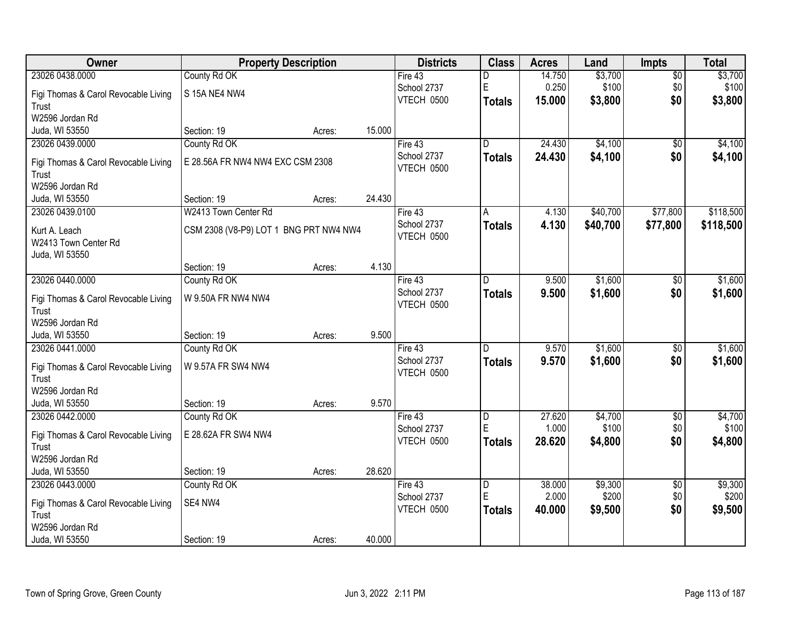| Owner                                |                                        | <b>Property Description</b> |        | <b>Districts</b> | <b>Class</b>   | <b>Acres</b> | Land     | <b>Impts</b>    | <b>Total</b> |
|--------------------------------------|----------------------------------------|-----------------------------|--------|------------------|----------------|--------------|----------|-----------------|--------------|
| 23026 0438.0000                      | County Rd OK                           |                             |        | Fire 43          | D              | 14.750       | \$3,700  | $\overline{50}$ | \$3,700      |
| Figi Thomas & Carol Revocable Living | S 15A NE4 NW4                          |                             |        | School 2737      | $\mathsf E$    | 0.250        | \$100    | \$0             | \$100        |
| Trust                                |                                        |                             |        | VTECH 0500       | <b>Totals</b>  | 15.000       | \$3,800  | \$0             | \$3,800      |
| W2596 Jordan Rd                      |                                        |                             |        |                  |                |              |          |                 |              |
| Juda, WI 53550                       | Section: 19                            | Acres:                      | 15.000 |                  |                |              |          |                 |              |
| 23026 0439.0000                      | County Rd OK                           |                             |        | Fire $43$        | D.             | 24.430       | \$4,100  | \$0             | \$4,100      |
| Figi Thomas & Carol Revocable Living | E 28.56A FR NW4 NW4 EXC CSM 2308       |                             |        | School 2737      | <b>Totals</b>  | 24.430       | \$4,100  | \$0             | \$4,100      |
| Trust                                |                                        |                             |        | VTECH 0500       |                |              |          |                 |              |
| W2596 Jordan Rd                      |                                        |                             |        |                  |                |              |          |                 |              |
| Juda, WI 53550                       | Section: 19                            | Acres:                      | 24.430 |                  |                |              |          |                 |              |
| 23026 0439.0100                      | W2413 Town Center Rd                   |                             |        | Fire 43          | A              | 4.130        | \$40,700 | \$77,800        | \$118,500    |
| Kurt A. Leach                        | CSM 2308 (V8-P9) LOT 1 BNG PRT NW4 NW4 |                             |        | School 2737      | <b>Totals</b>  | 4.130        | \$40,700 | \$77,800        | \$118,500    |
| W2413 Town Center Rd                 |                                        |                             |        | VTECH 0500       |                |              |          |                 |              |
| Juda, WI 53550                       |                                        |                             |        |                  |                |              |          |                 |              |
|                                      | Section: 19                            | Acres:                      | 4.130  |                  |                |              |          |                 |              |
| 23026 0440.0000                      | County Rd OK                           |                             |        | Fire 43          | D              | 9.500        | \$1,600  | \$0             | \$1,600      |
| Figi Thomas & Carol Revocable Living | W 9.50A FR NW4 NW4                     |                             |        | School 2737      | <b>Totals</b>  | 9.500        | \$1,600  | \$0             | \$1,600      |
| Trust                                |                                        |                             |        | VTECH 0500       |                |              |          |                 |              |
| W2596 Jordan Rd                      |                                        |                             |        |                  |                |              |          |                 |              |
| Juda, WI 53550                       | Section: 19                            | Acres:                      | 9.500  |                  |                |              |          |                 |              |
| 23026 0441.0000                      | County Rd OK                           |                             |        | Fire 43          | $\overline{D}$ | 9.570        | \$1,600  | $\overline{50}$ | \$1,600      |
| Figi Thomas & Carol Revocable Living | W 9.57A FR SW4 NW4                     |                             |        | School 2737      | <b>Totals</b>  | 9.570        | \$1,600  | \$0             | \$1,600      |
| Trust                                |                                        |                             |        | VTECH 0500       |                |              |          |                 |              |
| W2596 Jordan Rd                      |                                        |                             |        |                  |                |              |          |                 |              |
| Juda, WI 53550                       | Section: 19                            | Acres:                      | 9.570  |                  |                |              |          |                 |              |
| 23026 0442.0000                      | County Rd OK                           |                             |        | Fire 43          | D              | 27.620       | \$4,700  | $\sqrt{6}$      | \$4,700      |
| Figi Thomas & Carol Revocable Living | E 28.62A FR SW4 NW4                    |                             |        | School 2737      | E              | 1.000        | \$100    | \$0             | \$100        |
| Trust                                |                                        |                             |        | VTECH 0500       | <b>Totals</b>  | 28.620       | \$4,800  | \$0             | \$4,800      |
| W2596 Jordan Rd                      |                                        |                             |        |                  |                |              |          |                 |              |
| Juda, WI 53550                       | Section: 19                            | Acres:                      | 28.620 |                  |                |              |          |                 |              |
| 23026 0443.0000                      | County Rd OK                           |                             |        | Fire 43          | D              | 38.000       | \$9,300  | $\overline{50}$ | \$9,300      |
| Figi Thomas & Carol Revocable Living | SE4 NW4                                |                             |        | School 2737      | E              | 2.000        | \$200    | \$0             | \$200        |
| Trust                                |                                        |                             |        | VTECH 0500       | <b>Totals</b>  | 40.000       | \$9,500  | \$0             | \$9,500      |
| W2596 Jordan Rd                      |                                        |                             |        |                  |                |              |          |                 |              |
| Juda, WI 53550                       | Section: 19                            | Acres:                      | 40.000 |                  |                |              |          |                 |              |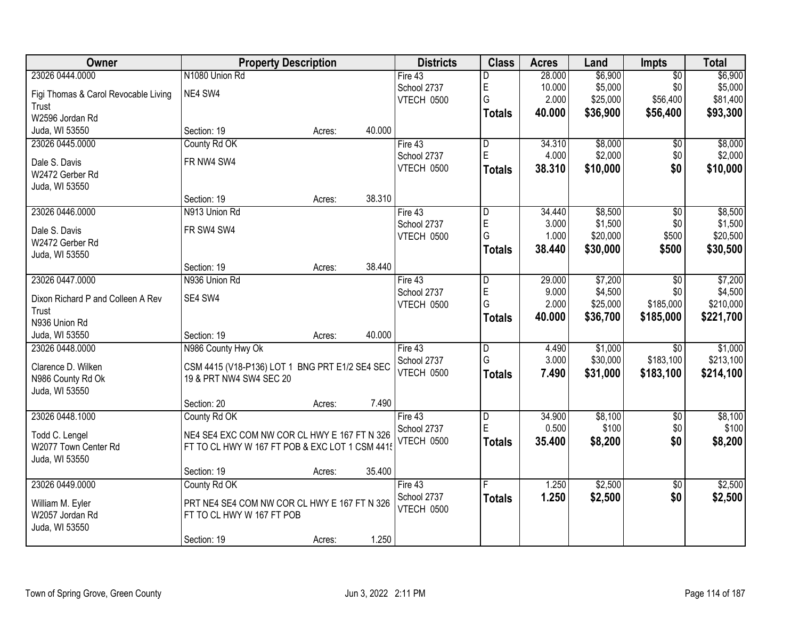| Owner                                | <b>Property Description</b>                    |                  | <b>Districts</b> | <b>Class</b>            | <b>Acres</b> | Land     | <b>Impts</b>    | <b>Total</b> |
|--------------------------------------|------------------------------------------------|------------------|------------------|-------------------------|--------------|----------|-----------------|--------------|
| 23026 0444.0000                      | N1080 Union Rd                                 |                  | Fire 43          | D                       | 28.000       | \$6,900  | $\overline{50}$ | \$6,900      |
| Figi Thomas & Carol Revocable Living | NE4 SW4                                        |                  | School 2737      | E                       | 10.000       | \$5,000  | \$0             | \$5,000      |
| Trust                                |                                                |                  | VTECH 0500       | G                       | 2.000        | \$25,000 | \$56,400        | \$81,400     |
| W2596 Jordan Rd                      |                                                |                  |                  | <b>Totals</b>           | 40.000       | \$36,900 | \$56,400        | \$93,300     |
| Juda, WI 53550                       | Section: 19                                    | 40.000<br>Acres: |                  |                         |              |          |                 |              |
| 23026 0445.0000                      | County Rd OK                                   |                  | Fire $43$        | $\overline{\mathsf{D}}$ | 34.310       | \$8,000  | $\overline{50}$ | \$8,000      |
|                                      |                                                |                  | School 2737      | $\mathsf E$             | 4.000        | \$2,000  | \$0             | \$2,000      |
| Dale S. Davis                        | FR NW4 SW4                                     |                  | VTECH 0500       | Totals                  | 38.310       | \$10,000 | \$0             | \$10,000     |
| W2472 Gerber Rd                      |                                                |                  |                  |                         |              |          |                 |              |
| Juda, WI 53550                       |                                                |                  |                  |                         |              |          |                 |              |
|                                      | Section: 19                                    | 38.310<br>Acres: |                  |                         |              |          |                 |              |
| 23026 0446.0000                      | N913 Union Rd                                  |                  | Fire 43          | D                       | 34.440       | \$8,500  | \$0             | \$8,500      |
| Dale S. Davis                        | FR SW4 SW4                                     |                  | School 2737      | E                       | 3.000        | \$1,500  | \$0             | \$1,500      |
| W2472 Gerber Rd                      |                                                |                  | VTECH 0500       | G                       | 1.000        | \$20,000 | \$500           | \$20,500     |
| Juda, WI 53550                       |                                                |                  |                  | Totals                  | 38.440       | \$30,000 | \$500           | \$30,500     |
|                                      | Section: 19                                    | 38.440<br>Acres: |                  |                         |              |          |                 |              |
| 23026 0447.0000                      | N936 Union Rd                                  |                  | Fire 43          | D                       | 29.000       | \$7,200  | $\sqrt{6}$      | \$7,200      |
| Dixon Richard P and Colleen A Rev    | SE4 SW4                                        |                  | School 2737      | E                       | 9.000        | \$4,500  | \$0             | \$4,500      |
| Trust                                |                                                |                  | VTECH 0500       | G                       | 2.000        | \$25,000 | \$185,000       | \$210,000    |
| N936 Union Rd                        |                                                |                  |                  | Totals                  | 40.000       | \$36,700 | \$185,000       | \$221,700    |
| Juda, WI 53550                       | Section: 19                                    | 40.000<br>Acres: |                  |                         |              |          |                 |              |
| 23026 0448.0000                      | N986 County Hwy Ok                             |                  | Fire 43          | $\overline{\mathsf{D}}$ | 4.490        | \$1,000  | $\overline{30}$ | \$1,000      |
|                                      |                                                |                  | School 2737      | G                       | 3.000        | \$30,000 | \$183,100       | \$213,100    |
| Clarence D. Wilken                   | CSM 4415 (V18-P136) LOT 1 BNG PRT E1/2 SE4 SEC |                  | VTECH 0500       | <b>Totals</b>           | 7.490        | \$31,000 | \$183,100       | \$214,100    |
| N986 County Rd Ok                    | 19 & PRT NW4 SW4 SEC 20                        |                  |                  |                         |              |          |                 |              |
| Juda, WI 53550                       |                                                |                  |                  |                         |              |          |                 |              |
|                                      | Section: 20                                    | 7.490<br>Acres:  |                  |                         |              |          |                 |              |
| 23026 0448.1000                      | County Rd OK                                   |                  | Fire 43          | D                       | 34.900       | \$8,100  | $\overline{60}$ | \$8,100      |
| Todd C. Lengel                       | NE4 SE4 EXC COM NW COR CL HWY E 167 FT N 326   |                  | School 2737      | $\mathsf E$             | 0.500        | \$100    | \$0             | \$100        |
| W2077 Town Center Rd                 | FT TO CL HWY W 167 FT POB & EXC LOT 1 CSM 4415 |                  | VTECH 0500       | <b>Totals</b>           | 35.400       | \$8,200  | \$0             | \$8,200      |
| Juda, WI 53550                       |                                                |                  |                  |                         |              |          |                 |              |
|                                      | Section: 19                                    | 35.400<br>Acres: |                  |                         |              |          |                 |              |
| 23026 0449.0000                      | County Rd OK                                   |                  | Fire $43$        |                         | 1.250        | \$2,500  | $\overline{50}$ | \$2,500      |
|                                      |                                                |                  | School 2737      | <b>Totals</b>           | 1.250        | \$2,500  | \$0             | \$2,500      |
| William M. Eyler                     | PRT NE4 SE4 COM NW COR CL HWY E 167 FT N 326   |                  | VTECH 0500       |                         |              |          |                 |              |
| W2057 Jordan Rd                      | FT TO CL HWY W 167 FT POB                      |                  |                  |                         |              |          |                 |              |
| Juda, WI 53550                       |                                                |                  |                  |                         |              |          |                 |              |
|                                      | Section: 19                                    | 1.250<br>Acres:  |                  |                         |              |          |                 |              |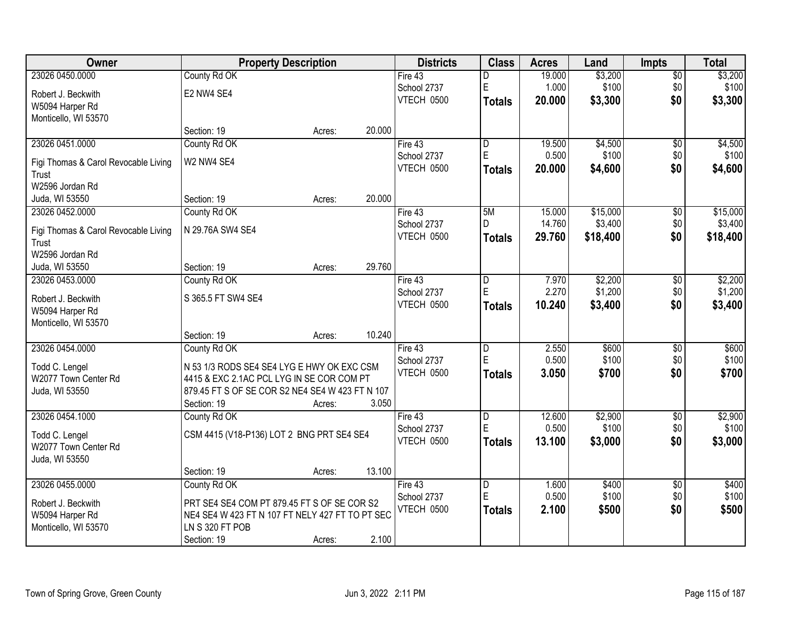| Owner                                |                                                 | <b>Property Description</b> |        | <b>Districts</b> | <b>Class</b>            | <b>Acres</b> | Land     | <b>Impts</b>    | <b>Total</b> |
|--------------------------------------|-------------------------------------------------|-----------------------------|--------|------------------|-------------------------|--------------|----------|-----------------|--------------|
| 23026 0450.0000                      | County Rd OK                                    |                             |        | Fire 43          | D                       | 19.000       | \$3,200  | $\sqrt{$0}$     | \$3,200      |
| Robert J. Beckwith                   | E2 NW4 SE4                                      |                             |        | School 2737      | $\mathsf E$             | 1.000        | \$100    | \$0             | \$100        |
| W5094 Harper Rd                      |                                                 |                             |        | VTECH 0500       | <b>Totals</b>           | 20.000       | \$3,300  | \$0             | \$3,300      |
| Monticello, WI 53570                 |                                                 |                             |        |                  |                         |              |          |                 |              |
|                                      | Section: 19                                     | Acres:                      | 20.000 |                  |                         |              |          |                 |              |
| 23026 0451.0000                      | County Rd OK                                    |                             |        | Fire 43          | D                       | 19.500       | \$4,500  | $\overline{50}$ | \$4,500      |
| Figi Thomas & Carol Revocable Living | W2 NW4 SE4                                      |                             |        | School 2737      | E                       | 0.500        | \$100    | \$0             | \$100        |
| Trust                                |                                                 |                             |        | VTECH 0500       | <b>Totals</b>           | 20.000       | \$4,600  | \$0             | \$4,600      |
| W2596 Jordan Rd                      |                                                 |                             |        |                  |                         |              |          |                 |              |
| Juda, WI 53550                       | Section: 19                                     | Acres:                      | 20.000 |                  |                         |              |          |                 |              |
| 23026 0452.0000                      | County Rd OK                                    |                             |        | Fire 43          | 5M                      | 15.000       | \$15,000 | \$0             | \$15,000     |
| Figi Thomas & Carol Revocable Living | N 29.76A SW4 SE4                                |                             |        | School 2737      |                         | 14.760       | \$3,400  | \$0             | \$3,400      |
| Trust                                |                                                 |                             |        | VTECH 0500       | <b>Totals</b>           | 29.760       | \$18,400 | \$0             | \$18,400     |
| W2596 Jordan Rd                      |                                                 |                             |        |                  |                         |              |          |                 |              |
| Juda, WI 53550                       | Section: 19                                     | Acres:                      | 29.760 |                  |                         |              |          |                 |              |
| 23026 0453.0000                      | County Rd OK                                    |                             |        | Fire 43          | $\overline{D}$          | 7.970        | \$2,200  | $\sqrt[6]{3}$   | \$2,200      |
| Robert J. Beckwith                   | S 365.5 FT SW4 SE4                              |                             |        | School 2737      | ΙE                      | 2.270        | \$1,200  | \$0             | \$1,200      |
| W5094 Harper Rd                      |                                                 |                             |        | VTECH 0500       | <b>Totals</b>           | 10.240       | \$3,400  | \$0             | \$3,400      |
| Monticello, WI 53570                 |                                                 |                             |        |                  |                         |              |          |                 |              |
|                                      | Section: 19                                     | Acres:                      | 10.240 |                  |                         |              |          |                 |              |
| 23026 0454.0000                      | County Rd OK                                    |                             |        | Fire 43          | $\overline{D}$          | 2.550        | \$600    | $\overline{50}$ | \$600        |
| Todd C. Lengel                       | N 53 1/3 RODS SE4 SE4 LYG E HWY OK EXC CSM      |                             |        | School 2737      | E                       | 0.500        | \$100    | \$0             | \$100        |
| W2077 Town Center Rd                 | 4415 & EXC 2.1AC PCL LYG IN SE COR COM PT       |                             |        | VTECH 0500       | Totals                  | 3.050        | \$700    | \$0             | \$700        |
| Juda, WI 53550                       | 879.45 FT S OF SE COR S2 NE4 SE4 W 423 FT N 107 |                             |        |                  |                         |              |          |                 |              |
|                                      | Section: 19                                     | Acres:                      | 3.050  |                  |                         |              |          |                 |              |
| 23026 0454.1000                      | County Rd OK                                    |                             |        | Fire 43          | $\overline{D}$          | 12.600       | \$2,900  | $\sqrt{6}$      | \$2,900      |
| Todd C. Lengel                       | CSM 4415 (V18-P136) LOT 2 BNG PRT SE4 SE4       |                             |        | School 2737      | E                       | 0.500        | \$100    | \$0             | \$100        |
| W2077 Town Center Rd                 |                                                 |                             |        | VTECH 0500       | <b>Totals</b>           | 13.100       | \$3,000  | \$0             | \$3,000      |
| Juda, WI 53550                       |                                                 |                             |        |                  |                         |              |          |                 |              |
|                                      | Section: 19                                     | Acres:                      | 13.100 |                  |                         |              |          |                 |              |
| 23026 0455.0000                      | County Rd OK                                    |                             |        | Fire 43          | $\overline{\mathsf{D}}$ | 1.600        | \$400    | $\overline{50}$ | \$400        |
| Robert J. Beckwith                   | PRT SE4 SE4 COM PT 879.45 FT S OF SE COR S2     |                             |        | School 2737      | E                       | 0.500        | \$100    | \$0             | \$100        |
| W5094 Harper Rd                      | NE4 SE4 W 423 FT N 107 FT NELY 427 FT TO PT SEC |                             |        | VTECH 0500       | <b>Totals</b>           | 2.100        | \$500    | \$0             | \$500        |
| Monticello, WI 53570                 | LN S 320 FT POB                                 |                             |        |                  |                         |              |          |                 |              |
|                                      | Section: 19                                     | Acres:                      | 2.100  |                  |                         |              |          |                 |              |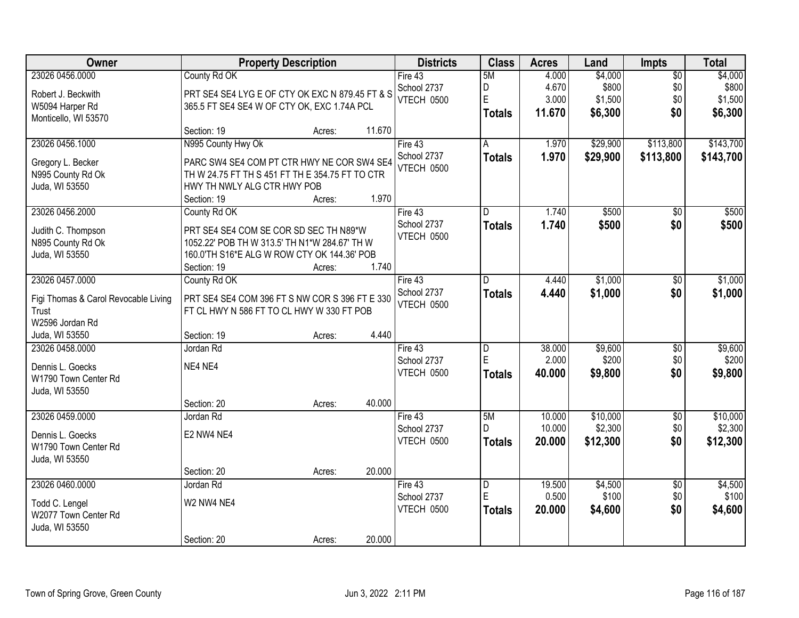| Owner                                | <b>Property Description</b>                     |                  | <b>Districts</b>  | <b>Class</b>  | <b>Acres</b> | Land     | Impts           | <b>Total</b> |
|--------------------------------------|-------------------------------------------------|------------------|-------------------|---------------|--------------|----------|-----------------|--------------|
| 23026 0456.0000                      | County Rd OK                                    |                  | Fire 43           | 5M            | 4.000        | \$4,000  | $\overline{50}$ | \$4,000      |
| Robert J. Beckwith                   | PRT SE4 SE4 LYG E OF CTY OK EXC N 879.45 FT & S |                  | School 2737       | D             | 4.670        | \$800    | \$0             | \$800        |
| W5094 Harper Rd                      | 365.5 FT SE4 SE4 W OF CTY OK, EXC 1.74A PCL     |                  | <b>VTECH 0500</b> | E             | 3.000        | \$1,500  | \$0             | \$1,500      |
| Monticello, WI 53570                 |                                                 |                  |                   | <b>Totals</b> | 11.670       | \$6,300  | \$0             | \$6,300      |
|                                      | Section: 19                                     | 11.670<br>Acres: |                   |               |              |          |                 |              |
| 23026 0456.1000                      | N995 County Hwy Ok                              |                  | Fire $43$         | A             | 1.970        | \$29,900 | \$113,800       | \$143,700    |
|                                      |                                                 |                  | School 2737       | <b>Totals</b> | 1.970        | \$29,900 | \$113,800       | \$143,700    |
| Gregory L. Becker                    | PARC SW4 SE4 COM PT CTR HWY NE COR SW4 SE4      |                  | VTECH 0500        |               |              |          |                 |              |
| N995 County Rd Ok                    | TH W 24.75 FT TH S 451 FT TH E 354.75 FT TO CTR |                  |                   |               |              |          |                 |              |
| Juda, WI 53550                       | HWY TH NWLY ALG CTR HWY POB                     |                  |                   |               |              |          |                 |              |
|                                      | Section: 19                                     | 1.970<br>Acres:  |                   |               |              |          |                 |              |
| 23026 0456.2000                      | County Rd OK                                    |                  | Fire 43           | D             | 1.740        | \$500    | $\overline{50}$ | \$500        |
| Judith C. Thompson                   | PRT SE4 SE4 COM SE COR SD SEC TH N89*W          |                  | School 2737       | <b>Totals</b> | 1.740        | \$500    | \$0             | \$500        |
| N895 County Rd Ok                    | 1052.22' POB TH W 313.5' TH N1*W 284.67' TH W   |                  | VTECH 0500        |               |              |          |                 |              |
| Juda, WI 53550                       | 160.0'TH S16*E ALG W ROW CTY OK 144.36' POB     |                  |                   |               |              |          |                 |              |
|                                      | Section: 19                                     | 1.740<br>Acres:  |                   |               |              |          |                 |              |
| 23026 0457.0000                      | County Rd OK                                    |                  | Fire 43           | D             | 4.440        | \$1,000  | \$0             | \$1,000      |
|                                      |                                                 |                  | School 2737       | <b>Totals</b> | 4.440        | \$1,000  | \$0             | \$1,000      |
| Figi Thomas & Carol Revocable Living | PRT SE4 SE4 COM 396 FT S NW COR S 396 FT E 330  |                  | <b>VTECH 0500</b> |               |              |          |                 |              |
| Trust                                | FT CL HWY N 586 FT TO CL HWY W 330 FT POB       |                  |                   |               |              |          |                 |              |
| W2596 Jordan Rd                      |                                                 |                  |                   |               |              |          |                 |              |
| Juda, WI 53550                       | Section: 19                                     | 4.440<br>Acres:  |                   |               |              |          |                 |              |
| 23026 0458.0000                      | Jordan Rd                                       |                  | Fire 43           | D             | 38.000       | \$9,600  | $\overline{50}$ | \$9,600      |
| Dennis L. Goecks                     | NE4 NE4                                         |                  | School 2737       | E             | 2.000        | \$200    | \$0             | \$200        |
| W1790 Town Center Rd                 |                                                 |                  | VTECH 0500        | <b>Totals</b> | 40.000       | \$9,800  | \$0             | \$9,800      |
| Juda, WI 53550                       |                                                 |                  |                   |               |              |          |                 |              |
|                                      | Section: 20                                     | 40.000<br>Acres: |                   |               |              |          |                 |              |
| 23026 0459.0000                      | Jordan Rd                                       |                  | Fire 43           | 5M            | 10.000       | \$10,000 | $\overline{50}$ | \$10,000     |
| Dennis L. Goecks                     | E2 NW4 NE4                                      |                  | School 2737       | D.            | 10.000       | \$2,300  | \$0             | \$2,300      |
| W1790 Town Center Rd                 |                                                 |                  | VTECH 0500        | <b>Totals</b> | 20.000       | \$12,300 | \$0             | \$12,300     |
| Juda, WI 53550                       |                                                 |                  |                   |               |              |          |                 |              |
|                                      | Section: 20                                     | 20.000<br>Acres: |                   |               |              |          |                 |              |
| 23026 0460.0000                      | Jordan Rd                                       |                  | Fire 43           | D             | 19.500       | \$4,500  | $\overline{50}$ | \$4,500      |
|                                      |                                                 |                  | School 2737       | E             | 0.500        | \$100    | \$0             | \$100        |
| Todd C. Lengel                       | W2 NW4 NE4                                      |                  | VTECH 0500        | <b>Totals</b> | 20.000       | \$4,600  | \$0             | \$4,600      |
| W2077 Town Center Rd                 |                                                 |                  |                   |               |              |          |                 |              |
| Juda, WI 53550                       |                                                 |                  |                   |               |              |          |                 |              |
|                                      | Section: 20                                     | 20.000<br>Acres: |                   |               |              |          |                 |              |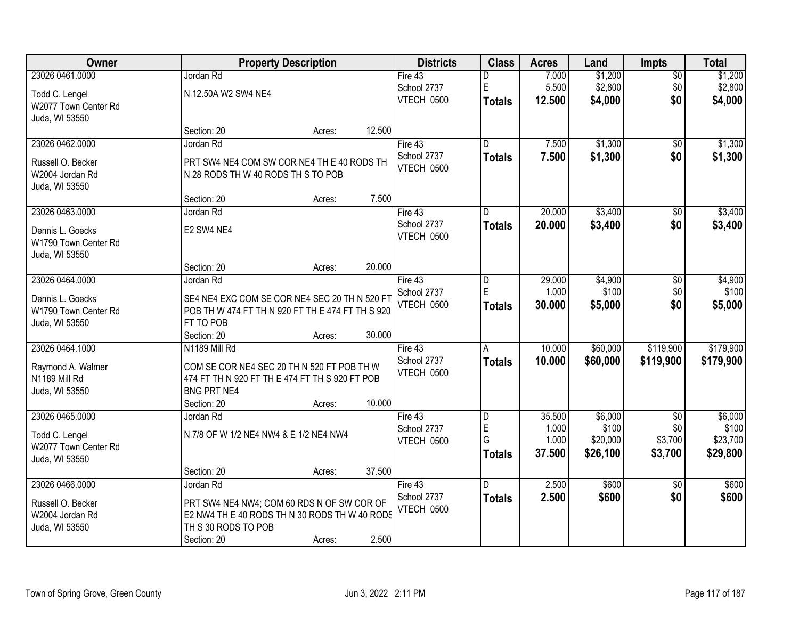| Owner                |                                                  | <b>Property Description</b> |        | <b>Districts</b>          | <b>Class</b>                 | <b>Acres</b>    | Land              | <b>Impts</b>    | <b>Total</b>     |
|----------------------|--------------------------------------------------|-----------------------------|--------|---------------------------|------------------------------|-----------------|-------------------|-----------------|------------------|
| 23026 0461.0000      | Jordan Rd                                        |                             |        | Fire 43                   | D                            | 7.000           | \$1,200           | $\overline{50}$ | \$1,200          |
| Todd C. Lengel       | N 12.50A W2 SW4 NE4                              |                             |        | School 2737               | E                            | 5.500           | \$2,800           | \$0             | \$2,800          |
| W2077 Town Center Rd |                                                  |                             |        | VTECH 0500                | <b>Totals</b>                | 12.500          | \$4,000           | \$0             | \$4,000          |
| Juda, WI 53550       |                                                  |                             |        |                           |                              |                 |                   |                 |                  |
|                      | Section: 20                                      | Acres:                      | 12.500 |                           |                              |                 |                   |                 |                  |
| 23026 0462.0000      | Jordan Rd                                        |                             |        | Fire $43$                 | $\overline{\mathsf{D}}$      | 7.500           | \$1,300           | $\overline{50}$ | \$1,300          |
|                      |                                                  |                             |        | School 2737               | <b>Totals</b>                | 7.500           | \$1,300           | \$0             | \$1,300          |
| Russell O. Becker    | PRT SW4 NE4 COM SW COR NE4 TH E 40 RODS TH       |                             |        | VTECH 0500                |                              |                 |                   |                 |                  |
| W2004 Jordan Rd      | N 28 RODS TH W 40 RODS TH S TO POB               |                             |        |                           |                              |                 |                   |                 |                  |
| Juda, WI 53550       | Section: 20                                      |                             | 7.500  |                           |                              |                 |                   |                 |                  |
| 23026 0463.0000      | Jordan Rd                                        | Acres:                      |        | Fire 43                   | D                            | 20.000          | \$3,400           |                 | \$3,400          |
|                      |                                                  |                             |        | School 2737               |                              |                 |                   | \$0             |                  |
| Dennis L. Goecks     | E2 SW4 NE4                                       |                             |        | VTECH 0500                | <b>Totals</b>                | 20.000          | \$3,400           | \$0             | \$3,400          |
| W1790 Town Center Rd |                                                  |                             |        |                           |                              |                 |                   |                 |                  |
| Juda, WI 53550       |                                                  |                             |        |                           |                              |                 |                   |                 |                  |
|                      | Section: 20                                      | Acres:                      | 20.000 |                           |                              |                 |                   |                 |                  |
| 23026 0464.0000      | Jordan Rd                                        |                             |        | Fire 43                   | D                            | 29.000          | \$4,900           | \$0             | \$4,900          |
| Dennis L. Goecks     | SE4 NE4 EXC COM SE COR NE4 SEC 20 TH N 520 FT    |                             |        | School 2737               | E                            | 1.000           | \$100             | \$0             | \$100            |
| W1790 Town Center Rd | POB TH W 474 FT TH N 920 FT TH E 474 FT TH S 920 |                             |        | VTECH 0500                | <b>Totals</b>                | 30.000          | \$5,000           | \$0             | \$5,000          |
| Juda, WI 53550       | FT TO POB                                        |                             |        |                           |                              |                 |                   |                 |                  |
|                      | Section: 20                                      | Acres:                      | 30.000 |                           |                              |                 |                   |                 |                  |
| 23026 0464.1000      | N1189 Mill Rd                                    |                             |        | Fire 43                   | A                            | 10.000          | \$60,000          | \$119,900       | \$179,900        |
|                      |                                                  |                             |        | School 2737               | <b>Totals</b>                | 10.000          | \$60,000          | \$119,900       | \$179,900        |
| Raymond A. Walmer    | COM SE COR NE4 SEC 20 TH N 520 FT POB TH W       |                             |        | VTECH 0500                |                              |                 |                   |                 |                  |
| N1189 Mill Rd        | 474 FT TH N 920 FT TH E 474 FT TH S 920 FT POB   |                             |        |                           |                              |                 |                   |                 |                  |
| Juda, WI 53550       | <b>BNG PRT NE4</b>                               |                             |        |                           |                              |                 |                   |                 |                  |
|                      | Section: 20                                      | Acres:                      | 10.000 |                           |                              |                 |                   |                 |                  |
| 23026 0465.0000      | Jordan Rd                                        |                             |        | Fire 43                   | $\overline{\mathsf{D}}$<br>E | 35.500<br>1.000 | \$6,000           | $\overline{60}$ | \$6,000<br>\$100 |
| Todd C. Lengel       | N 7/8 OF W 1/2 NE4 NW4 & E 1/2 NE4 NW4           |                             |        | School 2737<br>VTECH 0500 | G                            | 1.000           | \$100<br>\$20,000 | \$0<br>\$3,700  | \$23,700         |
| W2077 Town Center Rd |                                                  |                             |        |                           |                              | 37.500          | \$26,100          | \$3,700         | \$29,800         |
| Juda, WI 53550       |                                                  |                             |        |                           | <b>Totals</b>                |                 |                   |                 |                  |
|                      | Section: 20                                      | Acres:                      | 37.500 |                           |                              |                 |                   |                 |                  |
| 23026 0466.0000      | Jordan Rd                                        |                             |        | Fire $43$                 | D.                           | 2.500           | \$600             | $\overline{30}$ | \$600            |
| Russell O. Becker    | PRT SW4 NE4 NW4; COM 60 RDS N OF SW COR OF       |                             |        | School 2737               | <b>Totals</b>                | 2.500           | \$600             | \$0             | \$600            |
| W2004 Jordan Rd      | E2 NW4 TH E 40 RODS TH N 30 RODS TH W 40 RODS    |                             |        | VTECH 0500                |                              |                 |                   |                 |                  |
| Juda, WI 53550       | TH S 30 RODS TO POB                              |                             |        |                           |                              |                 |                   |                 |                  |
|                      | Section: 20                                      | Acres:                      | 2.500  |                           |                              |                 |                   |                 |                  |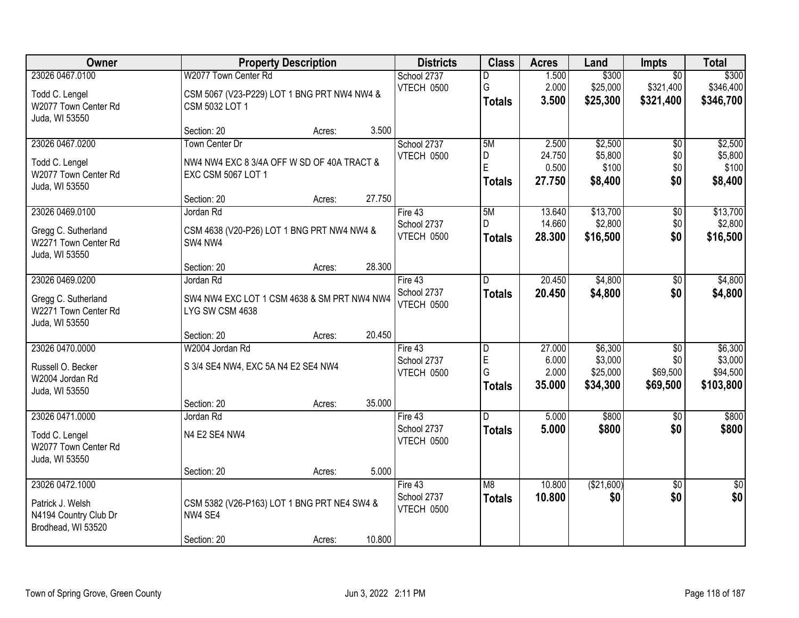| Owner                                  | <b>Property Description</b>                 |        | <b>Districts</b>          | <b>Class</b>  | <b>Acres</b>    | Land               | Impts                  | <b>Total</b>       |
|----------------------------------------|---------------------------------------------|--------|---------------------------|---------------|-----------------|--------------------|------------------------|--------------------|
| 23026 0467.0100                        | W2077 Town Center Rd                        |        | School 2737               | D             | 1.500           | \$300              | $\overline{50}$        | \$300              |
| Todd C. Lengel                         | CSM 5067 (V23-P229) LOT 1 BNG PRT NW4 NW4 & |        | VTECH 0500                | G             | 2.000           | \$25,000           | \$321,400              | \$346,400          |
| W2077 Town Center Rd                   | CSM 5032 LOT 1                              |        |                           | <b>Totals</b> | 3.500           | \$25,300           | \$321,400              | \$346,700          |
| Juda, WI 53550                         |                                             |        |                           |               |                 |                    |                        |                    |
|                                        | Section: 20<br>Acres:                       | 3.500  |                           |               |                 |                    |                        |                    |
| 23026 0467.0200                        | Town Center Dr                              |        | School 2737<br>VTECH 0500 | 5M<br>D       | 2.500<br>24.750 | \$2,500<br>\$5,800 | $\overline{50}$<br>\$0 | \$2,500<br>\$5,800 |
| Todd C. Lengel                         | NW4 NW4 EXC 8 3/4A OFF W SD OF 40A TRACT &  |        |                           | E             | 0.500           | \$100              | \$0                    | \$100              |
| W2077 Town Center Rd                   | EXC CSM 5067 LOT 1                          |        |                           | <b>Totals</b> | 27.750          | \$8,400            | \$0                    | \$8,400            |
| Juda, WI 53550                         |                                             | 27.750 |                           |               |                 |                    |                        |                    |
| 23026 0469.0100                        | Section: 20<br>Acres:<br>Jordan Rd          |        | Fire 43                   | 5M            | 13.640          | \$13,700           | $\overline{50}$        | \$13,700           |
|                                        |                                             |        | School 2737               | D             | 14.660          | \$2,800            | \$0                    | \$2,800            |
| Gregg C. Sutherland                    | CSM 4638 (V20-P26) LOT 1 BNG PRT NW4 NW4 &  |        | VTECH 0500                | <b>Totals</b> | 28.300          | \$16,500           | \$0                    | \$16,500           |
| W2271 Town Center Rd                   | SW4 NW4                                     |        |                           |               |                 |                    |                        |                    |
| Juda, WI 53550                         |                                             | 28.300 |                           |               |                 |                    |                        |                    |
| 23026 0469.0200                        | Section: 20<br>Acres:<br>Jordan Rd          |        | Fire 43                   | D             | 20.450          | \$4,800            | \$0                    | \$4,800            |
|                                        |                                             |        | School 2737               | <b>Totals</b> | 20.450          | \$4,800            | \$0                    | \$4,800            |
| Gregg C. Sutherland                    | SW4 NW4 EXC LOT 1 CSM 4638 & SM PRT NW4 NW4 |        | VTECH 0500                |               |                 |                    |                        |                    |
| W2271 Town Center Rd                   | LYG SW CSM 4638                             |        |                           |               |                 |                    |                        |                    |
| Juda, WI 53550                         | Section: 20<br>Acres:                       | 20.450 |                           |               |                 |                    |                        |                    |
| 23026 0470.0000                        | W2004 Jordan Rd                             |        | Fire 43                   | D             | 27.000          | \$6,300            | $\overline{50}$        | \$6,300            |
|                                        |                                             |        | School 2737               | E             | 6.000           | \$3,000            | \$0                    | \$3,000            |
| Russell O. Becker                      | S 3/4 SE4 NW4, EXC 5A N4 E2 SE4 NW4         |        | VTECH 0500                | G             | 2.000           | \$25,000           | \$69,500               | \$94,500           |
| W2004 Jordan Rd<br>Juda, WI 53550      |                                             |        |                           | <b>Totals</b> | 35.000          | \$34,300           | \$69,500               | \$103,800          |
|                                        | Section: 20<br>Acres:                       | 35.000 |                           |               |                 |                    |                        |                    |
| 23026 0471.0000                        | Jordan Rd                                   |        | Fire 43                   | D.            | 5.000           | \$800              | $\sqrt{6}$             | \$800              |
|                                        |                                             |        | School 2737               | <b>Totals</b> | 5.000           | \$800              | \$0                    | \$800              |
| Todd C. Lengel<br>W2077 Town Center Rd | N4 E2 SE4 NW4                               |        | VTECH 0500                |               |                 |                    |                        |                    |
| Juda, WI 53550                         |                                             |        |                           |               |                 |                    |                        |                    |
|                                        | Section: 20<br>Acres:                       | 5.000  |                           |               |                 |                    |                        |                    |
| 23026 0472.1000                        |                                             |        | Fire 43                   | M8            | 10.800          | (\$21,600)         | $\overline{50}$        | \$0                |
| Patrick J. Welsh                       | CSM 5382 (V26-P163) LOT 1 BNG PRT NE4 SW4 & |        | School 2737               | <b>Totals</b> | 10.800          | \$0                | \$0                    | \$0                |
| N4194 Country Club Dr                  | NW4 SE4                                     |        | <b>VTECH 0500</b>         |               |                 |                    |                        |                    |
| Brodhead, WI 53520                     |                                             |        |                           |               |                 |                    |                        |                    |
|                                        | Section: 20<br>Acres:                       | 10.800 |                           |               |                 |                    |                        |                    |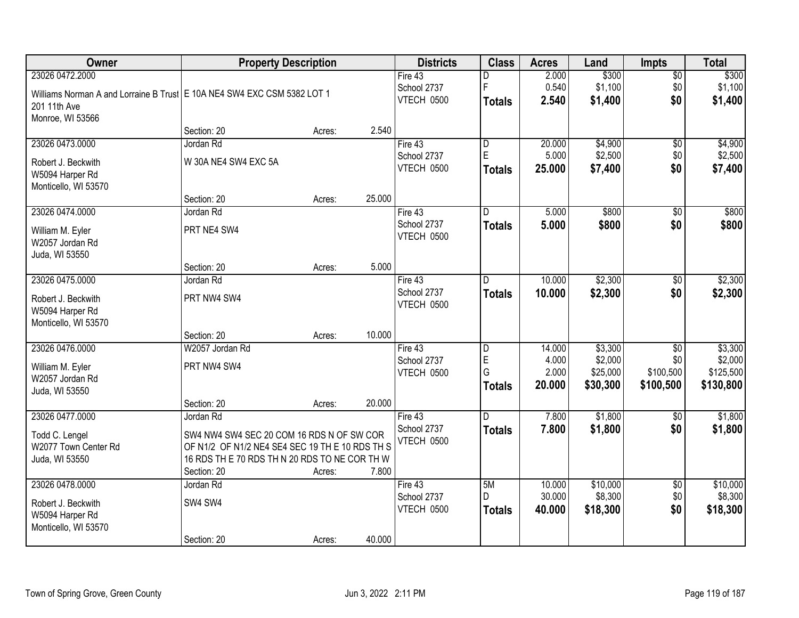| <b>Owner</b>                                                                                                 | <b>Property Description</b>                                                                                                                                                              |                  |                 | <b>Districts</b>                     | <b>Class</b>                              | <b>Acres</b>                       | Land                                       | Impts                                            | <b>Total</b>                                 |
|--------------------------------------------------------------------------------------------------------------|------------------------------------------------------------------------------------------------------------------------------------------------------------------------------------------|------------------|-----------------|--------------------------------------|-------------------------------------------|------------------------------------|--------------------------------------------|--------------------------------------------------|----------------------------------------------|
| 23026 0472.2000<br>Williams Norman A and Lorraine B Trust   E 10A NE4 SW4 EXC CSM 5382 LOT 1<br>201 11th Ave |                                                                                                                                                                                          |                  |                 | Fire 43<br>School 2737<br>VTECH 0500 | D<br>F<br><b>Totals</b>                   | 2.000<br>0.540<br>2.540            | \$300<br>\$1,100<br>\$1,400                | $\overline{50}$<br>\$0<br>\$0                    | \$300<br>\$1,100<br>\$1,400                  |
| Monroe, WI 53566                                                                                             | Section: 20                                                                                                                                                                              | Acres:           | 2.540           |                                      |                                           |                                    |                                            |                                                  |                                              |
| 23026 0473.0000<br>Robert J. Beckwith<br>W5094 Harper Rd<br>Monticello, WI 53570                             | Jordan Rd<br>W 30A NE4 SW4 EXC 5A                                                                                                                                                        |                  |                 | Fire 43<br>School 2737<br>VTECH 0500 | $\overline{D}$<br>E<br><b>Totals</b>      | 20.000<br>5.000<br>25.000          | \$4,900<br>\$2,500<br>\$7,400              | $\overline{50}$<br>\$0<br>\$0                    | \$4,900<br>\$2,500<br>\$7,400                |
| 23026 0474.0000<br>William M. Eyler<br>W2057 Jordan Rd<br>Juda, WI 53550                                     | Section: 20<br>Jordan Rd<br>PRT NE4 SW4                                                                                                                                                  | Acres:           | 25.000          | Fire 43<br>School 2737<br>VTECH 0500 | D<br><b>Totals</b>                        | 5.000<br>5.000                     | \$800<br>\$800                             | $\overline{50}$<br>\$0                           | \$800<br>\$800                               |
| 23026 0475.0000<br>Robert J. Beckwith<br>W5094 Harper Rd<br>Monticello, WI 53570                             | Section: 20<br>Jordan Rd<br>PRT NW4 SW4                                                                                                                                                  | Acres:           | 5.000           | Fire 43<br>School 2737<br>VTECH 0500 | D.<br><b>Totals</b>                       | 10.000<br>10.000                   | \$2,300<br>\$2,300                         | \$0<br>\$0                                       | \$2,300<br>\$2,300                           |
| 23026 0476.0000<br>William M. Eyler<br>W2057 Jordan Rd<br>Juda, WI 53550                                     | Section: 20<br>W2057 Jordan Rd<br>PRT NW4 SW4                                                                                                                                            | Acres:           | 10.000          | Fire 43<br>School 2737<br>VTECH 0500 | $\overline{D}$<br>E<br>G<br><b>Totals</b> | 14.000<br>4.000<br>2.000<br>20.000 | \$3,300<br>\$2,000<br>\$25,000<br>\$30,300 | $\overline{50}$<br>\$0<br>\$100,500<br>\$100,500 | \$3,300<br>\$2,000<br>\$125,500<br>\$130,800 |
| 23026 0477.0000<br>Todd C. Lengel<br>W2077 Town Center Rd<br>Juda, WI 53550                                  | Section: 20<br>Jordan Rd<br>SW4 NW4 SW4 SEC 20 COM 16 RDS N OF SW COR<br>OF N1/2 OF N1/2 NE4 SE4 SEC 19 TH E 10 RDS TH S<br>16 RDS TH E 70 RDS TH N 20 RDS TO NE COR TH W<br>Section: 20 | Acres:<br>Acres: | 20.000<br>7.800 | Fire 43<br>School 2737<br>VTECH 0500 | D<br><b>Totals</b>                        | 7.800<br>7.800                     | \$1,800<br>\$1,800                         | $\sqrt{6}$<br>\$0                                | \$1,800<br>\$1,800                           |
| 23026 0478.0000<br>Robert J. Beckwith<br>W5094 Harper Rd<br>Monticello, WI 53570                             | Jordan Rd<br>SW4 SW4<br>Section: 20                                                                                                                                                      | Acres:           | 40.000          | Fire 43<br>School 2737<br>VTECH 0500 | 5M<br>D.<br><b>Totals</b>                 | 10.000<br>30.000<br>40.000         | \$10,000<br>\$8,300<br>\$18,300            | $\overline{50}$<br>\$0<br>\$0                    | \$10,000<br>\$8,300<br>\$18,300              |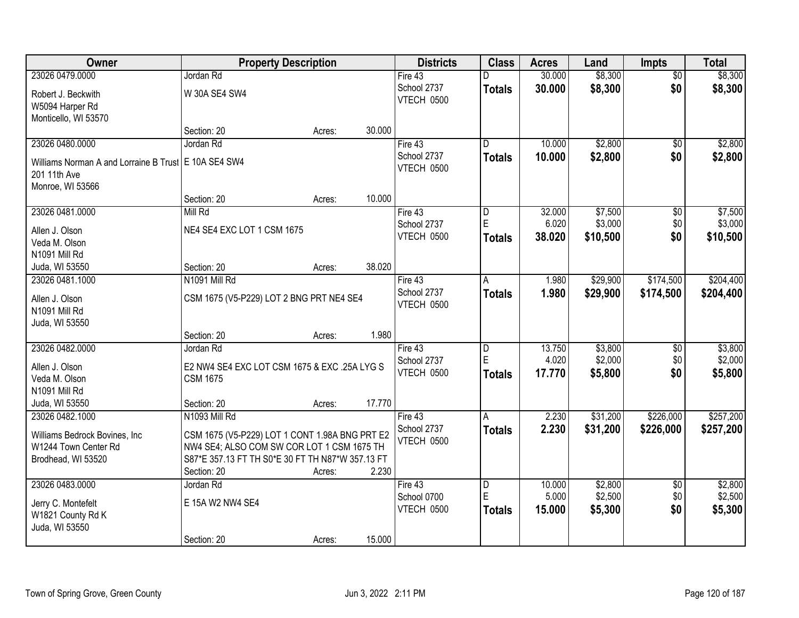| \$8,300<br>\$8,300<br>23026 0479.0000<br>Jordan Rd<br>30.000<br>$\overline{50}$<br>Fire 43<br>D<br>\$0<br>School 2737<br>30.000<br>\$8,300<br>\$8,300<br><b>Totals</b><br>W 30A SE4 SW4<br>Robert J. Beckwith<br>VTECH 0500<br>W5094 Harper Rd<br>Monticello, WI 53570<br>30.000<br>Section: 20<br>Acres:<br>\$2,800<br>23026 0480.0000<br>Jordan Rd<br>10.000<br>Fire 43<br>D.<br>\$0<br>School 2737<br>\$0<br>10.000<br>\$2,800<br><b>Totals</b><br>Williams Norman A and Lorraine B Trust E 10A SE4 SW4<br>VTECH 0500<br>201 11th Ave<br>Monroe, WI 53566<br>Section: 20<br>10.000<br>Acres:<br>\$7,500<br>23026 0481.0000<br>Mill Rd<br>32.000<br>\$0<br>Fire 43<br>ID.<br>E<br>\$3,000<br>\$0<br>6.020<br>School 2737<br>NE4 SE4 EXC LOT 1 CSM 1675<br>Allen J. Olson<br>VTECH 0500<br>38.020<br>\$10,500<br>\$0<br><b>Totals</b><br>Veda M. Olson<br>N1091 Mill Rd<br>38.020<br>Section: 20<br>Juda, WI 53550<br>Acres:<br>\$29,900<br>\$174,500<br>N1091 Mill Rd<br>23026 0481.1000<br>Fire 43<br>1.980<br>A<br>School 2737<br>1.980<br>\$29,900<br>\$174,500<br><b>Totals</b><br>CSM 1675 (V5-P229) LOT 2 BNG PRT NE4 SE4<br>Allen J. Olson<br>VTECH 0500<br>N1091 Mill Rd<br>Juda, WI 53550<br>1.980<br>Section: 20<br>Acres:<br>23026 0482.0000<br>\$3,800<br>Jordan Rd<br>13.750<br>Fire 43<br>D<br>\$0<br>E<br>4.020<br>\$2,000<br>\$0<br>School 2737<br>Allen J. Olson<br>E2 NW4 SE4 EXC LOT CSM 1675 & EXC .25A LYG S<br>17.770<br>\$5,800<br>\$0<br>VTECH 0500<br><b>Totals</b><br>Veda M. Olson<br><b>CSM 1675</b><br>N1091 Mill Rd |
|-----------------------------------------------------------------------------------------------------------------------------------------------------------------------------------------------------------------------------------------------------------------------------------------------------------------------------------------------------------------------------------------------------------------------------------------------------------------------------------------------------------------------------------------------------------------------------------------------------------------------------------------------------------------------------------------------------------------------------------------------------------------------------------------------------------------------------------------------------------------------------------------------------------------------------------------------------------------------------------------------------------------------------------------------------------------------------------------------------------------------------------------------------------------------------------------------------------------------------------------------------------------------------------------------------------------------------------------------------------------------------------------------------------------------------------------------------------------------------------------------------------------------------------------------------|
|                                                                                                                                                                                                                                                                                                                                                                                                                                                                                                                                                                                                                                                                                                                                                                                                                                                                                                                                                                                                                                                                                                                                                                                                                                                                                                                                                                                                                                                                                                                                                     |
|                                                                                                                                                                                                                                                                                                                                                                                                                                                                                                                                                                                                                                                                                                                                                                                                                                                                                                                                                                                                                                                                                                                                                                                                                                                                                                                                                                                                                                                                                                                                                     |
|                                                                                                                                                                                                                                                                                                                                                                                                                                                                                                                                                                                                                                                                                                                                                                                                                                                                                                                                                                                                                                                                                                                                                                                                                                                                                                                                                                                                                                                                                                                                                     |
|                                                                                                                                                                                                                                                                                                                                                                                                                                                                                                                                                                                                                                                                                                                                                                                                                                                                                                                                                                                                                                                                                                                                                                                                                                                                                                                                                                                                                                                                                                                                                     |
| \$2,800<br>\$2,800<br>\$7,500<br>\$3,000<br>\$10,500<br>\$204,400<br>\$204,400<br>\$3,800<br>\$2,000<br>\$5,800                                                                                                                                                                                                                                                                                                                                                                                                                                                                                                                                                                                                                                                                                                                                                                                                                                                                                                                                                                                                                                                                                                                                                                                                                                                                                                                                                                                                                                     |
|                                                                                                                                                                                                                                                                                                                                                                                                                                                                                                                                                                                                                                                                                                                                                                                                                                                                                                                                                                                                                                                                                                                                                                                                                                                                                                                                                                                                                                                                                                                                                     |
|                                                                                                                                                                                                                                                                                                                                                                                                                                                                                                                                                                                                                                                                                                                                                                                                                                                                                                                                                                                                                                                                                                                                                                                                                                                                                                                                                                                                                                                                                                                                                     |
|                                                                                                                                                                                                                                                                                                                                                                                                                                                                                                                                                                                                                                                                                                                                                                                                                                                                                                                                                                                                                                                                                                                                                                                                                                                                                                                                                                                                                                                                                                                                                     |
|                                                                                                                                                                                                                                                                                                                                                                                                                                                                                                                                                                                                                                                                                                                                                                                                                                                                                                                                                                                                                                                                                                                                                                                                                                                                                                                                                                                                                                                                                                                                                     |
|                                                                                                                                                                                                                                                                                                                                                                                                                                                                                                                                                                                                                                                                                                                                                                                                                                                                                                                                                                                                                                                                                                                                                                                                                                                                                                                                                                                                                                                                                                                                                     |
|                                                                                                                                                                                                                                                                                                                                                                                                                                                                                                                                                                                                                                                                                                                                                                                                                                                                                                                                                                                                                                                                                                                                                                                                                                                                                                                                                                                                                                                                                                                                                     |
|                                                                                                                                                                                                                                                                                                                                                                                                                                                                                                                                                                                                                                                                                                                                                                                                                                                                                                                                                                                                                                                                                                                                                                                                                                                                                                                                                                                                                                                                                                                                                     |
|                                                                                                                                                                                                                                                                                                                                                                                                                                                                                                                                                                                                                                                                                                                                                                                                                                                                                                                                                                                                                                                                                                                                                                                                                                                                                                                                                                                                                                                                                                                                                     |
|                                                                                                                                                                                                                                                                                                                                                                                                                                                                                                                                                                                                                                                                                                                                                                                                                                                                                                                                                                                                                                                                                                                                                                                                                                                                                                                                                                                                                                                                                                                                                     |
|                                                                                                                                                                                                                                                                                                                                                                                                                                                                                                                                                                                                                                                                                                                                                                                                                                                                                                                                                                                                                                                                                                                                                                                                                                                                                                                                                                                                                                                                                                                                                     |
|                                                                                                                                                                                                                                                                                                                                                                                                                                                                                                                                                                                                                                                                                                                                                                                                                                                                                                                                                                                                                                                                                                                                                                                                                                                                                                                                                                                                                                                                                                                                                     |
|                                                                                                                                                                                                                                                                                                                                                                                                                                                                                                                                                                                                                                                                                                                                                                                                                                                                                                                                                                                                                                                                                                                                                                                                                                                                                                                                                                                                                                                                                                                                                     |
|                                                                                                                                                                                                                                                                                                                                                                                                                                                                                                                                                                                                                                                                                                                                                                                                                                                                                                                                                                                                                                                                                                                                                                                                                                                                                                                                                                                                                                                                                                                                                     |
|                                                                                                                                                                                                                                                                                                                                                                                                                                                                                                                                                                                                                                                                                                                                                                                                                                                                                                                                                                                                                                                                                                                                                                                                                                                                                                                                                                                                                                                                                                                                                     |
|                                                                                                                                                                                                                                                                                                                                                                                                                                                                                                                                                                                                                                                                                                                                                                                                                                                                                                                                                                                                                                                                                                                                                                                                                                                                                                                                                                                                                                                                                                                                                     |
|                                                                                                                                                                                                                                                                                                                                                                                                                                                                                                                                                                                                                                                                                                                                                                                                                                                                                                                                                                                                                                                                                                                                                                                                                                                                                                                                                                                                                                                                                                                                                     |
|                                                                                                                                                                                                                                                                                                                                                                                                                                                                                                                                                                                                                                                                                                                                                                                                                                                                                                                                                                                                                                                                                                                                                                                                                                                                                                                                                                                                                                                                                                                                                     |
|                                                                                                                                                                                                                                                                                                                                                                                                                                                                                                                                                                                                                                                                                                                                                                                                                                                                                                                                                                                                                                                                                                                                                                                                                                                                                                                                                                                                                                                                                                                                                     |
|                                                                                                                                                                                                                                                                                                                                                                                                                                                                                                                                                                                                                                                                                                                                                                                                                                                                                                                                                                                                                                                                                                                                                                                                                                                                                                                                                                                                                                                                                                                                                     |
| 17.770<br>Juda, WI 53550<br>Section: 20<br>Acres:                                                                                                                                                                                                                                                                                                                                                                                                                                                                                                                                                                                                                                                                                                                                                                                                                                                                                                                                                                                                                                                                                                                                                                                                                                                                                                                                                                                                                                                                                                   |
| \$226,000<br>\$257,200<br>23026 0482.1000<br>N1093 Mill Rd<br>2.230<br>\$31,200<br>Fire 43<br>A                                                                                                                                                                                                                                                                                                                                                                                                                                                                                                                                                                                                                                                                                                                                                                                                                                                                                                                                                                                                                                                                                                                                                                                                                                                                                                                                                                                                                                                     |
| School 2737<br>2.230<br>\$31,200<br>\$226,000<br>\$257,200<br><b>Totals</b>                                                                                                                                                                                                                                                                                                                                                                                                                                                                                                                                                                                                                                                                                                                                                                                                                                                                                                                                                                                                                                                                                                                                                                                                                                                                                                                                                                                                                                                                         |
| CSM 1675 (V5-P229) LOT 1 CONT 1.98A BNG PRT E2<br>Williams Bedrock Bovines, Inc.<br>VTECH 0500<br>NW4 SE4; ALSO COM SW COR LOT 1 CSM 1675 TH<br>W1244 Town Center Rd                                                                                                                                                                                                                                                                                                                                                                                                                                                                                                                                                                                                                                                                                                                                                                                                                                                                                                                                                                                                                                                                                                                                                                                                                                                                                                                                                                                |
| S87*E 357.13 FT TH S0*E 30 FT TH N87*W 357.13 FT<br>Brodhead, WI 53520                                                                                                                                                                                                                                                                                                                                                                                                                                                                                                                                                                                                                                                                                                                                                                                                                                                                                                                                                                                                                                                                                                                                                                                                                                                                                                                                                                                                                                                                              |
| 2.230<br>Section: 20<br>Acres:                                                                                                                                                                                                                                                                                                                                                                                                                                                                                                                                                                                                                                                                                                                                                                                                                                                                                                                                                                                                                                                                                                                                                                                                                                                                                                                                                                                                                                                                                                                      |
| \$2,800<br>\$2,800<br>23026 0483.0000<br>Fire 43<br>$\overline{D}$<br>10.000<br>Jordan Rd<br>$\overline{50}$                                                                                                                                                                                                                                                                                                                                                                                                                                                                                                                                                                                                                                                                                                                                                                                                                                                                                                                                                                                                                                                                                                                                                                                                                                                                                                                                                                                                                                        |
| E<br>\$2,500<br>\$0<br>\$2,500<br>5.000<br>School 0700                                                                                                                                                                                                                                                                                                                                                                                                                                                                                                                                                                                                                                                                                                                                                                                                                                                                                                                                                                                                                                                                                                                                                                                                                                                                                                                                                                                                                                                                                              |
| E 15A W2 NW4 SE4<br>Jerry C. Montefelt<br>VTECH 0500<br>\$0<br>\$5,300<br>15.000<br>\$5,300<br><b>Totals</b>                                                                                                                                                                                                                                                                                                                                                                                                                                                                                                                                                                                                                                                                                                                                                                                                                                                                                                                                                                                                                                                                                                                                                                                                                                                                                                                                                                                                                                        |
| W1821 County Rd K<br>Juda, WI 53550                                                                                                                                                                                                                                                                                                                                                                                                                                                                                                                                                                                                                                                                                                                                                                                                                                                                                                                                                                                                                                                                                                                                                                                                                                                                                                                                                                                                                                                                                                                 |
| 15.000<br>Section: 20<br>Acres:                                                                                                                                                                                                                                                                                                                                                                                                                                                                                                                                                                                                                                                                                                                                                                                                                                                                                                                                                                                                                                                                                                                                                                                                                                                                                                                                                                                                                                                                                                                     |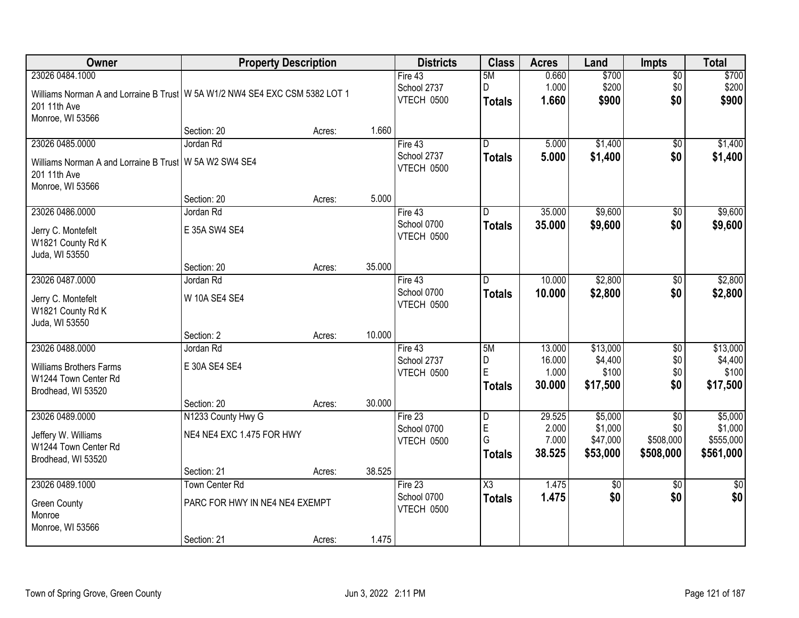| Owner                                                                                         | <b>Property Description</b>    |        |        | <b>Districts</b>          | <b>Class</b>            | <b>Acres</b>    | Land               | <b>Impts</b>           | <b>Total</b>       |
|-----------------------------------------------------------------------------------------------|--------------------------------|--------|--------|---------------------------|-------------------------|-----------------|--------------------|------------------------|--------------------|
| 23026 0484.1000                                                                               |                                |        |        | Fire 43<br>School 2737    | 5M<br>D                 | 0.660<br>1.000  | \$700<br>\$200     | $\overline{50}$<br>\$0 | \$700<br>\$200     |
| Williams Norman A and Lorraine B Trust   W 5A W1/2 NW4 SE4 EXC CSM 5382 LOT 1<br>201 11th Ave |                                |        |        | VTECH 0500                | <b>Totals</b>           | 1.660           | \$900              | \$0                    | \$900              |
| Monroe, WI 53566                                                                              |                                |        |        |                           |                         |                 |                    |                        |                    |
|                                                                                               | Section: 20                    | Acres: | 1.660  |                           |                         |                 |                    |                        |                    |
| 23026 0485.0000                                                                               | Jordan Rd                      |        |        | Fire $43$                 | $\overline{\mathsf{n}}$ | 5.000           | \$1,400            | $\overline{50}$        | \$1,400            |
| Williams Norman A and Lorraine B Trust                                                        | W 5A W2 SW4 SE4                |        |        | School 2737<br>VTECH 0500 | <b>Totals</b>           | 5.000           | \$1,400            | \$0                    | \$1,400            |
| 201 11th Ave<br>Monroe, WI 53566                                                              |                                |        |        |                           |                         |                 |                    |                        |                    |
|                                                                                               | Section: 20                    | Acres: | 5.000  |                           |                         |                 |                    |                        |                    |
| 23026 0486.0000                                                                               | Jordan Rd                      |        |        | Fire 43                   | D                       | 35.000          | \$9,600            | \$0                    | \$9,600            |
| Jerry C. Montefelt                                                                            | E 35A SW4 SE4                  |        |        | School 0700               | <b>Totals</b>           | 35.000          | \$9,600            | \$0                    | \$9,600            |
| W1821 County Rd K                                                                             |                                |        |        | VTECH 0500                |                         |                 |                    |                        |                    |
| Juda, WI 53550                                                                                |                                |        |        |                           |                         |                 |                    |                        |                    |
|                                                                                               | Section: 20                    | Acres: | 35.000 |                           |                         |                 |                    |                        |                    |
| 23026 0487.0000                                                                               | Jordan Rd                      |        |        | Fire 43                   | D.                      | 10.000          | \$2,800            | \$0                    | \$2,800            |
| Jerry C. Montefelt                                                                            | W 10A SE4 SE4                  |        |        | School 0700               | <b>Totals</b>           | 10.000          | \$2,800            | \$0                    | \$2,800            |
| W1821 County Rd K                                                                             |                                |        |        | VTECH 0500                |                         |                 |                    |                        |                    |
| Juda, WI 53550                                                                                |                                |        |        |                           |                         |                 |                    |                        |                    |
|                                                                                               | Section: 2                     | Acres: | 10.000 |                           |                         |                 |                    |                        |                    |
| 23026 0488.0000                                                                               | Jordan Rd                      |        |        | Fire 43                   | 5M                      | 13.000          | \$13,000           | $\overline{30}$        | \$13,000           |
| <b>Williams Brothers Farms</b>                                                                | E 30A SE4 SE4                  |        |        | School 2737<br>VTECH 0500 | D<br>E                  | 16.000<br>1.000 | \$4,400<br>\$100   | \$0<br>\$0             | \$4,400<br>\$100   |
| W1244 Town Center Rd                                                                          |                                |        |        |                           | <b>Totals</b>           | 30.000          | \$17,500           | \$0                    | \$17,500           |
| Brodhead, WI 53520                                                                            |                                |        |        |                           |                         |                 |                    |                        |                    |
|                                                                                               | Section: 20                    | Acres: | 30.000 |                           |                         |                 |                    |                        |                    |
| 23026 0489.0000                                                                               | N1233 County Hwy G             |        |        | Fire 23<br>School 0700    | D<br>E                  | 29.525<br>2.000 | \$5,000<br>\$1,000 | $\overline{30}$<br>\$0 | \$5,000<br>\$1,000 |
| Jeffery W. Williams                                                                           | NE4 NE4 EXC 1.475 FOR HWY      |        |        | VTECH 0500                | G                       | 7.000           | \$47,000           | \$508,000              | \$555,000          |
| W1244 Town Center Rd                                                                          |                                |        |        |                           | <b>Totals</b>           | 38.525          | \$53,000           | \$508,000              | \$561,000          |
| Brodhead, WI 53520                                                                            | Section: 21                    |        | 38.525 |                           |                         |                 |                    |                        |                    |
| 23026 0489.1000                                                                               | <b>Town Center Rd</b>          | Acres: |        | Fire $23$                 | $\overline{\text{X3}}$  | 1.475           | $\overline{50}$    | $\overline{50}$        | $\frac{1}{30}$     |
|                                                                                               |                                |        |        | School 0700               | <b>Totals</b>           | 1.475           | \$0                | \$0                    | \$0                |
| <b>Green County</b>                                                                           | PARC FOR HWY IN NE4 NE4 EXEMPT |        |        | VTECH 0500                |                         |                 |                    |                        |                    |
| Monroe<br>Monroe, WI 53566                                                                    |                                |        |        |                           |                         |                 |                    |                        |                    |
|                                                                                               | Section: 21                    | Acres: | 1.475  |                           |                         |                 |                    |                        |                    |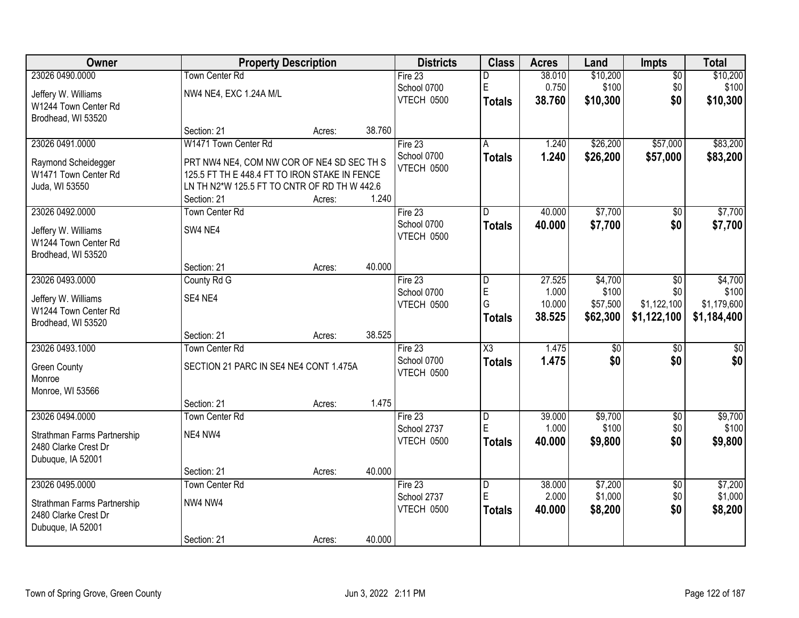| Owner                       | <b>Property Description</b>                   |        |        | <b>Districts</b>  | <b>Class</b>           | <b>Acres</b> | Land            | Impts           | <b>Total</b> |
|-----------------------------|-----------------------------------------------|--------|--------|-------------------|------------------------|--------------|-----------------|-----------------|--------------|
| 23026 0490.0000             | Town Center Rd                                |        |        | Fire 23           | D                      | 38.010       | \$10,200        | $\overline{50}$ | \$10,200     |
| Jeffery W. Williams         | NW4 NE4, EXC 1.24A M/L                        |        |        | School 0700       | $\mathsf E$            | 0.750        | \$100           | \$0             | \$100        |
| W1244 Town Center Rd        |                                               |        |        | VTECH 0500        | <b>Totals</b>          | 38.760       | \$10,300        | \$0             | \$10,300     |
| Brodhead, WI 53520          |                                               |        |        |                   |                        |              |                 |                 |              |
|                             | Section: 21                                   | Acres: | 38.760 |                   |                        |              |                 |                 |              |
| 23026 0491.0000             | W1471 Town Center Rd                          |        |        | Fire $23$         | A                      | 1.240        | \$26,200        | \$57,000        | \$83,200     |
| Raymond Scheidegger         | PRT NW4 NE4, COM NW COR OF NE4 SD SEC TH S    |        |        | School 0700       | <b>Totals</b>          | 1.240        | \$26,200        | \$57,000        | \$83,200     |
| W1471 Town Center Rd        | 125.5 FT TH E 448.4 FT TO IRON STAKE IN FENCE |        |        | <b>VTECH 0500</b> |                        |              |                 |                 |              |
| Juda, WI 53550              | LN TH N2*W 125.5 FT TO CNTR OF RD TH W 442.6  |        |        |                   |                        |              |                 |                 |              |
|                             | Section: 21                                   | Acres: | 1.240  |                   |                        |              |                 |                 |              |
| 23026 0492.0000             | <b>Town Center Rd</b>                         |        |        | Fire 23           | D                      | 40.000       | \$7,700         | $\sqrt[6]{}$    | \$7,700      |
| Jeffery W. Williams         | SW4 NE4                                       |        |        | School 0700       | Totals                 | 40.000       | \$7,700         | \$0             | \$7,700      |
| W1244 Town Center Rd        |                                               |        |        | VTECH 0500        |                        |              |                 |                 |              |
| Brodhead, WI 53520          |                                               |        |        |                   |                        |              |                 |                 |              |
|                             | Section: 21                                   | Acres: | 40.000 |                   |                        |              |                 |                 |              |
| 23026 0493.0000             | County Rd G                                   |        |        | Fire 23           | D                      | 27.525       | \$4,700         | $\sqrt[6]{3}$   | \$4,700      |
| Jeffery W. Williams         | SE4 NE4                                       |        |        | School 0700       | E                      | 1.000        | \$100           | \$0             | \$100        |
| W1244 Town Center Rd        |                                               |        |        | VTECH 0500        | G                      | 10.000       | \$57,500        | \$1,122,100     | \$1,179,600  |
| Brodhead, WI 53520          |                                               |        |        |                   | <b>Totals</b>          | 38.525       | \$62,300        | \$1,122,100     | \$1,184,400  |
|                             | Section: 21                                   | Acres: | 38.525 |                   |                        |              |                 |                 |              |
| 23026 0493.1000             | <b>Town Center Rd</b>                         |        |        | Fire 23           | $\overline{\text{X3}}$ | 1.475        | $\overline{50}$ | \$0             | $\sqrt{50}$  |
| <b>Green County</b>         | SECTION 21 PARC IN SE4 NE4 CONT 1.475A        |        |        | School 0700       | <b>Totals</b>          | 1.475        | \$0             | \$0             | \$0          |
| Monroe                      |                                               |        |        | VTECH 0500        |                        |              |                 |                 |              |
| Monroe, WI 53566            |                                               |        |        |                   |                        |              |                 |                 |              |
|                             | Section: 21                                   | Acres: | 1.475  |                   |                        |              |                 |                 |              |
| 23026 0494.0000             | <b>Town Center Rd</b>                         |        |        | Fire 23           | $\overline{D}$         | 39.000       | \$9,700         | $\overline{$0}$ | \$9,700      |
| Strathman Farms Partnership | NE4 NW4                                       |        |        | School 2737       | E                      | 1.000        | \$100           | \$0             | \$100        |
| 2480 Clarke Crest Dr        |                                               |        |        | VTECH 0500        | <b>Totals</b>          | 40.000       | \$9,800         | \$0             | \$9,800      |
| Dubuque, IA 52001           |                                               |        |        |                   |                        |              |                 |                 |              |
|                             | Section: 21                                   | Acres: | 40.000 |                   |                        |              |                 |                 |              |
| 23026 0495.0000             | Town Center Rd                                |        |        | Fire $23$         | D                      | 38.000       | \$7,200         | $\overline{60}$ | \$7,200      |
| Strathman Farms Partnership | NW4 NW4                                       |        |        | School 2737       | E                      | 2.000        | \$1,000         | \$0             | \$1,000      |
| 2480 Clarke Crest Dr        |                                               |        |        | VTECH 0500        | <b>Totals</b>          | 40.000       | \$8,200         | \$0             | \$8,200      |
| Dubuque, IA 52001           |                                               |        |        |                   |                        |              |                 |                 |              |
|                             | Section: 21                                   | Acres: | 40.000 |                   |                        |              |                 |                 |              |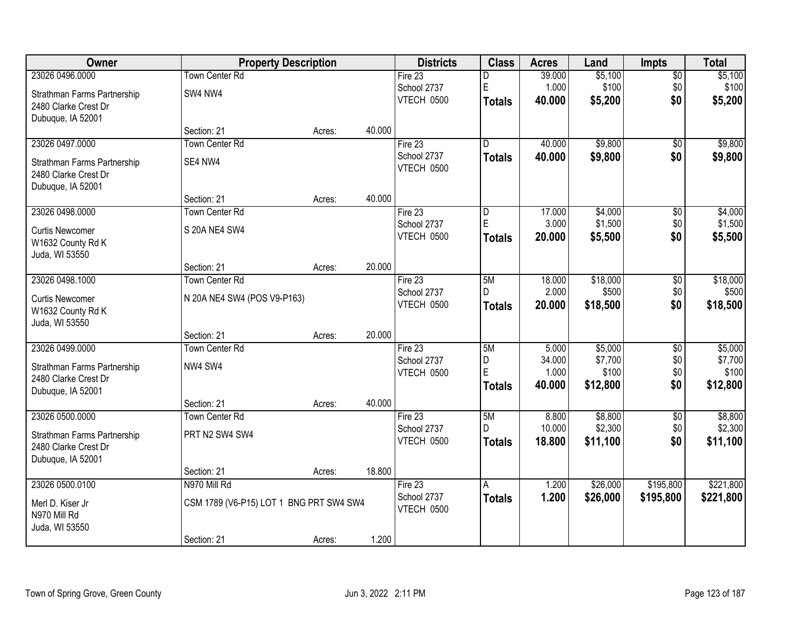| Owner                       | <b>Property Description</b>             |        |        | <b>Districts</b> | <b>Class</b>   | <b>Acres</b> | Land     | <b>Impts</b>    | <b>Total</b> |
|-----------------------------|-----------------------------------------|--------|--------|------------------|----------------|--------------|----------|-----------------|--------------|
| 23026 0496.0000             | Town Center Rd                          |        |        | Fire $23$        | D              | 39.000       | \$5,100  | \$0             | \$5,100      |
| Strathman Farms Partnership | SW4 NW4                                 |        |        | School 2737      | $\mathsf E$    | 1.000        | \$100    | \$0             | \$100        |
| 2480 Clarke Crest Dr        |                                         |        |        | VTECH 0500       | <b>Totals</b>  | 40.000       | \$5,200  | \$0             | \$5,200      |
| Dubuque, IA 52001           |                                         |        |        |                  |                |              |          |                 |              |
|                             | Section: 21                             | Acres: | 40.000 |                  |                |              |          |                 |              |
| 23026 0497.0000             | <b>Town Center Rd</b>                   |        |        | Fire 23          | $\overline{D}$ | 40.000       | \$9,800  | \$0             | \$9,800      |
| Strathman Farms Partnership | SE4 NW4                                 |        |        | School 2737      | <b>Totals</b>  | 40.000       | \$9,800  | \$0             | \$9,800      |
| 2480 Clarke Crest Dr        |                                         |        |        | VTECH 0500       |                |              |          |                 |              |
| Dubuque, IA 52001           |                                         |        |        |                  |                |              |          |                 |              |
|                             | Section: 21                             | Acres: | 40.000 |                  |                |              |          |                 |              |
| 23026 0498.0000             | Town Center Rd                          |        |        | Fire 23          | D              | 17.000       | \$4,000  | \$0             | \$4,000      |
| <b>Curtis Newcomer</b>      | S 20A NE4 SW4                           |        |        | School 2737      | E              | 3.000        | \$1,500  | \$0             | \$1,500      |
| W1632 County Rd K           |                                         |        |        | VTECH 0500       | <b>Totals</b>  | 20.000       | \$5,500  | \$0             | \$5,500      |
| Juda, WI 53550              |                                         |        |        |                  |                |              |          |                 |              |
|                             | Section: 21                             | Acres: | 20.000 |                  |                |              |          |                 |              |
| 23026 0498.1000             | <b>Town Center Rd</b>                   |        |        | Fire 23          | 5M             | 18.000       | \$18,000 | \$0             | \$18,000     |
| <b>Curtis Newcomer</b>      | N 20A NE4 SW4 (POS V9-P163)             |        |        | School 2737      | D              | 2.000        | \$500    | \$0             | \$500        |
| W1632 County Rd K           |                                         |        |        | VTECH 0500       | <b>Totals</b>  | 20.000       | \$18,500 | \$0             | \$18,500     |
| Juda, WI 53550              |                                         |        |        |                  |                |              |          |                 |              |
|                             | Section: 21                             | Acres: | 20.000 |                  |                |              |          |                 |              |
| 23026 0499.0000             | <b>Town Center Rd</b>                   |        |        | Fire 23          | 5M             | 5.000        | \$5,000  | $\overline{50}$ | \$5,000      |
| Strathman Farms Partnership | NW4 SW4                                 |        |        | School 2737      | D              | 34.000       | \$7,700  | \$0             | \$7,700      |
| 2480 Clarke Crest Dr        |                                         |        |        | VTECH 0500       | E              | 1.000        | \$100    | \$0             | \$100        |
| Dubuque, IA 52001           |                                         |        |        |                  | <b>Totals</b>  | 40.000       | \$12,800 | \$0             | \$12,800     |
|                             | Section: 21                             | Acres: | 40.000 |                  |                |              |          |                 |              |
| 23026 0500.0000             | <b>Town Center Rd</b>                   |        |        | Fire 23          | 5M             | 8.800        | \$8,800  | $\overline{50}$ | \$8,800      |
| Strathman Farms Partnership | PRT N2 SW4 SW4                          |        |        | School 2737      | D              | 10.000       | \$2,300  | \$0             | \$2,300      |
| 2480 Clarke Crest Dr        |                                         |        |        | VTECH 0500       | <b>Totals</b>  | 18,800       | \$11,100 | \$0             | \$11,100     |
| Dubuque, IA 52001           |                                         |        |        |                  |                |              |          |                 |              |
|                             | Section: 21                             | Acres: | 18.800 |                  |                |              |          |                 |              |
| 23026 0500.0100             | N970 Mill Rd                            |        |        | Fire $23$        | A              | 1.200        | \$26,000 | \$195,800       | \$221,800    |
| Merl D. Kiser Jr            | CSM 1789 (V6-P15) LOT 1 BNG PRT SW4 SW4 |        |        | School 2737      | <b>Totals</b>  | 1.200        | \$26,000 | \$195,800       | \$221,800    |
| N970 Mill Rd                |                                         |        |        | VTECH 0500       |                |              |          |                 |              |
| Juda, WI 53550              |                                         |        |        |                  |                |              |          |                 |              |
|                             | Section: 21                             | Acres: | 1.200  |                  |                |              |          |                 |              |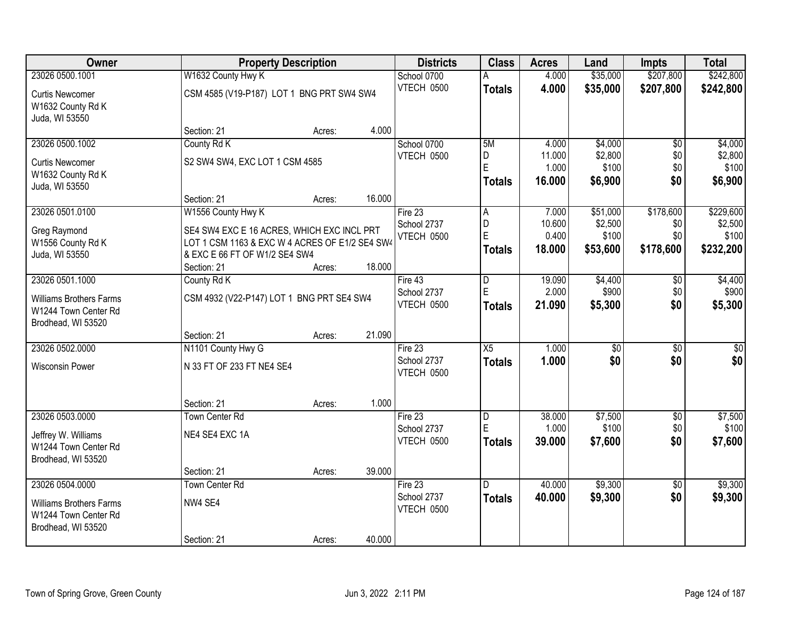| Owner                                                                        |                                                                                                                                                     | <b>Property Description</b> |        |                                      | <b>Class</b>                 | <b>Acres</b>                       | Land                                     | <b>Impts</b>                         | <b>Total</b>                               |
|------------------------------------------------------------------------------|-----------------------------------------------------------------------------------------------------------------------------------------------------|-----------------------------|--------|--------------------------------------|------------------------------|------------------------------------|------------------------------------------|--------------------------------------|--------------------------------------------|
| 23026 0500.1001                                                              | W1632 County Hwy K                                                                                                                                  |                             |        | School 0700                          |                              | 4.000                              | \$35,000                                 | \$207,800                            | \$242,800                                  |
| <b>Curtis Newcomer</b><br>W1632 County Rd K<br>Juda, WI 53550                | CSM 4585 (V19-P187) LOT 1 BNG PRT SW4 SW4                                                                                                           |                             |        | VTECH 0500                           | <b>Totals</b>                | 4.000                              | \$35,000                                 | \$207,800                            | \$242,800                                  |
|                                                                              | Section: 21                                                                                                                                         | Acres:                      | 4.000  |                                      |                              |                                    |                                          |                                      |                                            |
| 23026 0500.1002                                                              | County Rd K                                                                                                                                         |                             |        | School 0700                          | 5M                           | 4.000                              | \$4,000                                  | $\overline{50}$                      | \$4,000                                    |
| <b>Curtis Newcomer</b><br>W1632 County Rd K                                  | S2 SW4 SW4, EXC LOT 1 CSM 4585                                                                                                                      |                             |        | VTECH 0500                           | D<br>E                       | 11.000<br>1.000                    | \$2,800<br>\$100                         | \$0<br>\$0<br>\$0                    | \$2,800<br>\$100                           |
| Juda, WI 53550                                                               |                                                                                                                                                     |                             |        |                                      | <b>Totals</b>                | 16.000                             | \$6,900                                  |                                      | \$6,900                                    |
|                                                                              | Section: 21                                                                                                                                         | Acres:                      | 16.000 |                                      |                              |                                    |                                          |                                      |                                            |
| 23026 0501.0100<br>Greg Raymond<br>W1556 County Rd K<br>Juda, WI 53550       | W1556 County Hwy K<br>SE4 SW4 EXC E 16 ACRES, WHICH EXC INCL PRT<br>LOT 1 CSM 1163 & EXC W 4 ACRES OF E1/2 SE4 SW4<br>& EXC E 66 FT OF W1/2 SE4 SW4 |                             |        | Fire 23<br>School 2737<br>VTECH 0500 | A<br>D<br>E<br><b>Totals</b> | 7.000<br>10.600<br>0.400<br>18.000 | \$51,000<br>\$2,500<br>\$100<br>\$53,600 | \$178,600<br>\$0<br>\$0<br>\$178,600 | \$229,600<br>\$2,500<br>\$100<br>\$232,200 |
|                                                                              | Section: 21                                                                                                                                         | Acres:                      | 18.000 |                                      |                              |                                    |                                          |                                      |                                            |
| 23026 0501.1000                                                              | County Rd K                                                                                                                                         |                             |        | Fire $43$                            | $\overline{D}$               | 19.090                             | \$4,400                                  | \$0                                  | \$4,400                                    |
| <b>Williams Brothers Farms</b><br>W1244 Town Center Rd<br>Brodhead, WI 53520 | CSM 4932 (V22-P147) LOT 1 BNG PRT SE4 SW4                                                                                                           |                             |        | School 2737<br>VTECH 0500            | E<br><b>Totals</b>           | 2.000<br>21.090                    | \$900<br>\$5,300                         | \$0<br>\$0                           | \$900<br>\$5,300                           |
|                                                                              | Section: 21                                                                                                                                         | Acres:                      | 21.090 |                                      |                              |                                    |                                          |                                      |                                            |
| 23026 0502.0000                                                              | N1101 County Hwy G                                                                                                                                  |                             |        | Fire 23                              | $\overline{X5}$              | 1.000                              | \$0                                      | $\overline{50}$                      | \$0                                        |
| <b>Wisconsin Power</b>                                                       | N 33 FT OF 233 FT NE4 SE4                                                                                                                           |                             |        | School 2737<br>VTECH 0500            | <b>Totals</b>                | 1.000                              | \$0                                      | \$0                                  | \$0                                        |
|                                                                              | Section: 21                                                                                                                                         | Acres:                      | 1.000  |                                      |                              |                                    |                                          |                                      |                                            |
| 23026 0503.0000                                                              | <b>Town Center Rd</b>                                                                                                                               |                             |        | Fire 23                              | $\overline{D}$               | 38.000                             | \$7,500                                  | $\sqrt{6}$                           | \$7,500                                    |
| Jeffrey W. Williams<br>W1244 Town Center Rd                                  | NE4 SE4 EXC 1A                                                                                                                                      |                             |        | School 2737<br>VTECH 0500            | E<br><b>Totals</b>           | 1.000<br>39.000                    | \$100<br>\$7,600                         | \$0<br>\$0                           | \$100<br>\$7,600                           |
| Brodhead, WI 53520                                                           |                                                                                                                                                     |                             |        |                                      |                              |                                    |                                          |                                      |                                            |
|                                                                              | Section: 21                                                                                                                                         | Acres:                      | 39.000 |                                      |                              |                                    |                                          |                                      |                                            |
| 23026 0504.0000                                                              | <b>Town Center Rd</b>                                                                                                                               |                             |        | Fire $23$                            | D.                           | 40.000                             | \$9,300                                  | $\overline{30}$                      | \$9,300                                    |
| <b>Williams Brothers Farms</b><br>W1244 Town Center Rd<br>Brodhead, WI 53520 | NW4 SE4                                                                                                                                             |                             |        | School 2737<br>VTECH 0500            | <b>Totals</b>                | 40.000                             | \$9,300                                  | \$0                                  | \$9,300                                    |
|                                                                              | Section: 21                                                                                                                                         | Acres:                      | 40.000 |                                      |                              |                                    |                                          |                                      |                                            |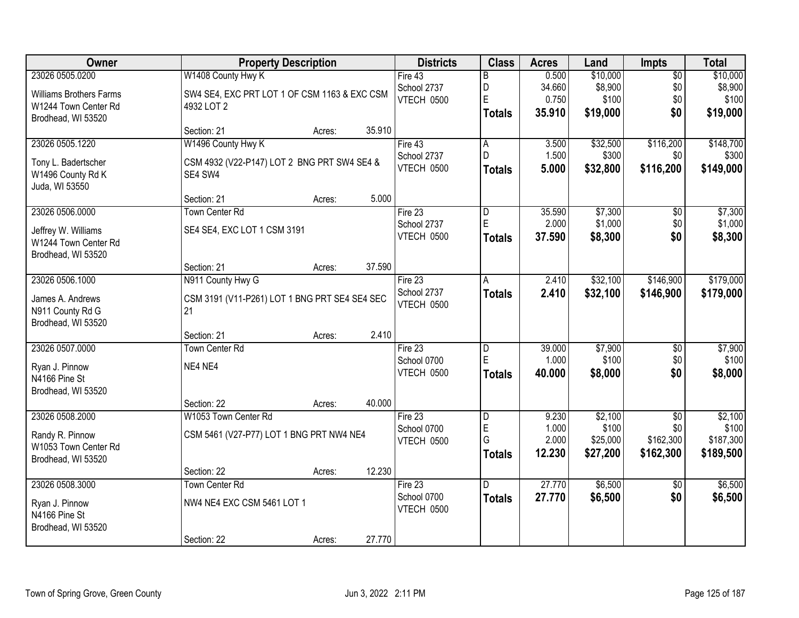| Owner                          | <b>Property Description</b>                   | <b>Districts</b>  | <b>Class</b>   | <b>Acres</b> | Land     | <b>Impts</b>    | <b>Total</b> |
|--------------------------------|-----------------------------------------------|-------------------|----------------|--------------|----------|-----------------|--------------|
| 23026 0505.0200                | W1408 County Hwy K                            | Fire 43           | B              | 0.500        | \$10,000 | $\overline{50}$ | \$10,000     |
| <b>Williams Brothers Farms</b> | SW4 SE4, EXC PRT LOT 1 OF CSM 1163 & EXC CSM  | School 2737       | D              | 34.660       | \$8,900  | \$0             | \$8,900      |
| W1244 Town Center Rd           | 4932 LOT 2                                    | VTECH 0500        | E              | 0.750        | \$100    | \$0             | \$100        |
| Brodhead, WI 53520             |                                               |                   | <b>Totals</b>  | 35.910       | \$19,000 | \$0             | \$19,000     |
|                                | 35.910<br>Section: 21<br>Acres:               |                   |                |              |          |                 |              |
| 23026 0505.1220                | W1496 County Hwy K                            | Fire $43$         | $\overline{A}$ | 3.500        | \$32,500 | \$116,200       | \$148,700    |
| Tony L. Badertscher            | CSM 4932 (V22-P147) LOT 2 BNG PRT SW4 SE4 &   | School 2737       | D.             | 1.500        | \$300    | \$0             | \$300        |
| W1496 County Rd K              | SE4 SW4                                       | VTECH 0500        | <b>Totals</b>  | 5.000        | \$32,800 | \$116,200       | \$149,000    |
| Juda, WI 53550                 |                                               |                   |                |              |          |                 |              |
|                                | 5.000<br>Section: 21<br>Acres:                |                   |                |              |          |                 |              |
| 23026 0506.0000                | <b>Town Center Rd</b>                         | Fire 23           | D              | 35.590       | \$7,300  | \$0             | \$7,300      |
| Jeffrey W. Williams            | SE4 SE4, EXC LOT 1 CSM 3191                   | School 2737       | E              | 2.000        | \$1,000  | \$0             | \$1,000      |
| W1244 Town Center Rd           |                                               | VTECH 0500        | <b>Totals</b>  | 37.590       | \$8,300  | \$0             | \$8,300      |
| Brodhead, WI 53520             |                                               |                   |                |              |          |                 |              |
|                                | 37.590<br>Section: 21<br>Acres:               |                   |                |              |          |                 |              |
| 23026 0506.1000                | N911 County Hwy G                             | Fire 23           | A              | 2.410        | \$32,100 | \$146,900       | \$179,000    |
| James A. Andrews               | CSM 3191 (V11-P261) LOT 1 BNG PRT SE4 SE4 SEC | School 2737       | <b>Totals</b>  | 2.410        | \$32,100 | \$146,900       | \$179,000    |
| N911 County Rd G               | 21                                            | VTECH 0500        |                |              |          |                 |              |
| Brodhead, WI 53520             |                                               |                   |                |              |          |                 |              |
|                                | 2.410<br>Section: 21<br>Acres:                |                   |                |              |          |                 |              |
| 23026 0507.0000                | <b>Town Center Rd</b>                         | Fire $23$         | D              | 39.000       | \$7,900  | $\overline{50}$ | \$7,900      |
| Ryan J. Pinnow                 | NE4 NE4                                       | School 0700       | E              | 1.000        | \$100    | \$0             | \$100        |
| N4166 Pine St                  |                                               | <b>VTECH 0500</b> | <b>Totals</b>  | 40.000       | \$8,000  | \$0             | \$8,000      |
| Brodhead, WI 53520             |                                               |                   |                |              |          |                 |              |
|                                | 40.000<br>Section: 22<br>Acres:               |                   |                |              |          |                 |              |
| 23026 0508.2000                | W1053 Town Center Rd                          | Fire $23$         | $\overline{D}$ | 9.230        | \$2,100  | \$0             | \$2,100      |
| Randy R. Pinnow                | CSM 5461 (V27-P77) LOT 1 BNG PRT NW4 NE4      | School 0700       | $\mathsf E$    | 1.000        | \$100    | \$0             | \$100        |
| W1053 Town Center Rd           |                                               | VTECH 0500        | G              | 2.000        | \$25,000 | \$162,300       | \$187,300    |
| Brodhead, WI 53520             |                                               |                   | <b>Totals</b>  | 12.230       | \$27,200 | \$162,300       | \$189,500    |
|                                | 12.230<br>Section: 22<br>Acres:               |                   |                |              |          |                 |              |
| 23026 0508.3000                | <b>Town Center Rd</b>                         | Fire $23$         | D.             | 27.770       | \$6,500  | $\overline{30}$ | \$6,500      |
| Ryan J. Pinnow                 | NW4 NE4 EXC CSM 5461 LOT 1                    | School 0700       | <b>Totals</b>  | 27.770       | \$6,500  | \$0             | \$6,500      |
| N4166 Pine St                  |                                               | VTECH 0500        |                |              |          |                 |              |
| Brodhead, WI 53520             |                                               |                   |                |              |          |                 |              |
|                                | 27.770<br>Section: 22<br>Acres:               |                   |                |              |          |                 |              |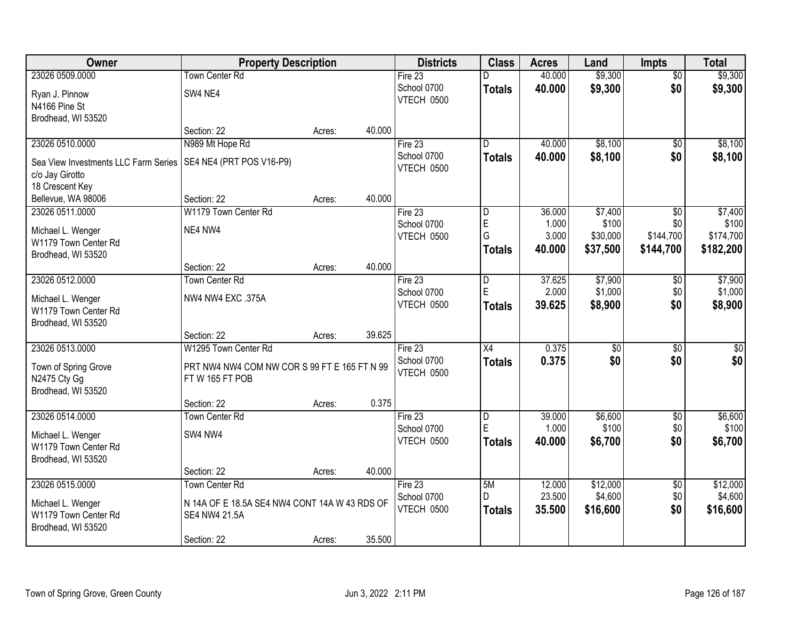| Owner                                | <b>Property Description</b>                   |        |        | <b>Districts</b>  | <b>Class</b>    | <b>Acres</b> | Land            | <b>Impts</b>    | <b>Total</b> |
|--------------------------------------|-----------------------------------------------|--------|--------|-------------------|-----------------|--------------|-----------------|-----------------|--------------|
| 23026 0509.0000                      | <b>Town Center Rd</b>                         |        |        | Fire 23           | D               | 40.000       | \$9,300         | $\overline{50}$ | \$9,300      |
| Ryan J. Pinnow                       | SW4 NE4                                       |        |        | School 0700       | <b>Totals</b>   | 40.000       | \$9,300         | \$0             | \$9,300      |
| N4166 Pine St                        |                                               |        |        | <b>VTECH 0500</b> |                 |              |                 |                 |              |
| Brodhead, WI 53520                   |                                               |        |        |                   |                 |              |                 |                 |              |
|                                      | Section: 22                                   | Acres: | 40.000 |                   |                 |              |                 |                 |              |
| 23026 0510.0000                      | N989 Mt Hope Rd                               |        |        | Fire 23           | D               | 40.000       | \$8,100         | $\overline{50}$ | \$8,100      |
| Sea View Investments LLC Farm Series | SE4 NE4 (PRT POS V16-P9)                      |        |        | School 0700       | <b>Totals</b>   | 40.000       | \$8,100         | \$0             | \$8,100      |
| c/o Jay Girotto                      |                                               |        |        | VTECH 0500        |                 |              |                 |                 |              |
| 18 Crescent Key                      |                                               |        |        |                   |                 |              |                 |                 |              |
| Bellevue, WA 98006                   | Section: 22                                   | Acres: | 40.000 |                   |                 |              |                 |                 |              |
| 23026 0511.0000                      | W1179 Town Center Rd                          |        |        | Fire 23           | D               | 36.000       | \$7,400         | \$0             | \$7,400      |
| Michael L. Wenger                    | NE4 NW4                                       |        |        | School 0700       | $\mathsf E$     | 1.000        | \$100           | \$0             | \$100        |
| W1179 Town Center Rd                 |                                               |        |        | VTECH 0500        | G               | 3.000        | \$30,000        | \$144,700       | \$174,700    |
| Brodhead, WI 53520                   |                                               |        |        |                   | <b>Totals</b>   | 40.000       | \$37,500        | \$144,700       | \$182,200    |
|                                      | Section: 22                                   | Acres: | 40.000 |                   |                 |              |                 |                 |              |
| 23026 0512.0000                      | Town Center Rd                                |        |        | Fire 23           | D               | 37.625       | \$7,900         | \$0             | \$7,900      |
| Michael L. Wenger                    | NW4 NW4 EXC .375A                             |        |        | School 0700       | E               | 2.000        | \$1,000         | \$0             | \$1,000      |
| W1179 Town Center Rd                 |                                               |        |        | VTECH 0500        | <b>Totals</b>   | 39.625       | \$8,900         | \$0             | \$8,900      |
| Brodhead, WI 53520                   |                                               |        |        |                   |                 |              |                 |                 |              |
|                                      | Section: 22                                   | Acres: | 39.625 |                   |                 |              |                 |                 |              |
| 23026 0513.0000                      | W1295 Town Center Rd                          |        |        | Fire 23           | $\overline{X4}$ | 0.375        | $\overline{50}$ | $\overline{50}$ | $\sqrt{50}$  |
| Town of Spring Grove                 | PRT NW4 NW4 COM NW COR S 99 FT E 165 FT N 99  |        |        | School 0700       | <b>Totals</b>   | 0.375        | \$0             | \$0             | \$0          |
| N2475 Cty Gg                         | FTW 165 FT POB                                |        |        | VTECH 0500        |                 |              |                 |                 |              |
| Brodhead, WI 53520                   |                                               |        |        |                   |                 |              |                 |                 |              |
|                                      | Section: 22                                   | Acres: | 0.375  |                   |                 |              |                 |                 |              |
| 23026 0514.0000                      | <b>Town Center Rd</b>                         |        |        | Fire $23$         | $\overline{D}$  | 39.000       | \$6,600         | $\sqrt{$0}$     | \$6,600      |
| Michael L. Wenger                    | SW4 NW4                                       |        |        | School 0700       | $\mathsf E$     | 1.000        | \$100           | \$0             | \$100        |
| W1179 Town Center Rd                 |                                               |        |        | VTECH 0500        | <b>Totals</b>   | 40,000       | \$6,700         | \$0             | \$6,700      |
| Brodhead, WI 53520                   |                                               |        |        |                   |                 |              |                 |                 |              |
|                                      | Section: 22                                   | Acres: | 40.000 |                   |                 |              |                 |                 |              |
| 23026 0515.0000                      | Town Center Rd                                |        |        | Fire 23           | 5M              | 12.000       | \$12,000        | $\overline{50}$ | \$12,000     |
| Michael L. Wenger                    | N 14A OF E 18.5A SE4 NW4 CONT 14A W 43 RDS OF |        |        | School 0700       | D.              | 23.500       | \$4,600         | \$0             | \$4,600      |
| W1179 Town Center Rd                 | SE4 NW4 21.5A                                 |        |        | VTECH 0500        | <b>Totals</b>   | 35.500       | \$16,600        | \$0             | \$16,600     |
| Brodhead, WI 53520                   |                                               |        |        |                   |                 |              |                 |                 |              |
|                                      | Section: 22                                   | Acres: | 35.500 |                   |                 |              |                 |                 |              |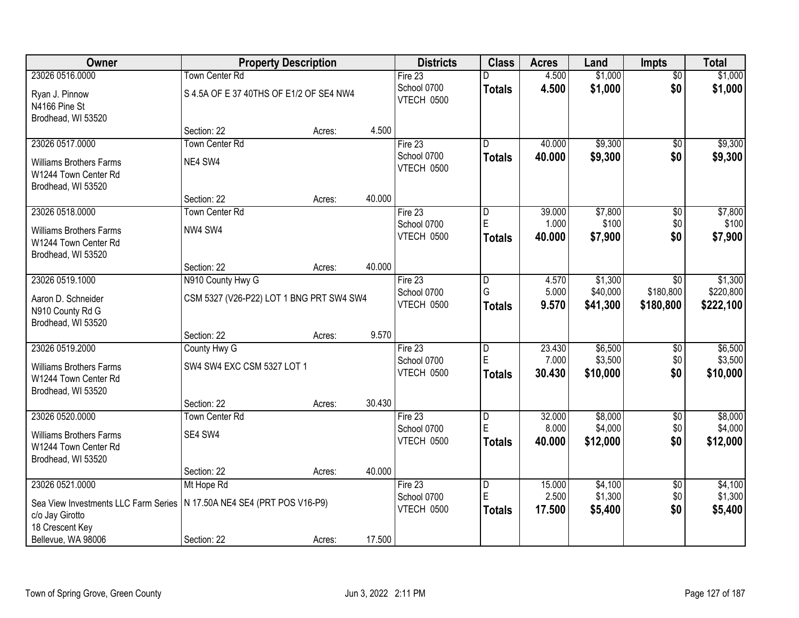| Owner                                                                        | <b>Property Description</b>              |        |        | <b>Districts</b>          | <b>Class</b>   | <b>Acres</b> | Land     | <b>Impts</b>    | <b>Total</b> |
|------------------------------------------------------------------------------|------------------------------------------|--------|--------|---------------------------|----------------|--------------|----------|-----------------|--------------|
| 23026 0516,0000                                                              | <b>Town Center Rd</b>                    |        |        | Fire 23                   | D              | 4.500        | \$1,000  | $\overline{50}$ | \$1,000      |
| Ryan J. Pinnow<br>N4166 Pine St                                              | S 4.5A OF E 37 40THS OF E1/2 OF SE4 NW4  |        |        | School 0700<br>VTECH 0500 | <b>Totals</b>  | 4.500        | \$1,000  | \$0             | \$1,000      |
| Brodhead, WI 53520                                                           |                                          |        |        |                           |                |              |          |                 |              |
|                                                                              | Section: 22                              | Acres: | 4.500  |                           |                |              |          |                 |              |
| 23026 0517.0000                                                              | <b>Town Center Rd</b>                    |        |        | Fire 23                   | D.             | 40.000       | \$9,300  | $\overline{50}$ | \$9,300      |
| <b>Williams Brothers Farms</b><br>W1244 Town Center Rd<br>Brodhead, WI 53520 | NE4 SW4                                  |        |        | School 0700<br>VTECH 0500 | <b>Totals</b>  | 40.000       | \$9,300  | \$0             | \$9,300      |
|                                                                              | Section: 22                              | Acres: | 40.000 |                           |                |              |          |                 |              |
| 23026 0518.0000                                                              | <b>Town Center Rd</b>                    |        |        | Fire 23                   | D              | 39.000       | \$7,800  | \$0             | \$7,800      |
| <b>Williams Brothers Farms</b>                                               | NW4 SW4                                  |        |        | School 0700               | E              | 1.000        | \$100    | \$0             | \$100        |
| W1244 Town Center Rd                                                         |                                          |        |        | <b>VTECH 0500</b>         | <b>Totals</b>  | 40.000       | \$7,900  | \$0             | \$7,900      |
| Brodhead, WI 53520                                                           |                                          |        |        |                           |                |              |          |                 |              |
|                                                                              | Section: 22                              | Acres: | 40.000 |                           |                |              |          |                 |              |
| 23026 0519.1000                                                              | N910 County Hwy G                        |        |        | Fire 23                   | D              | 4.570        | \$1,300  | $\sqrt{6}$      | \$1,300      |
| Aaron D. Schneider                                                           | CSM 5327 (V26-P22) LOT 1 BNG PRT SW4 SW4 |        |        | School 0700               | G              | 5.000        | \$40,000 | \$180,800       | \$220,800    |
| N910 County Rd G                                                             |                                          |        |        | VTECH 0500                | <b>Totals</b>  | 9.570        | \$41,300 | \$180,800       | \$222,100    |
| Brodhead, WI 53520                                                           |                                          |        |        |                           |                |              |          |                 |              |
|                                                                              | Section: 22                              | Acres: | 9.570  |                           |                |              |          |                 |              |
| 23026 0519.2000                                                              | County Hwy G                             |        |        | Fire 23                   | $\overline{D}$ | 23.430       | \$6,500  | \$0             | \$6,500      |
| <b>Williams Brothers Farms</b>                                               | SW4 SW4 EXC CSM 5327 LOT 1               |        |        | School 0700               | E              | 7.000        | \$3,500  | \$0             | \$3,500      |
| W1244 Town Center Rd                                                         |                                          |        |        | VTECH 0500                | <b>Totals</b>  | 30.430       | \$10,000 | \$0             | \$10,000     |
| Brodhead, WI 53520                                                           |                                          |        |        |                           |                |              |          |                 |              |
|                                                                              | Section: 22                              | Acres: | 30.430 |                           |                |              |          |                 |              |
| 23026 0520.0000                                                              | <b>Town Center Rd</b>                    |        |        | Fire 23                   | $\overline{D}$ | 32.000       | \$8,000  | $\overline{$0}$ | \$8,000      |
| <b>Williams Brothers Farms</b>                                               | SE4 SW4                                  |        |        | School 0700               | E              | 8.000        | \$4,000  | \$0             | \$4,000      |
| W1244 Town Center Rd                                                         |                                          |        |        | VTECH 0500                | <b>Totals</b>  | 40.000       | \$12,000 | \$0             | \$12,000     |
| Brodhead, WI 53520                                                           |                                          |        |        |                           |                |              |          |                 |              |
|                                                                              | Section: 22                              | Acres: | 40.000 |                           |                |              |          |                 |              |
| 23026 0521.0000                                                              | Mt Hope Rd                               |        |        | Fire 23                   | D              | 15.000       | \$4,100  | $\overline{60}$ | \$4,100      |
| Sea View Investments LLC Farm Series                                         | N 17.50A NE4 SE4 (PRT POS V16-P9)        |        |        | School 0700               | E              | 2.500        | \$1,300  | \$0             | \$1,300      |
| c/o Jay Girotto                                                              |                                          |        |        | VTECH 0500                | <b>Totals</b>  | 17.500       | \$5,400  | \$0             | \$5,400      |
| 18 Crescent Key                                                              |                                          |        |        |                           |                |              |          |                 |              |
| Bellevue, WA 98006                                                           | Section: 22                              | Acres: | 17.500 |                           |                |              |          |                 |              |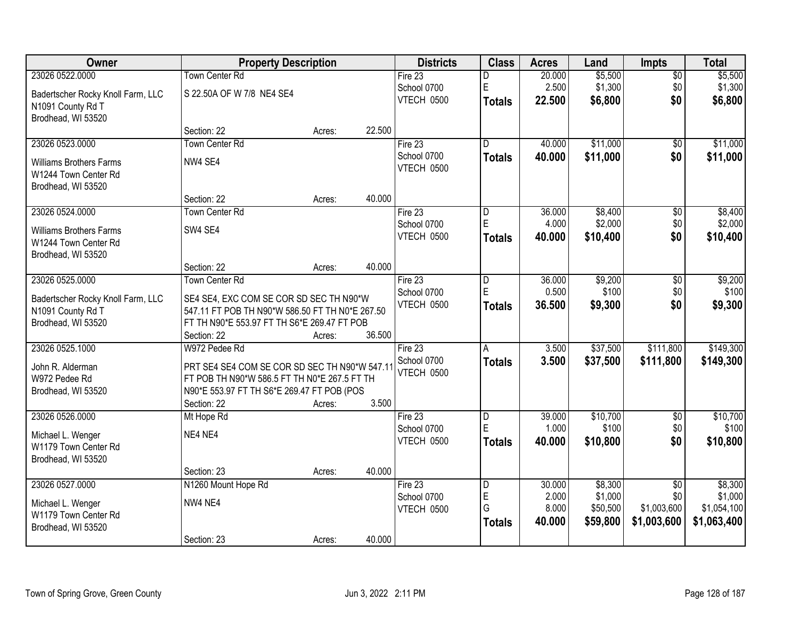| Owner                                     | <b>Property Description</b>                     |        |        | <b>Districts</b> | <b>Class</b>            | <b>Acres</b> | Land     | <b>Impts</b>    | <b>Total</b> |
|-------------------------------------------|-------------------------------------------------|--------|--------|------------------|-------------------------|--------------|----------|-----------------|--------------|
| 23026 0522.0000                           | <b>Town Center Rd</b>                           |        |        | Fire $23$        | D                       | 20.000       | \$5,500  | $\overline{50}$ | \$5,500      |
| Badertscher Rocky Knoll Farm, LLC         | S 22.50A OF W 7/8 NE4 SE4                       |        |        | School 0700      | E                       | 2.500        | \$1,300  | \$0             | \$1,300      |
| N1091 County Rd T                         |                                                 |        |        | VTECH 0500       | <b>Totals</b>           | 22.500       | \$6,800  | \$0             | \$6,800      |
| Brodhead, WI 53520                        |                                                 |        |        |                  |                         |              |          |                 |              |
|                                           | Section: 22                                     | Acres: | 22.500 |                  |                         |              |          |                 |              |
| 23026 0523.0000                           | Town Center Rd                                  |        |        | Fire $23$        | $\overline{\mathsf{n}}$ | 40.000       | \$11,000 | $\overline{50}$ | \$11,000     |
| <b>Williams Brothers Farms</b>            | NW4 SE4                                         |        |        | School 0700      | <b>Totals</b>           | 40.000       | \$11,000 | \$0             | \$11,000     |
| W1244 Town Center Rd                      |                                                 |        |        | VTECH 0500       |                         |              |          |                 |              |
| Brodhead, WI 53520                        |                                                 |        |        |                  |                         |              |          |                 |              |
|                                           | Section: 22                                     | Acres: | 40.000 |                  |                         |              |          |                 |              |
| 23026 0524.0000                           | <b>Town Center Rd</b>                           |        |        | Fire 23          | D                       | 36.000       | \$8,400  | \$0             | \$8,400      |
| <b>Williams Brothers Farms</b>            | SW4 SE4                                         |        |        | School 0700      | E                       | 4.000        | \$2,000  | \$0             | \$2,000      |
| W1244 Town Center Rd                      |                                                 |        |        | VTECH 0500       | <b>Totals</b>           | 40.000       | \$10,400 | \$0             | \$10,400     |
| Brodhead, WI 53520                        |                                                 |        |        |                  |                         |              |          |                 |              |
|                                           | Section: 22                                     | Acres: | 40.000 |                  |                         |              |          |                 |              |
| 23026 0525.0000                           | Town Center Rd                                  |        |        | Fire 23          | D                       | 36.000       | \$9,200  | \$0             | \$9,200      |
| Badertscher Rocky Knoll Farm, LLC         | SE4 SE4, EXC COM SE COR SD SEC TH N90*W         |        |        | School 0700      | E                       | 0.500        | \$100    | \$0             | \$100        |
| N1091 County Rd T                         | 547.11 FT POB TH N90*W 586.50 FT TH N0*E 267.50 |        |        | VTECH 0500       | <b>Totals</b>           | 36.500       | \$9,300  | \$0             | \$9,300      |
| Brodhead, WI 53520                        | FT TH N90*E 553.97 FT TH S6*E 269.47 FT POB     |        |        |                  |                         |              |          |                 |              |
|                                           | Section: 22                                     | Acres: | 36.500 |                  |                         |              |          |                 |              |
| 23026 0525.1000                           | W972 Pedee Rd                                   |        |        | Fire 23          | Α                       | 3.500        | \$37,500 | \$111,800       | \$149,300    |
| John R. Alderman                          | PRT SE4 SE4 COM SE COR SD SEC TH N90*W 547.11   |        |        | School 0700      | <b>Totals</b>           | 3.500        | \$37,500 | \$111,800       | \$149,300    |
| W972 Pedee Rd                             | FT POB TH N90*W 586.5 FT TH N0*E 267.5 FT TH    |        |        | VTECH 0500       |                         |              |          |                 |              |
| Brodhead, WI 53520                        | N90*E 553.97 FT TH S6*E 269.47 FT POB (POS      |        |        |                  |                         |              |          |                 |              |
|                                           | Section: 22                                     | Acres: | 3.500  |                  |                         |              |          |                 |              |
| 23026 0526.0000                           | Mt Hope Rd                                      |        |        | Fire 23          | D                       | 39.000       | \$10,700 | $\overline{50}$ | \$10,700     |
|                                           | NE4 NE4                                         |        |        | School 0700      | E                       | 1.000        | \$100    | \$0             | \$100        |
| Michael L. Wenger<br>W1179 Town Center Rd |                                                 |        |        | VTECH 0500       | <b>Totals</b>           | 40.000       | \$10,800 | \$0             | \$10,800     |
| Brodhead, WI 53520                        |                                                 |        |        |                  |                         |              |          |                 |              |
|                                           | Section: 23                                     | Acres: | 40.000 |                  |                         |              |          |                 |              |
| 23026 0527.0000                           | N1260 Mount Hope Rd                             |        |        | Fire $23$        | D                       | 30.000       | \$8,300  | $\overline{50}$ | \$8,300      |
|                                           | NW4 NE4                                         |        |        | School 0700      | E                       | 2.000        | \$1,000  | \$0             | \$1,000      |
| Michael L. Wenger<br>W1179 Town Center Rd |                                                 |        |        | VTECH 0500       | G                       | 8.000        | \$50,500 | \$1,003,600     | \$1,054,100  |
| Brodhead, WI 53520                        |                                                 |        |        |                  | <b>Totals</b>           | 40.000       | \$59,800 | \$1,003,600     | \$1,063,400  |
|                                           | Section: 23                                     | Acres: | 40.000 |                  |                         |              |          |                 |              |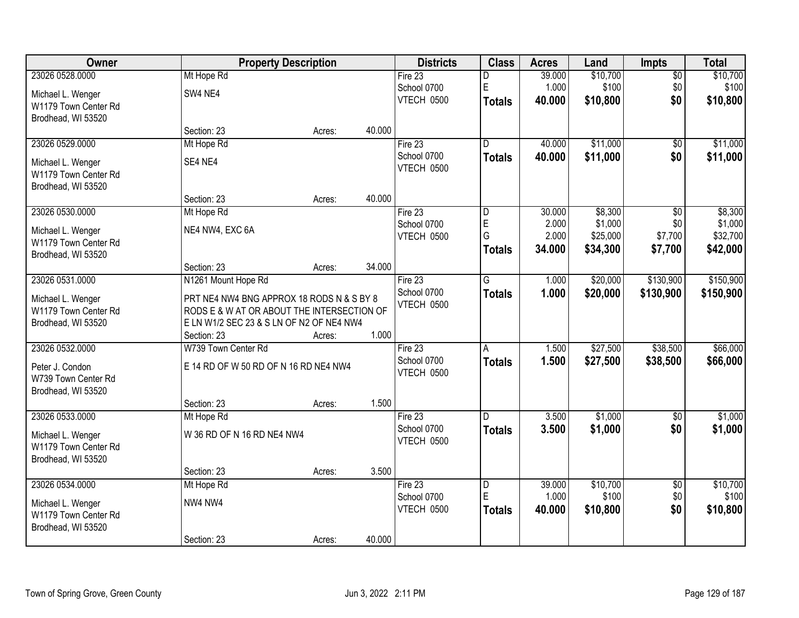| Owner                | <b>Property Description</b>                |        |        | <b>Districts</b> | <b>Class</b>            | <b>Acres</b> | Land     | Impts           | <b>Total</b> |
|----------------------|--------------------------------------------|--------|--------|------------------|-------------------------|--------------|----------|-----------------|--------------|
| 23026 0528.0000      | Mt Hope Rd                                 |        |        | Fire $23$        | D                       | 39.000       | \$10,700 | $\overline{50}$ | \$10,700     |
| Michael L. Wenger    | SW4 NE4                                    |        |        | School 0700      | E                       | 1.000        | \$100    | \$0             | \$100        |
| W1179 Town Center Rd |                                            |        |        | VTECH 0500       | <b>Totals</b>           | 40.000       | \$10,800 | \$0             | \$10,800     |
| Brodhead, WI 53520   |                                            |        |        |                  |                         |              |          |                 |              |
|                      | Section: 23                                | Acres: | 40.000 |                  |                         |              |          |                 |              |
| 23026 0529.0000      | Mt Hope Rd                                 |        |        | Fire $23$        | $\overline{\mathsf{n}}$ | 40.000       | \$11,000 | $\overline{50}$ | \$11,000     |
| Michael L. Wenger    | SE4 NE4                                    |        |        | School 0700      | <b>Totals</b>           | 40.000       | \$11,000 | \$0             | \$11,000     |
| W1179 Town Center Rd |                                            |        |        | VTECH 0500       |                         |              |          |                 |              |
| Brodhead, WI 53520   |                                            |        |        |                  |                         |              |          |                 |              |
|                      | Section: 23                                | Acres: | 40.000 |                  |                         |              |          |                 |              |
| 23026 0530.0000      | Mt Hope Rd                                 |        |        | Fire 23          | D                       | 30.000       | \$8,300  | \$0             | \$8,300      |
| Michael L. Wenger    | NE4 NW4, EXC 6A                            |        |        | School 0700      | E                       | 2.000        | \$1,000  | \$0             | \$1,000      |
| W1179 Town Center Rd |                                            |        |        | VTECH 0500       | G                       | 2.000        | \$25,000 | \$7,700         | \$32,700     |
| Brodhead, WI 53520   |                                            |        |        |                  | <b>Totals</b>           | 34.000       | \$34,300 | \$7,700         | \$42,000     |
|                      | Section: 23                                | Acres: | 34.000 |                  |                         |              |          |                 |              |
| 23026 0531.0000      | N1261 Mount Hope Rd                        |        |        | Fire $23$        | G                       | 1.000        | \$20,000 | \$130,900       | \$150,900    |
| Michael L. Wenger    | PRT NE4 NW4 BNG APPROX 18 RODS N & S BY 8  |        |        | School 0700      | <b>Totals</b>           | 1.000        | \$20,000 | \$130,900       | \$150,900    |
| W1179 Town Center Rd | RODS E & W AT OR ABOUT THE INTERSECTION OF |        |        | VTECH 0500       |                         |              |          |                 |              |
| Brodhead, WI 53520   | E LN W1/2 SEC 23 & S LN OF N2 OF NE4 NW4   |        |        |                  |                         |              |          |                 |              |
|                      | Section: 23                                | Acres: | 1.000  |                  |                         |              |          |                 |              |
| 23026 0532.0000      | W739 Town Center Rd                        |        |        | Fire $23$        | Α                       | 1.500        | \$27,500 | \$38,500        | \$66,000     |
| Peter J. Condon      | E 14 RD OF W 50 RD OF N 16 RD NE4 NW4      |        |        | School 0700      | <b>Totals</b>           | 1.500        | \$27,500 | \$38,500        | \$66,000     |
| W739 Town Center Rd  |                                            |        |        | VTECH 0500       |                         |              |          |                 |              |
| Brodhead, WI 53520   |                                            |        |        |                  |                         |              |          |                 |              |
|                      | Section: 23                                | Acres: | 1.500  |                  |                         |              |          |                 |              |
| 23026 0533.0000      | Mt Hope Rd                                 |        |        | Fire 23          | D.                      | 3.500        | \$1,000  | $\overline{50}$ | \$1,000      |
| Michael L. Wenger    | W 36 RD OF N 16 RD NE4 NW4                 |        |        | School 0700      | <b>Totals</b>           | 3.500        | \$1,000  | \$0             | \$1,000      |
| W1179 Town Center Rd |                                            |        |        | VTECH 0500       |                         |              |          |                 |              |
| Brodhead, WI 53520   |                                            |        |        |                  |                         |              |          |                 |              |
|                      | Section: 23                                | Acres: | 3.500  |                  |                         |              |          |                 |              |
| 23026 0534.0000      | Mt Hope Rd                                 |        |        | Fire $23$        | $\overline{D}$          | 39.000       | \$10,700 | $\overline{50}$ | \$10,700     |
| Michael L. Wenger    | NW4 NW4                                    |        |        | School 0700      | E                       | 1.000        | \$100    | \$0             | \$100        |
| W1179 Town Center Rd |                                            |        |        | VTECH 0500       | <b>Totals</b>           | 40.000       | \$10,800 | \$0             | \$10,800     |
| Brodhead, WI 53520   |                                            |        |        |                  |                         |              |          |                 |              |
|                      | Section: 23                                | Acres: | 40.000 |                  |                         |              |          |                 |              |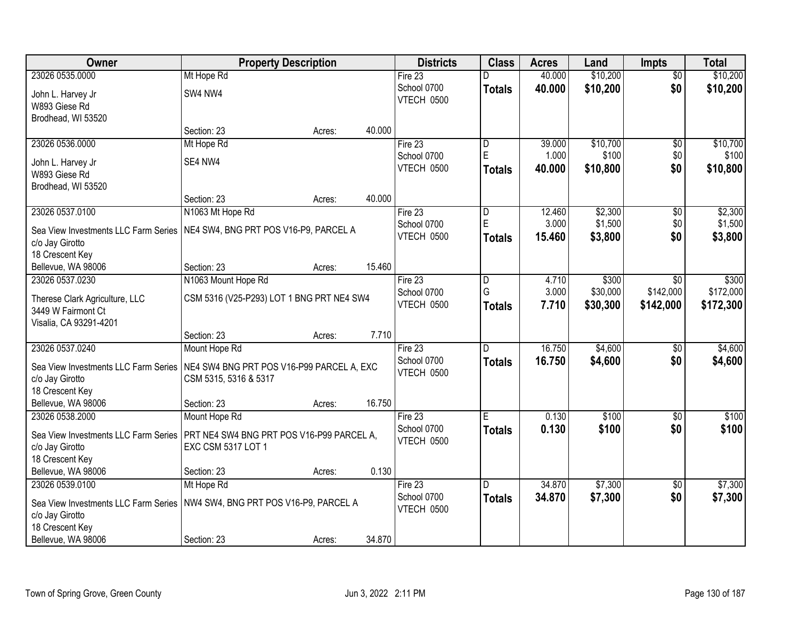| Owner                                | <b>Property Description</b>               | <b>Districts</b>  | <b>Class</b>   | <b>Acres</b> | Land     | <b>Impts</b>    | <b>Total</b> |
|--------------------------------------|-------------------------------------------|-------------------|----------------|--------------|----------|-----------------|--------------|
| 23026 0535.0000                      | Mt Hope Rd                                | Fire $23$         | D              | 40.000       | \$10,200 | $\overline{50}$ | \$10,200     |
| John L. Harvey Jr                    | SW4 NW4                                   | School 0700       | <b>Totals</b>  | 40.000       | \$10,200 | \$0             | \$10,200     |
| W893 Giese Rd                        |                                           | <b>VTECH 0500</b> |                |              |          |                 |              |
| Brodhead, WI 53520                   |                                           |                   |                |              |          |                 |              |
|                                      | 40.000<br>Section: 23<br>Acres:           |                   |                |              |          |                 |              |
| 23026 0536.0000                      | Mt Hope Rd                                | Fire $23$         | D              | 39.000       | \$10,700 | \$0             | \$10,700     |
| John L. Harvey Jr                    | SE4 NW4                                   | School 0700       | E              | 1.000        | \$100    | \$0             | \$100        |
| W893 Giese Rd                        |                                           | VTECH 0500        | <b>Totals</b>  | 40.000       | \$10,800 | \$0             | \$10,800     |
| Brodhead, WI 53520                   |                                           |                   |                |              |          |                 |              |
|                                      | 40.000<br>Section: 23<br>Acres:           |                   |                |              |          |                 |              |
| 23026 0537.0100                      | N1063 Mt Hope Rd                          | Fire 23           | $\overline{D}$ | 12.460       | \$2,300  | \$0             | \$2,300      |
| Sea View Investments LLC Farm Series | NE4 SW4, BNG PRT POS V16-P9, PARCEL A     | School 0700       | E              | 3.000        | \$1,500  | \$0             | \$1,500      |
| c/o Jay Girotto                      |                                           | VTECH 0500        | <b>Totals</b>  | 15.460       | \$3,800  | \$0             | \$3,800      |
| 18 Crescent Key                      |                                           |                   |                |              |          |                 |              |
| Bellevue, WA 98006                   | 15.460<br>Section: 23<br>Acres:           |                   |                |              |          |                 |              |
| 23026 0537.0230                      | N1063 Mount Hope Rd                       | Fire 23           | l D            | 4.710        | \$300    | \$0             | \$300        |
| Therese Clark Agriculture, LLC       | CSM 5316 (V25-P293) LOT 1 BNG PRT NE4 SW4 | School 0700       | G              | 3.000        | \$30,000 | \$142,000       | \$172,000    |
| 3449 W Fairmont Ct                   |                                           | VTECH 0500        | <b>Totals</b>  | 7.710        | \$30,300 | \$142,000       | \$172,300    |
| Visalia, CA 93291-4201               |                                           |                   |                |              |          |                 |              |
|                                      | 7.710<br>Section: 23<br>Acres:            |                   |                |              |          |                 |              |
| 23026 0537.0240                      | Mount Hope Rd                             | Fire 23           | $\overline{D}$ | 16.750       | \$4,600  | \$0             | \$4,600      |
| Sea View Investments LLC Farm Series | NE4 SW4 BNG PRT POS V16-P99 PARCEL A, EXC | School 0700       | <b>Totals</b>  | 16.750       | \$4,600  | \$0             | \$4,600      |
| c/o Jay Girotto                      | CSM 5315, 5316 & 5317                     | VTECH 0500        |                |              |          |                 |              |
| 18 Crescent Key                      |                                           |                   |                |              |          |                 |              |
| Bellevue, WA 98006                   | 16.750<br>Section: 23<br>Acres:           |                   |                |              |          |                 |              |
| 23026 0538.2000                      | Mount Hope Rd                             | Fire 23           | Έ              | 0.130        | \$100    | $\overline{30}$ | \$100        |
| Sea View Investments LLC Farm Series | PRT NE4 SW4 BNG PRT POS V16-P99 PARCEL A, | School 0700       | <b>Totals</b>  | 0.130        | \$100    | \$0             | \$100        |
| c/o Jay Girotto                      | EXC CSM 5317 LOT 1                        | VTECH 0500        |                |              |          |                 |              |
| 18 Crescent Key                      |                                           |                   |                |              |          |                 |              |
| Bellevue, WA 98006                   | 0.130<br>Section: 23<br>Acres:            |                   |                |              |          |                 |              |
| 23026 0539.0100                      | Mt Hope Rd                                | Fire 23           | D.             | 34,870       | \$7,300  | $\overline{50}$ | \$7,300      |
| Sea View Investments LLC Farm Series | NW4 SW4, BNG PRT POS V16-P9, PARCEL A     | School 0700       | <b>Totals</b>  | 34.870       | \$7,300  | \$0             | \$7,300      |
| c/o Jay Girotto                      |                                           | VTECH 0500        |                |              |          |                 |              |
| 18 Crescent Key                      |                                           |                   |                |              |          |                 |              |
| Bellevue, WA 98006                   | 34.870<br>Section: 23<br>Acres:           |                   |                |              |          |                 |              |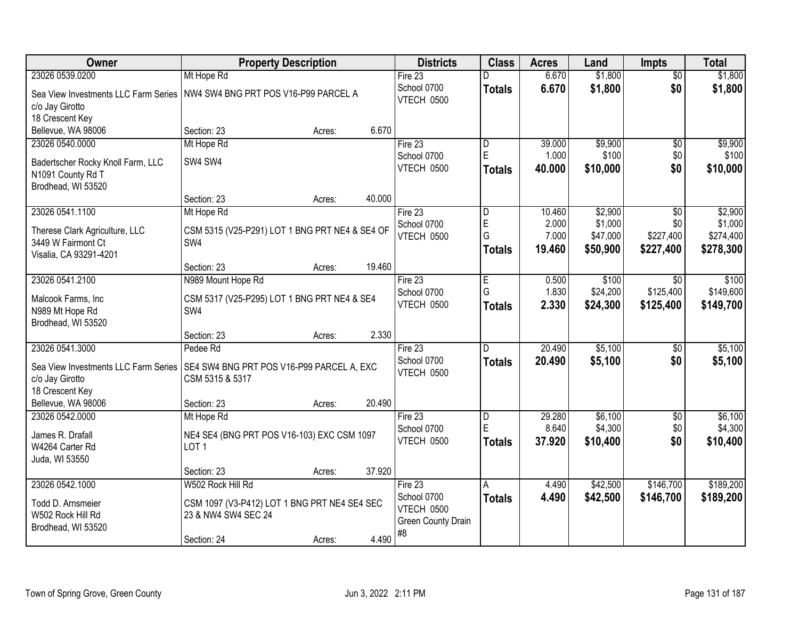| Owner                                                   | <b>Property Description</b>                                         | <b>Districts</b>          | <b>Class</b>            | <b>Acres</b> | Land     | <b>Impts</b>    | <b>Total</b> |
|---------------------------------------------------------|---------------------------------------------------------------------|---------------------------|-------------------------|--------------|----------|-----------------|--------------|
| 23026 0539.0200                                         | Mt Hope Rd                                                          | Fire $23$                 | D                       | 6.670        | \$1,800  | \$0             | \$1,800      |
| Sea View Investments LLC Farm Series<br>c/o Jay Girotto | NW4 SW4 BNG PRT POS V16-P99 PARCEL A                                | School 0700<br>VTECH 0500 | <b>Totals</b>           | 6.670        | \$1,800  | \$0             | \$1,800      |
| 18 Crescent Key                                         |                                                                     |                           |                         |              |          |                 |              |
| Bellevue, WA 98006                                      | 6.670<br>Section: 23<br>Acres:                                      |                           |                         |              |          |                 |              |
| 23026 0540.0000                                         | Mt Hope Rd                                                          | Fire 23                   | $\overline{\mathsf{D}}$ | 39.000       | \$9,900  | $\overline{50}$ | \$9,900      |
| Badertscher Rocky Knoll Farm, LLC                       | SW4 SW4                                                             | School 0700               | E                       | 1.000        | \$100    | \$0             | \$100        |
| N1091 County Rd T                                       |                                                                     | VTECH 0500                | <b>Totals</b>           | 40.000       | \$10,000 | \$0             | \$10,000     |
| Brodhead, WI 53520                                      |                                                                     |                           |                         |              |          |                 |              |
|                                                         | 40.000<br>Section: 23<br>Acres:                                     |                           |                         |              |          |                 |              |
| 23026 0541.1100                                         | Mt Hope Rd                                                          | Fire 23                   | D                       | 10.460       | \$2,900  | \$0             | \$2,900      |
| Therese Clark Agriculture, LLC                          | CSM 5315 (V25-P291) LOT 1 BNG PRT NE4 & SE4 OF                      | School 0700               | E                       | 2.000        | \$1,000  | \$0             | \$1,000      |
| 3449 W Fairmont Ct                                      | SW4                                                                 | VTECH 0500                | G                       | 7.000        | \$47,000 | \$227,400       | \$274,400    |
| Visalia, CA 93291-4201                                  |                                                                     |                           | <b>Totals</b>           | 19.460       | \$50,900 | \$227,400       | \$278,300    |
|                                                         | 19.460<br>Section: 23<br>Acres:                                     |                           |                         |              |          |                 |              |
| 23026 0541.2100                                         | N989 Mount Hope Rd                                                  | Fire 23                   | E                       | 0.500        | \$100    | $\sqrt{6}$      | \$100        |
| Malcook Farms, Inc                                      | CSM 5317 (V25-P295) LOT 1 BNG PRT NE4 & SE4                         | School 0700               | G                       | 1.830        | \$24,200 | \$125,400       | \$149,600    |
| N989 Mt Hope Rd                                         | SW4                                                                 | VTECH 0500                | <b>Totals</b>           | 2.330        | \$24,300 | \$125,400       | \$149,700    |
| Brodhead, WI 53520                                      |                                                                     |                           |                         |              |          |                 |              |
|                                                         | 2.330<br>Section: 23<br>Acres:                                      |                           |                         |              |          |                 |              |
| 23026 0541.3000                                         | Pedee Rd                                                            | Fire 23                   | D                       | 20.490       | \$5,100  | \$0             | \$5,100      |
| Sea View Investments LLC Farm Series                    | SE4 SW4 BNG PRT POS V16-P99 PARCEL A, EXC                           | School 0700               | <b>Totals</b>           | 20.490       | \$5,100  | \$0             | \$5,100      |
| c/o Jay Girotto                                         | CSM 5315 & 5317                                                     | VTECH 0500                |                         |              |          |                 |              |
| 18 Crescent Key                                         |                                                                     |                           |                         |              |          |                 |              |
| Bellevue, WA 98006                                      | 20.490<br>Section: 23<br>Acres:                                     |                           |                         |              |          |                 |              |
| 23026 0542.0000                                         | Mt Hope Rd                                                          | Fire 23                   | D                       | 29.280       | \$6,100  | $\overline{$0}$ | \$6,100      |
| James R. Drafall                                        | NE4 SE4 (BNG PRT POS V16-103) EXC CSM 1097                          | School 0700               | E                       | 8.640        | \$4,300  | \$0             | \$4,300      |
| W4264 Carter Rd                                         | LOT <sub>1</sub>                                                    | VTECH 0500                | <b>Totals</b>           | 37.920       | \$10,400 | \$0             | \$10,400     |
| Juda, WI 53550                                          |                                                                     |                           |                         |              |          |                 |              |
|                                                         | 37.920<br>Section: 23<br>Acres:                                     |                           |                         |              |          |                 |              |
| 23026 0542.1000                                         | W502 Rock Hill Rd                                                   | Fire $23$                 | A                       | 4.490        | \$42,500 | \$146,700       | \$189,200    |
| Todd D. Arnsmeier                                       |                                                                     | School 0700               | <b>Totals</b>           | 4.490        | \$42,500 | \$146,700       | \$189,200    |
| W502 Rock Hill Rd                                       | CSM 1097 (V3-P412) LOT 1 BNG PRT NE4 SE4 SEC<br>23 & NW4 SW4 SEC 24 | VTECH 0500                |                         |              |          |                 |              |
| Brodhead, WI 53520                                      |                                                                     | Green County Drain        |                         |              |          |                 |              |
|                                                         | 4.490<br>Section: 24<br>Acres:                                      | #8                        |                         |              |          |                 |              |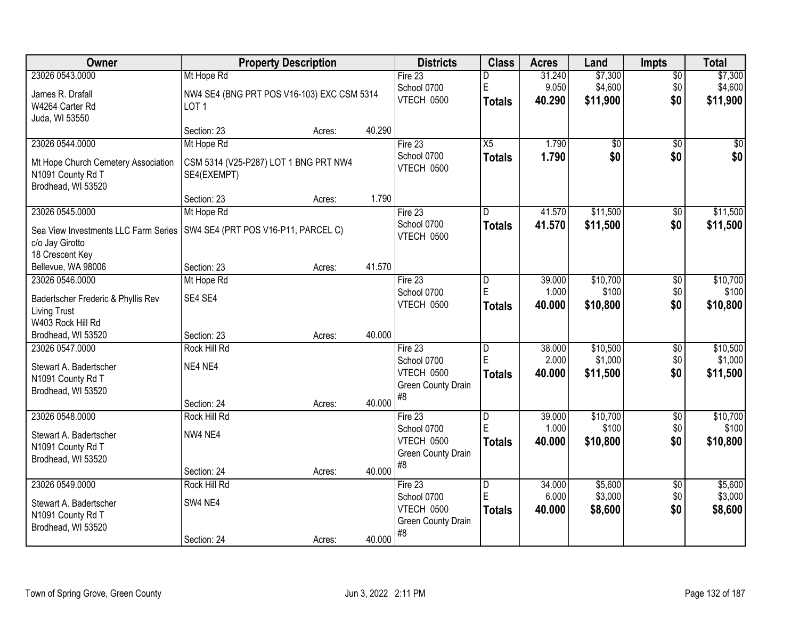| <b>Owner</b>                         | <b>Property Description</b>                |        |        | <b>Districts</b>         | <b>Class</b>   | <b>Acres</b> | Land            | <b>Impts</b>    | <b>Total</b> |
|--------------------------------------|--------------------------------------------|--------|--------|--------------------------|----------------|--------------|-----------------|-----------------|--------------|
| 23026 0543.0000                      | Mt Hope Rd                                 |        |        | Fire 23                  | D              | 31.240       | \$7,300         | $\overline{50}$ | \$7,300      |
| James R. Drafall                     | NW4 SE4 (BNG PRT POS V16-103) EXC CSM 5314 |        |        | School 0700              | $\mathsf E$    | 9.050        | \$4,600         | \$0             | \$4,600      |
| W4264 Carter Rd                      | LOT <sub>1</sub>                           |        |        | VTECH 0500               | Totals         | 40.290       | \$11,900        | \$0             | \$11,900     |
| Juda, WI 53550                       |                                            |        |        |                          |                |              |                 |                 |              |
|                                      | Section: 23                                | Acres: | 40.290 |                          |                |              |                 |                 |              |
| 23026 0544.0000                      | Mt Hope Rd                                 |        |        | Fire 23                  | X5             | 1.790        | $\overline{50}$ | $\overline{50}$ | $\sqrt{50}$  |
| Mt Hope Church Cemetery Association  | CSM 5314 (V25-P287) LOT 1 BNG PRT NW4      |        |        | School 0700              | <b>Totals</b>  | 1.790        | \$0             | \$0             | \$0          |
| N1091 County Rd T                    | SE4(EXEMPT)                                |        |        | VTECH 0500               |                |              |                 |                 |              |
| Brodhead, WI 53520                   |                                            |        |        |                          |                |              |                 |                 |              |
|                                      | Section: 23                                | Acres: | 1.790  |                          |                |              |                 |                 |              |
| 23026 0545.0000                      | Mt Hope Rd                                 |        |        | Fire 23                  | D              | 41.570       | \$11,500        | \$0             | \$11,500     |
| Sea View Investments LLC Farm Series | SW4 SE4 (PRT POS V16-P11, PARCEL C)        |        |        | School 0700              | <b>Totals</b>  | 41.570       | \$11,500        | \$0             | \$11,500     |
| c/o Jay Girotto                      |                                            |        |        | VTECH 0500               |                |              |                 |                 |              |
| 18 Crescent Key                      |                                            |        |        |                          |                |              |                 |                 |              |
| Bellevue, WA 98006                   | Section: 23                                | Acres: | 41.570 |                          |                |              |                 |                 |              |
| 23026 0546.0000                      | Mt Hope Rd                                 |        |        | Fire 23                  | D              | 39.000       | \$10,700        | \$0             | \$10,700     |
| Badertscher Frederic & Phyllis Rev   | SE4 SE4                                    |        |        | School 0700              | E              | 1.000        | \$100           | \$0             | \$100        |
| <b>Living Trust</b>                  |                                            |        |        | VTECH 0500               | <b>Totals</b>  | 40.000       | \$10,800        | \$0             | \$10,800     |
| W403 Rock Hill Rd                    |                                            |        |        |                          |                |              |                 |                 |              |
| Brodhead, WI 53520                   | Section: 23                                | Acres: | 40.000 |                          |                |              |                 |                 |              |
| 23026 0547.0000                      | Rock Hill Rd                               |        |        | Fire 23                  | $\overline{D}$ | 38.000       | \$10,500        | $\overline{30}$ | \$10,500     |
| Stewart A. Badertscher               | NE4 NE4                                    |        |        | School 0700              | E              | 2.000        | \$1,000         | \$0             | \$1,000      |
| N1091 County Rd T                    |                                            |        |        | VTECH 0500               | <b>Totals</b>  | 40.000       | \$11,500        | \$0             | \$11,500     |
| Brodhead, WI 53520                   |                                            |        |        | Green County Drain<br>#8 |                |              |                 |                 |              |
|                                      | Section: 24                                | Acres: | 40.000 |                          |                |              |                 |                 |              |
| 23026 0548.0000                      | Rock Hill Rd                               |        |        | Fire 23                  | D              | 39.000       | \$10,700        | $\overline{60}$ | \$10,700     |
| Stewart A. Badertscher               | NW4 NE4                                    |        |        | School 0700              | E              | 1.000        | \$100           | \$0             | \$100        |
| N1091 County Rd T                    |                                            |        |        | VTECH 0500               | <b>Totals</b>  | 40.000       | \$10,800        | \$0             | \$10,800     |
| Brodhead, WI 53520                   |                                            |        |        | Green County Drain<br>#8 |                |              |                 |                 |              |
|                                      | Section: 24                                | Acres: | 40.000 |                          |                |              |                 |                 |              |
| 23026 0549.0000                      | Rock Hill Rd                               |        |        | Fire $23$                | D              | 34.000       | \$5,600         | $\overline{30}$ | \$5,600      |
| Stewart A. Badertscher               | SW4 NE4                                    |        |        | School 0700              | E              | 6.000        | \$3,000         | \$0             | \$3,000      |
| N1091 County Rd T                    |                                            |        |        | VTECH 0500               | <b>Totals</b>  | 40.000       | \$8,600         | \$0             | \$8,600      |
| Brodhead, WI 53520                   |                                            |        |        | Green County Drain<br>#8 |                |              |                 |                 |              |
|                                      | Section: 24                                | Acres: | 40.000 |                          |                |              |                 |                 |              |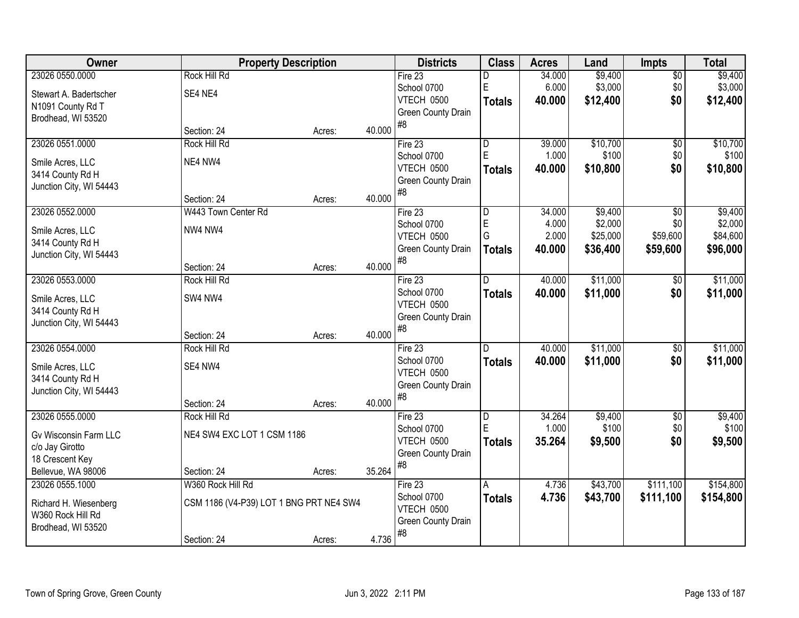| Owner                        | <b>Property Description</b>             |        |        | <b>Districts</b>         | <b>Class</b>  | <b>Acres</b> | Land     | <b>Impts</b>    | <b>Total</b> |
|------------------------------|-----------------------------------------|--------|--------|--------------------------|---------------|--------------|----------|-----------------|--------------|
| 23026 0550.0000              | <b>Rock Hill Rd</b>                     |        |        | Fire 23                  | D             | 34.000       | \$9,400  | $\sqrt{$0}$     | \$9,400      |
| Stewart A. Badertscher       | SE4 NE4                                 |        |        | School 0700              | $\mathsf E$   | 6.000        | \$3,000  | \$0             | \$3,000      |
| N1091 County Rd T            |                                         |        |        | <b>VTECH 0500</b>        | <b>Totals</b> | 40.000       | \$12,400 | \$0             | \$12,400     |
| Brodhead, WI 53520           |                                         |        |        | Green County Drain       |               |              |          |                 |              |
|                              | Section: 24                             | Acres: | 40.000 | #8                       |               |              |          |                 |              |
| 23026 0551.0000              | Rock Hill Rd                            |        |        | Fire 23                  | D             | 39.000       | \$10,700 | \$0             | \$10,700     |
| Smile Acres, LLC             | NE4 NW4                                 |        |        | School 0700              | E             | 1.000        | \$100    | \$0             | \$100        |
| 3414 County Rd H             |                                         |        |        | VTECH 0500               | <b>Totals</b> | 40.000       | \$10,800 | \$0             | \$10,800     |
| Junction City, WI 54443      |                                         |        |        | Green County Drain       |               |              |          |                 |              |
|                              | Section: 24                             | Acres: | 40.000 | #8                       |               |              |          |                 |              |
| 23026 0552.0000              | W443 Town Center Rd                     |        |        | Fire 23                  | D             | 34.000       | \$9,400  | \$0             | \$9,400      |
| Smile Acres, LLC             | NW4 NW4                                 |        |        | School 0700              | E             | 4.000        | \$2,000  | \$0             | \$2,000      |
| 3414 County Rd H             |                                         |        |        | VTECH 0500               | G             | 2.000        | \$25,000 | \$59,600        | \$84,600     |
| Junction City, WI 54443      |                                         |        |        | Green County Drain       | <b>Totals</b> | 40.000       | \$36,400 | \$59,600        | \$96,000     |
|                              | Section: 24                             | Acres: | 40.000 | #8                       |               |              |          |                 |              |
| 23026 0553.0000              | <b>Rock Hill Rd</b>                     |        |        | Fire 23                  | D             | 40.000       | \$11,000 | $\sqrt[6]{3}$   | \$11,000     |
| Smile Acres, LLC             | SW4 NW4                                 |        |        | School 0700              | <b>Totals</b> | 40.000       | \$11,000 | \$0             | \$11,000     |
| 3414 County Rd H             |                                         |        |        | VTECH 0500               |               |              |          |                 |              |
| Junction City, WI 54443      |                                         |        |        | Green County Drain       |               |              |          |                 |              |
|                              | Section: 24                             | Acres: | 40.000 | #8                       |               |              |          |                 |              |
| 23026 0554.0000              | <b>Rock Hill Rd</b>                     |        |        | Fire 23                  | D             | 40.000       | \$11,000 | $\overline{$0}$ | \$11,000     |
| Smile Acres, LLC             | SE4 NW4                                 |        |        | School 0700              | <b>Totals</b> | 40,000       | \$11,000 | \$0             | \$11,000     |
| 3414 County Rd H             |                                         |        |        | VTECH 0500               |               |              |          |                 |              |
| Junction City, WI 54443      |                                         |        |        | Green County Drain       |               |              |          |                 |              |
|                              | Section: 24                             | Acres: | 40.000 | #8                       |               |              |          |                 |              |
| 23026 0555.0000              | Rock Hill Rd                            |        |        | Fire 23                  | D             | 34.264       | \$9,400  | $\sqrt{6}$      | \$9,400      |
| <b>Gv Wisconsin Farm LLC</b> | NE4 SW4 EXC LOT 1 CSM 1186              |        |        | School 0700              | E             | 1.000        | \$100    | \$0             | \$100        |
| c/o Jay Girotto              |                                         |        |        | VTECH 0500               | <b>Totals</b> | 35.264       | \$9,500  | \$0             | \$9,500      |
| 18 Crescent Key              |                                         |        |        | Green County Drain<br>#8 |               |              |          |                 |              |
| Bellevue, WA 98006           | Section: 24                             | Acres: | 35.264 |                          |               |              |          |                 |              |
| 23026 0555.1000              | W360 Rock Hill Rd                       |        |        | Fire 23                  | A             | 4.736        | \$43,700 | \$111,100       | \$154,800    |
| Richard H. Wiesenberg        | CSM 1186 (V4-P39) LOT 1 BNG PRT NE4 SW4 |        |        | School 0700              | <b>Totals</b> | 4.736        | \$43,700 | \$111,100       | \$154,800    |
| W360 Rock Hill Rd            |                                         |        |        | <b>VTECH 0500</b>        |               |              |          |                 |              |
| Brodhead, WI 53520           |                                         |        |        | Green County Drain<br>#8 |               |              |          |                 |              |
|                              | Section: 24                             | Acres: | 4.736  |                          |               |              |          |                 |              |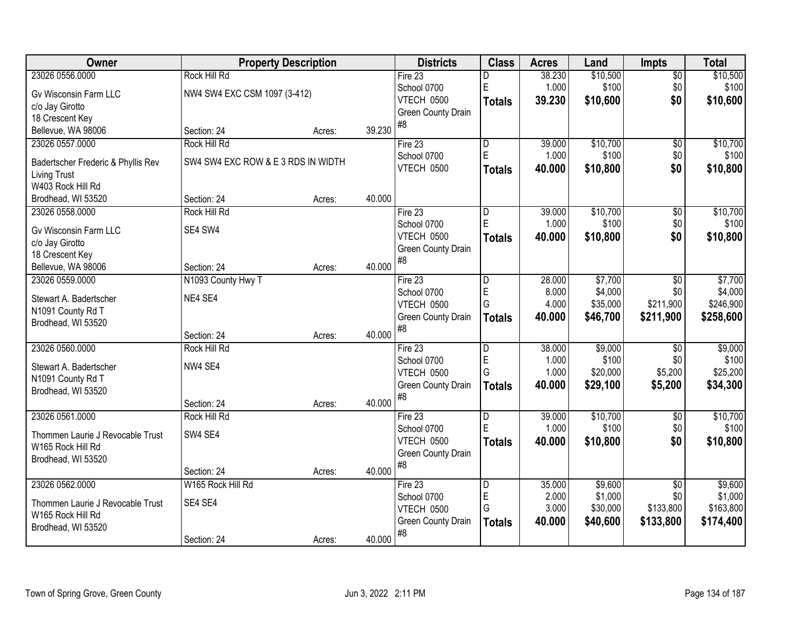| Owner                                       |                                    | <b>Property Description</b> |        | <b>Districts</b>         | <b>Class</b>            | <b>Acres</b> | Land     | <b>Impts</b>           | <b>Total</b> |
|---------------------------------------------|------------------------------------|-----------------------------|--------|--------------------------|-------------------------|--------------|----------|------------------------|--------------|
| 23026 0556.0000                             | <b>Rock Hill Rd</b>                |                             |        | Fire 23                  | D                       | 38.230       | \$10,500 | $\overline{50}$        | \$10,500     |
| Gv Wisconsin Farm LLC                       | NW4 SW4 EXC CSM 1097 (3-412)       |                             |        | School 0700              | $\mathsf E$             | 1.000        | \$100    | \$0                    | \$100        |
| c/o Jay Girotto                             |                                    |                             |        | VTECH 0500               | <b>Totals</b>           | 39.230       | \$10,600 | \$0                    | \$10,600     |
| 18 Crescent Key                             |                                    |                             |        | Green County Drain       |                         |              |          |                        |              |
| Bellevue, WA 98006                          | Section: 24                        | Acres:                      | 39.230 | #8                       |                         |              |          |                        |              |
| 23026 0557.0000                             | Rock Hill Rd                       |                             |        | Fire 23                  | $\overline{\mathsf{D}}$ | 39.000       | \$10,700 | $\overline{50}$        | \$10,700     |
|                                             |                                    |                             |        | School 0700              | E                       | 1.000        | \$100    | \$0                    | \$100        |
| Badertscher Frederic & Phyllis Rev          | SW4 SW4 EXC ROW & E 3 RDS IN WIDTH |                             |        | VTECH 0500               | <b>Totals</b>           | 40.000       | \$10,800 | \$0                    | \$10,800     |
| <b>Living Trust</b>                         |                                    |                             |        |                          |                         |              |          |                        |              |
| W403 Rock Hill Rd                           |                                    |                             | 40.000 |                          |                         |              |          |                        |              |
| Brodhead, WI 53520                          | Section: 24<br>Rock Hill Rd        | Acres:                      |        |                          |                         | 39.000       | \$10,700 |                        | \$10,700     |
| 23026 0558.0000                             |                                    |                             |        | Fire $23$<br>School 0700 | D<br>E                  | 1.000        | \$100    | $\overline{50}$<br>\$0 | \$100        |
| Gv Wisconsin Farm LLC                       | SE4 SW4                            |                             |        | VTECH 0500               |                         | 40.000       |          |                        |              |
| c/o Jay Girotto                             |                                    |                             |        | Green County Drain       | <b>Totals</b>           |              | \$10,800 | \$0                    | \$10,800     |
| 18 Crescent Key                             |                                    |                             |        | #8                       |                         |              |          |                        |              |
| Bellevue, WA 98006                          | Section: 24                        | Acres:                      | 40.000 |                          |                         |              |          |                        |              |
| 23026 0559.0000                             | N1093 County Hwy T                 |                             |        | Fire 23                  | $\overline{D}$          | 28.000       | \$7,700  | \$0                    | \$7,700      |
| Stewart A. Badertscher                      | NE4 SE4                            |                             |        | School 0700              | E                       | 8.000        | \$4,000  | \$0                    | \$4,000      |
| N1091 County Rd T                           |                                    |                             |        | VTECH 0500               | G                       | 4.000        | \$35,000 | \$211,900              | \$246,900    |
| Brodhead, WI 53520                          |                                    |                             |        | Green County Drain       | <b>Totals</b>           | 40.000       | \$46,700 | \$211,900              | \$258,600    |
|                                             | Section: 24                        | Acres:                      | 40.000 | #8                       |                         |              |          |                        |              |
| 23026 0560.0000                             | Rock Hill Rd                       |                             |        | Fire 23                  | D                       | 38.000       | \$9,000  | $\overline{50}$        | \$9,000      |
|                                             | NW4 SE4                            |                             |        | School 0700              | $\overline{E}$          | 1.000        | \$100    | \$0                    | \$100        |
| Stewart A. Badertscher<br>N1091 County Rd T |                                    |                             |        | VTECH 0500               | G                       | 1.000        | \$20,000 | \$5,200                | \$25,200     |
| Brodhead, WI 53520                          |                                    |                             |        | Green County Drain       | <b>Totals</b>           | 40.000       | \$29,100 | \$5,200                | \$34,300     |
|                                             | Section: 24                        | Acres:                      | 40.000 | #8                       |                         |              |          |                        |              |
| 23026 0561.0000                             | <b>Rock Hill Rd</b>                |                             |        | Fire 23                  | D                       | 39.000       | \$10,700 | $\overline{60}$        | \$10,700     |
|                                             |                                    |                             |        | School 0700              | E                       | 1.000        | \$100    | \$0                    | \$100        |
| Thommen Laurie J Revocable Trust            | SW4 SE4                            |                             |        | VTECH 0500               | <b>Totals</b>           | 40.000       | \$10,800 | \$0                    | \$10,800     |
| W165 Rock Hill Rd                           |                                    |                             |        | Green County Drain       |                         |              |          |                        |              |
| Brodhead, WI 53520                          |                                    |                             |        | #8                       |                         |              |          |                        |              |
|                                             | Section: 24                        | Acres:                      | 40.000 |                          |                         |              |          |                        |              |
| 23026 0562.0000                             | W165 Rock Hill Rd                  |                             |        | Fire 23                  | D                       | 35.000       | \$9,600  | $\overline{50}$        | \$9,600      |
| Thommen Laurie J Revocable Trust            | SE4 SE4                            |                             |        | School 0700              | E                       | 2.000        | \$1,000  | \$0                    | \$1,000      |
| W165 Rock Hill Rd                           |                                    |                             |        | VTECH 0500               | G                       | 3.000        | \$30,000 | \$133,800              | \$163,800    |
| Brodhead, WI 53520                          |                                    |                             |        | Green County Drain       | <b>Totals</b>           | 40.000       | \$40,600 | \$133,800              | \$174,400    |
|                                             | Section: 24                        | Acres:                      | 40.000 | #8                       |                         |              |          |                        |              |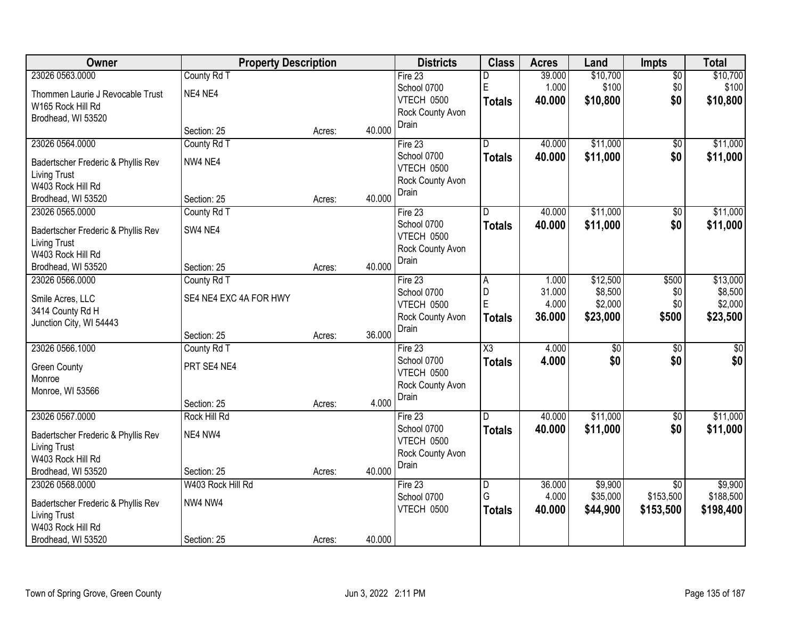| Owner                                                     | <b>Property Description</b> |        |        | <b>Districts</b> | <b>Class</b>            | <b>Acres</b> | Land            | Impts           | <b>Total</b>     |
|-----------------------------------------------------------|-----------------------------|--------|--------|------------------|-------------------------|--------------|-----------------|-----------------|------------------|
| 23026 0563.0000                                           | County Rd T                 |        |        | Fire $23$        | n                       | 39.000       | \$10,700        | $\overline{50}$ | \$10,700         |
| Thommen Laurie J Revocable Trust                          | NE4 NE4                     |        |        | School 0700      | E                       | 1.000        | \$100           | \$0             | \$100            |
| W165 Rock Hill Rd                                         |                             |        |        | VTECH 0500       | <b>Totals</b>           | 40.000       | \$10,800        | \$0             | \$10,800         |
| Brodhead, WI 53520                                        |                             |        |        | Rock County Avon |                         |              |                 |                 |                  |
|                                                           | Section: 25                 | Acres: | 40.000 | Drain            |                         |              |                 |                 |                  |
| 23026 0564.0000                                           | County Rd T                 |        |        | Fire $23$        | $\overline{\mathsf{n}}$ | 40.000       | \$11,000        | \$0             | \$11,000         |
| Badertscher Frederic & Phyllis Rev                        | NW4 NE4                     |        |        | School 0700      | <b>Totals</b>           | 40.000       | \$11,000        | \$0             | \$11,000         |
| <b>Living Trust</b>                                       |                             |        |        | VTECH 0500       |                         |              |                 |                 |                  |
| W403 Rock Hill Rd                                         |                             |        |        | Rock County Avon |                         |              |                 |                 |                  |
| Brodhead, WI 53520                                        | Section: 25                 | Acres: | 40.000 | Drain            |                         |              |                 |                 |                  |
| 23026 0565.0000                                           | County Rd T                 |        |        | Fire 23          | D                       | 40.000       | \$11,000        | $\overline{50}$ | \$11,000         |
| Badertscher Frederic & Phyllis Rev                        | SW4 NE4                     |        |        | School 0700      | <b>Totals</b>           | 40.000       | \$11,000        | \$0             | \$11,000         |
| <b>Living Trust</b>                                       |                             |        |        | VTECH 0500       |                         |              |                 |                 |                  |
| W403 Rock Hill Rd                                         |                             |        |        | Rock County Avon |                         |              |                 |                 |                  |
| Brodhead, WI 53520                                        | Section: 25                 | Acres: | 40.000 | Drain            |                         |              |                 |                 |                  |
| 23026 0566.0000                                           | County Rd T                 |        |        | Fire 23          | A                       | 1.000        | \$12,500        | \$500           | \$13,000         |
| Smile Acres, LLC                                          | SE4 NE4 EXC 4A FOR HWY      |        |        | School 0700      | D                       | 31.000       | \$8,500         | \$0             | \$8,500          |
| 3414 County Rd H                                          |                             |        |        | VTECH 0500       | E                       | 4.000        | \$2,000         | \$0             | \$2,000          |
| Junction City, WI 54443                                   |                             |        |        | Rock County Avon | <b>Totals</b>           | 36.000       | \$23,000        | \$500           | \$23,500         |
|                                                           | Section: 25                 | Acres: | 36.000 | Drain            |                         |              |                 |                 |                  |
| 23026 0566.1000                                           | County Rd T                 |        |        | Fire 23          | $\overline{\text{X3}}$  | 4.000        | $\overline{50}$ | $\overline{50}$ | $\overline{\$0}$ |
| <b>Green County</b>                                       | PRT SE4 NE4                 |        |        | School 0700      | <b>Totals</b>           | 4.000        | \$0             | \$0             | \$0              |
| Monroe                                                    |                             |        |        | VTECH 0500       |                         |              |                 |                 |                  |
| Monroe, WI 53566                                          |                             |        |        | Rock County Avon |                         |              |                 |                 |                  |
|                                                           | Section: 25                 | Acres: | 4.000  | Drain            |                         |              |                 |                 |                  |
| 23026 0567.0000                                           | <b>Rock Hill Rd</b>         |        |        | Fire 23          | D.                      | 40.000       | \$11,000        | $\sqrt{6}$      | \$11,000         |
|                                                           | NE4 NW4                     |        |        | School 0700      | <b>Totals</b>           | 40.000       | \$11,000        | \$0             | \$11,000         |
| Badertscher Frederic & Phyllis Rev<br><b>Living Trust</b> |                             |        |        | VTECH 0500       |                         |              |                 |                 |                  |
| W403 Rock Hill Rd                                         |                             |        |        | Rock County Avon |                         |              |                 |                 |                  |
| Brodhead, WI 53520                                        | Section: 25                 | Acres: | 40.000 | Drain            |                         |              |                 |                 |                  |
| 23026 0568.0000                                           | W403 Rock Hill Rd           |        |        | Fire 23          | $\overline{\mathsf{D}}$ | 36.000       | \$9,900         | $\overline{50}$ | \$9,900          |
|                                                           |                             |        |        | School 0700      | G                       | 4.000        | \$35,000        | \$153,500       | \$188,500        |
| Badertscher Frederic & Phyllis Rev                        | NW4 NW4                     |        |        | VTECH 0500       | <b>Totals</b>           | 40.000       | \$44,900        | \$153,500       | \$198,400        |
| <b>Living Trust</b><br>W403 Rock Hill Rd                  |                             |        |        |                  |                         |              |                 |                 |                  |
| Brodhead, WI 53520                                        | Section: 25                 | Acres: | 40.000 |                  |                         |              |                 |                 |                  |
|                                                           |                             |        |        |                  |                         |              |                 |                 |                  |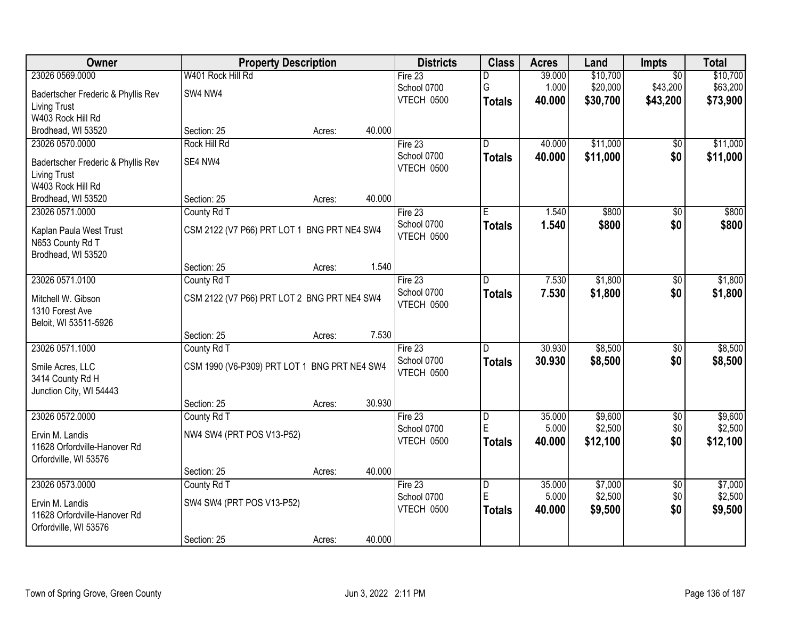| Owner                                           |                                              | <b>Property Description</b> |        | <b>Districts</b>  | <b>Class</b>            | <b>Acres</b> | Land     | <b>Impts</b>    | <b>Total</b> |
|-------------------------------------------------|----------------------------------------------|-----------------------------|--------|-------------------|-------------------------|--------------|----------|-----------------|--------------|
| 23026 0569.0000                                 | W401 Rock Hill Rd                            |                             |        | Fire 23           | D                       | 39.000       | \$10,700 | $\overline{50}$ | \$10,700     |
| Badertscher Frederic & Phyllis Rev              | SW4 NW4                                      |                             |        | School 0700       | G                       | 1.000        | \$20,000 | \$43,200        | \$63,200     |
| <b>Living Trust</b>                             |                                              |                             |        | VTECH 0500        | <b>Totals</b>           | 40.000       | \$30,700 | \$43,200        | \$73,900     |
| W403 Rock Hill Rd                               |                                              |                             |        |                   |                         |              |          |                 |              |
| Brodhead, WI 53520                              | Section: 25                                  | Acres:                      | 40.000 |                   |                         |              |          |                 |              |
| 23026 0570.0000                                 | <b>Rock Hill Rd</b>                          |                             |        | Fire $23$         | $\overline{\mathsf{n}}$ | 40.000       | \$11,000 | \$0             | \$11,000     |
| Badertscher Frederic & Phyllis Rev              | SE4 NW4                                      |                             |        | School 0700       | <b>Totals</b>           | 40.000       | \$11,000 | \$0             | \$11,000     |
| <b>Living Trust</b>                             |                                              |                             |        | VTECH 0500        |                         |              |          |                 |              |
| W403 Rock Hill Rd                               |                                              |                             |        |                   |                         |              |          |                 |              |
| Brodhead, WI 53520                              | Section: 25                                  | Acres:                      | 40.000 |                   |                         |              |          |                 |              |
| 23026 0571.0000                                 | County Rd T                                  |                             |        | Fire 23           | E                       | 1.540        | \$800    | \$0             | \$800        |
| Kaplan Paula West Trust                         | CSM 2122 (V7 P66) PRT LOT 1 BNG PRT NE4 SW4  |                             |        | School 0700       | <b>Totals</b>           | 1.540        | \$800    | \$0             | \$800        |
| N653 County Rd T                                |                                              |                             |        | VTECH 0500        |                         |              |          |                 |              |
| Brodhead, WI 53520                              |                                              |                             |        |                   |                         |              |          |                 |              |
|                                                 | Section: 25                                  | Acres:                      | 1.540  |                   |                         |              |          |                 |              |
| 23026 0571.0100                                 | County Rd T                                  |                             |        | Fire 23           | D                       | 7.530        | \$1,800  | \$0             | \$1,800      |
| Mitchell W. Gibson                              | CSM 2122 (V7 P66) PRT LOT 2 BNG PRT NE4 SW4  |                             |        | School 0700       | <b>Totals</b>           | 7.530        | \$1,800  | \$0             | \$1,800      |
| 1310 Forest Ave                                 |                                              |                             |        | VTECH 0500        |                         |              |          |                 |              |
| Beloit, WI 53511-5926                           |                                              |                             |        |                   |                         |              |          |                 |              |
|                                                 | Section: 25                                  | Acres:                      | 7.530  |                   |                         |              |          |                 |              |
| 23026 0571.1000                                 | County Rd T                                  |                             |        | Fire 23           | D                       | 30.930       | \$8,500  | $\overline{30}$ | \$8,500      |
|                                                 |                                              |                             |        | School 0700       | Totals                  | 30.930       | \$8,500  | \$0             | \$8,500      |
| Smile Acres, LLC<br>3414 County Rd H            | CSM 1990 (V6-P309) PRT LOT 1 BNG PRT NE4 SW4 |                             |        | VTECH 0500        |                         |              |          |                 |              |
| Junction City, WI 54443                         |                                              |                             |        |                   |                         |              |          |                 |              |
|                                                 | Section: 25                                  | Acres:                      | 30.930 |                   |                         |              |          |                 |              |
| 23026 0572.0000                                 | County Rd T                                  |                             |        | Fire 23           | D                       | 35.000       | \$9,600  | $\overline{60}$ | \$9,600      |
|                                                 |                                              |                             |        | School 0700       | $\mathsf E$             | 5.000        | \$2,500  | \$0             | \$2,500      |
| Ervin M. Landis<br>11628 Orfordville-Hanover Rd | NW4 SW4 (PRT POS V13-P52)                    |                             |        | <b>VTECH 0500</b> | <b>Totals</b>           | 40,000       | \$12,100 | \$0             | \$12,100     |
| Orfordville, WI 53576                           |                                              |                             |        |                   |                         |              |          |                 |              |
|                                                 | Section: 25                                  | Acres:                      | 40.000 |                   |                         |              |          |                 |              |
| 23026 0573.0000                                 | County Rd T                                  |                             |        | Fire $23$         | $\overline{\mathsf{D}}$ | 35,000       | \$7,000  | $\overline{50}$ | \$7,000      |
|                                                 |                                              |                             |        | School 0700       | E                       | 5.000        | \$2,500  | \$0             | \$2,500      |
| Ervin M. Landis<br>11628 Orfordville-Hanover Rd | SW4 SW4 (PRT POS V13-P52)                    |                             |        | VTECH 0500        | <b>Totals</b>           | 40.000       | \$9,500  | \$0             | \$9,500      |
| Orfordville, WI 53576                           |                                              |                             |        |                   |                         |              |          |                 |              |
|                                                 | Section: 25                                  | Acres:                      | 40.000 |                   |                         |              |          |                 |              |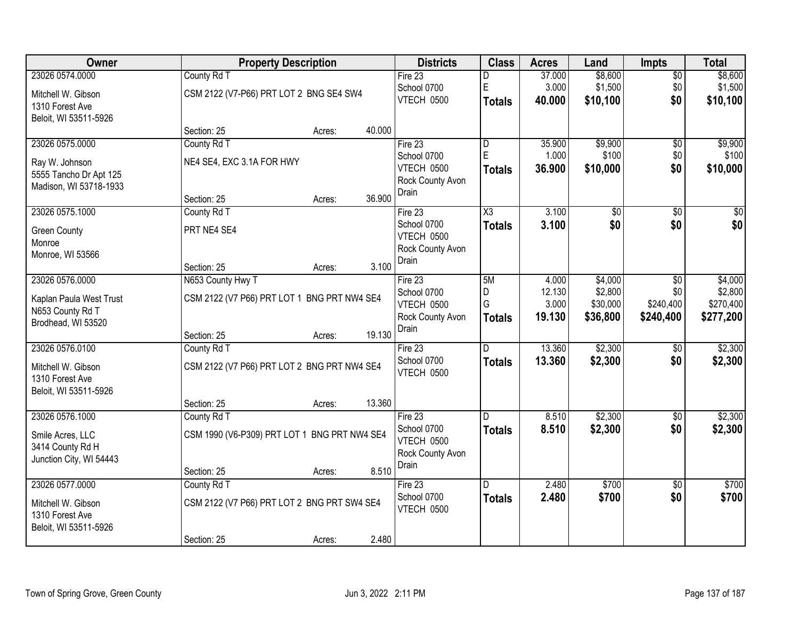| Owner                   |                                              | <b>Property Description</b> |        | <b>Districts</b>                 | <b>Class</b>  | <b>Acres</b>    | Land                | <b>Impts</b>     | <b>Total</b>         |
|-------------------------|----------------------------------------------|-----------------------------|--------|----------------------------------|---------------|-----------------|---------------------|------------------|----------------------|
| 23026 0574.0000         | County Rd T                                  |                             |        | Fire $23$                        | D             | 37.000          | \$8,600             | $\overline{50}$  | \$8,600              |
| Mitchell W. Gibson      | CSM 2122 (V7-P66) PRT LOT 2 BNG SE4 SW4      |                             |        | School 0700                      | E             | 3.000           | \$1,500             | \$0              | \$1,500              |
| 1310 Forest Ave         |                                              |                             |        | VTECH 0500                       | <b>Totals</b> | 40.000          | \$10,100            | \$0              | \$10,100             |
| Beloit, WI 53511-5926   |                                              |                             |        |                                  |               |                 |                     |                  |                      |
|                         | Section: 25                                  | Acres:                      | 40.000 |                                  |               |                 |                     |                  |                      |
| 23026 0575.0000         | County Rd T                                  |                             |        | Fire $23$                        | D             | 35.900          | \$9,900             | $\overline{50}$  | \$9,900              |
| Ray W. Johnson          | NE4 SE4, EXC 3.1A FOR HWY                    |                             |        | School 0700                      | E             | 1.000           | \$100               | \$0              | \$100                |
| 5555 Tancho Dr Apt 125  |                                              |                             |        | VTECH 0500<br>Rock County Avon   | <b>Totals</b> | 36.900          | \$10,000            | \$0              | \$10,000             |
| Madison, WI 53718-1933  |                                              |                             |        | Drain                            |               |                 |                     |                  |                      |
|                         | Section: 25                                  | Acres:                      | 36.900 |                                  |               |                 |                     |                  |                      |
| 23026 0575.1000         | County Rd T                                  |                             |        | Fire 23                          | X3            | 3.100           | \$0                 | \$0              | \$0                  |
| <b>Green County</b>     | PRT NE4 SE4                                  |                             |        | School 0700<br><b>VTECH 0500</b> | <b>Totals</b> | 3.100           | \$0                 | \$0              | \$0                  |
| Monroe                  |                                              |                             |        | Rock County Avon                 |               |                 |                     |                  |                      |
| Monroe, WI 53566        |                                              |                             |        | Drain                            |               |                 |                     |                  |                      |
|                         | Section: 25                                  | Acres:                      | 3.100  |                                  |               |                 |                     |                  |                      |
| 23026 0576.0000         | N653 County Hwy T                            |                             |        | Fire $23$                        | 5M            | 4.000           | \$4,000             | \$0              | \$4,000              |
| Kaplan Paula West Trust | CSM 2122 (V7 P66) PRT LOT 1 BNG PRT NW4 SE4  |                             |        | School 0700<br>VTECH 0500        | D<br>G        | 12.130<br>3.000 | \$2,800<br>\$30,000 | \$0<br>\$240,400 | \$2,800<br>\$270,400 |
| N653 County Rd T        |                                              |                             |        | Rock County Avon                 | <b>Totals</b> | 19.130          | \$36,800            | \$240,400        | \$277,200            |
| Brodhead, WI 53520      |                                              |                             |        | Drain                            |               |                 |                     |                  |                      |
|                         | Section: 25                                  | Acres:                      | 19.130 |                                  |               |                 |                     |                  |                      |
| 23026 0576.0100         | County Rd T                                  |                             |        | Fire 23                          | D.            | 13.360          | \$2,300             | \$0              | \$2,300              |
| Mitchell W. Gibson      | CSM 2122 (V7 P66) PRT LOT 2 BNG PRT NW4 SE4  |                             |        | School 0700<br><b>VTECH 0500</b> | <b>Totals</b> | 13.360          | \$2,300             | \$0              | \$2,300              |
| 1310 Forest Ave         |                                              |                             |        |                                  |               |                 |                     |                  |                      |
| Beloit, WI 53511-5926   |                                              |                             |        |                                  |               |                 |                     |                  |                      |
|                         | Section: 25                                  | Acres:                      | 13.360 |                                  |               |                 |                     |                  |                      |
| 23026 0576.1000         | County Rd T                                  |                             |        | Fire 23                          | D.            | 8.510           | \$2,300             | \$0              | \$2,300              |
| Smile Acres, LLC        | CSM 1990 (V6-P309) PRT LOT 1 BNG PRT NW4 SE4 |                             |        | School 0700<br>VTECH 0500        | <b>Totals</b> | 8.510           | \$2,300             | \$0              | \$2,300              |
| 3414 County Rd H        |                                              |                             |        | Rock County Avon                 |               |                 |                     |                  |                      |
| Junction City, WI 54443 |                                              |                             |        | Drain                            |               |                 |                     |                  |                      |
|                         | Section: 25                                  | Acres:                      | 8.510  |                                  |               |                 |                     |                  |                      |
| 23026 0577.0000         | County Rd T                                  |                             |        | Fire $23$<br>School 0700         | D.            | 2.480<br>2.480  | \$700<br>\$700      | $\overline{50}$  | \$700<br>\$700       |
| Mitchell W. Gibson      | CSM 2122 (V7 P66) PRT LOT 2 BNG PRT SW4 SE4  |                             |        | VTECH 0500                       | <b>Totals</b> |                 |                     | \$0              |                      |
| 1310 Forest Ave         |                                              |                             |        |                                  |               |                 |                     |                  |                      |
| Beloit, WI 53511-5926   |                                              |                             |        |                                  |               |                 |                     |                  |                      |
|                         | Section: 25                                  | Acres:                      | 2.480  |                                  |               |                 |                     |                  |                      |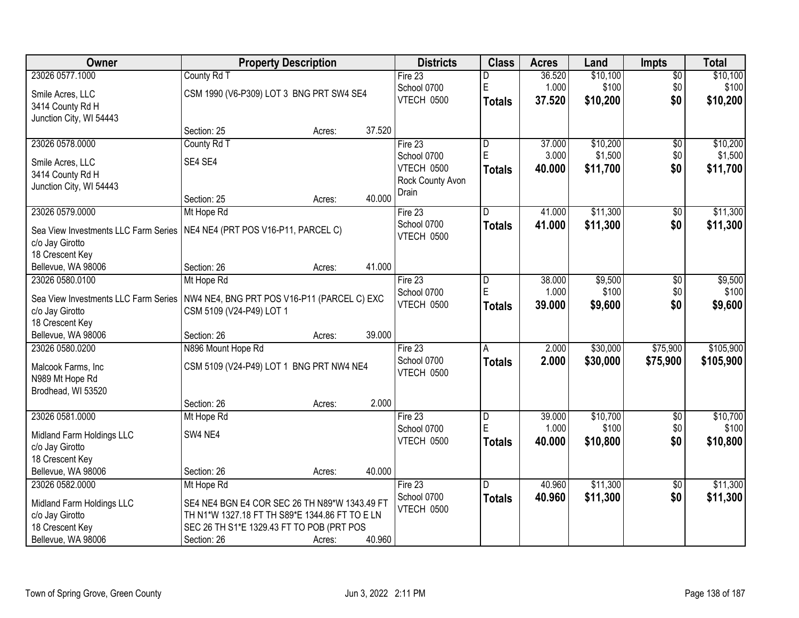| Owner                                | <b>Property Description</b>                    |        |        | <b>Districts</b> | <b>Class</b>  | <b>Acres</b> | Land     | <b>Impts</b>    | <b>Total</b> |
|--------------------------------------|------------------------------------------------|--------|--------|------------------|---------------|--------------|----------|-----------------|--------------|
| 23026 0577.1000                      | County Rd T                                    |        |        | Fire $23$        | D             | 36.520       | \$10,100 | $\overline{$0}$ | \$10,100     |
| Smile Acres, LLC                     | CSM 1990 (V6-P309) LOT 3 BNG PRT SW4 SE4       |        |        | School 0700      | E             | 1.000        | \$100    | \$0             | \$100        |
| 3414 County Rd H                     |                                                |        |        | VTECH 0500       | Totals        | 37.520       | \$10,200 | \$0             | \$10,200     |
| Junction City, WI 54443              |                                                |        |        |                  |               |              |          |                 |              |
|                                      | Section: 25                                    | Acres: | 37.520 |                  |               |              |          |                 |              |
| 23026 0578.0000                      | County Rd T                                    |        |        | Fire $23$        | D             | 37.000       | \$10,200 | $\overline{50}$ | \$10,200     |
| Smile Acres, LLC                     | SE4 SE4                                        |        |        | School 0700      | E             | 3.000        | \$1,500  | \$0             | \$1,500      |
| 3414 County Rd H                     |                                                |        |        | VTECH 0500       | <b>Totals</b> | 40.000       | \$11,700 | \$0             | \$11,700     |
| Junction City, WI 54443              |                                                |        |        | Rock County Avon |               |              |          |                 |              |
|                                      | Section: 25                                    | Acres: | 40.000 | Drain            |               |              |          |                 |              |
| 23026 0579.0000                      | Mt Hope Rd                                     |        |        | Fire 23          | D             | 41.000       | \$11,300 | \$0             | \$11,300     |
| Sea View Investments LLC Farm Series | NE4 NE4 (PRT POS V16-P11, PARCEL C)            |        |        | School 0700      | Totals        | 41.000       | \$11,300 | \$0             | \$11,300     |
| c/o Jay Girotto                      |                                                |        |        | VTECH 0500       |               |              |          |                 |              |
| 18 Crescent Key                      |                                                |        |        |                  |               |              |          |                 |              |
| Bellevue, WA 98006                   | Section: 26                                    | Acres: | 41.000 |                  |               |              |          |                 |              |
| 23026 0580.0100                      | Mt Hope Rd                                     |        |        | Fire 23          | D             | 38.000       | \$9,500  | \$0             | \$9,500      |
| Sea View Investments LLC Farm Series | NW4 NE4, BNG PRT POS V16-P11 (PARCEL C) EXC    |        |        | School 0700      | ΙE            | 1.000        | \$100    | \$0             | \$100        |
| c/o Jay Girotto                      | CSM 5109 (V24-P49) LOT 1                       |        |        | VTECH 0500       | <b>Totals</b> | 39.000       | \$9,600  | \$0             | \$9,600      |
| 18 Crescent Key                      |                                                |        |        |                  |               |              |          |                 |              |
| Bellevue, WA 98006                   | Section: 26                                    | Acres: | 39.000 |                  |               |              |          |                 |              |
| 23026 0580.0200                      | N896 Mount Hope Rd                             |        |        | Fire 23          | A             | 2.000        | \$30,000 | \$75,900        | \$105,900    |
| Malcook Farms, Inc                   | CSM 5109 (V24-P49) LOT 1 BNG PRT NW4 NE4       |        |        | School 0700      | <b>Totals</b> | 2.000        | \$30,000 | \$75,900        | \$105,900    |
| N989 Mt Hope Rd                      |                                                |        |        | VTECH 0500       |               |              |          |                 |              |
| Brodhead, WI 53520                   |                                                |        |        |                  |               |              |          |                 |              |
|                                      | Section: 26                                    | Acres: | 2.000  |                  |               |              |          |                 |              |
| 23026 0581.0000                      | Mt Hope Rd                                     |        |        | Fire 23          | D             | 39.000       | \$10,700 | $\overline{60}$ | \$10,700     |
| Midland Farm Holdings LLC            | SW4 NE4                                        |        |        | School 0700      | E             | 1.000        | \$100    | \$0             | \$100        |
| c/o Jay Girotto                      |                                                |        |        | VTECH 0500       | Totals        | 40.000       | \$10,800 | \$0             | \$10,800     |
| 18 Crescent Key                      |                                                |        |        |                  |               |              |          |                 |              |
| Bellevue, WA 98006                   | Section: 26                                    | Acres: | 40.000 |                  |               |              |          |                 |              |
| 23026 0582,0000                      | Mt Hope Rd                                     |        |        | Fire 23          | D             | 40.960       | \$11,300 | \$0             | \$11,300     |
| Midland Farm Holdings LLC            | SE4 NE4 BGN E4 COR SEC 26 TH N89*W 1343.49 FT  |        |        | School 0700      | <b>Totals</b> | 40.960       | \$11,300 | \$0             | \$11,300     |
| c/o Jay Girotto                      | TH N1*W 1327.18 FT TH S89*E 1344.86 FT TO E LN |        |        | VTECH 0500       |               |              |          |                 |              |
| 18 Crescent Key                      | SEC 26 TH S1*E 1329.43 FT TO POB (PRT POS      |        |        |                  |               |              |          |                 |              |
| Bellevue, WA 98006                   | Section: 26                                    | Acres: | 40.960 |                  |               |              |          |                 |              |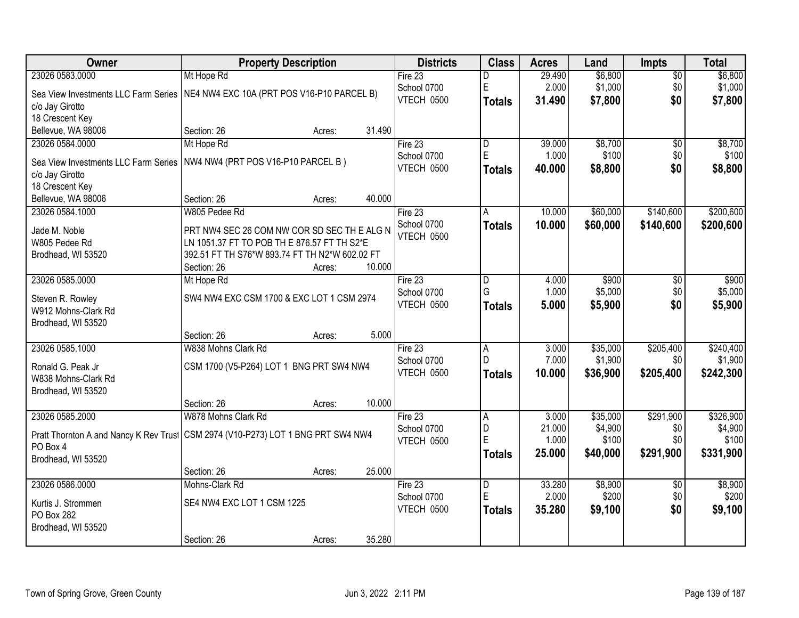| Owner                                     | <b>Property Description</b>                                                               | <b>Districts</b> | <b>Class</b>   | <b>Acres</b> | Land     | <b>Impts</b>    | <b>Total</b> |
|-------------------------------------------|-------------------------------------------------------------------------------------------|------------------|----------------|--------------|----------|-----------------|--------------|
| 23026 0583.0000                           | Mt Hope Rd                                                                                | Fire 23          | D              | 29.490       | \$6,800  | $\overline{50}$ | \$6,800      |
| Sea View Investments LLC Farm Series      | NE4 NW4 EXC 10A (PRT POS V16-P10 PARCEL B)                                                | School 0700      | E              | 2.000        | \$1,000  | \$0             | \$1,000      |
| c/o Jay Girotto                           |                                                                                           | VTECH 0500       | <b>Totals</b>  | 31.490       | \$7,800  | \$0             | \$7,800      |
| 18 Crescent Key                           |                                                                                           |                  |                |              |          |                 |              |
| Bellevue, WA 98006                        | 31.490<br>Section: 26<br>Acres:                                                           |                  |                |              |          |                 |              |
| 23026 0584.0000                           | Mt Hope Rd                                                                                | Fire $23$        | D              | 39.000       | \$8,700  | \$0             | \$8,700      |
| Sea View Investments LLC Farm Series      | NW4 NW4 (PRT POS V16-P10 PARCEL B)                                                        | School 0700      | E              | 1.000        | \$100    | \$0             | \$100        |
| c/o Jay Girotto                           |                                                                                           | VTECH 0500       | <b>Totals</b>  | 40.000       | \$8,800  | \$0             | \$8,800      |
| 18 Crescent Key                           |                                                                                           |                  |                |              |          |                 |              |
| Bellevue, WA 98006                        | 40.000<br>Section: 26<br>Acres:                                                           |                  |                |              |          |                 |              |
| 23026 0584.1000                           | W805 Pedee Rd                                                                             | Fire 23          | Α              | 10.000       | \$60,000 | \$140,600       | \$200,600    |
|                                           |                                                                                           | School 0700      | <b>Totals</b>  | 10.000       | \$60,000 | \$140,600       | \$200,600    |
| Jade M. Noble<br>W805 Pedee Rd            | PRT NW4 SEC 26 COM NW COR SD SEC THE ALG N<br>LN 1051.37 FT TO POB TH E 876.57 FT TH S2*E | VTECH 0500       |                |              |          |                 |              |
| Brodhead, WI 53520                        | 392.51 FT TH S76*W 893.74 FT TH N2*W 602.02 FT                                            |                  |                |              |          |                 |              |
|                                           | 10.000<br>Section: 26<br>Acres:                                                           |                  |                |              |          |                 |              |
| 23026 0585.0000                           | Mt Hope Rd                                                                                | Fire 23          | D              | 4.000        | \$900    | \$0             | \$900        |
|                                           |                                                                                           | School 0700      | G              | 1.000        | \$5,000  | \$0             | \$5,000      |
| Steven R. Rowley                          | SW4 NW4 EXC CSM 1700 & EXC LOT 1 CSM 2974                                                 | VTECH 0500       | <b>Totals</b>  | 5.000        | \$5,900  | \$0             | \$5,900      |
| W912 Mohns-Clark Rd<br>Brodhead, WI 53520 |                                                                                           |                  |                |              |          |                 |              |
|                                           | 5.000<br>Section: 26<br>Acres:                                                            |                  |                |              |          |                 |              |
| 23026 0585.1000                           | W838 Mohns Clark Rd                                                                       | Fire 23          | A              | 3.000        | \$35,000 | \$205,400       | \$240,400    |
|                                           |                                                                                           | School 0700      | D              | 7.000        | \$1,900  | \$0             | \$1,900      |
| Ronald G. Peak Jr                         | CSM 1700 (V5-P264) LOT 1 BNG PRT SW4 NW4                                                  | VTECH 0500       | <b>Totals</b>  | 10.000       | \$36,900 | \$205,400       | \$242,300    |
| W838 Mohns-Clark Rd                       |                                                                                           |                  |                |              |          |                 |              |
| Brodhead, WI 53520                        | 10.000<br>Section: 26                                                                     |                  |                |              |          |                 |              |
| 23026 0585.2000                           | Acres:<br>W878 Mohns Clark Rd                                                             | Fire 23          | A              | 3.000        | \$35,000 | \$291,900       | \$326,900    |
|                                           |                                                                                           | School 0700      | D              | 21.000       | \$4,900  | \$0             | \$4,900      |
|                                           | Pratt Thornton A and Nancy K Rev Trust CSM 2974 (V10-P273) LOT 1 BNG PRT SW4 NW4          | VTECH 0500       | Ē              | 1.000        | \$100    | \$0             | \$100        |
| PO Box 4                                  |                                                                                           |                  | <b>Totals</b>  | 25.000       | \$40,000 | \$291,900       | \$331,900    |
| Brodhead, WI 53520                        | 25.000                                                                                    |                  |                |              |          |                 |              |
| 23026 0586.0000                           | Section: 26<br>Acres:<br>Mohns-Clark Rd                                                   | Fire $23$        | $\overline{D}$ | 33.280       | \$8,900  | $\overline{30}$ | \$8,900      |
|                                           |                                                                                           | School 0700      | Ė              | 2.000        | \$200    | \$0             | \$200        |
| Kurtis J. Strommen                        | SE4 NW4 EXC LOT 1 CSM 1225                                                                | VTECH 0500       | <b>Totals</b>  | 35.280       | \$9,100  | \$0             | \$9,100      |
| PO Box 282                                |                                                                                           |                  |                |              |          |                 |              |
| Brodhead, WI 53520                        |                                                                                           |                  |                |              |          |                 |              |
|                                           | 35.280<br>Section: 26<br>Acres:                                                           |                  |                |              |          |                 |              |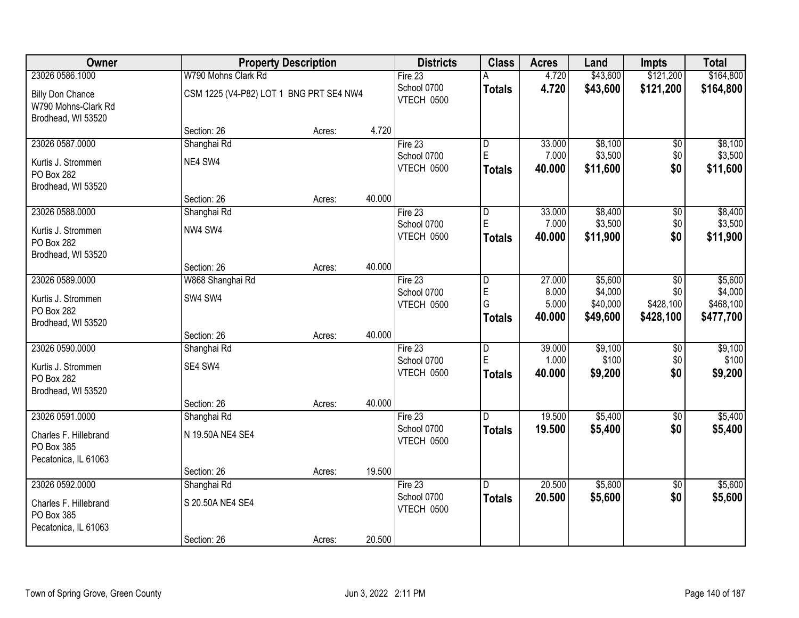| Owner                                          |                                         | <b>Property Description</b> |        |                           | <b>Class</b>   | <b>Acres</b> | Land     | <b>Impts</b>    | <b>Total</b> |
|------------------------------------------------|-----------------------------------------|-----------------------------|--------|---------------------------|----------------|--------------|----------|-----------------|--------------|
| 23026 0586.1000                                | W790 Mohns Clark Rd                     |                             |        | Fire 23                   | А              | 4.720        | \$43,600 | \$121,200       | \$164,800    |
| <b>Billy Don Chance</b><br>W790 Mohns-Clark Rd | CSM 1225 (V4-P82) LOT 1 BNG PRT SE4 NW4 |                             |        | School 0700<br>VTECH 0500 | <b>Totals</b>  | 4.720        | \$43,600 | \$121,200       | \$164,800    |
| Brodhead, WI 53520                             |                                         |                             |        |                           |                |              |          |                 |              |
|                                                | Section: 26                             | Acres:                      | 4.720  |                           |                |              |          |                 |              |
| 23026 0587.0000                                | Shanghai Rd                             |                             |        | Fire $23$                 | D              | 33.000       | \$8,100  | $\overline{50}$ | \$8,100      |
| Kurtis J. Strommen                             | NE4 SW4                                 |                             |        | School 0700               | $\mathsf E$    | 7.000        | \$3,500  | \$0             | \$3,500      |
| PO Box 282                                     |                                         |                             |        | VTECH 0500                | <b>Totals</b>  | 40.000       | \$11,600 | \$0             | \$11,600     |
| Brodhead, WI 53520                             |                                         |                             |        |                           |                |              |          |                 |              |
|                                                | Section: 26                             | Acres:                      | 40.000 |                           |                |              |          |                 |              |
| 23026 0588.0000                                | Shanghai Rd                             |                             |        | Fire 23                   | D              | 33.000       | \$8,400  | \$0             | \$8,400      |
| Kurtis J. Strommen                             | NW4 SW4                                 |                             |        | School 0700               | $\mathsf E$    | 7.000        | \$3,500  | \$0             | \$3,500      |
| PO Box 282                                     |                                         |                             |        | VTECH 0500                | <b>Totals</b>  | 40.000       | \$11,900 | \$0             | \$11,900     |
| Brodhead, WI 53520                             |                                         |                             |        |                           |                |              |          |                 |              |
|                                                | Section: 26                             | Acres:                      | 40.000 |                           |                |              |          |                 |              |
| 23026 0589.0000                                | W868 Shanghai Rd                        |                             |        | Fire 23                   | D              | 27.000       | \$5,600  | \$0             | \$5,600      |
| Kurtis J. Strommen                             | SW4 SW4                                 |                             |        | School 0700               | E              | 8.000        | \$4,000  | \$0             | \$4,000      |
| PO Box 282                                     |                                         |                             |        | VTECH 0500                | G              | 5.000        | \$40,000 | \$428,100       | \$468,100    |
| Brodhead, WI 53520                             |                                         |                             |        |                           | <b>Totals</b>  | 40.000       | \$49,600 | \$428,100       | \$477,700    |
|                                                | Section: 26                             | Acres:                      | 40.000 |                           |                |              |          |                 |              |
| 23026 0590.0000                                | Shanghai Rd                             |                             |        | Fire 23                   | $\overline{D}$ | 39.000       | \$9,100  | \$0             | \$9,100      |
| Kurtis J. Strommen                             | SE4 SW4                                 |                             |        | School 0700               | E              | 1.000        | \$100    | \$0             | \$100        |
| PO Box 282                                     |                                         |                             |        | VTECH 0500                | Totals         | 40.000       | \$9,200  | \$0             | \$9,200      |
| Brodhead, WI 53520                             |                                         |                             |        |                           |                |              |          |                 |              |
|                                                | Section: 26                             | Acres:                      | 40.000 |                           |                |              |          |                 |              |
| 23026 0591.0000                                | Shanghai Rd                             |                             |        | Fire 23                   | D.             | 19.500       | \$5,400  | $\sqrt{6}$      | \$5,400      |
| Charles F. Hillebrand                          | N 19.50A NE4 SE4                        |                             |        | School 0700               | <b>Totals</b>  | 19.500       | \$5,400  | \$0             | \$5,400      |
| PO Box 385                                     |                                         |                             |        | VTECH 0500                |                |              |          |                 |              |
| Pecatonica, IL 61063                           |                                         |                             |        |                           |                |              |          |                 |              |
|                                                | Section: 26                             | Acres:                      | 19.500 |                           |                |              |          |                 |              |
| 23026 0592.0000                                | Shanghai Rd                             |                             |        | Fire 23                   | D.             | 20.500       | \$5,600  | $\overline{50}$ | \$5,600      |
| Charles F. Hillebrand                          | S 20.50A NE4 SE4                        |                             |        | School 0700               | <b>Totals</b>  | 20.500       | \$5,600  | \$0             | \$5,600      |
| PO Box 385                                     |                                         |                             |        | VTECH 0500                |                |              |          |                 |              |
| Pecatonica, IL 61063                           |                                         |                             |        |                           |                |              |          |                 |              |
|                                                | Section: 26                             | Acres:                      | 20.500 |                           |                |              |          |                 |              |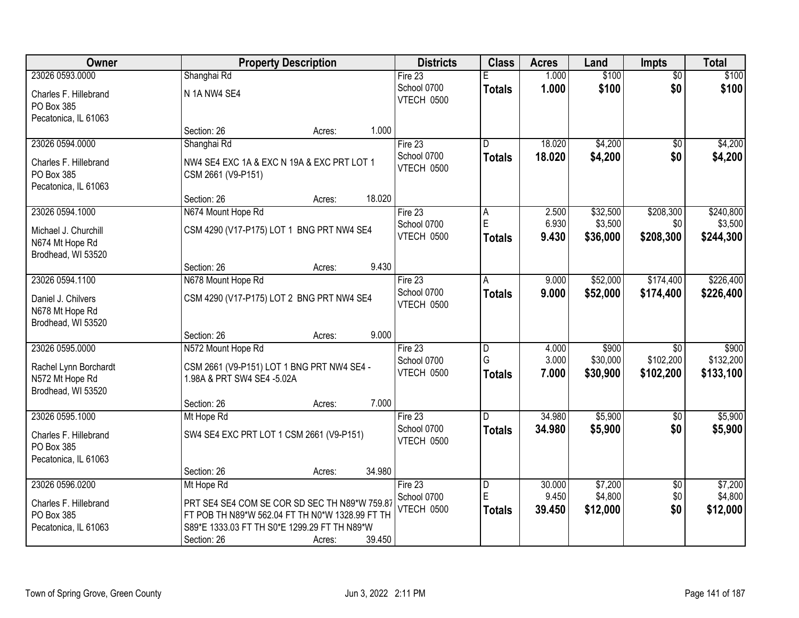| Owner                 | <b>Property Description</b>                     | <b>Districts</b>  | <b>Class</b>  | <b>Acres</b> | Land     | <b>Impts</b>    | <b>Total</b> |
|-----------------------|-------------------------------------------------|-------------------|---------------|--------------|----------|-----------------|--------------|
| 23026 0593.0000       | Shanghai Rd                                     | Fire 23           | F.            | 1.000        | \$100    | $\overline{50}$ | \$100        |
| Charles F. Hillebrand | N 1A NW4 SE4                                    | School 0700       | <b>Totals</b> | 1.000        | \$100    | \$0             | \$100        |
| PO Box 385            |                                                 | VTECH 0500        |               |              |          |                 |              |
| Pecatonica, IL 61063  |                                                 |                   |               |              |          |                 |              |
|                       | 1.000<br>Section: 26<br>Acres:                  |                   |               |              |          |                 |              |
| 23026 0594.0000       | Shanghai Rd                                     | Fire 23           | D             | 18.020       | \$4,200  | $\overline{50}$ | \$4,200      |
| Charles F. Hillebrand | NW4 SE4 EXC 1A & EXC N 19A & EXC PRT LOT 1      | School 0700       | <b>Totals</b> | 18.020       | \$4,200  | \$0             | \$4,200      |
| PO Box 385            | CSM 2661 (V9-P151)                              | VTECH 0500        |               |              |          |                 |              |
| Pecatonica, IL 61063  |                                                 |                   |               |              |          |                 |              |
|                       | 18.020<br>Section: 26<br>Acres:                 |                   |               |              |          |                 |              |
| 23026 0594.1000       | N674 Mount Hope Rd                              | Fire 23           | Α             | 2.500        | \$32,500 | \$208,300       | \$240,800    |
| Michael J. Churchill  | CSM 4290 (V17-P175) LOT 1 BNG PRT NW4 SE4       | School 0700       | E             | 6.930        | \$3,500  | \$0             | \$3,500      |
| N674 Mt Hope Rd       |                                                 | VTECH 0500        | <b>Totals</b> | 9.430        | \$36,000 | \$208,300       | \$244,300    |
| Brodhead, WI 53520    |                                                 |                   |               |              |          |                 |              |
|                       | 9.430<br>Section: 26<br>Acres:                  |                   |               |              |          |                 |              |
| 23026 0594.1100       | N678 Mount Hope Rd                              | Fire 23           | Α             | 9.000        | \$52,000 | \$174,400       | \$226,400    |
| Daniel J. Chilvers    | CSM 4290 (V17-P175) LOT 2 BNG PRT NW4 SE4       | School 0700       | <b>Totals</b> | 9.000        | \$52,000 | \$174,400       | \$226,400    |
| N678 Mt Hope Rd       |                                                 | VTECH 0500        |               |              |          |                 |              |
| Brodhead, WI 53520    |                                                 |                   |               |              |          |                 |              |
|                       | 9.000<br>Section: 26<br>Acres:                  |                   |               |              |          |                 |              |
| 23026 0595.0000       | N572 Mount Hope Rd                              | Fire $23$         | D             | 4.000        | \$900    | $\overline{50}$ | \$900        |
| Rachel Lynn Borchardt | CSM 2661 (V9-P151) LOT 1 BNG PRT NW4 SE4 -      | School 0700       | G             | 3.000        | \$30,000 | \$102,200       | \$132,200    |
| N572 Mt Hope Rd       | 1.98A & PRT SW4 SE4 -5.02A                      | VTECH 0500        | <b>Totals</b> | 7.000        | \$30,900 | \$102,200       | \$133,100    |
| Brodhead, WI 53520    |                                                 |                   |               |              |          |                 |              |
|                       | 7.000<br>Section: 26<br>Acres:                  |                   |               |              |          |                 |              |
| 23026 0595.1000       | Mt Hope Rd                                      | Fire 23           | D             | 34.980       | \$5,900  | $\overline{60}$ | \$5,900      |
| Charles F. Hillebrand | SW4 SE4 EXC PRT LOT 1 CSM 2661 (V9-P151)        | School 0700       | <b>Totals</b> | 34.980       | \$5,900  | \$0             | \$5,900      |
| PO Box 385            |                                                 | VTECH 0500        |               |              |          |                 |              |
| Pecatonica, IL 61063  |                                                 |                   |               |              |          |                 |              |
|                       | 34.980<br>Section: 26<br>Acres:                 |                   |               |              |          |                 |              |
| 23026 0596.0200       | Mt Hope Rd                                      | Fire $23$         | D             | 30.000       | \$7,200  | $\overline{30}$ | \$7,200      |
| Charles F. Hillebrand | PRT SE4 SE4 COM SE COR SD SEC TH N89*W 759.87   | School 0700       | E             | 9.450        | \$4,800  | \$0             | \$4,800      |
| PO Box 385            | FT POB TH N89*W 562.04 FT TH N0*W 1328.99 FT TH | <b>VTECH 0500</b> | <b>Totals</b> | 39.450       | \$12,000 | \$0             | \$12,000     |
| Pecatonica, IL 61063  | S89*E 1333.03 FT TH S0*E 1299.29 FT TH N89*W    |                   |               |              |          |                 |              |
|                       | 39.450<br>Section: 26<br>Acres:                 |                   |               |              |          |                 |              |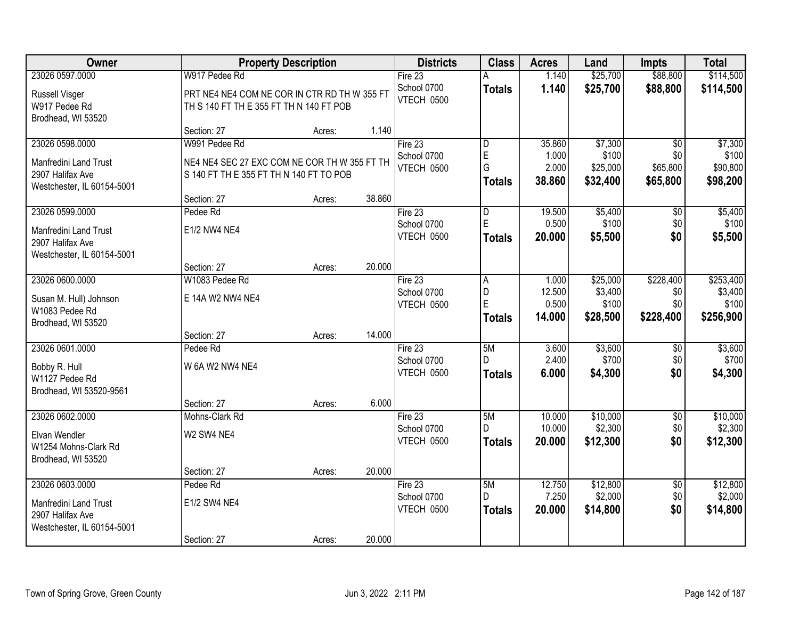| <b>Owner</b>                                                                                      |                                                                                                          | <b>Property Description</b> |        | <b>Districts</b>                       | <b>Class</b>                 | <b>Acres</b>                       | Land                                     | <b>Impts</b>                                   | <b>Total</b>                               |
|---------------------------------------------------------------------------------------------------|----------------------------------------------------------------------------------------------------------|-----------------------------|--------|----------------------------------------|------------------------------|------------------------------------|------------------------------------------|------------------------------------------------|--------------------------------------------|
| 23026 0597.0000                                                                                   | W917 Pedee Rd                                                                                            |                             |        | Fire $23$                              |                              | 1.140                              | \$25,700                                 | \$88,800                                       | \$114,500                                  |
| Russell Visger<br>W917 Pedee Rd<br>Brodhead, WI 53520                                             | PRT NE4 NE4 COM NE COR IN CTR RD TH W 355 FT<br>TH S 140 FT TH E 355 FT TH N 140 FT POB                  |                             |        | School 0700<br><b>VTECH 0500</b>       | <b>Totals</b>                | 1.140                              | \$25,700                                 | \$88,800                                       | \$114,500                                  |
|                                                                                                   | Section: 27                                                                                              | Acres:                      | 1.140  |                                        |                              |                                    |                                          |                                                |                                            |
| 23026 0598.0000<br><b>Manfredini Land Trust</b><br>2907 Halifax Ave<br>Westchester, IL 60154-5001 | W991 Pedee Rd<br>NE4 NE4 SEC 27 EXC COM NE COR TH W 355 FT TH<br>S 140 FT TH E 355 FT TH N 140 FT TO POB |                             | 38.860 | Fire 23<br>School 0700<br>VTECH 0500   | D<br>E<br>G<br><b>Totals</b> | 35.860<br>1.000<br>2.000<br>38.860 | \$7,300<br>\$100<br>\$25,000<br>\$32,400 | $\overline{50}$<br>\$0<br>\$65,800<br>\$65,800 | \$7,300<br>\$100<br>\$90,800<br>\$98,200   |
| 23026 0599.0000                                                                                   | Section: 27<br>Pedee Rd                                                                                  | Acres:                      |        | Fire 23                                | $\overline{D}$               | 19.500                             | \$5,400                                  | $\overline{50}$                                | \$5,400                                    |
| Manfredini Land Trust<br>2907 Halifax Ave<br>Westchester, IL 60154-5001                           | E1/2 NW4 NE4                                                                                             |                             |        | School 0700<br>VTECH 0500              | E<br><b>Totals</b>           | 0.500<br>20.000                    | \$100<br>\$5,500                         | \$0<br>\$0                                     | \$100<br>\$5,500                           |
|                                                                                                   | Section: 27                                                                                              | Acres:                      | 20.000 |                                        |                              |                                    |                                          |                                                |                                            |
| 23026 0600.0000<br>Susan M. Hull) Johnson<br>W1083 Pedee Rd<br>Brodhead, WI 53520                 | W1083 Pedee Rd<br>E 14A W2 NW4 NE4                                                                       |                             |        | Fire $23$<br>School 0700<br>VTECH 0500 | A<br>D<br>E<br><b>Totals</b> | 1.000<br>12.500<br>0.500<br>14.000 | \$25,000<br>\$3,400<br>\$100<br>\$28,500 | \$228,400<br>\$0<br>\$0<br>\$228,400           | \$253,400<br>\$3,400<br>\$100<br>\$256,900 |
|                                                                                                   | Section: 27                                                                                              | Acres:                      | 14.000 |                                        |                              |                                    |                                          |                                                |                                            |
| 23026 0601.0000<br>Bobby R. Hull<br>W1127 Pedee Rd<br>Brodhead, WI 53520-9561                     | Pedee Rd<br>W 6A W2 NW4 NE4                                                                              |                             |        | Fire 23<br>School 0700<br>VTECH 0500   | 5M<br>D.<br><b>Totals</b>    | 3.600<br>2.400<br>6.000            | \$3,600<br>\$700<br>\$4,300              | \$0<br>\$0<br>\$0                              | \$3,600<br>\$700<br>\$4,300                |
|                                                                                                   | Section: 27                                                                                              | Acres:                      | 6.000  |                                        |                              |                                    |                                          |                                                |                                            |
| 23026 0602.0000<br>Elvan Wendler<br>W1254 Mohns-Clark Rd<br>Brodhead, WI 53520                    | Mohns-Clark Rd<br>W2 SW4 NE4                                                                             |                             |        | Fire 23<br>School 0700<br>VTECH 0500   | 5M<br>D.<br><b>Totals</b>    | 10.000<br>10.000<br>20.000         | \$10,000<br>\$2,300<br>\$12,300          | $\overline{50}$<br>\$0<br>\$0                  | \$10,000<br>\$2,300<br>\$12,300            |
|                                                                                                   | Section: 27                                                                                              | Acres:                      | 20.000 |                                        |                              |                                    |                                          |                                                |                                            |
| 23026 0603.0000<br>Manfredini Land Trust<br>2907 Halifax Ave<br>Westchester, IL 60154-5001        | Pedee Rd<br>E1/2 SW4 NE4<br>Section: 27                                                                  | Acres:                      | 20.000 | Fire $23$<br>School 0700<br>VTECH 0500 | 5M<br>D<br><b>Totals</b>     | 12.750<br>7.250<br>20.000          | \$12,800<br>\$2,000<br>\$14,800          | $\overline{50}$<br>\$0<br>\$0                  | \$12,800<br>\$2,000<br>\$14,800            |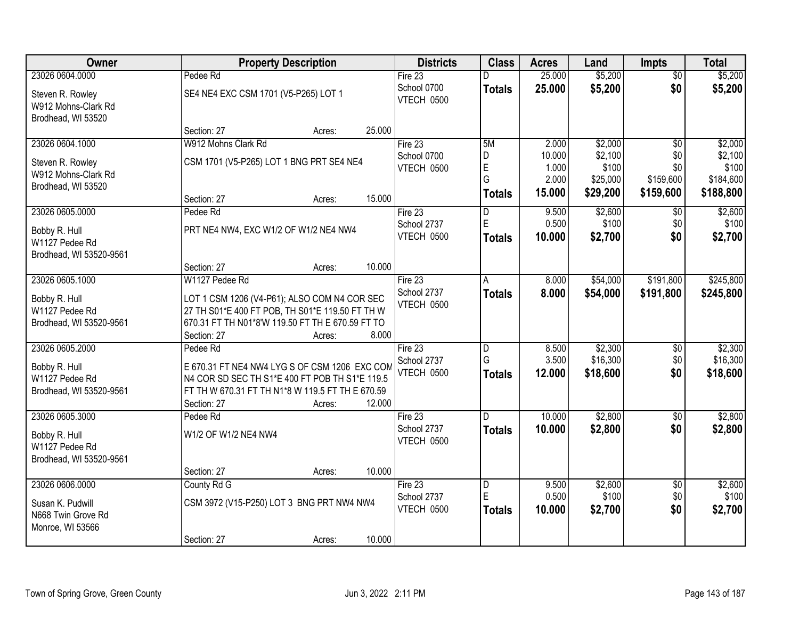| Owner                                                         |                                                                                                 | <b>Property Description</b> |        | <b>Districts</b>          | <b>Class</b>            | <b>Acres</b>    | Land              | <b>Impts</b>     | <b>Total</b>       |
|---------------------------------------------------------------|-------------------------------------------------------------------------------------------------|-----------------------------|--------|---------------------------|-------------------------|-----------------|-------------------|------------------|--------------------|
| 23026 0604.0000                                               | Pedee Rd                                                                                        |                             |        | Fire $23$                 |                         | 25.000          | \$5,200           | $\overline{50}$  | \$5,200            |
| Steven R. Rowley<br>W912 Mohns-Clark Rd<br>Brodhead, WI 53520 | SE4 NE4 EXC CSM 1701 (V5-P265) LOT 1                                                            |                             |        | School 0700<br>VTECH 0500 | <b>Totals</b>           | 25.000          | \$5,200           | \$0              | \$5,200            |
|                                                               | Section: 27                                                                                     | Acres:                      | 25.000 |                           |                         |                 |                   |                  |                    |
| 23026 0604.1000                                               | W912 Mohns Clark Rd                                                                             |                             |        | Fire 23                   | 5M                      | 2.000           | \$2,000           | \$0              | \$2,000            |
| Steven R. Rowley                                              | CSM 1701 (V5-P265) LOT 1 BNG PRT SE4 NE4                                                        |                             |        | School 0700               | D                       | 10.000          | \$2,100           | \$0              | \$2,100            |
| W912 Mohns-Clark Rd                                           |                                                                                                 |                             |        | VTECH 0500                | $\mathsf E$<br>G        | 1.000<br>2.000  | \$100<br>\$25,000 | \$0<br>\$159,600 | \$100<br>\$184,600 |
| Brodhead, WI 53520                                            |                                                                                                 |                             |        |                           | Totals                  | 15.000          | \$29,200          | \$159,600        | \$188,800          |
|                                                               | Section: 27                                                                                     | Acres:                      | 15.000 |                           |                         |                 |                   |                  |                    |
| 23026 0605.0000                                               | Pedee Rd                                                                                        |                             |        | Fire 23                   | D<br>$\mathsf E$        | 9.500           | \$2,600           | \$0              | \$2,600            |
| Bobby R. Hull                                                 | PRT NE4 NW4, EXC W1/2 OF W1/2 NE4 NW4                                                           |                             |        | School 2737<br>VTECH 0500 | <b>Totals</b>           | 0.500<br>10.000 | \$100<br>\$2,700  | \$0<br>\$0       | \$100<br>\$2,700   |
| W1127 Pedee Rd                                                |                                                                                                 |                             |        |                           |                         |                 |                   |                  |                    |
| Brodhead, WI 53520-9561                                       |                                                                                                 |                             |        |                           |                         |                 |                   |                  |                    |
| 23026 0605.1000                                               | Section: 27<br>W1127 Pedee Rd                                                                   | Acres:                      | 10.000 | Fire 23                   |                         | 8.000           | \$54,000          | \$191,800        | \$245,800          |
|                                                               |                                                                                                 |                             |        | School 2737               | A<br><b>Totals</b>      | 8.000           | \$54,000          | \$191,800        | \$245,800          |
| Bobby R. Hull                                                 | LOT 1 CSM 1206 (V4-P61); ALSO COM N4 COR SEC                                                    |                             |        | VTECH 0500                |                         |                 |                   |                  |                    |
| W1127 Pedee Rd                                                | 27 TH S01*E 400 FT POB, TH S01*E 119.50 FT TH W                                                 |                             |        |                           |                         |                 |                   |                  |                    |
| Brodhead, WI 53520-9561                                       | 670.31 FT TH N01*8'W 119.50 FT TH E 670.59 FT TO<br>Section: 27                                 | Acres:                      | 8.000  |                           |                         |                 |                   |                  |                    |
| 23026 0605.2000                                               | Pedee Rd                                                                                        |                             |        | Fire 23                   | D                       | 8.500           | \$2,300           | \$0              | \$2,300            |
|                                                               |                                                                                                 |                             |        | School 2737               | G                       | 3.500           | \$16,300          | \$0              | \$16,300           |
| Bobby R. Hull<br>W1127 Pedee Rd                               | E 670.31 FT NE4 NW4 LYG S OF CSM 1206 EXC COM<br>N4 COR SD SEC TH S1*E 400 FT POB TH S1*E 119.5 |                             |        | <b>VTECH 0500</b>         | <b>Totals</b>           | 12.000          | \$18,600          | \$0              | \$18,600           |
| Brodhead, WI 53520-9561                                       | FT TH W 670.31 FT TH N1*8 W 119.5 FT TH E 670.59                                                |                             |        |                           |                         |                 |                   |                  |                    |
|                                                               | Section: 27                                                                                     | Acres:                      | 12.000 |                           |                         |                 |                   |                  |                    |
| 23026 0605.3000                                               | Pedee Rd                                                                                        |                             |        | Fire 23                   | D.                      | 10.000          | \$2,800           | $\overline{30}$  | \$2,800            |
| Bobby R. Hull                                                 | W1/2 OF W1/2 NE4 NW4                                                                            |                             |        | School 2737               | <b>Totals</b>           | 10.000          | \$2,800           | \$0              | \$2,800            |
| W1127 Pedee Rd                                                |                                                                                                 |                             |        | VTECH 0500                |                         |                 |                   |                  |                    |
| Brodhead, WI 53520-9561                                       |                                                                                                 |                             |        |                           |                         |                 |                   |                  |                    |
|                                                               | Section: 27                                                                                     | Acres:                      | 10.000 |                           |                         |                 |                   |                  |                    |
| 23026 0606,0000                                               | County Rd G                                                                                     |                             |        | Fire $23$                 | $\overline{\mathsf{D}}$ | 9.500           | \$2,600           | $\overline{60}$  | \$2,600            |
| Susan K. Pudwill                                              | CSM 3972 (V15-P250) LOT 3 BNG PRT NW4 NW4                                                       |                             |        | School 2737               | E                       | 0.500           | \$100             | \$0              | \$100              |
| N668 Twin Grove Rd                                            |                                                                                                 |                             |        | VTECH 0500                | <b>Totals</b>           | 10.000          | \$2,700           | \$0              | \$2,700            |
| Monroe, WI 53566                                              |                                                                                                 |                             |        |                           |                         |                 |                   |                  |                    |
|                                                               | Section: 27                                                                                     | Acres:                      | 10.000 |                           |                         |                 |                   |                  |                    |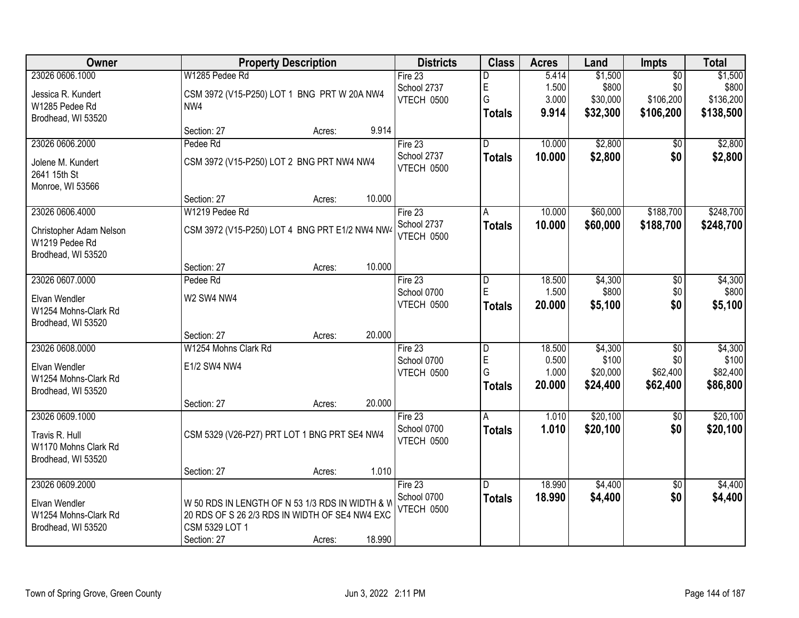| Owner                   | <b>Property Description</b>                     | <b>Districts</b> | <b>Class</b>  | <b>Acres</b> | Land     | <b>Impts</b>    | <b>Total</b> |
|-------------------------|-------------------------------------------------|------------------|---------------|--------------|----------|-----------------|--------------|
| 23026 0606.1000         | W1285 Pedee Rd                                  | Fire 23          | D             | 5.414        | \$1,500  | $\overline{30}$ | \$1,500      |
| Jessica R. Kundert      | CSM 3972 (V15-P250) LOT 1 BNG PRT W 20A NW4     | School 2737      | E             | 1.500        | \$800    | \$0             | \$800        |
| W1285 Pedee Rd          | NW4                                             | VTECH 0500       | G             | 3.000        | \$30,000 | \$106,200       | \$136,200    |
| Brodhead, WI 53520      |                                                 |                  | <b>Totals</b> | 9.914        | \$32,300 | \$106,200       | \$138,500    |
|                         | 9.914<br>Section: 27<br>Acres:                  |                  |               |              |          |                 |              |
| 23026 0606.2000         | Pedee Rd                                        | Fire 23          | D.            | 10.000       | \$2,800  | \$0             | \$2,800      |
| Jolene M. Kundert       | CSM 3972 (V15-P250) LOT 2 BNG PRT NW4 NW4       | School 2737      | <b>Totals</b> | 10.000       | \$2,800  | \$0             | \$2,800      |
| 2641 15th St            |                                                 | VTECH 0500       |               |              |          |                 |              |
| Monroe, WI 53566        |                                                 |                  |               |              |          |                 |              |
|                         | 10.000<br>Section: 27<br>Acres:                 |                  |               |              |          |                 |              |
| 23026 0606.4000         | W1219 Pedee Rd                                  | Fire 23          | A             | 10.000       | \$60,000 | \$188,700       | \$248,700    |
| Christopher Adam Nelson | CSM 3972 (V15-P250) LOT 4 BNG PRT E1/2 NW4 NW4  | School 2737      | <b>Totals</b> | 10.000       | \$60,000 | \$188,700       | \$248,700    |
| W1219 Pedee Rd          |                                                 | VTECH 0500       |               |              |          |                 |              |
| Brodhead, WI 53520      |                                                 |                  |               |              |          |                 |              |
|                         | 10.000<br>Section: 27<br>Acres:                 |                  |               |              |          |                 |              |
| 23026 0607.0000         | Pedee Rd                                        | Fire 23          | D             | 18.500       | \$4,300  | \$0             | \$4,300      |
| Elvan Wendler           | W2 SW4 NW4                                      | School 0700      | E             | 1.500        | \$800    | \$0             | \$800        |
| W1254 Mohns-Clark Rd    |                                                 | VTECH 0500       | <b>Totals</b> | 20.000       | \$5,100  | \$0             | \$5,100      |
| Brodhead, WI 53520      |                                                 |                  |               |              |          |                 |              |
|                         | 20.000<br>Section: 27<br>Acres:                 |                  |               |              |          |                 |              |
| 23026 0608.0000         | W1254 Mohns Clark Rd                            | Fire 23          | D             | 18.500       | \$4,300  | $\overline{50}$ | \$4,300      |
| Elvan Wendler           | E1/2 SW4 NW4                                    | School 0700      | E             | 0.500        | \$100    | \$0             | \$100        |
| W1254 Mohns-Clark Rd    |                                                 | VTECH 0500       | G             | 1.000        | \$20,000 | \$62,400        | \$82,400     |
| Brodhead, WI 53520      |                                                 |                  | <b>Totals</b> | 20.000       | \$24,400 | \$62,400        | \$86,800     |
|                         | 20.000<br>Section: 27<br>Acres:                 |                  |               |              |          |                 |              |
| 23026 0609.1000         |                                                 | Fire 23          | Α             | 1.010        | \$20,100 | $\sqrt{6}$      | \$20,100     |
| Travis R. Hull          | CSM 5329 (V26-P27) PRT LOT 1 BNG PRT SE4 NW4    | School 0700      | <b>Totals</b> | 1.010        | \$20,100 | \$0             | \$20,100     |
| W1170 Mohns Clark Rd    |                                                 | VTECH 0500       |               |              |          |                 |              |
| Brodhead, WI 53520      |                                                 |                  |               |              |          |                 |              |
|                         | 1.010<br>Section: 27<br>Acres:                  |                  |               |              |          |                 |              |
| 23026 0609.2000         |                                                 | Fire $23$        | D.            | 18.990       | \$4,400  | $\overline{50}$ | \$4,400      |
| Elvan Wendler           | W 50 RDS IN LENGTH OF N 53 1/3 RDS IN WIDTH & V | School 0700      | <b>Totals</b> | 18.990       | \$4,400  | \$0             | \$4,400      |
| W1254 Mohns-Clark Rd    | 20 RDS OF S 26 2/3 RDS IN WIDTH OF SE4 NW4 EXC  | VTECH 0500       |               |              |          |                 |              |
| Brodhead, WI 53520      | <b>CSM 5329 LOT 1</b>                           |                  |               |              |          |                 |              |
|                         | 18.990<br>Section: 27<br>Acres:                 |                  |               |              |          |                 |              |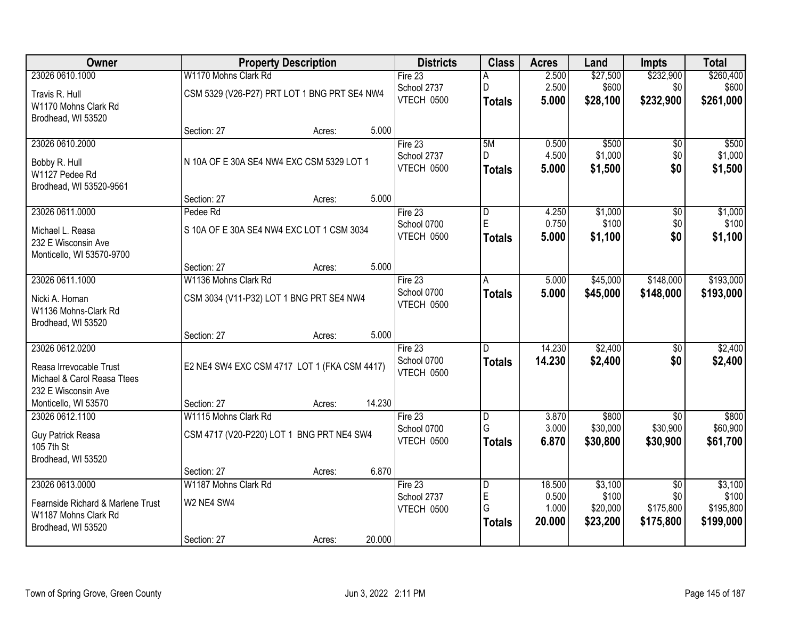| <b>Owner</b>                                       | <b>Property Description</b>                  |        |        | <b>Districts</b>          | <b>Class</b>       | <b>Acres</b>   | Land               | <b>Impts</b>    | <b>Total</b>       |
|----------------------------------------------------|----------------------------------------------|--------|--------|---------------------------|--------------------|----------------|--------------------|-----------------|--------------------|
| 23026 0610.1000                                    | W1170 Mohns Clark Rd                         |        |        | Fire $23$                 | A                  | 2.500          | \$27,500           | \$232,900       | \$260,400          |
| Travis R. Hull                                     | CSM 5329 (V26-P27) PRT LOT 1 BNG PRT SE4 NW4 |        |        | School 2737               | D                  | 2.500          | \$600              | \$0             | \$600              |
| W1170 Mohns Clark Rd                               |                                              |        |        | VTECH 0500                | <b>Totals</b>      | 5.000          | \$28,100           | \$232,900       | \$261,000          |
| Brodhead, WI 53520                                 |                                              |        |        |                           |                    |                |                    |                 |                    |
|                                                    | Section: 27                                  | Acres: | 5.000  |                           |                    |                |                    |                 |                    |
| 23026 0610.2000                                    |                                              |        |        | Fire $23$                 | 5M<br>D.           | 0.500          | \$500              | $\overline{50}$ | \$500              |
| Bobby R. Hull                                      | N 10A OF E 30A SE4 NW4 EXC CSM 5329 LOT 1    |        |        | School 2737<br>VTECH 0500 |                    | 4.500<br>5.000 | \$1,000<br>\$1,500 | \$0<br>\$0      | \$1,000<br>\$1,500 |
| W1127 Pedee Rd                                     |                                              |        |        |                           | <b>Totals</b>      |                |                    |                 |                    |
| Brodhead, WI 53520-9561                            |                                              |        |        |                           |                    |                |                    |                 |                    |
|                                                    | Section: 27                                  | Acres: | 5.000  |                           |                    |                |                    |                 |                    |
| 23026 0611.0000                                    | Pedee Rd                                     |        |        | Fire 23<br>School 0700    | D<br>E             | 4.250<br>0.750 | \$1,000<br>\$100   | \$0<br>\$0      | \$1,000<br>\$100   |
| Michael L. Reasa                                   | S 10A OF E 30A SE4 NW4 EXC LOT 1 CSM 3034    |        |        | VTECH 0500                | <b>Totals</b>      | 5.000          | \$1,100            | \$0             | \$1,100            |
| 232 E Wisconsin Ave                                |                                              |        |        |                           |                    |                |                    |                 |                    |
| Monticello, WI 53570-9700                          |                                              |        |        |                           |                    |                |                    |                 |                    |
| 23026 0611.1000                                    | Section: 27<br>W1136 Mohns Clark Rd          | Acres: | 5.000  | Fire 23                   |                    | 5.000          | \$45,000           | \$148,000       | \$193,000          |
|                                                    |                                              |        |        | School 0700               | A<br><b>Totals</b> | 5.000          | \$45,000           | \$148,000       | \$193,000          |
| Nicki A. Homan                                     | CSM 3034 (V11-P32) LOT 1 BNG PRT SE4 NW4     |        |        | VTECH 0500                |                    |                |                    |                 |                    |
| W1136 Mohns-Clark Rd                               |                                              |        |        |                           |                    |                |                    |                 |                    |
| Brodhead, WI 53520                                 | Section: 27                                  | Acres: | 5.000  |                           |                    |                |                    |                 |                    |
| 23026 0612.0200                                    |                                              |        |        | Fire 23                   | D                  | 14.230         | \$2,400            | $\overline{50}$ | \$2,400            |
|                                                    |                                              |        |        | School 0700               | <b>Totals</b>      | 14.230         | \$2,400            | \$0             | \$2,400            |
| Reasa Irrevocable Trust                            | E2 NE4 SW4 EXC CSM 4717 LOT 1 (FKA CSM 4417) |        |        | VTECH 0500                |                    |                |                    |                 |                    |
| Michael & Carol Reasa Ttees<br>232 E Wisconsin Ave |                                              |        |        |                           |                    |                |                    |                 |                    |
| Monticello, WI 53570                               | Section: 27                                  | Acres: | 14.230 |                           |                    |                |                    |                 |                    |
| 23026 0612.1100                                    | W1115 Mohns Clark Rd                         |        |        | Fire 23                   | D                  | 3.870          | \$800              | $\overline{50}$ | \$800              |
|                                                    |                                              |        |        | School 0700               | G                  | 3.000          | \$30,000           | \$30,900        | \$60,900           |
| Guy Patrick Reasa<br>105 7th St                    | CSM 4717 (V20-P220) LOT 1 BNG PRT NE4 SW4    |        |        | VTECH 0500                | <b>Totals</b>      | 6.870          | \$30,800           | \$30,900        | \$61,700           |
| Brodhead, WI 53520                                 |                                              |        |        |                           |                    |                |                    |                 |                    |
|                                                    | Section: 27                                  | Acres: | 6.870  |                           |                    |                |                    |                 |                    |
| 23026 0613.0000                                    | W1187 Mohns Clark Rd                         |        |        | Fire $23$                 | D                  | 18.500         | \$3,100            | $\overline{50}$ | \$3,100            |
| Fearnside Richard & Marlene Trust                  | W2 NE4 SW4                                   |        |        | School 2737               | E                  | 0.500          | \$100              | \$0             | \$100              |
| W1187 Mohns Clark Rd                               |                                              |        |        | VTECH 0500                | G                  | 1.000          | \$20,000           | \$175,800       | \$195,800          |
| Brodhead, WI 53520                                 |                                              |        |        |                           | <b>Totals</b>      | 20.000         | \$23,200           | \$175,800       | \$199,000          |
|                                                    | Section: 27                                  | Acres: | 20.000 |                           |                    |                |                    |                 |                    |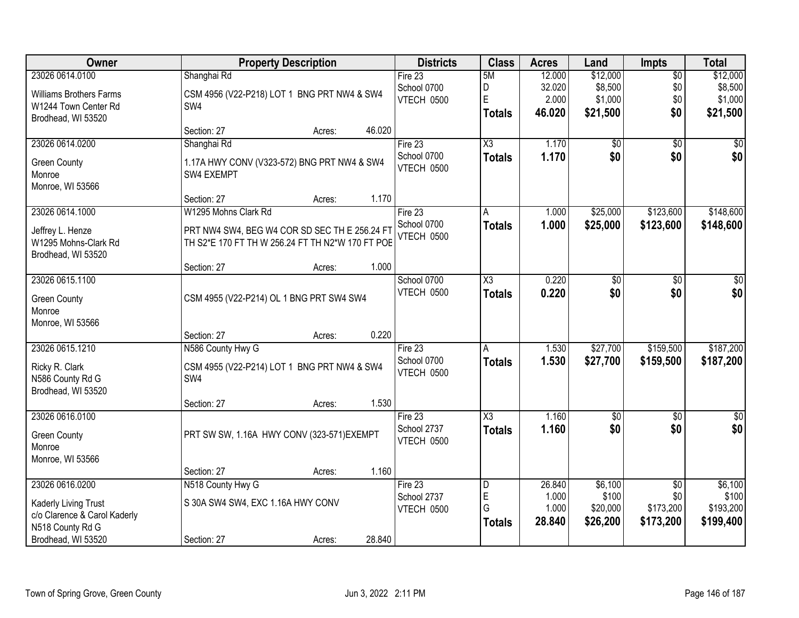| Owner                          | <b>Property Description</b>                      | <b>Districts</b>  | <b>Class</b>           | <b>Acres</b> | Land            | <b>Impts</b>    | <b>Total</b> |
|--------------------------------|--------------------------------------------------|-------------------|------------------------|--------------|-----------------|-----------------|--------------|
| 23026 0614.0100                | Shanghai Rd                                      | Fire 23           | 5M                     | 12.000       | \$12,000        | $\overline{50}$ | \$12,000     |
| <b>Williams Brothers Farms</b> | CSM 4956 (V22-P218) LOT 1 BNG PRT NW4 & SW4      | School 0700       | D                      | 32.020       | \$8,500         | \$0             | \$8,500      |
| W1244 Town Center Rd           | SW4                                              | VTECH 0500        | E                      | 2.000        | \$1,000         | \$0             | \$1,000      |
| Brodhead, WI 53520             |                                                  |                   | <b>Totals</b>          | 46.020       | \$21,500        | \$0             | \$21,500     |
|                                | 46.020<br>Section: 27<br>Acres:                  |                   |                        |              |                 |                 |              |
| 23026 0614.0200                | Shanghai Rd                                      | Fire 23           | $\overline{\chi_3}$    | 1.170        | \$0             | $\overline{50}$ | \$0          |
| <b>Green County</b>            | 1.17A HWY CONV (V323-572) BNG PRT NW4 & SW4      | School 0700       | <b>Totals</b>          | 1.170        | \$0             | \$0             | \$0          |
| Monroe                         | SW4 EXEMPT                                       | VTECH 0500        |                        |              |                 |                 |              |
| Monroe, WI 53566               |                                                  |                   |                        |              |                 |                 |              |
|                                | 1.170<br>Section: 27<br>Acres:                   |                   |                        |              |                 |                 |              |
| 23026 0614.1000                | W1295 Mohns Clark Rd                             | Fire 23           | A                      | 1.000        | \$25,000        | \$123,600       | \$148,600    |
| Jeffrey L. Henze               | PRT NW4 SW4, BEG W4 COR SD SEC TH E 256.24 FT    | School 0700       | <b>Totals</b>          | 1.000        | \$25,000        | \$123,600       | \$148,600    |
| W1295 Mohns-Clark Rd           | TH S2*E 170 FT TH W 256.24 FT TH N2*W 170 FT POE | <b>VTECH 0500</b> |                        |              |                 |                 |              |
| Brodhead, WI 53520             |                                                  |                   |                        |              |                 |                 |              |
|                                | 1.000<br>Section: 27<br>Acres:                   |                   |                        |              |                 |                 |              |
| 23026 0615.1100                |                                                  | School 0700       | $\overline{\text{X3}}$ | 0.220        | \$0             | \$0             | \$0          |
| <b>Green County</b>            | CSM 4955 (V22-P214) OL 1 BNG PRT SW4 SW4         | <b>VTECH 0500</b> | <b>Totals</b>          | 0.220        | \$0             | \$0             | \$0          |
| Monroe                         |                                                  |                   |                        |              |                 |                 |              |
| Monroe, WI 53566               |                                                  |                   |                        |              |                 |                 |              |
|                                | 0.220<br>Section: 27<br>Acres:                   |                   |                        |              |                 |                 |              |
| 23026 0615.1210                | N586 County Hwy G                                | Fire 23           | A                      | 1.530        | \$27,700        | \$159,500       | \$187,200    |
| Ricky R. Clark                 | CSM 4955 (V22-P214) LOT 1 BNG PRT NW4 & SW4      | School 0700       | <b>Totals</b>          | 1.530        | \$27,700        | \$159,500       | \$187,200    |
| N586 County Rd G               | SW4                                              | VTECH 0500        |                        |              |                 |                 |              |
| Brodhead, WI 53520             |                                                  |                   |                        |              |                 |                 |              |
|                                | 1.530<br>Section: 27<br>Acres:                   |                   |                        |              |                 |                 |              |
| 23026 0616.0100                |                                                  | Fire 23           | $\overline{\chi_3}$    | 1.160        | $\overline{60}$ | $\overline{50}$ | $\sqrt{50}$  |
| <b>Green County</b>            | PRT SW SW, 1.16A HWY CONV (323-571) EXEMPT       | School 2737       | <b>Totals</b>          | 1.160        | \$0             | \$0             | \$0          |
| Monroe                         |                                                  | VTECH 0500        |                        |              |                 |                 |              |
| Monroe, WI 53566               |                                                  |                   |                        |              |                 |                 |              |
|                                | 1.160<br>Section: 27<br>Acres:                   |                   |                        |              |                 |                 |              |
| 23026 0616.0200                | N518 County Hwy G                                | Fire 23           | D                      | 26.840       | \$6,100         | $\overline{50}$ | \$6,100      |
| Kaderly Living Trust           | S 30A SW4 SW4, EXC 1.16A HWY CONV                | School 2737       | E                      | 1.000        | \$100           | \$0             | \$100        |
| c/o Clarence & Carol Kaderly   |                                                  | VTECH 0500        | G                      | 1.000        | \$20,000        | \$173,200       | \$193,200    |
| N518 County Rd G               |                                                  |                   | <b>Totals</b>          | 28.840       | \$26,200        | \$173,200       | \$199,400    |
| Brodhead, WI 53520             | 28.840<br>Section: 27<br>Acres:                  |                   |                        |              |                 |                 |              |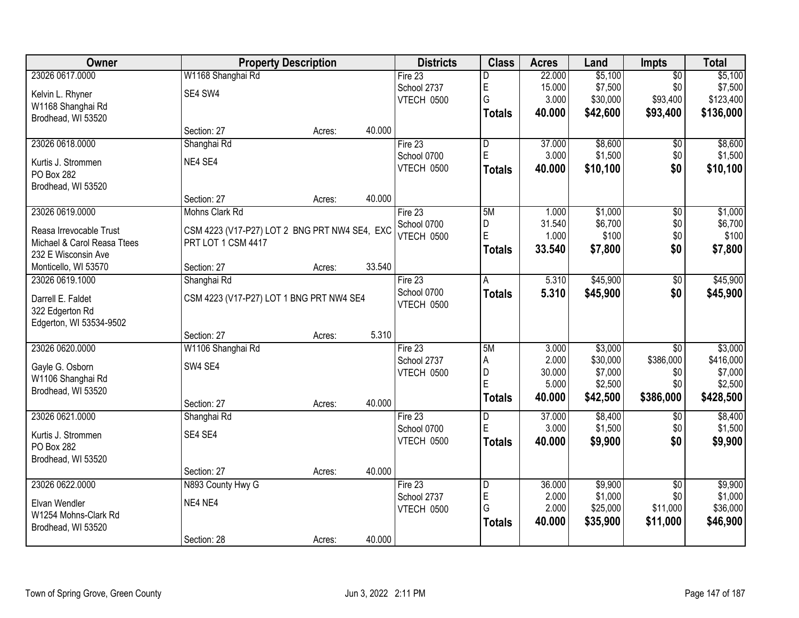| Owner                       |                                               | <b>Property Description</b> |        | <b>Districts</b> | <b>Class</b>  | <b>Acres</b> | Land     | <b>Impts</b>    | <b>Total</b> |
|-----------------------------|-----------------------------------------------|-----------------------------|--------|------------------|---------------|--------------|----------|-----------------|--------------|
| 23026 0617.0000             | W1168 Shanghai Rd                             |                             |        | Fire $23$        | D             | 22.000       | \$5,100  | $\overline{50}$ | \$5,100      |
| Kelvin L. Rhyner            | SE4 SW4                                       |                             |        | School 2737      | E             | 15.000       | \$7,500  | \$0             | \$7,500      |
| W1168 Shanghai Rd           |                                               |                             |        | VTECH 0500       | G             | 3.000        | \$30,000 | \$93,400        | \$123,400    |
| Brodhead, WI 53520          |                                               |                             |        |                  | <b>Totals</b> | 40.000       | \$42,600 | \$93,400        | \$136,000    |
|                             | Section: 27                                   | Acres:                      | 40.000 |                  |               |              |          |                 |              |
| 23026 0618.0000             | Shanghai Rd                                   |                             |        | Fire 23          | D             | 37.000       | \$8,600  | \$0             | \$8,600      |
| Kurtis J. Strommen          | NE4 SE4                                       |                             |        | School 0700      | E             | 3.000        | \$1,500  | \$0             | \$1,500      |
| PO Box 282                  |                                               |                             |        | VTECH 0500       | <b>Totals</b> | 40.000       | \$10,100 | \$0             | \$10,100     |
| Brodhead, WI 53520          |                                               |                             |        |                  |               |              |          |                 |              |
|                             | Section: 27                                   | Acres:                      | 40.000 |                  |               |              |          |                 |              |
| 23026 0619.0000             | Mohns Clark Rd                                |                             |        | Fire 23          | 5M            | 1.000        | \$1,000  | $\overline{50}$ | \$1,000      |
| Reasa Irrevocable Trust     | CSM 4223 (V17-P27) LOT 2 BNG PRT NW4 SE4, EXC |                             |        | School 0700      | D             | 31.540       | \$6,700  | \$0             | \$6,700      |
| Michael & Carol Reasa Ttees | PRT LOT 1 CSM 4417                            |                             |        | VTECH 0500       | E             | 1.000        | \$100    | \$0             | \$100        |
| 232 E Wisconsin Ave         |                                               |                             |        |                  | <b>Totals</b> | 33.540       | \$7,800  | \$0             | \$7,800      |
| Monticello, WI 53570        | Section: 27                                   | Acres:                      | 33.540 |                  |               |              |          |                 |              |
| 23026 0619.1000             | Shanghai Rd                                   |                             |        | Fire 23          | A             | 5.310        | \$45,900 | \$0             | \$45,900     |
| Darrell E. Faldet           | CSM 4223 (V17-P27) LOT 1 BNG PRT NW4 SE4      |                             |        | School 0700      | <b>Totals</b> | 5.310        | \$45,900 | \$0             | \$45,900     |
| 322 Edgerton Rd             |                                               |                             |        | VTECH 0500       |               |              |          |                 |              |
| Edgerton, WI 53534-9502     |                                               |                             |        |                  |               |              |          |                 |              |
|                             | Section: 27                                   | Acres:                      | 5.310  |                  |               |              |          |                 |              |
| 23026 0620.0000             | W1106 Shanghai Rd                             |                             |        | Fire 23          | 5M            | 3.000        | \$3,000  | $\overline{30}$ | \$3,000      |
| Gayle G. Osborn             | SW4 SE4                                       |                             |        | School 2737      | A             | 2.000        | \$30,000 | \$386,000       | \$416,000    |
| W1106 Shanghai Rd           |                                               |                             |        | VTECH 0500       | D             | 30.000       | \$7,000  | \$0             | \$7,000      |
| Brodhead, WI 53520          |                                               |                             |        |                  | E             | 5.000        | \$2,500  | \$0             | \$2,500      |
|                             | Section: 27                                   | Acres:                      | 40.000 |                  | <b>Totals</b> | 40.000       | \$42,500 | \$386,000       | \$428,500    |
| 23026 0621.0000             | Shanghai Rd                                   |                             |        | Fire 23          | D             | 37.000       | \$8,400  | $\sqrt{6}$      | \$8,400      |
| Kurtis J. Strommen          | SE4 SE4                                       |                             |        | School 0700      | E             | 3.000        | \$1,500  | \$0             | \$1,500      |
| PO Box 282                  |                                               |                             |        | VTECH 0500       | <b>Totals</b> | 40.000       | \$9,900  | \$0             | \$9,900      |
| Brodhead, WI 53520          |                                               |                             |        |                  |               |              |          |                 |              |
|                             | Section: 27                                   | Acres:                      | 40.000 |                  |               |              |          |                 |              |
| 23026 0622.0000             | N893 County Hwy G                             |                             |        | Fire 23          | D             | 36.000       | \$9,900  | $\overline{50}$ | \$9,900      |
| Elvan Wendler               | NE4 NE4                                       |                             |        | School 2737      | E             | 2.000        | \$1,000  | \$0             | \$1,000      |
| W1254 Mohns-Clark Rd        |                                               |                             |        | VTECH 0500       | G             | 2.000        | \$25,000 | \$11,000        | \$36,000     |
| Brodhead, WI 53520          |                                               |                             |        |                  | <b>Totals</b> | 40.000       | \$35,900 | \$11,000        | \$46,900     |
|                             | Section: 28                                   | Acres:                      | 40.000 |                  |               |              |          |                 |              |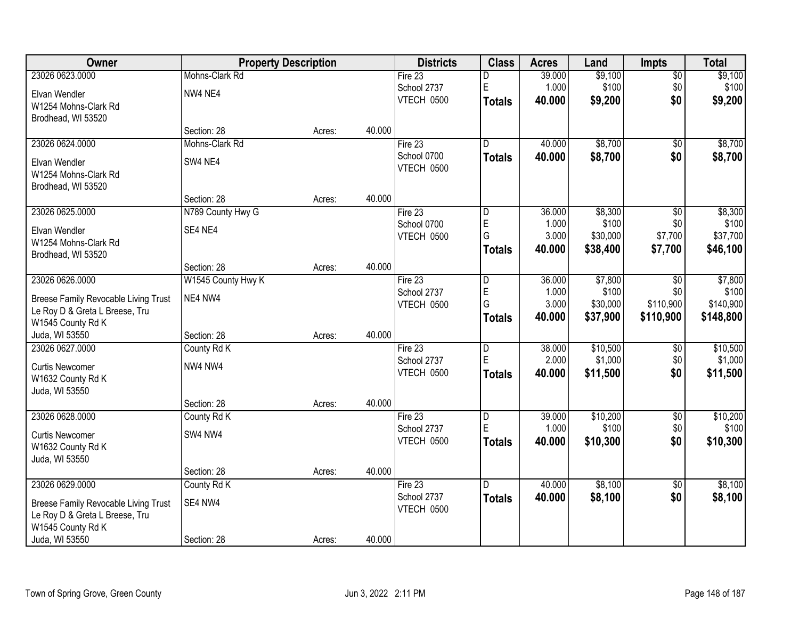| Owner                                | <b>Property Description</b> |        |        | <b>Districts</b>  | <b>Class</b>   | <b>Acres</b> | Land     | <b>Impts</b>    | <b>Total</b> |
|--------------------------------------|-----------------------------|--------|--------|-------------------|----------------|--------------|----------|-----------------|--------------|
| 23026 0623.0000                      | Mohns-Clark Rd              |        |        | Fire 23           | D              | 39.000       | \$9,100  | \$0             | \$9,100      |
| Elvan Wendler                        | NW4 NE4                     |        |        | School 2737       | $\mathsf E$    | 1.000        | \$100    | \$0             | \$100        |
| W1254 Mohns-Clark Rd                 |                             |        |        | <b>VTECH 0500</b> | <b>Totals</b>  | 40.000       | \$9,200  | \$0             | \$9,200      |
| Brodhead, WI 53520                   |                             |        |        |                   |                |              |          |                 |              |
|                                      | Section: 28                 | Acres: | 40.000 |                   |                |              |          |                 |              |
| 23026 0624.0000                      | Mohns-Clark Rd              |        |        | Fire 23           | D.             | 40.000       | \$8,700  | \$0             | \$8,700      |
| Elvan Wendler                        | SW4 NE4                     |        |        | School 0700       | <b>Totals</b>  | 40.000       | \$8,700  | \$0             | \$8,700      |
| W1254 Mohns-Clark Rd                 |                             |        |        | VTECH 0500        |                |              |          |                 |              |
| Brodhead, WI 53520                   |                             |        |        |                   |                |              |          |                 |              |
|                                      | Section: 28                 | Acres: | 40.000 |                   |                |              |          |                 |              |
| 23026 0625.0000                      | N789 County Hwy G           |        |        | Fire 23           | D              | 36.000       | \$8,300  | \$0             | \$8,300      |
| Elvan Wendler                        | SE4 NE4                     |        |        | School 0700       | $\mathsf E$    | 1.000        | \$100    | \$0             | \$100        |
| W1254 Mohns-Clark Rd                 |                             |        |        | VTECH 0500        | G              | 3.000        | \$30,000 | \$7,700         | \$37,700     |
| Brodhead, WI 53520                   |                             |        |        |                   | <b>Totals</b>  | 40.000       | \$38,400 | \$7,700         | \$46,100     |
|                                      | Section: 28                 | Acres: | 40.000 |                   |                |              |          |                 |              |
| 23026 0626.0000                      | W1545 County Hwy K          |        |        | Fire 23           | D              | 36.000       | \$7,800  | $\sqrt[6]{}$    | \$7,800      |
| Breese Family Revocable Living Trust | NE4 NW4                     |        |        | School 2737       | $\mathsf E$    | 1.000        | \$100    | \$0             | \$100        |
| Le Roy D & Greta L Breese, Tru       |                             |        |        | VTECH 0500        | G              | 3.000        | \$30,000 | \$110,900       | \$140,900    |
| W1545 County Rd K                    |                             |        |        |                   | <b>Totals</b>  | 40.000       | \$37,900 | \$110,900       | \$148,800    |
| Juda, WI 53550                       | Section: 28                 | Acres: | 40.000 |                   |                |              |          |                 |              |
| 23026 0627.0000                      | County Rd K                 |        |        | Fire 23           | $\overline{D}$ | 38.000       | \$10,500 | \$0             | \$10,500     |
| <b>Curtis Newcomer</b>               | NW4 NW4                     |        |        | School 2737       | E              | 2.000        | \$1,000  | \$0             | \$1,000      |
| W1632 County Rd K                    |                             |        |        | VTECH 0500        | <b>Totals</b>  | 40.000       | \$11,500 | \$0             | \$11,500     |
| Juda, WI 53550                       |                             |        |        |                   |                |              |          |                 |              |
|                                      | Section: 28                 | Acres: | 40.000 |                   |                |              |          |                 |              |
| 23026 0628.0000                      | County Rd K                 |        |        | Fire 23           | $\overline{D}$ | 39.000       | \$10,200 | $\overline{$0}$ | \$10,200     |
| <b>Curtis Newcomer</b>               | SW4 NW4                     |        |        | School 2737       | E              | 1.000        | \$100    | \$0             | \$100        |
| W1632 County Rd K                    |                             |        |        | VTECH 0500        | <b>Totals</b>  | 40.000       | \$10,300 | \$0             | \$10,300     |
| Juda, WI 53550                       |                             |        |        |                   |                |              |          |                 |              |
|                                      | Section: 28                 | Acres: | 40.000 |                   |                |              |          |                 |              |
| 23026 0629.0000                      | County Rd K                 |        |        | Fire 23           | D.             | 40.000       | \$8,100  | $\overline{30}$ | \$8,100      |
| Breese Family Revocable Living Trust | SE4 NW4                     |        |        | School 2737       | <b>Totals</b>  | 40.000       | \$8,100  | \$0             | \$8,100      |
| Le Roy D & Greta L Breese, Tru       |                             |        |        | VTECH 0500        |                |              |          |                 |              |
| W1545 County Rd K                    |                             |        |        |                   |                |              |          |                 |              |
| Juda, WI 53550                       | Section: 28                 | Acres: | 40.000 |                   |                |              |          |                 |              |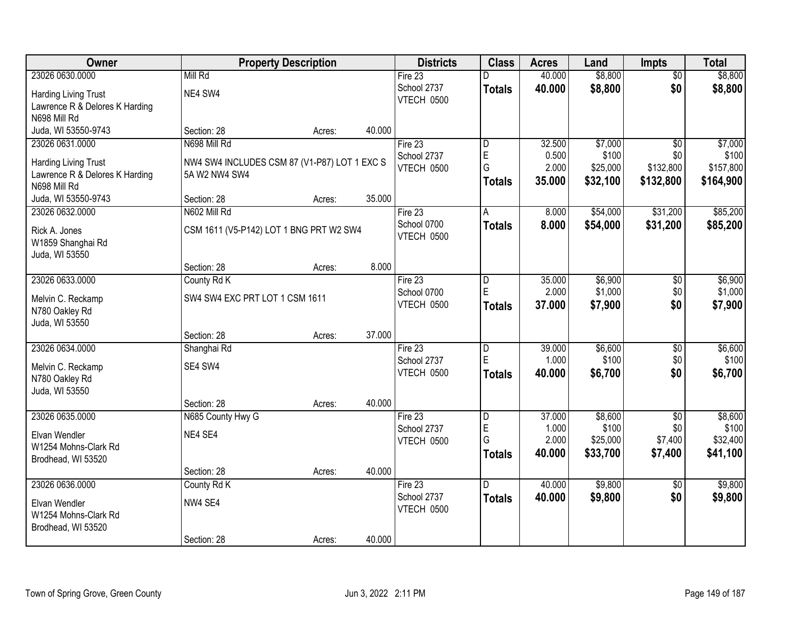| Owner                          |                                              | <b>Property Description</b> |        | <b>Districts</b> | <b>Class</b>            | <b>Acres</b> | Land     | <b>Impts</b>    | <b>Total</b> |
|--------------------------------|----------------------------------------------|-----------------------------|--------|------------------|-------------------------|--------------|----------|-----------------|--------------|
| 23026 0630.0000                | Mill Rd                                      |                             |        | Fire 23          |                         | 40.000       | \$8,800  | $\overline{50}$ | \$8,800      |
| <b>Harding Living Trust</b>    | NE4 SW4                                      |                             |        | School 2737      | <b>Totals</b>           | 40.000       | \$8,800  | \$0             | \$8,800      |
| Lawrence R & Delores K Harding |                                              |                             |        | VTECH 0500       |                         |              |          |                 |              |
| N698 Mill Rd                   |                                              |                             |        |                  |                         |              |          |                 |              |
| Juda, WI 53550-9743            | Section: 28                                  | Acres:                      | 40.000 |                  |                         |              |          |                 |              |
| 23026 0631.0000                | N698 Mill Rd                                 |                             |        | Fire 23          | D                       | 32.500       | \$7,000  | $\overline{30}$ | \$7,000      |
| <b>Harding Living Trust</b>    | NW4 SW4 INCLUDES CSM 87 (V1-P87) LOT 1 EXC S |                             |        | School 2737      | $\mathsf E$             | 0.500        | \$100    | \$0             | \$100        |
| Lawrence R & Delores K Harding | 5A W2 NW4 SW4                                |                             |        | VTECH 0500       | G                       | 2.000        | \$25,000 | \$132,800       | \$157,800    |
| N698 Mill Rd                   |                                              |                             |        |                  | <b>Totals</b>           | 35.000       | \$32,100 | \$132,800       | \$164,900    |
| Juda, WI 53550-9743            | Section: 28                                  | Acres:                      | 35.000 |                  |                         |              |          |                 |              |
| 23026 0632.0000                | N602 Mill Rd                                 |                             |        | Fire 23          | A                       | 8.000        | \$54,000 | \$31,200        | \$85,200     |
| Rick A. Jones                  | CSM 1611 (V5-P142) LOT 1 BNG PRT W2 SW4      |                             |        | School 0700      | <b>Totals</b>           | 8.000        | \$54,000 | \$31,200        | \$85,200     |
| W1859 Shanghai Rd              |                                              |                             |        | VTECH 0500       |                         |              |          |                 |              |
| Juda, WI 53550                 |                                              |                             |        |                  |                         |              |          |                 |              |
|                                | Section: 28                                  | Acres:                      | 8.000  |                  |                         |              |          |                 |              |
| 23026 0633.0000                | County Rd K                                  |                             |        | Fire 23          | D                       | 35.000       | \$6,900  | \$0             | \$6,900      |
| Melvin C. Reckamp              | SW4 SW4 EXC PRT LOT 1 CSM 1611               |                             |        | School 0700      | E                       | 2.000        | \$1,000  | \$0             | \$1,000      |
| N780 Oakley Rd                 |                                              |                             |        | VTECH 0500       | <b>Totals</b>           | 37.000       | \$7,900  | \$0             | \$7,900      |
| Juda, WI 53550                 |                                              |                             |        |                  |                         |              |          |                 |              |
|                                | Section: 28                                  | Acres:                      | 37.000 |                  |                         |              |          |                 |              |
| 23026 0634.0000                | Shanghai Rd                                  |                             |        | Fire 23          | $\overline{\mathsf{D}}$ | 39.000       | \$6,600  | $\overline{30}$ | \$6,600      |
| Melvin C. Reckamp              | SE4 SW4                                      |                             |        | School 2737      | E                       | 1.000        | \$100    | \$0             | \$100        |
| N780 Oakley Rd                 |                                              |                             |        | VTECH 0500       | <b>Totals</b>           | 40.000       | \$6,700  | \$0             | \$6,700      |
| Juda, WI 53550                 |                                              |                             |        |                  |                         |              |          |                 |              |
|                                | Section: 28                                  | Acres:                      | 40.000 |                  |                         |              |          |                 |              |
| 23026 0635.0000                | N685 County Hwy G                            |                             |        | Fire 23          | D                       | 37.000       | \$8,600  | $\overline{30}$ | \$8,600      |
| Elvan Wendler                  | NE4 SE4                                      |                             |        | School 2737      | $\mathsf E$             | 1.000        | \$100    | \$0             | \$100        |
| W1254 Mohns-Clark Rd           |                                              |                             |        | VTECH 0500       | G                       | 2.000        | \$25,000 | \$7,400         | \$32,400     |
| Brodhead, WI 53520             |                                              |                             |        |                  | Totals                  | 40.000       | \$33,700 | \$7,400         | \$41,100     |
|                                | Section: 28                                  | Acres:                      | 40.000 |                  |                         |              |          |                 |              |
| 23026 0636.0000                | County Rd K                                  |                             |        | Fire $23$        | D.                      | 40.000       | \$9,800  | $\overline{50}$ | \$9,800      |
| Elvan Wendler                  | NW4 SE4                                      |                             |        | School 2737      | <b>Totals</b>           | 40.000       | \$9,800  | \$0             | \$9,800      |
| W1254 Mohns-Clark Rd           |                                              |                             |        | VTECH 0500       |                         |              |          |                 |              |
| Brodhead, WI 53520             |                                              |                             |        |                  |                         |              |          |                 |              |
|                                | Section: 28                                  | Acres:                      | 40.000 |                  |                         |              |          |                 |              |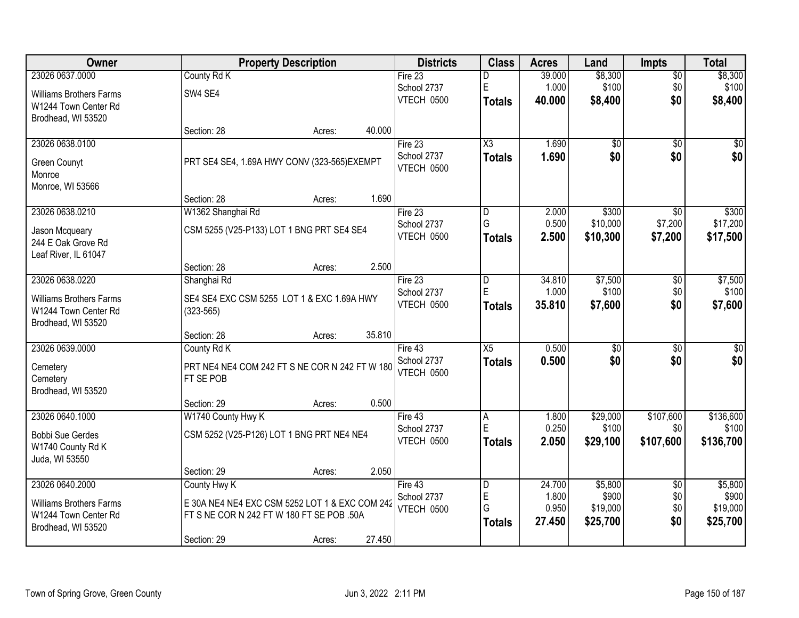| Owner                          |                                           | <b>Property Description</b>                    | <b>Districts</b>          | <b>Class</b>     | <b>Acres</b>    | Land              | <b>Impts</b>     | <b>Total</b>       |
|--------------------------------|-------------------------------------------|------------------------------------------------|---------------------------|------------------|-----------------|-------------------|------------------|--------------------|
| 23026 0637.0000                | County Rd K                               |                                                | Fire 23                   | D                | 39.000          | \$8,300           | $\sqrt{$0}$      | \$8,300            |
| <b>Williams Brothers Farms</b> | SW4 SE4                                   |                                                | School 2737               | $\mathsf E$      | 1.000           | \$100             | \$0              | \$100              |
| W1244 Town Center Rd           |                                           |                                                | <b>VTECH 0500</b>         | <b>Totals</b>    | 40.000          | \$8,400           | \$0              | \$8,400            |
| Brodhead, WI 53520             |                                           |                                                |                           |                  |                 |                   |                  |                    |
|                                | Section: 28                               | 40.000<br>Acres:                               |                           |                  |                 |                   |                  |                    |
| 23026 0638.0100                |                                           |                                                | Fire 23                   | X3               | 1.690           | $\overline{50}$   | $\overline{50}$  | \$0                |
| <b>Green Counyt</b>            |                                           | PRT SE4 SE4, 1.69A HWY CONV (323-565) EXEMPT   | School 2737               | <b>Totals</b>    | 1.690           | \$0               | \$0              | \$0                |
| Monroe                         |                                           |                                                | <b>VTECH 0500</b>         |                  |                 |                   |                  |                    |
| Monroe, WI 53566               |                                           |                                                |                           |                  |                 |                   |                  |                    |
|                                | Section: 28                               | 1.690<br>Acres:                                |                           |                  |                 |                   |                  |                    |
| 23026 0638.0210                | W1362 Shanghai Rd                         |                                                | Fire 23                   | D                | 2.000           | \$300             | $\sqrt{6}$       | \$300              |
| Jason Mcqueary                 | CSM 5255 (V25-P133) LOT 1 BNG PRT SE4 SE4 |                                                | School 2737               | G                | 0.500           | \$10,000          | \$7,200          | \$17,200           |
| 244 E Oak Grove Rd             |                                           |                                                | VTECH 0500                | <b>Totals</b>    | 2.500           | \$10,300          | \$7,200          | \$17,500           |
| Leaf River, IL 61047           |                                           |                                                |                           |                  |                 |                   |                  |                    |
|                                | Section: 28                               | 2.500<br>Acres:                                |                           |                  |                 |                   |                  |                    |
| 23026 0638.0220                | Shanghai Rd                               |                                                | Fire 23                   | D                | 34.810          | \$7,500           | $\sqrt[6]{3}$    | \$7,500            |
| <b>Williams Brothers Farms</b> |                                           | SE4 SE4 EXC CSM 5255 LOT 1 & EXC 1.69A HWY     | School 2737               | $\mathsf E$      | 1.000           | \$100             | \$0              | \$100              |
| W1244 Town Center Rd           | $(323 - 565)$                             |                                                | <b>VTECH 0500</b>         | <b>Totals</b>    | 35.810          | \$7,600           | \$0              | \$7,600            |
| Brodhead, WI 53520             |                                           |                                                |                           |                  |                 |                   |                  |                    |
|                                | Section: 28                               | 35.810<br>Acres:                               |                           |                  |                 |                   |                  |                    |
| 23026 0639.0000                | County Rd K                               |                                                | Fire 43                   | $\overline{X5}$  | 0.500           | $\overline{50}$   | $\overline{50}$  | $\sqrt{50}$        |
| Cemetery                       |                                           | PRT NE4 NE4 COM 242 FT S NE COR N 242 FT W 180 | School 2737<br>VTECH 0500 | <b>Totals</b>    | 0.500           | \$0               | \$0              | \$0                |
| Cemetery                       | FT SE POB                                 |                                                |                           |                  |                 |                   |                  |                    |
| Brodhead, WI 53520             |                                           |                                                |                           |                  |                 |                   |                  |                    |
|                                | Section: 29                               | 0.500<br>Acres:                                |                           |                  |                 |                   |                  |                    |
| 23026 0640.1000                | W1740 County Hwy K                        |                                                | Fire 43                   | Α<br>$\mathsf E$ | 1.800           | \$29,000          | \$107,600        | \$136,600          |
| <b>Bobbi Sue Gerdes</b>        | CSM 5252 (V25-P126) LOT 1 BNG PRT NE4 NE4 |                                                | School 2737<br>VTECH 0500 |                  | 0.250           | \$100             | \$0<br>\$107,600 | \$100<br>\$136,700 |
| W1740 County Rd K              |                                           |                                                |                           | <b>Totals</b>    | 2.050           | \$29,100          |                  |                    |
| Juda, WI 53550                 |                                           |                                                |                           |                  |                 |                   |                  |                    |
|                                | Section: 29                               | 2.050<br>Acres:                                |                           |                  |                 |                   |                  |                    |
| 23026 0640.2000                | County Hwy K                              |                                                | Fire 43                   | D<br>$\mathsf E$ | 24.700<br>1.800 | \$5,800           | $\overline{50}$  | \$5,800            |
| <b>Williams Brothers Farms</b> |                                           | E 30A NE4 NE4 EXC CSM 5252 LOT 1 & EXC COM 242 | School 2737<br>VTECH 0500 | G                | 0.950           | \$900<br>\$19,000 | \$0<br>\$0       | \$900<br>\$19,000  |
| W1244 Town Center Rd           | FT S NE COR N 242 FT W 180 FT SE POB .50A |                                                |                           | <b>Totals</b>    | 27.450          | \$25,700          | \$0              | \$25,700           |
| Brodhead, WI 53520             |                                           |                                                |                           |                  |                 |                   |                  |                    |
|                                | Section: 29                               | 27.450<br>Acres:                               |                           |                  |                 |                   |                  |                    |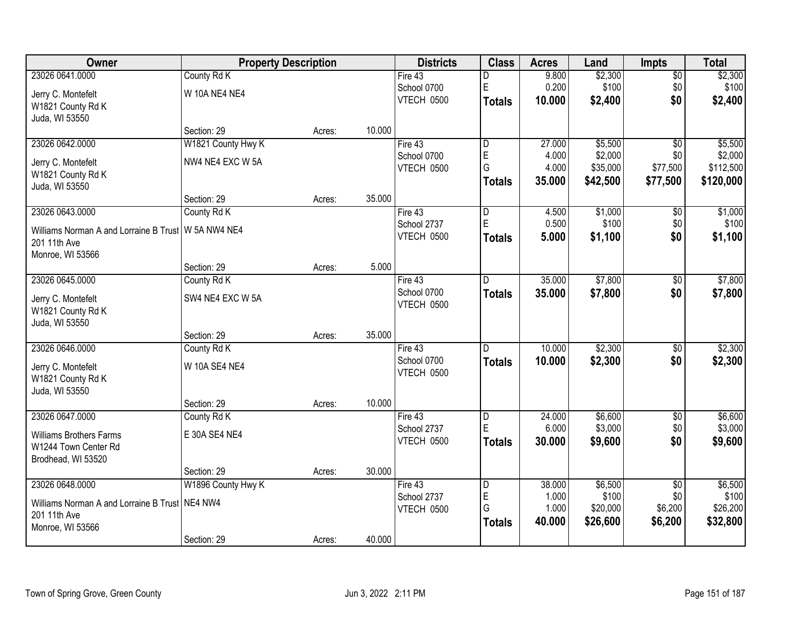| Owner                                                 |                      | <b>Property Description</b> |        | <b>Districts</b> | <b>Class</b>   | <b>Acres</b> | Land     | <b>Impts</b>    | <b>Total</b> |
|-------------------------------------------------------|----------------------|-----------------------------|--------|------------------|----------------|--------------|----------|-----------------|--------------|
| 23026 0641.0000                                       | County Rd K          |                             |        | Fire 43          | D              | 9.800        | \$2,300  | \$0             | \$2,300      |
| Jerry C. Montefelt                                    | <b>W 10A NE4 NE4</b> |                             |        | School 0700      | E              | 0.200        | \$100    | \$0             | \$100        |
| W1821 County Rd K                                     |                      |                             |        | VTECH 0500       | Totals         | 10.000       | \$2,400  | \$0             | \$2,400      |
| Juda, WI 53550                                        |                      |                             |        |                  |                |              |          |                 |              |
|                                                       | Section: 29          | Acres:                      | 10.000 |                  |                |              |          |                 |              |
| 23026 0642.0000                                       | W1821 County Hwy K   |                             |        | Fire $43$        | l D            | 27.000       | \$5,500  | $\overline{50}$ | \$5,500      |
| Jerry C. Montefelt                                    | NW4 NE4 EXC W 5A     |                             |        | School 0700      | $\mathsf E$    | 4.000        | \$2,000  | \$0             | \$2,000      |
| W1821 County Rd K                                     |                      |                             |        | VTECH 0500       | G              | 4.000        | \$35,000 | \$77,500        | \$112,500    |
| Juda, WI 53550                                        |                      |                             |        |                  | <b>Totals</b>  | 35.000       | \$42,500 | \$77,500        | \$120,000    |
|                                                       | Section: 29          | Acres:                      | 35.000 |                  |                |              |          |                 |              |
| 23026 0643.0000                                       | County Rd K          |                             |        | Fire 43          | D              | 4.500        | \$1,000  | \$0             | \$1,000      |
| Williams Norman A and Lorraine B Trust   W 5A NW4 NE4 |                      |                             |        | School 2737      | E              | 0.500        | \$100    | \$0             | \$100        |
| 201 11th Ave                                          |                      |                             |        | VTECH 0500       | <b>Totals</b>  | 5.000        | \$1,100  | \$0             | \$1,100      |
| Monroe, WI 53566                                      |                      |                             |        |                  |                |              |          |                 |              |
|                                                       | Section: 29          | Acres:                      | 5.000  |                  |                |              |          |                 |              |
| 23026 0645.0000                                       | County Rd K          |                             |        | Fire 43          | ID.            | 35.000       | \$7,800  | $\sqrt[6]{3}$   | \$7,800      |
| Jerry C. Montefelt                                    | SW4 NE4 EXC W 5A     |                             |        | School 0700      | <b>Totals</b>  | 35.000       | \$7,800  | \$0             | \$7,800      |
| W1821 County Rd K                                     |                      |                             |        | VTECH 0500       |                |              |          |                 |              |
| Juda, WI 53550                                        |                      |                             |        |                  |                |              |          |                 |              |
|                                                       | Section: 29          | Acres:                      | 35.000 |                  |                |              |          |                 |              |
| 23026 0646.0000                                       | County Rd K          |                             |        | Fire 43          | D              | 10.000       | \$2,300  | \$0             | \$2,300      |
| Jerry C. Montefelt                                    | <b>W 10A SE4 NE4</b> |                             |        | School 0700      | <b>Totals</b>  | 10,000       | \$2,300  | \$0             | \$2,300      |
| W1821 County Rd K                                     |                      |                             |        | VTECH 0500       |                |              |          |                 |              |
| Juda, WI 53550                                        |                      |                             |        |                  |                |              |          |                 |              |
|                                                       | Section: 29          | Acres:                      | 10.000 |                  |                |              |          |                 |              |
| 23026 0647.0000                                       | County Rd K          |                             |        | Fire 43          | $\overline{D}$ | 24.000       | \$6,600  | $\sqrt{6}$      | \$6,600      |
| <b>Williams Brothers Farms</b>                        | E 30A SE4 NE4        |                             |        | School 2737      | E              | 6.000        | \$3,000  | \$0             | \$3,000      |
| W1244 Town Center Rd                                  |                      |                             |        | VTECH 0500       | <b>Totals</b>  | 30,000       | \$9,600  | \$0             | \$9,600      |
| Brodhead, WI 53520                                    |                      |                             |        |                  |                |              |          |                 |              |
|                                                       | Section: 29          | Acres:                      | 30.000 |                  |                |              |          |                 |              |
| 23026 0648.0000                                       | W1896 County Hwy K   |                             |        | Fire 43          | D              | 38.000       | \$6,500  | $\overline{50}$ | \$6,500      |
| Williams Norman A and Lorraine B Trust   NE4 NW4      |                      |                             |        | School 2737      | E              | 1.000        | \$100    | \$0             | \$100        |
| 201 11th Ave                                          |                      |                             |        | VTECH 0500       | G              | 1.000        | \$20,000 | \$6,200         | \$26,200     |
| Monroe, WI 53566                                      |                      |                             |        |                  | <b>Totals</b>  | 40.000       | \$26,600 | \$6,200         | \$32,800     |
|                                                       | Section: 29          | Acres:                      | 40.000 |                  |                |              |          |                 |              |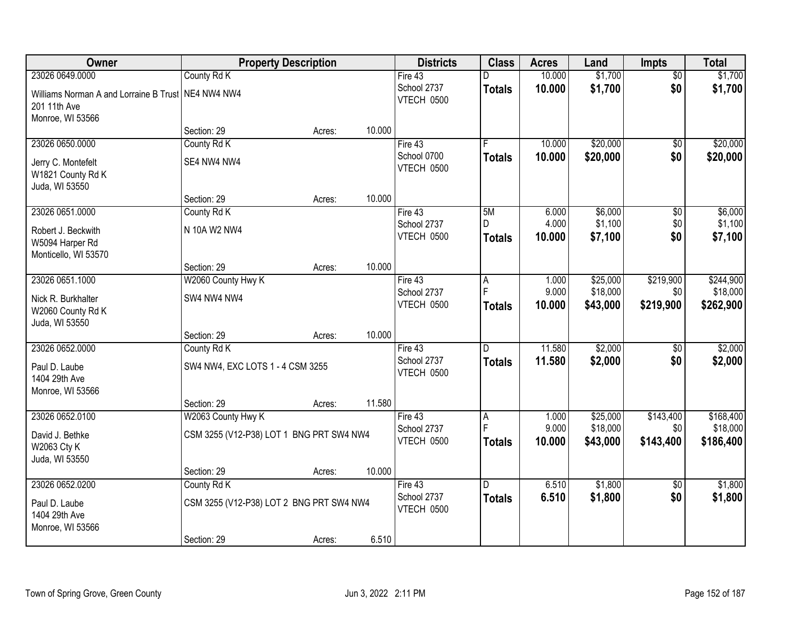| Owner                                                              |                                          | <b>Property Description</b> |        | <b>Districts</b>          | <b>Class</b>   | <b>Acres</b>   | Land                 | <b>Impts</b>     | <b>Total</b>          |
|--------------------------------------------------------------------|------------------------------------------|-----------------------------|--------|---------------------------|----------------|----------------|----------------------|------------------|-----------------------|
| 23026 0649.0000                                                    | County Rd K                              |                             |        | Fire 43                   |                | 10.000         | \$1,700              | $\overline{50}$  | \$1,700               |
| Williams Norman A and Lorraine B Trust NE4 NW4 NW4<br>201 11th Ave |                                          |                             |        | School 2737<br>VTECH 0500 | <b>Totals</b>  | 10.000         | \$1,700              | \$0              | \$1,700               |
| Monroe, WI 53566                                                   |                                          |                             |        |                           |                |                |                      |                  |                       |
|                                                                    | Section: 29                              | Acres:                      | 10.000 |                           |                |                |                      |                  |                       |
| 23026 0650.0000                                                    | County Rd K                              |                             |        | Fire $43$                 |                | 10.000         | \$20,000             | $\overline{50}$  | \$20,000              |
| Jerry C. Montefelt                                                 | SE4 NW4 NW4                              |                             |        | School 0700               | <b>Totals</b>  | 10.000         | \$20,000             | \$0              | \$20,000              |
| W1821 County Rd K                                                  |                                          |                             |        | VTECH 0500                |                |                |                      |                  |                       |
| Juda, WI 53550                                                     |                                          |                             |        |                           |                |                |                      |                  |                       |
|                                                                    | Section: 29                              | Acres:                      | 10.000 |                           |                |                |                      |                  |                       |
| 23026 0651.0000                                                    | County Rd K                              |                             |        | Fire 43                   | 5M             | 6.000          | \$6,000              | \$0              | \$6,000               |
| Robert J. Beckwith                                                 | N 10A W2 NW4                             |                             |        | School 2737               |                | 4.000          | \$1,100              | \$0              | \$1,100               |
| W5094 Harper Rd                                                    |                                          |                             |        | VTECH 0500                | <b>Totals</b>  | 10.000         | \$7,100              | \$0              | \$7,100               |
| Monticello, WI 53570                                               |                                          |                             |        |                           |                |                |                      |                  |                       |
|                                                                    | Section: 29                              | Acres:                      | 10.000 |                           |                |                |                      |                  |                       |
| 23026 0651.1000                                                    | W2060 County Hwy K                       |                             |        | Fire 43                   | Α<br>F         | 1.000<br>9.000 | \$25,000<br>\$18,000 | \$219,900        | \$244,900<br>\$18,000 |
| Nick R. Burkhalter                                                 | SW4 NW4 NW4                              |                             |        | School 2737<br>VTECH 0500 | <b>Totals</b>  | 10.000         | \$43,000             | \$0<br>\$219,900 | \$262,900             |
| W2060 County Rd K                                                  |                                          |                             |        |                           |                |                |                      |                  |                       |
| Juda, WI 53550                                                     |                                          |                             |        |                           |                |                |                      |                  |                       |
| 23026 0652.0000                                                    | Section: 29                              | Acres:                      | 10.000 |                           | $\overline{D}$ | 11.580         | \$2,000              | \$0              | \$2,000               |
|                                                                    | County Rd K                              |                             |        | Fire $43$<br>School 2737  | <b>Totals</b>  | 11.580         | \$2,000              | \$0              | \$2,000               |
| Paul D. Laube                                                      | SW4 NW4, EXC LOTS 1 - 4 CSM 3255         |                             |        | VTECH 0500                |                |                |                      |                  |                       |
| 1404 29th Ave                                                      |                                          |                             |        |                           |                |                |                      |                  |                       |
| Monroe, WI 53566                                                   | Section: 29                              |                             | 11.580 |                           |                |                |                      |                  |                       |
| 23026 0652.0100                                                    | W2063 County Hwy K                       | Acres:                      |        | Fire 43                   | Α              | 1.000          | \$25,000             | \$143,400        | \$168,400             |
|                                                                    |                                          |                             |        | School 2737               | E              | 9.000          | \$18,000             | \$0              | \$18,000              |
| David J. Bethke                                                    | CSM 3255 (V12-P38) LOT 1 BNG PRT SW4 NW4 |                             |        | VTECH 0500                | <b>Totals</b>  | 10.000         | \$43,000             | \$143,400        | \$186,400             |
| W2063 Cty K<br>Juda, WI 53550                                      |                                          |                             |        |                           |                |                |                      |                  |                       |
|                                                                    | Section: 29                              | Acres:                      | 10.000 |                           |                |                |                      |                  |                       |
| 23026 0652.0200                                                    | County Rd K                              |                             |        | Fire $43$                 | D.             | 6.510          | \$1,800              | $\overline{50}$  | \$1,800               |
|                                                                    | CSM 3255 (V12-P38) LOT 2 BNG PRT SW4 NW4 |                             |        | School 2737               | <b>Totals</b>  | 6.510          | \$1,800              | \$0              | \$1,800               |
| Paul D. Laube<br>1404 29th Ave                                     |                                          |                             |        | VTECH 0500                |                |                |                      |                  |                       |
| Monroe, WI 53566                                                   |                                          |                             |        |                           |                |                |                      |                  |                       |
|                                                                    | Section: 29                              | Acres:                      | 6.510  |                           |                |                |                      |                  |                       |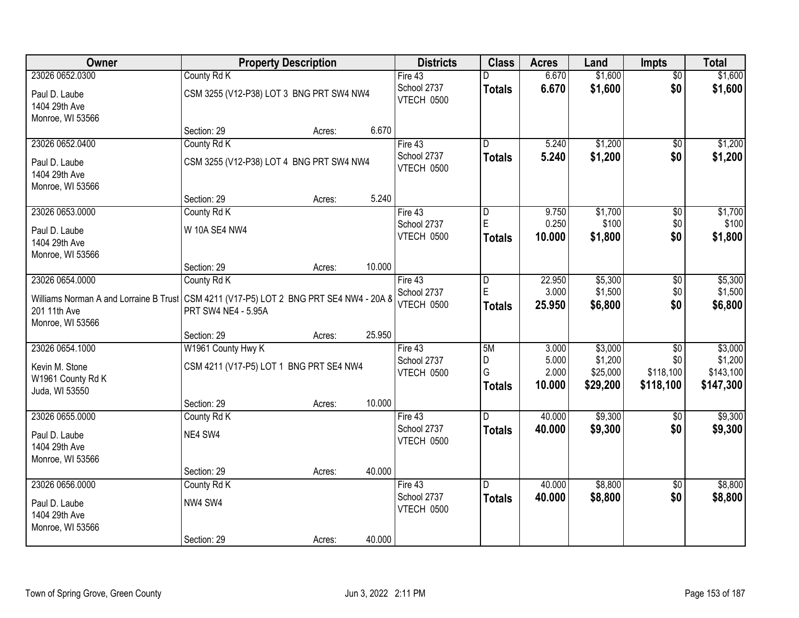| Owner                                  |                                                 | <b>Property Description</b> |        | <b>Districts</b> | <b>Class</b>            | <b>Acres</b> | Land     | Impts           | <b>Total</b> |
|----------------------------------------|-------------------------------------------------|-----------------------------|--------|------------------|-------------------------|--------------|----------|-----------------|--------------|
| 23026 0652.0300                        | County Rd K                                     |                             |        | Fire 43          |                         | 6.670        | \$1,600  | $\overline{50}$ | \$1,600      |
| Paul D. Laube                          | CSM 3255 (V12-P38) LOT 3 BNG PRT SW4 NW4        |                             |        | School 2737      | <b>Totals</b>           | 6.670        | \$1,600  | \$0             | \$1,600      |
| 1404 29th Ave                          |                                                 |                             |        | VTECH 0500       |                         |              |          |                 |              |
| Monroe, WI 53566                       |                                                 |                             |        |                  |                         |              |          |                 |              |
|                                        | Section: 29                                     | Acres:                      | 6.670  |                  |                         |              |          |                 |              |
| 23026 0652.0400                        | County Rd K                                     |                             |        | Fire $43$        | $\overline{\mathsf{n}}$ | 5.240        | \$1,200  | $\overline{50}$ | \$1,200      |
| Paul D. Laube                          | CSM 3255 (V12-P38) LOT 4 BNG PRT SW4 NW4        |                             |        | School 2737      | <b>Totals</b>           | 5.240        | \$1,200  | \$0             | \$1,200      |
| 1404 29th Ave                          |                                                 |                             |        | VTECH 0500       |                         |              |          |                 |              |
| Monroe, WI 53566                       |                                                 |                             |        |                  |                         |              |          |                 |              |
|                                        | Section: 29                                     | Acres:                      | 5.240  |                  |                         |              |          |                 |              |
| 23026 0653.0000                        | County Rd K                                     |                             |        | Fire 43          | D                       | 9.750        | \$1,700  | \$0             | \$1,700      |
| Paul D. Laube                          | W 10A SE4 NW4                                   |                             |        | School 2737      | E                       | 0.250        | \$100    | \$0             | \$100        |
| 1404 29th Ave                          |                                                 |                             |        | VTECH 0500       | <b>Totals</b>           | 10.000       | \$1,800  | \$0             | \$1,800      |
| Monroe, WI 53566                       |                                                 |                             |        |                  |                         |              |          |                 |              |
|                                        | Section: 29                                     | Acres:                      | 10.000 |                  |                         |              |          |                 |              |
| 23026 0654.0000                        | County Rd K                                     |                             |        | Fire 43          | D                       | 22.950       | \$5,300  | \$0             | \$5,300      |
| Williams Norman A and Lorraine B Trust | CSM 4211 (V17-P5) LOT 2 BNG PRT SE4 NW4 - 20A 8 |                             |        | School 2737      | E                       | 3.000        | \$1,500  | \$0             | \$1,500      |
| 201 11th Ave                           | PRT SW4 NE4 - 5.95A                             |                             |        | VTECH 0500       | <b>Totals</b>           | 25.950       | \$6,800  | \$0             | \$6,800      |
| Monroe, WI 53566                       |                                                 |                             |        |                  |                         |              |          |                 |              |
|                                        | Section: 29                                     | Acres:                      | 25.950 |                  |                         |              |          |                 |              |
| 23026 0654.1000                        | W1961 County Hwy K                              |                             |        | Fire 43          | 5M                      | 3.000        | \$3,000  | $\overline{50}$ | \$3,000      |
| Kevin M. Stone                         | CSM 4211 (V17-P5) LOT 1 BNG PRT SE4 NW4         |                             |        | School 2737      | D                       | 5.000        | \$1,200  | \$0             | \$1,200      |
| W1961 County Rd K                      |                                                 |                             |        | VTECH 0500       | G                       | 2.000        | \$25,000 | \$118,100       | \$143,100    |
| Juda, WI 53550                         |                                                 |                             |        |                  | <b>Totals</b>           | 10.000       | \$29,200 | \$118,100       | \$147,300    |
|                                        | Section: 29                                     | Acres:                      | 10.000 |                  |                         |              |          |                 |              |
| 23026 0655.0000                        | County Rd K                                     |                             |        | Fire 43          | D.                      | 40.000       | \$9,300  | $\overline{50}$ | \$9,300      |
| Paul D. Laube                          | NE4 SW4                                         |                             |        | School 2737      | <b>Totals</b>           | 40.000       | \$9,300  | \$0             | \$9,300      |
| 1404 29th Ave                          |                                                 |                             |        | VTECH 0500       |                         |              |          |                 |              |
| Monroe, WI 53566                       |                                                 |                             |        |                  |                         |              |          |                 |              |
|                                        | Section: 29                                     | Acres:                      | 40.000 |                  |                         |              |          |                 |              |
| 23026 0656.0000                        | County Rd K                                     |                             |        | Fire $43$        | D.                      | 40.000       | \$8,800  | $\overline{50}$ | \$8,800      |
| Paul D. Laube                          | NW4 SW4                                         |                             |        | School 2737      | <b>Totals</b>           | 40.000       | \$8,800  | \$0             | \$8,800      |
| 1404 29th Ave                          |                                                 |                             |        | VTECH 0500       |                         |              |          |                 |              |
| Monroe, WI 53566                       |                                                 |                             |        |                  |                         |              |          |                 |              |
|                                        | Section: 29                                     | Acres:                      | 40.000 |                  |                         |              |          |                 |              |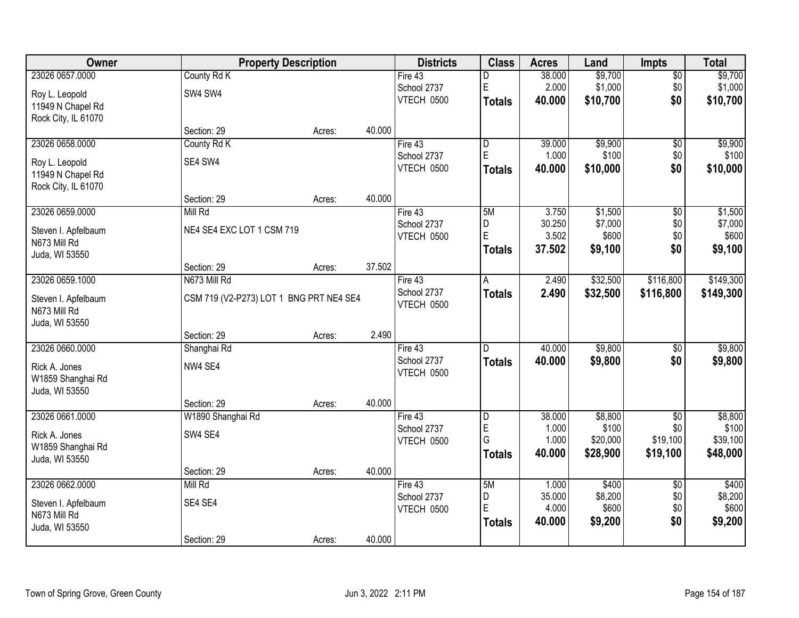| Owner               |                                         | <b>Property Description</b> |        | <b>Districts</b>          | <b>Class</b>   | <b>Acres</b>    | Land             | <b>Impts</b>      | <b>Total</b>     |
|---------------------|-----------------------------------------|-----------------------------|--------|---------------------------|----------------|-----------------|------------------|-------------------|------------------|
| 23026 0657.0000     | County Rd K                             |                             |        | Fire 43                   | D              | 38.000          | \$9,700          | \$0               | \$9,700          |
| Roy L. Leopold      | SW4 SW4                                 |                             |        | School 2737               | E              | 2.000           | \$1,000          | \$0               | \$1,000          |
| 11949 N Chapel Rd   |                                         |                             |        | VTECH 0500                | Totals         | 40.000          | \$10,700         | \$0               | \$10,700         |
| Rock City, IL 61070 |                                         |                             |        |                           |                |                 |                  |                   |                  |
|                     | Section: 29                             | Acres:                      | 40.000 |                           |                |                 |                  |                   |                  |
| 23026 0658.0000     | County Rd K                             |                             |        | Fire 43                   | l D            | 39.000          | \$9,900          | \$0               | \$9,900          |
| Roy L. Leopold      | SE4 SW4                                 |                             |        | School 2737               | $\mathsf E$    | 1.000           | \$100            | \$0               | \$100            |
| 11949 N Chapel Rd   |                                         |                             |        | VTECH 0500                | <b>Totals</b>  | 40.000          | \$10,000         | \$0               | \$10,000         |
| Rock City, IL 61070 |                                         |                             |        |                           |                |                 |                  |                   |                  |
|                     | Section: 29                             | Acres:                      | 40.000 |                           |                |                 |                  |                   |                  |
| 23026 0659.0000     | Mill Rd                                 |                             |        | Fire 43                   | 5M             | 3.750           | \$1,500          | \$0               | \$1,500          |
| Steven I. Apfelbaum | NE4 SE4 EXC LOT 1 CSM 719               |                             |        | School 2737               | D<br>E         | 30.250          | \$7,000          | \$0               | \$7,000          |
| N673 Mill Rd        |                                         |                             |        | VTECH 0500                |                | 3.502<br>37.502 | \$600            | \$0<br>\$0        | \$600            |
| Juda, WI 53550      |                                         |                             |        |                           | <b>Totals</b>  |                 | \$9,100          |                   | \$9,100          |
|                     | Section: 29                             | Acres:                      | 37.502 |                           |                |                 |                  |                   |                  |
| 23026 0659.1000     | N673 Mill Rd                            |                             |        | Fire 43                   | A              | 2.490           | \$32,500         | \$116,800         | \$149,300        |
| Steven I. Apfelbaum | CSM 719 (V2-P273) LOT 1 BNG PRT NE4 SE4 |                             |        | School 2737               | <b>Totals</b>  | 2.490           | \$32,500         | \$116,800         | \$149,300        |
| N673 Mill Rd        |                                         |                             |        | VTECH 0500                |                |                 |                  |                   |                  |
| Juda, WI 53550      |                                         |                             |        |                           |                |                 |                  |                   |                  |
|                     | Section: 29                             | Acres:                      | 2.490  |                           |                |                 |                  |                   |                  |
| 23026 0660.0000     | Shanghai Rd                             |                             |        | Fire 43                   | $\overline{D}$ | 40.000          | \$9,800          | \$0               | \$9,800          |
| Rick A. Jones       | NW4 SE4                                 |                             |        | School 2737<br>VTECH 0500 | <b>Totals</b>  | 40.000          | \$9,800          | \$0               | \$9,800          |
| W1859 Shanghai Rd   |                                         |                             |        |                           |                |                 |                  |                   |                  |
| Juda, WI 53550      |                                         |                             |        |                           |                |                 |                  |                   |                  |
|                     | Section: 29                             | Acres:                      | 40.000 |                           |                |                 |                  |                   |                  |
| 23026 0661.0000     | W1890 Shanghai Rd                       |                             |        | Fire 43                   | D<br>E         | 38.000<br>1.000 | \$8,800<br>\$100 | $\sqrt{6}$<br>\$0 | \$8,800<br>\$100 |
| Rick A. Jones       | SW4 SE4                                 |                             |        | School 2737<br>VTECH 0500 | G              | 1.000           | \$20,000         | \$19,100          | \$39,100         |
| W1859 Shanghai Rd   |                                         |                             |        |                           | Totals         | 40,000          | \$28,900         | \$19,100          | \$48,000         |
| Juda, WI 53550      |                                         |                             |        |                           |                |                 |                  |                   |                  |
|                     | Section: 29                             | Acres:                      | 40.000 |                           |                |                 |                  |                   |                  |
| 23026 0662.0000     | Mill Rd                                 |                             |        | Fire 43                   | 5M             | 1.000<br>35.000 | \$400            | $\overline{60}$   | \$400<br>\$8,200 |
| Steven I. Apfelbaum | SE4 SE4                                 |                             |        | School 2737<br>VTECH 0500 | D<br>E         | 4.000           | \$8,200<br>\$600 | \$0<br>\$0        | \$600            |
| N673 Mill Rd        |                                         |                             |        |                           | <b>Totals</b>  | 40.000          | \$9,200          | \$0               | \$9,200          |
| Juda, WI 53550      |                                         |                             |        |                           |                |                 |                  |                   |                  |
|                     | Section: 29                             | Acres:                      | 40.000 |                           |                |                 |                  |                   |                  |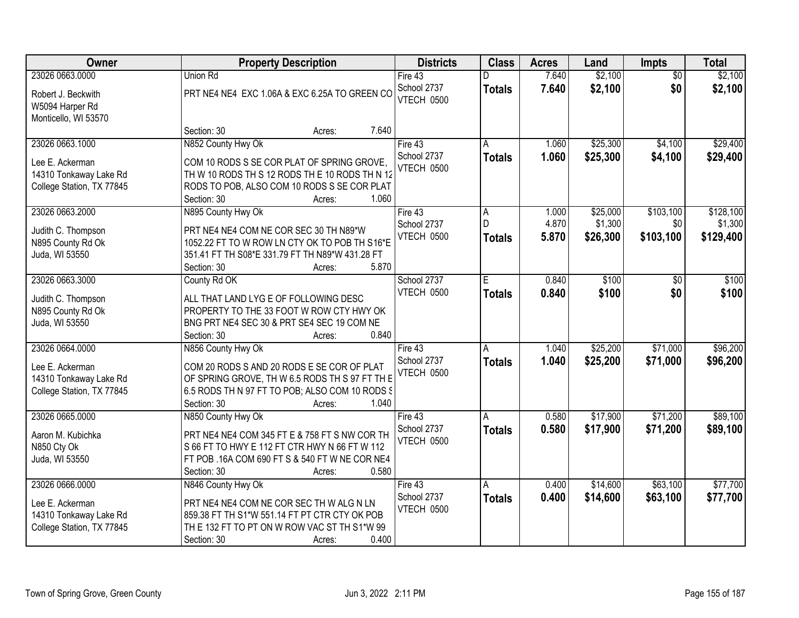| <b>Owner</b>                                                                              | <b>Property Description</b>                                                                                                                                                                              | <b>Districts</b>                       | <b>Class</b>                    | <b>Acres</b>            | Land                            | <b>Impts</b>                  | <b>Total</b>                      |
|-------------------------------------------------------------------------------------------|----------------------------------------------------------------------------------------------------------------------------------------------------------------------------------------------------------|----------------------------------------|---------------------------------|-------------------------|---------------------------------|-------------------------------|-----------------------------------|
| 23026 0663.0000                                                                           | Union Rd                                                                                                                                                                                                 | Fire 43                                |                                 | 7.640                   | \$2,100                         | $\overline{50}$               | \$2,100                           |
| Robert J. Beckwith<br>W5094 Harper Rd<br>Monticello, WI 53570                             | PRT NE4 NE4 EXC 1.06A & EXC 6.25A TO GREEN CO                                                                                                                                                            | School 2737<br>VTECH 0500              | <b>Totals</b>                   | 7.640                   | \$2,100                         | \$0                           | \$2,100                           |
|                                                                                           | 7.640<br>Section: 30<br>Acres:                                                                                                                                                                           |                                        |                                 |                         |                                 |                               |                                   |
| 23026 0663.1000<br>Lee E. Ackerman<br>14310 Tonkaway Lake Rd<br>College Station, TX 77845 | N852 County Hwy Ok<br>COM 10 RODS S SE COR PLAT OF SPRING GROVE,<br>TH W 10 RODS TH S 12 RODS TH E 10 RODS TH N 12<br>RODS TO POB, ALSO COM 10 RODS S SE COR PLAT<br>1.060<br>Section: 30<br>Acres:      | Fire $43$<br>School 2737<br>VTECH 0500 | А<br><b>Totals</b>              | 1.060<br>1.060          | \$25,300<br>\$25,300            | \$4,100<br>\$4,100            | \$29,400<br>\$29,400              |
| 23026 0663.2000<br>Judith C. Thompson<br>N895 County Rd Ok<br>Juda, WI 53550              | N895 County Hwy Ok<br>PRT NE4 NE4 COM NE COR SEC 30 TH N89*W<br>1052.22 FT TO W ROW LN CTY OK TO POB TH S16*E<br>351.41 FT TH S08*E 331.79 FT TH N89*W 431.28 FT<br>5.870<br>Section: 30<br>Acres:       | Fire 43<br>School 2737<br>VTECH 0500   | A<br>D.<br><b>Totals</b>        | 1.000<br>4.870<br>5.870 | \$25,000<br>\$1,300<br>\$26,300 | \$103,100<br>\$0<br>\$103,100 | \$128,100<br>\$1,300<br>\$129,400 |
| 23026 0663.3000<br>Judith C. Thompson<br>N895 County Rd Ok<br>Juda, WI 53550              | County Rd OK<br>ALL THAT LAND LYG E OF FOLLOWING DESC<br>PROPERTY TO THE 33 FOOT W ROW CTY HWY OK<br>BNG PRT NE4 SEC 30 & PRT SE4 SEC 19 COM NE<br>0.840<br>Section: 30<br>Acres:                        | School 2737<br><b>VTECH 0500</b>       | F.<br><b>Totals</b>             | 0.840<br>0.840          | \$100<br>\$100                  | \$0<br>\$0                    | \$100<br>\$100                    |
| 23026 0664.0000<br>Lee E. Ackerman<br>14310 Tonkaway Lake Rd<br>College Station, TX 77845 | N856 County Hwy Ok<br>COM 20 RODS S AND 20 RODS E SE COR OF PLAT<br>OF SPRING GROVE, TH W 6.5 RODS TH S 97 FT TH E<br>6.5 RODS TH N 97 FT TO POB; ALSO COM 10 RODS §<br>Section: 30<br>1.040<br>Acres:   | Fire $43$<br>School 2737<br>VTECH 0500 | $\overline{A}$<br><b>Totals</b> | 1.040<br>1.040          | \$25,200<br>\$25,200            | \$71,000<br>\$71,000          | \$96,200<br>\$96,200              |
| 23026 0665.0000<br>Aaron M. Kubichka<br>N850 Cty Ok<br>Juda, WI 53550                     | N850 County Hwy Ok<br>PRT NE4 NE4 COM 345 FT E & 758 FT S NW COR TH<br>S 66 FT TO HWY E 112 FT CTR HWY N 66 FT W 112<br>FT POB .16A COM 690 FT S & 540 FT W NE COR NE4<br>0.580<br>Section: 30<br>Acres: | Fire 43<br>School 2737<br>VTECH 0500   | A<br><b>Totals</b>              | 0.580<br>0.580          | \$17,900<br>\$17,900            | \$71,200<br>\$71,200          | \$89,100<br>\$89,100              |
| 23026 0666.0000<br>Lee E. Ackerman<br>14310 Tonkaway Lake Rd<br>College Station, TX 77845 | N846 County Hwy Ok<br>PRT NE4 NE4 COM NE COR SEC TH W ALG N LN<br>859.38 FT TH S1*W 551.14 FT PT CTR CTY OK POB<br>THE 132 FT TO PT ON W ROW VAC ST TH S1*W 99<br>0.400<br>Section: 30<br>Acres:         | Fire $43$<br>School 2737<br>VTECH 0500 | A<br><b>Totals</b>              | 0.400<br>0.400          | \$14,600<br>\$14,600            | \$63,100<br>\$63,100          | \$77,700<br>\$77,700              |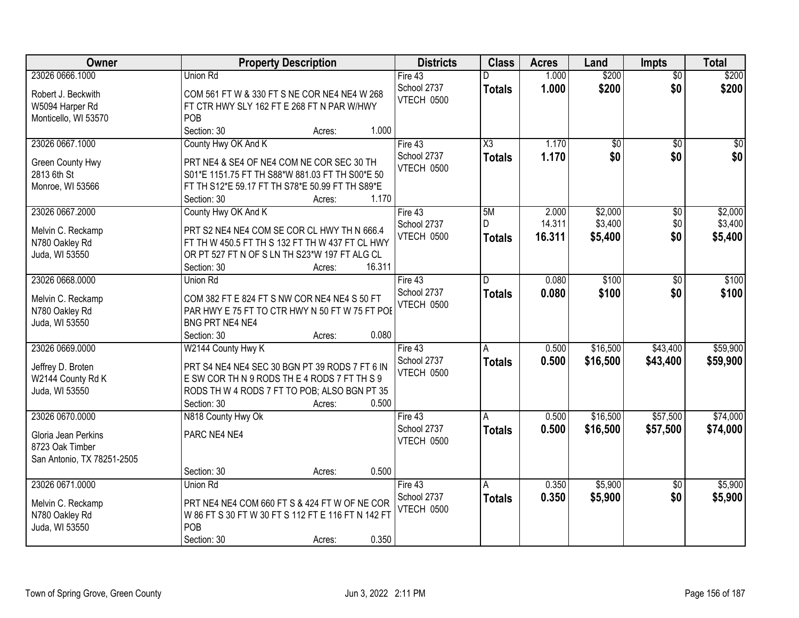| Owner                           | <b>Property Description</b>                                                                        | <b>Districts</b>  | <b>Class</b>           | <b>Acres</b> | Land            | <b>Impts</b>    | <b>Total</b> |
|---------------------------------|----------------------------------------------------------------------------------------------------|-------------------|------------------------|--------------|-----------------|-----------------|--------------|
| 23026 0666.1000                 | Union Rd                                                                                           | Fire 43           |                        | 1.000        | \$200           | $\overline{50}$ | \$200        |
| Robert J. Beckwith              | COM 561 FT W & 330 FT S NE COR NE4 NE4 W 268                                                       | School 2737       | <b>Totals</b>          | 1.000        | \$200           | \$0             | \$200        |
| W5094 Harper Rd                 | FT CTR HWY SLY 162 FT E 268 FT N PAR W/HWY                                                         | VTECH 0500        |                        |              |                 |                 |              |
| Monticello, WI 53570            | POB                                                                                                |                   |                        |              |                 |                 |              |
|                                 | 1.000<br>Section: 30<br>Acres:                                                                     |                   |                        |              |                 |                 |              |
| 23026 0667.1000                 | County Hwy OK And K                                                                                | Fire 43           | $\overline{\text{X3}}$ | 1.170        | $\overline{50}$ | $\overline{50}$ | \$0          |
|                                 |                                                                                                    | School 2737       | <b>Totals</b>          | 1.170        | \$0             | \$0             | \$0          |
| Green County Hwy<br>2813 6th St | PRT NE4 & SE4 OF NE4 COM NE COR SEC 30 TH                                                          | VTECH 0500        |                        |              |                 |                 |              |
|                                 | S01*E 1151.75 FT TH S88*W 881.03 FT TH S00*E 50<br>FT TH S12*E 59.17 FT TH S78*E 50.99 FT TH S89*E |                   |                        |              |                 |                 |              |
| Monroe, WI 53566                | 1.170<br>Section: 30<br>Acres:                                                                     |                   |                        |              |                 |                 |              |
| 23026 0667.2000                 | County Hwy OK And K                                                                                | Fire 43           | 5M                     | 2.000        | \$2,000         | \$0             | \$2,000      |
|                                 |                                                                                                    | School 2737       |                        | 14.311       | \$3,400         | \$0             | \$3,400      |
| Melvin C. Reckamp               | PRT S2 NE4 NE4 COM SE COR CL HWY TH N 666.4                                                        | <b>VTECH 0500</b> | <b>Totals</b>          | 16.311       | \$5,400         | \$0             | \$5,400      |
| N780 Oakley Rd                  | FT TH W 450.5 FT TH S 132 FT TH W 437 FT CL HWY                                                    |                   |                        |              |                 |                 |              |
| Juda, WI 53550                  | OR PT 527 FT N OF S LN TH S23*W 197 FT ALG CL                                                      |                   |                        |              |                 |                 |              |
|                                 | 16.311<br>Section: 30<br>Acres:                                                                    |                   |                        |              |                 |                 |              |
| 23026 0668.0000                 | Union Rd                                                                                           | Fire 43           | D                      | 0.080        | \$100           | $\frac{1}{20}$  | \$100        |
| Melvin C. Reckamp               | COM 382 FT E 824 FT S NW COR NE4 NE4 S 50 FT                                                       | School 2737       | <b>Totals</b>          | 0.080        | \$100           | \$0             | \$100        |
| N780 Oakley Rd                  | PAR HWY E 75 FT TO CTR HWY N 50 FT W 75 FT POE                                                     | VTECH 0500        |                        |              |                 |                 |              |
| Juda, WI 53550                  | BNG PRT NE4 NE4                                                                                    |                   |                        |              |                 |                 |              |
|                                 | 0.080<br>Section: 30<br>Acres:                                                                     |                   |                        |              |                 |                 |              |
| 23026 0669.0000                 | W2144 County Hwy K                                                                                 | Fire 43           | A                      | 0.500        | \$16,500        | \$43,400        | \$59,900     |
|                                 |                                                                                                    | School 2737       | Totals                 | 0.500        | \$16,500        | \$43,400        | \$59,900     |
| Jeffrey D. Broten               | PRT S4 NE4 NE4 SEC 30 BGN PT 39 RODS 7 FT 6 IN                                                     | VTECH 0500        |                        |              |                 |                 |              |
| W2144 County Rd K               | E SW COR TH N 9 RODS THE 4 RODS 7 FT TH S 9                                                        |                   |                        |              |                 |                 |              |
| Juda, WI 53550                  | RODS TH W 4 RODS 7 FT TO POB; ALSO BGN PT 35                                                       |                   |                        |              |                 |                 |              |
|                                 | 0.500<br>Section: 30<br>Acres:                                                                     |                   |                        |              |                 |                 |              |
| 23026 0670.0000                 | N818 County Hwy Ok                                                                                 | Fire 43           | A                      | 0.500        | \$16,500        | \$57,500        | \$74,000     |
| Gloria Jean Perkins             | PARC NE4 NE4                                                                                       | School 2737       | <b>Totals</b>          | 0.500        | \$16,500        | \$57,500        | \$74,000     |
| 8723 Oak Timber                 |                                                                                                    | VTECH 0500        |                        |              |                 |                 |              |
| San Antonio, TX 78251-2505      |                                                                                                    |                   |                        |              |                 |                 |              |
|                                 | 0.500<br>Section: 30<br>Acres:                                                                     |                   |                        |              |                 |                 |              |
| 23026 0671.0000                 | Union Rd                                                                                           | Fire 43           | A                      | 0.350        | \$5,900         | $\overline{30}$ | \$5,900      |
| Melvin C. Reckamp               | PRT NE4 NE4 COM 660 FT S & 424 FT W OF NE COR                                                      | School 2737       | <b>Totals</b>          | 0.350        | \$5,900         | \$0             | \$5,900      |
| N780 Oakley Rd                  | W 86 FT S 30 FT W 30 FT S 112 FT E 116 FT N 142 FT                                                 | <b>VTECH 0500</b> |                        |              |                 |                 |              |
| Juda, WI 53550                  | POB                                                                                                |                   |                        |              |                 |                 |              |
|                                 | 0.350<br>Section: 30<br>Acres:                                                                     |                   |                        |              |                 |                 |              |
|                                 |                                                                                                    |                   |                        |              |                 |                 |              |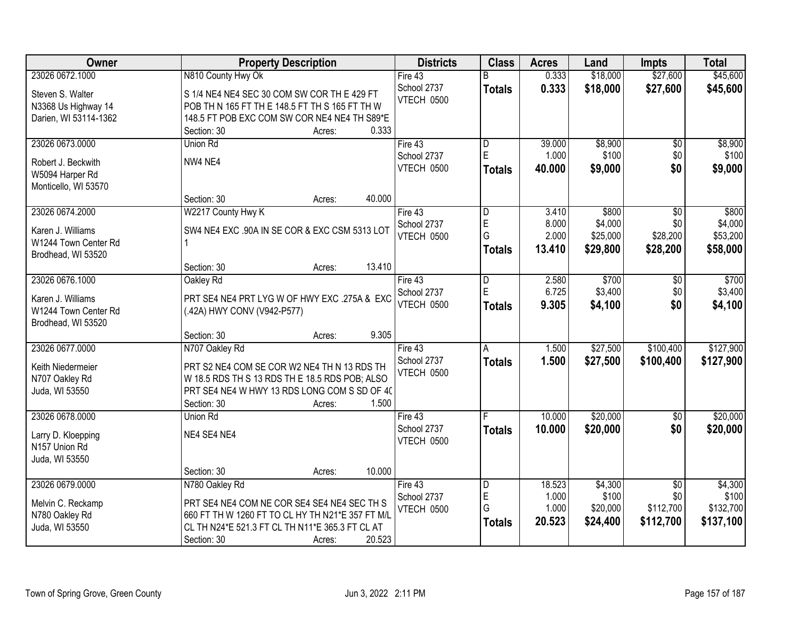| Owner                 | <b>Property Description</b>                      | <b>Districts</b>  | <b>Class</b>   | <b>Acres</b> | Land     | <b>Impts</b>    | <b>Total</b> |
|-----------------------|--------------------------------------------------|-------------------|----------------|--------------|----------|-----------------|--------------|
| 23026 0672.1000       | N810 County Hwy Ok                               | Fire 43           |                | 0.333        | \$18,000 | \$27,600        | \$45,600     |
| Steven S. Walter      | S 1/4 NE4 NE4 SEC 30 COM SW COR TH E 429 FT      | School 2737       | <b>Totals</b>  | 0.333        | \$18,000 | \$27,600        | \$45,600     |
| N3368 Us Highway 14   | POB TH N 165 FT TH E 148.5 FT TH S 165 FT TH W   | VTECH 0500        |                |              |          |                 |              |
| Darien, WI 53114-1362 | 148.5 FT POB EXC COM SW COR NE4 NE4 TH S89*E     |                   |                |              |          |                 |              |
|                       | 0.333<br>Section: 30<br>Acres:                   |                   |                |              |          |                 |              |
| 23026 0673.0000       | Union Rd                                         | Fire 43           | l D            | 39.000       | \$8,900  | \$0             | \$8,900      |
| Robert J. Beckwith    | NW4 NE4                                          | School 2737       | E              | 1.000        | \$100    | \$0             | \$100        |
| W5094 Harper Rd       |                                                  | VTECH 0500        | <b>Totals</b>  | 40.000       | \$9,000  | \$0             | \$9,000      |
| Monticello, WI 53570  |                                                  |                   |                |              |          |                 |              |
|                       | 40.000<br>Section: 30<br>Acres:                  |                   |                |              |          |                 |              |
| 23026 0674.2000       | W2217 County Hwy K                               | Fire 43           | D              | 3.410        | \$800    | $\overline{50}$ | \$800        |
| Karen J. Williams     | SW4 NE4 EXC .90A IN SE COR & EXC CSM 5313 LOT    | School 2737       | E              | 8.000        | \$4,000  | \$0             | \$4,000      |
| W1244 Town Center Rd  |                                                  | VTECH 0500        | G              | 2.000        | \$25,000 | \$28,200        | \$53,200     |
| Brodhead, WI 53520    |                                                  |                   | <b>Totals</b>  | 13.410       | \$29,800 | \$28,200        | \$58,000     |
|                       | 13.410<br>Section: 30<br>Acres:                  |                   |                |              |          |                 |              |
| 23026 0676.1000       | Oakley Rd                                        | Fire 43           | $\overline{D}$ | 2.580        | \$700    | $\sqrt[6]{3}$   | \$700        |
| Karen J. Williams     | PRT SE4 NE4 PRT LYG W OF HWY EXC .275A & EXC     | School 2737       | E              | 6.725        | \$3,400  | \$0             | \$3,400      |
| W1244 Town Center Rd  | (.42A) HWY CONV (V942-P577)                      | VTECH 0500        | <b>Totals</b>  | 9.305        | \$4,100  | \$0             | \$4,100      |
| Brodhead, WI 53520    |                                                  |                   |                |              |          |                 |              |
|                       | 9.305<br>Section: 30<br>Acres:                   |                   |                |              |          |                 |              |
| 23026 0677.0000       | N707 Oakley Rd                                   | Fire 43           | A              | 1.500        | \$27,500 | \$100,400       | \$127,900    |
| Keith Niedermeier     | PRT S2 NE4 COM SE COR W2 NE4 TH N 13 RDS TH      | School 2737       | <b>Totals</b>  | 1.500        | \$27,500 | \$100,400       | \$127,900    |
| N707 Oakley Rd        | W 18.5 RDS TH S 13 RDS TH E 18.5 RDS POB; ALSO   | VTECH 0500        |                |              |          |                 |              |
| Juda, WI 53550        | PRT SE4 NE4 W HWY 13 RDS LONG COM S SD OF 40     |                   |                |              |          |                 |              |
|                       | 1.500<br>Section: 30<br>Acres:                   |                   |                |              |          |                 |              |
| 23026 0678.0000       | Union Rd                                         | Fire 43           |                | 10.000       | \$20,000 | $\overline{50}$ | \$20,000     |
| Larry D. Kloepping    | NE4 SE4 NE4                                      | School 2737       | <b>Totals</b>  | 10.000       | \$20,000 | \$0             | \$20,000     |
| N157 Union Rd         |                                                  | VTECH 0500        |                |              |          |                 |              |
| Juda, WI 53550        |                                                  |                   |                |              |          |                 |              |
|                       | 10.000<br>Section: 30<br>Acres:                  |                   |                |              |          |                 |              |
| 23026 0679.0000       | N780 Oakley Rd                                   | Fire $43$         | D              | 18.523       | \$4,300  | $\overline{50}$ | \$4,300      |
| Melvin C. Reckamp     | PRT SE4 NE4 COM NE COR SE4 SE4 NE4 SEC TH S      | School 2737       | E              | 1.000        | \$100    | \$0             | \$100        |
| N780 Oakley Rd        | 660 FT TH W 1260 FT TO CL HY TH N21*E 357 FT M/L | <b>VTECH 0500</b> | G              | 1.000        | \$20,000 | \$112,700       | \$132,700    |
| Juda, WI 53550        | CL TH N24*E 521.3 FT CL TH N11*E 365.3 FT CL AT  |                   | <b>Totals</b>  | 20.523       | \$24,400 | \$112,700       | \$137,100    |
|                       | 20.523<br>Section: 30<br>Acres:                  |                   |                |              |          |                 |              |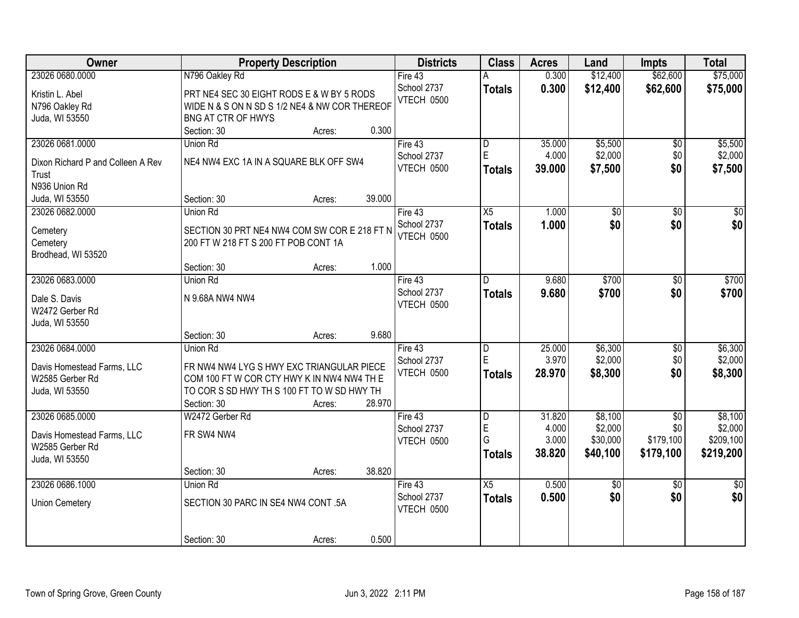| <b>Owner</b>                      |                                               | <b>Property Description</b> |        | <b>Districts</b> | <b>Class</b>            | <b>Acres</b>   | Land                | <b>Impts</b>     | <b>Total</b>         |
|-----------------------------------|-----------------------------------------------|-----------------------------|--------|------------------|-------------------------|----------------|---------------------|------------------|----------------------|
| 23026 0680.0000                   | N796 Oakley Rd                                |                             |        | Fire $43$        |                         | 0.300          | \$12,400            | \$62,600         | \$75,000             |
| Kristin L. Abel                   | PRT NE4 SEC 30 EIGHT RODS E & W BY 5 RODS     |                             |        | School 2737      | <b>Totals</b>           | 0.300          | \$12,400            | \$62,600         | \$75,000             |
| N796 Oakley Rd                    | WIDE N & S ON N SD S 1/2 NE4 & NW COR THEREOF |                             |        | VTECH 0500       |                         |                |                     |                  |                      |
| Juda, WI 53550                    | <b>BNG AT CTR OF HWYS</b>                     |                             |        |                  |                         |                |                     |                  |                      |
|                                   | Section: 30                                   | Acres:                      | 0.300  |                  |                         |                |                     |                  |                      |
| 23026 0681.0000                   | Union Rd                                      |                             |        | Fire $43$        | $\overline{\mathsf{D}}$ | 35.000         | \$5,500             | $\overline{60}$  | \$5,500              |
|                                   |                                               |                             |        | School 2737      | E                       | 4.000          | \$2,000             | \$0              | \$2,000              |
| Dixon Richard P and Colleen A Rev | NE4 NW4 EXC 1A IN A SQUARE BLK OFF SW4        |                             |        | VTECH 0500       | <b>Totals</b>           | 39.000         | \$7,500             | \$0              | \$7,500              |
| Trust<br>N936 Union Rd            |                                               |                             |        |                  |                         |                |                     |                  |                      |
| Juda, WI 53550                    | Section: 30                                   | Acres:                      | 39.000 |                  |                         |                |                     |                  |                      |
| 23026 0682.0000                   | <b>Union Rd</b>                               |                             |        | Fire 43          | $\overline{X5}$         | 1.000          | $\overline{50}$     | $\overline{50}$  | $\overline{50}$      |
|                                   |                                               |                             |        | School 2737      |                         | 1.000          | \$0                 | \$0              | \$0                  |
| Cemetery                          | SECTION 30 PRT NE4 NW4 COM SW COR E 218 FT N  |                             |        | VTECH 0500       | <b>Totals</b>           |                |                     |                  |                      |
| Cemetery                          | 200 FT W 218 FT S 200 FT POB CONT 1A          |                             |        |                  |                         |                |                     |                  |                      |
| Brodhead, WI 53520                |                                               |                             |        |                  |                         |                |                     |                  |                      |
|                                   | Section: 30                                   | Acres:                      | 1.000  |                  |                         |                |                     |                  |                      |
| 23026 0683.0000                   | Union Rd                                      |                             |        | Fire 43          | D                       | 9.680          | \$700               | \$0              | \$700                |
| Dale S. Davis                     | N 9.68A NW4 NW4                               |                             |        | School 2737      | <b>Totals</b>           | 9.680          | \$700               | \$0              | \$700                |
| W2472 Gerber Rd                   |                                               |                             |        | VTECH 0500       |                         |                |                     |                  |                      |
| Juda, WI 53550                    |                                               |                             |        |                  |                         |                |                     |                  |                      |
|                                   | Section: 30                                   | Acres:                      | 9.680  |                  |                         |                |                     |                  |                      |
| 23026 0684.0000                   | Union Rd                                      |                             |        | Fire 43          | D                       | 25.000         | \$6,300             | $\overline{50}$  | \$6,300              |
|                                   |                                               |                             |        | School 2737      | E                       | 3.970          | \$2,000             | \$0              | \$2,000              |
| Davis Homestead Farms, LLC        | FR NW4 NW4 LYG S HWY EXC TRIANGULAR PIECE     |                             |        | VTECH 0500       | <b>Totals</b>           | 28.970         | \$8,300             | \$0              | \$8,300              |
| W2585 Gerber Rd                   | COM 100 FT W COR CTY HWY K IN NW4 NW4 TH E    |                             |        |                  |                         |                |                     |                  |                      |
| Juda, WI 53550                    | TO COR S SD HWY TH S 100 FT TO W SD HWY TH    |                             |        |                  |                         |                |                     |                  |                      |
|                                   | Section: 30                                   | Acres:                      | 28.970 |                  |                         |                |                     |                  |                      |
| 23026 0685.0000                   | W2472 Gerber Rd                               |                             |        | Fire 43          | $\overline{\mathsf{D}}$ | 31.820         | \$8,100             | $\overline{50}$  | \$8,100              |
| Davis Homestead Farms, LLC        | FR SW4 NW4                                    |                             |        | School 2737      | E<br>G                  | 4.000<br>3.000 | \$2,000<br>\$30,000 | \$0<br>\$179,100 | \$2,000<br>\$209,100 |
| W2585 Gerber Rd                   |                                               |                             |        | VTECH 0500       |                         | 38.820         |                     | \$179,100        |                      |
| Juda, WI 53550                    |                                               |                             |        |                  | <b>Totals</b>           |                | \$40,100            |                  | \$219,200            |
|                                   | Section: 30                                   | Acres:                      | 38.820 |                  |                         |                |                     |                  |                      |
| 23026 0686.1000                   | Union Rd                                      |                             |        | Fire $43$        | X5                      | 0.500          | \$0                 | $\overline{50}$  | $\overline{30}$      |
| <b>Union Cemetery</b>             | SECTION 30 PARC IN SE4 NW4 CONT .5A           |                             |        | School 2737      | <b>Totals</b>           | 0.500          | \$0                 | \$0              | \$0                  |
|                                   |                                               |                             |        | VTECH 0500       |                         |                |                     |                  |                      |
|                                   |                                               |                             |        |                  |                         |                |                     |                  |                      |
|                                   | Section: 30                                   | Acres:                      | 0.500  |                  |                         |                |                     |                  |                      |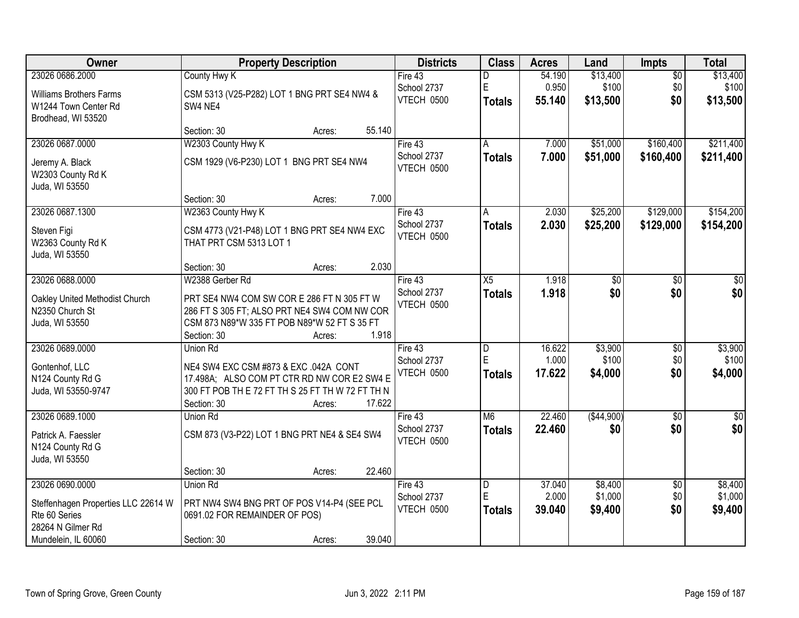| <b>Owner</b>                        | <b>Property Description</b>                      | <b>Districts</b> | <b>Class</b>  | <b>Acres</b> | Land        | <b>Impts</b>    | <b>Total</b>  |
|-------------------------------------|--------------------------------------------------|------------------|---------------|--------------|-------------|-----------------|---------------|
| 23026 0686.2000                     | <b>County Hwy K</b>                              | Fire 43          | D             | 54.190       | \$13,400    | $\overline{50}$ | \$13,400      |
| <b>Williams Brothers Farms</b>      | CSM 5313 (V25-P282) LOT 1 BNG PRT SE4 NW4 &      | School 2737      | E             | 0.950        | \$100       | \$0             | \$100         |
| W1244 Town Center Rd                | SW4 NE4                                          | VTECH 0500       | <b>Totals</b> | 55.140       | \$13,500    | \$0             | \$13,500      |
| Brodhead, WI 53520                  |                                                  |                  |               |              |             |                 |               |
|                                     | 55.140<br>Section: 30<br>Acres:                  |                  |               |              |             |                 |               |
| 23026 0687.0000                     | W2303 County Hwy K                               | Fire $43$        | A             | 7.000        | \$51,000    | \$160,400       | \$211,400     |
| Jeremy A. Black                     | CSM 1929 (V6-P230) LOT 1 BNG PRT SE4 NW4         | School 2737      | <b>Totals</b> | 7.000        | \$51,000    | \$160,400       | \$211,400     |
| W2303 County Rd K                   |                                                  | VTECH 0500       |               |              |             |                 |               |
| Juda, WI 53550                      |                                                  |                  |               |              |             |                 |               |
|                                     | 7.000<br>Section: 30<br>Acres:                   |                  |               |              |             |                 |               |
| 23026 0687.1300                     | W2363 County Hwy K                               | Fire 43          | A             | 2.030        | \$25,200    | \$129,000       | \$154,200     |
| Steven Figi                         | CSM 4773 (V21-P48) LOT 1 BNG PRT SE4 NW4 EXC     | School 2737      | <b>Totals</b> | 2.030        | \$25,200    | \$129,000       | \$154,200     |
| W2363 County Rd K                   | THAT PRT CSM 5313 LOT 1                          | VTECH 0500       |               |              |             |                 |               |
| Juda, WI 53550                      |                                                  |                  |               |              |             |                 |               |
|                                     | 2.030<br>Section: 30<br>Acres:                   |                  |               |              |             |                 |               |
| 23026 0688.0000                     | W2388 Gerber Rd                                  | Fire 43          | X5            | 1.918        | \$0         | \$0             | \$0           |
| Oakley United Methodist Church      | PRT SE4 NW4 COM SW COR E 286 FT N 305 FT W       | School 2737      | <b>Totals</b> | 1.918        | \$0         | \$0             | \$0           |
| N2350 Church St                     | 286 FT S 305 FT; ALSO PRT NE4 SW4 COM NW COR     | VTECH 0500       |               |              |             |                 |               |
| Juda, WI 53550                      | CSM 873 N89*W 335 FT POB N89*W 52 FT S 35 FT     |                  |               |              |             |                 |               |
|                                     | 1.918<br>Section: 30<br>Acres:                   |                  |               |              |             |                 |               |
| 23026 0689.0000                     | Union Rd                                         | Fire 43          | D             | 16.622       | \$3,900     | $\overline{50}$ | \$3,900       |
| Gontenhof, LLC                      | NE4 SW4 EXC CSM #873 & EXC .042A CONT            | School 2737      | E             | 1.000        | \$100       | \$0             | \$100         |
| N124 County Rd G                    | 17.498A; ALSO COM PT CTR RD NW COR E2 SW4 E      | VTECH 0500       | <b>Totals</b> | 17.622       | \$4,000     | \$0             | \$4,000       |
| Juda, WI 53550-9747                 | 300 FT POB TH E 72 FT TH S 25 FT TH W 72 FT TH N |                  |               |              |             |                 |               |
|                                     | 17.622<br>Section: 30<br>Acres:                  |                  |               |              |             |                 |               |
| 23026 0689.1000                     | Union Rd                                         | Fire 43          | M6            | 22.460       | ( \$44,900) | $\overline{50}$ | $\frac{6}{3}$ |
| Patrick A. Faessler                 | CSM 873 (V3-P22) LOT 1 BNG PRT NE4 & SE4 SW4     | School 2737      | <b>Totals</b> | 22.460       | \$0         | \$0             | \$0           |
| N124 County Rd G                    |                                                  | VTECH 0500       |               |              |             |                 |               |
| Juda, WI 53550                      |                                                  |                  |               |              |             |                 |               |
|                                     | 22.460<br>Section: 30<br>Acres:                  |                  |               |              |             |                 |               |
| 23026 0690.0000                     | Union Rd                                         | Fire 43          | D             | 37.040       | \$8,400     | $\overline{50}$ | \$8,400       |
| Steffenhagen Properties LLC 22614 W | PRT NW4 SW4 BNG PRT OF POS V14-P4 (SEE PCL       | School 2737      | E             | 2.000        | \$1,000     | \$0             | \$1,000       |
| Rte 60 Series                       | 0691.02 FOR REMAINDER OF POS)                    | VTECH 0500       | <b>Totals</b> | 39.040       | \$9,400     | \$0             | \$9,400       |
| 28264 N Gilmer Rd                   |                                                  |                  |               |              |             |                 |               |
| Mundelein, IL 60060                 | 39.040<br>Section: 30<br>Acres:                  |                  |               |              |             |                 |               |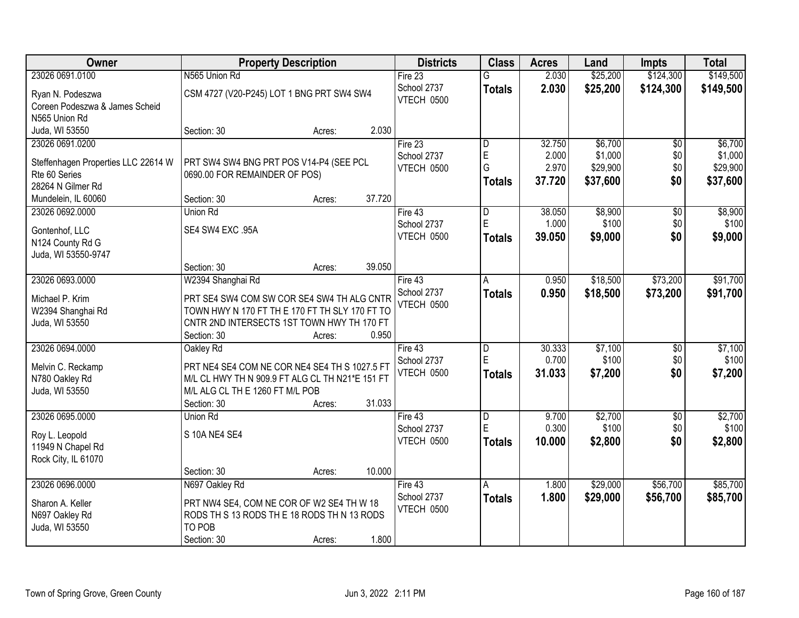| Owner                               | <b>Property Description</b>                     |        |        | <b>Districts</b>  | <b>Class</b>   | <b>Acres</b> | Land     | <b>Impts</b>    | <b>Total</b> |
|-------------------------------------|-------------------------------------------------|--------|--------|-------------------|----------------|--------------|----------|-----------------|--------------|
| 23026 0691.0100                     | N565 Union Rd                                   |        |        | Fire $23$         | G              | 2.030        | \$25,200 | \$124,300       | \$149,500    |
| Ryan N. Podeszwa                    | CSM 4727 (V20-P245) LOT 1 BNG PRT SW4 SW4       |        |        | School 2737       | <b>Totals</b>  | 2.030        | \$25,200 | \$124,300       | \$149,500    |
| Coreen Podeszwa & James Scheid      |                                                 |        |        | VTECH 0500        |                |              |          |                 |              |
| N565 Union Rd                       |                                                 |        |        |                   |                |              |          |                 |              |
| Juda, WI 53550                      | Section: 30                                     | Acres: | 2.030  |                   |                |              |          |                 |              |
| 23026 0691.0200                     |                                                 |        |        | Fire 23           | D              | 32.750       | \$6,700  | \$0             | \$6,700      |
|                                     |                                                 |        |        | School 2737       | E              | 2.000        | \$1,000  | \$0             | \$1,000      |
| Steffenhagen Properties LLC 22614 W | PRT SW4 SW4 BNG PRT POS V14-P4 (SEE PCL         |        |        | VTECH 0500        | G              | 2.970        | \$29,900 | \$0             | \$29,900     |
| Rte 60 Series                       | 0690.00 FOR REMAINDER OF POS)                   |        |        |                   | <b>Totals</b>  | 37.720       | \$37,600 | \$0             | \$37,600     |
| 28264 N Gilmer Rd                   |                                                 |        |        |                   |                |              |          |                 |              |
| Mundelein, IL 60060                 | Section: 30                                     | Acres: | 37.720 |                   |                |              |          |                 |              |
| 23026 0692.0000                     | <b>Union Rd</b>                                 |        |        | Fire 43           | D              | 38.050       | \$8,900  | \$0             | \$8,900      |
| Gontenhof, LLC                      | SE4 SW4 EXC .95A                                |        |        | School 2737       | E              | 1.000        | \$100    | \$0             | \$100        |
| N124 County Rd G                    |                                                 |        |        | VTECH 0500        | <b>Totals</b>  | 39.050       | \$9,000  | \$0             | \$9,000      |
| Juda, WI 53550-9747                 |                                                 |        |        |                   |                |              |          |                 |              |
|                                     | Section: 30                                     | Acres: | 39.050 |                   |                |              |          |                 |              |
| 23026 0693.0000                     | W2394 Shanghai Rd                               |        |        | Fire 43           | A              | 0.950        | \$18,500 | \$73,200        | \$91,700     |
|                                     |                                                 |        |        | School 2737       | <b>Totals</b>  | 0.950        | \$18,500 | \$73,200        | \$91,700     |
| Michael P. Krim                     | PRT SE4 SW4 COM SW COR SE4 SW4 TH ALG CNTR      |        |        | VTECH 0500        |                |              |          |                 |              |
| W2394 Shanghai Rd                   | TOWN HWY N 170 FT TH E 170 FT TH SLY 170 FT TO  |        |        |                   |                |              |          |                 |              |
| Juda, WI 53550                      | CNTR 2ND INTERSECTS 1ST TOWN HWY TH 170 FT      |        |        |                   |                |              |          |                 |              |
|                                     | Section: 30                                     | Acres: | 0.950  |                   |                |              |          |                 |              |
| 23026 0694.0000                     | Oakley Rd                                       |        |        | Fire 43           | $\overline{D}$ | 30.333       | \$7,100  | $\overline{50}$ | \$7,100      |
| Melvin C. Reckamp                   | PRT NE4 SE4 COM NE COR NE4 SE4 TH S 1027.5 FT   |        |        | School 2737       | E              | 0.700        | \$100    | \$0             | \$100        |
| N780 Oakley Rd                      | M/L CL HWY TH N 909.9 FT ALG CL TH N21*E 151 FT |        |        | VTECH 0500        | <b>Totals</b>  | 31.033       | \$7,200  | \$0             | \$7,200      |
| Juda, WI 53550                      | M/L ALG CL TH E 1260 FT M/L POB                 |        |        |                   |                |              |          |                 |              |
|                                     | Section: 30                                     | Acres: | 31.033 |                   |                |              |          |                 |              |
| 23026 0695.0000                     | <b>Union Rd</b>                                 |        |        | Fire 43           | $\overline{D}$ | 9.700        | \$2,700  | $\sqrt{6}$      | \$2,700      |
|                                     |                                                 |        |        | School 2737       | E              | 0.300        | \$100    | \$0             | \$100        |
| Roy L. Leopold                      | S 10A NE4 SE4                                   |        |        | VTECH 0500        | <b>Totals</b>  | 10.000       | \$2,800  | \$0             | \$2,800      |
| 11949 N Chapel Rd                   |                                                 |        |        |                   |                |              |          |                 |              |
| Rock City, IL 61070                 |                                                 |        |        |                   |                |              |          |                 |              |
|                                     | Section: 30                                     | Acres: | 10.000 |                   |                |              |          |                 |              |
| 23026 0696.0000                     | N697 Oakley Rd                                  |        |        | Fire 43           | Α              | 1.800        | \$29,000 | \$56,700        | \$85,700     |
| Sharon A. Keller                    | PRT NW4 SE4, COM NE COR OF W2 SE4 TH W 18       |        |        | School 2737       | <b>Totals</b>  | 1.800        | \$29,000 | \$56,700        | \$85,700     |
| N697 Oakley Rd                      | RODS TH S 13 RODS THE 18 RODS TH N 13 RODS      |        |        | <b>VTECH 0500</b> |                |              |          |                 |              |
| Juda, WI 53550                      | TO POB                                          |        |        |                   |                |              |          |                 |              |
|                                     | Section: 30                                     | Acres: | 1.800  |                   |                |              |          |                 |              |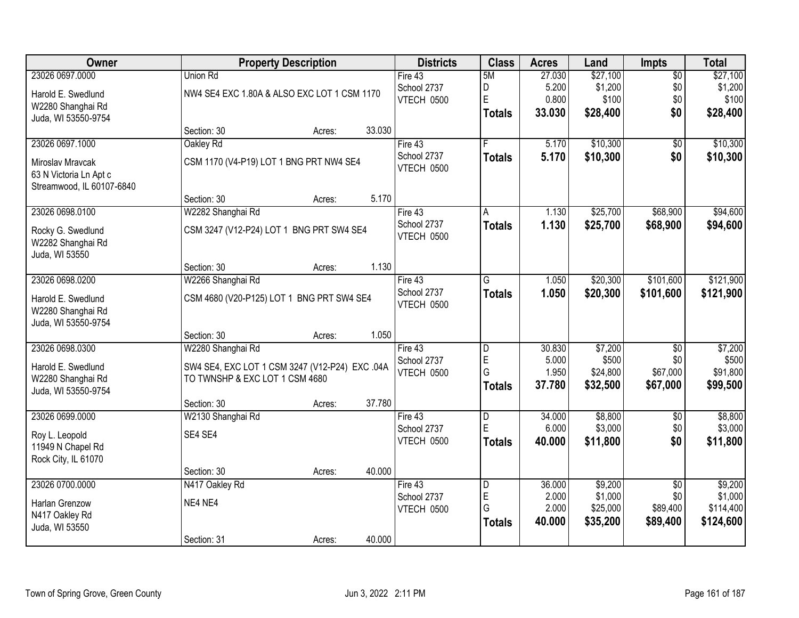| Owner                     |                                                | <b>Property Description</b> |        |             | <b>Class</b>  | <b>Acres</b> | Land     | <b>Impts</b>    | <b>Total</b> |
|---------------------------|------------------------------------------------|-----------------------------|--------|-------------|---------------|--------------|----------|-----------------|--------------|
| 23026 0697.0000           | Union Rd                                       |                             |        | Fire 43     | 5M            | 27.030       | \$27,100 | $\overline{50}$ | \$27,100     |
| Harold E. Swedlund        | NW4 SE4 EXC 1.80A & ALSO EXC LOT 1 CSM 1170    |                             |        | School 2737 | D             | 5.200        | \$1,200  | \$0             | \$1,200      |
| W2280 Shanghai Rd         |                                                |                             |        | VTECH 0500  | E             | 0.800        | \$100    | \$0             | \$100        |
| Juda, WI 53550-9754       |                                                |                             |        |             | <b>Totals</b> | 33.030       | \$28,400 | \$0             | \$28,400     |
|                           | Section: 30                                    | Acres:                      | 33.030 |             |               |              |          |                 |              |
| 23026 0697.1000           | Oakley Rd                                      |                             |        | Fire 43     | F             | 5.170        | \$10,300 | $\overline{50}$ | \$10,300     |
| Miroslav Mravcak          | CSM 1170 (V4-P19) LOT 1 BNG PRT NW4 SE4        |                             |        | School 2737 | <b>Totals</b> | 5.170        | \$10,300 | \$0             | \$10,300     |
| 63 N Victoria Ln Apt c    |                                                |                             |        | VTECH 0500  |               |              |          |                 |              |
| Streamwood, IL 60107-6840 |                                                |                             |        |             |               |              |          |                 |              |
|                           | Section: 30                                    | Acres:                      | 5.170  |             |               |              |          |                 |              |
| 23026 0698.0100           | W2282 Shanghai Rd                              |                             |        | Fire 43     | А             | 1.130        | \$25,700 | \$68,900        | \$94,600     |
| Rocky G. Swedlund         | CSM 3247 (V12-P24) LOT 1 BNG PRT SW4 SE4       |                             |        | School 2737 | <b>Totals</b> | 1.130        | \$25,700 | \$68,900        | \$94,600     |
| W2282 Shanghai Rd         |                                                |                             |        | VTECH 0500  |               |              |          |                 |              |
| Juda, WI 53550            |                                                |                             |        |             |               |              |          |                 |              |
|                           | Section: 30                                    | Acres:                      | 1.130  |             |               |              |          |                 |              |
| 23026 0698.0200           | W2266 Shanghai Rd                              |                             |        | Fire 43     | G             | 1.050        | \$20,300 | \$101,600       | \$121,900    |
| Harold E. Swedlund        | CSM 4680 (V20-P125) LOT 1 BNG PRT SW4 SE4      |                             |        | School 2737 | <b>Totals</b> | 1.050        | \$20,300 | \$101,600       | \$121,900    |
| W2280 Shanghai Rd         |                                                |                             |        | VTECH 0500  |               |              |          |                 |              |
| Juda, WI 53550-9754       |                                                |                             |        |             |               |              |          |                 |              |
|                           | Section: 30                                    | Acres:                      | 1.050  |             |               |              |          |                 |              |
| 23026 0698.0300           | W2280 Shanghai Rd                              |                             |        | Fire 43     | D             | 30.830       | \$7,200  | $\overline{50}$ | \$7,200      |
| Harold E. Swedlund        | SW4 SE4, EXC LOT 1 CSM 3247 (V12-P24) EXC .04A |                             |        | School 2737 | E             | 5.000        | \$500    | \$0             | \$500        |
| W2280 Shanghai Rd         | TO TWNSHP & EXC LOT 1 CSM 4680                 |                             |        | VTECH 0500  | G             | 1.950        | \$24,800 | \$67,000        | \$91,800     |
| Juda, WI 53550-9754       |                                                |                             |        |             | <b>Totals</b> | 37.780       | \$32,500 | \$67,000        | \$99,500     |
|                           | Section: 30                                    | Acres:                      | 37.780 |             |               |              |          |                 |              |
| 23026 0699.0000           | W2130 Shanghai Rd                              |                             |        | Fire 43     | D             | 34.000       | \$8,800  | $\sqrt{6}$      | \$8,800      |
| Roy L. Leopold            | SE4 SE4                                        |                             |        | School 2737 | E             | 6.000        | \$3,000  | \$0             | \$3,000      |
| 11949 N Chapel Rd         |                                                |                             |        | VTECH 0500  | <b>Totals</b> | 40.000       | \$11,800 | \$0             | \$11,800     |
| Rock City, IL 61070       |                                                |                             |        |             |               |              |          |                 |              |
|                           | Section: 30                                    | Acres:                      | 40.000 |             |               |              |          |                 |              |
| 23026 0700.0000           | N417 Oakley Rd                                 |                             |        | Fire 43     | D             | 36.000       | \$9,200  | $\overline{50}$ | \$9,200      |
| Harlan Grenzow            | NE4 NE4                                        |                             |        | School 2737 | E             | 2.000        | \$1,000  | \$0             | \$1,000      |
| N417 Oakley Rd            |                                                |                             |        | VTECH 0500  | G             | 2.000        | \$25,000 | \$89,400        | \$114,400    |
| Juda, WI 53550            |                                                |                             |        |             | <b>Totals</b> | 40.000       | \$35,200 | \$89,400        | \$124,600    |
|                           | Section: 31                                    | Acres:                      | 40.000 |             |               |              |          |                 |              |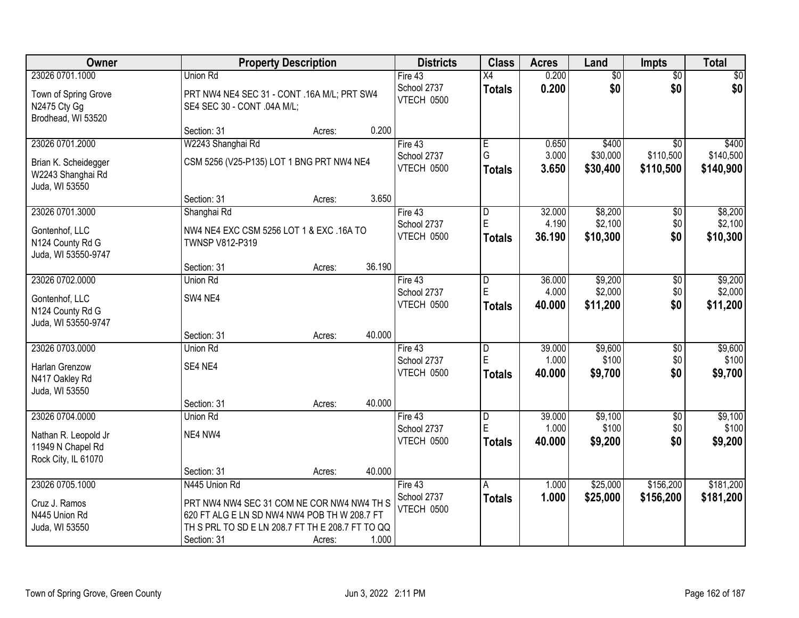| Owner                                                                               |                                                                                                                                                                                | <b>Property Description</b> |        | <b>Districts</b>                       | <b>Class</b>                         | <b>Acres</b>              | Land                           | <b>Impts</b>                  | <b>Total</b>                   |
|-------------------------------------------------------------------------------------|--------------------------------------------------------------------------------------------------------------------------------------------------------------------------------|-----------------------------|--------|----------------------------------------|--------------------------------------|---------------------------|--------------------------------|-------------------------------|--------------------------------|
| 23026 0701.1000                                                                     | Union Rd                                                                                                                                                                       |                             |        | Fire 43                                | X4                                   | 0.200                     | $\overline{50}$                | $\overline{50}$               | $\sqrt{50}$                    |
| Town of Spring Grove<br>N2475 Cty Gg<br>Brodhead, WI 53520                          | PRT NW4 NE4 SEC 31 - CONT .16A M/L; PRT SW4<br>SE4 SEC 30 - CONT .04A M/L;                                                                                                     |                             |        | School 2737<br>VTECH 0500              | <b>Totals</b>                        | 0.200                     | \$0                            | \$0                           | \$0                            |
|                                                                                     | Section: 31                                                                                                                                                                    | Acres:                      | 0.200  |                                        |                                      |                           |                                |                               |                                |
| 23026 0701.2000                                                                     | W2243 Shanghai Rd                                                                                                                                                              |                             |        | Fire 43                                | $\overline{E}$                       | 0.650                     | \$400                          | \$0                           | \$400                          |
| Brian K. Scheidegger<br>W2243 Shanghai Rd<br>Juda, WI 53550                         | CSM 5256 (V25-P135) LOT 1 BNG PRT NW4 NE4                                                                                                                                      |                             |        | School 2737<br>VTECH 0500              | G<br>Totals                          | 3.000<br>3.650            | \$30,000<br>\$30,400           | \$110,500<br>\$110,500        | \$140,500<br>\$140,900         |
|                                                                                     | Section: 31                                                                                                                                                                    | Acres:                      | 3.650  |                                        |                                      |                           |                                |                               |                                |
| 23026 0701.3000<br>Gontenhof, LLC<br>N124 County Rd G<br>Juda, WI 53550-9747        | Shanghai Rd<br>NW4 NE4 EXC CSM 5256 LOT 1 & EXC .16A TO<br>TWNSP V812-P319                                                                                                     |                             |        | Fire 43<br>School 2737<br>VTECH 0500   | ID.<br>E<br><b>Totals</b>            | 32.000<br>4.190<br>36.190 | \$8,200<br>\$2,100<br>\$10,300 | $\sqrt[6]{3}$<br>\$0<br>\$0   | \$8,200<br>\$2,100<br>\$10,300 |
|                                                                                     | Section: 31                                                                                                                                                                    | Acres:                      | 36.190 |                                        |                                      |                           |                                |                               |                                |
| 23026 0702.0000<br>Gontenhof, LLC<br>N124 County Rd G<br>Juda, WI 53550-9747        | Union Rd<br>SW4 NE4                                                                                                                                                            |                             |        | Fire 43<br>School 2737<br>VTECH 0500   | $\overline{D}$<br>E<br><b>Totals</b> | 36.000<br>4.000<br>40.000 | \$9,200<br>\$2,000<br>\$11,200 | \$0<br>\$0<br>\$0             | \$9,200<br>\$2,000<br>\$11,200 |
|                                                                                     | Section: 31                                                                                                                                                                    | Acres:                      | 40.000 |                                        |                                      |                           |                                |                               |                                |
| 23026 0703.0000<br>Harlan Grenzow<br>N417 Oakley Rd<br>Juda, WI 53550               | Union Rd<br>SE4 NE4                                                                                                                                                            |                             |        | Fire $43$<br>School 2737<br>VTECH 0500 | D<br>E<br>Totals                     | 39.000<br>1.000<br>40.000 | \$9,600<br>\$100<br>\$9,700    | \$0<br>\$0<br>\$0             | \$9,600<br>\$100<br>\$9,700    |
|                                                                                     | Section: 31                                                                                                                                                                    | Acres:                      | 40.000 |                                        |                                      |                           |                                |                               |                                |
| 23026 0704.0000<br>Nathan R. Leopold Jr<br>11949 N Chapel Rd<br>Rock City, IL 61070 | <b>Union Rd</b><br>NE4 NW4                                                                                                                                                     |                             |        | Fire 43<br>School 2737<br>VTECH 0500   | D<br>E<br><b>Totals</b>              | 39.000<br>1.000<br>40.000 | \$9,100<br>\$100<br>\$9,200    | $\overline{$0}$<br>\$0<br>\$0 | \$9,100<br>\$100<br>\$9,200    |
|                                                                                     | Section: 31                                                                                                                                                                    | Acres:                      | 40.000 |                                        |                                      |                           |                                |                               |                                |
| 23026 0705.1000<br>Cruz J. Ramos<br>N445 Union Rd<br>Juda, WI 53550                 | N445 Union Rd<br>PRT NW4 NW4 SEC 31 COM NE COR NW4 NW4 TH S<br>620 FT ALG E LN SD NW4 NW4 POB TH W 208.7 FT<br>TH S PRL TO SD E LN 208.7 FT TH E 208.7 FT TO QQ<br>Section: 31 | Acres:                      | 1.000  | Fire 43<br>School 2737<br>VTECH 0500   | A<br><b>Totals</b>                   | 1.000<br>1.000            | \$25,000<br>\$25,000           | \$156,200<br>\$156,200        | \$181,200<br>\$181,200         |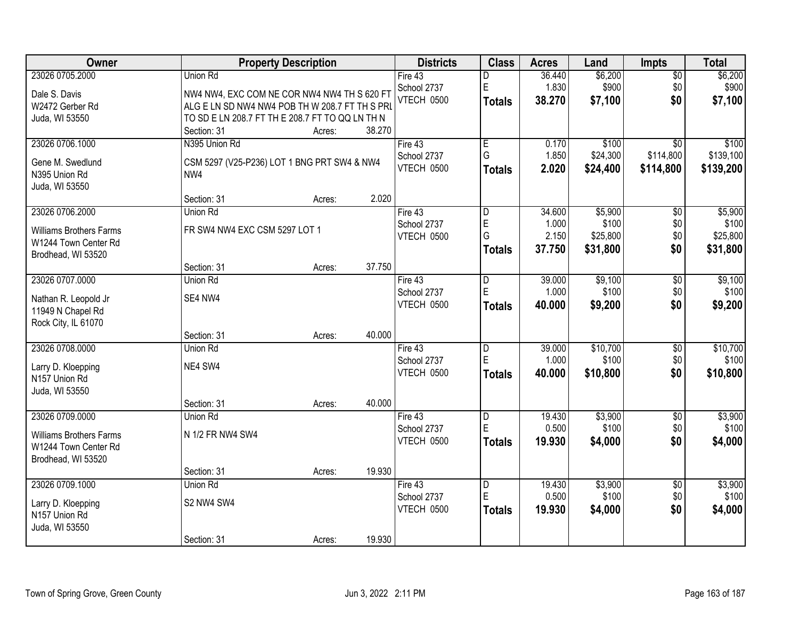| Owner                          |                                                 | <b>Property Description</b> |        | <b>Districts</b> | <b>Class</b>  | <b>Acres</b> | Land     | Impts           | <b>Total</b> |
|--------------------------------|-------------------------------------------------|-----------------------------|--------|------------------|---------------|--------------|----------|-----------------|--------------|
| 23026 0705.2000                | Union Rd                                        |                             |        | Fire 43          |               | 36.440       | \$6,200  | $\overline{50}$ | \$6,200      |
| Dale S. Davis                  | NW4 NW4, EXC COM NE COR NW4 NW4 TH S 620 FT     |                             |        | School 2737      | E             | 1.830        | \$900    | \$0             | \$900        |
| W2472 Gerber Rd                | ALG E LN SD NW4 NW4 POB TH W 208.7 FT TH S PRL  |                             |        | VTECH 0500       | <b>Totals</b> | 38.270       | \$7,100  | \$0             | \$7,100      |
| Juda, WI 53550                 | TO SD E LN 208.7 FT TH E 208.7 FT TO QQ LN TH N |                             |        |                  |               |              |          |                 |              |
|                                | Section: 31                                     | Acres:                      | 38.270 |                  |               |              |          |                 |              |
| 23026 0706.1000                | N395 Union Rd                                   |                             |        | Fire 43          | E             | 0.170        | \$100    | $\overline{30}$ | \$100        |
| Gene M. Swedlund               | CSM 5297 (V25-P236) LOT 1 BNG PRT SW4 & NW4     |                             |        | School 2737      | G             | 1.850        | \$24,300 | \$114,800       | \$139,100    |
| N395 Union Rd                  | NW4                                             |                             |        | VTECH 0500       | <b>Totals</b> | 2.020        | \$24,400 | \$114,800       | \$139,200    |
| Juda, WI 53550                 |                                                 |                             |        |                  |               |              |          |                 |              |
|                                | Section: 31                                     | Acres:                      | 2.020  |                  |               |              |          |                 |              |
| 23026 0706.2000                | Union Rd                                        |                             |        | Fire 43          | D             | 34.600       | \$5,900  | $\overline{50}$ | \$5,900      |
| <b>Williams Brothers Farms</b> | FR SW4 NW4 EXC CSM 5297 LOT 1                   |                             |        | School 2737      | E             | 1.000        | \$100    | \$0             | \$100        |
| W1244 Town Center Rd           |                                                 |                             |        | VTECH 0500       | G             | 2.150        | \$25,800 | \$0             | \$25,800     |
| Brodhead, WI 53520             |                                                 |                             |        |                  | <b>Totals</b> | 37.750       | \$31,800 | \$0             | \$31,800     |
|                                | Section: 31                                     | Acres:                      | 37.750 |                  |               |              |          |                 |              |
| 23026 0707.0000                | Union Rd                                        |                             |        | Fire 43          | D             | 39.000       | \$9,100  | \$0             | \$9,100      |
| Nathan R. Leopold Jr           | SE4 NW4                                         |                             |        | School 2737      | E             | 1.000        | \$100    | \$0             | \$100        |
| 11949 N Chapel Rd              |                                                 |                             |        | VTECH 0500       | <b>Totals</b> | 40.000       | \$9,200  | \$0             | \$9,200      |
| Rock City, IL 61070            |                                                 |                             |        |                  |               |              |          |                 |              |
|                                | Section: 31                                     | Acres:                      | 40.000 |                  |               |              |          |                 |              |
| 23026 0708.0000                | Union Rd                                        |                             |        | Fire $43$        | D             | 39.000       | \$10,700 | $\overline{50}$ | \$10,700     |
| Larry D. Kloepping             | NE4 SW4                                         |                             |        | School 2737      | E             | 1.000        | \$100    | \$0             | \$100        |
| N157 Union Rd                  |                                                 |                             |        | VTECH 0500       | <b>Totals</b> | 40.000       | \$10,800 | \$0             | \$10,800     |
| Juda, WI 53550                 |                                                 |                             |        |                  |               |              |          |                 |              |
|                                | Section: 31                                     | Acres:                      | 40.000 |                  |               |              |          |                 |              |
| 23026 0709.0000                | Union Rd                                        |                             |        | Fire 43          | D             | 19.430       | \$3,900  | $\overline{60}$ | \$3,900      |
| <b>Williams Brothers Farms</b> | N 1/2 FR NW4 SW4                                |                             |        | School 2737      | E             | 0.500        | \$100    | \$0             | \$100        |
| W1244 Town Center Rd           |                                                 |                             |        | VTECH 0500       | <b>Totals</b> | 19.930       | \$4,000  | \$0             | \$4,000      |
| Brodhead, WI 53520             |                                                 |                             |        |                  |               |              |          |                 |              |
|                                | Section: 31                                     | Acres:                      | 19.930 |                  |               |              |          |                 |              |
| 23026 0709.1000                | Union Rd                                        |                             |        | Fire $43$        | D             | 19.430       | \$3,900  | $\overline{50}$ | \$3,900      |
| Larry D. Kloepping             | S2 NW4 SW4                                      |                             |        | School 2737      | E             | 0.500        | \$100    | \$0             | \$100        |
| N157 Union Rd                  |                                                 |                             |        | VTECH 0500       | <b>Totals</b> | 19.930       | \$4,000  | \$0             | \$4,000      |
| Juda, WI 53550                 |                                                 |                             |        |                  |               |              |          |                 |              |
|                                | Section: 31                                     | Acres:                      | 19.930 |                  |               |              |          |                 |              |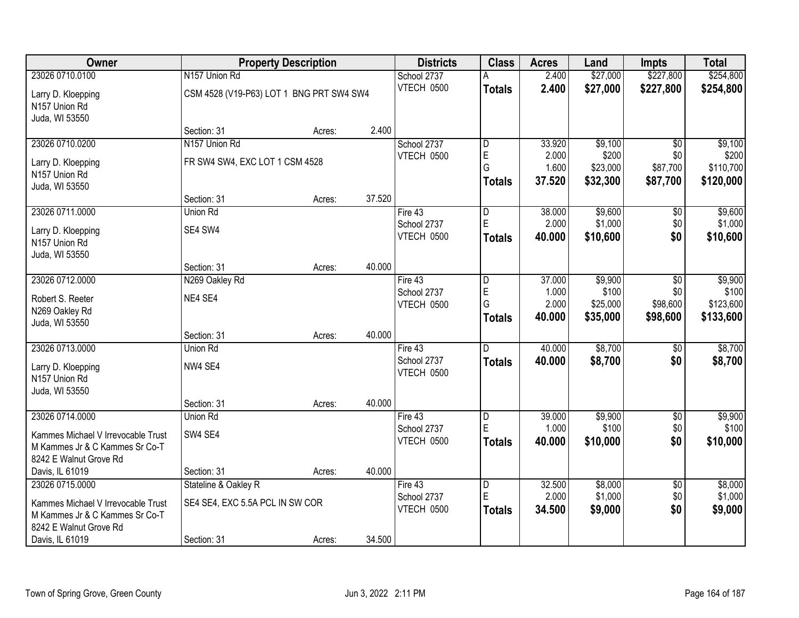| Owner                              |                                          | <b>Property Description</b> |        | <b>Districts</b>                 | <b>Class</b>   | <b>Acres</b> | Land     | <b>Impts</b>    | <b>Total</b> |
|------------------------------------|------------------------------------------|-----------------------------|--------|----------------------------------|----------------|--------------|----------|-----------------|--------------|
| 23026 0710.0100                    | N157 Union Rd                            |                             |        | School 2737                      | A              | 2.400        | \$27,000 | \$227,800       | \$254,800    |
| Larry D. Kloepping                 | CSM 4528 (V19-P63) LOT 1 BNG PRT SW4 SW4 |                             |        | VTECH 0500                       | <b>Totals</b>  | 2.400        | \$27,000 | \$227,800       | \$254,800    |
| N157 Union Rd                      |                                          |                             |        |                                  |                |              |          |                 |              |
| Juda, WI 53550                     |                                          |                             |        |                                  |                |              |          |                 |              |
|                                    | Section: 31                              | Acres:                      | 2.400  |                                  |                |              |          |                 |              |
| 23026 0710.0200                    | N157 Union Rd                            |                             |        | School 2737                      | $\overline{D}$ | 33.920       | \$9,100  | \$0             | \$9,100      |
| Larry D. Kloepping                 | FR SW4 SW4, EXC LOT 1 CSM 4528           |                             |        | VTECH 0500                       | $\mathsf E$    | 2.000        | \$200    | \$0             | \$200        |
| N157 Union Rd                      |                                          |                             |        |                                  | G              | 1.600        | \$23,000 | \$87,700        | \$110,700    |
| Juda, WI 53550                     |                                          |                             |        |                                  | <b>Totals</b>  | 37.520       | \$32,300 | \$87,700        | \$120,000    |
|                                    | Section: 31                              | Acres:                      | 37.520 |                                  |                |              |          |                 |              |
| 23026 0711.0000                    | Union Rd                                 |                             |        | Fire 43                          | D              | 38.000       | \$9,600  | \$0             | \$9,600      |
| Larry D. Kloepping                 | SE4 SW4                                  |                             |        | School 2737                      | E              | 2.000        | \$1,000  | \$0             | \$1,000      |
| N157 Union Rd                      |                                          |                             |        | VTECH 0500                       | <b>Totals</b>  | 40.000       | \$10,600 | \$0             | \$10,600     |
| Juda, WI 53550                     |                                          |                             |        |                                  |                |              |          |                 |              |
|                                    | Section: 31                              | Acres:                      | 40.000 |                                  |                |              |          |                 |              |
| 23026 0712.0000                    | N269 Oakley Rd                           |                             |        | Fire 43                          | l D            | 37.000       | \$9,900  | $\sqrt[6]{3}$   | \$9,900      |
| Robert S. Reeter                   | NE4 SE4                                  |                             |        | School 2737                      | E              | 1.000        | \$100    | \$0             | \$100        |
| N269 Oakley Rd                     |                                          |                             |        | VTECH 0500                       | G              | 2.000        | \$25,000 | \$98,600        | \$123,600    |
| Juda, WI 53550                     |                                          |                             |        |                                  | <b>Totals</b>  | 40.000       | \$35,000 | \$98,600        | \$133,600    |
|                                    | Section: 31                              | Acres:                      | 40.000 |                                  |                |              |          |                 |              |
| 23026 0713.0000                    | Union Rd                                 |                             |        | Fire 43                          | $\overline{D}$ | 40.000       | \$8,700  | \$0             | \$8,700      |
| Larry D. Kloepping                 | NW4 SE4                                  |                             |        | School 2737                      | <b>Totals</b>  | 40.000       | \$8,700  | \$0             | \$8,700      |
| N157 Union Rd                      |                                          |                             |        | VTECH 0500                       |                |              |          |                 |              |
| Juda, WI 53550                     |                                          |                             |        |                                  |                |              |          |                 |              |
|                                    | Section: 31                              | Acres:                      | 40.000 |                                  |                |              |          |                 |              |
| 23026 0714.0000                    | Union Rd                                 |                             |        | Fire 43                          | $\overline{D}$ | 39.000       | \$9,900  | $\sqrt{6}$      | \$9,900      |
| Kammes Michael V Irrevocable Trust | SW4 SE4                                  |                             |        | School 2737<br><b>VTECH 0500</b> | E              | 1.000        | \$100    | \$0             | \$100        |
| M Kammes Jr & C Kammes Sr Co-T     |                                          |                             |        |                                  | <b>Totals</b>  | 40.000       | \$10,000 | \$0             | \$10,000     |
| 8242 E Walnut Grove Rd             |                                          |                             |        |                                  |                |              |          |                 |              |
| Davis, IL 61019                    | Section: 31                              | Acres:                      | 40.000 |                                  |                |              |          |                 |              |
| 23026 0715.0000                    | Stateline & Oakley R                     |                             |        | Fire 43                          | D              | 32.500       | \$8,000  | $\overline{60}$ | \$8,000      |
| Kammes Michael V Irrevocable Trust | SE4 SE4, EXC 5.5A PCL IN SW COR          |                             |        | School 2737                      | ΙE             | 2.000        | \$1,000  | \$0             | \$1,000      |
| M Kammes Jr & C Kammes Sr Co-T     |                                          |                             |        | VTECH 0500                       | <b>Totals</b>  | 34.500       | \$9,000  | \$0             | \$9,000      |
| 8242 E Walnut Grove Rd             |                                          |                             |        |                                  |                |              |          |                 |              |
| Davis, IL 61019                    | Section: 31                              | Acres:                      | 34.500 |                                  |                |              |          |                 |              |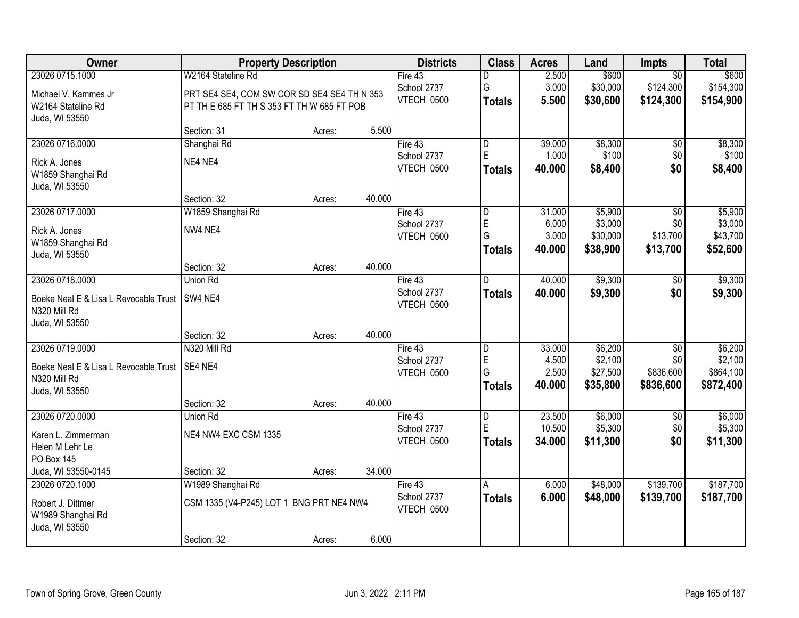| Owner                                 | <b>Property Description</b>                 |        |        | <b>Districts</b>  | <b>Class</b>            | <b>Acres</b> | Land     | <b>Impts</b>    | <b>Total</b> |
|---------------------------------------|---------------------------------------------|--------|--------|-------------------|-------------------------|--------------|----------|-----------------|--------------|
| 23026 0715.1000                       | W2164 Stateline Rd                          |        |        | Fire 43           | D                       | 2.500        | \$600    | $\overline{50}$ | \$600        |
| Michael V. Kammes Jr                  | PRT SE4 SE4, COM SW COR SD SE4 SE4 TH N 353 |        |        | School 2737       | G                       | 3.000        | \$30,000 | \$124,300       | \$154,300    |
| W2164 Stateline Rd                    | PT TH E 685 FT TH S 353 FT TH W 685 FT POB  |        |        | VTECH 0500        | <b>Totals</b>           | 5.500        | \$30,600 | \$124,300       | \$154,900    |
| Juda, WI 53550                        |                                             |        |        |                   |                         |              |          |                 |              |
|                                       | Section: 31                                 | Acres: | 5.500  |                   |                         |              |          |                 |              |
| 23026 0716.0000                       | Shanghai Rd                                 |        |        | Fire $43$         | $\overline{\mathsf{D}}$ | 39.000       | \$8,300  | \$0             | \$8,300      |
| Rick A. Jones                         | NE4 NE4                                     |        |        | School 2737       | E                       | 1.000        | \$100    | \$0             | \$100        |
| W1859 Shanghai Rd                     |                                             |        |        | VTECH 0500        | <b>Totals</b>           | 40.000       | \$8,400  | \$0             | \$8,400      |
| Juda, WI 53550                        |                                             |        |        |                   |                         |              |          |                 |              |
|                                       | Section: 32                                 | Acres: | 40.000 |                   |                         |              |          |                 |              |
| 23026 0717.0000                       | W1859 Shanghai Rd                           |        |        | Fire 43           | $\overline{D}$          | 31.000       | \$5,900  | $\overline{50}$ | \$5,900      |
| Rick A. Jones                         | NW4 NE4                                     |        |        | School 2737       | E                       | 6.000        | \$3,000  | \$0             | \$3,000      |
| W1859 Shanghai Rd                     |                                             |        |        | <b>VTECH 0500</b> | G                       | 3.000        | \$30,000 | \$13,700        | \$43,700     |
| Juda, WI 53550                        |                                             |        |        |                   | Totals                  | 40.000       | \$38,900 | \$13,700        | \$52,600     |
|                                       | Section: 32                                 | Acres: | 40.000 |                   |                         |              |          |                 |              |
| 23026 0718.0000                       | Union Rd                                    |        |        | Fire $43$         | D                       | 40.000       | \$9,300  | \$0             | \$9,300      |
| Boeke Neal E & Lisa L Revocable Trust | SW4 NE4                                     |        |        | School 2737       | <b>Totals</b>           | 40.000       | \$9,300  | \$0             | \$9,300      |
| N320 Mill Rd                          |                                             |        |        | VTECH 0500        |                         |              |          |                 |              |
| Juda, WI 53550                        |                                             |        |        |                   |                         |              |          |                 |              |
|                                       | Section: 32                                 | Acres: | 40.000 |                   |                         |              |          |                 |              |
| 23026 0719.0000                       | N320 Mill Rd                                |        |        | Fire 43           | D                       | 33.000       | \$6,200  | $\overline{30}$ | \$6,200      |
| Boeke Neal E & Lisa L Revocable Trust | SE4 NE4                                     |        |        | School 2737       | $\mathsf E$             | 4.500        | \$2,100  | \$0             | \$2,100      |
| N320 Mill Rd                          |                                             |        |        | VTECH 0500        | G                       | 2.500        | \$27,500 | \$836,600       | \$864,100    |
| Juda, WI 53550                        |                                             |        |        |                   | <b>Totals</b>           | 40.000       | \$35,800 | \$836,600       | \$872,400    |
|                                       | Section: 32                                 | Acres: | 40.000 |                   |                         |              |          |                 |              |
| 23026 0720.0000                       | <b>Union Rd</b>                             |        |        | Fire 43           | D                       | 23.500       | \$6,000  | \$0             | \$6,000      |
| Karen L. Zimmerman                    | NE4 NW4 EXC CSM 1335                        |        |        | School 2737       | $\mathsf E$             | 10.500       | \$5,300  | \$0             | \$5,300      |
| Helen M Lehr Le                       |                                             |        |        | VTECH 0500        | <b>Totals</b>           | 34.000       | \$11,300 | \$0             | \$11,300     |
| <b>PO Box 145</b>                     |                                             |        |        |                   |                         |              |          |                 |              |
| Juda, WI 53550-0145                   | Section: 32                                 | Acres: | 34.000 |                   |                         |              |          |                 |              |
| 23026 0720.1000                       | W1989 Shanghai Rd                           |        |        | Fire 43           | A                       | 6.000        | \$48,000 | \$139,700       | \$187,700    |
| Robert J. Dittmer                     | CSM 1335 (V4-P245) LOT 1 BNG PRT NE4 NW4    |        |        | School 2737       | Totals                  | 6.000        | \$48,000 | \$139,700       | \$187,700    |
| W1989 Shanghai Rd                     |                                             |        |        | VTECH 0500        |                         |              |          |                 |              |
| Juda, WI 53550                        |                                             |        |        |                   |                         |              |          |                 |              |
|                                       | Section: 32                                 | Acres: | 6.000  |                   |                         |              |          |                 |              |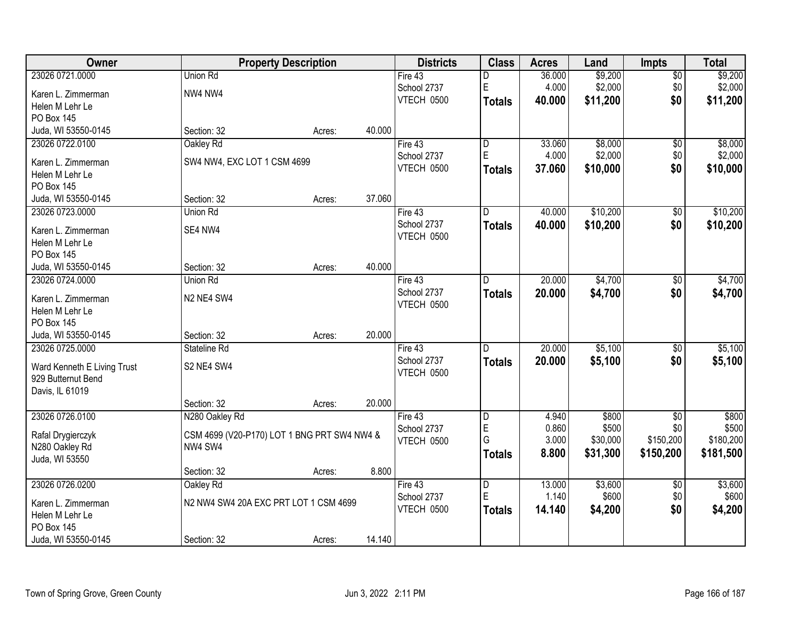| Owner                                 |                             | <b>Property Description</b>                 |        | <b>Districts</b> | <b>Class</b>  | <b>Acres</b> | Land     | <b>Impts</b>    | <b>Total</b> |
|---------------------------------------|-----------------------------|---------------------------------------------|--------|------------------|---------------|--------------|----------|-----------------|--------------|
| 23026 0721.0000                       | Union Rd                    |                                             |        | Fire 43          | D             | 36.000       | \$9,200  | $\sqrt{$0}$     | \$9,200      |
| Karen L. Zimmerman                    | NW4 NW4                     |                                             |        | School 2737      | E             | 4.000        | \$2,000  | \$0             | \$2,000      |
| Helen M Lehr Le                       |                             |                                             |        | VTECH 0500       | Totals        | 40.000       | \$11,200 | \$0             | \$11,200     |
| PO Box 145                            |                             |                                             |        |                  |               |              |          |                 |              |
| Juda, WI 53550-0145                   | Section: 32                 | Acres:                                      | 40.000 |                  |               |              |          |                 |              |
| 23026 0722.0100                       | Oakley Rd                   |                                             |        | Fire $43$        | l D           | 33.060       | \$8,000  | $\overline{50}$ | \$8,000      |
| Karen L. Zimmerman                    | SW4 NW4, EXC LOT 1 CSM 4699 |                                             |        | School 2737      | $\mathsf E$   | 4.000        | \$2,000  | \$0             | \$2,000      |
| Helen M Lehr Le                       |                             |                                             |        | VTECH 0500       | <b>Totals</b> | 37.060       | \$10,000 | \$0             | \$10,000     |
| PO Box 145                            |                             |                                             |        |                  |               |              |          |                 |              |
| Juda, WI 53550-0145                   | Section: 32                 | Acres:                                      | 37.060 |                  |               |              |          |                 |              |
| 23026 0723.0000                       | Union Rd                    |                                             |        | Fire 43          | D             | 40.000       | \$10,200 | \$0             | \$10,200     |
|                                       |                             |                                             |        | School 2737      | <b>Totals</b> | 40.000       | \$10,200 | \$0             | \$10,200     |
| Karen L. Zimmerman<br>Helen M Lehr Le | SE4 NW4                     |                                             |        | VTECH 0500       |               |              |          |                 |              |
| <b>PO Box 145</b>                     |                             |                                             |        |                  |               |              |          |                 |              |
| Juda, WI 53550-0145                   | Section: 32                 | Acres:                                      | 40.000 |                  |               |              |          |                 |              |
| 23026 0724.0000                       | Union Rd                    |                                             |        | Fire 43          | D             | 20.000       | \$4,700  | $\sqrt[6]{3}$   | \$4,700      |
|                                       |                             |                                             |        | School 2737      | <b>Totals</b> | 20.000       | \$4,700  | \$0             | \$4,700      |
| Karen L. Zimmerman                    | N2 NE4 SW4                  |                                             |        | VTECH 0500       |               |              |          |                 |              |
| Helen M Lehr Le                       |                             |                                             |        |                  |               |              |          |                 |              |
| PO Box 145                            |                             |                                             |        |                  |               |              |          |                 |              |
| Juda, WI 53550-0145                   | Section: 32                 | Acres:                                      | 20.000 |                  |               |              |          |                 |              |
| 23026 0725.0000                       | Stateline Rd                |                                             |        | Fire 43          | D             | 20.000       | \$5,100  | \$0             | \$5,100      |
| Ward Kenneth E Living Trust           | S2 NE4 SW4                  |                                             |        | School 2737      | <b>Totals</b> | 20,000       | \$5,100  | \$0             | \$5,100      |
| 929 Butternut Bend                    |                             |                                             |        | VTECH 0500       |               |              |          |                 |              |
| Davis, IL 61019                       |                             |                                             |        |                  |               |              |          |                 |              |
|                                       | Section: 32                 | Acres:                                      | 20.000 |                  |               |              |          |                 |              |
| 23026 0726.0100                       | N280 Oakley Rd              |                                             |        | Fire 43          | D             | 4.940        | \$800    | $\overline{50}$ | \$800        |
| Rafal Drygierczyk                     |                             | CSM 4699 (V20-P170) LOT 1 BNG PRT SW4 NW4 & |        | School 2737      | $\mathsf E$   | 0.860        | \$500    | \$0             | \$500        |
| N280 Oakley Rd                        | NW4 SW4                     |                                             |        | VTECH 0500       | G             | 3.000        | \$30,000 | \$150,200       | \$180,200    |
| Juda, WI 53550                        |                             |                                             |        |                  | <b>Totals</b> | 8.800        | \$31,300 | \$150,200       | \$181,500    |
|                                       | Section: 32                 | Acres:                                      | 8.800  |                  |               |              |          |                 |              |
| 23026 0726.0200                       | Oakley Rd                   |                                             |        | Fire 43          | D             | 13.000       | \$3,600  | $\overline{50}$ | \$3,600      |
| Karen L. Zimmerman                    |                             | N2 NW4 SW4 20A EXC PRT LOT 1 CSM 4699       |        | School 2737      | E             | 1.140        | \$600    | \$0             | \$600        |
| Helen M Lehr Le                       |                             |                                             |        | VTECH 0500       | <b>Totals</b> | 14.140       | \$4,200  | \$0             | \$4,200      |
| PO Box 145                            |                             |                                             |        |                  |               |              |          |                 |              |
| Juda, WI 53550-0145                   | Section: 32                 | Acres:                                      | 14.140 |                  |               |              |          |                 |              |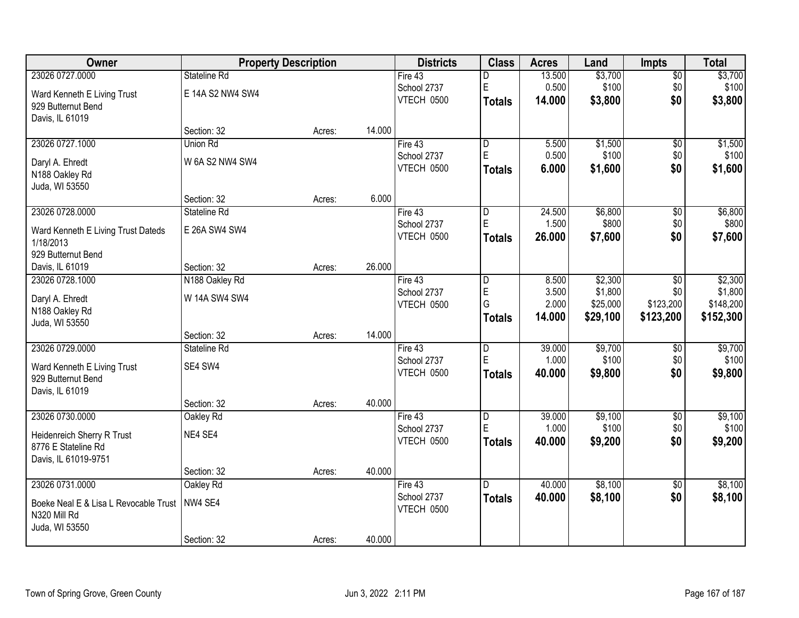| Owner                                 |                  | <b>Property Description</b> |        | <b>Districts</b>  | <b>Class</b>   | <b>Acres</b> | Land     | <b>Impts</b>    | <b>Total</b> |
|---------------------------------------|------------------|-----------------------------|--------|-------------------|----------------|--------------|----------|-----------------|--------------|
| 23026 0727.0000                       | Stateline Rd     |                             |        | Fire 43           | D              | 13.500       | \$3,700  | $\sqrt{$0}$     | \$3,700      |
| Ward Kenneth E Living Trust           | E 14A S2 NW4 SW4 |                             |        | School 2737       | E              | 0.500        | \$100    | \$0             | \$100        |
| 929 Butternut Bend                    |                  |                             |        | <b>VTECH 0500</b> | Totals         | 14.000       | \$3,800  | \$0             | \$3,800      |
| Davis, IL 61019                       |                  |                             |        |                   |                |              |          |                 |              |
|                                       | Section: 32      | Acres:                      | 14.000 |                   |                |              |          |                 |              |
| 23026 0727.1000                       | Union Rd         |                             |        | Fire $43$         | D              | 5.500        | \$1,500  | $\overline{50}$ | \$1,500      |
| Daryl A. Ehredt                       | W 6A S2 NW4 SW4  |                             |        | School 2737       | $\mathsf E$    | 0.500        | \$100    | \$0             | \$100        |
| N188 Oakley Rd                        |                  |                             |        | VTECH 0500        | Totals         | 6.000        | \$1,600  | \$0             | \$1,600      |
| Juda, WI 53550                        |                  |                             |        |                   |                |              |          |                 |              |
|                                       | Section: 32      | Acres:                      | 6.000  |                   |                |              |          |                 |              |
| 23026 0728.0000                       | Stateline Rd     |                             |        | Fire 43           | D              | 24.500       | \$6,800  | \$0             | \$6,800      |
| Ward Kenneth E Living Trust Dateds    | E 26A SW4 SW4    |                             |        | School 2737       | E              | 1.500        | \$800    | \$0             | \$800        |
| 1/18/2013                             |                  |                             |        | VTECH 0500        | <b>Totals</b>  | 26.000       | \$7,600  | \$0             | \$7,600      |
| 929 Butternut Bend                    |                  |                             |        |                   |                |              |          |                 |              |
| Davis, IL 61019                       | Section: 32      | Acres:                      | 26.000 |                   |                |              |          |                 |              |
| 23026 0728.1000                       | N188 Oakley Rd   |                             |        | Fire 43           | D              | 8.500        | \$2,300  | $\sqrt[6]{3}$   | \$2,300      |
| Daryl A. Ehredt                       | W 14A SW4 SW4    |                             |        | School 2737       | E              | 3.500        | \$1,800  | \$0             | \$1,800      |
| N188 Oakley Rd                        |                  |                             |        | VTECH 0500        | G              | 2.000        | \$25,000 | \$123,200       | \$148,200    |
| Juda, WI 53550                        |                  |                             |        |                   | <b>Totals</b>  | 14.000       | \$29,100 | \$123,200       | \$152,300    |
|                                       | Section: 32      | Acres:                      | 14.000 |                   |                |              |          |                 |              |
| 23026 0729.0000                       | Stateline Rd     |                             |        | Fire $43$         | $\overline{D}$ | 39.000       | \$9,700  | \$0             | \$9,700      |
| Ward Kenneth E Living Trust           | SE4 SW4          |                             |        | School 2737       | E              | 1.000        | \$100    | \$0             | \$100        |
| 929 Butternut Bend                    |                  |                             |        | VTECH 0500        | <b>Totals</b>  | 40.000       | \$9,800  | \$0             | \$9,800      |
| Davis, IL 61019                       |                  |                             |        |                   |                |              |          |                 |              |
|                                       | Section: 32      | Acres:                      | 40.000 |                   |                |              |          |                 |              |
| 23026 0730.0000                       | Oakley Rd        |                             |        | Fire 43           | D              | 39.000       | \$9,100  | $\overline{50}$ | \$9,100      |
| Heidenreich Sherry R Trust            | NE4 SE4          |                             |        | School 2737       | $\mathsf E$    | 1.000        | \$100    | \$0             | \$100        |
| 8776 E Stateline Rd                   |                  |                             |        | VTECH 0500        | Totals         | 40,000       | \$9,200  | \$0             | \$9,200      |
| Davis, IL 61019-9751                  |                  |                             |        |                   |                |              |          |                 |              |
|                                       | Section: 32      | Acres:                      | 40.000 |                   |                |              |          |                 |              |
| 23026 0731.0000                       | Oakley Rd        |                             |        | Fire $43$         | D.             | 40.000       | \$8,100  | $\overline{50}$ | \$8,100      |
| Boeke Neal E & Lisa L Revocable Trust | NW4 SE4          |                             |        | School 2737       | <b>Totals</b>  | 40.000       | \$8,100  | \$0             | \$8,100      |
| N320 Mill Rd                          |                  |                             |        | VTECH 0500        |                |              |          |                 |              |
| Juda, WI 53550                        |                  |                             |        |                   |                |              |          |                 |              |
|                                       | Section: 32      | Acres:                      | 40.000 |                   |                |              |          |                 |              |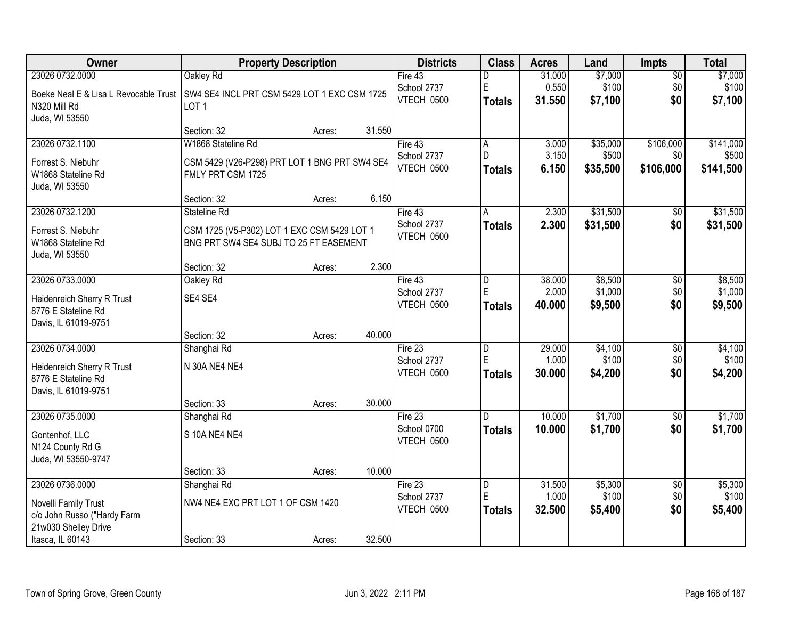| Owner                                 | <b>Property Description</b>                   |        |        | <b>Districts</b>          | <b>Class</b>        | <b>Acres</b>    | Land             | <b>Impts</b>           | <b>Total</b>     |
|---------------------------------------|-----------------------------------------------|--------|--------|---------------------------|---------------------|-----------------|------------------|------------------------|------------------|
| 23026 0732.0000                       | Oakley Rd                                     |        |        | Fire 43                   | D                   | 31.000          | \$7,000          | $\overline{50}$        | \$7,000          |
| Boeke Neal E & Lisa L Revocable Trust | SW4 SE4 INCL PRT CSM 5429 LOT 1 EXC CSM 1725  |        |        | School 2737               | $\mathsf E$         | 0.550           | \$100            | \$0                    | \$100            |
| N320 Mill Rd                          | LOT <sub>1</sub>                              |        |        | VTECH 0500                | <b>Totals</b>       | 31.550          | \$7,100          | \$0                    | \$7,100          |
| Juda, WI 53550                        |                                               |        |        |                           |                     |                 |                  |                        |                  |
|                                       | Section: 32                                   | Acres: | 31.550 |                           |                     |                 |                  |                        |                  |
| 23026 0732.1100                       | W1868 Stateline Rd                            |        |        | Fire 43                   | A                   | 3.000           | \$35,000         | \$106,000              | \$141,000        |
| Forrest S. Niebuhr                    | CSM 5429 (V26-P298) PRT LOT 1 BNG PRT SW4 SE4 |        |        | School 2737               | D.                  | 3.150           | \$500            | \$0                    | \$500            |
| W1868 Stateline Rd                    | FMLY PRT CSM 1725                             |        |        | VTECH 0500                | <b>Totals</b>       | 6.150           | \$35,500         | \$106,000              | \$141,500        |
| Juda, WI 53550                        |                                               |        |        |                           |                     |                 |                  |                        |                  |
|                                       | Section: 32                                   | Acres: | 6.150  |                           |                     |                 |                  |                        |                  |
| 23026 0732.1200                       | Stateline Rd                                  |        |        | Fire 43                   | A                   | 2.300           | \$31,500         | $\sqrt[6]{30}$         | \$31,500         |
| Forrest S. Niebuhr                    | CSM 1725 (V5-P302) LOT 1 EXC CSM 5429 LOT 1   |        |        | School 2737               | <b>Totals</b>       | 2.300           | \$31,500         | \$0                    | \$31,500         |
| W1868 Stateline Rd                    | BNG PRT SW4 SE4 SUBJ TO 25 FT EASEMENT        |        |        | VTECH 0500                |                     |                 |                  |                        |                  |
| Juda, WI 53550                        |                                               |        |        |                           |                     |                 |                  |                        |                  |
|                                       | Section: 32                                   | Acres: | 2.300  |                           |                     |                 |                  |                        |                  |
| 23026 0733.0000                       | Oakley Rd                                     |        |        | Fire 43                   | D                   | 38.000          | \$8,500          | \$0                    | \$8,500          |
| Heidenreich Sherry R Trust            | SE4 SE4                                       |        |        | School 2737               | E                   | 2.000           | \$1,000          | \$0                    | \$1,000          |
| 8776 E Stateline Rd                   |                                               |        |        | VTECH 0500                | <b>Totals</b>       | 40.000          | \$9,500          | \$0                    | \$9,500          |
| Davis, IL 61019-9751                  |                                               |        |        |                           |                     |                 |                  |                        |                  |
|                                       | Section: 32                                   | Acres: | 40.000 |                           |                     |                 |                  |                        |                  |
| 23026 0734.0000                       | Shanghai Rd                                   |        |        | Fire 23                   | $\overline{D}$<br>E | 29.000          | \$4,100          | \$0                    | \$4,100          |
| Heidenreich Sherry R Trust            | N 30A NE4 NE4                                 |        |        | School 2737<br>VTECH 0500 |                     | 1.000<br>30.000 | \$100            | \$0<br>\$0             | \$100            |
| 8776 E Stateline Rd                   |                                               |        |        |                           | <b>Totals</b>       |                 | \$4,200          |                        | \$4,200          |
| Davis, IL 61019-9751                  |                                               |        |        |                           |                     |                 |                  |                        |                  |
|                                       | Section: 33                                   | Acres: | 30.000 |                           |                     |                 |                  |                        |                  |
| 23026 0735.0000                       | Shanghai Rd                                   |        |        | Fire 23                   | D.                  | 10.000          | \$1,700          | $\overline{60}$        | \$1,700          |
| Gontenhof, LLC                        | S 10A NE4 NE4                                 |        |        | School 0700<br>VTECH 0500 | <b>Totals</b>       | 10.000          | \$1,700          | \$0                    | \$1,700          |
| N124 County Rd G                      |                                               |        |        |                           |                     |                 |                  |                        |                  |
| Juda, WI 53550-9747                   |                                               |        |        |                           |                     |                 |                  |                        |                  |
|                                       | Section: 33                                   | Acres: | 10.000 |                           |                     |                 |                  |                        |                  |
| 23026 0736.0000                       | Shanghai Rd                                   |        |        | Fire 23                   | D<br>E              | 31.500<br>1.000 | \$5,300<br>\$100 | $\overline{50}$<br>\$0 | \$5,300<br>\$100 |
| Novelli Family Trust                  | NW4 NE4 EXC PRT LOT 1 OF CSM 1420             |        |        | School 2737<br>VTECH 0500 |                     | 32.500          | \$5,400          | \$0                    | \$5,400          |
| c/o John Russo ("Hardy Farm           |                                               |        |        |                           | <b>Totals</b>       |                 |                  |                        |                  |
| 21w030 Shelley Drive                  |                                               |        |        |                           |                     |                 |                  |                        |                  |
| Itasca, IL 60143                      | Section: 33                                   | Acres: | 32.500 |                           |                     |                 |                  |                        |                  |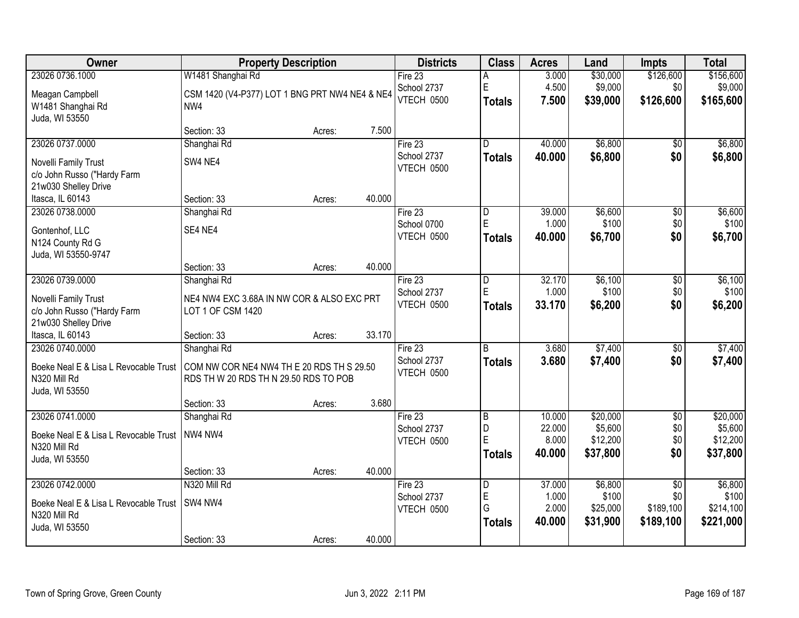| Owner                                 |                                                | <b>Property Description</b> |        | <b>Districts</b>  | <b>Class</b>            | <b>Acres</b>    | Land                 | <b>Impts</b>           | <b>Total</b> |
|---------------------------------------|------------------------------------------------|-----------------------------|--------|-------------------|-------------------------|-----------------|----------------------|------------------------|--------------|
| 23026 0736.1000                       | W1481 Shanghai Rd                              |                             |        | Fire $23$         | А                       | 3.000           | \$30,000             | \$126,600              | \$156,600    |
| Meagan Campbell                       | CSM 1420 (V4-P377) LOT 1 BNG PRT NW4 NE4 & NE4 |                             |        | School 2737       | E                       | 4.500           | \$9,000              | \$0                    | \$9,000      |
| W1481 Shanghai Rd                     | NW4                                            |                             |        | VTECH 0500        | <b>Totals</b>           | 7.500           | \$39,000             | \$126,600              | \$165,600    |
| Juda, WI 53550                        |                                                |                             |        |                   |                         |                 |                      |                        |              |
|                                       | Section: 33                                    | Acres:                      | 7.500  |                   |                         |                 |                      |                        |              |
| 23026 0737.0000                       | Shanghai Rd                                    |                             |        | Fire 23           | $\overline{\mathsf{D}}$ | 40.000          | \$6,800              | \$0                    | \$6,800      |
| Novelli Family Trust                  | SW4 NE4                                        |                             |        | School 2737       | <b>Totals</b>           | 40.000          | \$6,800              | \$0                    | \$6,800      |
| c/o John Russo ("Hardy Farm           |                                                |                             |        | VTECH 0500        |                         |                 |                      |                        |              |
| 21w030 Shelley Drive                  |                                                |                             |        |                   |                         |                 |                      |                        |              |
| Itasca, IL 60143                      | Section: 33                                    | Acres:                      | 40.000 |                   |                         |                 |                      |                        |              |
| 23026 0738.0000                       | Shanghai Rd                                    |                             |        | Fire 23           | $\overline{\mathsf{D}}$ | 39.000          | \$6,600              | $\overline{50}$        | \$6,600      |
| Gontenhof, LLC                        | SE4 NE4                                        |                             |        | School 0700       | E.                      | 1.000           | \$100                | \$0                    | \$100        |
| N124 County Rd G                      |                                                |                             |        | VTECH 0500        | <b>Totals</b>           | 40.000          | \$6,700              | \$0                    | \$6,700      |
| Juda, WI 53550-9747                   |                                                |                             |        |                   |                         |                 |                      |                        |              |
|                                       | Section: 33                                    | Acres:                      | 40.000 |                   |                         |                 |                      |                        |              |
| 23026 0739.0000                       | Shanghai Rd                                    |                             |        | Fire 23           | D                       | 32.170          | \$6,100              | \$0                    | \$6,100      |
| Novelli Family Trust                  | NE4 NW4 EXC 3.68A IN NW COR & ALSO EXC PRT     |                             |        | School 2737       | E                       | 1.000           | \$100                | \$0                    | \$100        |
| c/o John Russo ("Hardy Farm           | LOT 1 OF CSM 1420                              |                             |        | <b>VTECH 0500</b> | <b>Totals</b>           | 33.170          | \$6,200              | \$0                    | \$6,200      |
| 21w030 Shelley Drive                  |                                                |                             |        |                   |                         |                 |                      |                        |              |
| Itasca, IL 60143                      | Section: 33                                    | Acres:                      | 33.170 |                   |                         |                 |                      |                        |              |
| 23026 0740.0000                       | Shanghai Rd                                    |                             |        | Fire $23$         | $\overline{R}$          | 3.680           | \$7,400              | $\overline{50}$        | \$7,400      |
| Boeke Neal E & Lisa L Revocable Trust | COM NW COR NE4 NW4 TH E 20 RDS TH S 29.50      |                             |        | School 2737       | <b>Totals</b>           | 3.680           | \$7,400              | \$0                    | \$7,400      |
| N320 Mill Rd                          | RDS TH W 20 RDS TH N 29.50 RDS TO POB          |                             |        | VTECH 0500        |                         |                 |                      |                        |              |
| Juda, WI 53550                        |                                                |                             |        |                   |                         |                 |                      |                        |              |
|                                       | Section: 33                                    | Acres:                      | 3.680  |                   |                         |                 |                      |                        |              |
| 23026 0741.0000                       | Shanghai Rd                                    |                             |        | Fire 23           | $\overline{B}$          | 10.000          | \$20,000             | $\overline{60}$        | \$20,000     |
| Boeke Neal E & Lisa L Revocable Trust | NW4 NW4                                        |                             |        | School 2737       | D<br>E                  | 22.000          | \$5,600              | \$0                    | \$5,600      |
| N320 Mill Rd                          |                                                |                             |        | VTECH 0500        |                         | 8.000<br>40.000 | \$12,200             | \$0<br>\$0             | \$12,200     |
| Juda, WI 53550                        |                                                |                             |        |                   | <b>Totals</b>           |                 | \$37,800             |                        | \$37,800     |
|                                       | Section: 33                                    | Acres:                      | 40.000 |                   |                         |                 |                      |                        |              |
| 23026 0742.0000                       | N320 Mill Rd                                   |                             |        | Fire 23           | $\overline{\mathsf{D}}$ | 37.000          | \$6,800              | $\overline{50}$        | \$6,800      |
| Boeke Neal E & Lisa L Revocable Trust | SW4 NW4                                        |                             |        | School 2737       | E                       | 1.000           | \$100                | \$0                    | \$100        |
| N320 Mill Rd                          |                                                |                             |        | VTECH 0500        | G                       | 2.000<br>40.000 | \$25,000<br>\$31,900 | \$189,100<br>\$189,100 | \$214,100    |
| Juda, WI 53550                        |                                                |                             |        |                   | <b>Totals</b>           |                 |                      |                        | \$221,000    |
|                                       | Section: 33                                    | Acres:                      | 40.000 |                   |                         |                 |                      |                        |              |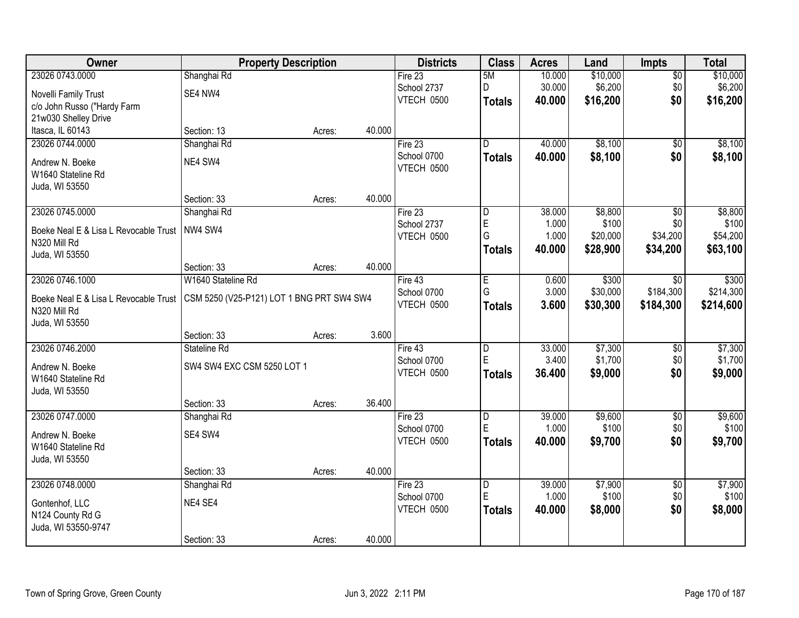| Owner                                 | <b>Property Description</b>               |        |        | <b>Districts</b> | <b>Class</b>            | <b>Acres</b> | Land     | <b>Impts</b>    | <b>Total</b> |
|---------------------------------------|-------------------------------------------|--------|--------|------------------|-------------------------|--------------|----------|-----------------|--------------|
| 23026 0743.0000                       | Shanghai Rd                               |        |        | Fire 23          | 5M                      | 10.000       | \$10,000 | $\overline{50}$ | \$10,000     |
| Novelli Family Trust                  | SE4 NW4                                   |        |        | School 2737      | D                       | 30.000       | \$6,200  | \$0             | \$6,200      |
| c/o John Russo ("Hardy Farm           |                                           |        |        | VTECH 0500       | <b>Totals</b>           | 40.000       | \$16,200 | \$0             | \$16,200     |
| 21w030 Shelley Drive                  |                                           |        |        |                  |                         |              |          |                 |              |
| Itasca, IL 60143                      | Section: 13                               | Acres: | 40.000 |                  |                         |              |          |                 |              |
| 23026 0744.0000                       | Shanghai Rd                               |        |        | Fire 23          | D.                      | 40.000       | \$8,100  | $\overline{50}$ | \$8,100      |
| Andrew N. Boeke                       | NE4 SW4                                   |        |        | School 0700      | <b>Totals</b>           | 40.000       | \$8,100  | \$0             | \$8,100      |
| W1640 Stateline Rd                    |                                           |        |        | VTECH 0500       |                         |              |          |                 |              |
| Juda, WI 53550                        |                                           |        |        |                  |                         |              |          |                 |              |
|                                       | Section: 33                               | Acres: | 40.000 |                  |                         |              |          |                 |              |
| 23026 0745.0000                       | Shanghai Rd                               |        |        | Fire 23          | D                       | 38.000       | \$8,800  | \$0             | \$8,800      |
| Boeke Neal E & Lisa L Revocable Trust | NW4 SW4                                   |        |        | School 2737      | E                       | 1.000        | \$100    | \$0             | \$100        |
| N320 Mill Rd                          |                                           |        |        | VTECH 0500       | G                       | 1.000        | \$20,000 | \$34,200        | \$54,200     |
| Juda, WI 53550                        |                                           |        |        |                  | Totals                  | 40.000       | \$28,900 | \$34,200        | \$63,100     |
|                                       | Section: 33                               | Acres: | 40.000 |                  |                         |              |          |                 |              |
| 23026 0746.1000                       | W1640 Stateline Rd                        |        |        | Fire 43          | E                       | 0.600        | \$300    | $\sqrt{6}$      | \$300        |
| Boeke Neal E & Lisa L Revocable Trust | CSM 5250 (V25-P121) LOT 1 BNG PRT SW4 SW4 |        |        | School 0700      | G                       | 3.000        | \$30,000 | \$184,300       | \$214,300    |
| N320 Mill Rd                          |                                           |        |        | VTECH 0500       | <b>Totals</b>           | 3.600        | \$30,300 | \$184,300       | \$214,600    |
| Juda, WI 53550                        |                                           |        |        |                  |                         |              |          |                 |              |
|                                       | Section: 33                               | Acres: | 3.600  |                  |                         |              |          |                 |              |
| 23026 0746.2000                       | Stateline Rd                              |        |        | Fire 43          | $\overline{\mathsf{D}}$ | 33.000       | \$7,300  | \$0             | \$7,300      |
| Andrew N. Boeke                       | SW4 SW4 EXC CSM 5250 LOT 1                |        |        | School 0700      | E                       | 3.400        | \$1,700  | \$0             | \$1,700      |
| W1640 Stateline Rd                    |                                           |        |        | VTECH 0500       | <b>Totals</b>           | 36.400       | \$9,000  | \$0             | \$9,000      |
| Juda, WI 53550                        |                                           |        |        |                  |                         |              |          |                 |              |
|                                       | Section: 33                               | Acres: | 36.400 |                  |                         |              |          |                 |              |
| 23026 0747.0000                       | Shanghai Rd                               |        |        | Fire $23$        | $\overline{\mathsf{D}}$ | 39.000       | \$9,600  | $\overline{60}$ | \$9,600      |
| Andrew N. Boeke                       | SE4 SW4                                   |        |        | School 0700      | E                       | 1.000        | \$100    | \$0             | \$100        |
| W1640 Stateline Rd                    |                                           |        |        | VTECH 0500       | <b>Totals</b>           | 40.000       | \$9,700  | \$0             | \$9,700      |
| Juda, WI 53550                        |                                           |        |        |                  |                         |              |          |                 |              |
|                                       | Section: 33                               | Acres: | 40.000 |                  |                         |              |          |                 |              |
| 23026 0748.0000                       | Shanghai Rd                               |        |        | Fire 23          | D                       | 39.000       | \$7,900  | $\overline{50}$ | \$7,900      |
| Gontenhof, LLC                        | NE4 SE4                                   |        |        | School 0700      | E                       | 1.000        | \$100    | \$0             | \$100        |
| N124 County Rd G                      |                                           |        |        | VTECH 0500       | <b>Totals</b>           | 40.000       | \$8,000  | \$0             | \$8,000      |
| Juda, WI 53550-9747                   |                                           |        |        |                  |                         |              |          |                 |              |
|                                       | Section: 33                               | Acres: | 40.000 |                  |                         |              |          |                 |              |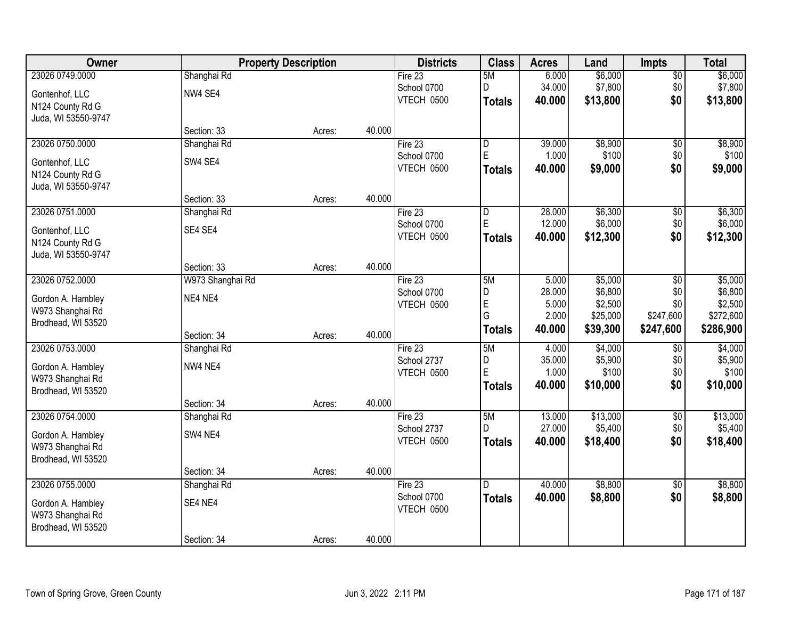| Owner               | <b>Property Description</b> |        |        | <b>Districts</b>          | <b>Class</b>   | <b>Acres</b>     | Land                | <b>Impts</b>     | <b>Total</b>         |
|---------------------|-----------------------------|--------|--------|---------------------------|----------------|------------------|---------------------|------------------|----------------------|
| 23026 0749.0000     | Shanghai Rd                 |        |        | Fire $23$                 | 5M             | 6.000            | \$6,000             | \$0              | \$6,000              |
| Gontenhof, LLC      | NW4 SE4                     |        |        | School 0700               | D              | 34.000           | \$7,800             | \$0              | \$7,800              |
| N124 County Rd G    |                             |        |        | VTECH 0500                | <b>Totals</b>  | 40.000           | \$13,800            | \$0              | \$13,800             |
| Juda, WI 53550-9747 |                             |        |        |                           |                |                  |                     |                  |                      |
|                     | Section: 33                 | Acres: | 40.000 |                           |                |                  |                     |                  |                      |
| 23026 0750.0000     | Shanghai Rd                 |        |        | Fire 23                   | $\overline{D}$ | 39.000           | \$8,900             | \$0              | \$8,900              |
| Gontenhof, LLC      | SW4 SE4                     |        |        | School 0700               | E              | 1.000            | \$100               | \$0              | \$100                |
| N124 County Rd G    |                             |        |        | VTECH 0500                | <b>Totals</b>  | 40.000           | \$9,000             | \$0              | \$9,000              |
| Juda, WI 53550-9747 |                             |        |        |                           |                |                  |                     |                  |                      |
|                     | Section: 33                 | Acres: | 40.000 |                           |                |                  |                     |                  |                      |
| 23026 0751.0000     | Shanghai Rd                 |        |        | Fire 23                   | D              | 28.000           | \$6,300             | \$0              | \$6,300              |
| Gontenhof, LLC      | SE4 SE4                     |        |        | School 0700               | $\mathsf E$    | 12.000           | \$6,000             | \$0              | \$6,000              |
| N124 County Rd G    |                             |        |        | VTECH 0500                | <b>Totals</b>  | 40.000           | \$12,300            | \$0              | \$12,300             |
| Juda, WI 53550-9747 |                             |        |        |                           |                |                  |                     |                  |                      |
|                     | Section: 33                 | Acres: | 40.000 |                           |                |                  |                     |                  |                      |
| 23026 0752.0000     | W973 Shanghai Rd            |        |        | Fire 23                   | 5M             | 5.000            | \$5,000             | $\sqrt[6]{3}$    | \$5,000              |
| Gordon A. Hambley   | NE4 NE4                     |        |        | School 0700               | D              | 28.000           | \$6,800             | \$0              | \$6,800              |
| W973 Shanghai Rd    |                             |        |        | VTECH 0500                | E<br>G         | 5.000<br>2.000   | \$2,500<br>\$25,000 | \$0<br>\$247,600 | \$2,500<br>\$272,600 |
| Brodhead, WI 53520  |                             |        |        |                           | <b>Totals</b>  | 40.000           | \$39,300            | \$247,600        | \$286,900            |
|                     | Section: 34                 | Acres: | 40.000 |                           |                |                  |                     |                  |                      |
| 23026 0753.0000     | Shanghai Rd                 |        |        | Fire 23                   | 5M             | 4.000            | \$4,000             | \$0              | \$4,000              |
| Gordon A. Hambley   | NW4 NE4                     |        |        | School 2737               | D<br>E         | 35.000<br>1.000  | \$5,900<br>\$100    | \$0<br>\$0       | \$5,900<br>\$100     |
| W973 Shanghai Rd    |                             |        |        | VTECH 0500                | Totals         | 40.000           | \$10,000            | \$0              | \$10,000             |
| Brodhead, WI 53520  |                             |        |        |                           |                |                  |                     |                  |                      |
|                     | Section: 34                 | Acres: | 40.000 |                           |                |                  |                     |                  |                      |
| 23026 0754.0000     | Shanghai Rd                 |        |        | Fire 23                   | 5M             | 13.000           | \$13,000<br>\$5,400 | $\sqrt{$0}$      | \$13,000<br>\$5,400  |
| Gordon A. Hambley   | SW4 NE4                     |        |        | School 2737<br>VTECH 0500 | D              | 27.000<br>40.000 | \$18,400            | \$0<br>\$0       | \$18,400             |
| W973 Shanghai Rd    |                             |        |        |                           | <b>Totals</b>  |                  |                     |                  |                      |
| Brodhead, WI 53520  |                             |        |        |                           |                |                  |                     |                  |                      |
|                     | Section: 34                 | Acres: | 40.000 |                           |                |                  |                     |                  |                      |
| 23026 0755.0000     | Shanghai Rd                 |        |        | Fire 23                   | ID.            | 40.000           | \$8,800             | $\overline{50}$  | \$8,800              |
| Gordon A. Hambley   | SE4 NE4                     |        |        | School 0700<br>VTECH 0500 | <b>Totals</b>  | 40.000           | \$8,800             | \$0              | \$8,800              |
| W973 Shanghai Rd    |                             |        |        |                           |                |                  |                     |                  |                      |
| Brodhead, WI 53520  |                             |        |        |                           |                |                  |                     |                  |                      |
|                     | Section: 34                 | Acres: | 40.000 |                           |                |                  |                     |                  |                      |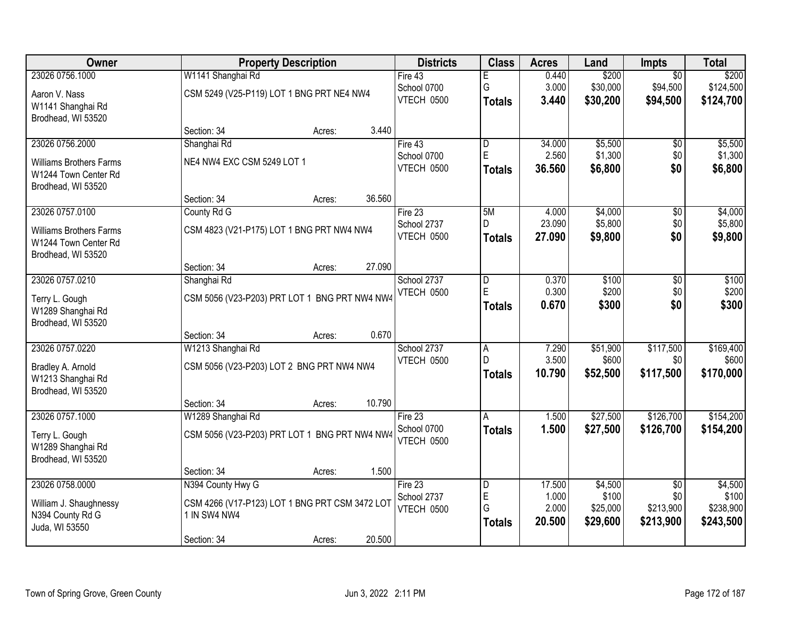| Owner                               |                                                | <b>Property Description</b> |        | <b>Districts</b>          | <b>Class</b>  | <b>Acres</b>    | Land               | <b>Impts</b>           | <b>Total</b>       |
|-------------------------------------|------------------------------------------------|-----------------------------|--------|---------------------------|---------------|-----------------|--------------------|------------------------|--------------------|
| 23026 0756.1000                     | W1141 Shanghai Rd                              |                             |        | Fire 43                   | E             | 0.440           | \$200              | $\overline{30}$        | \$200              |
| Aaron V. Nass                       | CSM 5249 (V25-P119) LOT 1 BNG PRT NE4 NW4      |                             |        | School 0700               | G             | 3.000           | \$30,000           | \$94,500               | \$124,500          |
| W1141 Shanghai Rd                   |                                                |                             |        | VTECH 0500                | <b>Totals</b> | 3.440           | \$30,200           | \$94,500               | \$124,700          |
| Brodhead, WI 53520                  |                                                |                             |        |                           |               |                 |                    |                        |                    |
|                                     | Section: 34                                    | Acres:                      | 3.440  |                           |               |                 |                    |                        |                    |
| 23026 0756.2000                     | Shanghai Rd                                    |                             |        | Fire $43$                 | D<br>E        | 34.000<br>2.560 | \$5,500            | \$0                    | \$5,500            |
| <b>Williams Brothers Farms</b>      | NE4 NW4 EXC CSM 5249 LOT 1                     |                             |        | School 0700<br>VTECH 0500 | <b>Totals</b> | 36.560          | \$1,300<br>\$6,800 | \$0<br>\$0             | \$1,300<br>\$6,800 |
| W1244 Town Center Rd                |                                                |                             |        |                           |               |                 |                    |                        |                    |
| Brodhead, WI 53520                  |                                                |                             |        |                           |               |                 |                    |                        |                    |
| 23026 0757.0100                     | Section: 34                                    | Acres:                      | 36.560 |                           | 5M            | 4.000           | \$4,000            |                        | \$4,000            |
|                                     | County Rd G                                    |                             |        | Fire 23<br>School 2737    | D             | 23.090          | \$5,800            | \$0<br>\$0             | \$5,800            |
| <b>Williams Brothers Farms</b>      | CSM 4823 (V21-P175) LOT 1 BNG PRT NW4 NW4      |                             |        | VTECH 0500                | <b>Totals</b> | 27.090          | \$9,800            | \$0                    | \$9,800            |
| W1244 Town Center Rd                |                                                |                             |        |                           |               |                 |                    |                        |                    |
| Brodhead, WI 53520                  | Section: 34                                    | Acres:                      | 27.090 |                           |               |                 |                    |                        |                    |
| 23026 0757.0210                     | Shanghai Rd                                    |                             |        | School 2737               | D             | 0.370           | \$100              | \$0                    | \$100              |
|                                     |                                                |                             |        | <b>VTECH 0500</b>         | E             | 0.300           | \$200              | \$0                    | \$200              |
| Terry L. Gough<br>W1289 Shanghai Rd | CSM 5056 (V23-P203) PRT LOT 1 BNG PRT NW4 NW4  |                             |        |                           | <b>Totals</b> | 0.670           | \$300              | \$0                    | \$300              |
| Brodhead, WI 53520                  |                                                |                             |        |                           |               |                 |                    |                        |                    |
|                                     | Section: 34                                    | Acres:                      | 0.670  |                           |               |                 |                    |                        |                    |
| 23026 0757.0220                     | W1213 Shanghai Rd                              |                             |        | School 2737               | A             | 7.290           | \$51,900           | \$117,500              | \$169,400          |
| Bradley A. Arnold                   | CSM 5056 (V23-P203) LOT 2 BNG PRT NW4 NW4      |                             |        | VTECH 0500                | D.            | 3.500           | \$600              | \$0                    | \$600              |
| W1213 Shanghai Rd                   |                                                |                             |        |                           | <b>Totals</b> | 10.790          | \$52,500           | \$117,500              | \$170,000          |
| Brodhead, WI 53520                  |                                                |                             |        |                           |               |                 |                    |                        |                    |
|                                     | Section: 34                                    | Acres:                      | 10.790 |                           |               |                 |                    |                        |                    |
| 23026 0757.1000                     | W1289 Shanghai Rd                              |                             |        | Fire 23                   | A             | 1.500           | \$27,500           | \$126,700              | \$154,200          |
| Terry L. Gough                      | CSM 5056 (V23-P203) PRT LOT 1 BNG PRT NW4 NW4  |                             |        | School 0700               | <b>Totals</b> | 1.500           | \$27,500           | \$126,700              | \$154,200          |
| W1289 Shanghai Rd                   |                                                |                             |        | VTECH 0500                |               |                 |                    |                        |                    |
| Brodhead, WI 53520                  |                                                |                             |        |                           |               |                 |                    |                        |                    |
|                                     | Section: 34                                    | Acres:                      | 1.500  |                           |               |                 |                    |                        |                    |
| 23026 0758.0000                     | N394 County Hwy G                              |                             |        | Fire 23                   | D<br>E        | 17.500<br>1.000 | \$4,500<br>\$100   | $\overline{50}$<br>\$0 | \$4,500<br>\$100   |
| William J. Shaughnessy              | CSM 4266 (V17-P123) LOT 1 BNG PRT CSM 3472 LOT |                             |        | School 2737<br>VTECH 0500 | G             | 2.000           | \$25,000           | \$213,900              | \$238,900          |
| N394 County Rd G                    | 1 IN SW4 NW4                                   |                             |        |                           | <b>Totals</b> | 20.500          | \$29,600           | \$213,900              | \$243,500          |
| Juda, WI 53550                      |                                                |                             |        |                           |               |                 |                    |                        |                    |
|                                     | Section: 34                                    | Acres:                      | 20.500 |                           |               |                 |                    |                        |                    |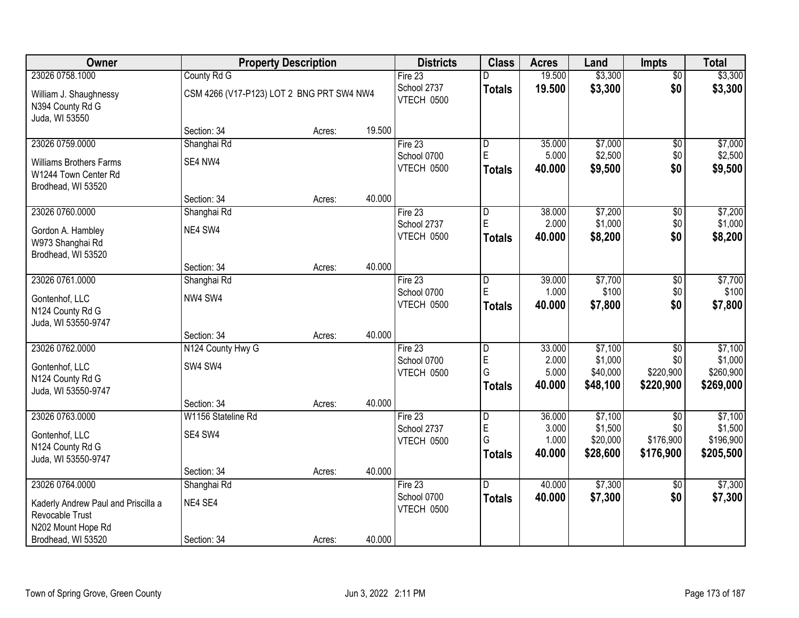| Owner                                      |                                           | <b>Property Description</b> |        | <b>Districts</b>          | <b>Class</b>                  | <b>Acres</b>    | Land               | <b>Impts</b>    | <b>Total</b>       |
|--------------------------------------------|-------------------------------------------|-----------------------------|--------|---------------------------|-------------------------------|-----------------|--------------------|-----------------|--------------------|
| 23026 0758.1000                            | County Rd G                               |                             |        | Fire 23                   | D                             | 19.500          | \$3,300            | $\overline{50}$ | \$3,300            |
| William J. Shaughnessy<br>N394 County Rd G | CSM 4266 (V17-P123) LOT 2 BNG PRT SW4 NW4 |                             |        | School 2737<br>VTECH 0500 | <b>Totals</b>                 | 19.500          | \$3,300            | \$0             | \$3,300            |
| Juda, WI 53550                             |                                           |                             |        |                           |                               |                 |                    |                 |                    |
|                                            | Section: 34                               | Acres:                      | 19.500 |                           |                               |                 |                    |                 |                    |
| 23026 0759.0000                            | Shanghai Rd                               |                             |        | Fire 23<br>School 0700    | $\overline{D}$<br>$\mathsf E$ | 35.000<br>5.000 | \$7,000            | \$0<br>\$0      | \$7,000<br>\$2,500 |
| <b>Williams Brothers Farms</b>             | SE4 NW4                                   |                             |        | VTECH 0500                | <b>Totals</b>                 | 40.000          | \$2,500<br>\$9,500 | \$0             | \$9,500            |
| W1244 Town Center Rd<br>Brodhead, WI 53520 |                                           |                             |        |                           |                               |                 |                    |                 |                    |
|                                            | Section: 34                               | Acres:                      | 40.000 |                           |                               |                 |                    |                 |                    |
| 23026 0760.0000                            | Shanghai Rd                               |                             |        | Fire 23                   | ID.                           | 38.000          | \$7,200            | $\sqrt[6]{3}$   | \$7,200            |
| Gordon A. Hambley                          | NE4 SW4                                   |                             |        | School 2737               | E                             | 2.000           | \$1,000            | \$0             | \$1,000            |
| W973 Shanghai Rd                           |                                           |                             |        | VTECH 0500                | <b>Totals</b>                 | 40.000          | \$8,200            | \$0             | \$8,200            |
| Brodhead, WI 53520                         |                                           |                             |        |                           |                               |                 |                    |                 |                    |
|                                            | Section: 34                               | Acres:                      | 40.000 |                           |                               |                 |                    |                 |                    |
| 23026 0761.0000                            | Shanghai Rd                               |                             |        | Fire 23                   | D                             | 39.000          | \$7,700            | \$0             | \$7,700            |
| Gontenhof, LLC                             | NW4 SW4                                   |                             |        | School 0700               | E                             | 1.000           | \$100              | \$0             | \$100              |
| N124 County Rd G                           |                                           |                             |        | VTECH 0500                | <b>Totals</b>                 | 40.000          | \$7,800            | \$0             | \$7,800            |
| Juda, WI 53550-9747                        |                                           |                             |        |                           |                               |                 |                    |                 |                    |
|                                            | Section: 34                               | Acres:                      | 40.000 |                           |                               |                 |                    |                 |                    |
| 23026 0762.0000                            | N124 County Hwy G                         |                             |        | Fire 23                   | $\overline{D}$                | 33.000          | \$7,100            | \$0             | \$7,100            |
| Gontenhof, LLC                             | SW4 SW4                                   |                             |        | School 0700               | E                             | 2.000           | \$1,000            | \$0             | \$1,000            |
| N124 County Rd G                           |                                           |                             |        | VTECH 0500                | G                             | 5.000           | \$40,000           | \$220,900       | \$260,900          |
| Juda, WI 53550-9747                        |                                           |                             |        |                           | <b>Totals</b>                 | 40.000          | \$48,100           | \$220,900       | \$269,000          |
|                                            | Section: 34                               | Acres:                      | 40.000 |                           |                               |                 |                    |                 |                    |
| 23026 0763.0000                            | W1156 Stateline Rd                        |                             |        | Fire 23                   | D                             | 36.000          | \$7,100            | \$0             | \$7,100            |
| Gontenhof, LLC                             | SE4 SW4                                   |                             |        | School 2737               | $\mathsf E$                   | 3.000           | \$1,500            | \$0             | \$1,500            |
| N124 County Rd G                           |                                           |                             |        | VTECH 0500                | G                             | 1.000           | \$20,000           | \$176,900       | \$196,900          |
| Juda, WI 53550-9747                        |                                           |                             |        |                           | Totals                        | 40.000          | \$28,600           | \$176,900       | \$205,500          |
|                                            | Section: 34                               | Acres:                      | 40.000 |                           |                               |                 |                    |                 |                    |
| 23026 0764.0000                            | Shanghai Rd                               |                             |        | Fire $23$                 | ID.                           | 40.000          | \$7,300            | $\overline{30}$ | \$7,300            |
| Kaderly Andrew Paul and Priscilla a        | NE4 SE4                                   |                             |        | School 0700               | <b>Totals</b>                 | 40.000          | \$7,300            | \$0             | \$7,300            |
| Revocable Trust                            |                                           |                             |        | VTECH 0500                |                               |                 |                    |                 |                    |
| N202 Mount Hope Rd                         |                                           |                             |        |                           |                               |                 |                    |                 |                    |
| Brodhead, WI 53520                         | Section: 34                               | Acres:                      | 40.000 |                           |                               |                 |                    |                 |                    |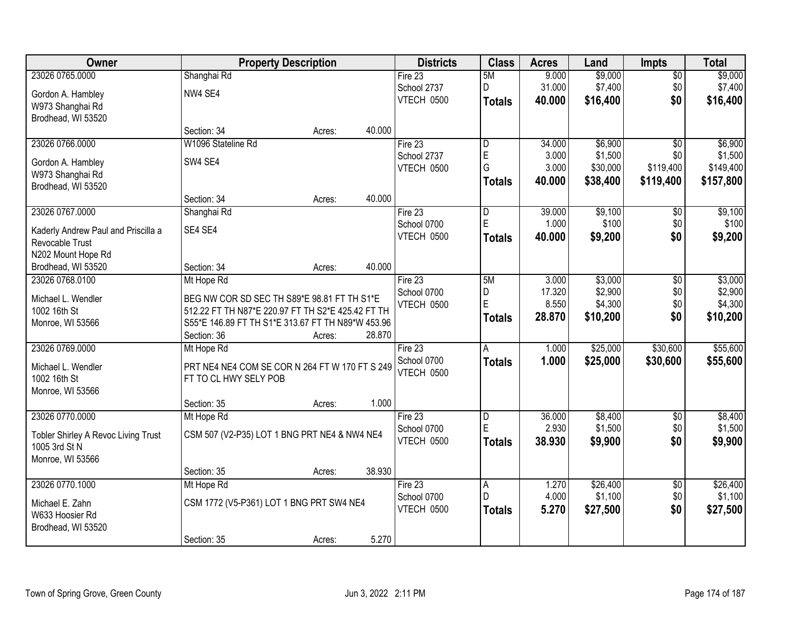| Owner                               |                                                   | <b>Property Description</b> |        | <b>Districts</b> | <b>Class</b>   | <b>Acres</b> | Land     | <b>Impts</b>    | <b>Total</b> |
|-------------------------------------|---------------------------------------------------|-----------------------------|--------|------------------|----------------|--------------|----------|-----------------|--------------|
| 23026 0765.0000                     | Shanghai Rd                                       |                             |        | Fire $23$        | 5M             | 9.000        | \$9,000  | $\sqrt{$0}$     | \$9,000      |
| Gordon A. Hambley                   | NW4 SE4                                           |                             |        | School 2737      | D              | 31.000       | \$7,400  | \$0             | \$7,400      |
| W973 Shanghai Rd                    |                                                   |                             |        | VTECH 0500       | <b>Totals</b>  | 40.000       | \$16,400 | \$0             | \$16,400     |
| Brodhead, WI 53520                  |                                                   |                             |        |                  |                |              |          |                 |              |
|                                     | Section: 34                                       | Acres:                      | 40.000 |                  |                |              |          |                 |              |
| 23026 0766.0000                     | W1096 Stateline Rd                                |                             |        | Fire 23          | l D            | 34.000       | \$6,900  | $\overline{50}$ | \$6,900      |
| Gordon A. Hambley                   | SW4 SE4                                           |                             |        | School 2737      | $\mathsf E$    | 3.000        | \$1,500  | \$0             | \$1,500      |
| W973 Shanghai Rd                    |                                                   |                             |        | VTECH 0500       | G              | 3.000        | \$30,000 | \$119,400       | \$149,400    |
| Brodhead, WI 53520                  |                                                   |                             |        |                  | <b>Totals</b>  | 40.000       | \$38,400 | \$119,400       | \$157,800    |
|                                     | Section: 34                                       | Acres:                      | 40.000 |                  |                |              |          |                 |              |
| 23026 0767.0000                     | Shanghai Rd                                       |                             |        | Fire 23          | ID.            | 39.000       | \$9,100  | \$0             | \$9,100      |
| Kaderly Andrew Paul and Priscilla a | SE4 SE4                                           |                             |        | School 0700      | $\mathsf E$    | 1.000        | \$100    | \$0             | \$100        |
| Revocable Trust                     |                                                   |                             |        | VTECH 0500       | Totals         | 40.000       | \$9,200  | \$0             | \$9,200      |
| N202 Mount Hope Rd                  |                                                   |                             |        |                  |                |              |          |                 |              |
| Brodhead, WI 53520                  | Section: 34                                       | Acres:                      | 40.000 |                  |                |              |          |                 |              |
| 23026 0768.0100                     | Mt Hope Rd                                        |                             |        | Fire 23          | 5M             | 3.000        | \$3,000  | $\sqrt[6]{3}$   | \$3,000      |
| Michael L. Wendler                  | BEG NW COR SD SEC TH S89*E 98.81 FT TH S1*E       |                             |        | School 0700      | D              | 17.320       | \$2,900  | \$0             | \$2,900      |
| 1002 16th St                        | 512.22 FT TH N87*E 220.97 FT TH S2*E 425.42 FT TH |                             |        | VTECH 0500       | E              | 8.550        | \$4,300  | \$0             | \$4,300      |
| Monroe, WI 53566                    | S55*E 146.89 FT TH S1*E 313.67 FT TH N89*W 453.96 |                             |        |                  | Totals         | 28.870       | \$10,200 | \$0             | \$10,200     |
|                                     | Section: 36                                       | Acres:                      | 28.870 |                  |                |              |          |                 |              |
| 23026 0769.0000                     | Mt Hope Rd                                        |                             |        | Fire 23          | $\overline{A}$ | 1.000        | \$25,000 | \$30,600        | \$55,600     |
| Michael L. Wendler                  | PRT NE4 NE4 COM SE COR N 264 FT W 170 FT S 249    |                             |        | School 0700      | <b>Totals</b>  | 1.000        | \$25,000 | \$30,600        | \$55,600     |
| 1002 16th St                        | FT TO CL HWY SELY POB                             |                             |        | VTECH 0500       |                |              |          |                 |              |
| Monroe, WI 53566                    |                                                   |                             |        |                  |                |              |          |                 |              |
|                                     | Section: 35                                       | Acres:                      | 1.000  |                  |                |              |          |                 |              |
| 23026 0770.0000                     | Mt Hope Rd                                        |                             |        | Fire 23          | D              | 36.000       | \$8,400  | $\overline{50}$ | \$8,400      |
| Tobler Shirley A Revoc Living Trust | CSM 507 (V2-P35) LOT 1 BNG PRT NE4 & NW4 NE4      |                             |        | School 0700      | E              | 2.930        | \$1,500  | \$0             | \$1,500      |
| 1005 3rd St N                       |                                                   |                             |        | VTECH 0500       | <b>Totals</b>  | 38.930       | \$9,900  | \$0             | \$9,900      |
| Monroe, WI 53566                    |                                                   |                             |        |                  |                |              |          |                 |              |
|                                     | Section: 35                                       | Acres:                      | 38.930 |                  |                |              |          |                 |              |
| 23026 0770.1000                     | Mt Hope Rd                                        |                             |        | Fire $23$        | A              | 1.270        | \$26,400 | $\overline{50}$ | \$26,400     |
| Michael E. Zahn                     | CSM 1772 (V5-P361) LOT 1 BNG PRT SW4 NE4          |                             |        | School 0700      | D              | 4.000        | \$1,100  | \$0             | \$1,100      |
| W633 Hoosier Rd                     |                                                   |                             |        | VTECH 0500       | <b>Totals</b>  | 5.270        | \$27,500 | \$0             | \$27,500     |
| Brodhead, WI 53520                  |                                                   |                             |        |                  |                |              |          |                 |              |
|                                     | Section: 35                                       | Acres:                      | 5.270  |                  |                |              |          |                 |              |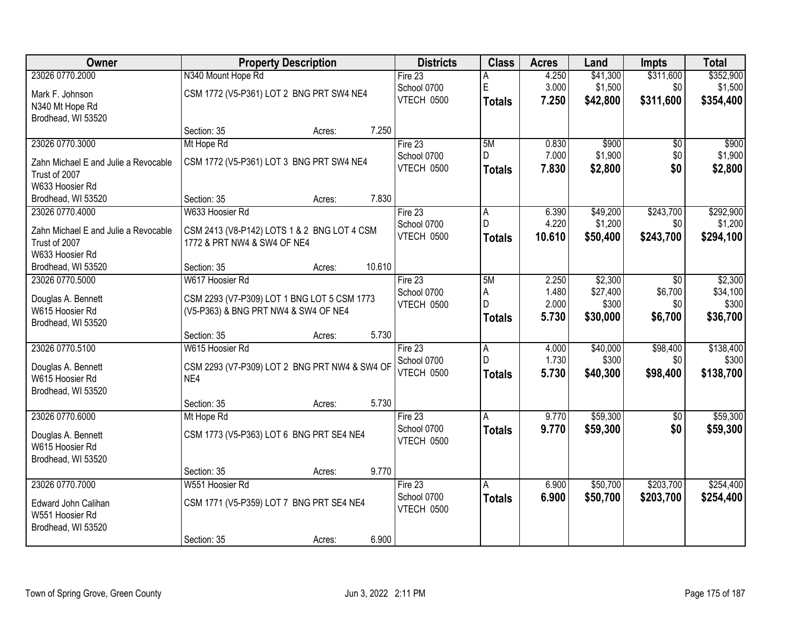| Owner                                | <b>Property Description</b>                   | <b>Districts</b>          | <b>Class</b>        | <b>Acres</b>   | Land                 | <b>Impts</b>    | <b>Total</b>       |
|--------------------------------------|-----------------------------------------------|---------------------------|---------------------|----------------|----------------------|-----------------|--------------------|
| 23026 0770.2000                      | N340 Mount Hope Rd                            | Fire $23$                 | Α                   | 4.250          | \$41,300             | \$311,600       | \$352,900          |
| Mark F. Johnson                      | CSM 1772 (V5-P361) LOT 2 BNG PRT SW4 NE4      | School 0700               | E                   | 3.000          | \$1,500              | \$0             | \$1,500            |
| N340 Mt Hope Rd                      |                                               | VTECH 0500                | <b>Totals</b>       | 7.250          | \$42,800             | \$311,600       | \$354,400          |
| Brodhead, WI 53520                   |                                               |                           |                     |                |                      |                 |                    |
|                                      | 7.250<br>Section: 35<br>Acres:                |                           |                     |                |                      |                 |                    |
| 23026 0770.3000                      | Mt Hope Rd                                    | Fire $23$                 | 5M                  | 0.830          | \$900                | \$0             | \$900              |
| Zahn Michael E and Julie a Revocable | CSM 1772 (V5-P361) LOT 3 BNG PRT SW4 NE4      | School 0700               | D.                  | 7.000          | \$1,900              | \$0             | \$1,900            |
| Trust of 2007                        |                                               | VTECH 0500                | <b>Totals</b>       | 7.830          | \$2,800              | \$0             | \$2,800            |
| W633 Hoosier Rd                      |                                               |                           |                     |                |                      |                 |                    |
| Brodhead, WI 53520                   | 7.830<br>Section: 35<br>Acres:                |                           |                     |                |                      |                 |                    |
| 23026 0770.4000                      | W633 Hoosier Rd                               | Fire 23                   | A                   | 6.390          | \$49,200             | \$243,700       | \$292,900          |
| Zahn Michael E and Julie a Revocable | CSM 2413 (V8-P142) LOTS 1 & 2 BNG LOT 4 CSM   | School 0700<br>VTECH 0500 | D.                  | 4.220          | \$1,200              | \$0             | \$1,200            |
| Trust of 2007                        | 1772 & PRT NW4 & SW4 OF NE4                   |                           | <b>Totals</b>       | 10.610         | \$50,400             | \$243,700       | \$294,100          |
| W633 Hoosier Rd                      |                                               |                           |                     |                |                      |                 |                    |
| Brodhead, WI 53520                   | 10.610<br>Section: 35<br>Acres:               |                           |                     |                |                      |                 |                    |
| 23026 0770.5000                      | W617 Hoosier Rd                               | Fire $23$                 | 5M                  | 2.250          | \$2,300              | \$0             | \$2,300            |
| Douglas A. Bennett                   | CSM 2293 (V7-P309) LOT 1 BNG LOT 5 CSM 1773   | School 0700<br>VTECH 0500 | A<br>D              | 1.480<br>2.000 | \$27,400<br>\$300    | \$6,700<br>\$0  | \$34,100<br>\$300  |
| W615 Hoosier Rd                      | (V5-P363) & BNG PRT NW4 & SW4 OF NE4          |                           | <b>Totals</b>       | 5.730          | \$30,000             | \$6,700         | \$36,700           |
| Brodhead, WI 53520                   |                                               |                           |                     |                |                      |                 |                    |
|                                      | 5.730<br>Section: 35<br>Acres:                |                           |                     |                |                      |                 |                    |
| 23026 0770.5100                      | W615 Hoosier Rd                               | Fire 23                   | $\overline{A}$<br>D | 4.000<br>1.730 | \$40,000<br>\$300    | \$98,400<br>\$0 | \$138,400<br>\$300 |
| Douglas A. Bennett                   | CSM 2293 (V7-P309) LOT 2 BNG PRT NW4 & SW4 OF | School 0700<br>VTECH 0500 |                     | 5.730          | \$40,300             | \$98,400        | \$138,700          |
| W615 Hoosier Rd                      | NE4                                           |                           | <b>Totals</b>       |                |                      |                 |                    |
| Brodhead, WI 53520                   |                                               |                           |                     |                |                      |                 |                    |
|                                      | 5.730<br>Section: 35<br>Acres:                |                           |                     |                |                      |                 |                    |
| 23026 0770.6000                      | Mt Hope Rd                                    | Fire 23                   | A                   | 9.770          | \$59,300             | $\overline{50}$ | \$59,300           |
| Douglas A. Bennett                   | CSM 1773 (V5-P363) LOT 6 BNG PRT SE4 NE4      | School 0700<br>VTECH 0500 | <b>Totals</b>       | 9.770          | \$59,300             | \$0             | \$59,300           |
| W615 Hoosier Rd                      |                                               |                           |                     |                |                      |                 |                    |
| Brodhead, WI 53520                   |                                               |                           |                     |                |                      |                 |                    |
|                                      | 9.770<br>Section: 35<br>Acres:                |                           |                     |                |                      |                 |                    |
| 23026 0770.7000                      | W551 Hoosier Rd                               | Fire 23<br>School 0700    | A                   | 6.900<br>6.900 | \$50,700<br>\$50,700 | \$203,700       | \$254,400          |
| Edward John Calihan                  | CSM 1771 (V5-P359) LOT 7 BNG PRT SE4 NE4      | VTECH 0500                | <b>Totals</b>       |                |                      | \$203,700       | \$254,400          |
| W551 Hoosier Rd                      |                                               |                           |                     |                |                      |                 |                    |
| Brodhead, WI 53520                   |                                               |                           |                     |                |                      |                 |                    |
|                                      | 6.900<br>Section: 35<br>Acres:                |                           |                     |                |                      |                 |                    |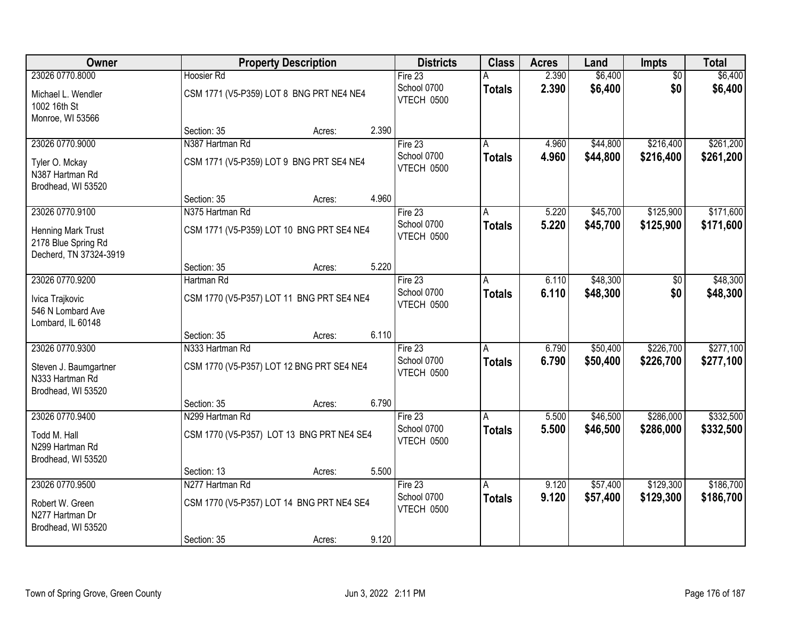| Owner                                                               | <b>Property Description</b>               | <b>Districts</b>          | <b>Class</b>   | <b>Acres</b> | Land     | <b>Impts</b>    | <b>Total</b> |
|---------------------------------------------------------------------|-------------------------------------------|---------------------------|----------------|--------------|----------|-----------------|--------------|
| 23026 0770.8000                                                     | <b>Hoosier Rd</b>                         | Fire $23$                 |                | 2.390        | \$6,400  | $\overline{50}$ | \$6,400      |
| Michael L. Wendler<br>1002 16th St                                  | CSM 1771 (V5-P359) LOT 8 BNG PRT NE4 NE4  | School 0700<br>VTECH 0500 | <b>Totals</b>  | 2.390        | \$6,400  | \$0             | \$6,400      |
| Monroe, WI 53566                                                    | 2.390<br>Section: 35<br>Acres:            |                           |                |              |          |                 |              |
| 23026 0770.9000                                                     | N387 Hartman Rd                           | Fire $23$                 |                | 4.960        | \$44,800 | \$216,400       | \$261,200    |
|                                                                     |                                           | School 0700               | <b>Totals</b>  | 4.960        | \$44,800 | \$216,400       | \$261,200    |
| Tyler O. Mckay<br>N387 Hartman Rd<br>Brodhead, WI 53520             | CSM 1771 (V5-P359) LOT 9 BNG PRT SE4 NE4  | VTECH 0500                |                |              |          |                 |              |
|                                                                     | Section: 35<br>4.960<br>Acres:            |                           |                |              |          |                 |              |
| 23026 0770.9100                                                     | N375 Hartman Rd                           | Fire 23                   | A              | 5.220        | \$45,700 | \$125,900       | \$171,600    |
| Henning Mark Trust<br>2178 Blue Spring Rd<br>Decherd, TN 37324-3919 | CSM 1771 (V5-P359) LOT 10 BNG PRT SE4 NE4 | School 0700<br>VTECH 0500 | <b>Totals</b>  | 5.220        | \$45,700 | \$125,900       | \$171,600    |
|                                                                     | 5.220<br>Section: 35<br>Acres:            |                           |                |              |          |                 |              |
| 23026 0770.9200                                                     | Hartman Rd                                | Fire 23                   | A              | 6.110        | \$48,300 | \$0             | \$48,300     |
| Ivica Trajkovic<br>546 N Lombard Ave<br>Lombard, IL 60148           | CSM 1770 (V5-P357) LOT 11 BNG PRT SE4 NE4 | School 0700<br>VTECH 0500 | <b>Totals</b>  | 6.110        | \$48,300 | \$0             | \$48,300     |
|                                                                     | 6.110<br>Section: 35<br>Acres:            |                           |                |              |          |                 |              |
| 23026 0770.9300                                                     | N333 Hartman Rd                           | Fire 23                   | $\overline{A}$ | 6.790        | \$50,400 | \$226,700       | \$277,100    |
| Steven J. Baumgartner<br>N333 Hartman Rd                            | CSM 1770 (V5-P357) LOT 12 BNG PRT SE4 NE4 | School 0700<br>VTECH 0500 | <b>Totals</b>  | 6.790        | \$50,400 | \$226,700       | \$277,100    |
| Brodhead, WI 53520                                                  | 6.790<br>Section: 35<br>Acres:            |                           |                |              |          |                 |              |
| 23026 0770.9400                                                     | N299 Hartman Rd                           | Fire $23$                 | A              | 5.500        | \$46,500 | \$286,000       | \$332,500    |
| Todd M. Hall<br>N299 Hartman Rd<br>Brodhead, WI 53520               | CSM 1770 (V5-P357) LOT 13 BNG PRT NE4 SE4 | School 0700<br>VTECH 0500 | <b>Totals</b>  | 5.500        | \$46,500 | \$286,000       | \$332,500    |
|                                                                     | 5.500<br>Section: 13<br>Acres:            |                           |                |              |          |                 |              |
| 23026 0770.9500                                                     | N277 Hartman Rd                           | Fire $23$                 | A              | 9.120        | \$57,400 | \$129,300       | \$186,700    |
| Robert W. Green<br>N277 Hartman Dr<br>Brodhead, WI 53520            | CSM 1770 (V5-P357) LOT 14 BNG PRT NE4 SE4 | School 0700<br>VTECH 0500 | <b>Totals</b>  | 9.120        | \$57,400 | \$129,300       | \$186,700    |
|                                                                     | 9.120<br>Section: 35<br>Acres:            |                           |                |              |          |                 |              |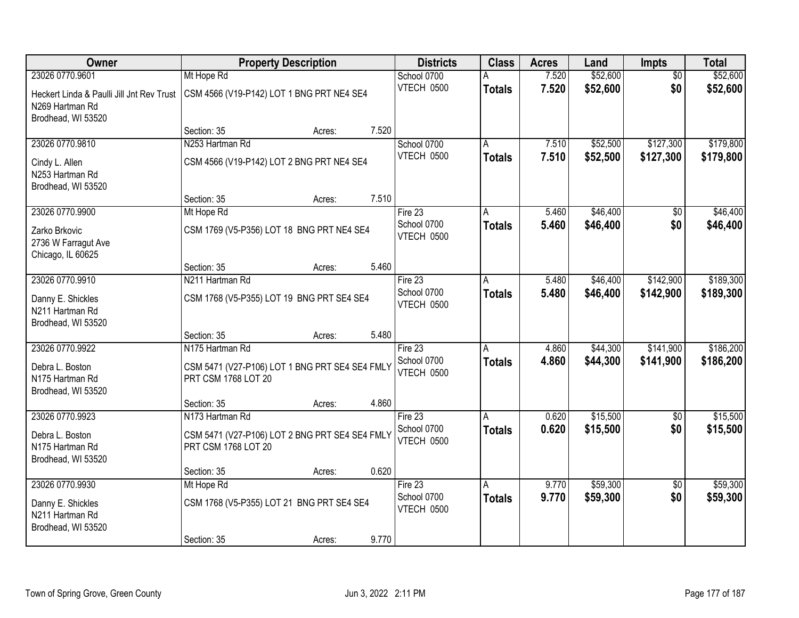| Owner                                                                              | <b>Property Description</b>                                           | <b>Districts</b>          | <b>Class</b>  | <b>Acres</b> | Land     | <b>Impts</b>    | <b>Total</b> |
|------------------------------------------------------------------------------------|-----------------------------------------------------------------------|---------------------------|---------------|--------------|----------|-----------------|--------------|
| 23026 0770.9601                                                                    | Mt Hope Rd                                                            | School 0700               |               | 7.520        | \$52,600 | $\overline{50}$ | \$52,600     |
| Heckert Linda & Paulli Jill Jnt Rev Trust<br>N269 Hartman Rd<br>Brodhead, WI 53520 | CSM 4566 (V19-P142) LOT 1 BNG PRT NE4 SE4                             | VTECH 0500                | <b>Totals</b> | 7.520        | \$52,600 | \$0             | \$52,600     |
|                                                                                    | 7.520<br>Section: 35<br>Acres:                                        |                           |               |              |          |                 |              |
| 23026 0770.9810                                                                    | N253 Hartman Rd                                                       | School 0700               | A             | 7.510        | \$52,500 | \$127,300       | \$179,800    |
| Cindy L. Allen<br>N253 Hartman Rd<br>Brodhead, WI 53520                            | CSM 4566 (V19-P142) LOT 2 BNG PRT NE4 SE4                             | VTECH 0500                | <b>Totals</b> | 7.510        | \$52,500 | \$127,300       | \$179,800    |
|                                                                                    | 7.510<br>Section: 35<br>Acres:                                        |                           |               |              |          |                 |              |
| 23026 0770.9900                                                                    | Mt Hope Rd                                                            | Fire 23                   | A             | 5.460        | \$46,400 | \$0             | \$46,400     |
| Zarko Brkovic<br>2736 W Farragut Ave<br>Chicago, IL 60625                          | CSM 1769 (V5-P356) LOT 18 BNG PRT NE4 SE4                             | School 0700<br>VTECH 0500 | <b>Totals</b> | 5.460        | \$46,400 | \$0             | \$46,400     |
|                                                                                    | 5.460<br>Section: 35<br>Acres:                                        |                           |               |              |          |                 |              |
| 23026 0770.9910                                                                    | N211 Hartman Rd                                                       | Fire 23                   | A             | 5.480        | \$46,400 | \$142,900       | \$189,300    |
| Danny E. Shickles<br>N211 Hartman Rd<br>Brodhead, WI 53520                         | CSM 1768 (V5-P355) LOT 19 BNG PRT SE4 SE4                             | School 0700<br>VTECH 0500 | <b>Totals</b> | 5.480        | \$46,400 | \$142,900       | \$189,300    |
|                                                                                    | 5.480<br>Section: 35<br>Acres:                                        |                           |               |              |          |                 |              |
| 23026 0770.9922                                                                    | N175 Hartman Rd                                                       | Fire 23                   | А             | 4.860        | \$44,300 | \$141,900       | \$186,200    |
| Debra L. Boston<br>N175 Hartman Rd<br>Brodhead, WI 53520                           | CSM 5471 (V27-P106) LOT 1 BNG PRT SE4 SE4 FMLY<br>PRT CSM 1768 LOT 20 | School 0700<br>VTECH 0500 | <b>Totals</b> | 4.860        | \$44,300 | \$141,900       | \$186,200    |
|                                                                                    | 4.860<br>Section: 35<br>Acres:                                        |                           |               |              |          |                 |              |
| 23026 0770.9923                                                                    | N173 Hartman Rd                                                       | Fire 23                   | Α             | 0.620        | \$15,500 | $\sqrt{6}$      | \$15,500     |
| Debra L. Boston<br>N175 Hartman Rd<br>Brodhead, WI 53520                           | CSM 5471 (V27-P106) LOT 2 BNG PRT SE4 SE4 FMLY<br>PRT CSM 1768 LOT 20 | School 0700<br>VTECH 0500 | <b>Totals</b> | 0.620        | \$15,500 | \$0             | \$15,500     |
|                                                                                    | 0.620<br>Section: 35<br>Acres:                                        |                           |               |              |          |                 |              |
| 23026 0770.9930                                                                    | Mt Hope Rd                                                            | Fire 23                   | А             | 9.770        | \$59,300 | $\overline{50}$ | \$59,300     |
| Danny E. Shickles<br>N211 Hartman Rd<br>Brodhead, WI 53520                         | CSM 1768 (V5-P355) LOT 21 BNG PRT SE4 SE4                             | School 0700<br>VTECH 0500 | <b>Totals</b> | 9.770        | \$59,300 | \$0             | \$59,300     |
|                                                                                    | 9.770<br>Section: 35<br>Acres:                                        |                           |               |              |          |                 |              |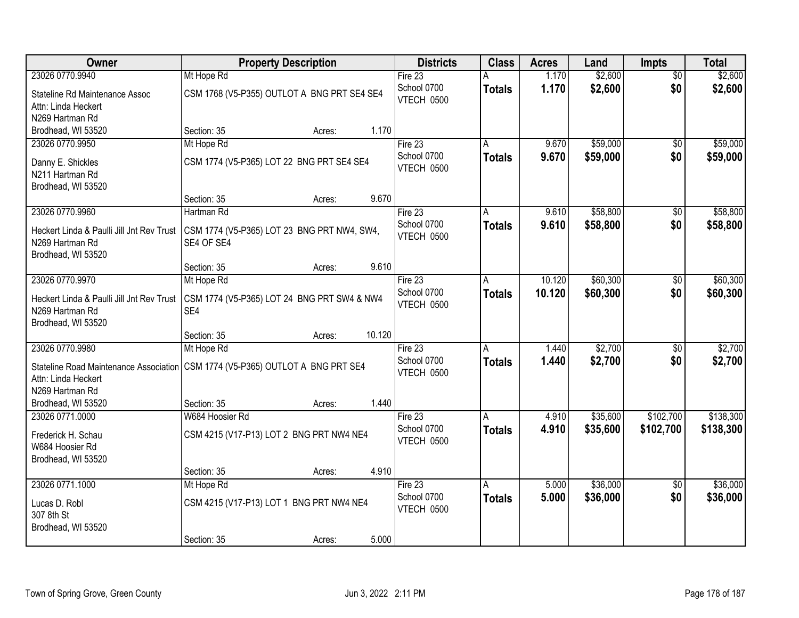| 23026 0770.9940<br>1.170<br>\$2,600<br>Mt Hope Rd<br>Fire $23$<br>$\overline{50}$<br>А<br>\$2,600<br>\$0<br>School 0700<br>1.170<br>\$2,600<br><b>Totals</b><br>CSM 1768 (V5-P355) OUTLOT A BNG PRT SE4 SE4<br>Stateline Rd Maintenance Assoc<br>VTECH 0500<br>Attn: Linda Heckert<br>N269 Hartman Rd<br>1.170<br>Brodhead, WI 53520<br>Section: 35<br>Acres:<br>Fire 23<br>\$59,000<br>\$59,000<br>23026 0770.9950<br>Mt Hope Rd<br>9.670<br>$\overline{50}$<br>A<br>School 0700<br>9.670<br>\$59,000<br>\$0<br>\$59,000<br><b>Totals</b><br>CSM 1774 (V5-P365) LOT 22 BNG PRT SE4 SE4<br>Danny E. Shickles<br>VTECH 0500<br>N211 Hartman Rd<br>Brodhead, WI 53520<br>9.670<br>Section: 35<br>Acres:<br>\$58,800<br>\$58,800<br>23026 0770.9960<br>9.610<br>Hartman Rd<br>Fire 23<br>\$0<br>A<br>School 0700<br>\$58,800<br>\$0<br>9.610<br>\$58,800<br><b>Totals</b><br>Heckert Linda & Paulli Jill Jnt Rev Trust<br>CSM 1774 (V5-P365) LOT 23 BNG PRT NW4, SW4,<br>VTECH 0500<br>SE4 OF SE4<br>N269 Hartman Rd<br>Brodhead, WI 53520<br>9.610<br>Section: 35<br>Acres:<br>23026 0770.9970<br>10.120<br>\$60,300<br>Mt Hope Rd<br>Fire 23<br>\$0<br>A<br>School 0700<br>\$0<br>10.120<br>\$60,300<br>\$60,300<br><b>Totals</b><br>Heckert Linda & Paulli Jill Jnt Rev Trust<br>CSM 1774 (V5-P365) LOT 24 BNG PRT SW4 & NW4<br>VTECH 0500<br>N269 Hartman Rd<br>SE4<br>Brodhead, WI 53520<br>10.120<br>Section: 35<br>Acres:<br>\$2,700<br>23026 0770.9980<br>Mt Hope Rd<br>Fire 23<br>1.440<br>\$0<br>A<br>\$2,700<br>School 0700<br>1.440<br>\$0<br>\$2,700<br><b>Totals</b><br>CSM 1774 (V5-P365) OUTLOT A BNG PRT SE4<br>Stateline Road Maintenance Association<br>VTECH 0500<br>Attn: Linda Heckert<br>N269 Hartman Rd<br>Brodhead, WI 53520<br>1.440<br>Section: 35<br>Acres:<br>\$102,700<br>\$35,600<br>23026 0771.0000<br>W684 Hoosier Rd<br>Fire 23<br>4.910<br>A<br>School 0700<br>4.910<br>\$35,600<br>\$102,700<br>\$138,300<br><b>Totals</b><br>CSM 4215 (V17-P13) LOT 2 BNG PRT NW4 NE4<br>Frederick H. Schau<br>VTECH 0500<br>W684 Hoosier Rd<br>Brodhead, WI 53520<br>4.910<br>Section: 35<br>Acres:<br>23026 0771.1000<br>\$36,000<br>Mt Hope Rd<br>Fire $23$<br>5.000<br>$\overline{50}$<br>A<br>\$0<br>School 0700<br>5.000<br>\$36,000<br><b>Totals</b><br>CSM 4215 (V17-P13) LOT 1 BNG PRT NW4 NE4<br>Lucas D. Robl<br>VTECH 0500<br>307 8th St<br>Brodhead, WI 53520 | Owner | <b>Property Description</b>    | <b>Districts</b> | <b>Class</b> | <b>Acres</b> | Land    | <b>Impts</b> | <b>Total</b> |
|----------------------------------------------------------------------------------------------------------------------------------------------------------------------------------------------------------------------------------------------------------------------------------------------------------------------------------------------------------------------------------------------------------------------------------------------------------------------------------------------------------------------------------------------------------------------------------------------------------------------------------------------------------------------------------------------------------------------------------------------------------------------------------------------------------------------------------------------------------------------------------------------------------------------------------------------------------------------------------------------------------------------------------------------------------------------------------------------------------------------------------------------------------------------------------------------------------------------------------------------------------------------------------------------------------------------------------------------------------------------------------------------------------------------------------------------------------------------------------------------------------------------------------------------------------------------------------------------------------------------------------------------------------------------------------------------------------------------------------------------------------------------------------------------------------------------------------------------------------------------------------------------------------------------------------------------------------------------------------------------------------------------------------------------------------------------------------------------------------------------------------------------------------------------------------------------------------------------------------------------------------------------------------------------------------------------------------------------------------------------------------------------|-------|--------------------------------|------------------|--------------|--------------|---------|--------------|--------------|
|                                                                                                                                                                                                                                                                                                                                                                                                                                                                                                                                                                                                                                                                                                                                                                                                                                                                                                                                                                                                                                                                                                                                                                                                                                                                                                                                                                                                                                                                                                                                                                                                                                                                                                                                                                                                                                                                                                                                                                                                                                                                                                                                                                                                                                                                                                                                                                                              |       |                                |                  |              |              | \$2,600 |              |              |
|                                                                                                                                                                                                                                                                                                                                                                                                                                                                                                                                                                                                                                                                                                                                                                                                                                                                                                                                                                                                                                                                                                                                                                                                                                                                                                                                                                                                                                                                                                                                                                                                                                                                                                                                                                                                                                                                                                                                                                                                                                                                                                                                                                                                                                                                                                                                                                                              |       |                                |                  |              |              |         |              |              |
|                                                                                                                                                                                                                                                                                                                                                                                                                                                                                                                                                                                                                                                                                                                                                                                                                                                                                                                                                                                                                                                                                                                                                                                                                                                                                                                                                                                                                                                                                                                                                                                                                                                                                                                                                                                                                                                                                                                                                                                                                                                                                                                                                                                                                                                                                                                                                                                              |       |                                |                  |              |              |         |              |              |
|                                                                                                                                                                                                                                                                                                                                                                                                                                                                                                                                                                                                                                                                                                                                                                                                                                                                                                                                                                                                                                                                                                                                                                                                                                                                                                                                                                                                                                                                                                                                                                                                                                                                                                                                                                                                                                                                                                                                                                                                                                                                                                                                                                                                                                                                                                                                                                                              |       |                                |                  |              |              |         |              |              |
|                                                                                                                                                                                                                                                                                                                                                                                                                                                                                                                                                                                                                                                                                                                                                                                                                                                                                                                                                                                                                                                                                                                                                                                                                                                                                                                                                                                                                                                                                                                                                                                                                                                                                                                                                                                                                                                                                                                                                                                                                                                                                                                                                                                                                                                                                                                                                                                              |       |                                |                  |              |              |         |              |              |
|                                                                                                                                                                                                                                                                                                                                                                                                                                                                                                                                                                                                                                                                                                                                                                                                                                                                                                                                                                                                                                                                                                                                                                                                                                                                                                                                                                                                                                                                                                                                                                                                                                                                                                                                                                                                                                                                                                                                                                                                                                                                                                                                                                                                                                                                                                                                                                                              |       |                                |                  |              |              |         |              |              |
|                                                                                                                                                                                                                                                                                                                                                                                                                                                                                                                                                                                                                                                                                                                                                                                                                                                                                                                                                                                                                                                                                                                                                                                                                                                                                                                                                                                                                                                                                                                                                                                                                                                                                                                                                                                                                                                                                                                                                                                                                                                                                                                                                                                                                                                                                                                                                                                              |       |                                |                  |              |              |         |              |              |
|                                                                                                                                                                                                                                                                                                                                                                                                                                                                                                                                                                                                                                                                                                                                                                                                                                                                                                                                                                                                                                                                                                                                                                                                                                                                                                                                                                                                                                                                                                                                                                                                                                                                                                                                                                                                                                                                                                                                                                                                                                                                                                                                                                                                                                                                                                                                                                                              |       |                                |                  |              |              |         |              |              |
|                                                                                                                                                                                                                                                                                                                                                                                                                                                                                                                                                                                                                                                                                                                                                                                                                                                                                                                                                                                                                                                                                                                                                                                                                                                                                                                                                                                                                                                                                                                                                                                                                                                                                                                                                                                                                                                                                                                                                                                                                                                                                                                                                                                                                                                                                                                                                                                              |       |                                |                  |              |              |         |              |              |
|                                                                                                                                                                                                                                                                                                                                                                                                                                                                                                                                                                                                                                                                                                                                                                                                                                                                                                                                                                                                                                                                                                                                                                                                                                                                                                                                                                                                                                                                                                                                                                                                                                                                                                                                                                                                                                                                                                                                                                                                                                                                                                                                                                                                                                                                                                                                                                                              |       |                                |                  |              |              |         |              |              |
|                                                                                                                                                                                                                                                                                                                                                                                                                                                                                                                                                                                                                                                                                                                                                                                                                                                                                                                                                                                                                                                                                                                                                                                                                                                                                                                                                                                                                                                                                                                                                                                                                                                                                                                                                                                                                                                                                                                                                                                                                                                                                                                                                                                                                                                                                                                                                                                              |       |                                |                  |              |              |         |              |              |
|                                                                                                                                                                                                                                                                                                                                                                                                                                                                                                                                                                                                                                                                                                                                                                                                                                                                                                                                                                                                                                                                                                                                                                                                                                                                                                                                                                                                                                                                                                                                                                                                                                                                                                                                                                                                                                                                                                                                                                                                                                                                                                                                                                                                                                                                                                                                                                                              |       |                                |                  |              |              |         |              |              |
|                                                                                                                                                                                                                                                                                                                                                                                                                                                                                                                                                                                                                                                                                                                                                                                                                                                                                                                                                                                                                                                                                                                                                                                                                                                                                                                                                                                                                                                                                                                                                                                                                                                                                                                                                                                                                                                                                                                                                                                                                                                                                                                                                                                                                                                                                                                                                                                              |       |                                |                  |              |              |         |              |              |
|                                                                                                                                                                                                                                                                                                                                                                                                                                                                                                                                                                                                                                                                                                                                                                                                                                                                                                                                                                                                                                                                                                                                                                                                                                                                                                                                                                                                                                                                                                                                                                                                                                                                                                                                                                                                                                                                                                                                                                                                                                                                                                                                                                                                                                                                                                                                                                                              |       |                                |                  |              |              |         |              |              |
|                                                                                                                                                                                                                                                                                                                                                                                                                                                                                                                                                                                                                                                                                                                                                                                                                                                                                                                                                                                                                                                                                                                                                                                                                                                                                                                                                                                                                                                                                                                                                                                                                                                                                                                                                                                                                                                                                                                                                                                                                                                                                                                                                                                                                                                                                                                                                                                              |       |                                |                  |              |              |         |              |              |
| \$2,700<br>\$138,300<br>\$36,000<br>\$36,000                                                                                                                                                                                                                                                                                                                                                                                                                                                                                                                                                                                                                                                                                                                                                                                                                                                                                                                                                                                                                                                                                                                                                                                                                                                                                                                                                                                                                                                                                                                                                                                                                                                                                                                                                                                                                                                                                                                                                                                                                                                                                                                                                                                                                                                                                                                                                 |       |                                |                  |              |              |         |              | \$60,300     |
|                                                                                                                                                                                                                                                                                                                                                                                                                                                                                                                                                                                                                                                                                                                                                                                                                                                                                                                                                                                                                                                                                                                                                                                                                                                                                                                                                                                                                                                                                                                                                                                                                                                                                                                                                                                                                                                                                                                                                                                                                                                                                                                                                                                                                                                                                                                                                                                              |       |                                |                  |              |              |         |              |              |
|                                                                                                                                                                                                                                                                                                                                                                                                                                                                                                                                                                                                                                                                                                                                                                                                                                                                                                                                                                                                                                                                                                                                                                                                                                                                                                                                                                                                                                                                                                                                                                                                                                                                                                                                                                                                                                                                                                                                                                                                                                                                                                                                                                                                                                                                                                                                                                                              |       |                                |                  |              |              |         |              |              |
|                                                                                                                                                                                                                                                                                                                                                                                                                                                                                                                                                                                                                                                                                                                                                                                                                                                                                                                                                                                                                                                                                                                                                                                                                                                                                                                                                                                                                                                                                                                                                                                                                                                                                                                                                                                                                                                                                                                                                                                                                                                                                                                                                                                                                                                                                                                                                                                              |       |                                |                  |              |              |         |              |              |
|                                                                                                                                                                                                                                                                                                                                                                                                                                                                                                                                                                                                                                                                                                                                                                                                                                                                                                                                                                                                                                                                                                                                                                                                                                                                                                                                                                                                                                                                                                                                                                                                                                                                                                                                                                                                                                                                                                                                                                                                                                                                                                                                                                                                                                                                                                                                                                                              |       |                                |                  |              |              |         |              |              |
|                                                                                                                                                                                                                                                                                                                                                                                                                                                                                                                                                                                                                                                                                                                                                                                                                                                                                                                                                                                                                                                                                                                                                                                                                                                                                                                                                                                                                                                                                                                                                                                                                                                                                                                                                                                                                                                                                                                                                                                                                                                                                                                                                                                                                                                                                                                                                                                              |       |                                |                  |              |              |         |              |              |
|                                                                                                                                                                                                                                                                                                                                                                                                                                                                                                                                                                                                                                                                                                                                                                                                                                                                                                                                                                                                                                                                                                                                                                                                                                                                                                                                                                                                                                                                                                                                                                                                                                                                                                                                                                                                                                                                                                                                                                                                                                                                                                                                                                                                                                                                                                                                                                                              |       |                                |                  |              |              |         |              |              |
|                                                                                                                                                                                                                                                                                                                                                                                                                                                                                                                                                                                                                                                                                                                                                                                                                                                                                                                                                                                                                                                                                                                                                                                                                                                                                                                                                                                                                                                                                                                                                                                                                                                                                                                                                                                                                                                                                                                                                                                                                                                                                                                                                                                                                                                                                                                                                                                              |       |                                |                  |              |              |         |              |              |
|                                                                                                                                                                                                                                                                                                                                                                                                                                                                                                                                                                                                                                                                                                                                                                                                                                                                                                                                                                                                                                                                                                                                                                                                                                                                                                                                                                                                                                                                                                                                                                                                                                                                                                                                                                                                                                                                                                                                                                                                                                                                                                                                                                                                                                                                                                                                                                                              |       |                                |                  |              |              |         |              |              |
|                                                                                                                                                                                                                                                                                                                                                                                                                                                                                                                                                                                                                                                                                                                                                                                                                                                                                                                                                                                                                                                                                                                                                                                                                                                                                                                                                                                                                                                                                                                                                                                                                                                                                                                                                                                                                                                                                                                                                                                                                                                                                                                                                                                                                                                                                                                                                                                              |       |                                |                  |              |              |         |              |              |
|                                                                                                                                                                                                                                                                                                                                                                                                                                                                                                                                                                                                                                                                                                                                                                                                                                                                                                                                                                                                                                                                                                                                                                                                                                                                                                                                                                                                                                                                                                                                                                                                                                                                                                                                                                                                                                                                                                                                                                                                                                                                                                                                                                                                                                                                                                                                                                                              |       |                                |                  |              |              |         |              |              |
|                                                                                                                                                                                                                                                                                                                                                                                                                                                                                                                                                                                                                                                                                                                                                                                                                                                                                                                                                                                                                                                                                                                                                                                                                                                                                                                                                                                                                                                                                                                                                                                                                                                                                                                                                                                                                                                                                                                                                                                                                                                                                                                                                                                                                                                                                                                                                                                              |       |                                |                  |              |              |         |              |              |
|                                                                                                                                                                                                                                                                                                                                                                                                                                                                                                                                                                                                                                                                                                                                                                                                                                                                                                                                                                                                                                                                                                                                                                                                                                                                                                                                                                                                                                                                                                                                                                                                                                                                                                                                                                                                                                                                                                                                                                                                                                                                                                                                                                                                                                                                                                                                                                                              |       |                                |                  |              |              |         |              |              |
|                                                                                                                                                                                                                                                                                                                                                                                                                                                                                                                                                                                                                                                                                                                                                                                                                                                                                                                                                                                                                                                                                                                                                                                                                                                                                                                                                                                                                                                                                                                                                                                                                                                                                                                                                                                                                                                                                                                                                                                                                                                                                                                                                                                                                                                                                                                                                                                              |       |                                |                  |              |              |         |              |              |
|                                                                                                                                                                                                                                                                                                                                                                                                                                                                                                                                                                                                                                                                                                                                                                                                                                                                                                                                                                                                                                                                                                                                                                                                                                                                                                                                                                                                                                                                                                                                                                                                                                                                                                                                                                                                                                                                                                                                                                                                                                                                                                                                                                                                                                                                                                                                                                                              |       |                                |                  |              |              |         |              |              |
|                                                                                                                                                                                                                                                                                                                                                                                                                                                                                                                                                                                                                                                                                                                                                                                                                                                                                                                                                                                                                                                                                                                                                                                                                                                                                                                                                                                                                                                                                                                                                                                                                                                                                                                                                                                                                                                                                                                                                                                                                                                                                                                                                                                                                                                                                                                                                                                              |       |                                |                  |              |              |         |              |              |
|                                                                                                                                                                                                                                                                                                                                                                                                                                                                                                                                                                                                                                                                                                                                                                                                                                                                                                                                                                                                                                                                                                                                                                                                                                                                                                                                                                                                                                                                                                                                                                                                                                                                                                                                                                                                                                                                                                                                                                                                                                                                                                                                                                                                                                                                                                                                                                                              |       |                                |                  |              |              |         |              |              |
|                                                                                                                                                                                                                                                                                                                                                                                                                                                                                                                                                                                                                                                                                                                                                                                                                                                                                                                                                                                                                                                                                                                                                                                                                                                                                                                                                                                                                                                                                                                                                                                                                                                                                                                                                                                                                                                                                                                                                                                                                                                                                                                                                                                                                                                                                                                                                                                              |       |                                |                  |              |              |         |              |              |
|                                                                                                                                                                                                                                                                                                                                                                                                                                                                                                                                                                                                                                                                                                                                                                                                                                                                                                                                                                                                                                                                                                                                                                                                                                                                                                                                                                                                                                                                                                                                                                                                                                                                                                                                                                                                                                                                                                                                                                                                                                                                                                                                                                                                                                                                                                                                                                                              |       |                                |                  |              |              |         |              |              |
|                                                                                                                                                                                                                                                                                                                                                                                                                                                                                                                                                                                                                                                                                                                                                                                                                                                                                                                                                                                                                                                                                                                                                                                                                                                                                                                                                                                                                                                                                                                                                                                                                                                                                                                                                                                                                                                                                                                                                                                                                                                                                                                                                                                                                                                                                                                                                                                              |       | 5.000<br>Section: 35<br>Acres: |                  |              |              |         |              |              |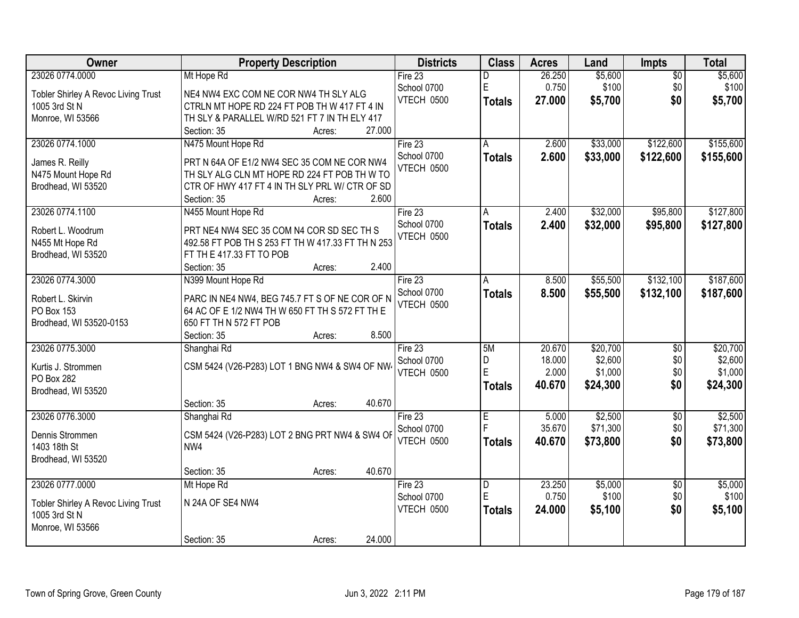| Owner                                    | <b>Property Description</b>                                                                 | <b>Districts</b>  | <b>Class</b>                 | <b>Acres</b>    | Land     | Impts           | <b>Total</b> |
|------------------------------------------|---------------------------------------------------------------------------------------------|-------------------|------------------------------|-----------------|----------|-----------------|--------------|
| 23026 0774.0000                          | Mt Hope Rd                                                                                  | Fire $23$         | D                            | 26.250          | \$5,600  | $\overline{50}$ | \$5,600      |
| Tobler Shirley A Revoc Living Trust      | NE4 NW4 EXC COM NE COR NW4 TH SLY ALG                                                       | School 0700       | E                            | 0.750           | \$100    | \$0             | \$100        |
| 1005 3rd St N                            | CTRLN MT HOPE RD 224 FT POB TH W 417 FT 4 IN                                                | <b>VTECH 0500</b> | <b>Totals</b>                | 27.000          | \$5,700  | \$0             | \$5,700      |
| Monroe, WI 53566                         | TH SLY & PARALLEL W/RD 521 FT 7 IN TH ELY 417                                               |                   |                              |                 |          |                 |              |
|                                          | 27.000<br>Section: 35<br>Acres:                                                             |                   |                              |                 |          |                 |              |
| 23026 0774.1000                          | N475 Mount Hope Rd                                                                          | Fire 23           | A                            | 2.600           | \$33,000 | \$122,600       | \$155,600    |
|                                          |                                                                                             | School 0700       | <b>Totals</b>                | 2.600           | \$33,000 | \$122,600       | \$155,600    |
| James R. Reilly                          | PRT N 64A OF E1/2 NW4 SEC 35 COM NE COR NW4<br>TH SLY ALG CLN MT HOPE RD 224 FT POB TH W TO | VTECH 0500        |                              |                 |          |                 |              |
| N475 Mount Hope Rd<br>Brodhead, WI 53520 | CTR OF HWY 417 FT 4 IN TH SLY PRL W/ CTR OF SD                                              |                   |                              |                 |          |                 |              |
|                                          | 2.600<br>Section: 35<br>Acres:                                                              |                   |                              |                 |          |                 |              |
| 23026 0774.1100                          | N455 Mount Hope Rd                                                                          | Fire 23           | А                            | 2.400           | \$32,000 | \$95,800        | \$127,800    |
|                                          |                                                                                             | School 0700       | <b>Totals</b>                | 2.400           | \$32,000 | \$95,800        | \$127,800    |
| Robert L. Woodrum                        | PRT NE4 NW4 SEC 35 COM N4 COR SD SEC TH S                                                   | VTECH 0500        |                              |                 |          |                 |              |
| N455 Mt Hope Rd                          | 492.58 FT POB TH S 253 FT TH W 417.33 FT TH N 253                                           |                   |                              |                 |          |                 |              |
| Brodhead, WI 53520                       | FT TH E 417.33 FT TO POB                                                                    |                   |                              |                 |          |                 |              |
|                                          | 2.400<br>Section: 35<br>Acres:                                                              |                   |                              |                 |          |                 |              |
| 23026 0774.3000                          | N399 Mount Hope Rd                                                                          | Fire 23           | A                            | 8.500           | \$55,500 | \$132,100       | \$187,600    |
| Robert L. Skirvin                        | PARC IN NE4 NW4, BEG 745.7 FT S OF NE COR OF N                                              | School 0700       | <b>Totals</b>                | 8.500           | \$55,500 | \$132,100       | \$187,600    |
| PO Box 153                               | 64 AC OF E 1/2 NW4 TH W 650 FT TH S 572 FT TH E                                             | VTECH 0500        |                              |                 |          |                 |              |
| Brodhead, WI 53520-0153                  | 650 FT TH N 572 FT POB                                                                      |                   |                              |                 |          |                 |              |
|                                          | 8.500<br>Section: 35<br>Acres:                                                              |                   |                              |                 |          |                 |              |
| 23026 0775.3000                          | Shanghai Rd                                                                                 | Fire 23           | 5M                           | 20.670          | \$20,700 | $\overline{50}$ | \$20,700     |
| Kurtis J. Strommen                       | CSM 5424 (V26-P283) LOT 1 BNG NW4 & SW4 OF NW                                               | School 0700       | D                            | 18.000          | \$2,600  | \$0             | \$2,600      |
| PO Box 282                               |                                                                                             | VTECH 0500        | E                            | 2.000           | \$1,000  | \$0             | \$1,000      |
| Brodhead, WI 53520                       |                                                                                             |                   | <b>Totals</b>                | 40.670          | \$24,300 | \$0             | \$24,300     |
|                                          | 40.670<br>Section: 35<br>Acres:                                                             |                   |                              |                 |          |                 |              |
| 23026 0776.3000                          | Shanghai Rd                                                                                 | Fire 23           | E                            | 5.000           | \$2,500  | $\sqrt{6}$      | \$2,500      |
|                                          |                                                                                             | School 0700       | Ė                            | 35.670          | \$71,300 | \$0             | \$71,300     |
| Dennis Strommen                          | CSM 5424 (V26-P283) LOT 2 BNG PRT NW4 & SW4 OF                                              | VTECH 0500        | <b>Totals</b>                | 40.670          | \$73,800 | \$0             | \$73,800     |
| 1403 18th St                             | NW4                                                                                         |                   |                              |                 |          |                 |              |
| Brodhead, WI 53520                       |                                                                                             |                   |                              |                 |          |                 |              |
|                                          | 40.670<br>Section: 35<br>Acres:                                                             |                   |                              |                 |          |                 |              |
| 23026 0777.0000                          | Mt Hope Rd                                                                                  | Fire 23           | $\overline{\mathsf{D}}$<br>E | 23.250<br>0.750 | \$5,000  | $\overline{50}$ | \$5,000      |
| Tobler Shirley A Revoc Living Trust      | N 24A OF SE4 NW4                                                                            | School 0700       |                              |                 | \$100    | \$0             | \$100        |
| 1005 3rd St N                            |                                                                                             | VTECH 0500        | <b>Totals</b>                | 24.000          | \$5,100  | \$0             | \$5,100      |
| Monroe, WI 53566                         |                                                                                             |                   |                              |                 |          |                 |              |
|                                          | 24.000<br>Section: 35<br>Acres:                                                             |                   |                              |                 |          |                 |              |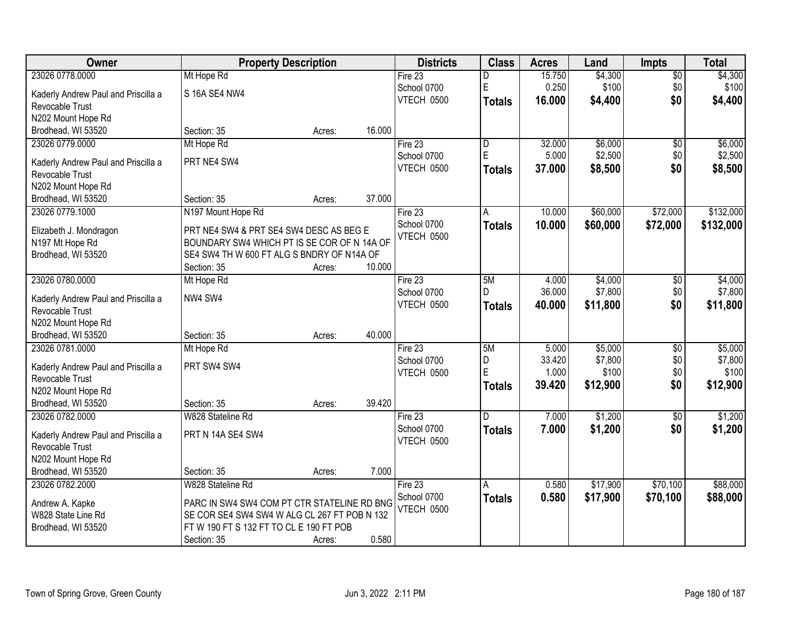| <b>Class</b><br>Owner<br><b>Property Description</b><br><b>Districts</b><br><b>Acres</b><br><b>Impts</b><br>Land                    | <b>Total</b>               |
|-------------------------------------------------------------------------------------------------------------------------------------|----------------------------|
| 23026 0778.0000<br>15.750<br>\$4,300<br>Mt Hope Rd<br>Fire $23$<br>D                                                                | $\overline{$0}$<br>\$4,300 |
| E<br>0.250<br>\$100<br>School 0700<br>Kaderly Andrew Paul and Priscilla a<br>S 16A SE4 NW4                                          | \$100<br>\$0               |
| VTECH 0500<br>16.000<br>\$4,400<br><b>Totals</b><br>Revocable Trust                                                                 | \$0<br>\$4,400             |
| N202 Mount Hope Rd                                                                                                                  |                            |
| 16.000<br>Brodhead, WI 53520<br>Section: 35<br>Acres:                                                                               |                            |
| \$6,000<br>23026 0779.0000<br>Mt Hope Rd<br>Fire 23<br>32.000<br>$\overline{D}$                                                     | \$6,000<br>\$0             |
| E<br>5.000<br>\$2,500<br>School 0700                                                                                                | \$2,500<br>\$0             |
| PRT NE4 SW4<br>Kaderly Andrew Paul and Priscilla a<br>VTECH 0500<br>37.000<br>\$8,500<br><b>Totals</b>                              | \$0<br>\$8,500             |
| <b>Revocable Trust</b>                                                                                                              |                            |
| N202 Mount Hope Rd<br>37.000                                                                                                        |                            |
| Brodhead, WI 53520<br>Section: 35<br>Acres:                                                                                         |                            |
| \$60,000<br>23026 0779.1000<br>N197 Mount Hope Rd<br>Fire 23<br>10.000<br>A                                                         | \$132,000<br>\$72,000      |
| School 0700<br>\$72,000<br>10.000<br>\$60,000<br><b>Totals</b><br>PRT NE4 SW4 & PRT SE4 SW4 DESC AS BEG E<br>Elizabeth J. Mondragon | \$132,000                  |
| VTECH 0500<br>BOUNDARY SW4 WHICH PT IS SE COR OF N 14A OF<br>N197 Mt Hope Rd                                                        |                            |
| SE4 SW4 TH W 600 FT ALG S BNDRY OF N14A OF<br>Brodhead, WI 53520                                                                    |                            |
| 10.000<br>Section: 35<br>Acres:                                                                                                     |                            |
| 23026 0780.0000<br>Fire 23<br>5M<br>\$4,000<br>Mt Hope Rd<br>4.000                                                                  | \$4,000<br>\$0             |
| \$7,800<br>36.000<br>School 0700<br>D<br>NW4 SW4<br>Kaderly Andrew Paul and Priscilla a                                             | \$7,800<br>\$0             |
| VTECH 0500<br>40.000<br>\$11,800<br><b>Totals</b><br>Revocable Trust                                                                | \$0<br>\$11,800            |
| N202 Mount Hope Rd                                                                                                                  |                            |
| 40.000<br>Brodhead, WI 53520<br>Section: 35<br>Acres:                                                                               |                            |
| 5M<br>\$5,000<br>23026 0781.0000<br>Fire 23<br>5.000<br>Mt Hope Rd                                                                  | \$5,000<br>\$0             |
| 33.420<br>\$7,800<br>D<br>School 0700                                                                                               | \$7,800<br>\$0             |
| PRT SW4 SW4<br>Kaderly Andrew Paul and Priscilla a<br>E<br>1.000<br>\$100<br>VTECH 0500                                             | \$0<br>\$100               |
| Revocable Trust<br>39.420<br>\$12,900<br><b>Totals</b>                                                                              | \$0<br>\$12,900            |
| N202 Mount Hope Rd                                                                                                                  |                            |
| 39.420<br>Brodhead, WI 53520<br>Section: 35<br>Acres:                                                                               |                            |
| \$1,200<br>23026 0782.0000<br>7.000<br>W828 Stateline Rd<br>Fire 23<br>D                                                            | \$1,200<br>$\overline{50}$ |
| \$1,200<br>School 0700<br>7.000<br><b>Totals</b><br>PRT N 14A SE4 SW4<br>Kaderly Andrew Paul and Priscilla a                        | \$0<br>\$1,200             |
| VTECH 0500<br>Revocable Trust                                                                                                       |                            |
| N202 Mount Hope Rd                                                                                                                  |                            |
| 7.000<br>Brodhead, WI 53520<br>Section: 35<br>Acres:                                                                                |                            |
| 23026 0782.2000<br>W828 Stateline Rd<br>Fire 23<br>\$17,900<br>0.580<br>A                                                           | \$70,100<br>\$88,000       |
| School 0700<br>0.580<br>\$17,900<br>\$70,100<br><b>Totals</b><br>PARC IN SW4 SW4 COM PT CTR STATELINE RD BNG<br>Andrew A. Kapke     | \$88,000                   |
| VTECH 0500<br>SE COR SE4 SW4 SW4 W ALG CL 267 FT POB N 132<br>W828 State Line Rd                                                    |                            |
| FTW 190 FT S 132 FT TO CL E 190 FT POB<br>Brodhead, WI 53520                                                                        |                            |
| 0.580<br>Section: 35<br>Acres:                                                                                                      |                            |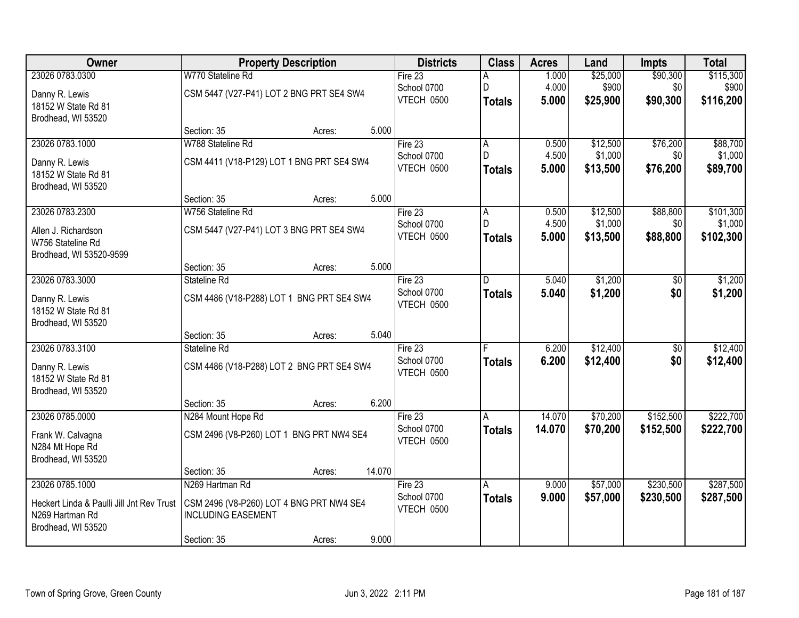| <b>Owner</b>                              | <b>Property Description</b>               | <b>Districts</b>  | <b>Class</b>  | <b>Acres</b> | Land     | <b>Impts</b>    | <b>Total</b> |
|-------------------------------------------|-------------------------------------------|-------------------|---------------|--------------|----------|-----------------|--------------|
| 23026 0783.0300                           | W770 Stateline Rd                         | Fire 23           | А             | 1.000        | \$25,000 | \$90,300        | \$115,300    |
| Danny R. Lewis                            | CSM 5447 (V27-P41) LOT 2 BNG PRT SE4 SW4  | School 0700       | D             | 4.000        | \$900    | \$0             | \$900        |
| 18152 W State Rd 81                       |                                           | VTECH 0500        | <b>Totals</b> | 5.000        | \$25,900 | \$90,300        | \$116,200    |
| Brodhead, WI 53520                        |                                           |                   |               |              |          |                 |              |
|                                           | 5.000<br>Section: 35<br>Acres:            |                   |               |              |          |                 |              |
| 23026 0783.1000                           | W788 Stateline Rd                         | Fire 23           | А             | 0.500        | \$12,500 | \$76,200        | \$88,700     |
| Danny R. Lewis                            | CSM 4411 (V18-P129) LOT 1 BNG PRT SE4 SW4 | School 0700       | D.            | 4.500        | \$1,000  | \$0             | \$1,000      |
| 18152 W State Rd 81                       |                                           | VTECH 0500        | <b>Totals</b> | 5.000        | \$13,500 | \$76,200        | \$89,700     |
| Brodhead, WI 53520                        |                                           |                   |               |              |          |                 |              |
|                                           | 5.000<br>Section: 35<br>Acres:            |                   |               |              |          |                 |              |
| 23026 0783.2300                           | W756 Stateline Rd                         | Fire 23           | А             | 0.500        | \$12,500 | \$88,800        | \$101,300    |
| Allen J. Richardson                       | CSM 5447 (V27-P41) LOT 3 BNG PRT SE4 SW4  | School 0700       | D.            | 4.500        | \$1,000  | \$0             | \$1,000      |
| W756 Stateline Rd                         |                                           | VTECH 0500        | <b>Totals</b> | 5.000        | \$13,500 | \$88,800        | \$102,300    |
| Brodhead, WI 53520-9599                   |                                           |                   |               |              |          |                 |              |
|                                           | 5.000<br>Section: 35<br>Acres:            |                   |               |              |          |                 |              |
| 23026 0783.3000                           | Stateline Rd                              | Fire 23           | D.            | 5.040        | \$1,200  | $\sqrt[6]{}$    | \$1,200      |
| Danny R. Lewis                            | CSM 4486 (V18-P288) LOT 1 BNG PRT SE4 SW4 | School 0700       | <b>Totals</b> | 5.040        | \$1,200  | \$0             | \$1,200      |
| 18152 W State Rd 81                       |                                           | VTECH 0500        |               |              |          |                 |              |
| Brodhead, WI 53520                        |                                           |                   |               |              |          |                 |              |
|                                           | 5.040<br>Section: 35<br>Acres:            |                   |               |              |          |                 |              |
| 23026 0783.3100                           | Stateline Rd                              | Fire 23           |               | 6.200        | \$12,400 | $\overline{50}$ | \$12,400     |
| Danny R. Lewis                            | CSM 4486 (V18-P288) LOT 2 BNG PRT SE4 SW4 | School 0700       | <b>Totals</b> | 6.200        | \$12,400 | \$0             | \$12,400     |
| 18152 W State Rd 81                       |                                           | VTECH 0500        |               |              |          |                 |              |
| Brodhead, WI 53520                        |                                           |                   |               |              |          |                 |              |
|                                           | 6.200<br>Section: 35<br>Acres:            |                   |               |              |          |                 |              |
| 23026 0785.0000                           | N284 Mount Hope Rd                        | Fire 23           | A             | 14.070       | \$70,200 | \$152,500       | \$222,700    |
| Frank W. Calvagna                         | CSM 2496 (V8-P260) LOT 1 BNG PRT NW4 SE4  | School 0700       | <b>Totals</b> | 14.070       | \$70,200 | \$152,500       | \$222,700    |
| N284 Mt Hope Rd                           |                                           | VTECH 0500        |               |              |          |                 |              |
| Brodhead, WI 53520                        |                                           |                   |               |              |          |                 |              |
|                                           | 14.070<br>Section: 35<br>Acres:           |                   |               |              |          |                 |              |
| 23026 0785.1000                           | N269 Hartman Rd                           | Fire 23           | A             | 9.000        | \$57,000 | \$230,500       | \$287,500    |
| Heckert Linda & Paulli Jill Jnt Rev Trust | CSM 2496 (V8-P260) LOT 4 BNG PRT NW4 SE4  | School 0700       | <b>Totals</b> | 9.000        | \$57,000 | \$230,500       | \$287,500    |
| N269 Hartman Rd                           | <b>INCLUDING EASEMENT</b>                 | <b>VTECH 0500</b> |               |              |          |                 |              |
| Brodhead, WI 53520                        |                                           |                   |               |              |          |                 |              |
|                                           | 9.000<br>Section: 35<br>Acres:            |                   |               |              |          |                 |              |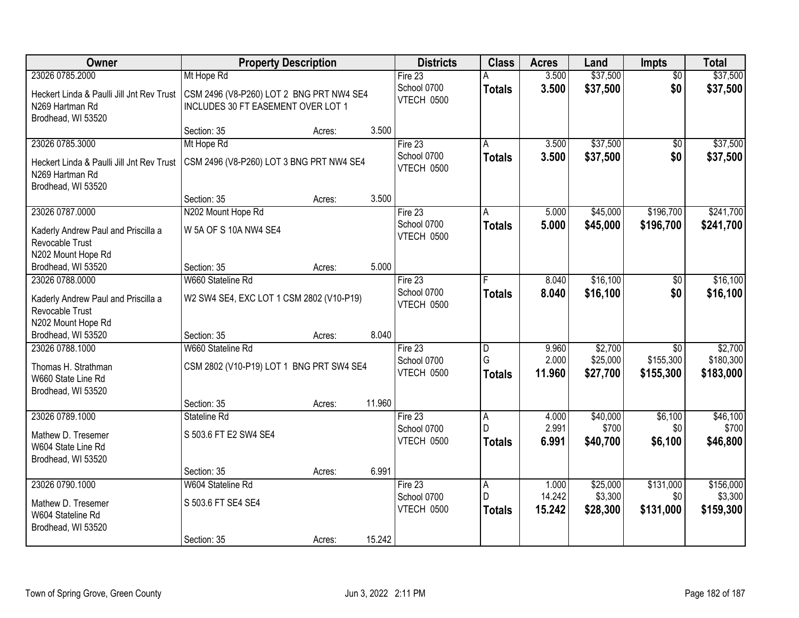| Owner                                                                              | <b>Property Description</b>                                                    |        |        | <b>Districts</b>                     | <b>Class</b>            | <b>Acres</b>            | Land                          | <b>Impts</b>              | <b>Total</b>                  |
|------------------------------------------------------------------------------------|--------------------------------------------------------------------------------|--------|--------|--------------------------------------|-------------------------|-------------------------|-------------------------------|---------------------------|-------------------------------|
| 23026 0785.2000                                                                    | Mt Hope Rd                                                                     |        |        | Fire $23$                            | A                       | 3.500                   | \$37,500                      | $\overline{50}$           | \$37,500                      |
| Heckert Linda & Paulli Jill Jnt Rev Trust<br>N269 Hartman Rd<br>Brodhead, WI 53520 | CSM 2496 (V8-P260) LOT 2 BNG PRT NW4 SE4<br>INCLUDES 30 FT EASEMENT OVER LOT 1 |        |        | School 0700<br>VTECH 0500            | <b>Totals</b>           | 3.500                   | \$37,500                      | \$0                       | \$37,500                      |
|                                                                                    | Section: 35                                                                    | Acres: | 3.500  |                                      |                         |                         |                               |                           |                               |
| 23026 0785.3000                                                                    | Mt Hope Rd                                                                     |        |        | Fire $23$                            | A                       | 3.500                   | \$37,500                      | $\overline{50}$           | \$37,500                      |
| Heckert Linda & Paulli Jill Jnt Rev Trust<br>N269 Hartman Rd<br>Brodhead, WI 53520 | CSM 2496 (V8-P260) LOT 3 BNG PRT NW4 SE4                                       |        |        | School 0700<br>VTECH 0500            | Totals                  | 3.500                   | \$37,500                      | \$0                       | \$37,500                      |
|                                                                                    | Section: 35                                                                    | Acres: | 3.500  |                                      |                         |                         |                               |                           |                               |
| 23026 0787.0000                                                                    | N202 Mount Hope Rd                                                             |        |        | Fire 23                              | A                       | 5.000                   | \$45,000                      | \$196,700                 | \$241,700                     |
| Kaderly Andrew Paul and Priscilla a<br>Revocable Trust<br>N202 Mount Hope Rd       | W 5A OF S 10A NW4 SE4                                                          |        |        | School 0700<br>VTECH 0500            | <b>Totals</b>           | 5.000                   | \$45,000                      | \$196,700                 | \$241,700                     |
| Brodhead, WI 53520                                                                 | Section: 35                                                                    | Acres: | 5.000  |                                      |                         |                         |                               |                           |                               |
| 23026 0788.0000                                                                    | W660 Stateline Rd                                                              |        |        | Fire 23                              |                         | 8.040                   | \$16,100                      | \$0                       | \$16,100                      |
| Kaderly Andrew Paul and Priscilla a<br>Revocable Trust<br>N202 Mount Hope Rd       | W2 SW4 SE4, EXC LOT 1 CSM 2802 (V10-P19)                                       |        |        | School 0700<br>VTECH 0500            | <b>Totals</b>           | 8.040                   | \$16,100                      | \$0                       | \$16,100                      |
| Brodhead, WI 53520                                                                 | Section: 35                                                                    | Acres: | 8.040  |                                      |                         |                         |                               |                           |                               |
| 23026 0788.1000                                                                    | W660 Stateline Rd                                                              |        |        | Fire 23                              | D                       | 9.960                   | \$2,700                       | $\overline{30}$           | \$2,700                       |
| Thomas H. Strathman<br>W660 State Line Rd<br>Brodhead, WI 53520                    | CSM 2802 (V10-P19) LOT 1 BNG PRT SW4 SE4                                       |        |        | School 0700<br>VTECH 0500            | G<br><b>Totals</b>      | 2.000<br>11.960         | \$25,000<br>\$27,700          | \$155,300<br>\$155,300    | \$180,300<br>\$183,000        |
|                                                                                    | Section: 35                                                                    | Acres: | 11.960 |                                      |                         |                         |                               |                           |                               |
| 23026 0789.1000<br>Mathew D. Tresemer<br>W604 State Line Rd<br>Brodhead, WI 53520  | Stateline Rd<br>S 503.6 FT E2 SW4 SE4                                          |        |        | Fire 23<br>School 0700<br>VTECH 0500 | A<br>D<br><b>Totals</b> | 4.000<br>2.991<br>6.991 | \$40,000<br>\$700<br>\$40,700 | \$6,100<br>\$0<br>\$6,100 | \$46,100<br>\$700<br>\$46,800 |
|                                                                                    | Section: 35                                                                    | Acres: | 6.991  |                                      |                         |                         |                               |                           |                               |
| 23026 0790.1000<br>Mathew D. Tresemer                                              | W604 Stateline Rd<br>S 503.6 FT SE4 SE4                                        |        |        | Fire 23<br>School 0700<br>VTECH 0500 | A<br>D                  | 1.000<br>14.242         | \$25,000<br>\$3,300           | \$131,000<br>\$0          | \$156,000<br>\$3,300          |
| W604 Stateline Rd<br>Brodhead, WI 53520                                            | Section: 35                                                                    | Acres: | 15.242 |                                      | <b>Totals</b>           | 15.242                  | \$28,300                      | \$131,000                 | \$159,300                     |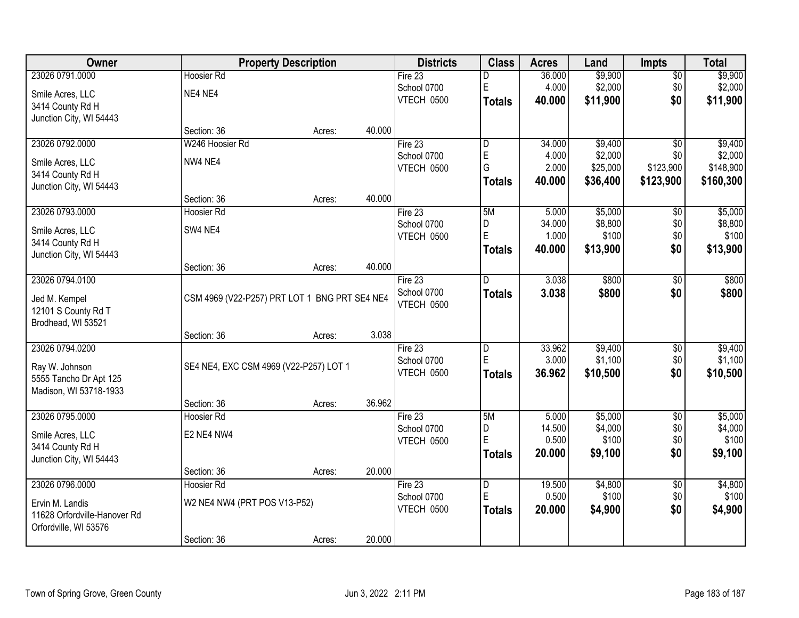| <b>Owner</b>                 |                                               | <b>Property Description</b> |        | <b>Districts</b> | <b>Class</b>            | <b>Acres</b> | Land     | <b>Impts</b>    | <b>Total</b> |
|------------------------------|-----------------------------------------------|-----------------------------|--------|------------------|-------------------------|--------------|----------|-----------------|--------------|
| 23026 0791.0000              | <b>Hoosier Rd</b>                             |                             |        | Fire $23$        | D                       | 36.000       | \$9,900  | $\overline{50}$ | \$9,900      |
| Smile Acres, LLC             | NE4 NE4                                       |                             |        | School 0700      | E                       | 4.000        | \$2,000  | \$0             | \$2,000      |
| 3414 County Rd H             |                                               |                             |        | VTECH 0500       | <b>Totals</b>           | 40.000       | \$11,900 | \$0             | \$11,900     |
| Junction City, WI 54443      |                                               |                             |        |                  |                         |              |          |                 |              |
|                              | Section: 36                                   | Acres:                      | 40.000 |                  |                         |              |          |                 |              |
| 23026 0792.0000              | W246 Hoosier Rd                               |                             |        | Fire 23          | $\overline{D}$          | 34.000       | \$9,400  | $\overline{30}$ | \$9,400      |
| Smile Acres, LLC             | NW4 NE4                                       |                             |        | School 0700      | E                       | 4.000        | \$2,000  | \$0             | \$2,000      |
| 3414 County Rd H             |                                               |                             |        | VTECH 0500       | G                       | 2.000        | \$25,000 | \$123,900       | \$148,900    |
| Junction City, WI 54443      |                                               |                             |        |                  | <b>Totals</b>           | 40.000       | \$36,400 | \$123,900       | \$160,300    |
|                              | Section: 36                                   | Acres:                      | 40.000 |                  |                         |              |          |                 |              |
| 23026 0793.0000              | Hoosier Rd                                    |                             |        | Fire 23          | 5M                      | 5.000        | \$5,000  | \$0             | \$5,000      |
| Smile Acres, LLC             | SW4 NE4                                       |                             |        | School 0700      | D                       | 34.000       | \$8,800  | \$0             | \$8,800      |
| 3414 County Rd H             |                                               |                             |        | VTECH 0500       | E                       | 1.000        | \$100    | \$0             | \$100        |
| Junction City, WI 54443      |                                               |                             |        |                  | <b>Totals</b>           | 40.000       | \$13,900 | \$0             | \$13,900     |
|                              | Section: 36                                   | Acres:                      | 40.000 |                  |                         |              |          |                 |              |
| 23026 0794.0100              |                                               |                             |        | Fire 23          | D.                      | 3.038        | \$800    | \$0             | \$800        |
| Jed M. Kempel                | CSM 4969 (V22-P257) PRT LOT 1 BNG PRT SE4 NE4 |                             |        | School 0700      | <b>Totals</b>           | 3.038        | \$800    | \$0             | \$800        |
| 12101 S County Rd T          |                                               |                             |        | VTECH 0500       |                         |              |          |                 |              |
| Brodhead, WI 53521           |                                               |                             |        |                  |                         |              |          |                 |              |
|                              | Section: 36                                   | Acres:                      | 3.038  |                  |                         |              |          |                 |              |
| 23026 0794.0200              |                                               |                             |        | Fire $23$        | $\overline{\mathsf{D}}$ | 33.962       | \$9,400  | $\overline{30}$ | \$9,400      |
| Ray W. Johnson               | SE4 NE4, EXC CSM 4969 (V22-P257) LOT 1        |                             |        | School 0700      | E                       | 3.000        | \$1,100  | \$0             | \$1,100      |
| 5555 Tancho Dr Apt 125       |                                               |                             |        | VTECH 0500       | <b>Totals</b>           | 36.962       | \$10,500 | \$0             | \$10,500     |
| Madison, WI 53718-1933       |                                               |                             |        |                  |                         |              |          |                 |              |
|                              | Section: 36                                   | Acres:                      | 36.962 |                  |                         |              |          |                 |              |
| 23026 0795.0000              | <b>Hoosier Rd</b>                             |                             |        | Fire 23          | 5M                      | 5.000        | \$5,000  | $\overline{50}$ | \$5,000      |
| Smile Acres, LLC             | E2 NE4 NW4                                    |                             |        | School 0700      | D                       | 14.500       | \$4,000  | \$0             | \$4,000      |
| 3414 County Rd H             |                                               |                             |        | VTECH 0500       | E                       | 0.500        | \$100    | \$0             | \$100        |
| Junction City, WI 54443      |                                               |                             |        |                  | <b>Totals</b>           | 20.000       | \$9,100  | \$0             | \$9,100      |
|                              | Section: 36                                   | Acres:                      | 20.000 |                  |                         |              |          |                 |              |
| 23026 0796.0000              | <b>Hoosier Rd</b>                             |                             |        | Fire $23$        | $\overline{\mathsf{D}}$ | 19.500       | \$4,800  | $\overline{50}$ | \$4,800      |
| Ervin M. Landis              | W2 NE4 NW4 (PRT POS V13-P52)                  |                             |        | School 0700      | E                       | 0.500        | \$100    | \$0             | \$100        |
| 11628 Orfordville-Hanover Rd |                                               |                             |        | VTECH 0500       | <b>Totals</b>           | 20.000       | \$4,900  | \$0             | \$4,900      |
| Orfordville, WI 53576        |                                               |                             |        |                  |                         |              |          |                 |              |
|                              | Section: 36                                   | Acres:                      | 20.000 |                  |                         |              |          |                 |              |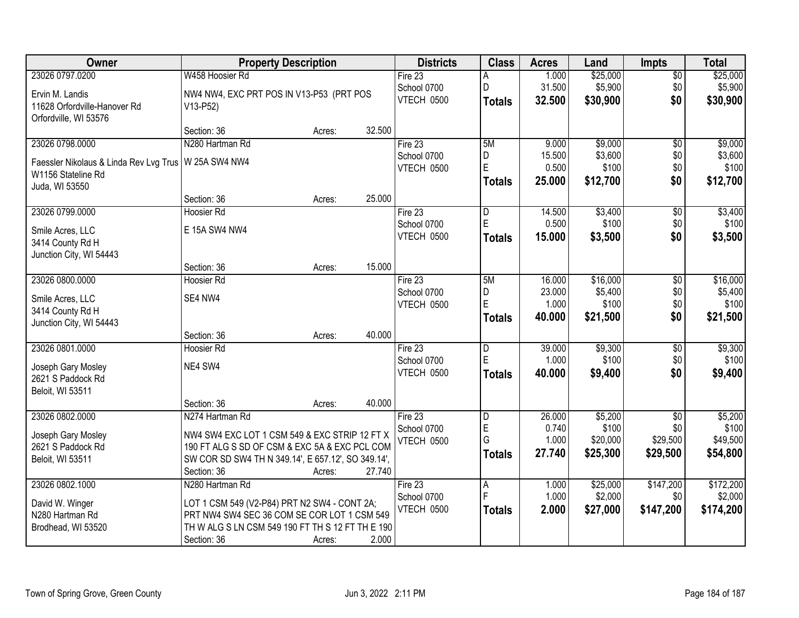| Owner                                  | <b>Property Description</b>                        |        |        | <b>Districts</b>  | <b>Class</b>   | <b>Acres</b> | Land     | <b>Impts</b>    | <b>Total</b> |
|----------------------------------------|----------------------------------------------------|--------|--------|-------------------|----------------|--------------|----------|-----------------|--------------|
| 23026 0797.0200                        | W458 Hoosier Rd                                    |        |        | Fire $23$         | Α              | 1.000        | \$25,000 | $\overline{50}$ | \$25,000     |
| Ervin M. Landis                        | NW4 NW4, EXC PRT POS IN V13-P53 (PRT POS           |        |        | School 0700       | D              | 31.500       | \$5,900  | \$0             | \$5,900      |
| 11628 Orfordville-Hanover Rd           | $V13-P52$                                          |        |        | VTECH 0500        | <b>Totals</b>  | 32.500       | \$30,900 | \$0             | \$30,900     |
| Orfordville, WI 53576                  |                                                    |        |        |                   |                |              |          |                 |              |
|                                        | Section: 36                                        | Acres: | 32.500 |                   |                |              |          |                 |              |
| 23026 0798.0000                        | N280 Hartman Rd                                    |        |        | Fire 23           | 5M             | 9.000        | \$9,000  | $\overline{50}$ | \$9,000      |
| Faessler Nikolaus & Linda Rev Lvg Trus | W 25A SW4 NW4                                      |        |        | School 0700       | D              | 15.500       | \$3,600  | \$0             | \$3,600      |
| W1156 Stateline Rd                     |                                                    |        |        | VTECH 0500        | E              | 0.500        | \$100    | \$0             | \$100        |
| Juda, WI 53550                         |                                                    |        |        |                   | <b>Totals</b>  | 25.000       | \$12,700 | \$0             | \$12,700     |
|                                        | Section: 36                                        | Acres: | 25.000 |                   |                |              |          |                 |              |
| 23026 0799.0000                        | Hoosier Rd                                         |        |        | Fire 23           | D              | 14.500       | \$3,400  | \$0             | \$3,400      |
| Smile Acres, LLC                       | E 15A SW4 NW4                                      |        |        | School 0700       | E              | 0.500        | \$100    | \$0             | \$100        |
| 3414 County Rd H                       |                                                    |        |        | VTECH 0500        | <b>Totals</b>  | 15.000       | \$3,500  | \$0             | \$3,500      |
| Junction City, WI 54443                |                                                    |        |        |                   |                |              |          |                 |              |
|                                        | Section: 36                                        | Acres: | 15.000 |                   |                |              |          |                 |              |
| 23026 0800.0000                        | <b>Hoosier Rd</b>                                  |        |        | Fire 23           | 5M             | 16.000       | \$16,000 | \$0             | \$16,000     |
| Smile Acres, LLC                       | SE4 NW4                                            |        |        | School 0700       | D              | 23.000       | \$5,400  | \$0             | \$5,400      |
| 3414 County Rd H                       |                                                    |        |        | VTECH 0500        | E              | 1.000        | \$100    | \$0             | \$100        |
| Junction City, WI 54443                |                                                    |        |        |                   | <b>Totals</b>  | 40.000       | \$21,500 | \$0             | \$21,500     |
|                                        | Section: 36                                        | Acres: | 40.000 |                   |                |              |          |                 |              |
| 23026 0801.0000                        | <b>Hoosier Rd</b>                                  |        |        | Fire 23           | $\overline{D}$ | 39.000       | \$9,300  | \$0             | \$9,300      |
| Joseph Gary Mosley                     | NE4 SW4                                            |        |        | School 0700       | E              | 1.000        | \$100    | \$0             | \$100        |
| 2621 S Paddock Rd                      |                                                    |        |        | VTECH 0500        | <b>Totals</b>  | 40.000       | \$9,400  | \$0             | \$9,400      |
| Beloit, WI 53511                       |                                                    |        |        |                   |                |              |          |                 |              |
|                                        | Section: 36                                        | Acres: | 40.000 |                   |                |              |          |                 |              |
| 23026 0802.0000                        | N274 Hartman Rd                                    |        |        | Fire 23           | $\overline{D}$ | 26.000       | \$5,200  | $\overline{50}$ | \$5,200      |
| Joseph Gary Mosley                     | NW4 SW4 EXC LOT 1 CSM 549 & EXC STRIP 12 FT X      |        |        | School 0700       | E              | 0.740        | \$100    | \$0             | \$100        |
| 2621 S Paddock Rd                      | 190 FT ALG S SD OF CSM & EXC 5A & EXC PCL COM      |        |        | <b>VTECH 0500</b> | G              | 1.000        | \$20,000 | \$29,500        | \$49,500     |
| Beloit, WI 53511                       | SW COR SD SW4 TH N 349.14', E 657.12', SO 349.14', |        |        |                   | <b>Totals</b>  | 27.740       | \$25,300 | \$29,500        | \$54,800     |
|                                        | Section: 36                                        | Acres: | 27.740 |                   |                |              |          |                 |              |
| 23026 0802.1000                        | N280 Hartman Rd                                    |        |        | Fire 23           | A              | 1.000        | \$25,000 | \$147,200       | \$172,200    |
| David W. Winger                        | LOT 1 CSM 549 (V2-P84) PRT N2 SW4 - CONT 2A;       |        |        | School 0700       |                | 1.000        | \$2,000  | \$0             | \$2,000      |
| N280 Hartman Rd                        | PRT NW4 SW4 SEC 36 COM SE COR LOT 1 CSM 549        |        |        | VTECH 0500        | <b>Totals</b>  | 2.000        | \$27,000 | \$147,200       | \$174,200    |
| Brodhead, WI 53520                     | TH W ALG S LN CSM 549 190 FT TH S 12 FT TH E 190   |        |        |                   |                |              |          |                 |              |
|                                        | Section: 36                                        | Acres: | 2.000  |                   |                |              |          |                 |              |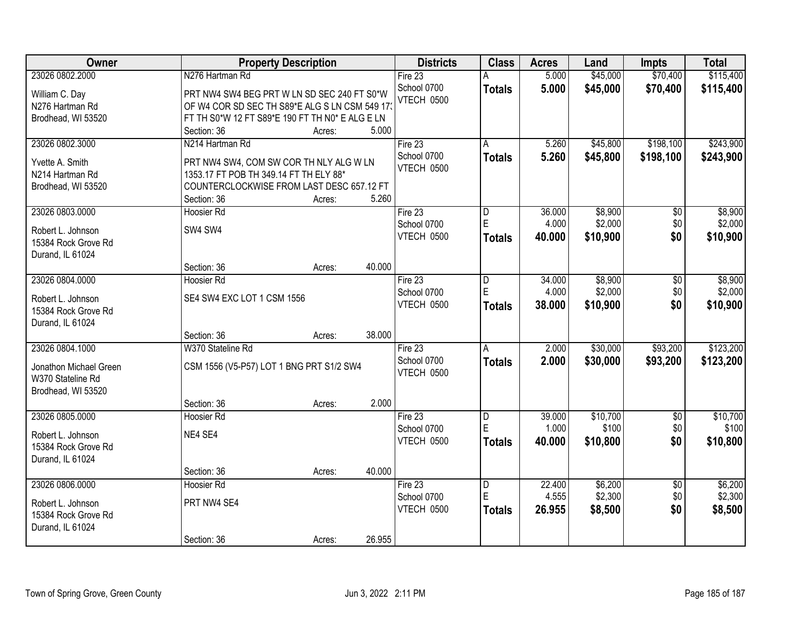| Owner                  | <b>Property Description</b>                     |        | <b>Districts</b> | <b>Class</b>   | <b>Acres</b> | Land     | <b>Impts</b>    | <b>Total</b> |
|------------------------|-------------------------------------------------|--------|------------------|----------------|--------------|----------|-----------------|--------------|
| 23026 0802.2000        | N276 Hartman Rd                                 |        | Fire $23$        |                | 5.000        | \$45,000 | \$70,400        | \$115,400    |
| William C. Day         | PRT NW4 SW4 BEG PRT W LN SD SEC 240 FT S0*W     |        | School 0700      | <b>Totals</b>  | 5.000        | \$45,000 | \$70,400        | \$115,400    |
| N276 Hartman Rd        | OF W4 COR SD SEC TH S89*E ALG S LN CSM 549 17   |        | VTECH 0500       |                |              |          |                 |              |
| Brodhead, WI 53520     | FT TH S0*W 12 FT S89*E 190 FT TH N0* E ALG E LN |        |                  |                |              |          |                 |              |
|                        | Section: 36<br>Acres:                           | 5.000  |                  |                |              |          |                 |              |
| 23026 0802.3000        | N214 Hartman Rd                                 |        | Fire 23          | A              | 5.260        | \$45,800 | \$198,100       | \$243,900    |
|                        |                                                 |        | School 0700      | <b>Totals</b>  | 5.260        | \$45,800 | \$198,100       | \$243,900    |
| Yvette A. Smith        | PRT NW4 SW4, COM SW COR TH NLY ALG W LN         |        | VTECH 0500       |                |              |          |                 |              |
| N214 Hartman Rd        | 1353.17 FT POB TH 349.14 FT TH ELY 88*          |        |                  |                |              |          |                 |              |
| Brodhead, WI 53520     | COUNTERCLOCKWISE FROM LAST DESC 657.12 FT       |        |                  |                |              |          |                 |              |
|                        | Section: 36<br>Acres:                           | 5.260  |                  |                |              |          |                 |              |
| 23026 0803.0000        | Hoosier Rd                                      |        | Fire 23          | D<br>E         | 36.000       | \$8,900  | \$0             | \$8,900      |
| Robert L. Johnson      | SW4 SW4                                         |        | School 0700      |                | 4.000        | \$2,000  | \$0             | \$2,000      |
| 15384 Rock Grove Rd    |                                                 |        | VTECH 0500       | <b>Totals</b>  | 40.000       | \$10,900 | \$0             | \$10,900     |
| Durand, IL 61024       |                                                 |        |                  |                |              |          |                 |              |
|                        | Section: 36<br>Acres:                           | 40.000 |                  |                |              |          |                 |              |
| 23026 0804.0000        | Hoosier Rd                                      |        | Fire 23          | D              | 34.000       | \$8,900  | \$0             | \$8,900      |
| Robert L. Johnson      | SE4 SW4 EXC LOT 1 CSM 1556                      |        | School 0700      | Е              | 4.000        | \$2,000  | \$0             | \$2,000      |
| 15384 Rock Grove Rd    |                                                 |        | VTECH 0500       | <b>Totals</b>  | 38.000       | \$10,900 | \$0             | \$10,900     |
| Durand, IL 61024       |                                                 |        |                  |                |              |          |                 |              |
|                        | Section: 36<br>Acres:                           | 38.000 |                  |                |              |          |                 |              |
| 23026 0804.1000        | W370 Stateline Rd                               |        | Fire 23          | $\overline{A}$ | 2.000        | \$30,000 | \$93,200        | \$123,200    |
|                        |                                                 |        | School 0700      | <b>Totals</b>  | 2.000        | \$30,000 | \$93,200        | \$123,200    |
| Jonathon Michael Green | CSM 1556 (V5-P57) LOT 1 BNG PRT S1/2 SW4        |        | VTECH 0500       |                |              |          |                 |              |
| W370 Stateline Rd      |                                                 |        |                  |                |              |          |                 |              |
| Brodhead, WI 53520     |                                                 |        |                  |                |              |          |                 |              |
|                        | Section: 36<br>Acres:                           | 2.000  |                  |                |              |          |                 |              |
| 23026 0805.0000        | <b>Hoosier Rd</b>                               |        | Fire 23          | D              | 39.000       | \$10,700 | $\overline{50}$ | \$10,700     |
| Robert L. Johnson      | NE4 SE4                                         |        | School 0700      | E              | 1.000        | \$100    | \$0             | \$100        |
| 15384 Rock Grove Rd    |                                                 |        | VTECH 0500       | <b>Totals</b>  | 40.000       | \$10,800 | \$0             | \$10,800     |
| Durand, IL 61024       |                                                 |        |                  |                |              |          |                 |              |
|                        | Section: 36<br>Acres:                           | 40.000 |                  |                |              |          |                 |              |
| 23026 0806.0000        | Hoosier Rd                                      |        | Fire $23$        | $\overline{D}$ | 22.400       | \$6,200  | $\overline{50}$ | \$6,200      |
|                        |                                                 |        | School 0700      | E              | 4.555        | \$2,300  | \$0             | \$2,300      |
| Robert L. Johnson      | PRT NW4 SE4                                     |        | VTECH 0500       | <b>Totals</b>  | 26.955       | \$8,500  | \$0             | \$8,500      |
| 15384 Rock Grove Rd    |                                                 |        |                  |                |              |          |                 |              |
| Durand, IL 61024       |                                                 |        |                  |                |              |          |                 |              |
|                        | Section: 36<br>Acres:                           | 26.955 |                  |                |              |          |                 |              |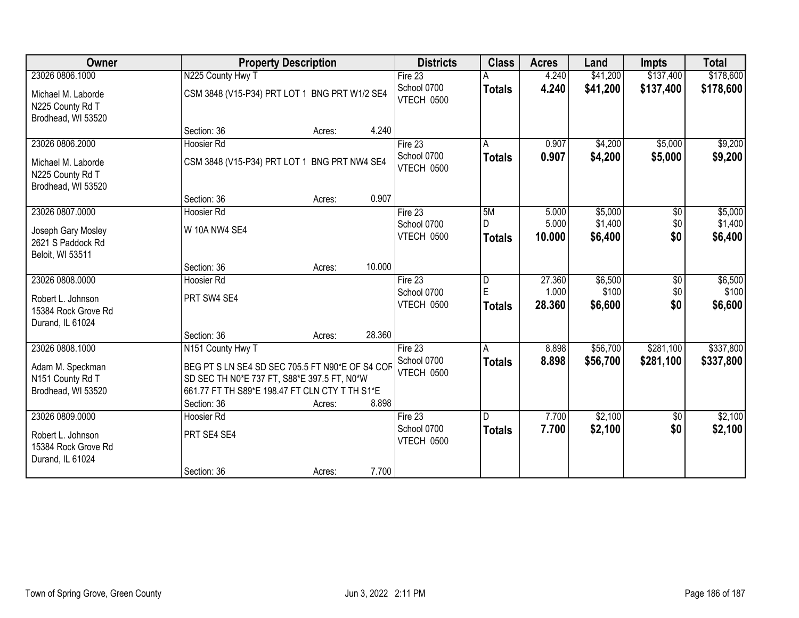| Owner                                                                           |                                                                                                                                                                       | <b>Property Description</b> |        | <b>Districts</b>                     | <b>Class</b>                                  | <b>Acres</b>              | Land                          | <b>Impts</b>                  | <b>Total</b>                  |
|---------------------------------------------------------------------------------|-----------------------------------------------------------------------------------------------------------------------------------------------------------------------|-----------------------------|--------|--------------------------------------|-----------------------------------------------|---------------------------|-------------------------------|-------------------------------|-------------------------------|
| 23026 0806.1000                                                                 | N225 County Hwy T                                                                                                                                                     |                             |        | Fire $23$                            |                                               | 4.240                     | \$41,200                      | \$137,400                     | \$178,600                     |
| Michael M. Laborde<br>N225 County Rd T<br>Brodhead, WI 53520                    | CSM 3848 (V15-P34) PRT LOT 1 BNG PRT W1/2 SE4                                                                                                                         |                             |        | School 0700<br>VTECH 0500            | <b>Totals</b>                                 | 4.240                     | \$41,200                      | \$137,400                     | \$178,600                     |
|                                                                                 | Section: 36                                                                                                                                                           | Acres:                      | 4.240  |                                      |                                               |                           |                               |                               |                               |
| 23026 0806.2000                                                                 | Hoosier Rd                                                                                                                                                            |                             |        | Fire $23$                            | A                                             | 0.907                     | \$4,200                       | \$5,000                       | \$9,200                       |
| Michael M. Laborde<br>N225 County Rd T<br>Brodhead, WI 53520                    | CSM 3848 (V15-P34) PRT LOT 1 BNG PRT NW4 SE4                                                                                                                          |                             |        | School 0700<br>VTECH 0500            | <b>Totals</b>                                 | 0.907                     | \$4,200                       | \$5,000                       | \$9,200                       |
|                                                                                 | Section: 36                                                                                                                                                           | Acres:                      | 0.907  |                                      |                                               |                           |                               |                               |                               |
| 23026 0807.0000<br>Joseph Gary Mosley<br>2621 S Paddock Rd<br>Beloit, WI 53511  | <b>Hoosier Rd</b><br>W 10A NW4 SE4                                                                                                                                    |                             |        | Fire 23<br>School 0700<br>VTECH 0500 | 5M<br>D<br><b>Totals</b>                      | 5.000<br>5.000<br>10.000  | \$5,000<br>\$1,400<br>\$6,400 | \$0<br>\$0<br>\$0             | \$5,000<br>\$1,400<br>\$6,400 |
|                                                                                 | Section: 36                                                                                                                                                           | Acres:                      | 10.000 |                                      |                                               |                           |                               |                               |                               |
| 23026 0808.0000<br>Robert L. Johnson<br>15384 Rock Grove Rd<br>Durand, IL 61024 | Hoosier Rd<br>PRT SW4 SE4                                                                                                                                             |                             |        | Fire 23<br>School 0700<br>VTECH 0500 | $\overline{\mathsf{D}}$<br>E<br><b>Totals</b> | 27.360<br>1.000<br>28.360 | \$6,500<br>\$100<br>\$6,600   | $\overline{60}$<br>\$0<br>\$0 | \$6,500<br>\$100<br>\$6,600   |
|                                                                                 | Section: 36                                                                                                                                                           | Acres:                      | 28.360 |                                      |                                               |                           |                               |                               |                               |
| 23026 0808.1000<br>Adam M. Speckman<br>N151 County Rd T<br>Brodhead, WI 53520   | N151 County Hwy T<br>BEG PT S LN SE4 SD SEC 705.5 FT N90*E OF S4 COF<br>SD SEC TH N0*E 737 FT, S88*E 397.5 FT, N0*W<br>661.77 FT TH S89*E 198.47 FT CLN CTY T TH S1*E |                             |        | Fire 23<br>School 0700<br>VTECH 0500 | A<br><b>Totals</b>                            | 8.898<br>8.898            | \$56,700<br>\$56,700          | \$281,100<br>\$281,100        | \$337,800<br>\$337,800        |
|                                                                                 | Section: 36                                                                                                                                                           | Acres:                      | 8.898  |                                      |                                               |                           |                               |                               |                               |
| 23026 0809.0000<br>Robert L. Johnson<br>15384 Rock Grove Rd<br>Durand, IL 61024 | Hoosier Rd<br>PRT SE4 SE4                                                                                                                                             |                             |        | Fire 23<br>School 0700<br>VTECH 0500 | $\mathsf{D}$<br><b>Totals</b>                 | 7.700<br>7.700            | \$2,100<br>\$2,100            | $\sqrt{$0}$<br>\$0            | \$2,100<br>\$2,100            |
|                                                                                 | Section: 36                                                                                                                                                           | Acres:                      | 7.700  |                                      |                                               |                           |                               |                               |                               |